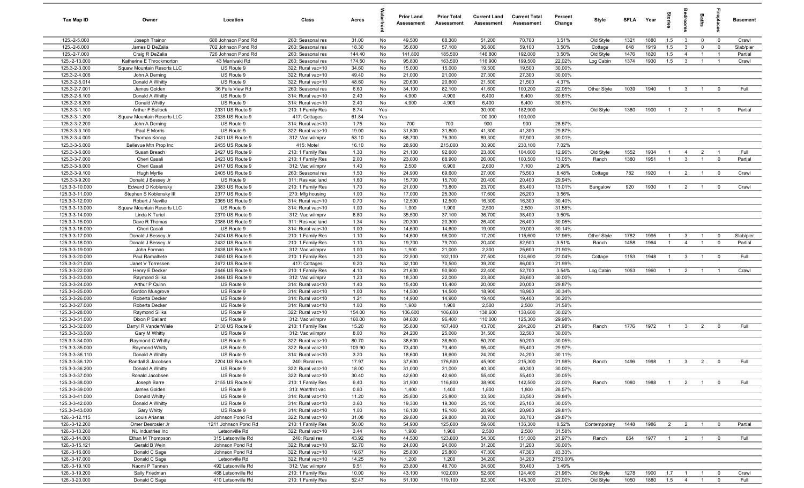| Tax Map ID                       | Owner                                 | Location                 | Class                                  | Acres         |          | <b>Prior Land</b><br>Assessment | <b>Prior Total</b><br>Assessment | <b>Current Land</b><br>Assessment | <b>Current Total</b><br>Assessment | Percent<br>Change | Style        | <b>SFLA</b> | Year | Stories        | ledroon        | <b>Baths</b>   | ireplace                | <b>Basement</b> |
|----------------------------------|---------------------------------------|--------------------------|----------------------------------------|---------------|----------|---------------------------------|----------------------------------|-----------------------------------|------------------------------------|-------------------|--------------|-------------|------|----------------|----------------|----------------|-------------------------|-----------------|
| 125.-2-5.000                     | Joseph Trainor                        | 688 Johnson Pond Rd      | 260: Seasonal res                      | 31.00         | No       | 49,500                          | 68,300                           | 51,200                            | 70,700                             | 3.51%             | Old Style    | 1321        | 1880 | 1.5            | $\mathbf{3}$   | $\mathbf 0$    | $\overline{0}$          | Crawl           |
| 125.-2-6.000                     | James D DeZalia                       | 702 Johnson Pond Rd      | 260: Seasonal res                      | 18.30         | No       | 35,600                          | 57,100                           | 36,800                            | 59,100                             | 3.50%             | Cottage      | 648         | 1919 | 1.5            | $\mathbf{3}$   | $\mathbf 0$    | $\mathbf 0$             | Slab/pier       |
| 125.-2-7.000                     | Craig R DeZalia                       | 726 Johnson Pond Rd      | 260: Seasonal res                      | 144.40        | No       | 141,800                         | 185,500                          | 146,800                           | 192,000                            | 3.50%             | Old Style    | 1476        | 1820 | 1.5            | $\overline{4}$ | $\overline{1}$ | $\overline{1}$          | Partial         |
| 125.-2-13.000                    | Katherine E Throckmorton              | 43 Maniwaki Rd           | 260: Seasonal res                      | 174.50        | No       | 95,800                          | 163,500                          | 116,900                           | 199,500                            | 22.02%            | Log Cabin    | 1374        | 1930 | 1.5            | $\mathbf{3}$   | $\overline{1}$ | $\overline{1}$          | Crawl           |
| 125.3-2-3.000                    | Squaw Mountain Resorts LLC            | US Route 9               | 322: Rural vac>10                      | 34.60         | No       | 15,000                          | 15,000                           | 19,500                            | 19,500                             | 30.00%            |              |             |      |                |                |                |                         |                 |
| 125.3-2-4.006                    | John A Deming                         | US Route 9               | 322: Rural vac>10                      | 49.40         | No       | 21,000                          | 21,000                           | 27,300                            | 27,300                             | 30.00%            |              |             |      |                |                |                |                         |                 |
| 125.3-2-5.014                    | Donald A Whitty                       | US Route 9               | 322: Rural vac>10                      | 48.60         | No       | 20,600                          | 20,600                           | 21,500                            | 21,500                             | 4.37%             |              |             |      |                |                |                |                         |                 |
| 125.3-2-7.001                    | James Golden                          | 36 Falls View Rd         | 260: Seasonal res                      | 6.60          | No       | 34,100                          | 82,100                           | 41,600                            | 100,200                            | 22.05%            | Other Style  | 1039        | 1940 | $\mathbf{1}$   | $\mathbf{3}$   |                | $\Omega$                | Full            |
| 125.3-2-8.100                    | Donald A Whitty                       | US Route 9               | 314: Rural vac<10                      | 2.40          | No       | 4,900                           | 4,900                            | 6,400                             | 6,400                              | 30.61%            |              |             |      |                |                |                |                         |                 |
| 125.3-2-8.200                    | Donald Whitty                         | US Route 9               | 314: Rural vac<10                      | 2.40          | No       | 4,900                           | 4,900                            | 6,400                             | 6,400                              | 30.61%            |              |             |      |                |                |                |                         |                 |
| 125.3-3-1.100                    | Arthur F Bullock                      | 2331 US Route 9          | 210: 1 Family Res                      | 8.74          | Yes      |                                 |                                  | 30,000                            | 182,900                            |                   | Old Style    | 1380        | 1900 | $\overline{1}$ | $\overline{2}$ | $\overline{1}$ | $^{\circ}$              | Partial         |
| 125.3-3-1.200                    | Squaw Mountain Resorts LLC            | 2335 US Route 9          | 417: Cottages                          | 61.84         | Yes      |                                 |                                  | 100,000                           | 100,000                            |                   |              |             |      |                |                |                |                         |                 |
| 125.3-3-2.200<br>125.3-3-3.100   | John A Deming<br>Paul E Morris        | US Route 9<br>US Route 9 | 314: Rural vac<10<br>322: Rural vac>10 | 1.75<br>19.00 | No<br>No | 700<br>31,800                   | 700<br>31,800                    | 900<br>41,300                     | 900<br>41,300                      | 28.57%<br>29.87%  |              |             |      |                |                |                |                         |                 |
| 125.3-3-4.000                    |                                       | 2431 US Route 9          |                                        | 53.10         | No       | 68,700                          | 75,300                           | 89,300                            | 97,900                             | 30.01%            |              |             |      |                |                |                |                         |                 |
| 125.3-3-5.000                    | Thomas Konop<br>Bellevue Mtn Prop Inc | 2455 US Route 9          | 312: Vac w/imprv<br>415: Motel         | 16.10         | No       | 28,900                          | 215,000                          | 30,900                            | 230,100                            | 7.02%             |              |             |      |                |                |                |                         |                 |
| 125.3-3-6.000                    | Susan Breach                          | 2427 US Route 9          | 210: 1 Family Res                      | 1.30          | No       | 21,100                          | 92,600                           | 23,800                            | 104,600                            | 12.96%            | Old Style    | 1552        | 1934 | $\overline{1}$ | $\overline{4}$ | $\overline{2}$ | $\overline{1}$          | Full            |
| 125.3-3-7.000                    | Cheri Casali                          | 2423 US Route 9          | 210: 1 Family Res                      | 2.00          | No       | 23,000                          | 88,900                           | 26,000                            | 100,500                            | 13.05%            | Ranch        | 1380        | 1951 | $\overline{1}$ | $\mathbf{3}$   | $\mathbf{1}$   | $\mathbf 0$             | Partial         |
| 125.3-3-8.000                    | Cheri Casali                          | 2417 US Route 9          | 312: Vac w/imprv                       | 1.40          | No       | 2,500                           | 6,900                            | 2,600                             | 7,100                              | 2.90%             |              |             |      |                |                |                |                         |                 |
| 125.3-3-9.100                    | Hugh Myrtle                           | 2405 US Route 9          | 260: Seasonal res                      | 1.50          | No       | 24,900                          | 69,600                           | 27,000                            | 75,500                             | 8.48%             | Cottage      | 782         | 1920 | $\mathbf{1}$   | $\overline{2}$ |                | $\overline{\mathbf{0}}$ | Crawl           |
| 125.3-3-9.200                    | Donald J Bessey Jr                    | US Route 9               | 311: Res vac land                      | 1.60          | No       | 15,700                          | 15,700                           | 20,400                            | 20,400                             | 29.94%            |              |             |      |                |                |                |                         |                 |
| 125.3-3-10.000                   | Edward D Koblensky                    | 2383 US Route 9          | 210: 1 Family Res                      | 1.70          | No       | 21,000                          | 73,800                           | 23,700                            | 83,400                             | 13.01%            | Bungalow     | 920         | 1930 | $\overline{1}$ | $\overline{2}$ | $\overline{1}$ | $\overline{0}$          | Crawl           |
| 125.3-3-11.000                   | Stephen S Koblensky III               | 2377 US Route 9          | 270: Mfg housing                       | 1.00          | No       | 17,000                          | 25,300                           | 17,600                            | 26,200                             | 3.56%             |              |             |      |                |                |                |                         |                 |
| 125.3-3-12.000                   | Robert J Neville                      | 2365 US Route 9          | 314: Rural vac<10                      | 0.70          | No       | 12,500                          | 12,500                           | 16,300                            | 16,300                             | 30.40%            |              |             |      |                |                |                |                         |                 |
| 125.3-3-13.000                   | Squaw Mountain Resorts LLC            | US Route 9               | 314: Rural vac<10                      | 1.00          | No       | 1,900                           | 1,900                            | 2,500                             | 2,500                              | 31.58%            |              |             |      |                |                |                |                         |                 |
| 125.3-3-14.000                   | Linda K Turiel                        | 2370 US Route 9          | 312: Vac w/imprv                       | 8.80          | No       | 35,500                          | 37,100                           | 36,700                            | 38,400                             | 3.50%             |              |             |      |                |                |                |                         |                 |
| 125.3-3-15.000                   | Dave R Thomas                         | 2388 US Route 9          | 311: Res vac land                      | 1.34          | No       | 20,300                          | 20,300                           | 26,400                            | 26,400                             | 30.05%            |              |             |      |                |                |                |                         |                 |
| 125.3-3-16.000                   | Cheri Casali                          | US Route 9               | 314: Rural vac<10                      | 1.00          | No       | 14,600                          | 14,600                           | 19,000                            | 19,000                             | 30.14%            |              |             |      |                |                |                |                         |                 |
| 125.3-3-17.000                   | Donald J Bessey Jr                    | 2424 US Route 9          | 210: 1 Family Res                      | 1.10          | No       | 14,600                          | 98,000                           | 17,200                            | 115,600                            | 17.96%            | Other Style  | 1782        | 1995 | $\overline{1}$ | 3              | $\overline{1}$ | $\mathbf 0$             | Slab/pier       |
| 125.3-3-18.000                   | Donald J Bessey Jr                    | 2432 US Route 9          | 210: 1 Family Res                      | 1.10          | No       | 19,700                          | 79,700                           | 20,400                            | 82,500                             | 3.51%             | Ranch        | 1458        | 1964 | $\overline{1}$ | $\overline{4}$ | $\overline{1}$ | $\mathbf 0$             | Partial         |
| 125.3-3-19.000                   | John Forman                           | 2438 US Route 9          | 312: Vac w/imprv                       | 1.00          | No       | 1,900                           | 21,000                           | 2,300                             | 25,600                             | 21.90%            |              |             |      |                |                |                |                         |                 |
| 125.3-3-20.000                   | Paul Ramalhete                        | 2450 US Route 9          | 210: 1 Family Res                      | 1.20          | No       | 22,500                          | 102,100                          | 27,500                            | 124,600                            | 22.04%            | Cottage      | 1153        | 1948 | $\overline{1}$ | $\mathbf{3}$   |                | $\mathbf 0$             | Full            |
| 125.3-3-21.000                   | Janet V Torressen                     | 2472 US Route 9          | 417: Cottages                          | 9.20          | No       | 32,100                          | 70,500                           | 39,200                            | 86,000                             | 21.99%            |              |             |      |                |                |                |                         |                 |
| 125.3-3-22.000                   | Henry E Decker                        | 2446 US Route 9          | 210: 1 Family Res                      | 4.10          | No       | 21,600                          | 50,900                           | 22,400                            | 52,700                             | 3.54%             | Log Cabin    | 1053        | 1960 | $\overline{1}$ | $\overline{2}$ |                | - 1                     | Crawl           |
| 125.3-3-23.000                   | Raymond Silika                        | 2446 US Route 9          | 312: Vac w/imprv                       | 1.23          | No       | 18,300                          | 22,000                           | 23,800                            | 28,600                             | 30.00%            |              |             |      |                |                |                |                         |                 |
| 125.3-3-24.000                   | Arthur P Quinn                        | US Route 9               | 314: Rural vac<10                      | 1.40          | No       | 15,400                          | 15,400                           | 20,000                            | 20,000                             | 29.87%            |              |             |      |                |                |                |                         |                 |
| 125.3-3-25.000                   | Gordon Musgrove                       | US Route 9               | 314: Rural vac<10                      | 1.00          | No       | 14,500                          | 14,500                           | 18,900                            | 18,900                             | 30.34%            |              |             |      |                |                |                |                         |                 |
| 125.3-3-26.000                   | Roberta Decker                        | US Route 9               | 314: Rural vac<10                      | 1.21          | No       | 14,900                          | 14,900                           | 19,400                            | 19,400                             | 30.20%            |              |             |      |                |                |                |                         |                 |
| 125.3-3-27.000                   | Roberta Decker                        | US Route 9               | 314: Rural vac<10                      | 1.00          | No       | 1,900                           | 1,900                            | 2,500                             | 2,500                              | 31.58%            |              |             |      |                |                |                |                         |                 |
| 125.3-3-28.000                   | Raymond Silika                        | US Route 9               | 322: Rural vac>10                      | 154.00        | No       | 106,600                         | 106,600                          | 138,600                           | 138,600                            | 30.02%            |              |             |      |                |                |                |                         |                 |
| 125.3-3-31.000                   | Dixon P Ballard                       | US Route 9               | 312: Vac w/imprv                       | 160.00        | No       | 84,600                          | 96,400                           | 110,000                           | 125,300                            | 29.98%            |              |             |      |                |                |                |                         |                 |
| 125.3-3-32.000<br>125.3-3-33.000 | Darryl R VanderWiele                  | 2130 US Route 9          | 210: 1 Family Res<br>312: Vac w/imprv  | 15.20         | No<br>No | 35,800                          | 167,400                          | 43,700                            | 204,200<br>32,500                  | 21.98%<br>30.00%  | Ranch        | 1776        | 1972 | $\overline{1}$ | $\overline{3}$ | $\overline{2}$ | $\mathbf 0$             | Full            |
| 125.3-3-34.000                   | Gary M Whitty<br>Raymond C Whitty     | US Route 9<br>US Route 9 | 322: Rural vac>10                      | 8.00<br>80.70 | No       | 24,200<br>38,600                | 25,000<br>38,600                 | 31,500<br>50,200                  | 50,200                             | 30.05%            |              |             |      |                |                |                |                         |                 |
| 125.3-3-35.000                   | <b>Raymond Whitty</b>                 | US Route 9               | 322: Rural vac>10                      | 109.90        | No       | 73,400                          | 73,400                           | 95,400                            | 95,400                             | 29.97%            |              |             |      |                |                |                |                         |                 |
| 125.3-3-36.110                   | Donald A Whitty                       | US Route 9               | 314: Rural vac<10                      | 3.20          | No       | 18,600                          | 18,600                           | 24,200                            | 24,200                             | 30.11%            |              |             |      |                |                |                |                         |                 |
| 125.3-3-36.120                   | Randall S Jacobsen                    | 2204 US Route 9          | 240: Rural res                         | 17.97         | No       | 37,600                          | 176,500                          | 45,900                            | 215,300                            | 21.98%            | Ranch        | 1496        | 1998 |                |                |                |                         | Full            |
| 125.3-3-36.200                   | Donald A Whitty                       | US Route 9               | 322: Rural vac>10                      | 18.00         | No       | 31,000                          | 31,000                           | 40,300                            | 40,300                             | 30.00%            |              |             |      |                |                |                |                         |                 |
| 125.3-3-37.000                   | Ronald Jacobsen                       | US Route 9               | 322: Rural vac>10                      | 30.40         | No       | 42,600                          | 42,600                           | 55,400                            | 55,400                             | 30.05%            |              |             |      |                |                |                |                         |                 |
| 125.3-3-38.000                   | Joseph Barre                          | 2155 US Route 9          | 210: 1 Family Res                      | 6.40          | No       | 31,900                          | 116,800                          | 38,900                            | 142,500                            | 22.00%            | Ranch        | 1080        | 1988 | $\overline{1}$ | $\overline{2}$ | $\overline{1}$ | $^{\circ}$              | Full            |
| 125.3-3-39.000                   | James Golden                          | US Route 9               | 313: Watrfrnt vac                      | 0.80          | No       | 1,400                           | 1,400                            | 1,800                             | 1,800                              | 28.57%            |              |             |      |                |                |                |                         |                 |
| 125.3-3-41.000                   | Donald Whitty                         | US Route 9               | 314: Rural vac<10                      | 11.20         | No       | 25,800                          | 25,800                           | 33,500                            | 33,500                             | 29.84%            |              |             |      |                |                |                |                         |                 |
| 125.3-3-42.000                   | Donald A Whitty                       | US Route 9               | 314: Rural vac<10                      | 3.60          | No       | 19,300                          | 19,300                           | 25,100                            | 25,100                             | 30.05%            |              |             |      |                |                |                |                         |                 |
| 125.3-3-43.000                   | Gary Whitty                           | US Route 9               | 314: Rural vac<10                      | 1.00          | No       | 16,100                          | 16,100                           | 20,900                            | 20,900                             | 29.81%            |              |             |      |                |                |                |                         |                 |
| 126.-3-12.115                    | Louis Arianas                         | Johnson Pond Rd          | 322: Rural vac>10                      | 31.08         | No       | 29,800                          | 29,800                           | 38,700                            | 38,700                             | 29.87%            |              |             |      |                |                |                |                         |                 |
| 126.-3-12.200                    | Omer Desrosier Jr                     | 1211 Johnson Pond Rd     | 210: 1 Family Res                      | 50.00         | No       | 54,900                          | 125,600                          | 59,600                            | 136,300                            | 8.52%             | Contemporary | 1448        | 1986 | $\overline{2}$ | $\overline{2}$ | $\mathbf{1}$   | $\overline{0}$          | Partial         |
| 126.-3-13.200                    | NL Industries Inc                     | Letsonville Rd           | 322: Rural vac>10                      | 3.44          | No       | 1,900                           | 1,900                            | 2,500                             | 2,500                              | 31.58%            |              |             |      |                |                |                |                         |                 |
| 126.-3-14.000                    | Ethan M Thompson                      | 315 Letsonville Rd       | 240: Rural res                         | 43.92         | No       | 44,500                          | 123,800                          | 54,300                            | 151,000                            | 21.97%            | Ranch        | 864         | 1977 | $\overline{1}$ | $\overline{2}$ |                | $\mathbf 0$             | Full            |
| 126.-3-15.121                    | Gerald B Wein                         | Johnson Pond Rd          | 322: Rural vac>10                      | 52.70         | No       | 24,000                          | 24,000                           | 31,200                            | 31,200                             | 30.00%            |              |             |      |                |                |                |                         |                 |
| 126.-3-16.000                    | Donald C Sage                         | Johnson Pond Rd          | 322: Rural vac>10                      | 19.67         | No       | 25,800                          | 25,800                           | 47,300                            | 47,300                             | 83.33%            |              |             |      |                |                |                |                         |                 |
| 126.-3-17.000                    | Donald C Sage                         | Letsonville Rd           | 322: Rural vac>10                      | 14.25         | No       | 1,200                           | 1,200                            | 34,200                            | 34,200                             | 2750.00%          |              |             |      |                |                |                |                         |                 |
| 126.-3-19.100                    | Naomi P Tannen                        | 492 Letsonville Rd       | 312: Vac w/imprv                       | 9.51          | No       | 23,800                          | 48,700                           | 24,600                            | 50,400                             | 3.49%             |              |             |      |                |                |                |                         |                 |
| 126.-3-19.200                    | Sally Friedman                        | 468 Letsonville Rd       | 210: 1 Family Res                      | 10.00         | No       | 43,100                          | 102,000                          | 52,600                            | 124,400                            | 21.96%            | Old Style    | 1278        | 1900 | 1.7            | $\overline{1}$ | $\overline{1}$ | $\mathbf 0$             | Crawl           |
| 126.-3-20.000                    | Donald C Sage                         | 410 Letsonville Rd       | 210: 1 Family Res                      | 52.47         | No       | 51,100                          | 119,100                          | 62,300                            | 145,300                            | 22.00%            | Old Style    | 1050        | 1880 | 1.5            | $\overline{4}$ | $\overline{1}$ | $\mathbf 0$             | Full            |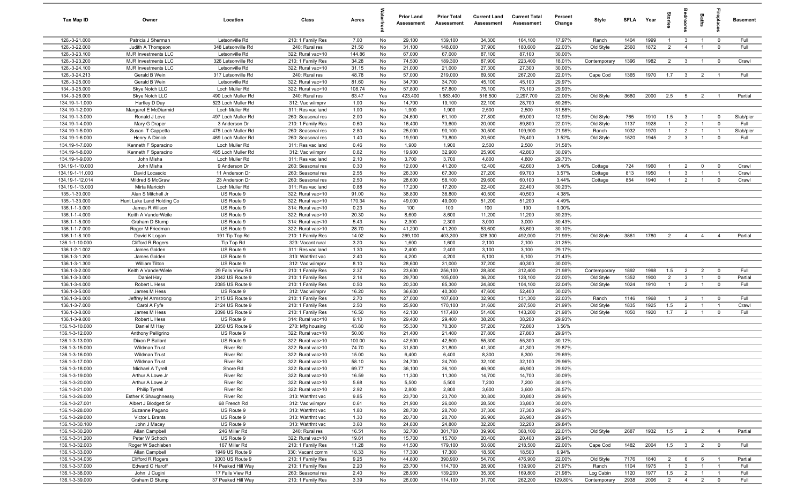| Tax Map ID                       | Owner                                | Location                              | Class                                  | Acres           |          | <b>Prior Land</b><br>Assessment | <b>Prior Total</b><br>Assessment | <b>Current Land</b><br>Assessment | <b>Current Total</b><br>Assessment | Percent<br>Change | Style              | <b>SFLA</b>  | Year         | Stories                          | droom                   | <b>Baths</b>        | epla                             | <b>Basement</b> |
|----------------------------------|--------------------------------------|---------------------------------------|----------------------------------------|-----------------|----------|---------------------------------|----------------------------------|-----------------------------------|------------------------------------|-------------------|--------------------|--------------|--------------|----------------------------------|-------------------------|---------------------|----------------------------------|-----------------|
| 126.-3-21.000                    | Patricia J Sherman                   | Letsonville Rd                        | 210: 1 Family Res                      | 7.00            | No       | 29,100                          | 139,100                          | 34,300                            | 164,100                            | 17.97%            | Ranch              | 1404         | 1999         | $\overline{1}$                   | $\mathbf{3}$            | $\overline{1}$      | $\overline{0}$                   | Full            |
| 126.-3-22.000                    | Judith A Thompson                    | 348 Letsonville Rd                    | 240: Rural res                         | 21.50           | No       | 31,100                          | 148,000                          | 37,900                            | 180,600                            | 22.03%            | Old Style          | 2560         | 1872         | $\overline{2}$                   | $\overline{4}$          | $\mathbf{1}$        | $\mathbf 0$                      | Full            |
| 126.-3-23.100                    | <b>MJR Investments LLC</b>           | Letsonville Rd                        | 322: Rural vac>10                      | 144.86          | No       | 67,000                          | 67,000                           | 87,100                            | 87,100                             | 30.00%            |                    |              |              |                                  |                         |                     |                                  |                 |
| 126.-3-23.200                    | <b>MJR Investments LLC</b>           | 326 Letsonville Rd                    | 210: 1 Family Res                      | 34.28           | No       | 74,500                          | 189,300                          | 87,900                            | 223,400                            | 18.01%            | Contemporary       | 1396         | 1982         | $\overline{2}$                   | $\mathbf{3}$            | $\overline{1}$      | $\mathbf 0$                      | Crawl           |
| 126.-3-24.100                    | MJR Investments LLC                  | Letsonville Rd                        | 322: Rural vac>10                      | 31.15           | No       | 21,000                          | 21,000                           | 27,300                            | 27,300                             | 30.00%            |                    |              |              |                                  |                         |                     |                                  |                 |
| 126.-3-24.213                    | Gerald B Wein                        | 317 Letsonville Rd                    | 240: Rural res                         | 48.78           | No       | 57,000                          | 219,000                          | 69,500                            | 267,200                            | 22.01%            | Cape Cod           | 1365         | 1970         | 1.7                              | $\overline{\mathbf{3}}$ | 2                   | $\overline{1}$                   | Full            |
| 126.-3-25.000<br>134.-3-25.000   | Gerald B Wein<br>Skye Notch LLC      | Letsonville Rd<br>Loch Muller Rd      | 322: Rural vac>10<br>322: Rural vac>10 | 81.60<br>108.74 | No<br>No | 34,700<br>57,800                | 34,700<br>57,800                 | 45,100<br>75,100                  | 45,100<br>75,100                   | 29.97%<br>29.93%  |                    |              |              |                                  |                         |                     |                                  |                 |
| 134.-3-26.000                    | Skye Notch LLC                       | 490 Loch Muller Rd                    | 240: Rural res                         | 63.47           | Yes      | 423,400                         | 1,883,400                        | 516,500                           | 2,297,700                          | 22.00%            | Old Style          | 3680         | 2000         | 2.5                              | 5                       | $\overline{2}$      | $\overline{1}$                   | Partial         |
| 134.19-1-1.000                   | Hartley D Day                        | 523 Loch Muller Rd                    | 312: Vac w/imprv                       | 1.00            | No       | 14,700                          | 19,100                           | 22,100                            | 28,700                             | 50.26%            |                    |              |              |                                  |                         |                     |                                  |                 |
| 134.19-1-2.000                   | Margaret E McDiarmid                 | Loch Muller Rd                        | 311: Res vac land                      | 1.00            | No       | 1,900                           | 1,900                            | 2,500                             | 2,500                              | 31.58%            |                    |              |              |                                  |                         |                     |                                  |                 |
| 134.19-1-3.000                   | Ronald J Love                        | 497 Loch Muller Rd                    | 260: Seasonal res                      | 2.00            | No       | 24,600                          | 61,100                           | 27,800                            | 69,000                             | 12.93%            | Old Style          | 765          | 1910         | 1.5                              | $\mathbf{3}$            | $\overline{1}$      | $\overline{0}$                   | Slab/pier       |
| 134.19-1-4.000                   | Mary G Draper                        | 3 Anderson Dr                         | 210: 1 Family Res                      | 0.60            | No       | 16,400                          | 73,600                           | 20,000                            | 89,800                             | 22.01%            | Old Style          | 1137         | 1928         | $\overline{1}$                   | $\overline{2}$          | $\overline{1}$      | $\mathbf 0$                      | Full            |
| 134.19-1-5.000                   | Susan T Cappetta                     | 475 Loch Muller Rd                    | 260: Seasonal res                      | 2.80            | No       | 25,000                          | 90,100                           | 30,500                            | 109,900                            | 21.98%            | Ranch              | 1032         | 1970         | $\overline{1}$                   | $\overline{2}$          | $\overline{1}$      | $\overline{1}$                   | Slab/pier       |
| 134.19-1-6.000                   | Henry A Dimick                       | 469 Loch Muller Rd                    | 260: Seasonal res                      | 1.40            | No       | 19,900                          | 73,800                           | 20,600                            | 76,400                             | 3.52%             | Old Style          | 1520         | 1945         | $\overline{2}$                   | $\mathbf{3}$            | $\mathbf{1}$        | $\mathbf 0$                      | Full            |
| 134.19-1-7.000                   | Kenneth F Sparacino                  | Loch Muller Rd                        | 311: Res vac land                      | 0.46            | No       | 1,900                           | 1,900                            | 2,500                             | 2,500                              | 31.58%            |                    |              |              |                                  |                         |                     |                                  |                 |
| 134.19-1-8.000                   | Kenneth F Sparacino                  | 485 Loch Muller Rd                    | 312: Vac w/imprv                       | 0.82            | No       | 19,900                          | 32,900                           | 25,900                            | 42,800                             | 30.09%            |                    |              |              |                                  |                         |                     |                                  |                 |
| 134.19-1-9.000                   | John Misha                           | Loch Muller Rd                        | 311: Res vac land                      | 2.10            | No       | 3,700                           | 3,700                            | 4,800                             | 4,800                              | 29.73%            |                    |              |              |                                  |                         |                     |                                  |                 |
| 134.19-1-10.000                  | John Misha                           | 9 Anderson Dr                         | 260: Seasonal res                      | 0.30            | No       | 12,000                          | 41,200                           | 12,400                            | 42,600                             | 3.40%             | Cottage            | 724          | 1960         | $\overline{1}$                   | $\overline{2}$          | $\mathbf 0$         | $\mathbf 0$                      | Crawl           |
| 134.19-1-11.000                  | David Locascio                       | 11 Anderson Dr                        | 260: Seasonal res                      | 2.55            | No       | 26,300                          | 67,300                           | 27,200                            | 69,700                             | 3.57%             | Cottage            | 813          | 1950         |                                  | 3                       |                     | $\overline{1}$                   | Crawl           |
| 134.19-1-12.014                  | Mildred S McGraw                     | 23 Anderson Dr                        | 260: Seasonal res                      | 2.50            | No       | 28,600                          | 58,100                           | 29,600                            | 60,100                             | 3.44%             | Cottage            | 854          | 1940         |                                  | $\overline{2}$          |                     | $\mathbf 0$                      | Crawl           |
| 134.19-1-13.000<br>135.-1-30.000 | Mirta Maricich<br>Alan S Mitchell Jr | Loch Muller Rd<br>US Route 9          | 311: Res vac land<br>322: Rural vac>10 | 0.88<br>91.00   | No<br>No | 17,200<br>38,800                | 17,200<br>38,800                 | 22,400<br>40,500                  | 22,400<br>40,500                   | 30.23%<br>4.38%   |                    |              |              |                                  |                         |                     |                                  |                 |
| 135.-1-33.000                    | Hunt Lake Land Holding Co            | US Route 9                            | 322: Rural vac>10                      | 170.34          | No       | 49,000                          | 49,000                           | 51,200                            | 51,200                             | 4.49%             |                    |              |              |                                  |                         |                     |                                  |                 |
| 136.1-1-3.000                    | James R Wilson                       | US Route 9                            | 314: Rural vac<10                      | 0.23            | No       | 100                             | 100                              | 100                               | 100                                | 0.00%             |                    |              |              |                                  |                         |                     |                                  |                 |
| 136.1-1-4.000                    | Keith A VanderWeile                  | US Route 9                            | 322: Rural vac>10                      | 20.30           | No       | 8,600                           | 8,600                            | 11,200                            | 11,200                             | 30.23%            |                    |              |              |                                  |                         |                     |                                  |                 |
| 136.1-1-5.000                    | Graham D Stump                       | US Route 9                            | 314: Rural vac<10                      | 5.43            | No       | 2,300                           | 2,300                            | 3,000                             | 3,000                              | 30.43%            |                    |              |              |                                  |                         |                     |                                  |                 |
| 136.1-1-7.000                    | Roger M Friedman                     | US Route 9                            | 322: Rural vac>10                      | 28.70           | No       | 41,200                          | 41,200                           | 53,600                            | 53,600                             | 30.10%            |                    |              |              |                                  |                         |                     |                                  |                 |
| 136.1-1-8.100                    | David K Logan                        | 191 Tip Top Rd                        | 210: 1 Family Res                      | 14.02           | No       | 269,100                         | 403,300                          | 328,300                           | 492,000                            | 21.99%            | Old Style          | 3861         | 1780         | $\overline{2}$                   | $\overline{4}$          | $\overline{4}$      | $\overline{4}$                   | Partial         |
| 136.1-1-10.000                   | Clifford R Rogers                    | Tip Top Rd                            | 323: Vacant rural                      | 3.20            | No       | 1,600                           | 1,600                            | 2,100                             | 2,100                              | 31.25%            |                    |              |              |                                  |                         |                     |                                  |                 |
| 136.1-2-1.002                    | James Golden                         | US Route 9                            | 311: Res vac land                      | 1.30            | No       | 2,400                           | 2,400                            | 3,100                             | 3,100                              | 29.17%            |                    |              |              |                                  |                         |                     |                                  |                 |
| 136.1-3-1.200                    | James Golden                         | US Route 9                            | 313: Watrfrnt vac                      | 2.40            | No       | 4,200                           | 4,200                            | 5,100                             | 5,100                              | 21.43%            |                    |              |              |                                  |                         |                     |                                  |                 |
| 136.1-3-1.300                    | William Tilton                       | US Route 9                            | 312: Vac w/imprv                       | 8.10            | No       | 28,600                          | 31,000                           | 37,200                            | 40,300                             | 30.00%            |                    |              |              |                                  |                         |                     |                                  |                 |
| 136.1-3-2.000                    | Keith A VanderWiele                  | 29 Falls View Rd                      | 210: 1 Family Res                      | 2.37            | No       | 23,600                          | 256,100                          | 28,800                            | 312,400                            | 21.98%            | Contemporary       | 1892         | 1998         | 1.5                              | $\overline{2}$          | $\overline{2}$      | $\mathbf 0$                      | Full            |
| 136.1-3-3.000                    | Daniel Hay                           | 2042 US Route 9                       | 210: 1 Family Res                      | 2.14            | No       | 29,700                          | 105,000                          | 36,200                            | 128,100                            | 22.00%            | Old Style          | 1352         | 1900         | 2                                | 3                       | $\overline{1}$      | $\mathbf 0$                      | Partial         |
| 136.1-3-4.000<br>136.1-3-5.000   | Robert L Hess<br>James M Hess        | 2085 US Route 9<br>US Route 9         | 210: 1 Family Res<br>312: Vac w/imprv  | 0.50<br>16.20   | No<br>No | 20,300<br>36,600                | 85,300<br>40,300                 | 24,800<br>47,600                  | 104,100<br>52,400                  | 22.04%<br>30.02%  | Old Style          | 1024         | 1910         | $\overline{1}$                   | $\overline{2}$          | $\overline{1}$      | $\mathbf 0$                      | Full            |
| 136.1-3-6.000                    | Jeffrey M Armstrong                  | 2115 US Route 9                       | 210: 1 Family Res                      | 2.70            | No       | 27,000                          | 107,600                          | 32,900                            | 131,300                            | 22.03%            | Ranch              | 1146         | 1968         | $\overline{1}$                   | $\overline{2}$          | $\overline{1}$      | $\overline{0}$                   | Full            |
| 136.1-3-7.000                    | Carol A Fyfe                         | 2124 US Route 9                       | 210: 1 Family Res                      | 2.50            | No       | 25,900                          | 170,100                          | 31,600                            | 207,500                            | 21.99%            | Old Style          | 1835         | 1925         | 1.5                              | $\overline{2}$          | $\overline{1}$      | $\overline{1}$                   | Crawl           |
| 136.1-3-8.000                    | James M Hess                         | 2098 US Route 9                       | 210: 1 Family Res                      | 16.50           | No       | 42,100                          | 117,400                          | 51,400                            | 143,200                            | 21.98%            | Old Style          | 1050         | 1920         | 1.7                              | 2                       | $\overline{1}$      | $^{\circ}$                       | Full            |
| 136.1-3-9.000                    | Robert L Hess                        | US Route 9                            | 314: Rural vac<10                      | 9.10            | No       | 29,400                          | 29,400                           | 38,200                            | 38,200                             | 29.93%            |                    |              |              |                                  |                         |                     |                                  |                 |
| 136.1-3-10.000                   | Daniel M Hay                         | 2050 US Route 9                       | 270: Mfg housing                       | 43.80           | No       | 55,300                          | 70,300                           | 57,200                            | 72,800                             | 3.56%             |                    |              |              |                                  |                         |                     |                                  |                 |
| 136.1-3-12.000                   | Anthony Pelligrino                   | US Route 9                            | 322: Rural vac>10                      | 50.00           | No       | 21,400                          | 21,400                           | 27,800                            | 27,800                             | 29.91%            |                    |              |              |                                  |                         |                     |                                  |                 |
| 136.1-3-13.000                   | Dixon P Ballard                      | US Route 9                            | 322: Rural vac>10                      | 100.00          | No       | 42,500                          | 42,500                           | 55,300                            | 55,300                             | 30.12%            |                    |              |              |                                  |                         |                     |                                  |                 |
| 136.1-3-15.000                   | Wildman Trust                        | River Rd                              | 322: Rural vac>10                      | 74.70           | No       | 31,800                          | 31,800                           | 41,300                            | 41,300                             | 29.87%            |                    |              |              |                                  |                         |                     |                                  |                 |
| 136.1-3-16.000                   | Wildman Trust                        | River Rd                              | 322: Rural vac>10                      | 15.00           | No       | 6,400                           | 6,400                            | 8,300                             | 8,300                              | 29.69%            |                    |              |              |                                  |                         |                     |                                  |                 |
| 136.1-3-17.000                   | Wildman Trust                        | River Rd                              | 322: Rural vac>10                      | 58.10           | No       | 24,700                          | 24,700                           | 32,100                            | 32,100                             | 29.96%            |                    |              |              |                                  |                         |                     |                                  |                 |
| 136.1-3-18.000<br>136.1-3-19.000 | Michael A Tyrell<br>Arthur A Lowe Jr | Shore Rd<br>River Rd                  | 322: Rural vac>10<br>322: Rural vac>10 | 69.77<br>16.59  | No<br>No | 36,100<br>11,300                | 36,100<br>11,300                 | 46,900<br>14,700                  | 46,900<br>14,700                   | 29.92%<br>30.09%  |                    |              |              |                                  |                         |                     |                                  |                 |
| 136.1-3-20.000                   | Arthur A Lowe Jr                     | River Rd                              | 322: Rural vac>10                      | 5.68            | No       | 5,500                           | 5,500                            | 7,200                             | 7,200                              | 30.91%            |                    |              |              |                                  |                         |                     |                                  |                 |
| 136.1-3-21.000                   | Philip Tyrrell                       | River Rd                              | 322: Rural vac>10                      | 2.92            | No       | 2,800                           | 2,800                            | 3,600                             | 3,600                              | 28.57%            |                    |              |              |                                  |                         |                     |                                  |                 |
| 136.1-3-26.000                   | Esther K Shaughnessy                 | River Rd                              | 313: Watrfrnt vac                      | 9.85            | No       | 23,700                          | 23,700                           | 30,800                            | 30,800                             | 29.96%            |                    |              |              |                                  |                         |                     |                                  |                 |
| 136.1-3-27.001                   | Albert J Blodgett Sr                 | 68 French Rd                          | 312: Vac w/imprv                       | 0.61            | No       | 21,900                          | 26,000                           | 28,500                            | 33,800                             | 30.00%            |                    |              |              |                                  |                         |                     |                                  |                 |
| 136.1-3-28.000                   | Suzanne Pagano                       | US Route 9                            | 313: Watrfrnt vac                      | 1.80            | No       | 28,700                          | 28,700                           | 37,300                            | 37,300                             | 29.97%            |                    |              |              |                                  |                         |                     |                                  |                 |
| 136.1-3-29.000                   | Victor L Brants                      | US Route 9                            | 313: Watrfrnt vac                      | 1.30            | No       | 20,700                          | 20,700                           | 26,900                            | 26,900                             | 29.95%            |                    |              |              |                                  |                         |                     |                                  |                 |
| 136.1-3-30.100                   | John J Macey                         | US Route 9                            | 313: Watrfrnt vac                      | 3.60            | No       | 24,800                          | 24,800                           | 32,200                            | 32,200                             | 29.84%            |                    |              |              |                                  |                         |                     |                                  |                 |
| 136.1-3-30.200                   | Allan Campbell                       | 246 Miller Rd                         | 240: Rural res                         | 16.51           | No       | 32,700                          | 301,700                          | 39,900                            | 368,100                            | 22.01%            | Old Style          | 2687         | 1932         | 1.5                              | $\overline{2}$          | $\overline{2}$      | $\overline{4}$                   | Partial         |
| 136.1-3-31.200                   | Peter W Schoch                       | US Route 9                            | 322: Rural vac>10                      | 19.61           | No       | 15,700                          | 15,700                           | 20,400                            | 20,400                             | 29.94%            |                    |              |              |                                  |                         |                     |                                  |                 |
| 136.1-3-32.003                   | Roger W Sachleben                    | 167 Miller Rd                         | 210: 1 Family Res                      | 11.28           | No       | 41,500                          | 179,100                          | 50,600                            | 218,500                            | 22.00%            | Cape Cod           | 1482         | 2004         | 1.5                              | $\overline{\mathbf{3}}$ | $\overline{2}$      | $\overline{\mathbf{0}}$          | Full            |
| 136.1-3-33.000                   | Allan Campbell                       | 1949 US Route 9                       | 330: Vacant comm                       | 18.33           | No       | 17,300                          | 17,300                           | 18,500                            | 18,500                             | 6.94%             |                    |              |              |                                  |                         |                     |                                  |                 |
| 136.1-3-34.036<br>136.1-3-37.000 | Clifford R Rogers<br>Edward C Haroff | 2003 US Route 9<br>14 Peaked Hill Way | 210: 1 Family Res<br>210: 1 Family Res | 9.25<br>2.20    | No<br>No | 44,800<br>23,700                | 390,900<br>114,700               | 54,700<br>28,900                  | 476,900<br>139,900                 | 22.00%<br>21.97%  | Old Style<br>Ranch | 7176<br>1104 | 1840<br>1975 | $\overline{2}$<br>$\overline{1}$ | 6<br>$\mathbf{3}$       | 6<br>$\overline{1}$ | $\overline{1}$<br>$\overline{1}$ | Partial<br>Full |
| 136.1-3-38.000                   | John J Cugini                        | 17 Falls View Rd                      | 260: Seasonal res                      | 2.40            | No       | 28,900                          | 139,200                          | 35,300                            | 169,800                            | 21.98%            | Log Cabin          | 1120         | 1977         | 1.5                              | $\overline{2}$          | $\overline{1}$      | $\overline{1}$                   | Full            |
| 136.1-3-39.000                   | Graham D Stump                       | 37 Peaked Hill Way                    | 210: 1 Family Res                      | 3.39            | No       | 26,000                          | 114,100                          | 31,700                            | 262,200                            | 129.80%           | Contemporary       | 2938         | 2006         | $\overline{2}$                   | $\overline{4}$          | $\overline{2}$      | $\mathbf 0$                      | Full            |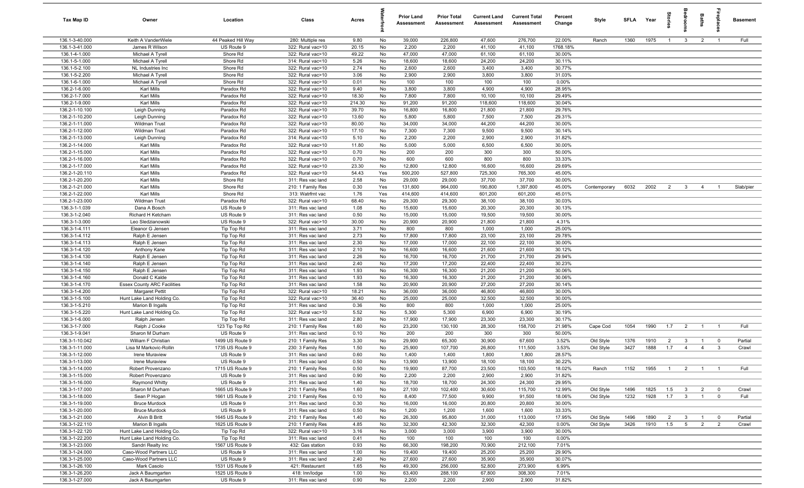| Tax Map ID                       | Owner                                  | Location                      | Class                                  | Acres         |          | <b>Prior Land</b><br>Assessment | <b>Prior Total</b><br>Assessment | <b>Current Land</b><br>Assessment | <b>Current Total</b><br><b>Assessment</b> | Percent<br>Change | Style                  | SFLA Year |              | tories                | groon                           | Baths          | repla                            | <b>Basement</b> |
|----------------------------------|----------------------------------------|-------------------------------|----------------------------------------|---------------|----------|---------------------------------|----------------------------------|-----------------------------------|-------------------------------------------|-------------------|------------------------|-----------|--------------|-----------------------|---------------------------------|----------------|----------------------------------|-----------------|
| 136.1-3-40.000                   | Keith A VanderWiele                    | 44 Peaked Hill Way            | 280: Multiple res                      | 9.80          | No       | 39,000                          | 226,800                          | 47,600                            | 276,700                                   | 22.00%            | Ranch                  | 1360      | 1975         | $\overline{1}$        | $\mathbf{3}$                    | $\overline{2}$ | $\overline{1}$                   | Full            |
| 136.1-3-41.000                   | James R Wilson                         | US Route 9                    | 322: Rural vac>10                      | 20.15         | No       | 2,200                           | 2,200                            | 41,100                            | 41,100                                    | 1768.18%          |                        |           |              |                       |                                 |                |                                  |                 |
| 136.1-4-1.000                    | Michael A Tyrell                       | Shore Rd                      | 322: Rural vac>10                      | 49.22         | No       | 47,000                          | 47,000                           | 61,100                            | 61,100                                    | 30.00%            |                        |           |              |                       |                                 |                |                                  |                 |
| 136.1-5-1.000                    | Michael A Tyrell                       | Shore Rd                      | 314: Rural vac<10                      | 5.26          | No       | 18,600                          | 18,600                           | 24,200                            | 24,200                                    | 30.11%            |                        |           |              |                       |                                 |                |                                  |                 |
| 136.1-5-2.100<br>136.1-5-2.200   | NL Industries Inc<br>Michael A Tyrell  | Shore Rd<br>Shore Rd          | 322: Rural vac>10<br>322: Rural vac>10 | 2.74<br>3.06  | No<br>No | 2,600<br>2,900                  | 2,600<br>2,900                   | 3,400<br>3,800                    | 3,400<br>3,800                            | 30.77%<br>31.03%  |                        |           |              |                       |                                 |                |                                  |                 |
| 136.1-6-1.000                    | Michael A Tyrell                       | Shore Rd                      | 322: Rural vac>10                      | 0.01          | No       | 100                             | 100                              | 100                               | 100                                       | 0.00%             |                        |           |              |                       |                                 |                |                                  |                 |
| 136.2-1-6.000                    | Karl Mills                             | Paradox Rd                    | 322: Rural vac>10                      | 9.40          | No       | 3,800                           | 3,800                            | 4,900                             | 4,900                                     | 28.95%            |                        |           |              |                       |                                 |                |                                  |                 |
| 136.2-1-7.000                    | Karl Mills                             | Paradox Rd                    | 322: Rural vac>10                      | 18.30         | No       | 7,800                           | 7,800                            | 10,100                            | 10,100                                    | 29.49%            |                        |           |              |                       |                                 |                |                                  |                 |
| 136.2-1-9.000                    | Karl Mills                             | Paradox Rd                    | 322: Rural vac>10                      | 214.30        | No       | 91,200                          | 91,200                           | 118,600                           | 118,600                                   | 30.04%            |                        |           |              |                       |                                 |                |                                  |                 |
| 136.2-1-10.100                   | Leigh Dunning                          | Paradox Rd                    | 322: Rural vac>10                      | 39.70         | No       | 16,800                          | 16,800                           | 21,800                            | 21,800                                    | 29.76%            |                        |           |              |                       |                                 |                |                                  |                 |
| 136.2-1-10.200                   | Leigh Dunning                          | Paradox Rd                    | 322: Rural vac>10                      | 13.60         | No       | 5,800                           | 5,800                            | 7,500                             | 7,500                                     | 29.31%            |                        |           |              |                       |                                 |                |                                  |                 |
| 136.2-1-11.000                   | <b>Wildman Trust</b>                   | Paradox Rd                    | 322: Rural vac>10                      | 80.00         | No       | 34,000                          | 34,000                           | 44,200                            | 44,200                                    | 30.00%            |                        |           |              |                       |                                 |                |                                  |                 |
| 136.2-1-12.000                   | Wildman Trust                          | Paradox Rd                    | 322: Rural vac>10                      | 17.10         | No       | 7,300                           | 7,300                            | 9,500                             | 9,500                                     | 30.14%            |                        |           |              |                       |                                 |                |                                  |                 |
| 136.2-1-13.000                   | Leigh Dunning                          | Paradox Rd                    | 314: Rural vac<10                      | 5.10          | No       | 2,200                           | 2,200                            | 2,900                             | 2,900                                     | 31.82%            |                        |           |              |                       |                                 |                |                                  |                 |
| 136.2-1-14.000                   | Karl Mills                             | Paradox Rd                    | 322: Rural vac>10                      | 11.80         | No       | 5,000                           | 5,000                            | 6,500                             | 6,500                                     | 30.00%            |                        |           |              |                       |                                 |                |                                  |                 |
| 136.2-1-15.000                   | <b>Karl Mills</b>                      | Paradox Rd                    | 322: Rural vac>10                      | 0.70          | No       | 200                             | 200<br>600                       | 300<br>800                        | 300                                       | 50.00%            |                        |           |              |                       |                                 |                |                                  |                 |
| 136.2-1-16.000<br>136.2-1-17.000 | <b>Karl Mills</b><br><b>Karl Mills</b> | Paradox Rd<br>Paradox Rd      | 322: Rural vac>10<br>322: Rural vac>10 | 0.70<br>23.30 | No<br>No | 600<br>12,800                   | 12,800                           | 16,600                            | 800<br>16,600                             | 33.33%<br>29.69%  |                        |           |              |                       |                                 |                |                                  |                 |
| 136.2-1-20.110                   | <b>Karl Mills</b>                      | Paradox Rd                    | 322: Rural vac>10                      | 54.43         | Yes      | 500,200                         | 527,800                          | 725,300                           | 765,300                                   | 45.00%            |                        |           |              |                       |                                 |                |                                  |                 |
| 136.2-1-20.200                   | Karl Mills                             | Shore Rd                      | 311: Res vac land                      | 2.58          | No       | 29,000                          | 29,000                           | 37,700                            | 37,700                                    | 30.00%            |                        |           |              |                       |                                 |                |                                  |                 |
| 136.2-1-21.000                   | Karl Mills                             | Shore Rd                      | 210: 1 Family Res                      | 0.30          | Yes      | 131,600                         | 964,000                          | 190,800                           | 1,397,800                                 | 45.00%            | Contemporary           | 6032      | 2002         | 2                     | $\mathbf{3}$                    | $\overline{4}$ | $\overline{1}$                   | Slab/pier       |
| 136.2-1-22.000                   | Karl Mills                             | Shore Rd                      | 313: Watrfrnt vac                      | 1.76          | Yes      | 414,600                         | 414,600                          | 601,200                           | 601,200                                   | 45.01%            |                        |           |              |                       |                                 |                |                                  |                 |
| 136.2-1-23.000                   | <b>Wildman Trust</b>                   | Paradox Rd                    | 322: Rural vac>10                      | 68.40         | No       | 29,300                          | 29,300                           | 38,100                            | 38,100                                    | 30.03%            |                        |           |              |                       |                                 |                |                                  |                 |
| 136.3-1-1.039                    | Dana A Bosch                           | US Route 9                    | 311: Res vac land                      | 1.08          | No       | 15,600                          | 15,600                           | 20,300                            | 20,300                                    | 30.13%            |                        |           |              |                       |                                 |                |                                  |                 |
| 136.3-1-2.040                    | Richard H Ketcham                      | US Route 9                    | 311: Res vac land                      | 0.50          | No       | 15,000                          | 15,000                           | 19,500                            | 19,500                                    | 30.00%            |                        |           |              |                       |                                 |                |                                  |                 |
| 136.3-1-3.000                    | Leo Sledzianowski                      | US Route 9                    | 322: Rural vac>10                      | 30.00         | No       | 20,900                          | 20,900                           | 21,800                            | 21,800                                    | 4.31%             |                        |           |              |                       |                                 |                |                                  |                 |
| 136.3-1-4.111                    | Eleanor G Jensen                       | Tip Top Rd                    | 311: Res vac land                      | 3.71          | No       | 800                             | 800                              | 1,000                             | 1,000                                     | 25.00%            |                        |           |              |                       |                                 |                |                                  |                 |
| 136.3-1-4.112                    | Ralph E Jensen                         | Tip Top Rd                    | 311: Res vac land                      | 2.73          | No       | 17,800                          | 17,800                           | 23,100                            | 23,100                                    | 29.78%            |                        |           |              |                       |                                 |                |                                  |                 |
| 136.3-1-4.113                    | Ralph E Jensen                         | Tip Top Rd                    | 311: Res vac land                      | 2.30          | No       | 17,000                          | 17,000                           | 22,100                            | 22,100                                    | 30.00%            |                        |           |              |                       |                                 |                |                                  |                 |
| 136.3-1-4.120<br>136.3-1-4.130   | Anthony Kane<br>Ralph E Jensen         | Tip Top Rd<br>Tip Top Rd      | 311: Res vac land<br>311: Res vac land | 2.10<br>2.26  | No<br>No | 16,600<br>16,700                | 16,600<br>16,700                 | 21,600<br>21,700                  | 21,600<br>21,700                          | 30.12%<br>29.94%  |                        |           |              |                       |                                 |                |                                  |                 |
| 136.3-1-4.140                    | Ralph E Jensen                         | Tip Top Rd                    | 311: Res vac land                      | 2.40          | No       | 17,200                          | 17,200                           | 22,400                            | 22,400                                    | 30.23%            |                        |           |              |                       |                                 |                |                                  |                 |
| 136.3-1-4.150                    | Ralph E Jensen                         | Tip Top Rd                    | 311: Res vac land                      | 1.93          | No       | 16,300                          | 16,300                           | 21,200                            | 21,200                                    | 30.06%            |                        |           |              |                       |                                 |                |                                  |                 |
| 136.3-1-4.160                    | Donald C Kalde                         | Tip Top Rd                    | 311: Res vac land                      | 1.93          | No       | 16,300                          | 16,300                           | 21,200                            | 21,200                                    | 30.06%            |                        |           |              |                       |                                 |                |                                  |                 |
| 136.3-1-4.170                    | <b>Essex County ARC Facilities</b>     | Tip Top Rd                    | 311: Res vac land                      | 1.58          | No       | 20,900                          | 20,900                           | 27,200                            | 27,200                                    | 30.14%            |                        |           |              |                       |                                 |                |                                  |                 |
| 136.3-1-4.200                    | <b>Margaret Pettit</b>                 | Tip Top Rd                    | 322: Rural vac>10                      | 18.21         | No       | 36,000                          | 36,000                           | 46,800                            | 46,800                                    | 30.00%            |                        |           |              |                       |                                 |                |                                  |                 |
| 136.3-1-5.100                    | Hunt Lake Land Holding Co.             | Tip Top Rd                    | 322: Rural vac>10                      | 36.40         | No       | 25,000                          | 25,000                           | 32,500                            | 32,500                                    | 30.00%            |                        |           |              |                       |                                 |                |                                  |                 |
| 136.3-1-5.210                    | Marion B Ingalls                       | Tip Top Rd                    | 311: Res vac land                      | 0.36          | No       | 800                             | 800                              | 1,000                             | 1,000                                     | 25.00%            |                        |           |              |                       |                                 |                |                                  |                 |
| 136.3-1-5.220                    | Hunt Lake Land Holding Co.             | Tip Top Rd                    | 322: Rural vac>10                      | 5.52          | No       | 5,300                           | 5,300                            | 6,900                             | 6,900                                     | 30.19%            |                        |           |              |                       |                                 |                |                                  |                 |
| 136.3-1-6.000                    | Ralph Jensen                           | Tip Top Rd                    | 311: Res vac land                      | 2.80          | No       | 17,900                          | 17,900                           | 23,300                            | 23,300                                    | 30.17%            |                        |           |              |                       |                                 |                |                                  |                 |
| 136.3-1-7.000                    | Ralph J Cooke                          | 123 Tip Top Rd                | 210: 1 Family Res                      | 1.60          | No       | 23,200                          | 130,100<br>200                   | 28,300<br>300                     | 158,700                                   | 21.98%            | Cape Cod               | 1054      | 1990         | 1.7                   | $\overline{2}$                  | $\overline{1}$ | $\overline{1}$                   | Full            |
| 136.3-1-9.041<br>136.3-1-10.042  | Sharon M Durham<br>William F Christian | US Route 9<br>1499 US Route 9 | 311: Res vac land<br>210: 1 Family Res | 0.10<br>3.30  | No<br>No | 200<br>29,900                   | 65,300                           | 30,900                            | 300<br>67,600                             | 50.00%<br>3.52%   | Old Style              | 1376      | 1910         | $\overline{2}$        | $\mathbf{3}$                    | $\overline{1}$ | $^{\circ}$                       | Partial         |
| 136.3-1-11.000                   | Lisa M Markovic-Rollin                 | 1735 US Route 9               | 230: 3 Family Res                      | 1.50          | No       | 25,900                          | 107,700                          | 26,800                            | 111,500                                   | 3.53%             | Old Style              | 3427      | 1888         | 1.7                   | $\overline{4}$                  | $\overline{4}$ | 3                                | Crawl           |
| 136.3-1-12.000                   | Irene Muraview                         | US Route 9                    | 311: Res vac land                      | 0.60          | No       | 1,400                           | 1,400                            | 1,800                             | 1,800                                     | 28.57%            |                        |           |              |                       |                                 |                |                                  |                 |
| 136.3-1-13.000                   | Irene Muraview                         | US Route 9                    | 311: Res vac land                      | 0.50          | No       | 13,900                          | 13,900                           | 18,100                            | 18,100                                    | 30.22%            |                        |           |              |                       |                                 |                |                                  |                 |
| 136.3-1-14.000                   | Robert Provenzano                      | 1715 US Route 9               | 210: 1 Family Res                      | 0.50          | No       | 19,900                          | 87,700                           | 23,500                            | 103,500                                   | 18.02%            | Ranch                  | 1152      | 1955         | $\overline{1}$        | $\overline{2}$                  | $\overline{1}$ | $\overline{1}$                   | Full            |
| 136.3-1-15.000                   | Robert Provenzano                      | US Route 9                    | 311: Res vac land                      | 0.90          | No       | 2,200                           | 2,200                            | 2,900                             | 2,900                                     | 31.82%            |                        |           |              |                       |                                 |                |                                  |                 |
| 136.3-1-16.000                   | Raymond Whitty                         | US Route 9                    | 311: Res vac land                      | 1.40          | No       | 18,700                          | 18,700                           | 24,300                            | 24,300                                    | 29.95%            |                        |           |              |                       |                                 |                |                                  |                 |
| 136.3-1-17.000                   | Sharon M Durham                        | 1665 US Route 9               | 210: 1 Family Res                      | 1.60          | No       | 27,100                          | 102,400                          | 30,600                            | 115,700                                   | 12.99%            | Old Style              | 1496      | 1825         | 1.5                   | $\overline{\mathbf{3}}$         | $\overline{2}$ | $\mathbf 0$                      | Crawl           |
| 136.3-1-18.000                   | Sean P Hogan                           | 1661 US Route 9               | 210: 1 Family Res                      | 0.10          | No       | 8,400                           | 77,500                           | 9,900                             | 91,500                                    | 18.06%            | Old Style              | 1232      | 1928         | 1.7                   | $\overline{\mathbf{3}}$         | $\overline{1}$ | $\mathbf 0$                      | Full            |
| 136.3-1-19.000                   | <b>Bruce Murdock</b>                   | US Route 9                    | 311: Res vac land                      | 0.30          | No       | 16,000                          | 16,000                           | 20,800                            | 20,800                                    | 30.00%            |                        |           |              |                       |                                 |                |                                  |                 |
| 136.3-1-20.000                   | <b>Bruce Murdock</b>                   | US Route 9<br>1645 US Route 9 | 311: Res vac land                      | 0.50          | No       | 1,200                           | 1,200<br>95,800                  | 1,600                             | 1,600<br>113,000                          | 33.33%            |                        | 1496      |              |                       |                                 |                |                                  | Partial         |
| 136.3-1-21.000<br>136.3-1-22.110 | Alvin B Britt<br>Marion B Ingalls      | 1625 US Route 9               | 210: 1 Family Res<br>210: 1 Family Res | 1.40<br>4.85  | No<br>No | 26,300<br>32,300                | 42,300                           | 31,000<br>32,300                  | 42,300                                    | 17.95%<br>0.00%   | Old Style<br>Old Style | 3426      | 1890<br>1910 | $\overline{2}$<br>1.5 | $\mathbf{3}$<br>$5\overline{)}$ | $\overline{2}$ | $\overline{0}$<br>$\overline{2}$ | Crawl           |
| 136.3-1-22.120                   | Hunt Lake Land Holding Co.             | Tip Top Rd                    | 322: Rural vac>10                      | 3.16          | No       | 3,000                           | 3,000                            | 3,900                             | 3,900                                     | 30.00%            |                        |           |              |                       |                                 |                |                                  |                 |
| 136.3-1-22.200                   | Hunt Lake Land Holding Co.             | Tip Top Rd                    | 311: Res vac land                      | 0.41          | No       | 100                             | 100                              | 100                               | 100                                       | 0.00%             |                        |           |              |                       |                                 |                |                                  |                 |
| 136.3-1-23.000                   | Sandri Realty Inc                      | 1567 US Route 9               | 432: Gas station                       | 0.93          | No       | 66,300                          | 198,200                          | 70,900                            | 212,100                                   | 7.01%             |                        |           |              |                       |                                 |                |                                  |                 |
| 136.3-1-24.000                   | Caso-Wood Partners LLC                 | US Route 9                    | 311: Res vac land                      | 1.00          | No       | 19,400                          | 19,400                           | 25,200                            | 25,200                                    | 29.90%            |                        |           |              |                       |                                 |                |                                  |                 |
| 136.3-1-25.000                   | Caso-Wood Partners LLC                 | US Route 9                    | 311: Res vac land                      | 2.40          | No       | 27,600                          | 27,600                           | 35,900                            | 35,900                                    | 30.07%            |                        |           |              |                       |                                 |                |                                  |                 |
| 136.3-1-26.100                   | Mark Casolo                            | 1531 US Route 9               | 421: Restaurant                        | 1.65          | No       | 49,300                          | 256,000                          | 52,800                            | 273,900                                   | 6.99%             |                        |           |              |                       |                                 |                |                                  |                 |
| 136.3-1-26.200                   | Jack A Baumgarten                      | 1525 US Route 9               | 418: Inn/lodge                         | 1.00          | No       | 63,400                          | 288,100                          | 67,800                            | 308,300                                   | 7.01%             |                        |           |              |                       |                                 |                |                                  |                 |
| 136.3-1-27.000                   | Jack A Baumgarten                      | US Route 9                    | 311: Res vac land                      | 0.90          | No       | 2,200                           | 2,200                            | 2,900                             | 2,900                                     | 31.82%            |                        |           |              |                       |                                 |                |                                  |                 |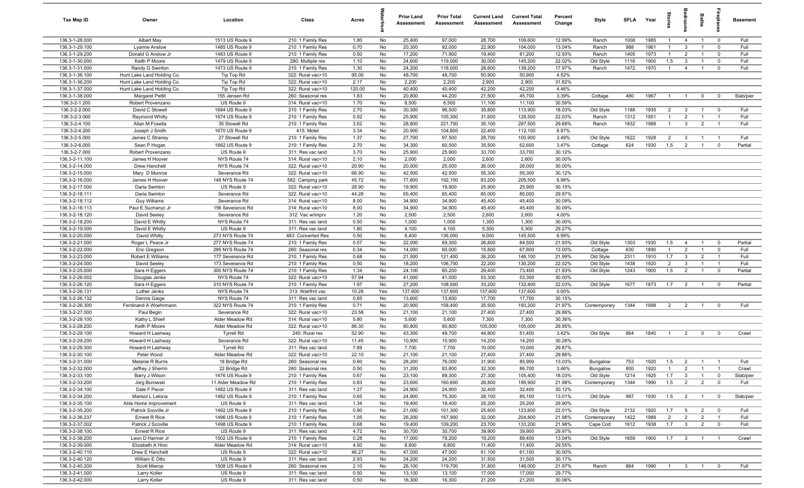| <b>Tax Map ID</b>                | Owner                                     | Location                           | Class                                  | Acres         |          | <b>Prior Land</b><br>Assessment | <b>Prior Total</b><br>Assessment | <b>Current Land</b><br>Assessment | <b>Current Total</b><br><b>Assessment</b> | Percent<br>Change | Style                     | <b>SFLA</b>  | Year         | igrie                 |                                | Baths                            | repla                    | <b>Basement</b> |
|----------------------------------|-------------------------------------------|------------------------------------|----------------------------------------|---------------|----------|---------------------------------|----------------------------------|-----------------------------------|-------------------------------------------|-------------------|---------------------------|--------------|--------------|-----------------------|--------------------------------|----------------------------------|--------------------------|-----------------|
| 136.3-1-28.000                   | Albert May                                | 1513 US Route 9                    | 210: 1 Family Res                      | 1.80          | No       | 25,400                          | 97,000                           | 28,700                            | 109,600                                   | 12.99%            | Ranch                     | 1008         | 1985         | $\mathbf{1}$          | $\overline{4}$                 | $\overline{1}$                   | $\mathbf 0$              | Full            |
| 136.3-1-29.100                   | Lyanne Anslow                             | 1485 US Route 9                    | 210: 1 Family Res                      | 0.70          | No       | 20,300                          | 92,000                           | 22,900                            | 104,000                                   | 13.04%            | Ranch                     | 988          | 1961         | $\overline{1}$        | $\mathbf{3}$                   |                                  | $\mathbf{0}$             | Full            |
| 136.3-1-29.200<br>136.3-1-30.000 | Donald G Anslow Jr<br>Keith P Moore       | 1483 US Route 9<br>1479 US Route 9 | 210: 1 Family Res                      | 0.50<br>1.10  | No<br>No | 17,200<br>24,600                | 71,900<br>119,000                | 19,400<br>30,000                  | 81,200<br>145,200                         | 12.93%<br>22.02%  | Ranch                     | 1405<br>1116 | 1973<br>1900 | $\mathbf{1}$<br>1.5   | $\overline{2}$<br>$\mathbf{3}$ | $\mathbf{1}$                     | $^{\circ}$<br>$^{\circ}$ | Full<br>Full    |
| 136.3-1-31.000                   | Randy G Swinton                           | 1473 US Route 9                    | 280: Multiple res<br>210: 1 Family Res | 1.30          | No       | 24,200                          | 118,000                          | 28,600                            | 139,200                                   | 17.97%            | Old Style<br>Ranch        | 1472         | 1970         | $\overline{1}$        | $\overline{4}$                 | $\overline{1}$                   | $^{\circ}$               | Full            |
| 136.3-1-36.100                   | Hunt Lake Land Holding Co.                | Tip Top Rd                         | 322: Rural vac>10                      | 95.00         | No       | 48,700                          | 48,700                           | 50,900                            | 50,900                                    | 4.52%             |                           |              |              |                       |                                |                                  |                          |                 |
| 136.3-1-36.200                   | Hunt Lake Land Holding Co.                | Tip Top Rd                         | 322: Rural vac>10                      | 2.17          | No       | 2,200                           | 2,200                            | 2,900                             | 2,900                                     | 31.82%            |                           |              |              |                       |                                |                                  |                          |                 |
| 136.3-1-37.000                   | Hunt Lake Land Holding Co.                | Tip Top Rd                         | 322: Rural vac>10                      | 120.00        | No       | 40,400                          | 40,400                           | 42,200                            | 42,200                                    | 4.46%             |                           |              |              |                       |                                |                                  |                          |                 |
| 136.3-1-38.000                   | <b>Margaret Pettit</b>                    | 155 Jensen Rd                      | 260: Seasonal res                      | 1.83          | No       | 20,800                          | 44,200                           | 21,500                            | 45,700                                    | 3.39%             | Cottage                   | 480          | 1967         | $\overline{1}$        | $\overline{1}$                 | $\mathbf 0$                      | $\mathbf{0}$             | Slab/pier       |
| 136.3-2-1.200                    | Robert Provenzano                         | US Route 9                         | 314: Rural vac<10                      | 1.70          | No       | 8,500                           | 8,500                            | 11,100                            | 11,100                                    | 30.59%            |                           |              |              |                       |                                |                                  |                          |                 |
| 136.3-2-2.000                    | David C Stowell                           | 1684 US Route 9                    | 210: 1 Family Res                      | 2.70          | No       | 30,300                          | 96,500                           | 35,800                            | 113,900                                   | 18.03%            | Old Style                 | 1188         | 1935         | $\overline{2}$        | $\mathbf{3}$                   | $\overline{1}$                   | $^{\circ}$               | Full            |
| 136.3-2-3.000                    | Raymond Whitty                            | 1674 US Route 9                    | 210: 1 Family Res                      | 0.92          | No       | 25,900                          | 105,300                          | 31,600                            | 128,500                                   | 22.03%            | Ranch                     | 1312         | 1951         | $\overline{1}$        | 2                              | $\overline{1}$                   | $\overline{1}$           | Full            |
| 136.3-2-4.100<br>136.3-2-4.200   | Allan M Fosella                           | 35 Stowell Rd<br>1670 US Route 9   | 210: 1 Family Res<br>415: Motel        | 3.02<br>3.34  | No<br>No | 28,800<br>20,900                | 221,700<br>104,800               | 35,100<br>22,400                  | 287,500<br>112,100                        | 29.68%<br>6.97%   | Ranch                     | 1832         | 1988         | $\overline{1}$        | $\mathbf{3}$                   | $\overline{2}$                   | $\overline{1}$           | Full            |
| 136.3-2-5.000                    | Joseph J Smith<br>James C Straney         | 27 Stowell Rd                      | 210: 1 Family Res                      | 1.37          | No       | 27,700                          | 97,500                           | 28,700                            | 100,900                                   | 3.49%             | Old Style                 | 1622         | 1928         | $\overline{2}$        | $\mathbf{3}$                   |                                  | - 1                      | Full            |
| 136.3-2-6.000                    | Sean P Hogan                              | 1662 US Route 9                    | 210: 1 Family Res                      | 2.70          | No       | 34,300                          | 60,500                           | 35,500                            | 62,600                                    | 3.47%             | Cottage                   | 624          | 1930         | 1.5                   | $\overline{2}$                 |                                  | $^{\circ}$               | Partial         |
| 136.3-2-7.000                    | Robert Provenzano                         | US Route 9                         | 311: Res vac land                      | 3.70          | No       | 25,900                          | 25,900                           | 33,700                            | 33,700                                    | 30.12%            |                           |              |              |                       |                                |                                  |                          |                 |
| 136.3-2-11.100                   | James H Hoover                            | NYS Route 74                       | 314: Rural vac<10                      | 2.10          | No       | 2,000                           | 2,000                            | 2,600                             | 2,600                                     | 30.00%            |                           |              |              |                       |                                |                                  |                          |                 |
| 136.3-2-14.000                   | Drew Hanchett                             | NYS Route 74                       | 322: Rural vac>10                      | 20.90         | No       | 20,000                          | 20,000                           | 26,000                            | 26,000                                    | 30.00%            |                           |              |              |                       |                                |                                  |                          |                 |
| 136.3-2-15.000                   | Mary D Munroe                             | Severance Rd                       | 322: Rural vac>10                      | 66.90         | No       | 42,500                          | 42,500                           | 55,300                            | 55,300                                    | 30.12%            |                           |              |              |                       |                                |                                  |                          |                 |
| 136.3-2-16.000                   | James H Hoover                            | 148 NYS Route 74                   | 582: Camping park                      | 45.72         | No       | 77,800                          | 192,100                          | 83,200                            | 205,500                                   | 6.98%             |                           |              |              |                       |                                |                                  |                          |                 |
| 136.3-2-17.000                   | Daria Swinton                             | US Route 9                         | 322: Rural vac>10                      | 28.90         | No       | 19,900                          | 19,900                           | 25,900                            | 25,900                                    | 30.15%            |                           |              |              |                       |                                |                                  |                          |                 |
| 136.3-2-18.111                   | Daria Swinton                             | Severance Rd                       | 322: Rural vac>10                      | 44.28         | No       | 65,400                          | 65,400                           | 85,000                            | 85,000                                    | 29.97%            |                           |              |              |                       |                                |                                  |                          |                 |
| 136.3-2-18.112<br>136.3-2-18.113 | <b>Guy Williams</b><br>Paul E Suchanyc Jr | Severance Rd<br>156 Severance Rd   | 314: Rural vac<10<br>314: Rural vac<10 | 8.00<br>8.00  | No<br>No | 34,900<br>34,900                | 34,900<br>34,900                 | 45,400<br>45,400                  | 45,400<br>45,400                          | 30.09%<br>30.09%  |                           |              |              |                       |                                |                                  |                          |                 |
| 136.3-2-18.120                   | David Seeley                              | Severance Rd                       | 312: Vac w/imprv                       | 1.20          | No       | 2,500                           | 2,500                            | 2,600                             | 2,600                                     | 4.00%             |                           |              |              |                       |                                |                                  |                          |                 |
| 136.3-2-18.200                   | David E Whitty                            | NYS Route 74                       | 311: Res vac land                      | 0.50          | No       | 1,000                           | 1,000                            | 1,300                             | 1,300                                     | 30.00%            |                           |              |              |                       |                                |                                  |                          |                 |
| 136.3-2-19.000                   | David E Whitty                            | US Route 9                         | 311: Res vac land                      | 1.80          | No       | 4,100                           | 4,100                            | 5,300                             | 5,300                                     | 29.27%            |                           |              |              |                       |                                |                                  |                          |                 |
| 136.3-2-20.000                   | David Whitty                              | 273 NYS Route 74                   | 483: Converted Res                     | 0.50          | No       | 8,400                           | 136,000                          | 9,000                             | 145,500                                   | 6.99%             |                           |              |              |                       |                                |                                  |                          |                 |
| 136.3-2-21.000                   | Roger L Peace Jr                          | 277 NYS Route 74                   | 210: 1 Family Res                      | 0.57          | No       | 22,000                          | 69,300                           | 26,800                            | 84,500                                    | 21.93%            | Old Style                 | 1303         | 1930         | 1.5                   | $\overline{4}$                 | $\overline{1}$                   | $^{\circ}$               | Partial         |
| 136.3-2-22.000                   | Eric Gregson                              | 295 NYS Route 74                   | 260: Seasonal res                      | 0.34          | No       | 14,000                          | 60,000                           | 15,800                            | 67,800                                    | 13.00%            | Cottage                   | 630          | 1890         | $\overline{1}$        | $\overline{2}$                 | $\overline{1}$                   | $\mathbf 0$              | Full            |
| 136.3-2-23.000                   | Robert E Williams                         | 177 Severance Rd                   | 210: 1 Family Res                      | 0.68          | No       | 21,500                          | 121,400                          | 26,200                            | 148,100                                   | 21.99%            | Old Style                 | 2311         | 1910         | 1.7                   | $\mathbf{3}$                   | $\overline{2}$                   | $\overline{1}$           | Full            |
| 136.3-2-24.000                   | David Seeley                              | 173 Severance Rd                   | 210: 1 Family Res                      | 0.50          | No       | 18,200                          | 106,700                          | 22,200                            | 130,200                                   | 22.02%            | Old Style                 | 1438         | 1920         | $\overline{2}$        | $\mathbf{3}$                   | $\overline{1}$                   | $\overline{1}$           | Full            |
| 136.3-2-25.000<br>136.3-2-26.002 | Sara H Eggers                             | 300 NYS Route 74<br>NYS Route 74   | 210: 1 Family Res<br>322: Rural vac>10 | 1.34<br>57.94 | No<br>No | 24,100<br>41,000                | 60,200<br>41,000                 | 29,400<br>53,300                  | 73,400<br>53,300                          | 21.93%<br>30.00%  | Old Style                 | 1243         | 1900         | 1.5                   | $\overline{2}$                 | $\overline{1}$                   | $\mathbf{0}$             | Partial         |
| 136.3-2-26.120                   | Douglas Jenks<br>Sara H Eggers            | 310 NYS Route 74                   | 210: 1 Family Res                      | 1.97          | No       | 27,200                          | 108,500                          | 33,200                            | 132,400                                   | 22.03%            | Old Style                 | 1677         | 1873         | 1.7                   | $\overline{2}$                 | $\overline{1}$                   | $\mathbf{0}$             | Partial         |
| 136.3-2-26.131                   | Luther Jenks                              | NYS Route 74                       | 313: Watrfrnt vac                      | 10.28         | Yes      | 137,600                         | 137,600                          | 137,600                           | 137,600                                   | 0.00%             |                           |              |              |                       |                                |                                  |                          |                 |
| 136.3-2-26.132                   | Dennis Gaige                              | NYS Route 74                       | 311: Res vac land                      | 0.85          | No       | 13,600                          | 13,600                           | 17,700                            | 17,700                                    | 30.15%            |                           |              |              |                       |                                |                                  |                          |                 |
| 136.3-2-26.300                   | Ferdinand A Woehrmann                     | 322 NYS Route 74                   | 210: 1 Family Res                      | 0.71          | No       | 20,900                          | 158,400                          | 25,500                            | 193,200                                   | 21.97%            | Contemporary              | 1344         | 1998         | $\overline{2}$        | $\overline{2}$                 | $\overline{1}$                   | $^{\circ}$               | Full            |
| 136.3-2-27.000                   | Paul Begin                                | Severance Rd                       | 322: Rural vac>10                      | 23.58         | No       | 21,100                          | 21,100                           | 27,400                            | 27,400                                    | 29.86%            |                           |              |              |                       |                                |                                  |                          |                 |
| 136.3-2-28.100                   | Kathy L Shiell                            | Alder Meadow Rd                    | 314: Rural vac<10                      | 5.80          | No       | 5,600                           | 5,600                            | 7,300                             | 7,300                                     | 30.36%            |                           |              |              |                       |                                |                                  |                          |                 |
| 136.3-2-28.200                   | Keith P Moore                             | Alder Meadow Rd                    | 322: Rural vac>10                      | 86.30         | No       | 80,800                          | 80,800                           | 105,000                           | 105,000                                   | 29.95%            |                           |              |              |                       |                                |                                  |                          |                 |
| 136.3-2-29.100                   | Howard H Lashway                          | <b>Tyrrell Rd</b>                  | 240: Rural res                         | 52.90         | No       | 43,300                          | 49,700                           | 44,800                            | 51,400                                    | 3.42%             | Old Style                 | 864          | 1840         | $\overline{1}$        | $\overline{2}$                 | $\mathbf 0$                      | $^{\circ}$               | Crawl           |
| 136.3-2-29.200<br>136.3-2-29.300 | Howard H Lashway<br>Howard H Lashway      | Severance Rd<br><b>Tyrrell Rd</b>  | 322: Rural vac>10<br>311: Res vac land | 11.45<br>7.89 | No<br>No | 10,900<br>7,700                 | 10,900<br>7,700                  | 14,200<br>10,000                  | 14,200<br>10,000                          | 30.28%<br>29.87%  |                           |              |              |                       |                                |                                  |                          |                 |
| 136.3-2-30.100                   | Peter Wood                                | Alder Meadow Rd                    | 322: Rural vac>10                      | 22.10         | No       | 21,100                          | 21,100                           | 27,400                            | 27,400                                    | 29.86%            |                           |              |              |                       |                                |                                  |                          |                 |
| 136.3-2-31.000                   | Melanie R Burns                           | 18 Bridge Rd                       | 260: Seasonal res                      | 0.60          | No.      | 28,200                          | 76,000                           | 31,900                            | 85,900                                    | 13.03%            | Bungalow                  | 753          | 1920         | 1.5                   | 2                              | $\mathbf{1}$                     |                          | Full            |
| 136.3-2-32.000                   | Jeffrey J Sherrin                         | 22 Bridge Rd                       | 260: Seasonal res                      | 0.50          | No       | 31,200                          | 83,800                           | 32,300                            | 86,700                                    | 3.46%             | Bungalow                  | 800          | 1920         | $\overline{1}$        | $\overline{2}$                 | $\overline{1}$                   | $\overline{1}$           | Crawl           |
| 136.3-2-33.100                   | Barry J Wilson                            | 1476 US Route 9                    | 210: 1 Family Res                      | 0.67          | No       | 23,100                          | 89,300                           | 27,300                            | 105,400                                   | 18.03%            | Old Style                 | 1214         | 1925         | 1.7                   | $\mathbf{3}$                   | $\overline{1}$                   | $\mathbf 0$              | Slab/pier       |
| 136.3-2-33.200                   | Jorg Borowski                             | 11 Alder Meadow Rd                 | 210: 1 Family Res                      | 0.83          | No       | 23,600                          | 160,600                          | 28,800                            | 195,900                                   | 21.98%            | Contemporary              | 1344         | 1990         | 1.5                   | $\overline{2}$                 | $\overline{2}$                   | $\mathbf 0$              | Full            |
| 136.3-2-34.100                   | Dale F Pecor                              | 1482 US Route 9                    | 311: Res vac land                      | 1.27          | No       | 24,900                          | 24,900                           | 32,400                            | 32,400                                    | 30.12%            |                           |              |              |                       |                                |                                  |                          |                 |
| 136.3-2-34.200                   | Marisol L Letona                          | 1482 US Route 9                    | 210: 1 Family Res                      | 0.65          | No       | 24,900                          | 75,300                           | 28,100                            | 85,100                                    | 13.01%            | Old Style                 | 997          | 1930         | 1.5                   | $\overline{2}$                 | $\mathbf{1}$                     | $\overline{0}$           | Slab/pier       |
| 136.3-2-35.100                   | Able Home Improvement                     | US Route 9                         | 311: Res vac land                      | 1.34          | No       | 19,400                          | 19,400                           | 25,200                            | 25,200                                    | 29.90%            |                           |              |              |                       |                                |                                  |                          |                 |
| 136.3-2-35.200<br>136.3-2-36.237 | Patrick Scoville Jr<br>Ernest R Rice      | 1492 US Route 9<br>1496 US Route 9 | 210: 1 Family Res<br>210: 1 Family Res | 0.80<br>1.05  | No<br>No | 21,000<br>26,200                | 101,300<br>167,900               | 25,600<br>32,000                  | 123,600<br>204,800                        | 22.01%<br>21.98%  | Old Style<br>Contemporary | 2132<br>1422 | 1920<br>1989 | 1.7<br>$\overline{2}$ | $5^{\circ}$<br>$\overline{2}$  | $\overline{2}$<br>$\overline{2}$ | $\mathbf{0}$             | Full<br>Full    |
| 136.3-2-37.002                   | Patrick J Scoville                        | 1498 US Route 9                    | 210: 1 Family Res                      | 0.68          | No       | 19,400                          | 109,200                          | 23,700                            | 133,200                                   | 21.98%            | Cape Cod                  | 1612         | 1938         | 1.7                   | $\mathbf{3}$                   | $\overline{2}$                   | $\mathbf 0$              | Full            |
| 136.3-2-38.100                   | Ernest R Rice                             | US Route 9                         | 311: Res vac land                      | 4.72          | No       | 30,700                          | 30,700                           | 39,900                            | 39,900                                    | 29.97%            |                           |              |              |                       |                                |                                  |                          |                 |
| 136.3-2-38.200                   | Leon D Harmer Jr                          | 1502 US Route 9                    | 210: 1 Family Res                      | 0.28          | No       | 17,000                          | 78,200                           | 19,200                            | 88,400                                    | 13.04%            | Old Style                 | 1659         | 1900         | 1.7                   | $\overline{\mathbf{3}}$        | $\overline{1}$                   | $\overline{1}$           | Crawl           |
| 136.3-2-39.000                   | Elizabeth A Hinn                          | Alder Meadow Rd                    | 314: Rural vac<10                      | 4.50          | No       | 8,800                           | 8,800                            | 11,400                            | 11,400                                    | 29.55%            |                           |              |              |                       |                                |                                  |                          |                 |
| 136.3-2-40.110                   | Drew E Hanchett                           | US Route 9                         | 322: Rural vac>10                      | 46.27         | No       | 47,000                          | 47,000                           | 61,100                            | 61,100                                    | 30.00%            |                           |              |              |                       |                                |                                  |                          |                 |
| 136.3-2-40.120                   | William E Otto                            | US Route 9                         | 311: Res vac land                      | 2.93          | No       | 24,200                          | 24,200                           | 31,500                            | 31,500                                    | 30.17%            |                           |              |              |                       |                                |                                  |                          |                 |
| 136.3-2-40.200                   | Scott Mierop                              | 1508 US Route 9                    | 260: Seasonal res                      | 2.10          | No       | 26,100                          | 119,700                          | 31,800                            | 146,000                                   | 21.97%            | Ranch                     | 864          | 1990         | $\overline{1}$        |                                | $3 \qquad 1$                     | $\overline{0}$           | Full            |
| 136.3-2-41.000<br>136.3-2-42.000 | Larry Koller                              | US Route 9                         | 311: Res vac land                      | 0.50<br>0.50  | No       | 13,100<br>16,300                | 13,100                           | 17,000<br>21,200                  | 17,000<br>21,200                          | 29.77%<br>30.06%  |                           |              |              |                       |                                |                                  |                          |                 |
|                                  | Larry Koller                              | US Route 9                         | 311: Res vac land                      |               | No       |                                 | 16,300                           |                                   |                                           |                   |                           |              |              |                       |                                |                                  |                          |                 |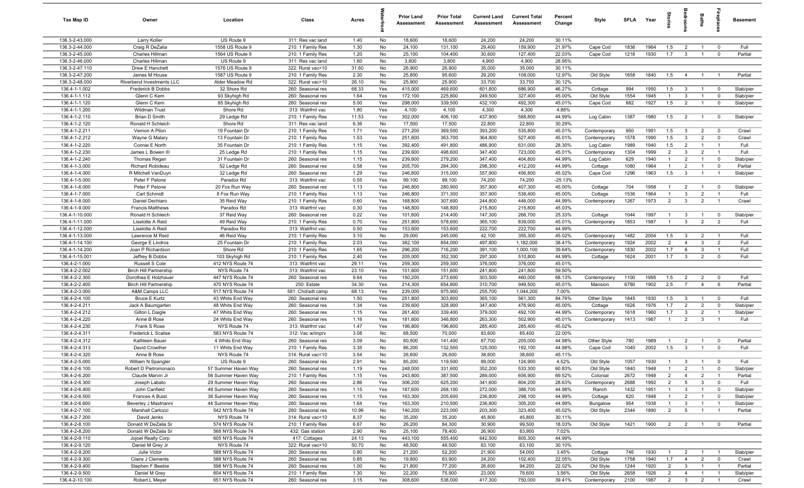| Tax Map ID                     | Owner                                     | Location                             | Class                                  | Acres          |            | <b>Prior Land</b><br>Assessment | <b>Prior Total</b><br>Assessment | <b>Current Land</b><br>Assessment | <b>Current Total</b><br><b>Assessment</b> | Percent<br>Change | Style                  | <b>SFLA</b>  | Year         | tories         | droom                          | <b>Baths</b>                     | ireplace                | <b>Basement</b> |
|--------------------------------|-------------------------------------------|--------------------------------------|----------------------------------------|----------------|------------|---------------------------------|----------------------------------|-----------------------------------|-------------------------------------------|-------------------|------------------------|--------------|--------------|----------------|--------------------------------|----------------------------------|-------------------------|-----------------|
| 136.3-2-43.000                 | Larry Koller                              | US Route 9                           | 311: Res vac land                      | 1.40           | No         | 18,600                          | 18,600                           | 24,200                            | 24,200                                    | 30.11%            |                        |              |              |                |                                |                                  |                         |                 |
| 136.3-2-44.000                 | Craig R DeZalia                           | 1558 US Route 9                      | 210: 1 Family Res                      | 1.30           | No         | 24,100                          | 131,100                          | 29,400                            | 159,900                                   | 21.97%            | Cape Cod               | 1838         | 1964         | 1.5            | $\overline{2}$                 | $\overline{1}$                   | $\mathbf 0$             | Full            |
| 136.3-2-45.000                 | Charles Hillman                           | 1564 US Route 9                      | 210: 1 Family Res                      | 1.20           | No         | 25,100                          | 104,400                          | 30,600                            | 127,400                                   | 22.03%            | Cape Cod               | 1218         | 1930         | 1.7            | $\mathbf{3}$                   | $\overline{1}$                   | $\mathbf 0$             | Partial         |
| 136.3-2-46.000                 | Charles Hillman                           | US Route 9                           | 311: Res vac land                      | 1.60           | No         | 3,800                           | 3,800                            | 4,900                             | 4,900                                     | 28.95%            |                        |              |              |                |                                |                                  |                         |                 |
| 136.3-2-47.110                 | Drew E Hanchett                           | 1576 US Route 9                      | 322: Rural vac>10                      | 31.60          | No         | 26,900                          | 26,900                           | 35,000                            | 35,000                                    | 30.11%            |                        |              |              |                |                                |                                  |                         |                 |
| 136.3-2-47.200                 | James M House                             | 1587 US Route 9                      | 210: 1 Family Res                      | 2.30           | No         | 25,800                          | 95,600                           | 29,200                            | 108,000                                   | 12.97%            | Old Style              | 1658         | 1840         | 1.5            | $\overline{4}$                 |                                  |                         | Partial         |
| 136.3-2-48.000                 | Riverbend Investments LLC                 | Alder Meadow Rd                      | 322: Rural vac>10                      | 26.10          | No         | 25,900                          | 25,900                           | 33,700                            | 33,700                                    | 30.12%            |                        |              |              |                |                                |                                  |                         |                 |
| 136.4-1-1.002                  | Frederick B Dobbs                         | 32 Shore Rd                          | 260: Seasonal res                      | 68.33          | Yes        | 415,000                         | 469,600                          | 601,800                           | 686,900                                   | 46.27%            | Cottage                | 994          | 1950         | 1.5            | $\mathbf{3}$                   | $\overline{1}$                   | $\overline{0}$          | Slab/pier       |
| 136.4-1-1.112                  | Glenn C Kern                              | 93 Skyhigh Rd                        | 260: Seasonal res                      | 1.64           | Yes        | 172,100                         | 225,800                          | 249,500                           | 327,400                                   | 45.00%            | Old Style              | 1554         | 1945         | $\overline{1}$ | $\mathbf{3}$                   | $\overline{1}$                   | $^{\circ}$              | Slab/pier       |
| 136.4-1-1.120                  | Glenn C Kern                              | 85 Skyhigh Rd                        | 260: Seasonal res                      | 5.00           | Yes        | 298,000                         | 339,500                          | 432,100                           | 492,300                                   | 45.01%            | Cape Cod               | 882          | 1927         | 1.5            | $\overline{2}$                 | $\overline{1}$                   | $^{\circ}$              | Slab/pier       |
| 136.4-1-1.200<br>136.4-1-2.110 | Wildman Trust<br>Brian D Smith            | Shore Rd                             | 313: Watrfrnt vac                      | 1.80<br>11.53  | Yes        | 4,100<br>302,000                | 4,100                            | 4,300                             | 4,300                                     | 4.88%<br>44.99%   |                        |              |              |                |                                | $\overline{1}$                   | $\overline{0}$          | Slab/pier       |
| 136.4-1-2.120                  | Ronald H Schleich                         | 29 Ledge Rd<br>Shore Rd              | 210: 1 Family Res<br>311: Res vac land | 6.36           | Yes<br>No  | 17,500                          | 406,100<br>17,500                | 437,900<br>22,800                 | 588,800<br>22,800                         | 30.29%            | Log Cabin              | 1387         | 1980         | 1.5            | $\overline{2}$                 |                                  |                         |                 |
| 136.4-1-2.211                  | Vernon A Pilon                            | 19 Fountain Dr                       | 210: 1 Family Res                      | 1.71           | Yes        | 271,200                         | 369,500                          | 393,200                           | 535,800                                   | 45.01%            | Contemporary           | 950          | 1991         | 1.5            | 3                              | $\overline{2}$                   | $\mathbf 0$             | Crawl           |
| 136.4-1-2.212                  | Wayne G Malary                            | 13 Fountain Dr                       | 210: 1 Family Res                      | 1.53           | Yes        | 251,600                         | 363,700                          | 364,800                           | 527,400                                   | 45.01%            | Contemporary           | 1578         | 1990         | 1.5            | $\mathbf{3}$                   | $\overline{2}$                   | $\Omega$                | Crawl           |
| 136.4-1-2.220                  | Connie E North                            | 35 Fountain Dr                       | 210: 1 Family Res                      | 1.15           | Yes        | 392,400                         | 491,800                          | 486,900                           | 631,000                                   | 28.30%            | Log Cabin              | 1989         | 1940         | 1.5            | $\overline{2}$                 | $\overline{1}$                   | $\overline{1}$          | Full            |
| 136.4-1-2.230                  | James L Bowen III                         | 25 Ledge Rd                          | 210: 1 Family Res                      | 1.15           | Yes        | 239,600                         | 498,600                          | 347,400                           | 723,000                                   | 45.01%            | Contemporary           | 1304         | 1999         | $\overline{2}$ | $\mathbf{3}$                   | $\overline{2}$                   | -1                      | Full            |
| 136.4-1-2.240                  | Thomas Regan                              | 31 Fountain Dr                       | 260: Seasonal res                      | 1.15           | Yes        | 239,600                         | 279,200                          | 347,400                           | 404,800                                   | 44.99%            | Log Cabin              | 629          | 1940         | $\mathbf{1}$   | $\overline{2}$                 |                                  | $\mathbf 0$             | Slab/pier       |
| 136.4-1-3.000                  | Richard Robideau                          | 52 Ledge Rd                          | 260: Seasonal res                      | 0.58           | Yes        | 205,700                         | 284,300                          | 298,300                           | 412,200                                   | 44.99%            | Cottage                | 1080         | 1964         | 1              | $\overline{2}$                 |                                  | $^{\circ}$              | Partial         |
| 136.4-1-4.000                  | R Mitchell VanDuyn                        | 32 Ledge Rd                          | 260: Seasonal res                      | 1.29           | Yes        | 246,800                         | 315,000                          | 357,900                           | 456,800                                   | 45.02%            | Cape Cod               | 1296         | 1963         | 1.5            | $\mathbf{3}$                   |                                  | - 1                     | Slab/pier       |
| 136.4-1-5.000                  | Peter F Pelone                            | Paradox Rd                           | 313: Watrfrnt vac                      | 0.55           | Yes        | 99,100                          | 99,100                           | 74,200                            | 74,200                                    | $-25.13%$         |                        |              |              |                |                                |                                  |                         |                 |
| 136.4-1-6.000                  | Peter F Pelone                            | 20 Fox Run Way                       | 260: Seasonal res                      | 1.13           | Yes        | 246,800                         | 280,900                          | 357,900                           | 407,300                                   | 45.00%            | Cottage                | 704          | 1958         | $\overline{1}$ | $\overline{2}$                 | $\overline{1}$                   | $\mathbf 0$             | Slab/pier       |
| 136.4-1-7.000                  | Carl Schmidt                              | 8 Fox Run Way                        | 210: 1 Family Res                      | 1.13           | Yes        | 246,800                         | 371,300                          | 357,900                           | 538,400                                   | 45.00%            | Cottage                | 1536         | 1964         | $\overline{1}$ | $\mathbf{3}$                   | $\overline{2}$                   | $\overline{1}$          | Full            |
| 136.4-1-8.000                  | Daniel Dechiaro                           | 35 Reid Way                          | 210: 1 Family Res                      | 0.60           | Yes        | 168,800                         | 307,600                          | 244,800                           | 446,000                                   | 44.99%            | Contemporary           | 1267         | 1973         | $\overline{2}$ | $\mathbf{3}$                   | $\overline{2}$                   | $\overline{1}$          | Crawl           |
| 136.4-1-9.000                  | <b>Francis Matthews</b>                   | Paradox Rd                           | 313: Watrfrnt vac                      | 0.30           | Yes        | 148,800                         | 148,800                          | 215,800                           | 215,800                                   | 45.03%            |                        |              |              |                |                                |                                  |                         |                 |
| 136.4-1-10.000                 | Ronald H Schleich                         | 37 Reid Way                          | 260: Seasonal res                      | 0.22           | Yes        | 101,600                         | 214,400                          | 147,300                           | 268,700                                   | 25.33%            | Cottage                | 1044         | 1997         | $\overline{1}$ | $\mathbf{3}$                   | $\overline{1}$                   | $^{\circ}$              | Slab/pier       |
| 136.4-1-11.000                 | Liselotte A Reid                          | 49 Reid Way                          | 210: 1 Family Res                      | 0.70           | Yes        | 251,800                         | 578,600                          | 365,100                           | 839,000                                   | 45.01%            | Contemporary           | 1853         | 1987         | $\overline{1}$ | $\mathbf{3}$                   | $\overline{2}$                   | 2                       | Full            |
| 136.4-1-12.000                 | Liselotte A Reid                          | Paradox Rd                           | 313: Watrfrnt vac                      | 0.50           | Yes        | 153,600                         | 153,600                          | 222,700                           | 222,700                                   | 44.99%            |                        |              |              |                |                                |                                  |                         |                 |
| 136.4-1-13.000                 | Lawrence M Reid                           | 46 Reid Way                          | 210: 1 Family Res                      | 3.10           | No         | 29,000                          | 245,000                          | 42,100                            | 355,300                                   | 45.02%            | Contemporary           | 1482         | 2004         | 1.5            | $\mathbf{3}$                   | $\overline{2}$                   | $\overline{1}$          | Full            |
| 136.4-1-14.100                 | George E Lindros                          | 25 Fountain Dr                       | 210: 1 Family Res                      | 2.03           | Yes        | 382,100                         | 854,000                          | 497,800                           | 1,182,000                                 | 38.41%            | Contemporary           | 1924         | 2002         | $\overline{2}$ | $\overline{4}$                 | $\mathbf{3}$                     | $\overline{2}$          | Full            |
| 136.4-1-14.200                 | Joan P Richardson                         | Shore Rd                             | 210: 1 Family Res                      | 1.65           | Yes        | 296,200                         | 716,200                          | 391,100                           | 1,000,100                                 | 39.64%            | Contemporary           | 1830         | 2002         | 1.7            | 6                              | $\mathbf{3}$                     | - 1                     | Full            |
| 136.4-1-15.001                 | Jeffrey B Dobbs                           | 103 Skyhigh Rd                       | 210: 1 Family Res                      | 2.40           | Yes        | 205,000                         | 352,300                          | 297,300                           | 510,800                                   | 44.99%            | Cottage                | 1624         | 2001         | 1.7            | $\mathbf{3}$                   | $\overline{2}$                   | $^{\circ}$              | Full            |
| 136.4-2-1.000                  | Russell S Cole                            | 412 NYS Route 74                     | 313: Watrfrnt vac                      | 29.11          | Yes        | 259,300                         | 259,300                          | 376,000                           | 376,000                                   | 45.01%            |                        |              |              |                |                                |                                  |                         |                 |
| 136.4-2-2.002                  | <b>Birch Hill Partnership</b>             | NYS Route 74                         | 313: Watrfrnt vac                      | 23.10          | Yes        | 151,600                         | 151,600                          | 241,800                           | 241,800                                   | 59.50%            |                        |              |              |                |                                |                                  |                         |                 |
| 136.4-2-2.300                  | Dorothea E Holzhauer                      | 447 NYS Route 74                     | 260: Seasonal res                      | 9.64           | Yes        | 150,200                         | 273,600                          | 303,500                           | 460,000                                   | 68.13%            | Contemporary           | 1100         | 1995         | 1.5            | $\overline{2}$                 | $\overline{2}$                   | $\mathbf 0$             | Full            |
| 136.4-2-2.400                  | <b>Birch Hill Partnership</b>             | 470 NYS Route 74                     | 250: Estate                            | 34.30          | Yes        | 214,300                         | 654,800                          | 310,700                           | 949,500                                   | 45.01%            | Mansion                | 6780         | 1902         | 2.5            | $\overline{7}$                 | $\overline{4}$                   | 6                       | Partial         |
| 136.4-2-3.000                  | A&M Camps LLC                             | 517 NYS Route 74                     | 581: Chd/adt camp                      | 68.13          | Yes        | 239,000                         | 975,900                          | 255,700                           | 1,044,200                                 | 7.00%             |                        |              |              |                |                                |                                  | $\overline{0}$          | Full            |
| 136.4-2-4.100<br>136.4-2-4.211 | <b>Bruce E Kurtz</b><br>Jack A Baumgarten | 43 Whits End Way<br>48 Whits End Way | 260: Seasonal res<br>260: Seasonal res | 1.50<br>1.34   | Yes<br>Yes | 251,800<br>239,600              | 303,800<br>328,900               | 365,100<br>347,400                | 561,300<br>476,900                        | 84.76%<br>45.00%  | Other Style<br>Cottage | 1845<br>1626 | 1930<br>1976 | 1.5<br>1.7     | $\mathbf{3}$<br>$\overline{2}$ | $\overline{1}$<br>$\overline{2}$ | $^{\circ}$              | Slab/pier       |
| 136.4-2-4.212                  | Gilton L Daigle                           | 47 Whits End Way                     | 260: Seasonal res                      | 1.15           | Yes        | 261,400                         | 339,400                          | 379,000                           | 492,100                                   | 44.99%            | Contemporary           | 1618         | 1960         | 1.7            | $\mathbf{3}$                   | $\overline{2}$                   | $\overline{1}$          | Slab/pier       |
| 136.4-2-4.220                  | Anne B Rose                               | 24 Whits End Way                     | 260: Seasonal res                      | 1.16           | Yes        | 181,600                         | 346,800                          | 263,300                           | 502,900                                   | 45.01%            | Contemporary           | 1413         | 1987         | $\overline{1}$ | $\overline{2}$                 | $\mathbf{3}$                     | - 1                     | Full            |
| 136.4-2-4.230                  | Frank S Rose                              | NYS Route 74                         | 313: Watrfrnt vac                      | 1.47           | Yes        | 196,800                         | 196,800                          | 285,400                           | 285,400                                   | 45.02%            |                        |              |              |                |                                |                                  |                         |                 |
| 136.4-2-4.311                  | Frederick L Scalise                       | 583 NYS Route 74                     | 312: Vac w/imprv                       | 3.08           | No         | 68,500                          | 70,000                           | 83,600                            | 85,400                                    | 22.00%            |                        |              |              |                |                                |                                  |                         |                 |
| 136.4-2-4.312                  | Kathleen Bauer                            | 4 Whits End Way                      | 260: Seasonal res                      | 3.09           | No         | 60,500                          | 141,400                          | 87,700                            | 205,000                                   | 44.98%            | Other Style            | 780          | 1989         | -1             | $\overline{2}$                 |                                  | $^{\circ}$              | Partial         |
| 136.4-2-4.313                  | David Crowther                            | 11 Whits End Way                     | 210: 1 Family Res                      | 3.35           | No         | 86,200                          | 132,500                          | 125,000                           | 192,100                                   | 44.98%            | Cape Cod               | 1040         | 2002         | 1.5            | $\mathbf{3}$                   |                                  | $\Omega$                | Full            |
| 136.4-2-4.320                  | Anne B Rose                               | NYS Route 74                         | 314: Rural vac<10                      | 3.54           | No         | 26,600                          | 26,600                           | 38,600                            | 38,600                                    | 45.11%            |                        |              |              |                |                                |                                  |                         |                 |
| 136.4-2-5.000                  | William N Spangler                        | US Route 9                           | 260: Seasonal res                      | 2.91           | No         | 85,200                          | 119,500                          | 89,000                            | 124,900                                   | 4.52%             | Old Style              | 1057         | 1930         | $\overline{1}$ | $3^{\circ}$                    | $\overline{1}$                   |                         | Full            |
| 136.4-2-6.100                  | Robert D Pietromonaco                     | 57 Summer Haven Way                  | 260: Seasonal res                      | 1.19           | Yes        | 248,000                         | 331,600                          | 352,200                           | 533,300                                   | 60.83%            | Old Style              | 1840         | 1948         | $\overline{1}$ | $\overline{2}$                 | $\overline{1}$                   | $\overline{0}$          | Slab/pier       |
| 136.4-2-6.200                  | Claude Marvin Jr                          | 56 Summer Haven Way                  | 210: 1 Family Res                      | 1.15           | Yes        | 243,800                         | 387,500                          | 289,000                           | 656,900                                   | 69.52%            | Colonial               | 2672         | 1948         | $\overline{2}$ | $\overline{4}$                 | $\overline{2}$                   | $\overline{1}$          | Partial         |
| 136.4-2-6.300                  | Joseph Labato                             | 29 Summer Haven Way                  | 260: Seasonal res                      | 2.86           | Yes        | 306,200                         | 625,200                          | 341,600                           | 804,200                                   | 28.63%            | Contemporary           | 2688         | 1992         | $\overline{2}$ | $5\overline{5}$                | $\mathbf{3}$                     | $\mathbf 0$             | Full            |
| 136.4-2-6.400                  | John Canfield                             | 48 Summer Haven Way                  | 260: Seasonal res                      | 1.15           | Yes        | 187,600                         | 268,100                          | 272,000                           | 388,700                                   | 44.98%            | Ranch                  | 1432         | 1951         | $\mathbf{1}$   | $\mathbf{3}$                   | $\overline{1}$                   | $\overline{\mathbf{0}}$ | Slab/pier       |
| 136.4-2-6.500                  | Frances A Buist                           | 38 Summer Haven Way                  | 260: Seasonal res                      | 1.15           | Yes        | 163,300                         | 205,600                          | 236,800                           | 298,100                                   | 44.99%            | Cottage                | 620          | 1948         | $\overline{1}$ | $\overline{2}$                 | $\mathbf{1}$                     | $\mathbf 0$             | Slab/pier       |
| 136.4-2-6.600                  | Beverley J Mastrianni                     | 44 Summer Haven Way                  | 260: Seasonal res                      | 1.64           | Yes        | 163,300                         | 210,500                          | 236,800                           | 305,200                                   | 44.99%            | Bungalow               | 954          | 1938         | $\overline{1}$ | $\mathbf{3}$                   | $\overline{1}$                   | $\overline{1}$          | Slab/pier       |
| 136.4-2-7.100                  | Marshall Carlozzi                         | 542 NYS Route 74                     | 260: Seasonal res                      | 10.96          | No         | 140,200                         | 223,000                          | 203,300                           | 323,400                                   | 45.02%            | Old Style              | 2344         | 1890         | $\overline{2}$ | $5\overline{)}$                |                                  |                         | Partial         |
| 136.4-2-7.200                  | David Jenks                               | NYS Route 74                         | 314: Rural vac<10                      | 8.37           | No         | 35,200                          | 35,200                           | 45,800                            | 45,800                                    | 30.11%            |                        |              |              |                |                                |                                  |                         |                 |
| 136.4-2-8.100                  | Donald W DeZalia Sr                       | 574 NYS Route 74                     | 210: 1 Family Res                      | 6.67           | No         | 26,200                          | 84,300                           | 30,900                            | 99,500                                    | 18.03%            | Old Style              | 1421         | 1900         | $\overline{2}$ | $\overline{2}$                 |                                  | $\mathbf 0$             | Partial         |
| 136.4-2-8.200<br>136.4-2-9.110 | Donald W DeZalia Sr<br>Jojoel Realty Corp | 568 NYS Route 74                     | 432: Gas station                       | 2.90           | No<br>Yes  | 25,100<br>443,100               | 78,400<br>555,400                | 26,900<br>642,500                 | 83,900<br>805,300                         | 7.02%<br>44.99%   |                        |              |              |                |                                |                                  |                         |                 |
| 136.4-2-9.120                  | Daniel M Grey Jr                          | 605 NYS Route 74<br>NYS Route 74     | 417: Cottages<br>322: Rural vac>10     | 24.13<br>50.70 | No         | 48,500                          | 48,500                           | 63,100                            | 63,100                                    | 30.10%            |                        |              |              |                |                                |                                  |                         |                 |
| 136.4-2-9.200                  | Julie Victor                              | 588 NYS Route 74                     | 260: Seasonal res                      | 0.80           | No         | 21,200                          | 52,200                           | 21,900                            | 54,000                                    | 3.45%             | Cottage                | 746          | 1930         | $\overline{1}$ | $\overline{2}$                 | $\overline{1}$                   | $\overline{1}$          | Slab/pier       |
| 136.4-2-9.300                  | Claire J Clements                         | 588 NYS Route 74                     | 260: Seasonal res                      | 0.85           | No         | 19,800                          | 83,900                           | 24,200                            | 102,400                                   | 22.05%            | Old Style              | 1758         | 1940         | 1.7            | $\overline{4}$                 | $\overline{2}$                   | $\overline{0}$          | Crawl           |
| 136.4-2-9.400                  | Stephen F Beebie                          | 598 NYS Route 74                     | 260: Seasonal res                      | 1.00           | No         | 21,800                          | 77,200                           | 26,600                            | 94,200                                    | 22.02%            | Old Style              | 1244         | 1920         | $\overline{2}$ | $\mathbf{3}$                   | $\overline{1}$                   | $\overline{1}$          | Partial         |
| 136.4-2-9.500                  | Daniel M Grey                             | 604 NYS Route 74                     | 210: 1 Family Res                      | 1.30           | No         | 22,200                          | 75,900                           | 23,000                            | 78,600                                    | 3.56%             | Old Style              | 2658         | 1926         | $\overline{2}$ | $\overline{4}$                 | $\overline{1}$                   | $\overline{1}$          | Slab/pier       |
| 136.4-2-10.100                 | Robert L Meyer                            | 651 NYS Route 74                     | 260: Seasonal res                      | 3.15           | Yes        | 308,600                         | 538,000                          | 417,300                           | 750,000                                   | 39.41%            | Contemporary           | 2100         | 1987         | $\overline{2}$ | $\overline{\mathbf{3}}$        | $\overline{2}$                   | $\overline{1}$          | Crawl           |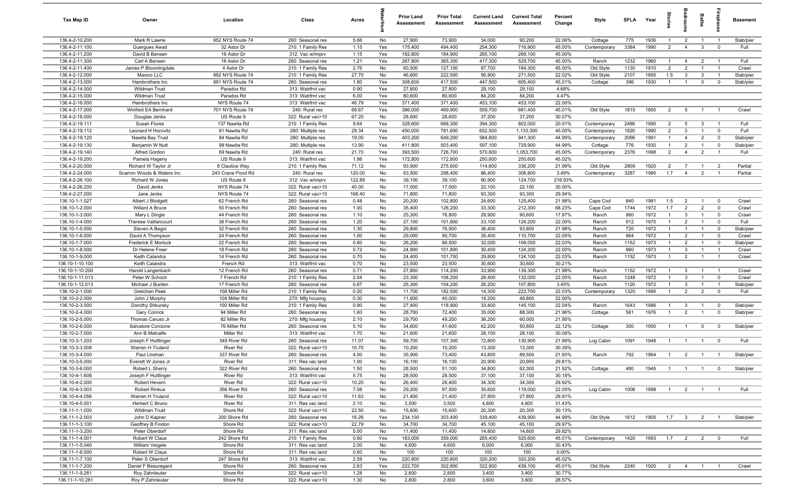| Tax Map ID                        | Owner                                        | Location                     | Class                                  | Acres          |            | <b>Prior Land</b><br>Assessment | <b>Prior Total</b><br>Assessment | <b>Current Land</b><br><b>Assessment</b> | <b>Current Total</b><br>Assessment | Percent<br>Change | Style                   | <b>SFLA</b>  | Year         | $\frac{1}{2}$                    | drooi                            | Baths                            | <b>G</b> bia                  | <b>Basement</b>        |
|-----------------------------------|----------------------------------------------|------------------------------|----------------------------------------|----------------|------------|---------------------------------|----------------------------------|------------------------------------------|------------------------------------|-------------------|-------------------------|--------------|--------------|----------------------------------|----------------------------------|----------------------------------|-------------------------------|------------------------|
| 136.4-2-10.200                    | Mark R Lawrie                                | 652 NYS Route 74             | 260: Seasonal res                      | 5.66           | No         | 27,900                          | 73,900                           | 34,000                                   | 90,200                             | 22.06%            | Cottage                 | 775          | 1936         | $\mathbf{1}$                     | $\overline{2}$                   | $\overline{1}$                   | $\overline{1}$                | Slab/pier              |
| 136.4-2-11.100                    | Guergues Awad                                | 32 Astor Dr                  | 210: 1 Family Res                      | 1.15           | Yes        | 175,400                         | 494,400                          | 254,300                                  | 716,900                            | 45.00%            | Contemporary            | 3384         | 1990         | 2                                | $\overline{4}$                   | $\mathbf{3}$                     | $\mathbf 0$                   | Full                   |
| 136.4-2-11.200                    | David B Bensen                               | 16 Astor Dr                  | 312: Vac w/imprv                       | 1.15           | Yes        | 182,800                         | 184,900                          | 265,100                                  | 268,100                            | 45.00%            |                         |              |              |                                  |                                  |                                  |                               |                        |
| 136.4-2-11.300<br>136.4-2-11.400  | Carl A Bensen<br>James P Bloomingdale        | 16 Astor Dr<br>4 Astor Dr    | 260: Seasonal res<br>210: 1 Family Res | 1.21<br>2.76   | Yes<br>No  | 287,800<br>60,500               | 365,300<br>127,100               | 417,300<br>87,700                        | 529,700<br>184,300                 | 45.00%<br>45.00%  | Ranch<br>Old Style      | 1232<br>1130 | 1960<br>1910 | $\mathbf{1}$<br>$\overline{2}$   | $\overline{4}$<br>$\overline{2}$ | $\overline{2}$                   | - 1<br>$\overline{1}$         | Full<br>Crawl          |
| 136.4-2-12.000                    | Maxico LLC                                   | 692 NYS Route 74             | 210: 1 Family Res                      | 27.70          | No         | 46,600                          | 222,500                          | 56,900                                   | 271,500                            | 22.02%            | Old Style               | 2107         | 1895         | 1.5                              | $\mathbf{3}$                     | 3                                | $\overline{1}$                | Slab/pier              |
| 136.4-2-13.000                    | Hambrothers Inc                              | 691 NYS Route 74             | 260: Seasonal res                      | 1.80           | Yes        | 308,600                         | 417,500                          | 447,500                                  | 605,400                            | 45.01%            | Cottage                 | 396          | 1930         | $\overline{1}$                   | $\overline{1}$                   | $\mathbf 0$                      | $\mathbf 0$                   | Slab/pier              |
| 136.4-2-14.000                    | Wildman Trust                                | Paradox Rd                   | 313: Watrfrnt vac                      | 0.90           | Yes        | 27,800                          | 27,800                           | 29,100                                   | 29,100                             | 4.68%             |                         |              |              |                                  |                                  |                                  |                               |                        |
| 136.4-2-15.000                    | Wildman Trust                                | Paradox Rd                   | 313: Watrfrnt vac                      | 6.00           | Yes        | 80,600                          | 80,600                           | 84,200                                   | 84,200                             | 4.47%             |                         |              |              |                                  |                                  |                                  |                               |                        |
| 136.4-2-16.000                    | Hambrothers Inc                              | NYS Route 74                 | 313: Watrfrnt vac                      | 46.79          | Yes        | 371,400                         | 371,400                          | 453,100                                  | 453,100                            | 22.00%            |                         |              |              |                                  |                                  |                                  |                               |                        |
| 136.4-2-17.000                    | Winfred EA Bernhard                          | 701 NYS Route 74             | 240: Rural res                         | 68.67          | Yes        | 386,000                         | 469,900                          | 559,700                                  | 681,400                            | 45.01%            | Old Style               | 1815         | 1850         | $\overline{2}$                   | 5                                | $\overline{1}$                   | $\overline{1}$                | Crawl                  |
| 136.4-2-18.000                    | Douglas Jenks                                | US Route 9                   | 322: Rural vac>10                      | 67.20          | No         | 28,600                          | 28,600                           | 37,200                                   | 37,200                             | 30.07%            |                         |              |              |                                  |                                  |                                  |                               |                        |
| 136.4-2-19.111                    | Susan Flores                                 | 137 Nawita Rd                | 210: 1 Family Res                      | 9.64           | Yes        | 328,600                         | 668,300                          | 394,300                                  | 802,000                            | 20.01%            | Contemporary            | 2486         | 1990         | $\overline{2}$                   | 5                                | $\mathbf{3}$                     | - 1                           | Full                   |
| 136.4-2-19.112                    | Leonard H Horovitz                           | 81 Nawita Rd                 | 280: Multiple res                      | 29.34          | Yes        | 450,000                         | 781,600                          | 652,500                                  | 1,133,300                          | 45.00%            | Contemporary            | 1820         | 1990         | $\overline{2}$                   | $\mathbf{3}$                     | $\mathbf{1}$                     | $\mathbf 0$                   | Full                   |
| 136.4-2-19.120<br>136.4-2-19.130  | Nawita Bay Trust<br>Benjamin W Nutt          | 84 Nawita Rd<br>99 Nawita Rd | 280: Multiple res<br>280: Multiple res | 19.00<br>13.90 | Yes<br>Yes | 403,200<br>411,800              | 649,200<br>503,400               | 584,600<br>597,100                       | 941,300<br>729,900                 | 44.99%<br>44.99%  | Contemporary<br>Cottage | 2066<br>776  | 1991<br>1930 | $\mathbf{1}$<br>$\mathbf{1}$     | $\overline{4}$<br>$\overline{2}$ | $\overline{2}$<br>$\overline{1}$ | $^{\circ}$<br>$\mathbf 0$     | Slab/pier<br>Slab/pier |
| 136.4-2-19.140                    | Alfred Gordon                                | 69 Nawita Rd                 | 240: Rural res                         | 21.70          | Yes        | 393,500                         | 726,700                          | 570,600                                  | 1,053,700                          | 45.00%            | Contemporary            | 2376         | 1998         | $\overline{2}$                   | $\overline{4}$                   | $\overline{2}$                   | - 1                           | Full                   |
| 136.4-2-19.200                    | Pamela Hageny                                | US Route 9                   | 313: Watrfrnt vac                      | 1.86           | Yes        | 172,800                         | 172,800                          | 250,600                                  | 250,600                            | 45.02%            |                         |              |              |                                  |                                  |                                  |                               |                        |
| 136.4-2-20.000                    | Richard W Taylor Jr                          | 8 Clautice Way               | 210: 1 Family Res                      | 71.12          | No         | 93,900                          | 275,600                          | 114,600                                  | 336,200                            | 21.99%            | Old Style               | 2909         | 1920         | $\overline{2}$                   | $\overline{7}$                   | $\overline{1}$                   | $\overline{2}$                | Partial                |
| 136.4-2-24.000                    | Scarron Woods & Waters Inc                   | 243 Crane Pond Rd            | 240: Rural res                         | 120.00         | No         | 83,500                          | 298,400                          | 86,400                                   | 308,800                            | 3.49%             | Contemporary            | 3287         | 1995         | 1.7                              | $\overline{4}$                   | $\overline{2}$                   | $\overline{1}$                | Partial                |
| 136.4-2-26.100                    | Richard W Jones                              | US Route 9                   | 312: Vac w/imprv                       | 122.89         | No         | 39,100                          | 39,100                           | 90,900                                   | 124,700                            | 218.93%           |                         |              |              |                                  |                                  |                                  |                               |                        |
| 136.4-2-26.200                    | David Jenks                                  | NYS Route 74                 | 322: Rural vac>10                      | 40.00          | No         | 17,000                          | 17,000                           | 22,100                                   | 22,100                             | 30.00%            |                         |              |              |                                  |                                  |                                  |                               |                        |
| 136.4-2-27.000                    | Jane Jenks                                   | NYS Route 74                 | 322: Rural vac>10                      | 168.40         | No         | 71,800                          | 71,800                           | 93,300                                   | 93,300                             | 29.94%            |                         |              |              |                                  |                                  |                                  |                               |                        |
| 136.10-1-1.027                    | Albert J Blodgett                            | 62 French Rd                 | 260: Seasonal res                      | 0.48           | No         | 20,200                          | 102,800                          | 24,600                                   | 125,400                            | 21.98%            | Cape Cod                | 840          | 1981         | 1.5                              | $\overline{2}$                   | $\overline{1}$                   | $\mathbf 0$                   | Crawl                  |
| 136.10-1-2.000                    | Willard A Bruce                              | 50 French Rd<br>44 French Rd | 260: Seasonal res                      | 1.00           | No         | 35,400                          | 126,200                          | 33,300                                   | 212,300                            | 68.23%            | Cape Cod                | 1744<br>960  | 1972<br>1972 | 1.7<br>$\mathbf{1}$              | $\overline{2}$                   | $\overline{2}$<br>$\overline{1}$ | $\mathbf 0$<br>$\mathbf 0$    | Crawl                  |
| 136.10-1-3.000<br>136.10-1-4.000  | Mary L Dingle<br><b>Therese Vaillancourt</b> | 38 French Rd                 | 260: Seasonal res<br>260: Seasonal res | 1.10<br>1.20   | No<br>No   | 25,300<br>27,100                | 76,800<br>101,800                | 29,900<br>33,100                         | 90,600<br>124,200                  | 17.97%<br>22.00%  | Ranch<br>Ranch          | 912          | 1970         | $\overline{1}$                   | $\mathbf{3}$<br>$\overline{2}$   | $\overline{1}$                   | $\mathbf 0$                   | Crawl<br>Full          |
| 136.10-1-5.000                    | Steven A Begni                               | 32 French Rd                 | 260: Seasonal res                      | 1.30           | No         | 29,800                          | 76,900                           | 36,400                                   | 93,800                             | 21.98%            | Ranch                   | 720          | 1972         | $\mathbf{1}$                     | $\overline{1}$                   |                                  | $\mathbf 0$                   | Slab/pier              |
| 136.10-1-6.000                    | David A Thompson                             | 24 French Rd                 | 260: Seasonal res                      | 1.00           | No         | 29,000                          | 90,700                           | 35,400                                   | 110,700                            | 22.05%            | Ranch                   | 864          | 1972         | $\mathbf{1}$                     | $\overline{2}$                   |                                  | $^{\circ}$                    | Crawl                  |
| 136.10-1-7.000                    | Frederick E Morlock                          | 22 French Rd                 | 260: Seasonal res                      | 0.60           | No         | 26,200                          | 88,500                           | 32,000                                   | 108,000                            | 22.03%            | Ranch                   | 1152         | 1973         | $\mathbf{1}$                     | $\overline{2}$                   |                                  | $\mathbf 0$                   | Slab/pier              |
| 136.10-1-8.000                    | Dr Helene Freer                              | 18 French Rd                 | 260: Seasonal res                      | 0.72           | No         | 24,900                          | 101,800                          | 30,400                                   | 124,200                            | 22.00%            | Ranch                   | 960          | 1973         | $\overline{1}$                   | $\mathbf{3}$                     |                                  | $\overline{1}$                | Crawl                  |
| 136.10-1-9.000                    | Keith Calandra                               | 14 French Rd                 | 260: Seasonal res                      | 0.70           | No         | 24,400                          | 101,700                          | 29,800                                   | 124,100                            | 22.03%            | Ranch                   | 1152         | 1973         | $\overline{1}$                   | $\overline{2}$                   | $\overline{1}$                   | $\overline{1}$                | Crawl                  |
| 136.10-1-10.100                   | Keith Calandra                               | French Rd                    | 313: Watrfrnt vac                      | 0.70           | No         | 23,500                          | 23,500                           | 30,600                                   | 30,600                             | 30.21%            |                         |              |              |                                  |                                  |                                  |                               |                        |
| 136.10-1-10.200                   | Harold Langenbach                            | 12 French Rd                 | 260: Seasonal res                      | 0.71           | No         | 27,800                          | 114,200                          | 33,900                                   | 139,300                            | 21.98%            | Ranch                   | 1152         | 1972         | $\overline{1}$                   | $\mathbf{3}$                     | $\overline{1}$                   | $\overline{1}$                | Crawl                  |
| 136.10-1-11.013                   | Peter W Schoch                               | 7 French Rd<br>17 French Rd  | 210: 1 Family Res                      | 2.04           | No         | 23,300<br>25,300                | 108,200                          | 28,400                                   | 132,000                            | 22.00%            | Ranch                   | 1248<br>1120 | 1972<br>1972 | $\overline{1}$<br>$\overline{1}$ | $\mathbf{3}$<br>$\mathbf{3}$     | $\overline{1}$                   | $^{\circ}$                    | Crawl                  |
| 136.10-1-12.013<br>136.10-2-1.000 | Michael J Bunten<br>Gretchen Peek            | 108 Miller Rd                | 260: Seasonal res<br>210: 1 Family Res | 0.87<br>0.20   | No<br>No   | 11,700                          | 104,200<br>182,500               | 26,200<br>14,300                         | 107,800<br>222,700                 | 3.45%<br>22.03%   | Ranch<br>Contemporary   | 1320         | 1995         | $\overline{1}$                   | 2                                | $\overline{1}$<br>$\overline{2}$ | $\overline{1}$<br>$\mathbf 0$ | Slab/pier<br>Full      |
| 136.10-2-2.000                    | John J Murphy                                | 104 Miller Rd                | 270: Mfg housing                       | 0.30           | No         | 11,600                          | 40,000                           | 14,200                                   | 48,800                             | 22.00%            |                         |              |              |                                  |                                  |                                  |                               |                        |
| 136.10-2-3.000                    | Dorothy Shkursky                             | 100 Miller Rd                | 210: 1 Family Res                      | 0.90           | No         | 27,400                          | 118,900                          | 33,400                                   | 145,100                            | 22.04%            | Ranch                   | 1643         | 1986         | $\mathbf{1}$                     | $\mathbf{3}$                     |                                  | $\mathbf 0$                   | Slab/pier              |
| 136.10-2-4.000                    | Gary Conrick                                 | 94 Miller Rd                 | 260: Seasonal res                      | 1.60           | No         | 28,700                          | 72,400                           | 35,000                                   | 88,300                             | 21.96%            | Cottage                 | 561          | 1976         | $\overline{1}$                   | $\overline{2}$                   |                                  | $\mathbf 0$                   | Slab/pier              |
| 136.10-2-5.000                    | Thomas Caruso Jr                             | 82 Miller Rd                 | 270: Mfg housing                       | 2.10           | No         | 29,700                          | 49,200                           | 36,200                                   | 60,000                             | 21.95%            |                         |              |              |                                  |                                  |                                  |                               |                        |
| 136.10-2-6.000                    | Salvatore Corcione                           | 76 Miller Rd                 | 260: Seasonal res                      | 5.10           | No         | 34,600                          | 41,600                           | 42,200                                   | 50,800                             | 22.12%            | Cottage                 | 300          | 1950         | $\overline{1}$                   | $\overline{1}$                   | $\mathbf{0}$                     | $\overline{0}$                | Slab/pier              |
| 136.10-2-7.000                    | Ann B Metcalfe                               | Miller Rd                    | 313: Watrfrnt vac                      | 1.70           | No         | 21,600                          | 21,600                           | 28,100                                   | 28,100                             | 30.09%            |                         |              |              |                                  |                                  |                                  |                               |                        |
| 136.10-3-1.203                    | Joseph F Huttlinger                          | 349 River Rd                 | 260: Seasonal res                      | 11.07          | No         | 59,700                          | 107,300                          | 72,800                                   | 130,900                            | 21.99%            | Log Cabin               | 1091         | 1948         | $\overline{1}$                   | $\overline{1}$                   | $\overline{1}$                   | $\overline{0}$                | Full                   |
| 136.10-3-3.008<br>136.10-3-4.000  | Warren H Truland<br>Paul Linehan             | River Rd<br>337 River Rd     | 322: Rural vac>10<br>260: Seasonal res | 10.70<br>4.00  | No<br>No   | 10,200<br>35,900                | 10,200<br>73,400                 | 13,300<br>43,800                         | 13,300<br>89,500                   | 30.39%<br>21.93%  | Ranch                   | 792          | 1964         | $\overline{1}$                   | $\overline{2}$                   | $\overline{1}$                   | - 1                           | Slab/pier              |
| 136.10-3-5.000                    | Everett W Jones Jr                           | River Rd                     | 311: Res vac land                      | 1.00           | No         | 16,100                          | 16,100                           | 20,900                                   | 20,900                             | 29.81%            |                         |              |              |                                  |                                  |                                  |                               |                        |
| 136.10-3-6.000                    | Robert L Sherry                              | 322 River Rd                 | 260: Seasonal res                      | 1.50           | No         | 28,500                          | 51,100                           | 34,800                                   | 62,300                             | 21.92%            | Cottage                 | 480          | 1945         | $\overline{1}$                   | $\overline{1}$                   | $\overline{1}$                   | $\overline{0}$                | Slab/pier              |
| 136.10-4-1.608                    | Joseph F Huttlinger                          | River Rd                     | 313: Watrfrnt vac                      | 5.75           | No         | 28,500                          | 28,500                           | 37,100                                   | 37,100                             | 30.18%            |                         |              |              |                                  |                                  |                                  |                               |                        |
| 136.10-4-2.000                    | Robert Hevern                                | River Rd                     | 322: Rural vac>10                      | 10.20          | No         | 26,400                          | 26,400                           | 34,300                                   | 34,300                             | 29.92%            |                         |              |              |                                  |                                  |                                  |                               |                        |
| 136.10-4-3.003                    | Robert Rinkus                                | 356 River Rd                 | 260: Seasonal res                      | 7.08           | No         | 29,200                          | 97,500                           | 35,600                                   | 119,000                            | 22.05%            | Log Cabin               | 1008         | 1998         | $\overline{1}$                   |                                  | 2 1                              | $\overline{1}$                | Full                   |
| 136.10-4-4.056                    | Warren H Truland                             | River Rd                     | 322: Rural vac>10                      | 11.63          | No         | 21,400                          | 21,400                           | 27,800                                   | 27,800                             | 29.91%            |                         |              |              |                                  |                                  |                                  |                               |                        |
| 136.10-4-5.001                    | Herbert C Bruno                              | River Rd                     | 311: Res vac land                      | 2.10           | No         | 3,500                           | 3,500                            | 4,600                                    | 4,600                              | 31.43%            |                         |              |              |                                  |                                  |                                  |                               |                        |
| 136.11-1-1.000                    | Wildman Trust                                | Shore Rd<br>200 Shore Rd     | 322: Rural vac>10                      | 22.50          | No         | 15,600                          | 15,600                           | 20,300                                   | 20,300                             | 30.13%            |                         |              |              |                                  |                                  |                                  |                               |                        |
| 136.11-1-2.003<br>136.11-1-3.100  | John D Kapner<br>Geoffrey B Findon           | Shore Rd                     | 260: Seasonal res<br>322: Rural vac>10 | 16.26<br>22.79 | Yes<br>No  | 234,100<br>34,700               | 303,400<br>34,700                | 339,400<br>45,100                        | 439,900<br>45,100                  | 44.99%<br>29.97%  | Old Style               | 1612         | 1905         | 1.7                              | $\overline{\mathbf{3}}$          | $\overline{2}$                   | $\overline{1}$                | Slab/pier              |
| 136.11-1-3.200                    | Peter Oberdorf                               | Shore Rd                     | 311: Res vac land                      | 5.00           | No         | 11,400                          | 11,400                           | 14,800                                   | 14,800                             | 29.82%            |                         |              |              |                                  |                                  |                                  |                               |                        |
| 136.11-1-4.001                    | Robert W Claus                               | 242 Shore Rd                 | 210: 1 Family Res                      | 0.60           | Yes        | 183,000                         | 359,000                          | 265,400                                  | 520,600                            | 45.01%            | Contemporary            | 1420         | 1993         | 1.7                              | $\overline{2}$                   | $\overline{2}$                   | $\overline{\mathbf{0}}$       | Full                   |
| 136.11-1-5.040                    | William Veigele                              | Shore Rd                     | 311: Res vac land                      | 2.00           | No         | 4,600                           | 4,600                            | 6,000                                    | 6,000                              | 30.43%            |                         |              |              |                                  |                                  |                                  |                               |                        |
| 136.11-1-6.000                    | Robert W Claus                               | Shore Rd                     | 311: Res vac land                      | 0.60           | No         | 100                             | 100                              | 100                                      | 100                                | 0.00%             |                         |              |              |                                  |                                  |                                  |                               |                        |
| 136.11-1-7.100                    | Peter S Oberdorf                             | 247 Shore Rd                 | 313: Watrfrnt vac                      | 2.59           | Yes        | 220,800                         | 220,800                          | 320,200                                  | 320,200                            | 45.02%            |                         |              |              |                                  |                                  |                                  |                               |                        |
| 136.11-1-7.200                    | Daniel F Beauregard                          | Shore Rd                     | 260: Seasonal res                      | 2.63           | Yes        | 222,700                         | 302,800                          | 322,900                                  | 439,100                            | 45.01%            | Old Style               | 2240         | 1920         | $\overline{2}$                   | $\overline{4}$                   | $\overline{1}$                   | $\blacksquare$                | Crawl                  |
| 136.11-1-9.281                    | Roy Zahnleuter                               | Shore Rd                     | 322: Rural vac>10                      | 1.28           | No         | 2,600                           | 2,600                            | 3,400                                    | 3,400                              | 30.77%            |                         |              |              |                                  |                                  |                                  |                               |                        |
| 136.11-1-10.281                   | Roy P Zahnleuter                             | Shore Rd                     | 322: Rural vac>10                      | 1.30           | No         | 2,800                           | 2,800                            | 3,600                                    | 3,600                              | 28.57%            |                         |              |              |                                  |                                  |                                  |                               |                        |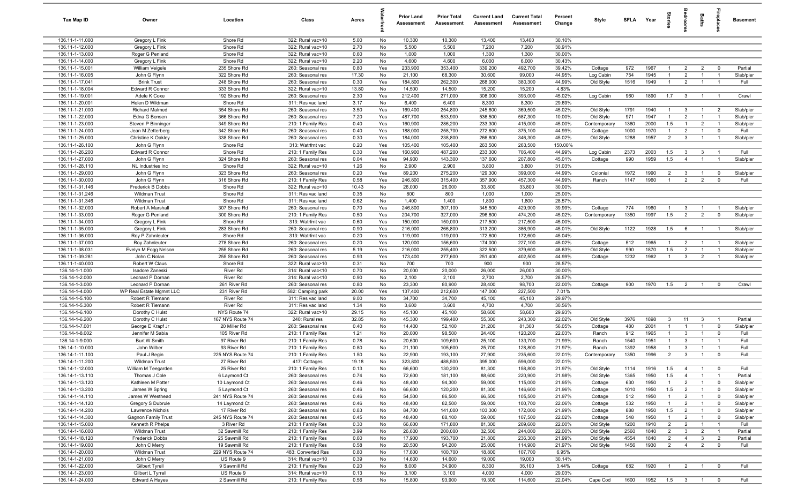| Tax Map ID                         | Owner                             | Location                        | Class                                  | Acres         |           | <b>Prior Land</b><br>Assessment | <b>Prior Total</b><br>Assessment | <b>Current Land</b><br>Assessment | <b>Current Total</b><br>Assessment | Percent<br>Change | Style        | <b>SFLA</b> | Year            | tories         | eroo                    | Baths                          |                         | <b>Basement</b> |
|------------------------------------|-----------------------------------|---------------------------------|----------------------------------------|---------------|-----------|---------------------------------|----------------------------------|-----------------------------------|------------------------------------|-------------------|--------------|-------------|-----------------|----------------|-------------------------|--------------------------------|-------------------------|-----------------|
| 136.11-1-11.000                    | Gregory L Fink                    | Shore Rd                        | 322: Rural vac>10                      | 5.00          | No        | 10,300                          | 10,300                           | 13,400                            | 13,400                             | 30.10%            |              |             |                 |                |                         |                                |                         |                 |
| 136.11-1-12.000                    | Gregory L Fink                    | Shore Rd                        | 322: Rural vac>10                      | 2.70          | No        | 5,500                           | 5,500                            | 7,200                             | 7,200                              | 30.91%            |              |             |                 |                |                         |                                |                         |                 |
| 136.11-1-13.000                    | Roger G Penland                   | Shore Rd                        | 322: Rural vac>10                      | 0.60          | No        | 1,000                           | 1,000                            | 1,300<br>6,000                    | 1,300<br>6,000                     | 30.00%            |              |             |                 |                |                         |                                |                         |                 |
| 136.11-1-14.000<br>136.11-1-15.001 | Gregory L Fink<br>William Veigele | Shore Rd<br>235 Shore Rd        | 322: Rural vac>10<br>260: Seasonal res | 2.20<br>0.80  | No<br>Yes | 4,600<br>233,900                | 4,600<br>353,400                 | 339,200                           | 492,700                            | 30.43%<br>39.42%  | Cottage      | 972         | 1967            |                | $\overline{2}$          | $\overline{2}$                 | $\mathbf 0$             | Partial         |
| 136.11-1-16.005                    | John G Flynn                      | 322 Shore Rd                    | 260: Seasonal res                      | 17.30         | No        | 21,100                          | 68,300                           | 30,600                            | 99,000                             | 44.95%            | Log Cabin    | 754         | 1945            | $\overline{1}$ | $\overline{2}$          | $\overline{1}$                 | $\overline{1}$          | Slab/pier       |
| 136.11-1-17.041                    | <b>Brink Trust</b>                | 248 Shore Rd                    | 260: Seasonal res                      | 0.30          | Yes       | 184,800                         | 262,300                          | 268,000                           | 380,300                            | 44.99%            | Old Style    | 1516        | 1949            | $\overline{1}$ | $\overline{2}$          | $\overline{1}$                 | $\overline{1}$          | Full            |
| 136.11-1-18.004                    | Edward R Connor                   | 333 Shore Rd                    | 322: Rural vac>10                      | 13.80         | No        | 14,500                          | 14,500                           | 15,200                            | 15,200                             | 4.83%             |              |             |                 |                |                         |                                |                         |                 |
| 136.11-1-19.001                    | Adele K Coxe                      | 192 Shore Rd                    | 260: Seasonal res                      | 2.30          | Yes       | 212,400                         | 271,000                          | 308,000                           | 393,000                            | 45.02%            | Log Cabin    | 960         | 1890            | 1.7            | $\overline{\mathbf{3}}$ | $\overline{1}$                 | $\overline{1}$          | Crawl           |
| 136.11-1-20.001                    | Helen D Wildman                   | Shore Rd                        | 311: Res vac land                      | 3.17          | No        | 6,400                           | 6,400                            | 8,300                             | 8,300                              | 29.69%            |              |             |                 |                |                         |                                |                         |                 |
| 136.11-1-21.000                    | <b>Richard Malmed</b>             | 354 Shore Rd                    | 260: Seasonal res                      | 3.50          | Yes       | 169,400                         | 254,800                          | 245,600                           | 369,500                            | 45.02%            | Old Style    | 1791        | 1940            | $\overline{1}$ | $\mathbf{3}$            | $\overline{1}$                 | $\overline{2}$          | Slab/pier       |
| 136.11-1-22.000                    | Edna G Bensen                     | 366 Shore Rd                    | 260: Seasonal res                      | 7.20          | Yes       | 487,700                         | 533,900                          | 536,500                           | 587,300                            | 10.00%            | Old Style    | 971         | 1947            | $\overline{1}$ | 2                       | $\overline{1}$                 | $\overline{1}$          | Slab/pier       |
| 136.11-1-23.000                    | Steven P Binninger                | 349 Shore Rd                    | 210: 1 Family Res                      | 0.40          | Yes       | 160,900                         | 286,200                          | 233,300                           | 415,000                            | 45.00%            | Contemporary | 1360        | 2000            | 1.5            | $\mathbf{1}$            | $\overline{2}$                 | $\overline{1}$          | Slab/pier       |
| 136.11-1-24.000                    | Jean M Zetterberg                 | 342 Shore Rd                    | 260: Seasonal res                      | 0.40          | Yes       | 188,000                         | 258,700                          | 272,600                           | 375,100                            | 44.99%            | Cottage      | 1000        | 1970            | $\overline{1}$ | $\overline{2}$          | $\overline{1}$                 | $\mathbf 0$             | Full            |
| 136.11-1-25.000                    | Christine K Oakley                | 338 Shore Rd                    | 260: Seasonal res                      | 0.30          | Yes       | 184,000                         | 238,800                          | 266,800                           | 346,300                            | 45.02%            | Old Style    | 1288        | 1957            | $\overline{2}$ | $\mathbf{3}$            | $\overline{1}$                 | $\overline{1}$          | Slab/pier       |
| 136.11-1-26.100                    | John G Flynn                      | Shore Rd                        | 313: Watrfrnt vac                      | 0.20          | Yes       | 105,400                         | 105,400                          | 263,500                           | 263,500                            | 150.00%           |              |             |                 |                |                         |                                |                         |                 |
| 136.11-1-26.200                    | Edward R Connor                   | Shore Rd                        | 210: 1 Family Res                      | 0.30          | Yes       | 160,900                         | 487,200                          | 233,300                           | 706,400                            | 44.99%            | Log Cabin    | 2373        | 2003            | 1.5            | $\mathbf{3}$            | $\mathbf{3}$<br>$\overline{1}$ |                         | Full            |
| 136.11-1-27.000<br>136.11-1-28.110 | John G Flynn<br>NL Industries Inc | 324 Shore Rd<br>Shore Rd        | 260: Seasonal res<br>322: Rural vac>10 | 0.04<br>1.26  | Yes<br>No | 94,900<br>2,900                 | 143,300<br>2,900                 | 137,600<br>3,800                  | 207,800<br>3,800                   | 45.01%<br>31.03%  | Cottage      | 990         | 1959            | 1.5            | $\overline{4}$          |                                | $\overline{1}$          | Slab/pier       |
| 136.11-1-29.000                    | John G Flynn                      | 323 Shore Rd                    | 260: Seasonal res                      | 0.20          | Yes       | 89,200                          | 275,200                          | 129,300                           | 399,000                            | 44.99%            | Colonial     | 1972        | 1990            | $\overline{2}$ | $\overline{\mathbf{3}}$ | $\overline{1}$                 | $\overline{\mathbf{0}}$ | Slab/pier       |
| 136.11-1-30.000                    | John G Flynn                      | 316 Shore Rd                    | 210: 1 Family Res                      | 0.58          | Yes       | 246,800                         | 315,400                          | 357,900                           | 457,300                            | 44.99%            | Ranch        | 1147        | 1960            | $\overline{1}$ | $\overline{2}$          | $\overline{2}$                 | $\Omega$                | Full            |
| 136.11-1-31.146                    | Frederick B Dobbs                 | Shore Rd                        | 322: Rural vac>10                      | 10.43         | No        | 26,000                          | 26,000                           | 33,800                            | 33,800                             | 30.00%            |              |             |                 |                |                         |                                |                         |                 |
| 136.11-1-31.246                    | <b>Wildman Trust</b>              | Shore Rd                        | 311: Res vac land                      | 0.35          | No        | 800                             | 800                              | 1,000                             | 1,000                              | 25.00%            |              |             |                 |                |                         |                                |                         |                 |
| 136.11-1-31.346                    | <b>Wildman Trust</b>              | Shore Rd                        | 311: Res vac land                      | 0.62          | No        | 1,400                           | 1,400                            | 1,800                             | 1,800                              | 28.57%            |              |             |                 |                |                         |                                |                         |                 |
| 136.11-1-32.000                    | Robert A Marshall                 | 307 Shore Rd                    | 260: Seasonal res                      | 0.70          | Yes       | 246,800                         | 307,100                          | 345,500                           | 429,900                            | 39.99%            | Cottage      | 774         | 1960            | $\overline{1}$ | $\mathbf{3}$            | $\overline{1}$                 | $\overline{1}$          | Slab/pier       |
| 136.11-1-33.000                    | Roger G Penland                   | 300 Shore Rd                    | 210: 1 Family Res                      | 0.50          | Yes       | 204,700                         | 327,000                          | 296,800                           | 474,200                            | 45.02%            | Contemporary | 1350        | 1997            | 1.5            | 2                       | $\overline{2}$                 | $\mathbf 0$             | Slab/pier       |
| 136.11-1-34.000                    | Gregory L Fink                    | Shore Rd                        | 313: Watrfrnt vac                      | 0.60          | Yes       | 150,000                         | 150,000                          | 217,500                           | 217,500                            | 45.00%            |              |             |                 |                |                         |                                |                         |                 |
| 136.11-1-35.000                    | Gregory L Fink                    | 283 Shore Rd                    | 260: Seasonal res                      | 0.90          | Yes       | 216,000                         | 266,800                          | 313,200                           | 386,900                            | 45.01%            | Old Style    | 1122        | 1928            | 1.5            | 6                       | $\overline{1}$                 |                         | Slab/pier       |
| 136.11-1-36.000                    | Roy P Zahnleuter                  | Shore Rd                        | 313: Watrfrnt vac                      | 0.20          | Yes       | 119,000                         | 119,000                          | 172,600                           | 172,600                            | 45.04%            |              |             |                 |                |                         |                                |                         |                 |
| 136.11-1-37.000                    | Roy Zahnleuter                    | 278 Shore Rd                    | 260: Seasonal res                      | 0.20          | Yes       | 120,000                         | 156,600                          | 174,000                           | 227,100                            | 45.02%            | Cottage      | 512         | 1965            | -1             | $\overline{2}$          | $\overline{1}$                 |                         | Slab/pier       |
| 136.11-1-38.031                    | Evelyn M Fogg Nelson              | 255 Shore Rd                    | 260: Seasonal res                      | 5.19          | Yes       | 216,000                         | 255,400                          | 322,500                           | 379,600                            | 48.63%            | Old Style    | 990         | 1870            | 1.5            | $\overline{2}$          | $\overline{1}$                 |                         | Slab/pier       |
| 136.11-1-39.281<br>136.11-1-40.000 | John C Nolan<br>Robert W Claus    | 255 Shore Rd<br>Shore Rd        | 260: Seasonal res<br>322: Rural vac>10 | 0.93<br>0.31  | Yes<br>No | 173,400<br>700                  | 277,600<br>700                   | 251,400<br>900                    | 402,500<br>900                     | 44.99%<br>28.57%  | Cottage      | 1232        | 1962            | $\mathbf{1}$   | $\mathbf{3}$            | $\overline{2}$                 |                         | Slab/pier       |
| 136.14-1-1.000                     | Isadore Zaneski                   | River Rd                        | 314: Rural vac<10                      | 0.70          | No        | 20,000                          | 20,000                           | 26,000                            | 26,000                             | 30.00%            |              |             |                 |                |                         |                                |                         |                 |
| 136.14-1-2.000                     | Leonard P Dornan                  | <b>River Rd</b>                 | 314: Rural vac<10                      | 0.90          | No        | 2,100                           | 2,100                            | 2,700                             | 2,700                              | 28.57%            |              |             |                 |                |                         |                                |                         |                 |
| 136.14-1-3.000                     | Leonard P Dornan                  | 261 River Rd                    | 260: Seasonal res                      | 0.80          | No        | 23,300                          | 80,900                           | 28,400                            | 98,700                             | 22.00%            | Cottage      | 900         | 1970            | 1.5            | $\overline{2}$          | $\overline{1}$                 | $\mathbf 0$             | Crawl           |
| 136.14-1-4.000                     | WP Real Estate Mgmnt LLC          | 231 River Rd                    | 582: Camping park                      | 20.00         | Yes       | 137,400                         | 212,600                          | 147,000                           | 227,500                            | 7.01%             |              |             |                 |                |                         |                                |                         |                 |
| 136.14-1-5.100                     | Robert R Tiemann                  | River Rd                        | 311: Res vac land                      | 9.00          | No        | 34,700                          | 34,700                           | 45,100                            | 45,100                             | 29.97%            |              |             |                 |                |                         |                                |                         |                 |
| 136.14-1-5.300                     | Robert R Tiemann                  | River Rd                        | 311: Res vac land                      | 1.34          | No        | 3,600                           | 3,600                            | 4,700                             | 4,700                              | 30.56%            |              |             |                 |                |                         |                                |                         |                 |
| 136.14-1-6.100                     | Dorothy C Hulst                   | NYS Route 74                    | 322: Rural vac>10                      | 29.15         | No        | 45,100                          | 45,100                           | 58,600                            | 58,600                             | 29.93%            |              |             |                 |                |                         |                                |                         |                 |
| 136.14-1-6.200                     | Dorothy C Hulst                   | 167 NYS Route 74                | 240: Rural res                         | 32.85         | No        | 45,300                          | 199,400                          | 55,300                            | 243,300                            | 22.02%            | Old Style    | 3976        | 1898            | $\mathbf{3}$   | 11                      | $\mathbf{3}$                   | $\overline{1}$          | Partial         |
| 136.14-1-7.001                     | George E Krapf Jr                 | 20 Miller Rd                    | 260: Seasonal res                      | 0.40          | No        | 14,400                          | 52,100                           | 21,200                            | 81,300                             | 56.05%            | Cottage      | 480         | 2001            | $\mathbf{1}$   | $\overline{1}$          | $\overline{1}$                 | $\overline{\mathbf{0}}$ | Slab/pier       |
| 136.14-1-8.002                     | Jennifer M Sabia                  | 105 River Rd                    | 210: 1 Family Res                      | 1.21          | No        | 20,000                          | 98,500                           | 24,400                            | 120,200                            | 22.03%            | Ranch        | 912         | 1965            | $\overline{1}$ | 3                       | $\overline{1}$                 | $\overline{0}$          | Full            |
| 136.14-1-9.000                     | Burt W Smith                      | 97 River Rd                     | 210: 1 Family Res                      | 0.78          | No        | 20,600                          | 109,600                          | 25,100                            | 133,700                            | 21.99%            | Ranch        | 1540        | 1951            | $\overline{1}$ | 3                       | $\overline{1}$                 | $\overline{1}$          | Full            |
| 136.14-1-10.000                    | John Wilber                       | 93 River Rd                     | 210: 1 Family Res                      | 0.80          | No        | 21,100                          | 105,600                          | 25,700                            | 128,800                            | 21.97%            | Ranch        | 1392        | 1958            | $\overline{1}$ | 3                       | $\overline{1}$                 | $\overline{1}$          | Full<br>Full    |
| 136.14-1-11.100<br>136.14-1-11.200 | Paul J Begin<br>Wildman Trust     | 225 NYS Route 74<br>27 River Rd | 210: 1 Family Res<br>417: Cottages     | 1.50<br>19.18 | No<br>No  | 22,900<br>323,800               | 193,100<br>488,500               | 27,900<br>395,000                 | 235,600<br>596,000                 | 22.01%<br>22.01%  | Contemporary | 1350        | 1996            | $\overline{2}$ | $\mathbf{3}$            | $\overline{1}$                 | $\mathbf 0$             |                 |
| 136.14-1-12.000                    | William M Teegarden               | 25 River Rd                     | 210: 1 Family Res                      | 0.13          | No        | 66,600                          | 130,200                          | 81,300                            | 158,800                            | 21.97%            | Old Style    | 1114        | 1916            | 1.5            | $\overline{4}$          | $\overline{1}$                 | $\mathbf 0$             | Full            |
| 136.14-1-13.110                    | Thomas J Cole                     | 6 Laymond Ct                    | 260: Seasonal res                      | 0.74          | No        | 72,600                          | 181,100                          | 88,600                            | 220,900                            | 21.98%            | Old Style    | 1365        | 1950            | 1.5            | $\overline{4}$          | $\overline{1}$                 | $\overline{1}$          | Partial         |
| 136.14-1-13.120                    | Kathleen M Potter                 | 10 Laymond Ct                   | 260: Seasonal res                      | 0.46          | No        | 48,400                          | 94,300                           | 59,000                            | 115,000                            | 21.95%            | Cottage      | 630         | 1950            | $\overline{1}$ | $\overline{2}$          | $\overline{1}$                 | $\overline{0}$          | Slab/pier       |
| 136.14-1-13.200                    | James W Spring                    | 5 Laymond Ct                    | 260: Seasonal res                      | 0.46          | No        | 66,600                          | 120,200                          | 81,300                            | 146,600                            | 21.96%            | Cottage      | 1010        | 1950            | 1.5            | $\overline{2}$          | $\overline{1}$                 | $\overline{0}$          | Slab/pier       |
| 136.14-1-14.110                    | James W Westhead                  | 241 NYS Route 74                | 260: Seasonal res                      | 0.46          | No        | 54,500                          | 86,500                           | 66,500                            | 105,500                            | 21.97%            | Cottage      | 512         | 1950            | $\overline{1}$ | $\overline{2}$          | $\overline{1}$                 | $\overline{0}$          | Slab/pier       |
| 136.14-1-14.120                    | Gregory S Dubrule                 | 14 Laymond Ct                   | 260: Seasonal res                      | 0.46          | No        | 48,400                          | 82,500                           | 59,000                            | 100,700                            | 22.06%            | Cottage      | 532         | 1950            | $\mathbf{1}$   | $\overline{2}$          | $\overline{1}$                 | $\overline{0}$          | Slab/pier       |
| 136.14-1-14.200                    | Lawrence Nichols                  | 17 River Rd                     | 260: Seasonal res                      | 0.83          | No        | 84,700                          | 141,000                          | 103,300                           | 172,000                            | 21.99%            | Cottage      | 888         | 1950            | 1.5            | $\overline{2}$          | $\overline{1}$                 | $\mathbf 0$             | Slab/pier       |
| 136.14-1-14.300                    | <b>Gagnon Family Trust</b>        | 245 NYS Route 74                | 260: Seasonal res                      | 0.45          | No        | 48,400                          | 88,100                           | 59,000                            | 107,500                            | 22.02%            | Cottage      | 548         | 1950            | $\mathbf{1}$   | $\overline{2}$          | $\overline{1}$                 | $\overline{0}$          | Slab/pier       |
| 136.14-1-15.000                    | Kenneth R Phelps                  | 3 River Rd                      | 210: 1 Family Res                      | 0.30          | No        | 66,600                          | 171,800                          | 81,300                            | 209,600                            | 22.00%            | Old Style    | 1200        | 1910            | $\overline{2}$ | $\overline{2}$          | $\overline{1}$                 |                         | Full            |
| 136.14-1-16.000                    | <b>Wildman Trust</b>              | 32 Sawmill Rd                   | 210: 1 Family Res                      | 3.99          | No        | 26,600                          | 200,000                          | 32,500                            | 244,000                            | 22.00%            | Old Style    | 2560        | 1840            | $\overline{2}$ | $\mathbf{3}$            | $\overline{2}$                 | $\overline{1}$          | Partial         |
| 136.14-1-18.120                    | <b>Frederick Dobbs</b>            | 25 Sawmill Rd                   | 210: 1 Family Res                      | 0.60          | No        | 17,900                          | 193,700                          | 21,800                            | 236,300                            | 21.99%            | Old Style    | 4554        | 1840            | $\overline{2}$ | $\overline{4}$          | $\mathbf{3}$                   | $\overline{2}$          | Partial         |
| 136.14-1-19.000                    | John C Merry                      | 19 Sawmill Rd                   | 210: 1 Family Res                      | 0.58          | No        | 20,500                          | 94,200                           | 25,000                            | 114,900                            | 21.97%            | Old Style    | 1456        | 1930            | $\overline{2}$ | $\overline{4}$          | $\overline{2}$                 | $\mathbf 0$             | Full            |
| 136.14-1-20.000                    | Wildman Trust                     | 229 NYS Route 74                | 483: Converted Res                     | 0.80          | No        | 17,600                          | 100,700                          | 18,800                            | 107,700                            | 6.95%             |              |             |                 |                |                         |                                |                         |                 |
| 136.14-1-21.000<br>136.14-1-22.000 | John C Merry<br>Gilbert Tyrell    | US Route 9<br>9 Sawmill Rd      | 314: Rural vac<10<br>210: 1 Family Res | 0.39<br>0.20  | No<br>No  | 14,600<br>8,000                 | 14,600<br>34,900                 | 19,000<br>8,300                   | 19,000<br>36,100                   | 30.14%<br>3.44%   | Cottage      | 682         | 1920            | $\overline{1}$ | $\overline{2}$          | $\overline{1}$                 | $\overline{0}$          | Full            |
| 136.14-1-23.000                    | Gilbert L Tyrrell                 | US Route 9                      | 314: Rural vac<10                      | 0.13          | No        | 3,100                           | 3,100                            | 4,000                             | 4,000                              | 29.03%            |              |             |                 |                |                         |                                |                         |                 |
| 136.14-1-24.000                    | <b>Edward A Hayes</b>             | 2 Sawmill Rd                    | 210: 1 Family Res                      | 0.56          | No        | 15,800                          | 93,900                           | 19,300                            | 114,600                            | 22.04%            | Cape Cod     | 1600        | 1952  1.5  3  1 |                |                         |                                | $\overline{0}$          | Full            |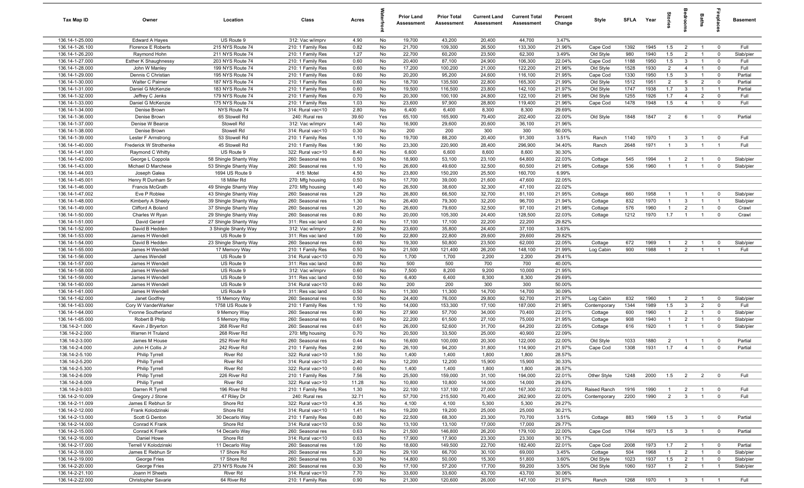| Tax Map ID                         | Owner                                | Location                              | Class                                  | Acres         |          | <b>Prior Land</b><br>Assessment | <b>Prior Total</b><br>Assessment | <b>Current Land</b><br><b>Assessment</b> | <b>Current Total</b><br>Assessment | Percent<br>Change | Style                  | <b>SFI A</b> | Year         | ā                     |                         | Baths                            | repla                         | <b>Basement</b>    |
|------------------------------------|--------------------------------------|---------------------------------------|----------------------------------------|---------------|----------|---------------------------------|----------------------------------|------------------------------------------|------------------------------------|-------------------|------------------------|--------------|--------------|-----------------------|-------------------------|----------------------------------|-------------------------------|--------------------|
| 136.14-1-25.000                    | <b>Edward A Hayes</b>                | US Route 9                            | 312: Vac w/imprv                       | 4.90          | No       | 19,700                          | 43,200                           | 20,400                                   | 44,700                             | 3.47%             |                        |              |              |                       |                         |                                  |                               |                    |
| 136.14-1-26.100                    | Florence E Roberts                   | 215 NYS Route 74                      | 210: 1 Family Res                      | 0.82          | No       | 21,700                          | 109,300                          | 26,500                                   | 133,300                            | 21.96%            | Cape Cod               | 1392         | 1945         | 1.5                   | $\overline{2}$          |                                  | $\mathbf 0$                   | Full               |
| 136.14-1-26.200                    | Raymond Hohn                         | 211 NYS Route 74                      | 210: 1 Family Res                      | 1.27          | No       | 22,700                          | 60,200                           | 23,500                                   | 62,300                             | 3.49%             | Old Style              | 980          | 1940         | 1.5                   | $\overline{2}$          |                                  | $^{\circ}$                    | Slab/pier          |
| 136.14-1-27.000                    | Esther K Shaughnessy                 | 203 NYS Route 74                      | 210: 1 Family Res                      | 0.60          | No       | 20,400                          | 87,100                           | 24,900                                   | 106,300                            | 22.04%            | Cape Cod               | 1188         | 1950         | 1.5                   | $\mathbf{3}$            |                                  | $^{\circ}$                    | Full               |
| 136.14-1-28.000                    | John W Manley                        | 199 NYS Route 74                      | 210: 1 Family Res                      | 0.60          | No       | 17,200                          | 100,200                          | 21,000                                   | 122,200                            | 21.96%            | Old Style              | 1528         | 1930         | $\overline{2}$        | $\overline{4}$          | $\overline{1}$                   | $^{\circ}$                    | Full               |
| 136.14-1-29.000                    | Dennis C Christian                   | 195 NYS Route 74                      | 210: 1 Family Res                      | 0.60          | No       | 20,200                          | 95,200                           | 24,600                                   | 116,100                            | 21.95%            | Cape Cod               | 1330         | 1950         | 1.5                   | $\mathbf{3}$            | $\overline{1}$                   | $\mathbf 0$                   | Partial            |
| 136.14-1-30.000<br>136.14-1-31.000 | Walter C Palmer<br>Daniel G McKenzie | 187 NYS Route 74<br>183 NYS Route 74  | 210: 1 Family Res<br>210: 1 Family Res | 0.60<br>0.60  | No<br>No | 18,700<br>19,500                | 135,500<br>116,500               | 22,800<br>23,800                         | 165,300<br>142,100                 | 21.99%<br>21.97%  | Old Style<br>Old Style | 1512<br>1747 | 1951<br>1938 | $\overline{2}$<br>1.7 | 5<br>$\mathbf{3}$       | $\overline{2}$<br>$\overline{1}$ | $\mathbf 0$<br>$\overline{1}$ | Partial<br>Partial |
| 136.14-1-32.000                    | Jeffrey C Jenks                      | 179 NYS Route 74                      | 210: 1 Family Res                      | 0.70          | No       | 20,300                          | 100,100                          | 24,800                                   | 122,100                            | 21.98%            | Old Style              | 1255         | 1926         | 1.7                   | $\overline{4}$          | $\overline{2}$                   | $\mathbf 0$                   | Full               |
| 136.14-1-33.000                    | Daniel G McKenzie                    | 175 NYS Route 74                      | 210: 1 Family Res                      | 1.03          | No       | 23,600                          | 97,900                           | 28,800                                   | 119,400                            | 21.96%            | Cape Cod               | 1478         | 1948         | 1.5                   | $\overline{4}$          | $\overline{1}$                   | $^{\circ}$                    | Full               |
| 136.14-1-34.000                    | Denise Brown                         | NYS Route 74                          | 314: Rural vac<10                      | 2.80          | No       | 6,400                           | 6,400                            | 8,300                                    | 8,300                              | 29.69%            |                        |              |              |                       |                         |                                  |                               |                    |
| 136.14-1-36.000                    | Denise Brown                         | 65 Stowell Rd                         | 240: Rural res                         | 39.60         | Yes      | 65,100                          | 165,900                          | 79,400                                   | 202,400                            | 22.00%            | Old Style              | 1848         | 1847         | $\overline{2}$        | 6                       | $\overline{1}$                   | $\mathbf 0$                   | Partial            |
| 136.14-1-37.000                    | Denise W Bearce                      | Stowell Rd                            | 312: Vac w/imprv                       | 1.40          | No       | 16,900                          | 29,600                           | 20,600                                   | 36,100                             | 21.96%            |                        |              |              |                       |                         |                                  |                               |                    |
| 136.14-1-38.000                    | Denise Brown                         | Stowell Rd                            | 314: Rural vac<10                      | 0.30          | No       | 200                             | 200                              | 300                                      | 300                                | 50.00%            |                        |              |              |                       |                         |                                  |                               |                    |
| 136.14-1-39.000                    | Lester F Armstrong                   | 53 Stowell Rd                         | 210: 1 Family Res                      | 1.10          | No       | 19,700                          | 88,200                           | 20,400                                   | 91,300                             | 3.51%             | Ranch                  | 1140         | 1970         | $\overline{1}$        | $\mathbf{3}$            |                                  | $^{\circ}$                    | Full               |
| 136.14-1-40.000                    | Frederick W Strothenke               | 45 Stowell Rd                         | 210: 1 Family Res                      | 1.90          | No       | 23,300                          | 220,900                          | 28,400                                   | 296,900                            | 34.40%            | Ranch                  | 2648         | 1971         | $\overline{1}$        | $\mathbf{3}$            |                                  | $\overline{1}$                | Full               |
| 136.14-1-41.000                    | Raymond C Whitty                     | US Route 9                            | 322: Rural vac>10                      | 8.40          | No       | 6,600                           | 6,600                            | 8,600                                    | 8,600                              | 30.30%            |                        |              |              |                       |                         |                                  |                               |                    |
| 136.14-1-42.000                    | George L Coppola                     | 58 Shingle Shanty Way                 | 260: Seasonal res                      | 0.50          | No       | 18,900                          | 53,100                           | 23,100                                   | 64,800                             | 22.03%            | Cottage                | 545          | 1994         | $\mathbf{1}$          | $\overline{2}$          | $\overline{1}$                   | $^{\circ}$                    | Slab/pier          |
| 136.14-1-43.000                    | Michael D Marchese                   | 53 Shingle Shanty Way                 | 260: Seasonal res                      | 1.10          | No       | 26,600                          | 49,600                           | 32,500                                   | 60,500                             | 21.98%            | Cottage                | 536          | 1960         | $\overline{1}$        | $\overline{1}$          | $\overline{1}$                   | $\mathbf 0$                   | Slab/pier          |
| 136.14-1-44.003                    | Joseph Galea                         | 1694 US Route 9                       | 415: Motel                             | 4.50          | No       | 23,800                          | 150,200                          | 25,500                                   | 160,700                            | 6.99%             |                        |              |              |                       |                         |                                  |                               |                    |
| 136.14-1-45.001<br>136.14-1-46.000 | Henry R Dunham Sr<br>Francis McGrath | 18 Miller Rd<br>49 Shingle Shanty Way | 270: Mfg housing                       | 0.50<br>1.40  | No<br>No | 17,700<br>26,500                | 39,000<br>38,600                 | 21,600<br>32,300                         | 47,600<br>47,100                   | 22.05%<br>22.02%  |                        |              |              |                       |                         |                                  |                               |                    |
| 136.14-1-47.002                    | Eve P Roblee                         | 43 Shingle Shanty Way                 | 270: Mfg housing<br>260: Seasonal res  | 1.29          | No       | 26,800                          | 66,500                           | 32,700                                   | 81,100                             | 21.95%            | Cottage                | 660          | 1958         | $\overline{1}$        | $\overline{1}$          | $\overline{1}$                   | $^{\circ}$                    | Slab/pier          |
| 136.14-1-48.000                    | Kimberly A Sheely                    | 39 Shingle Shanty Way                 | 260: Seasonal res                      | 1.30          | No       | 26,400                          | 79,300                           | 32,200                                   | 96,700                             | 21.94%            | Cottage                | 832          | 1970         | $\overline{1}$        | $\mathbf{3}$            | $\overline{1}$                   | - 1                           | Slab/pier          |
| 136.14-1-49.000                    | Clifford A Boland                    | 37 Shingle Shanty Way                 | 260: Seasonal res                      | 1.20          | No       | 26,600                          | 79,600                           | 32,500                                   | 97,100                             | 21.98%            | Cottage                | 576          | 1960         | $\overline{1}$        | $\overline{2}$          | $\overline{1}$                   | $\mathbf 0$                   | Crawl              |
| 136.14-1-50.000                    | Charles W Ryan                       | 29 Shingle Shanty Way                 | 260: Seasonal res                      | 0.80          | No       | 20,000                          | 105,300                          | 24,400                                   | 128,500                            | 22.03%            | Cottage                | 1212         | 1970         | 1.7                   | $\overline{1}$          | $\mathbf{1}$                     | $\mathbf 0$                   | Crawl              |
| 136.14-1-51.000                    | David Gerard                         | 27 Shingle Shanty Way                 | 311: Res vac land                      | 0.40          | No       | 17,100                          | 17,100                           | 22,200                                   | 22,200                             | 29.82%            |                        |              |              |                       |                         |                                  |                               |                    |
| 136.14-1-52.000                    | David B Hedden                       | 3 Shingle Shanty Way                  | 312: Vac w/imprv                       | 2.50          | No       | 23,600                          | 35,800                           | 24,400                                   | 37,100                             | 3.63%             |                        |              |              |                       |                         |                                  |                               |                    |
| 136.14-1-53.000                    | James H Wendell                      | US Route 9                            | 311: Res vac land                      | 1.00          | No       | 22,800                          | 22,800                           | 29,600                                   | 29,600                             | 29.82%            |                        |              |              |                       |                         |                                  |                               |                    |
| 136.14-1-54.000                    | David B Hedden                       | 23 Shingle Shanty Way                 | 260: Seasonal res                      | 0.60          | No       | 19,300                          | 50,800                           | 23,500                                   | 62,000                             | 22.05%            | Cottage                | 672          | 1969         | -1                    | $\overline{2}$          |                                  | $\mathbf 0$                   | Slab/pier          |
| 136.14-1-55.000                    | James H Wendell                      | 17 Memory Way                         | 210: 1 Family Res                      | 0.50          | No       | 21,500                          | 121,400                          | 26,200                                   | 148,100                            | 21.99%            | Log Cabin              | 900          | 1988         | $\mathbf{1}$          | $\overline{2}$          |                                  |                               | Full               |
| 136.14-1-56.000                    | James Wendell                        | US Route 9                            | 314: Rural vac<10                      | 0.70          | No       | 1,700                           | 1,700                            | 2,200                                    | 2,200                              | 29.41%            |                        |              |              |                       |                         |                                  |                               |                    |
| 136.14-1-57.000                    | James H Wendell                      | US Route 9                            | 311: Res vac land                      | 0.80          | No       | 500                             | 500                              | 700                                      | 700                                | 40.00%            |                        |              |              |                       |                         |                                  |                               |                    |
| 136.14-1-58.000                    | James H Wendell                      | US Route 9                            | 312: Vac w/imprv                       | 0.60          | No       | 7,500                           | 8,200                            | 9,200                                    | 10,000                             | 21.95%            |                        |              |              |                       |                         |                                  |                               |                    |
| 136.14-1-59.000<br>136.14-1-60.000 | James H Wendell                      | US Route 9<br>US Route 9              | 311: Res vac land                      | 0.50          | No       | 6,400<br>200                    | 6,400                            | 8,300<br>300                             | 8,300                              | 29.69%<br>50.00%  |                        |              |              |                       |                         |                                  |                               |                    |
| 136.14-1-61.000                    | James H Wendell<br>James H Wendell   | US Route 9                            | 314: Rural vac<10<br>311: Res vac land | 0.60<br>0.50  | No<br>No | 11,300                          | 200<br>11,300                    | 14,700                                   | 300<br>14,700                      | 30.09%            |                        |              |              |                       |                         |                                  |                               |                    |
| 136.14-1-62.000                    | Janet Godfrey                        | 15 Memory Way                         | 260: Seasonal res                      | 0.50          | No       | 24,400                          | 76,000                           | 29,800                                   | 92,700                             | 21.97%            | Log Cabin              | 832          | 1960         | $\overline{1}$        | $\overline{2}$          | $\overline{1}$                   | $\mathbf 0$                   | Slab/pier          |
| 136.14-1-63.000                    | Cory W VanderWarker                  | 1758 US Route 9                       | 210: 1 Family Res                      | 1.10          | No       | 14,000                          | 153,300                          | 17,100                                   | 187,000                            | 21.98%            | Contemporary           | 1344         | 1989         | 1.5                   | $\overline{\mathbf{3}}$ | $\overline{2}$                   | $\mathbf 0$                   | Full               |
| 136.14-1-64.000                    | Yvonne Southerland                   | 9 Memory Way                          | 260: Seasonal res                      | 0.90          | No       | 27,900                          | 57,700                           | 34,000                                   | 70,400                             | 22.01%            | Cottage                | 600          | 1960         | $\mathbf{1}$          | $\overline{2}$          | $\overline{1}$                   | $^{\circ}$                    | Slab/pier          |
| 136.14-1-65.000                    | Robert B Philp                       | 5 Memory Way                          | 260: Seasonal res                      | 0.60          | No       | 22,200                          | 61,500                           | 27,100                                   | 75,000                             | 21.95%            | Cottage                | 908          | 1940         | $\mathbf{1}$          | $\overline{2}$          |                                  | $^{\circ}$                    | Slab/pier          |
| 136.14-2-1.000                     | Kevin J Bryerton                     | 268 River Rd                          | 260: Seasonal res                      | 0.61          | No       | 26,000                          | 52,600                           | 31,700                                   | 64,200                             | 22.05%            | Cottage                | 616          | 1920         | $\mathbf{1}$          | $\overline{1}$          | $\overline{1}$                   | $^{\circ}$                    | Slab/pier          |
| 136.14-2-2.000                     | Warren H Truland                     | 268 River Rd                          | 270: Mfg housing                       | 0.70          | No       | 20,500                          | 33,500                           | 25,000                                   | 40,900                             | 22.09%            |                        |              |              |                       |                         |                                  |                               |                    |
| 136.14-2-3.000                     | James M House                        | 252 River Rd                          | 260: Seasonal res                      | 0.44          | No       | 16,600                          | 100,000                          | 20,300                                   | 122,000                            | 22.00%            | Old Style              | 1033         | 1880         | $\overline{2}$        | $\overline{1}$          | $\overline{1}$                   | $\mathbf 0$                   | Partial            |
| 136.14-2-4.000                     | John H Collis Jr                     | 242 River Rd                          | 210: 1 Family Res                      | 2.90          | No       | 26,100                          | 94,200                           | 31,800                                   | 114,900                            | 21.97%            | Cape Cod               | 1308         | 1931         | 1.7                   | $\overline{4}$          | $\overline{1}$                   | $\mathbf 0$                   | Partial            |
| 136.14-2-5.100                     | Philip Tyrrell                       | <b>River Rd</b>                       | 322: Rural vac>10                      | 1.50          | No       | 1,400                           | 1,400                            | 1,800                                    | 1,800                              | 28.57%            |                        |              |              |                       |                         |                                  |                               |                    |
| 136.14-2-5.200                     | Philip Tyrrell                       | <b>River Rd</b>                       | 314: Rural vac<10                      | 2.40          | No.      | 12,200                          | 12,200                           | 15,900                                   | 15,900                             | 30.33%            |                        |              |              |                       |                         |                                  |                               |                    |
| 136.14-2-5.300                     | <b>Philip Tyrrell</b>                | River Rd                              | 322: Rural vac>10                      | 0.60          | No       | 1,400                           | 1,400                            | 1,800                                    | 1,800                              | 28.57%            |                        |              |              |                       |                         |                                  |                               |                    |
| 136.14-2-6.009                     | Philip Tyrrell                       | 226 River Rd                          | 210: 1 Family Res                      | 7.56          | No       | 25,500                          | 159,000                          | 31,100                                   | 194,000                            | 22.01%            | Other Style            | 1248         | 2000         | 1.5                   | $\overline{2}$          | $\overline{2}$                   | $\mathbf 0$                   | Full               |
| 136.14-2-8.009<br>136.14-2-9.003   | Philip Tyrrell<br>Darren R Tyrrell   | River Rd<br>196 River Rd              | 322: Rural vac>10<br>210: 1 Family Res | 11.28<br>1.30 | No<br>No | 10,800<br>22,100                | 10,800<br>137,100                | 14,000<br>27,000                         | 14,000<br>167,300                  | 29.63%<br>22.03%  | Raised Ranch           | 1916         | 1990         | $\overline{1}$        | $\overline{2}$          | $\overline{1}$                   | $\mathbf 0$                   | Full               |
| 136.14-2-10.009                    | Gregory J Stone                      | 47 Riley Dr                           | 240: Rural res                         | 32.71         | No       | 57,700                          | 215,500                          | 70,400                                   | 262,900                            | 22.00%            | Contemporary           | 2200         | 1990         | $\overline{2}$        | $\overline{3}$          | $\mathbf{1}$                     | $\mathbf 0$                   | Full               |
| 136.14-2-11.009                    | James E Rebhun Sr                    | Shore Rd                              | 322: Rural vac>10                      | 4.35          | No       | 4,100                           | 4,100                            | 5,300                                    | 5,300                              | 29.27%            |                        |              |              |                       |                         |                                  |                               |                    |
| 136.14-2-12.000                    | Frank Kolodzinski                    | Shore Rd                              | 314: Rural vac<10                      | 1.41          | No       | 19,200                          | 19,200                           | 25,000                                   | 25,000                             | 30.21%            |                        |              |              |                       |                         |                                  |                               |                    |
| 136.14-2-13.000                    | Scott G Denton                       | 30 Decarlo Way                        | 210: 1 Family Res                      | 0.80          | No       | 22,500                          | 68,300                           | 23,300                                   | 70,700                             | 3.51%             | Cottage                | 883          | 1969         | 1.5                   | $\mathbf{3}$            | $\overline{1}$                   | $\overline{\mathbf{0}}$       | Partial            |
| 136.14-2-14.000                    | Conrad K Frank                       | Shore Rd                              | 314: Rural vac<10                      | 0.50          | No       | 13,100                          | 13,100                           | 17,000                                   | 17,000                             | 29.77%            |                        |              |              |                       |                         |                                  |                               |                    |
| 136.14-2-15.000                    | Conrad K Frank                       | 14 Decarlo Way                        | 260: Seasonal res                      | 0.63          | No       | 21,500                          | 146,800                          | 26,200                                   | 179,100                            | 22.00%            | Cape Cod               | 1764         | 1973         | 1.5                   | $\overline{\mathbf{3}}$ | $\overline{1}$                   | $\overline{\mathbf{0}}$       | Partial            |
| 136.14-2-16.000                    | Daniel Howe                          | Shore Rd                              | 314: Rural vac<10                      | 0.63          | No       | 17,900                          | 17,900                           | 23,300                                   | 23,300                             | 30.17%            |                        |              |              |                       |                         |                                  |                               |                    |
| 136.14-2-17.000                    | Terrell V Kolodzinski                | 11 Decarlo Way                        | 260: Seasonal res                      | 1.00          | No       | 18,600                          | 149,500                          | 22,700                                   | 182,400                            | 22.01%            | Cape Cod               | 2008         | 1973         | 1.7                   | $\overline{2}$          | $\mathbf{1}$                     | $\overline{\mathbf{0}}$       | Partial            |
| 136.14-2-18.000                    | James E Rebhun Sr                    | 17 Shore Rd                           | 260: Seasonal res                      | 5.20          | No       | 29,100                          | 66,700                           | 30,100                                   | 69,000                             | 3.45%             | Cottage                | 504          | 1968         | $\overline{1}$        | $\overline{2}$          | $\overline{1}$                   | $\overline{\mathbf{0}}$       | Slab/pier          |
| 136.14-2-19.000                    | George Fries                         | 17 Shore Rd                           | 260: Seasonal res                      | 0.30          | No       | 14,800                          | 50,000                           | 15,300                                   | 51,800                             | 3.60%             | Old Style              | 1023         | 1937         | 1.5                   | $\overline{2}$          | $\overline{1}$                   | $\overline{0}$                | Slab/pier          |
| 136.14-2-20.000                    | George Fries                         | 273 NYS Route 74                      | 260: Seasonal res                      | 0.30          | No       | 17,100                          | 57,200                           | 17,700                                   | 59,200                             | 3.50%             | Old Style              | 1060         | 1937         | $\overline{1}$        | $\overline{2}$          | $\overline{1}$                   | $\overline{1}$                | Slab/pier          |
| 136.14-2-21.100                    | Joann H Sheets                       | River Rd                              | 314: Rural vac<10                      | 7.70          | No       | 33,600                          | 33,600                           | 43,700                                   | 43,700                             | 30.06%            |                        |              |              |                       |                         |                                  |                               |                    |
| 136.14-2-22.000                    | Christopher Savarie                  | 64 River Rd                           | 210: 1 Family Res                      | 0.90          | No       | 21,300                          | 120,600                          | 26,000                                   | 147,100                            | 21.97%            | Ranch                  | 1268         | 1970         |                       | $1 \quad 3 \quad 1$     |                                  | $\overline{1}$                | Full               |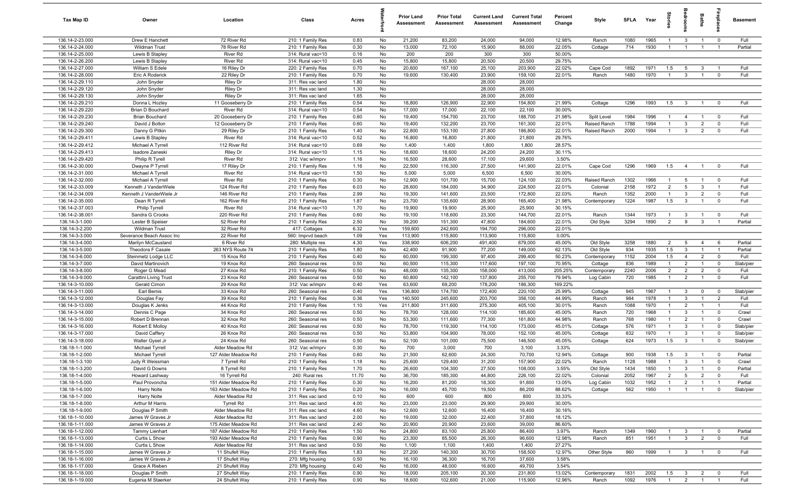| Tax Map ID                         | Owner                                      | Location                             | Class                                  | Acres        |            | <b>Prior Land</b><br>Assessment | <b>Prior Total</b><br>Assessment | <b>Current Land</b><br>Assessment | <b>Current Total</b><br>Assessment | Percent<br>Change | Style                 | <b>SFLA</b>  | Year         | ŝ                                |                              | Baths                            | repla                      | <b>Basement</b>   |
|------------------------------------|--------------------------------------------|--------------------------------------|----------------------------------------|--------------|------------|---------------------------------|----------------------------------|-----------------------------------|------------------------------------|-------------------|-----------------------|--------------|--------------|----------------------------------|------------------------------|----------------------------------|----------------------------|-------------------|
| 136.14-2-23.000                    | Drew E Hanchett                            | 72 River Rd                          | 210: 1 Family Res                      | 0.83         | No         | 21,200                          | 83,200                           | 24,000                            | 94,000                             | 12.98%            | Ranch                 | 1080         | 1965         | $\overline{1}$                   | $\mathbf{3}$                 | $\overline{1}$                   | $\mathbf 0$                | Full              |
| 136.14-2-24.000                    | <b>Wildman Trust</b>                       | 78 River Rd                          | 210: 1 Family Res                      | 0.30         | No         | 13,000                          | 72,100                           | 15,900                            | 88,000                             | 22.05%            | Cottage               | 714          | 1930         | $\mathbf{1}$                     | $\overline{1}$               | $\overline{1}$                   | $\overline{1}$             | Partial           |
| 136.14-2-25.000                    | Lewis B Stapley                            | River Rd                             | 314: Rural vac<10                      | 0.16         | No         | 200                             | 200                              | 300                               | 300                                | 50.00%            |                       |              |              |                                  |                              |                                  |                            |                   |
| 136.14-2-26.200                    | Lewis B Stapley                            | <b>River Rd</b>                      | 314: Rural vac<10                      | 0.45         | No         | 15,800                          | 15,800                           | 20,500                            | 20,500                             | 29.75%            |                       |              |              |                                  |                              |                                  |                            |                   |
| 136.14-2-27.000                    | William S Edele                            | 16 Riley Dr                          | 220: 2 Family Res                      | 0.70         | No         | 20,600                          | 167,100                          | 25,100                            | 203,900                            | 22.02%            | Cape Cod              | 1892         | 1971         | 1.5                              | 5                            | $\mathbf{3}$                     |                            | Full              |
| 136.14-2-28.000                    | Eric A Roderick                            | 22 Riley Dr                          | 210: 1 Family Res                      | 0.70         | No         | 19,600                          | 130,400                          | 23,900                            | 159,100                            | 22.01%            | Ranch                 | 1480         | 1970         |                                  | $\mathbf{3}$                 |                                  | $\Omega$                   | Full              |
| 136.14-2-29.110                    | John Snyder                                | Riley Dr                             | 311: Res vac land                      | 1.80         | No         |                                 |                                  | 28,000<br>28,000                  | 28,000<br>28,000                   |                   |                       |              |              |                                  |                              |                                  |                            |                   |
| 136.14-2-29.120<br>136.14-2-29.130 | John Snyder                                | <b>Riley Dr</b>                      | 311: Res vac land<br>311: Res vac land | 1.30         | No<br>No   |                                 |                                  | 28,000                            | 28,000                             |                   |                       |              |              |                                  |                              |                                  |                            |                   |
| 136.14-2-29.210                    | John Snyder<br>Donna L Hozley              | <b>Riley Dr</b><br>11 Gooseberry Dr  | 210: 1 Family Res                      | 1.65<br>0.54 | No         | 18,800                          | 126,900                          | 22,900                            | 154,800                            | 21.99%            | Cottage               | 1296         | 1993         | 1.5                              | $\overline{\mathbf{3}}$      | $\overline{1}$                   | $\mathbf 0$                | Full              |
| 136.14-2-29.220                    | Brian D Bouchard                           | River Rd                             | 314: Rural vac<10                      | 0.54         | No         | 17,000                          | 17,000                           | 22,100                            | 22,100                             | 30.00%            |                       |              |              |                                  |                              |                                  |                            |                   |
| 136.14-2-29.230                    | <b>Brian Bouchard</b>                      | 20 Gooseberry Dr                     | 210: 1 Family Res                      | 0.60         | No         | 19,400                          | 154,700                          | 23,700                            | 188,700                            | 21.98%            | Split Level           | 1984         | 1996         | $\overline{1}$                   | $\overline{4}$               | $\overline{1}$                   | $\mathbf 0$                | Full              |
| 136.14-2-29.240                    | David J Bolton                             | 12 Gooseberry Dr                     | 210: 1 Family Res                      | 0.60         | No         | 19,400                          | 132,200                          | 23,700                            | 161,300                            | 22.01%            | Raised Ranch          | 1788         | 1994         | $\overline{1}$                   | 3                            | $\overline{2}$                   | $\Omega$                   | Full              |
| 136.14-2-29.300                    | Danny G Pitkin                             | 29 Riley Dr                          | 210: 1 Family Res                      | 1.40         | No         | 22,800                          | 153,100                          | 27,800                            | 186,800                            | 22.01%            | Raised Ranch          | 2000         | 1994         | $\overline{1}$                   | $\mathbf{3}$                 | $\overline{2}$                   | $\mathbf 0$                | Full              |
| 136.14-2-29.411                    | Lewis B Stapley                            | River Rd                             | 314: Rural vac<10                      | 0.52         | No         | 16,800                          | 16,800                           | 21,800                            | 21,800                             | 29.76%            |                       |              |              |                                  |                              |                                  |                            |                   |
| 136.14-2-29.412                    | Michael A Tyrrell                          | 112 River Rd                         | 314: Rural vac<10                      | 0.69         | No         | 1,400                           | 1,400                            | 1,800                             | 1,800                              | 28.57%            |                       |              |              |                                  |                              |                                  |                            |                   |
| 136.14-2-29.413                    | Isadore Zaneski                            | <b>Riley Dr</b>                      | 314: Rural vac<10                      | 1.15         | No         | 18,600                          | 18,600                           | 24,200                            | 24,200                             | 30.11%            |                       |              |              |                                  |                              |                                  |                            |                   |
| 136.14-2-29.420                    | Philip R Tyrell                            | River Rd                             | 312: Vac w/imprv                       | 1.16         | No         | 16,500                          | 28,600                           | 17,100                            | 29,600                             | 3.50%             |                       |              |              |                                  |                              |                                  |                            |                   |
| 136.14-2-30.000                    | Dwayne P Tyrrell                           | 17 Riley Dr                          | 210: 1 Family Res                      | 1.16         | No         | 22,500                          | 116,300                          | 27,500                            | 141,900                            | 22.01%            | Cape Cod              | 1296         | 1969         | 1.5                              | $\overline{4}$               |                                  | $\mathbf 0$                | Full              |
| 136.14-2-31.000                    | Michael A Tyrrell                          | River Rd                             | 314: Rural vac<10                      | 1.50         | No         | 5,000                           | 5,000                            | 6,500                             | 6,500                              | 30.00%            |                       |              |              |                                  |                              |                                  |                            |                   |
| 136.14-2-32.000                    | Michael A Tyrrell                          | River Rd                             | 210: 1 Family Res                      | 0.30         | No         | 12,900                          | 101,700                          | 15,700                            | 124,100                            | 22.03%            | Raised Ranch          | 1302         | 1966         | $\overline{1}$                   | 5                            | $\overline{1}$                   | $\overline{0}$             | Full              |
| 136.14-2-33.009                    | Kenneth J VanderWiele                      | 124 River Rd                         | 210: 1 Family Res                      | 6.03         | No         | 28,600                          | 184,000                          | 34,900                            | 224,500                            | 22.01%            | Colonial              | 2158         | 1972         | $\overline{2}$<br>$\overline{1}$ | $5\overline{5}$              | $\overline{3}$                   | $\overline{1}$             | Full              |
| 136.14-2-34.009<br>136.14-2-35.000 | Kenneth J VanderWiele Jr<br>Dean R Tyrrell | 146 River Rd<br>162 River Rd         | 210: 1 Family Res<br>210: 1 Family Res | 2.99<br>1.87 | No<br>No   | 19,300<br>23,700                | 141,600<br>135,600               | 23,500<br>28,900                  | 172,800<br>165,400                 | 22.03%<br>21.98%  | Ranch<br>Contemporary | 1352<br>1224 | 2000<br>1987 | 1.5                              | $\mathbf{3}$<br>$\mathbf{3}$ | $\overline{2}$<br>$\overline{1}$ | $\mathbf 0$<br>$\mathbf 0$ | Full<br>Full      |
| 136.14-2-37.003                    | Philip Tyrrell                             | River Rd                             | 314: Rural vac<10                      | 1.70         | No         | 19,900                          | 19,900                           | 25,900                            | 25,900                             | 30.15%            |                       |              |              |                                  |                              |                                  |                            |                   |
| 136.14-2-38.001                    | Sandra G Crooks                            | 220 River Rd                         | 210: 1 Family Res                      | 0.60         | No         | 19,100                          | 118,600                          | 23,300                            | 144,700                            | 22.01%            | Ranch                 | 1344         | 1973         | $\overline{1}$                   | 3                            | $\overline{1}$                   | $\mathbf 0$                | Full              |
| 136.14-3-1.000                     | Lester B Speiser                           | 52 River Rd                          | 210: 1 Family Res                      | 2.50         | No         | 39,200                          | 151,300                          | 47,800                            | 184,600                            | 22.01%            | Old Style             | 3294         | 1890         | $\overline{2}$                   | 9                            | $\mathbf{3}$                     | $\overline{1}$             | Partial           |
| 136.14-3-2.200                     | <b>Wildman Trust</b>                       | 32 River Rd                          | 417: Cottages                          | 6.32         | Yes        | 159,600                         | 242,600                          | 194,700                           | 296,000                            | 22.01%            |                       |              |              |                                  |                              |                                  |                            |                   |
| 136.14-3-3.000                     | Severance Beach Assoc Inc                  | 22 River Rd                          | 560: Imprvd beach                      | 1.09         | Yes        | 113,900                         | 115,800                          | 113,900                           | 115,800                            | 0.00%             |                       |              |              |                                  |                              |                                  |                            |                   |
| 136.14-3-4.000                     | Marilyn McCausland                         | 6 River Rd                           | 280: Multiple res                      | 4.30         | Yes        | 338,900                         | 606,200                          | 491,400                           | 879,000                            | 45.00%            | Old Style             | 3258         | 1880         | $\overline{2}$                   | 5                            | $\overline{4}$                   | 6                          | Partial           |
| 136.14-3-5.000                     | Theodora F Casale                          | 263 NYS Route 74                     | 210: 1 Family Res                      | 1.80         | No         | 42,400                          | 91,900                           | 77,200                            | 149,000                            | 62.13%            | Old Style             | 934          | 1935         | 1.5                              | $\mathbf{3}$                 | $\overline{1}$                   | $\mathbf{1}$               | Partial           |
| 136.14-3-6.000                     | Steinmetz Lodge LLC                        | 15 Knox Rd                           | 210: 1 Family Res                      | 0.40         | No         | 60,000                          | 199,300                          | 97,400                            | 299,400                            | 50.23%            | Contemporary          | 1152         | 2004         | 1.5                              | $\overline{4}$               | $\overline{2}$                   | $\Omega$                   | Full              |
| 136.14-3-7.000                     | David Martinovich                          | 19 Knox Rd                           | 260: Seasonal res                      | 0.50         | No         | 60,500                          | 115,300                          | 117,600                           | 197,100                            | 70.95%            | Cottage               | 836          | 1989         | $\mathbf{1}$                     | $\overline{2}$               | $\overline{1}$                   | $\mathbf 0$                | Slab/pier         |
| 136.14-3-8.000                     | Roger G Mead                               | 27 Knox Rd                           | 210: 1 Family Res                      | 0.50         | No         | 48,000                          | 135,300                          | 158,000                           | 413,000                            | 205.25%           | Contemporary          | 2240         | 2006         | $\overline{2}$                   | $\overline{2}$               | $\overline{2}$                   | $\mathbf 0$                | Full              |
| 136.14-3-9.000                     | Carattini Living Trust                     | 23 Knox Rd                           | 260: Seasonal res                      | 0.50         | No         | 60,800                          | 142,100                          | 137,800                           | 255,700                            | 79.94%            | Log Cabin             | 720          | 1985         | $\overline{1}$                   | $\overline{2}$               | $\overline{1}$                   | $\mathbf 0$                | Full              |
| 136.14-3-10.000                    | Gerald Cimon                               | 29 Knox Rd                           | 312: Vac w/imprv                       | 0.40         | Yes        | 63,600                          | 69,200                           | 178,200                           | 186,300                            | 169.22%           |                       |              |              |                                  |                              |                                  |                            |                   |
| 136.14-3-11.000<br>136.14-3-12.000 | Earl Bemis                                 | 33 Knox Rd<br>39 Knox Rd             | 260: Seasonal res<br>210: 1 Family Res | 0.40<br>0.36 | Yes<br>Yes | 136,800<br>140,500              | 174,700<br>245,600               | 172,400<br>203,700                | 220,100<br>356,100                 | 25.99%<br>44.99%  | Cottage               | 945<br>984   | 1967<br>1978 | $\overline{1}$<br>$\overline{1}$ | $\mathbf{3}$<br>$\mathbf{3}$ | $\mathbf 0$<br>$\overline{1}$    | $\Omega$<br>$\overline{2}$ | Slab/pier<br>Full |
| 136.14-3-13.000                    | Douglas Fay<br>Douglas K Jenks             | 44 Knox Rd                           | 210: 1 Family Res                      | 1.10         | Yes        | 211,800                         | 311,600                          | 275,300                           | 405,100                            | 30.01%            | Ranch<br>Ranch        | 1088         | 1970         | $\overline{1}$                   | 2                            | $\overline{1}$                   | $\overline{1}$             | Full              |
| 136.14-3-14.000                    | Dennis C Page                              | 34 Knox Rd                           | 260: Seasonal res                      | 0.50         | No         | 78,700                          | 128,000                          | 114,100                           | 185,600                            | 45.00%            | Ranch                 | 720          | 1968         | $\mathbf{1}$                     | $\mathbf{3}$                 | $\overline{1}$                   | $\mathbf 0$                | Crawl             |
| 136.14-3-15.000                    | Robert D Brennan                           | 32 Knox Rd                           | 260: Seasonal res                      | 0.50         | No         | 53,300                          | 111,600                          | 77,300                            | 161,800                            | 44.98%            | Ranch                 | 768          | 1980         | $\overline{1}$                   | $\overline{2}$               | $\overline{1}$                   | $\mathbf 0$                | Crawl             |
| 136.14-3-16.000                    | Robert E Molloy                            | 40 Knox Rd                           | 260: Seasonal res                      | 0.50         | No         | 78,700                          | 119,300                          | 114,100                           | 173,000                            | 45.01%            | Cottage               | 576          | 1971         | $\mathbf{1}$                     | $\mathbf{3}$                 | $\overline{1}$                   | $\mathbf 0$                | Slab/pier         |
| 136.14-3-17.000                    | David Caffery                              | 26 Knox Rd                           | 260: Seasonal res                      | 0.50         | No         | 53,800                          | 104,900                          | 78,000                            | 152,100                            | 45.00%            | Cottage               | 832          | 1970         | $\mathbf{1}$                     | $\mathbf{3}$                 |                                  | $\mathbf 0$                | Slab/pier         |
| 136.14-3-18.000                    | Walter Gysel Jr                            | 24 Knox Rd                           | 260: Seasonal res                      | 0.50         | No         | 52,100                          | 101,000                          | 75,500                            | 146,500                            | 45.05%            | Cottage               | 624          | 1973         | 1.5                              | $\mathbf{3}$                 |                                  | $\Omega$                   | Slab/pier         |
| 136.18-1-1.000                     | Michael Tyrrell                            | Alder Meadow Rd                      | 312: Vac w/imprv                       | 0.30         | No         | 700                             | 3,000                            | 700                               | 3,100                              | 3.33%             |                       |              |              |                                  |                              |                                  |                            |                   |
| 136.18-1-2.000                     | Michael Tyrrell                            | 127 Alder Meadow Rd                  | 210: 1 Family Res                      | 0.60         | No         | 21,500                          | 62,600                           | 24,300                            | 70,700                             | 12.94%            | Cottage               | 900          | 1938         | 1.5                              | $\mathbf{3}$                 | $\overline{1}$                   | $\Omega$                   | Partial           |
| 136.18-1-3.100                     | Judy R Weissman                            | 7 Tyrrell Rd                         | 210: 1 Family Res                      | 1.18         | No         | 25,600                          | 129,400                          | 31,200                            | 157,900                            | 22.02%            | Ranch                 | 1128         | 1988         |                                  | -3                           |                                  |                            | Crawl             |
| 136.18-1-3.200                     | David G Downs                              | 8 Tyrrell Rd                         | 210: 1 Family Res                      | 1.70         | No         | 26,600                          | 104,300                          | 27,500                            | 108,000                            | 3.55%             | Old Style             | 1434         | 1850         | $\overline{1}$                   | $\overline{3}$               | $\overline{1}$                   | $\mathbf 0$                | Partial           |
| 136.18-1-4.000                     | Howard Lashway                             | 16 Tyrrell Rd                        | 240: Rural res                         | 11.70        | No         | 36,700                          | 185,300                          | 44,800                            | 226,100                            | 22.02%            | Colonial              | 2052         | 1967         | 2                                | $5\overline{5}$              | $\overline{2}$                   | $\mathbf 0$                | Full              |
| 136.18-1-5.000                     | Paul Provoncha                             | 151 Alder Meadow Rd                  | 210: 1 Family Res                      | 0.30         | No         | 16,200                          | 81,200                           | 18,300                            | 91,800                             | 13.05%            | Log Cabin             | 1032         | 1952         | $\overline{1}$                   | $\overline{2}$               | $\overline{1}$                   | $\overline{1}$             | Partial           |
| 136.18-1-6.000                     | <b>Harry Nolte</b>                         | 163 Alder Meadow Rd                  | 210: 1 Family Res                      | 0.20         | No         | 16,000                          | 45,700                           | 19,500                            | 86,200                             | 88.62%            | Cottage               | 562          | 1950         | $\overline{1}$                   | $\overline{1}$               | $\overline{1}$                   | $\mathbf 0$                | Slab/pier         |
| 136.18-1-7.000<br>136.18-1-8.000   | <b>Harry Nolte</b><br>Arthur M Harris      | Alder Meadow Rd<br><b>Tyrrell Rd</b> | 311: Res vac land<br>311: Res vac land | 0.10<br>4.00 | No<br>No   | 600<br>23,000                   | 600<br>23,000                    | 800<br>29,900                     | 800<br>29,900                      | 33.33%<br>30.00%  |                       |              |              |                                  |                              |                                  |                            |                   |
| 136.18-1-9.000                     | Douglas P Smith                            | Alder Meadow Rd                      | 311: Res vac land                      | 4.60         | No         | 12,600                          | 12,600                           | 16,400                            | 16,400                             | 30.16%            |                       |              |              |                                  |                              |                                  |                            |                   |
| 136.18-1-10.000                    | James W Graves Jr                          | Alder Meadow Rd                      | 311: Res vac land                      | 2.00         | No         | 19,000                          | 32,000                           | 22,400                            | 37,800                             | 18.12%            |                       |              |              |                                  |                              |                                  |                            |                   |
| 136.18-1-11.000                    | James W Graves Jr                          | 175 Alder Meadow Rd                  | 311: Res vac land                      | 2.40         | No         | 20,900                          | 20,900                           | 23,600                            | 39,000                             | 86.60%            |                       |              |              |                                  |                              |                                  |                            |                   |
| 136.18-1-12.000                    | <b>Tammy Lienhart</b>                      | 187 Alder Meadow Rd                  | 210: 1 Family Res                      | 1.50         | No         | 24,800                          | 83,100                           | 25,800                            | 86,400                             | 3.97%             | Ranch                 | 1349         | 1960         |                                  | $\mathbf{3}$                 | $\overline{1}$                   | $\mathbf 0$                | Partial           |
| 136.18-1-13.000                    | Curtis L Show                              | 193 Alder Meadow Rd                  | 210: 1 Family Res                      | 0.90         | No         | 23,300                          | 85,500                           | 26,300                            | 96,600                             | 12.98%            | Ranch                 | 851          | 1951         | $\overline{1}$                   | $\mathbf{3}$                 | $\overline{2}$                   | $\mathbf 0$                | Full              |
| 136.18-1-14.000                    | Curtis L Show                              | Alder Meadow Rd                      | 311: Res vac land                      | 0.50         | No         | 1,100                           | 1,100                            | 1,400                             | 1,400                              | 27.27%            |                       |              |              |                                  |                              |                                  |                            |                   |
| 136.18-1-15.000                    | James W Graves Jr                          | 11 Shufelt Way                       | 210: 1 Family Res                      | 1.83         | No         | 27,200                          | 140,300                          | 30,700                            | 158,500                            | 12.97%            | Other Style           | 960          | 1999         | $\overline{1}$                   | $\mathbf{3}$                 | $\overline{1}$                   | $\overline{\mathbf{0}}$    | Full              |
| 136.18-1-16.000                    | James W Graves Jr                          | 17 Shufelt Way                       | 270: Mfg housing                       | 0.50         | No         | 16,100                          | 36,300                           | 16,700                            | 37,600                             | 3.58%             |                       |              |              |                                  |                              |                                  |                            |                   |
| 136.18-1-17.000                    | Grace A Rieben                             | 21 Shufelt Way                       | 270: Mfg housing                       | 0.40         | No         | 16,000                          | 48,000                           | 16,600                            | 49,700                             | 3.54%             |                       |              |              |                                  |                              |                                  |                            |                   |
| 136.18-1-18.000                    | Douglas P Smith                            | 27 Shufelt Way                       | 210: 1 Family Res                      | 0.90         | No         | 18,000                          | 205,100                          | 20,300                            | 231,800                            | 13.02%            | Contemporary          | 1831         | 2002         | 1.5                              | $\overline{\mathbf{3}}$      | $\overline{2}$                   | $\mathbf 0$                | Full              |
| 136.18-1-19.000                    | Eugenia M Staerker                         | 24 Shufelt Way                       | 210: 1 Family Res                      | 0.90         | No         | 18,600                          | 102,600                          | 21,000                            | 115,900                            | 12.96%            | Ranch                 | 1092         | 1976         | $\overline{1}$                   | $\overline{2}$               | $\overline{1}$                   | $\overline{1}$             | Full              |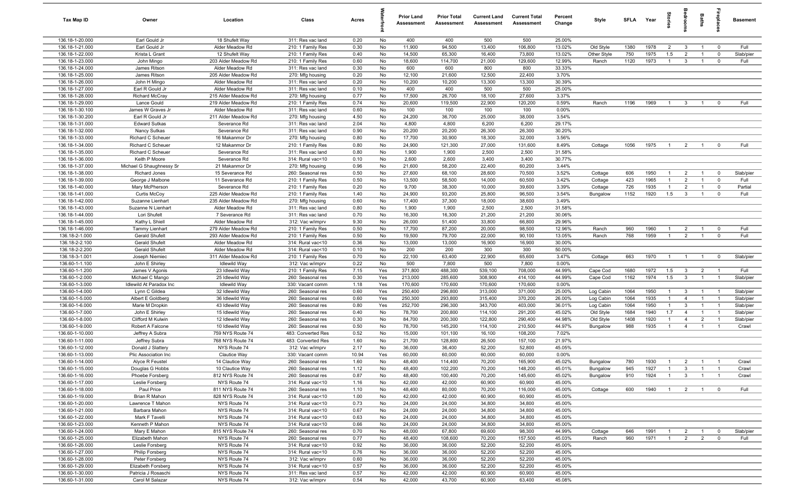| Tax Map ID                         | Owner                                  | Location                               | Class                                  | Acres        |            | <b>Prior Land</b><br>Assessment | <b>Prior Total</b><br>Assessment | <b>Current Land</b><br>Assessment | <b>Current Total</b><br>Assessment | Percent<br>Change | Style                  | SFLA Year    |              | tories                         | room                             | Baths                            | repla                            | <b>Basement</b>        |
|------------------------------------|----------------------------------------|----------------------------------------|----------------------------------------|--------------|------------|---------------------------------|----------------------------------|-----------------------------------|------------------------------------|-------------------|------------------------|--------------|--------------|--------------------------------|----------------------------------|----------------------------------|----------------------------------|------------------------|
| 136.18-1-20.000                    | Earl Gould Jr                          | 18 Shufelt Way                         | 311: Res vac land                      | 0.20         | No         | 400                             | 400                              | 500                               | 500                                | 25.00%            |                        |              |              |                                |                                  |                                  |                                  |                        |
| 136.18-1-21.000                    | Earl Gould Jr                          | Alder Meadow Rd                        | 210: 1 Family Res                      | 0.30         | No         | 11,900                          | 94,500                           | 13,400                            | 106,800                            | 13.02%            | Old Style              | 1380         | 1978         | $\overline{2}$                 | $\mathbf{3}$                     | $\overline{1}$                   | $\mathbf 0$                      | Full                   |
| 136.18-1-22.000                    | Krista L Grant                         | 12 Shufelt Way                         | 210: 1 Family Res                      | 0.40         | No         | 14,500                          | 65,300                           | 16,400                            | 73,800                             | 13.02%            | Other Style            | 750          | 1975         | 1.5                            | $\overline{2}$                   |                                  | $^{\circ}$                       | Slab/pier              |
| 136.18-1-23.000                    | John Mingo                             | 203 Alder Meadow Rd                    | 210: 1 Family Res                      | 0.60         | No         | 18,600                          | 114,700                          | 21,000                            | 129,600                            | 12.99%            | Ranch                  | 1120         | 1973         | $\overline{1}$                 | $\mathbf{3}$                     |                                  | $\mathbf 0$                      | Full                   |
| 136.18-1-24.000<br>136.18-1-25.000 | James Ritson<br>James Ritson           | Alder Meadow Rd<br>205 Alder Meadow Rd | 311: Res vac land<br>270: Mfg housing  | 0.30<br>0.20 | No<br>No   | 600<br>12,100                   | 600<br>21,600                    | 800<br>12,500                     | 800<br>22,400                      | 33.33%<br>3.70%   |                        |              |              |                                |                                  |                                  |                                  |                        |
| 136.18-1-26.000                    | John H Mingo                           | Alder Meadow Rd                        | 311: Res vac land                      | 0.20         | No         | 10,200                          | 10,200                           | 13,300                            | 13,300                             | 30.39%            |                        |              |              |                                |                                  |                                  |                                  |                        |
| 136.18-1-27.000                    | Earl R Gould Jr                        | Alder Meadow Rd                        | 311: Res vac land                      | 0.10         | No         | 400                             | 400                              | 500                               | 500                                | 25.00%            |                        |              |              |                                |                                  |                                  |                                  |                        |
| 136.18-1-28.000                    | Richard McCray                         | 215 Alder Meadow Rd                    | 270: Mfg housing                       | 0.77         | No         | 17,500                          | 26,700                           | 18,100                            | 27,600                             | 3.37%             |                        |              |              |                                |                                  |                                  |                                  |                        |
| 136.18-1-29.000                    | Lance Gould                            | 219 Alder Meadow Rd                    | 210: 1 Family Res                      | 0.74         | No         | 20,600                          | 119,500                          | 22,900                            | 120,200                            | 0.59%             | Ranch                  | 1196         | 1969         | $\overline{1}$                 | $\overline{3}$                   | $\overline{1}$                   | $^{\circ}$                       | Full                   |
| 136.18-1-30.100                    | James W Graves Jr                      | Alder Meadow Rd                        | 311: Res vac land                      | 0.60         | No         | 100                             | 100                              | 100                               | 100                                | 0.00%             |                        |              |              |                                |                                  |                                  |                                  |                        |
| 136.18-1-30.200                    | Earl R Gould Jr                        | 211 Alder Meadow Rd                    | 270: Mfg housing                       | 4.50         | No         | 24,200                          | 36,700                           | 25,000                            | 38,000                             | 3.54%             |                        |              |              |                                |                                  |                                  |                                  |                        |
| 136.18-1-31.000                    | <b>Edward Sutkas</b>                   | Severance Rd                           | 311: Res vac land                      | 2.04         | No         | 4,800                           | 4,800                            | 6,200                             | 6,200                              | 29.17%            |                        |              |              |                                |                                  |                                  |                                  |                        |
| 136.18-1-32.000                    | Nancy Sutkas                           | Severance Rd                           | 311: Res vac land                      | 0.90         | No         | 20,200                          | 20,200                           | 26,300                            | 26,300                             | 30.20%            |                        |              |              |                                |                                  |                                  |                                  |                        |
| 136.18-1-33.000                    | Richard C Scheuer                      | 16 Makanmor Dr                         | 270: Mfg housing                       | 0.80         | No         | 17,700                          | 30,900                           | 18,300                            | 32,000                             | 3.56%             |                        |              |              |                                |                                  |                                  |                                  |                        |
| 136.18-1-34.000<br>136.18-1-35.000 | Richard C Scheuer<br>Richard C Scheuer | 12 Makanmor Dr<br>Severance Rd         | 210: 1 Family Res<br>311: Res vac land | 0.80<br>0.80 | No<br>No   | 24,900<br>1,900                 | 121,300<br>1,900                 | 27,000<br>2,500                   | 131,600<br>2,500                   | 8.49%<br>31.58%   | Cottage                | 1056         | 1975         | $\overline{1}$                 | $\overline{2}$                   | $\mathbf{1}$                     | $^{\circ}$                       | Full                   |
| 136.18-1-36.000                    | Keith P Moore                          | Severance Rd                           | 314: Rural vac<10                      | 0.10         | No         | 2,600                           | 2,600                            | 3,400                             | 3,400                              | 30.77%            |                        |              |              |                                |                                  |                                  |                                  |                        |
| 136.18-1-37.000                    | Michael G Shaughnessy Sr               | 21 Makanmor Dr                         | 270: Mfg housing                       | 0.96         | No         | 21,600                          | 58,200                           | 22,400                            | 60,200                             | 3.44%             |                        |              |              |                                |                                  |                                  |                                  |                        |
| 136.18-1-38.000                    | Richard Jones                          | 15 Severance Rd                        | 260: Seasonal res                      | 0.50         | No         | 27,600                          | 68,100                           | 28,600                            | 70,500                             | 3.52%             | Cottage                | 606          | 1950         | $\overline{1}$                 | $\overline{2}$                   | $\overline{1}$                   | $^{\circ}$                       | Slab/pier              |
| 136.18-1-39.000                    | George J Malbone                       | 11 Severance Rd                        | 210: 1 Family Res                      | 0.50         | No         | 13,500                          | 58,500                           | 14,000                            | 60,500                             | 3.42%             | Cottage                | 423          | 1965         | $\overline{1}$                 | $\overline{2}$                   | $\overline{1}$                   | $\mathbf 0$                      | Full                   |
| 136.18-1-40.000                    | Mary McPherson                         | Severance Rd                           | 210: 1 Family Res                      | 0.20         | No         | 9,700                           | 38,300                           | 10,000                            | 39,600                             | 3.39%             | Cottage                | 726          | 1935         | $\overline{1}$                 | $\overline{2}$                   | $\overline{1}$                   | $\mathbf 0$                      | Partial                |
| 136.18-1-41.000                    | Curtis McCoy                           | 225 Alder Meadow Rd                    | 210: 1 Family Res                      | 1.40         | No         | 24,900                          | 93,200                           | 25,800                            | 96,500                             | 3.54%             | Bungalow               | 1152         | 1920         | 1.5                            | $\mathbf{3}$                     | $\overline{1}$                   | $^{\circ}$                       | Full                   |
| 136.18-1-42.000                    | Suzanne Lienhart                       | 235 Alder Meadow Rd                    | 270: Mfg housing                       | 0.60         | No         | 17,400                          | 37,300                           | 18,000                            | 38,600                             | 3.49%             |                        |              |              |                                |                                  |                                  |                                  |                        |
| 136.18-1-43.000                    | Suzanne N Lienhart                     | Alder Meadow Rd                        | 311: Res vac land                      | 0.80         | No         | 1,900                           | 1,900                            | 2,500                             | 2,500                              | 31.58%            |                        |              |              |                                |                                  |                                  |                                  |                        |
| 136.18-1-44.000                    | Lori Shufelt                           | 7 Severance Rd                         | 311: Res vac land                      | 0.70         | No         | 16,300                          | 16,300                           | 21,200                            | 21,200                             | 30.06%            |                        |              |              |                                |                                  |                                  |                                  |                        |
| 136.18-1-45.000<br>136.18-1-46.000 | Kathy L Shiell<br>Tammy Lienhart       | Alder Meadow Rd<br>279 Alder Meadow Rd | 312: Vac w/imprv<br>210: 1 Family Res  | 9.30<br>0.50 | No<br>No   | 26,000<br>17,700                | 51,400<br>87,200                 | 33,800<br>20,000                  | 66,800<br>98,500                   | 29.96%<br>12.96%  | Ranch                  | 960          | 1960         | $\overline{1}$                 | $\overline{2}$                   | $\overline{1}$                   | $^{\circ}$                       | Full                   |
| 136.18-2-1.000                     | Gerald Shufelt                         | 293 Alder Meadow Rd                    | 210: 1 Family Res                      | 0.50         | No         | 19,500                          | 79,700                           | 22,000                            | 90,100                             | 13.05%            | Ranch                  | 768          | 1959         | $\overline{1}$                 | $\overline{2}$                   | $\mathbf{1}$                     | $^{\circ}$                       | Full                   |
| 136.18-2-2.100                     | Gerald Shufelt                         | Alder Meadow Rd                        | 314: Rural vac<10                      | 0.36         | No         | 13,000                          | 13,000                           | 16,900                            | 16,900                             | 30.00%            |                        |              |              |                                |                                  |                                  |                                  |                        |
| 136.18-2-2.200                     | Gerald Shufelt                         | Alder Meadow Rd                        | 314: Rural vac<10                      | 0.10         | No         | 200                             | 200                              | 300                               | 300                                | 50.00%            |                        |              |              |                                |                                  |                                  |                                  |                        |
| 136.18-3-1.001                     | Joseph Niemiec                         | 311 Alder Meadow Rd                    | 210: 1 Family Res                      | 0.70         | No         | 22,100                          | 63,400                           | 22,900                            | 65,600                             | 3.47%             | Cottage                | 663          | 1970         | $\overline{1}$                 | $\overline{1}$                   | $\overline{1}$                   | $\overline{0}$                   | Slab/pier              |
| 136.60-1-1.100                     | John E Shirley                         | <b>Idlewild Way</b>                    | 312: Vac w/imprv                       | 0.22         | No         | 500                             | 7,800                            | 500                               | 7,800                              | 0.00%             |                        |              |              |                                |                                  |                                  |                                  |                        |
| 136.60-1-1.200                     | James V Agonis                         | 23 Idlewild Way                        | 210: 1 Family Res                      | 7.15         | Yes        | 371,800                         | 488,300                          | 539,100                           | 708,000                            | 44.99%            | Cape Cod               | 1680         | 1972         | 1.5                            | $\mathbf{3}$                     | $\overline{2}$                   | $\overline{1}$                   | Full                   |
| 136.60-1-2.000                     | Michael C Mango                        | 25 Idlewild Way                        | 260: Seasonal res                      | 0.30         | Yes        | 213,000                         | 285,600                          | 308,900                           | 414,100                            | 44.99%            | Cape Cod               | 1162         | 1974         | 1.5                            | $\overline{3}$                   | $\overline{1}$                   | $\overline{1}$                   | Slab/pier              |
| 136.60-1-3.000                     | Idlewild At Paradox Inc                | <b>Idlewild Way</b>                    | 330: Vacant comm                       | 1.18         | Yes        | 170,600                         | 170,600                          | 170,600                           | 170,600                            | 0.00%             |                        |              |              |                                |                                  |                                  |                                  |                        |
| 136.60-1-4.000<br>136.60-1-5.000   | Lynn C Gildea<br>Albert E Goldberg     | 32 Idlewild Way<br>36 Idlewild Way     | 260: Seasonal res<br>260: Seasonal res | 0.60<br>0.60 | Yes<br>Yes | 250,400<br>250,300              | 296,800<br>293,800               | 313,000<br>315,400                | 371,000<br>370,200                 | 25.00%<br>26.00%  | Log Cabin<br>Log Cabin | 1064<br>1064 | 1950<br>1935 | $\overline{1}$<br>$\mathbf{1}$ | $\mathbf{3}$<br>$\overline{4}$   | $\overline{1}$<br>$\overline{1}$ | $\overline{1}$<br>$\overline{1}$ | Slab/pier<br>Slab/pier |
| 136.60-1-6.000                     | Marie M Dropkin                        | 43 Idlewild Way                        | 260: Seasonal res                      | 0.80         | Yes        | 252,700                         | 296,300                          | 343,700                           | 403,000                            | 36.01%            | Log Cabin              | 1064         | 1950         | $\overline{1}$                 | $\mathbf{3}$                     | $\overline{1}$                   |                                  | Slab/pier              |
| 136.60-1-7.000                     | John E Shirley                         | 15 Idlewild Way                        | 260: Seasonal res                      | 0.40         | No         | 78,700                          | 200,800                          | 114,100                           | 291,200                            | 45.02%            | Old Style              | 1684         | 1940         | 1.7                            | $\overline{4}$                   | $\overline{1}$                   | $\overline{1}$                   | Slab/pier              |
| 136.60-1-8.000                     | Clifford M Kulwin                      | 12 Idlewild Way                        | 260: Seasonal res                      | 0.30         | No         | 84,700                          | 200,300                          | 122,800                           | 290,400                            | 44.98%            | Old Style              | 1408         | 1920         | $\mathbf{1}$                   | $\overline{4}$                   | $\overline{2}$                   |                                  | Slab/pier              |
| 136.60-1-9.000                     | Robert A Falcone                       | 10 Idlewild Way                        | 260: Seasonal res                      | 0.50         | No         | 78,700                          | 145,200                          | 114,100                           | 210,500                            | 44.97%            | Bungalow               | 988          | 1935         | $\mathbf{1}$                   | $\overline{4}$                   | $\overline{1}$                   |                                  | Crawl                  |
| 136.60-1-10.000                    | Jeffrey A Subra                        | 759 NYS Route 74                       | 483: Converted Res                     | 0.52         | No         | 15,000                          | 101,100                          | 16,100                            | 108,200                            | 7.02%             |                        |              |              |                                |                                  |                                  |                                  |                        |
| 136.60-1-11.000                    | Jeffrey Subra                          | 768 NYS Route 74                       | 483: Converted Res                     | 1.60         | No         | 21,700                          | 128,800                          | 26,500                            | 157,100                            | 21.97%            |                        |              |              |                                |                                  |                                  |                                  |                        |
| 136.60-1-12.000                    | Donald J Slattery                      | NYS Route 74                           | 312: Vac w/imprv                       | 2.17         | No         | 36,000                          | 36,400                           | 52,200                            | 52,800                             | 45.05%            |                        |              |              |                                |                                  |                                  |                                  |                        |
| 136.60-1-13.000                    | Plic Association Inc                   | Clautice Way<br>14 Clautice Way        | 330: Vacant comm                       | 10.94        | Yes        | 60,000                          | 60,000                           | 60,000                            | 60,000                             | 0.00%             |                        |              |              |                                |                                  |                                  |                                  |                        |
| 136.60-1-14.000<br>136.60-1-15.000 | Alyce R Feustel<br>Douglas G Hobbs     | 10 Clautice Way                        | 260: Seasonal res<br>260: Seasonal res | 1.60<br>1.12 | No<br>No   | 48,400<br>48,400                | 114,400<br>102,200               | 70,200<br>70,200                  | 165,900<br>148,200                 | 45.02%<br>45.01%  | Bungalow<br>Bungalow   | 780<br>945   | 1930<br>1927 | $\overline{1}$                 | 2<br>$\mathbf{3}$                | $\overline{1}$                   | $\overline{1}$                   | Crawl<br>Crawl         |
| 136.60-1-16.000                    | Phoebe Forsberg                        | 812 NYS Route 74                       | 260: Seasonal res                      | 0.87         | No         | 48,400                          | 100,400                          | 70,200                            | 145,600                            | 45.02%            | Bungalow               | 910          | 1924         | $\overline{1}$                 | $\mathbf{3}$                     | $\overline{1}$                   | $\overline{1}$                   | Crawl                  |
| 136.60-1-17.000                    | Leslie Forsberg                        | NYS Route 74                           | 314: Rural vac<10                      | 1.16         | No         | 42,000                          | 42,000                           | 60,900                            | 60,900                             | 45.00%            |                        |              |              |                                |                                  |                                  |                                  |                        |
| 136.60-1-18.000                    | Paul Price                             | 811 NYS Route 74                       | 260: Seasonal res                      | 1.10         | No         | 48,400                          | 80,000                           | 70,200                            | 116,000                            | 45.00%            | Cottage                | 600          | 1940         | $\overline{1}$                 | $\overline{2}$                   | $\overline{1}$                   | $\mathbf 0$                      | Full                   |
| 136.60-1-19.000                    | Brian R Mahon                          | 828 NYS Route 74                       | 314: Rural vac<10                      | 1.00         | No         | 42,000                          | 42,000                           | 60,900                            | 60,900                             | 45.00%            |                        |              |              |                                |                                  |                                  |                                  |                        |
| 136.60-1-20.000                    | Lawrence T Mahon                       | NYS Route 74                           | 314: Rural vac<10                      | 0.73         | No         | 24,000                          | 24,000                           | 34,800                            | 34,800                             | 45.00%            |                        |              |              |                                |                                  |                                  |                                  |                        |
| 136.60-1-21.000                    | Barbara Mahon                          | NYS Route 74                           | 314: Rural vac<10                      | 0.67         | No         | 24,000                          | 24,000                           | 34,800                            | 34,800                             | 45.00%            |                        |              |              |                                |                                  |                                  |                                  |                        |
| 136.60-1-22.000                    | Mark F Tavelli                         | NYS Route 74                           | 314: Rural vac<10                      | 0.63         | No         | 24,000                          | 24,000                           | 34,800                            | 34,800                             | 45.00%            |                        |              |              |                                |                                  |                                  |                                  |                        |
| 136.60-1-23.000                    | Kenneth P Mahon                        | NYS Route 74                           | 314: Rural vac<10                      | 0.66         | No         | 24,000                          | 24,000                           | 34,800                            | 34,800                             | 45.00%            |                        |              |              |                                |                                  |                                  |                                  |                        |
| 136.60-1-24.000<br>136.60-1-25.000 | Mary E Mahon<br>Elizabeth Mahon        | 815 NYS Route 74<br>NYS Route 74       | 260: Seasonal res<br>260: Seasonal res | 0.70<br>0.77 | No<br>No   | 48,000<br>48,400                | 67,800<br>108,600                | 69,600<br>70,200                  | 98,300<br>157,500                  | 44.99%<br>45.03%  | Cottage<br>Ranch       | 646<br>960   | 1991<br>1971 | $\mathbf{1}$<br>$\overline{1}$ | $\overline{2}$<br>$\overline{2}$ | $\overline{1}$<br>$\overline{2}$ | $^{\circ}$<br>$\mathbf 0$        | Slab/pier<br>Full      |
| 136.60-1-26.000                    | Leslie Forsberg                        | NYS Route 74                           | 314: Rural vac<10                      | 0.92         | No         | 36,000                          | 36,000                           | 52,200                            | 52,200                             | 45.00%            |                        |              |              |                                |                                  |                                  |                                  |                        |
| 136.60-1-27.000                    | Philip Forsberg                        | NYS Route 74                           | 314: Rural vac<10                      | 0.76         | No         | 36,000                          | 36,000                           | 52,200                            | 52,200                             | 45.00%            |                        |              |              |                                |                                  |                                  |                                  |                        |
| 136.60-1-28.000                    | Peter Forsberg                         | NYS Route 74                           | 312: Vac w/imprv                       | 0.60         | No         | 36,000                          | 36,000                           | 52,200                            | 52,200                             | 45.00%            |                        |              |              |                                |                                  |                                  |                                  |                        |
| 136.60-1-29.000                    | Elizabeth Forsberg                     | NYS Route 74                           | 314: Rural vac<10                      | 0.57         | No         | 36,000                          | 36,000                           | 52,200                            | 52,200                             | 45.00%            |                        |              |              |                                |                                  |                                  |                                  |                        |
| 136.60-1-30.000                    | Patricia J Rosaschi                    | NYS Route 74                           | 311: Res vac land                      | 0.57         | No         | 42,000                          | 42,000                           | 60,900                            | 60,900                             | 45.00%            |                        |              |              |                                |                                  |                                  |                                  |                        |
| 136.60-1-31.000                    | Carol M Salazar                        | NYS Route 74                           | 312: Vac w/imprv                       | 0.54         | No         | 42,000                          | 43,700                           | 60,900                            | 63,400                             | 45.08%            |                        |              |              |                                |                                  |                                  |                                  |                        |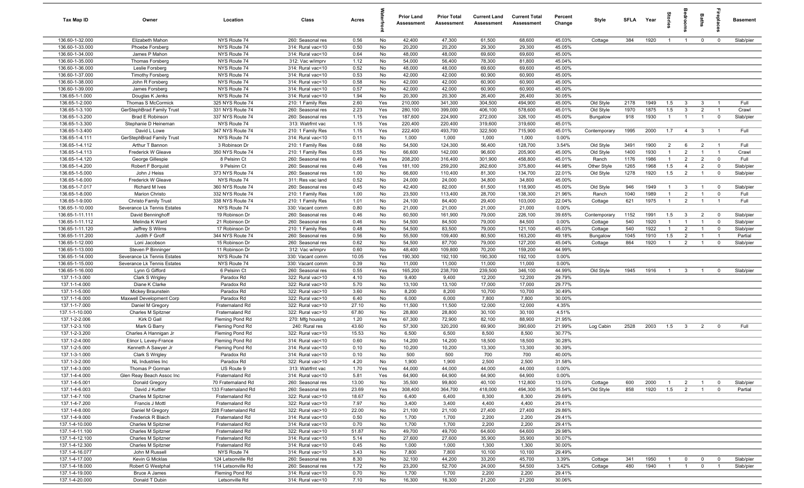| Tax Map ID                         | Owner                                         | Location                             | Class                                  | Acres         |          | <b>Prior Land</b><br>Assessment | <b>Prior Total</b><br>Assessment | <b>Current Land</b><br>Assessment | <b>Current Total</b><br>Assessment | Percent<br>Change | Style            | <b>SFI A</b> | Year         | tories                           | groo                             | Baths                            | ireplac                       | <b>Basement</b> |
|------------------------------------|-----------------------------------------------|--------------------------------------|----------------------------------------|---------------|----------|---------------------------------|----------------------------------|-----------------------------------|------------------------------------|-------------------|------------------|--------------|--------------|----------------------------------|----------------------------------|----------------------------------|-------------------------------|-----------------|
| 136.60-1-32.000                    | Elizabeth Mahon                               | NYS Route 74                         | 260: Seasonal res                      | 0.56          | No       | 42,400                          | 47,300                           | 61,500                            | 68,600                             | 45.03%            | Cottage          | 384          | 1920         | $\overline{1}$                   | $\overline{1}$                   | $\mathbf 0$                      | $\overline{0}$                | Slab/pier       |
| 136.60-1-33.000                    | Phoebe Forsberg                               | NYS Route 74                         | 314: Rural vac<10                      | 0.50          | No       | 20,200                          | 20,200                           | 29,300                            | 29,300                             | 45.05%            |                  |              |              |                                  |                                  |                                  |                               |                 |
| 136.60-1-34.000                    | James P Mahon                                 | NYS Route 74                         | 314: Rural vac<10                      | 0.64          | No       | 48,000                          | 48,000                           | 69,600                            | 69,600                             | 45.00%            |                  |              |              |                                  |                                  |                                  |                               |                 |
| 136.60-1-35.000                    | <b>Thomas Forsberg</b>                        | NYS Route 74                         | 312: Vac w/imprv                       | 1.12          | No       | 54,000                          | 56,400                           | 78,300                            | 81,800                             | 45.04%            |                  |              |              |                                  |                                  |                                  |                               |                 |
| 136.60-1-36.000                    | Leslie Forsberg                               | NYS Route 74                         | 314: Rural vac<10                      | 0.52          | No       | 48,000                          | 48,000                           | 69,600                            | 69,600                             | 45.00%            |                  |              |              |                                  |                                  |                                  |                               |                 |
| 136.60-1-37.000                    | <b>Timothy Forsberg</b>                       | NYS Route 74                         | 314: Rural vac<10                      | 0.53          | No       | 42,000                          | 42,000                           | 60,900                            | 60,900                             | 45.00%            |                  |              |              |                                  |                                  |                                  |                               |                 |
| 136.60-1-38.000<br>136.60-1-39.000 | John R Forsberg                               | NYS Route 74<br>NYS Route 74         | 314: Rural vac<10                      | 0.58<br>0.57  | No<br>No | 42,000<br>42,000                | 42,000<br>42,000                 | 60,900<br>60,900                  | 60,900<br>60,900                   | 45.00%<br>45.00%  |                  |              |              |                                  |                                  |                                  |                               |                 |
|                                    | James Forsberg                                | NYS Route 74                         | 314: Rural vac<10<br>314: Rural vac<10 |               | No       | 20,300                          | 20,300                           | 26,400                            | 26,400                             | 30.05%            |                  |              |              |                                  |                                  |                                  |                               |                 |
| 136.65-1-1.000<br>136.65-1-2.000   | Douglas K Jenks<br>Thomas S McCormick         | 325 NYS Route 74                     | 210: 1 Family Res                      | 1.94<br>2.60  | Yes      | 210,000                         | 341,300                          | 304,500                           | 494,900                            | 45.00%            | Old Style        | 2178         | 1949         | 1.5                              | $\mathbf{3}$                     | $\mathbf{3}$                     | $\overline{1}$                | Full            |
| 136.65-1-3.100                     | GerStephBrad Family Trust                     | 331 NYS Route 74                     | 260: Seasonal res                      | 2.23          | Yes      | 280,100                         | 399,000                          | 406,100                           | 578,600                            | 45.01%            | Old Style        | 1970         | 1875         | 1.5                              | $\overline{3}$                   | $\overline{2}$                   | $\overline{1}$                | Crawl           |
| 136.65-1-3.200                     | Brad E Robinson                               | 337 NYS Route 74                     | 260: Seasonal res                      | 1.15          | Yes      | 187,600                         | 224,900                          | 272,000                           | 326,100                            | 45.00%            | Bungalow         | 918          | 1930         | $\overline{1}$                   | $\overline{1}$                   | $\overline{1}$                   | $\mathbf 0$                   | Slab/pier       |
| 136.65-1-3.300                     | Stephanie D Heineman                          | NYS Route 74                         | 313: Watrfrnt vac                      | 1.15          | Yes      | 220,400                         | 220,400                          | 319,600                           | 319,600                            | 45.01%            |                  |              |              |                                  |                                  |                                  |                               |                 |
| 136.65-1-3.400                     | David L Lowe                                  | 347 NYS Route 74                     | 210: 1 Family Res                      | 1.15          | Yes      | 222,400                         | 493,700                          | 322,500                           | 715,900                            | 45.01%            | Contemporary     | 1995         | 2000         | 1.7                              | $\overline{4}$                   | $\mathbf{3}$                     | $\overline{1}$                | Full            |
| 136.65-1-4.111                     | GerStephBrad Family Trust                     | NYS Route 74                         | 314: Rural vac<10                      | 0.11          | No       | 1,000                           | 1,000                            | 1,000                             | 1,000                              | 0.00%             |                  |              |              |                                  |                                  |                                  |                               |                 |
| 136.65-1-4.112                     | Arthur T Bannon                               | 3 Robinson Dr                        | 210: 1 Family Res                      | 0.68          | No       | 54,500                          | 124,300                          | 56,400                            | 128,700                            | 3.54%             | Old Style        | 3491         | 1900         | $\overline{2}$                   | 6                                | $\overline{2}$                   | $\overline{1}$                | Full            |
| 136.65-1-4.113                     | Frederick W Gleave                            | 350 NYS Route 74                     | 210: 1 Family Res                      | 0.55          | No       | 66,600                          | 142,000                          | 96,600                            | 205,900                            | 45.00%            | Old Style        | 1400         | 1930         | $\mathbf{1}$                     | $\overline{2}$                   | $\overline{1}$                   | - 1                           | Crawl           |
| 136.65-1-4.120                     | George Gillespie                              | 8 Pelsinn Ct                         | 260: Seasonal res                      | 0.49          | Yes      | 208,200                         | 316,400                          | 301,900                           | 458,800                            | 45.01%            | Ranch            | 1176         | 1986         | $\mathbf{1}$                     | 2                                | $\overline{2}$                   | $\mathbf 0$                   | Full            |
| 136.65-1-4.200                     | Robert F Borquist                             | 9 Pelsinn Ct                         | 260: Seasonal res                      | 0.46          | Yes      | 181,100                         | 259,200                          | 262,600                           | 375,800                            | 44.98%            | Other Style      | 1265         | 1968         | 1.5                              | $\overline{4}$                   | $\overline{2}$                   | $\mathbf 0$                   | Slab/pier       |
| 136.65-1-5.000                     | John J Heiss                                  | 373 NYS Route 74                     | 260: Seasonal res                      | 1.00          | No       | 66,600                          | 110,400                          | 81,300                            | 134,700                            | 22.01%            | Old Style        | 1278         | 1920         | 1.5                              | $\overline{2}$                   | $\overline{1}$                   | $\mathbf 0$                   | Slab/pier       |
| 136.65-1-6.000                     | Frederick W Gleave                            | NYS Route 74                         | 311: Res vac land                      | 0.52          | No       | 24,000                          | 24,000                           | 34,800                            | 34,800                             | 45.00%            |                  |              |              |                                  |                                  |                                  |                               |                 |
| 136.65-1-7.017                     | Richard M Ives                                | 360 NYS Route 74                     | 260: Seasonal res                      | 0.45          | No       | 42,400                          | 82,000                           | 61,500                            | 118,900                            | 45.00%            | Old Style        | 946          | 1949         | $\overline{1}$<br>$\overline{1}$ | $\mathbf{3}$                     | $\overline{1}$<br>$\overline{1}$ | $\mathbf 0$                   | Slab/pier       |
| 136.65-1-8.000<br>136.65-1-9.000   | Marion Christo<br><b>Christo Family Trust</b> | 332 NYS Route 74<br>338 NYS Route 74 | 210: 1 Family Res<br>210: 1 Family Res | 1.00<br>1.01  | No<br>No | 23,500<br>24,100                | 113,400<br>84,400                | 28,700<br>29,400                  | 138,300<br>103,000                 | 21.96%<br>22.04%  | Ranch<br>Cottage | 1040<br>621  | 1989<br>1975 | $\overline{1}$                   | $\overline{2}$<br>$\overline{2}$ | $\overline{1}$                   | $\mathbf 0$<br>$\overline{1}$ | Full<br>Full    |
| 136.65-1-10.000                    | Severance Lk Tennis Estates                   | NYS Route 74                         | 330: Vacant comm                       | 0.80          | No       | 21,000                          | 21,000                           | 21,000                            | 21,000                             | 0.00%             |                  |              |              |                                  |                                  |                                  |                               |                 |
| 136.65-1-11.111                    | David Benninghoff                             | 19 Robinson Dr                       | 260: Seasonal res                      | 0.46          | No       | 60,500                          | 161,900                          | 79,000                            | 226,100                            | 39.65%            | Contemporary     | 1152         | 1991         | 1.5                              | $\mathbf{3}$                     | $\overline{2}$                   | $^{\circ}$                    | Slab/pier       |
| 136.65-1-11.112                    | Melinda K Ward                                | 21 Robinson Dr                       | 260: Seasonal res                      | 0.46          | No       | 54,500                          | 84,500                           | 79,000                            | 84,500                             | 0.00%             | Cottage          | 540          | 1920         | $\overline{1}$                   | $\overline{1}$                   | $\overline{1}$                   | $\mathbf 0$                   | Slab/pier       |
| 136.65-1-11.120                    | Jeffrey S Wilms                               | 17 Robinson Dr                       | 210: 1 Family Res                      | 0.48          | No       | 54,500                          | 83,500                           | 79,000                            | 121,100                            | 45.03%            | Cottage          | 540          | 1922         | $\overline{1}$                   | $\overline{2}$                   | $\overline{1}$                   | $\mathbf 0$                   | Slab/pier       |
| 136.65-1-11.200                    | Judith F Groff                                | 344 NYS Route 74                     | 260: Seasonal res                      | 0.56          | No       | 55,500                          | 109,400                          | 80,500                            | 163,200                            | 49.18%            | Bungalow         | 1045         | 1910         | 1.5                              | $\overline{2}$                   | $\overline{1}$                   | $\overline{1}$                | Partial         |
| 136.65-1-12.000                    | Loni Jacobson                                 | 15 Robinson Dr                       | 260: Seasonal res                      | 0.62          | No       | 54,500                          | 87,700                           | 79,000                            | 127,200                            | 45.04%            | Cottage          | 864          | 1920         | $\mathbf{1}$                     | $\overline{2}$                   |                                  | $\mathbf 0$                   | Slab/pier       |
| 136.65-1-13.000                    | Steven P Binninger                            | 11 Robinson Dr                       | 312: Vac w/imprv                       | 0.60          | No       | 48,400                          | 109,800                          | 70,200                            | 159,200                            | 44.99%            |                  |              |              |                                  |                                  |                                  |                               |                 |
| 136.65-1-14.000                    | Severance Lk Tennis Estates                   | NYS Route 74                         | 330: Vacant comm                       | 10.05         | Yes      | 190,300                         | 192,100                          | 190,300                           | 192,100                            | 0.00%             |                  |              |              |                                  |                                  |                                  |                               |                 |
| 136.65-1-15.000                    | Severance Lk Tennis Estates                   | NYS Route 74                         | 330: Vacant comm                       | 0.39          | No       | 11,000                          | 11,000                           | 11,000                            | 11,000                             | 0.00%             |                  |              |              |                                  |                                  |                                  |                               |                 |
| 136.65-1-16.000                    | Lynn G Gifford                                | 6 Pelsinn Ct                         | 260: Seasonal res                      | 0.55          | Yes      | 165,200                         | 238,700                          | 239,500                           | 346,100                            | 44.99%            | Old Style        | 1945         | 1916         | $\overline{1}$                   | $\mathbf{3}$                     | $\overline{1}$                   | $\mathbf 0$                   | Slab/pier       |
| 137.1-1-3.000                      | Clark S Wrigley                               | Paradox Rd                           | 322: Rural vac>10                      | 4.10          | No       | 9,400                           | 9,400                            | 12,200                            | 12,200                             | 29.79%            |                  |              |              |                                  |                                  |                                  |                               |                 |
| 137.1-1-4.000                      | Diane K Clarke                                | Paradox Rd                           | 322: Rural vac>10                      | 5.70          | No       | 13,100                          | 13,100                           | 17,000                            | 17,000                             | 29.77%            |                  |              |              |                                  |                                  |                                  |                               |                 |
| 137.1-1-5.000<br>137.1-1-6.000     | Mickey Braunstein<br>Maxwell Development Corp | Paradox Rd<br>Paradox Rd             | 322: Rural vac>10<br>322: Rural vac>10 | 3.60<br>6.40  | No<br>No | 8,200<br>6,000                  | 8,200<br>6,000                   | 10,700<br>7,800                   | 10,700<br>7,800                    | 30.49%<br>30.00%  |                  |              |              |                                  |                                  |                                  |                               |                 |
| 137.1-1-7.000                      | Daniel M Gregory                              | Fraternaland Rd                      | 322: Rural vac>10                      | 27.10         | No       | 11,500                          | 11,500                           | 12,000                            | 12,000                             | 4.35%             |                  |              |              |                                  |                                  |                                  |                               |                 |
| 137.1-1-10.000                     | Charles M Spitzner                            | Fraternaland Rd                      | 322: Rural vac>10                      | 67.80         | No       | 28,800                          | 28,800                           | 30,100                            | 30,100                             | 4.51%             |                  |              |              |                                  |                                  |                                  |                               |                 |
| 137.1-2-2.006                      | Kirk D Gall                                   | Fleming Pond Rd                      | 270: Mfg housing                       | 1.20          | Yes      | 67,300                          | 72,900                           | 82,100                            | 88,900                             | 21.95%            |                  |              |              |                                  |                                  |                                  |                               |                 |
| 137.1-2-3.100                      | Mark G Barry                                  | Fleming Pond Rd                      | 240: Rural res                         | 43.60         | No       | 57,300                          | 320,200                          | 69,900                            | 390,600                            | 21.99%            | Log Cabin        | 2528         | 2003         | 1.5                              | $\overline{\mathbf{3}}$          | $\overline{2}$                   | $^{\circ}$                    | Full            |
| 137.1-2-3.200                      | Charles A Hannigan Jr                         | Fleming Pond Rd                      | 322: Rural vac>10                      | 15.53         | No       | 6,500                           | 6,500                            | 8,500                             | 8,500                              | 30.77%            |                  |              |              |                                  |                                  |                                  |                               |                 |
| 137.1-2-4.000                      | Elinor L Levey-France                         | Fleming Pond Rd                      | 314: Rural vac<10                      | 0.60          | No       | 14,200                          | 14,200                           | 18,500                            | 18,500                             | 30.28%            |                  |              |              |                                  |                                  |                                  |                               |                 |
| 137.1-2-5.000                      | Kenneth A Sawyer Jr                           | Fleming Pond Rd                      | 314: Rural vac<10                      | 0.10          | No       | 10,200                          | 10,200                           | 13,300                            | 13,300                             | 30.39%            |                  |              |              |                                  |                                  |                                  |                               |                 |
| 137.1-3-1.000                      | Clark S Wrigley                               | Paradox Rd                           | 314: Rural vac<10                      | 0.10          | No       | 500                             | 500                              | 700                               | 700                                | 40.00%            |                  |              |              |                                  |                                  |                                  |                               |                 |
| 137.1-3-2.000                      | NL Industries Inc                             | Paradox Rd                           | 322: Rural vac>10                      | 4.20          | No       | 1,900                           | 1,900                            | 2,500                             | 2,500                              | 31.58%            |                  |              |              |                                  |                                  |                                  |                               |                 |
| 137.1-4-3.000                      | Thomas P Gorman                               | US Route 9                           | 313: Watrfrnt vac                      | 1.70          | Yes      | 44,000                          | 44,000                           | 44,000                            | 44,000                             | 0.00%             |                  |              |              |                                  |                                  |                                  |                               |                 |
| 137.1-4-4.000                      | Glen Reay Beach Assoc Inc                     | Fraternaland Rd                      | 314: Rural vac<10                      | 5.81          | Yes      | 64,900                          | 64,900                           | 64,900                            | 64,900                             | 0.00%             |                  |              |              |                                  |                                  |                                  |                               |                 |
| 137.1-4-5.001                      | Donald Gregory                                | 70 Fraternaland Rd                   | 260: Seasonal res                      | 13.00         | No       | 35,500                          | 99,800                           | 40,100                            | 112,800                            | 13.03%            | Cottage          | 600          | 2000         | $\overline{1}$                   | $\overline{2}$                   | $\overline{1}$                   | $^{\circ}$                    | Slab/pier       |
| 137.1-4-6.003                      | David J Kuttler                               | 133 Fraternaland Rd                  | 260: Seasonal res                      | 23.69         | Yes      | 308,400                         | 364,700                          | 418,000                           | 494,300<br>8,300                   | 35.54%            | Old Style        | 858          | 1920         | 1.5                              | $\overline{2}$                   | $\mathbf{1}$                     | $\mathbf 0$                   | Partial         |
| 137.1-4-7.100<br>137.1-4-7.200     | Charles M Spitzner<br>Francis J Mottl         | Fraternaland Rd<br>Fraternaland Rd   | 322: Rural vac>10<br>322: Rural vac>10 | 18.67<br>7.97 | No<br>No | 6,400<br>3,400                  | 6,400<br>3,400                   | 8,300<br>4,400                    | 4,400                              | 29.69%<br>29.41%  |                  |              |              |                                  |                                  |                                  |                               |                 |
| 137.1-4-8.000                      | Daniel M Gregory                              | 228 Fraternaland Rd                  | 322: Rural vac>10                      | 22.00         | No       | 21,100                          | 21,100                           | 27,400                            | 27,400                             | 29.86%            |                  |              |              |                                  |                                  |                                  |                               |                 |
| 137.1-4-9.000                      | Frederick R Blaich                            | Fraternaland Rd                      | 314: Rural vac<10                      | 0.50          | No       | 1,700                           | 1,700                            | 2,200                             | 2,200                              | 29.41%            |                  |              |              |                                  |                                  |                                  |                               |                 |
| 137.1-4-10.000                     | Charles M Spitzner                            | Fraternaland Rd                      | 314: Rural vac<10                      | 0.70          | No       | 1,700                           | 1,700                            | 2,200                             | 2,200                              | 29.41%            |                  |              |              |                                  |                                  |                                  |                               |                 |
| 137.1-4-11.100                     | Charles M Spitzner                            | Fraternaland Rd                      | 322: Rural vac>10                      | 51.87         | No       | 49,700                          | 49,700                           | 64,600                            | 64,600                             | 29.98%            |                  |              |              |                                  |                                  |                                  |                               |                 |
| 137.1-4-12.100                     | Charles M Spitzner                            | Fraternaland Rd                      | 314: Rural vac<10                      | 5.14          | No       | 27,600                          | 27,600                           | 35,900                            | 35,900                             | 30.07%            |                  |              |              |                                  |                                  |                                  |                               |                 |
| 137.1-4-12.300                     | Charles M Spitzner                            | Fraternaland Rd                      | 314: Rural vac<10                      | 0.45          | No       | 1,000                           | 1,000                            | 1,300                             | 1,300                              | 30.00%            |                  |              |              |                                  |                                  |                                  |                               |                 |
| 137.1-4-16.077                     | John M Russell                                | NYS Route 74                         | 314: Rural vac<10                      | 3.43          | No       | 7,800                           | 7,800                            | 10,100                            | 10,100                             | 29.49%            |                  |              |              |                                  |                                  |                                  |                               |                 |
| 137.1-4-17.000                     | Kevin G Micklas                               | 124 Letsonville Rd                   | 260: Seasonal res                      | 8.30          | No       | 32,100                          | 44,200                           | 33,200                            | 45,700                             | 3.39%             | Cottage          | 341          | 1950         | $\overline{1}$                   | $\mathbf 0$                      | $\mathbf 0$                      | $\overline{0}$                | Slab/pier       |
| 137.1-4-18.000                     | Robert G Westphal                             | 114 Letsonville Rd                   | 260: Seasonal res                      | 1.72          | No       | 23,200                          | 52,700                           | 24,000                            | 54,500                             | 3.42%             | Cottage          | 480          | 1940         | $\overline{1}$                   | $\overline{1}$                   | $\mathbf 0$                      | $\overline{1}$                | Slab/pier       |
| 137.1-4-19.000                     | <b>Bruce A James</b>                          | Fleming Pond Rd                      | 314: Rural vac<10                      | 0.70          | No       | 1,700                           | 1,700                            | 2,200                             | 2,200                              | 29.41%            |                  |              |              |                                  |                                  |                                  |                               |                 |
| 137.1-4-20.000                     | Donald T Dubin                                | Letsonville Rd                       | 314: Rural vac<10                      | 7.10          | No       | 16,300                          | 16,300                           | 21,200                            | 21,200                             | 30.06%            |                  |              |              |                                  |                                  |                                  |                               |                 |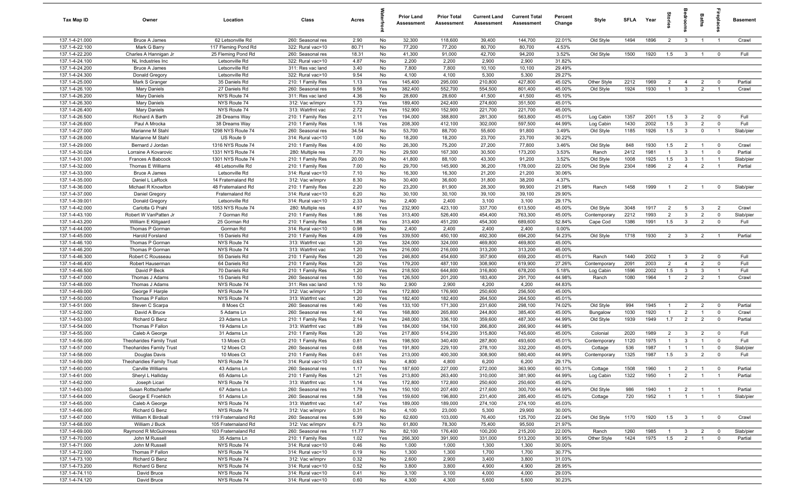| Tax Map ID                       | Owner                                   | Location                                 | Class                                  | Acres        |            | <b>Prior Land</b><br>Assessment | <b>Prior Total</b><br>Assessment | <b>Current Land</b><br>Assessment | <b>Current Total</b><br><b>Assessment</b> | Percent<br>Change | Style        | <b>SFI A</b> | Year         | tories                           | ăroo                    | Baths                            | repla                                     | <b>Basement</b>    |
|----------------------------------|-----------------------------------------|------------------------------------------|----------------------------------------|--------------|------------|---------------------------------|----------------------------------|-----------------------------------|-------------------------------------------|-------------------|--------------|--------------|--------------|----------------------------------|-------------------------|----------------------------------|-------------------------------------------|--------------------|
| 137.1-4-21.000                   | <b>Bruce A James</b>                    | 62 Letsonville Rd                        | 260: Seasonal res                      | 2.90         | No         | 32,300                          | 118,600                          | 39,400                            | 144,700                                   | 22.01%            | Old Style    | 1494         | 1896         | $\overline{2}$                   | $\mathbf{3}$            | $\overline{1}$                   | $\overline{1}$                            | Crawl              |
| 137.1-4-22.100                   | Mark G Barry                            | 117 Fleming Pond Rd                      | 322: Rural vac>10                      | 80.71        | No         | 77,200                          | 77,200                           | 80,700                            | 80,700                                    | 4.53%             |              |              |              |                                  |                         |                                  |                                           |                    |
| 137.1-4-22.200                   | Charles A Hannigan Jr                   | 25 Fleming Pond Rd                       | 260: Seasonal res                      | 18.31        | No         | 41,300                          | 91,000                           | 42,700                            | 94,200                                    | 3.52%             | Old Style    | 1500         | 1920         | 1.5                              | $\overline{\mathbf{3}}$ | $\overline{1}$                   | $\mathbf 0$                               | Full               |
| 137.1-4-24.100                   | NL Industries Inc                       | Letsonville Rd                           | 322: Rural vac>10                      | 4.87         | No         | 2,200                           | 2,200                            | 2,900                             | 2,900                                     | 31.82%            |              |              |              |                                  |                         |                                  |                                           |                    |
| 137.1-4-24.200<br>137.1-4-24.300 | <b>Bruce A James</b>                    | Letsonville Rd<br>Letsonville Rd         | 311: Res vac land                      | 3.40<br>9.54 | No<br>No   | 7,800                           | 7,800<br>4,100                   | 10,100<br>5,300                   | 10,100<br>5,300                           | 29.49%<br>29.27%  |              |              |              |                                  |                         |                                  |                                           |                    |
| 137.1-4-25.000                   | Donald Gregory<br>Mark S Granger        | 35 Daniels Rd                            | 322: Rural vac>10<br>210: 1 Family Res | 1.13         | Yes        | 4,100<br>145,400                | 295,000                          | 210,800                           | 427,800                                   | 45.02%            | Other Style  | 2212         | 1969         | $\overline{2}$                   | $\overline{4}$          | $\overline{2}$                   | $\mathbf 0$                               | Partial            |
| 137.1-4-26.100                   | <b>Mary Daniels</b>                     | 27 Daniels Rd                            | 260: Seasonal res                      | 9.56         | Yes        | 382,400                         | 552,700                          | 554,500                           | 801,400                                   | 45.00%            | Old Style    | 1924         | 1930         | $\overline{1}$                   | $\mathbf{3}$            | $\overline{2}$                   |                                           | Crawl              |
| 137.1-4-26.200                   | <b>Mary Daniels</b>                     | NYS Route 74                             | 311: Res vac land                      | 4.36         | No         | 28,600                          | 28,600                           | 41,500                            | 41,500                                    | 45.10%            |              |              |              |                                  |                         |                                  |                                           |                    |
| 137.1-4-26.300                   | Mary Daniels                            | NYS Route 74                             | 312: Vac w/imprv                       | 1.73         | Yes        | 189,400                         | 242,400                          | 274,600                           | 351,500                                   | 45.01%            |              |              |              |                                  |                         |                                  |                                           |                    |
| 137.1-4-26.400                   | <b>Mary Daniels</b>                     | NYS Route 74                             | 313: Watrfrnt vac                      | 2.72         | Yes        | 152,900                         | 152,900                          | 221,700                           | 221,700                                   | 45.00%            |              |              |              |                                  |                         |                                  |                                           |                    |
| 137.1-4-26.500                   | Richard A Barth                         | 28 Dreams Way                            | 210: 1 Family Res                      | 2.11         | Yes        | 194,000                         | 388,800                          | 281,300                           | 563,800                                   | 45.01%            | Log Cabin    | 1357         | 2001         | 1.5                              | $\mathbf{3}$            | $\overline{2}$                   | $\mathbf 0$                               | Full               |
| 137.1-4-26.600                   | Paul A Mrocka                           | 38 Dreams Way                            | 210: 1 Family Res                      | 1.16         | Yes        | 208,300                         | 412,100                          | 302,000                           | 597,500                                   | 44.99%            | Log Cabin    | 1430         | 2002         | 1.5                              | 3                       | $\overline{2}$                   | $\mathbf 0$                               | Full               |
| 137.1-4-27.000                   | Marianne M Stahl                        | 1298 NYS Route 74                        | 260: Seasonal res                      | 34.54        | No         | 53,700                          | 88,700                           | 55,600                            | 91,800                                    | 3.49%             | Old Style    | 1185         | 1926         | 1.5                              | $\mathbf{3}$            | $\mathbf 0$                      | $\overline{1}$                            | Slab/pier          |
| 137.1-4-28.000                   | Marianne M Stahl                        | US Route 9                               | 314: Rural vac<10                      | 1.00         | No         | 18,200                          | 18,200                           | 23,700                            | 23,700                                    | 30.22%            |              |              |              |                                  |                         |                                  |                                           |                    |
| 137.1-4-29.000                   | Bernard J Jordan                        | 1316 NYS Route 74                        | 210: 1 Family Res                      | 4.00         | No         | 26,300                          | 75,200                           | 27,200                            | 77,800                                    | 3.46%             | Old Style    | 848          | 1930         | 1.5                              | $\overline{2}$          | $\overline{1}$                   | $\overline{0}$                            | Crawl              |
| 137.1-4-30.024                   | Lorraine A Kovarovic                    | 1331 NYS Route 74                        | 280: Multiple res                      | 7.70         | No         | 29,500                          | 167,300                          | 30,500                            | 173,200                                   | 3.53%             | Ranch        | 2412         | 1981         | $\overline{1}$                   | $\mathbf{3}$            | $\overline{1}$                   | $\mathbf 0$                               | Partial            |
| 137.1-4-31.000                   | Frances A Babcock                       | 1301 NYS Route 74                        | 210: 1 Family Res                      | 20.00        | No         | 41,800                          | 88,100                           | 43,300                            | 91,200                                    | 3.52%             | Old Style    | 1008         | 1925         | 1.5                              | $\mathbf{3}$            | $\overline{1}$                   | $\overline{1}$                            | Slab/pier          |
| 137.1-4-32.000                   | Thomas E Williams                       | 48 Letsonville Rd                        | 210: 1 Family Res                      | 7.00         | No         | 29,700                          | 145,900                          | 36,200                            | 178,000                                   | 22.00%            | Old Style    | 2304         | 1896         | $\overline{2}$                   | $\overline{4}$          | $\overline{2}$                   |                                           | Partial            |
| 137.1-4-33.000<br>137.1-4-35.000 | <b>Bruce A James</b><br>Daniel L LaRock | Letsonville Rd                           | 314: Rural vac<10                      | 7.10<br>8.30 | No<br>No   | 16,300<br>30,400                | 16,300<br>36,600                 | 21,200<br>31,800                  | 21,200<br>38,200                          | 30.06%<br>4.37%   |              |              |              |                                  |                         |                                  |                                           |                    |
| 137.1-4-36.000                   | Michael R Knowlton                      | 14 Fraternaland Rd<br>48 Fraternaland Rd | 312: Vac w/imprv<br>210: 1 Family Res  | 2.20         | No         | 23,200                          | 81,900                           | 28,300                            | 99,900                                    | 21.98%            | Ranch        | 1458         | 1999         | $\overline{1}$                   | $\overline{2}$          | $\overline{1}$                   | $\mathbf 0$                               | Slab/pier          |
| 137.1-4-37.000                   | Daniel Gregory                          | Fraternaland Rd                          | 314: Rural vac<10                      | 6.20         | No         | 30,100                          | 30,100                           | 39,100                            | 39,100                                    | 29.90%            |              |              |              |                                  |                         |                                  |                                           |                    |
| 137.1-4-39.001                   | Donald Gregory                          | Letsonville Rd                           | 314: Rural vac<10                      | 2.33         | No         | 2,400                           | 2,400                            | 3,100                             | 3,100                                     | 29.17%            |              |              |              |                                  |                         |                                  |                                           |                    |
| 137.1-4-42.000                   | Carlotta G Prahl                        | 1053 NYS Route 74                        | 280: Multiple res                      | 4.97         | Yes        | 232,900                         | 423,100                          | 337,700                           | 613,500                                   | 45.00%            | Old Style    | 3048         | 1917         | $\overline{2}$                   | 5                       | $\mathbf{3}$                     | $\overline{2}$                            | Crawl              |
| 137.1-4-43.100                   | Robert W VanPatten Jr                   | 7 Gorman Rd                              | 210: 1 Family Res                      | 1.86         | Yes        | 313,400                         | 526,400                          | 454,400                           | 763,300                                   | 45.00%            | Contemporary | 2212         | 1993         | $\overline{2}$                   | $\overline{3}$          | $\overline{2}$                   | $\overline{0}$                            | Slab/pier          |
| 137.1-4-43.200                   | William E Klitgaard                     | 25 Gorman Rd                             | 210: 1 Family Res                      | 1.86         | Yes        | 313,400                         | 451,200                          | 454,300                           | 689,600                                   | 52.84%            | Cape Cod     | 1386         | 1991         | 1.5                              | $\overline{\mathbf{3}}$ | $\overline{2}$                   | $\mathbf 0$                               | Full               |
| 137.1-4-44.000                   | Thomas P Gorman                         | Gorman Rd                                | 314: Rural vac<10                      | 0.98         | No         | 2,400                           | 2,400                            | 2,400                             | 2,400                                     | 0.00%             |              |              |              |                                  |                         |                                  |                                           |                    |
| 137.1-4-45.000                   | Harold Forsland                         | 15 Daniels Rd                            | 210: 1 Family Res                      | 4.09         | Yes        | 339,500                         | 450,100                          | 492,300                           | 694,200                                   | 54.23%            | Old Style    | 1718         | 1930         | 2                                | $\overline{\mathbf{3}}$ | $\overline{2}$                   | $\overline{1}$                            | Partial            |
| 137.1-4-46.100                   | Thomas P Gorman                         | NYS Route 74                             | 313: Watrfrnt vac                      | 1.20         | Yes        | 324,000                         | 324,000                          | 469,800                           | 469,800                                   | 45.00%            |              |              |              |                                  |                         |                                  |                                           |                    |
| 137.1-4-46.200                   | Thomas P Gorman                         | NYS Route 74                             | 313: Watrfrnt vac                      | 1.20         | Yes        | 216,000                         | 216,000                          | 313,200                           | 313,200                                   | 45.00%            |              |              |              |                                  |                         |                                  |                                           |                    |
| 137.1-4-46.300                   | Robert C Rousseau                       | 55 Daniels Rd                            | 210: 1 Family Res                      | 1.20         | Yes        | 246,800                         | 454,600                          | 357,900                           | 659,200                                   | 45.01%            | Ranch        | 1440         | 2002         | $\overline{1}$                   | $\mathbf{3}$            | $\overline{2}$                   | $\overline{0}$                            | Full               |
| 137.1-4-46.400                   | Robert Hauserman                        | 64 Daniels Rd                            | 210: 1 Family Res                      | 1.20         | Yes        | 179,200                         | 487,100                          | 308,900                           | 619,900                                   | 27.26%            | Contemporary | 2091         | 2003         | $\overline{2}$                   | $\overline{4}$          | $\overline{2}$                   | $\mathbf 0$                               | Full               |
| 137.1-4-46.500                   | David P Beck                            | 70 Daniels Rd                            | 210: 1 Family Res                      | 1.20         | Yes        | 218,500                         | 644,800                          | 316,800                           | 678,200                                   | 5.18%             | Log Cabin    | 1596         | 2002         | 1.5                              | $\mathbf{3}$            | 3                                | $\overline{1}$                            | Full               |
| 137.1-4-47.000<br>137.1-4-48.000 | Thomas J Adams<br>Thomas J Adams        | 15 Daniels Rd<br>NYS Route 74            | 260: Seasonal res<br>311: Res vac land | 1.50<br>1.10 | Yes<br>No  | 126,500<br>2,900                | 201,200<br>2,900                 | 183,400<br>4,200                  | 291,700<br>4,200                          | 44.98%<br>44.83%  | Ranch        | 1080         | 1964         | $\overline{1}$                   | $\overline{2}$          | $\overline{2}$                   | $\overline{1}$                            | Crawl              |
| 137.1-4-49.000                   | George F Harple                         | NYS Route 74                             | 312: Vac w/imprv                       | 1.20         | Yes        | 172,800                         | 176,900                          | 250,600                           | 256,500                                   | 45.00%            |              |              |              |                                  |                         |                                  |                                           |                    |
| 137.1-4-50.000                   | Thomas P Fallon                         | NYS Route 74                             | 313: Watrfrnt vac                      | 1.20         | Yes        | 182,400                         | 182,400                          | 264,500                           | 264,500                                   | 45.01%            |              |              |              |                                  |                         |                                  |                                           |                    |
| 137.1-4-51.000                   | Steven C Scarpa                         | 8 Moes Ct                                | 260: Seasonal res                      | 1.40         | Yes        | 133,100                         | 171,300                          | 231,600                           | 298,100                                   | 74.02%            | Old Style    | 994          | 1945         | $\overline{1}$                   | $\overline{2}$          | $\overline{2}$                   | $\overline{0}$                            | Partial            |
| 137.1-4-52.000                   | David A Bruce                           | 5 Adams Ln                               | 260: Seasonal res                      | 1.40         | Yes        | 168,800                         | 265,800                          | 244,800                           | 385,400                                   | 45.00%            | Bungalow     | 1030         | 1920         | $\overline{1}$                   | 2                       | $\overline{1}$                   | $\mathbf 0$                               | Crawl              |
| 137.1-4-53.000                   | Richard G Benz                          | 23 Adams Ln                              | 210: 1 Family Res                      | 2.14         | Yes        | 248,000                         | 336,100                          | 359,600                           | 487,300                                   | 44.99%            | Old Style    | 1939         | 1949         | 1.7                              | $\overline{2}$          | $\overline{2}$                   | $\mathbf 0$                               | Partial            |
| 137.1-4-54.000                   | Thomas P Fallon                         | 19 Adams Ln                              | 313: Watrfrnt vac                      | 1.89         | Yes        | 184,000                         | 184,100                          | 266,800                           | 266,900                                   | 44.98%            |              |              |              |                                  |                         |                                  |                                           |                    |
| 137.1-4-55.000                   | Caleb A George                          | 31 Adams Ln                              | 210: 1 Family Res                      | 1.20         | Yes        | 217,800                         | 514,200                          | 315,800                           | 745,600                                   | 45.00%            | Colonial     | 2020         | 1989         | $\overline{2}$                   | $\overline{3}$          | $\overline{2}$                   | $\mathbf 0$                               | Full               |
| 137.1-4-56.000                   | <b>Theoharides Family Trust</b>         | 13 Moes Ct                               | 210: 1 Family Res                      | 0.81         | Yes        | 198,500                         | 340,400                          | 287,800                           | 493,600                                   | 45.01%            | Contemporary | 1120         | 1975         | $\overline{1}$                   | 3                       | $\mathbf{1}$                     | $\overline{0}$                            | Full               |
| 137.1-4-57.000                   | Theoharides Family Trust                | 12 Moes Ct                               | 260: Seasonal res                      | 0.68         | Yes        | 191,800                         | 229,100                          | 278,100                           | 332,200                                   | 45.00%            | Cottage      | 536          | 1987         | $\mathbf{1}$                     |                         | $\overline{1}$                   | $\mathbf 0$                               | Slab/pier          |
| 137.1-4-58.000                   | Douglas Davis                           | 10 Moes Ct                               | 210: 1 Family Res                      | 0.61         | Yes        | 213,000                         | 400,300                          | 308,900                           | 580,400                                   | 44.99%            | Contemporary | 1325         | 1987         | 1.5                              | $\mathbf{3}$            | $\overline{2}$                   | $\mathbf 0$                               | Full               |
| 137.1-4-59.000                   | Theoharidies Family Trust               | NYS Route 74                             | 314: Rural vac<10                      | 0.63         | No         | 4,800                           | 4,800                            | 6,200                             | 6,200                                     | 29.17%            |              |              |              |                                  |                         |                                  |                                           |                    |
| 137.1-4-60.000<br>137.1-4-61.000 | Carville Williams                       | 43 Adams Ln                              | 260: Seasonal res                      | 1.17         | Yes        | 187,600                         | 227,000                          | 272,000                           | 363,900                                   | 60.31%<br>44.99%  | Cottage      | 1508<br>1322 | 1960<br>1950 | $\overline{1}$<br>$\overline{1}$ | $\overline{2}$<br>2     | $\overline{1}$<br>$\overline{1}$ | $\overline{\mathbf{0}}$<br>$\overline{1}$ | Partial<br>Partial |
| 137.1-4-62.000                   | Sheryl L Halliday<br>Joseph Licari      | 65 Adams Ln<br>NYS Route 74              | 210: 1 Family Res<br>313: Watrfrnt vac | 1.21<br>1.14 | Yes<br>Yes | 213,800<br>172,800              | 263,400<br>172,800               | 310,000<br>250,600                | 381,900<br>250,600                        | 45.02%            | Log Cabin    |              |              |                                  |                         |                                  |                                           |                    |
| 137.1-4-63.000                   | Susan Rottschaefer                      | 67 Adams Ln                              | 260: Seasonal res                      | 1.79         | Yes        | 150,100                         | 207,400                          | 217,600                           | 300,700                                   | 44.99%            | Old Style    | 986          | 1940         | $\overline{1}$                   | $\overline{2}$          | $\overline{1}$                   | $\overline{1}$                            | Partial            |
| 137.1-4-64.000                   | George E Froehlich                      | 51 Adams Ln                              | 260: Seasonal res                      | 1.58         | Yes        | 159,600                         | 196,800                          | 231,400                           | 285,400                                   | 45.02%            | Cottage      | 720          | 1952         | $\overline{1}$                   | $\overline{1}$          | $\overline{1}$                   | $\overline{1}$                            | Slab/pier          |
| 137.1-4-65.000                   | Caleb A George                          | NYS Route 74                             | 313: Watrfrnt vac                      | 1.47         | Yes        | 189,000                         | 189,000                          | 274,100                           | 274,100                                   | 45.03%            |              |              |              |                                  |                         |                                  |                                           |                    |
| 137.1-4-66.000                   | Richard G Benz                          | NYS Route 74                             | 312: Vac w/imprv                       | 0.31         | No         | 4,100                           | 23,000                           | 5,300                             | 29,900                                    | 30.00%            |              |              |              |                                  |                         |                                  |                                           |                    |
| 137.1-4-67.000                   | William K Birdsall                      | 119 Fraternaland Rd                      | 260: Seasonal res                      | 5.99         | No         | 62,600                          | 103,000                          | 76,400                            | 125,700                                   | 22.04%            | Old Style    | 1170         | 1920         | 1.5                              | $\overline{\mathbf{3}}$ | $\overline{1}$                   | $\overline{\mathbf{0}}$                   | Crawl              |
| 137.1-4-68.000                   | William J Buck                          | 105 Fraternaland Rd                      | 312: Vac w/imprv                       | 6.73         | No         | 61,800                          | 78,300                           | 75,400                            | 95,500                                    | 21.97%            |              |              |              |                                  |                         |                                  |                                           |                    |
| 137.1-4-69.000                   | Raymond R McGuinness                    | 103 Fraternaland Rd                      | 260: Seasonal res                      | 11.77        | No         | 82,100                          | 176,400                          | 100,200                           | 215,200                                   | 22.00%            | Ranch        | 1260         | 1985         | $\overline{1}$                   | $\overline{\mathbf{3}}$ | $\overline{2}$                   | $\overline{\mathbf{0}}$                   | Slab/pier          |
| 137.1-4-70.000                   | John M Russell                          | 35 Adams Ln                              | 210: 1 Family Res                      | 1.02         | Yes        | 266,300                         | 391,900                          | 331,000                           | 513,200                                   | 30.95%            | Other Style  | 1424         | 1975         | 1.5                              | $\overline{2}$          | $\overline{1}$                   | $\mathbf 0$                               | Partial            |
| 137.1-4-71.000                   | John M Russell                          | NYS Route 74                             | 314: Rural vac<10                      | 0.46         | No         | 1,000                           | 1,000                            | 1,300                             | 1,300                                     | 30.00%            |              |              |              |                                  |                         |                                  |                                           |                    |
| 137.1-4-72.000                   | Thomas P Fallon                         | NYS Route 74                             | 314: Rural vac<10                      | 0.19         | No         | 1,300                           | 1,300                            | 1,700                             | 1,700                                     | 30.77%            |              |              |              |                                  |                         |                                  |                                           |                    |
| 137.1-4-73.100                   | Richard G Benz                          | NYS Route 74                             | 312: Vac w/imprv                       | 0.32         | No         | 2,600                           | 2,900                            | 3,400                             | 3,800                                     | 31.03%            |              |              |              |                                  |                         |                                  |                                           |                    |
| 137.1-4-73.200                   | Richard G Benz                          | NYS Route 74                             | 314: Rural vac<10                      | 0.52         | No         | 3,800                           | 3,800                            | 4,900                             | 4,900                                     | 28.95%            |              |              |              |                                  |                         |                                  |                                           |                    |
| 137.1-4-74.110<br>137.1-4-74.120 | David Bruce                             | NYS Route 74                             | 314: Rural vac<10                      | 0.41         | No         | 3,100                           | 3,100                            | 4,000                             | 4,000                                     | 29.03%<br>30.23%  |              |              |              |                                  |                         |                                  |                                           |                    |
|                                  | David Bruce                             | NYS Route 74                             | 314: Rural vac<10                      | 0.60         | No         | 4,300                           | 4,300                            | 5,600                             | 5,600                                     |                   |              |              |              |                                  |                         |                                  |                                           |                    |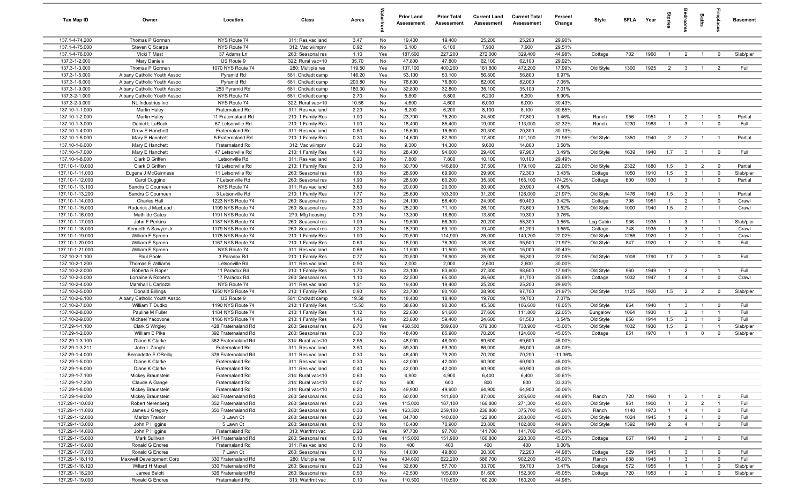| Tax Map ID                         | Owner                                          | Location                                   | Class                                  | Acres            |            | <b>Prior Land</b><br>Assessment | <b>Prior Total</b><br>Assessment | <b>Current Land</b><br>Assessment | <b>Current Total</b><br>Assessment | Percent<br>Change   | Style                | SFLA Year    |              | tories                           | alroom                         | Baths                          | ireplace                         | <b>Basement</b>   |
|------------------------------------|------------------------------------------------|--------------------------------------------|----------------------------------------|------------------|------------|---------------------------------|----------------------------------|-----------------------------------|------------------------------------|---------------------|----------------------|--------------|--------------|----------------------------------|--------------------------------|--------------------------------|----------------------------------|-------------------|
| 137.1-4-74.200                     | Thomas P Gorman                                | NYS Route 74                               | 311: Res vac land                      | 3.47             | No         | 19,400                          | 19,400                           | 25,200                            | 25,200                             | 29.90%              |                      |              |              |                                  |                                |                                |                                  |                   |
| 137.1-4-75.000                     | Steven C Scarpa                                | NYS Route 74                               | 312: Vac w/imprv                       | 0.92             | No         | 6,100                           | 6,100                            | 7,900                             | 7,900                              | 29.51%              |                      |              |              |                                  |                                |                                |                                  |                   |
| 137.1-4-76.000                     | Vicki T Mast                                   | 37 Adams Ln                                | 260: Seasonal res                      | 1.10             | Yes        | 187,600                         | 227,200                          | 272,000                           | 329,400                            | 44.98%              | Cottage              | 702          | 1960         | $\overline{1}$                   | $\overline{2}$                 | $\overline{1}$                 | $^{\circ}$                       | Slab/pier         |
| 137.3-1-2.000                      | Mary Daniels                                   | US Route 9                                 | 322: Rural vac>10                      | 35.70            | No         | 47,800                          | 47,800                           | 62,100                            | 62,100                             | 29.92%              |                      |              |              |                                  |                                |                                |                                  |                   |
| 137.3-1-3.000<br>137.3-1-5.000     | Thomas P Gorman<br>Albany Catholic Youth Assoc | 1070 NYS Route 74<br>Pyramid Rd            | 280: Multiple res                      | 119.50<br>146.20 | Yes<br>Yes | 137,100<br>53,100               | 400,200<br>53,100                | 161,800<br>56,800                 | 472,200<br>56,800                  | 17.99%<br>6.97%     | Old Style            | 1300         | 1925         | $\overline{2}$                   | $\mathbf{3}$                   | $\overline{1}$                 | $\overline{2}$                   | Full              |
| 137.3-1-6.000                      | Albany Catholic Youth Assoc                    | Pyramid Rd                                 | 581: Chd/adt camp<br>581: Chd/adt camp | 203.80           | No         | 76,600                          | 76,600                           | 82,000                            | 82,000                             | 7.05%               |                      |              |              |                                  |                                |                                |                                  |                   |
| 137.3-1-9.000                      | Albany Catholic Youth Assoc                    | 253 Pyramid Rd                             | 581: Chd/adt camp                      | 180.30           | Yes        | 32,800                          | 32,800                           | 35,100                            | 35,100                             | 7.01%               |                      |              |              |                                  |                                |                                |                                  |                   |
| 137.3-2-1.000                      | Albany Catholic Youth Assoc                    | NYS Route 74                               | 581: Chd/adt camp                      | 2.70             | No         | 5,800                           | 5,800                            | 6,200                             | 6,200                              | 6.90%               |                      |              |              |                                  |                                |                                |                                  |                   |
| 137.3-2-3.000                      | NL Industries Inc                              | NYS Route 74                               | 322: Rural vac>10                      | 10.56            | No         | 4,600                           | 4,600                            | 6,000                             | 6,000                              | 30.43%              |                      |              |              |                                  |                                |                                |                                  |                   |
| 137.10-1-1.000                     | Martin Haley                                   | Fraternaland Rd                            | 311: Res vac land                      | 2.20             | No         | 6,200                           | 6,200                            | 8,100                             | 8,100                              | 30.65%              |                      |              |              |                                  |                                |                                |                                  |                   |
| 137.10-1-2.000                     | Martin Haley                                   | 11 Fraternaland Rd                         | 210: 1 Family Res                      | 1.00             | No         | 23,700                          | 75,200                           | 24,500                            | 77,800                             | 3.46%               | Ranch                | 956          | 1951         | $\overline{1}$                   | $\overline{2}$                 | $\overline{1}$                 | $\overline{0}$                   | Partial           |
| 137.10-1-3.000                     | Daniel L LaRock                                | 67 Letsonville Rd                          | 210: 1 Family Res                      | 1.00             | No         | 18,400                          | 85,400                           | 19,000                            | 113,000                            | 32.32%              | Ranch                | 1230         | 1983         | $\overline{1}$                   | $\mathbf{3}$                   | $\overline{1}$                 | $\mathbf 0$                      | Full              |
| 137.10-1-4.000                     | Drew E Hanchett                                | Fraternaland Rd                            | 311: Res vac land                      | 0.80             | No         | 15,600                          | 15,600                           | 20,300                            | 20,300                             | 30.13%              |                      |              |              |                                  |                                |                                |                                  |                   |
| 137.10-1-5.000                     | Mary E Hanchett                                | 5 Fraternaland Rd                          | 210: 1 Family Res                      | 0.30             | No         | 14,600                          | 82,900                           | 17,800                            | 101,100                            | 21.95%              | Old Style            | 1350         | 1940         | $\overline{2}$                   | $\overline{2}$                 | $\overline{1}$                 | $\overline{1}$                   | Partial           |
| 137.10-1-6.000                     | Mary E Hanchett                                | Fraternaland Rd                            | 312: Vac w/imprv                       | 0.20             | No         | 9,300                           | 14,300                           | 9,600                             | 14,800                             | 3.50%               |                      |              |              |                                  |                                |                                |                                  |                   |
| 137.10-1-7.000                     | Mary E Hanchett                                | 47 Letsonville Rd                          | 210: 1 Family Res                      | 1.40             | No         | 28,400                          | 94,600                           | 29,400                            | 97,900                             | 3.49%               | Old Style            | 1639         | 1940         | 1.7                              | $\mathbf{3}$                   | $\overline{1}$                 | $\mathbf 0$                      | Full              |
| 137.10-1-8.000                     | Clark D Griffen                                | Letsonville Rd                             | 311: Res vac land                      | 0.20             | No         | 7,800                           | 7,800                            | 10,100                            | 10,100                             | 29.49%              |                      |              | 1880         |                                  |                                |                                | $\overline{0}$                   | Partial           |
| 137.10-1-10.000<br>137.10-1-11.000 | Clark D Griffen<br>Eugene J McGuinness         | 19 Letsonville Rd<br>11 Letsonville Rd     | 210: 1 Family Res<br>260: Seasonal res | 3.10<br>1.60     | No<br>No   | 30,700<br>28,900                | 146,800<br>69,900                | 37,500<br>29,900                  | 179,100<br>72,300                  | 22.00%<br>3.43%     | Old Style<br>Cottage | 2322<br>1050 | 1910         | 1.5<br>1.5                       | $\mathbf{3}$<br>$\mathbf{3}$   | $\overline{2}$<br>$\mathbf{1}$ | $^{\circ}$                       | Slab/pier         |
| 137.10-1-12.000                    | Carol Cuggino                                  | 7 Letsonville Rd                           | 260: Seasonal res                      | 1.90             | No         | 28,900                          | 60,200                           | 35,300                            | 165,100                            | 174.25%             | Cottage              | 600          | 1930         | $\overline{1}$                   | $\mathbf{3}$                   | $\overline{1}$                 | $\mathbf 0$                      | Partial           |
| 137.10-1-13.100                    | Sandra C Courneen                              | NYS Route 74                               | 311: Res vac land                      | 3.60             | No         | 20,000                          | 20,000                           | 20,900                            | 20,900                             | 4.50%               |                      |              |              |                                  |                                |                                |                                  |                   |
| 137.10-1-13.200                    | Sandra C Courneen                              | 3 Letsonville Rd                           | 210: 1 Family Res                      | 1.77             | No         | 25,600                          | 103,300                          | 31,200                            | 126,000                            | 21.97%              | Old Style            | 1476         | 1940         | 1.5                              | $\mathbf{3}$                   | $\overline{1}$                 | $\overline{1}$                   | Partial           |
| 137.10-1-14.000                    | <b>Charles Hall</b>                            | 1223 NYS Route 74                          | 260: Seasonal res                      | 2.20             | No         | 24,100                          | 58,400                           | 24,900                            | 60,400                             | 3.42%               | Cottage              | 798          | 1951         | $\overline{1}$                   | $\overline{2}$                 | $\overline{1}$                 | $\mathbf 0$                      | Crawl             |
| 137.10-1-15.000                    | Roderick J MacLeod                             | 1199 NYS Route 74                          | 260: Seasonal res                      | 3.30             | No         | 25,200                          | 71,100                           | 26,100                            | 73,600                             | 3.52%               | Old Style            | 1000         | 1940         | 1.5                              | $\overline{2}$                 | $\overline{1}$                 | $\overline{1}$                   | Crawl             |
| 137.10-1-16.000                    | <b>Mathilde Gates</b>                          | 1191 NYS Route 74                          | 270: Mfg housing                       | 0.70             | No         | 13,300                          | 18,600                           | 13,800                            | 19,300                             | 3.76%               |                      |              |              |                                  |                                |                                |                                  |                   |
| 137.10-1-17.000                    | John F Perkins                                 | 1187 NYS Route 74                          | 260: Seasonal res                      | 1.09             | No         | 19,500                          | 56,300                           | 20,200                            | 58,300                             | 3.55%               | Log Cabin            | 936          | 1935         | $\overline{1}$                   | $\mathbf{3}$                   | $\overline{1}$                 | $\overline{1}$                   | Slab/pier         |
| 137.10-1-18.000                    | Kenneth A Sawyer Jr                            | 1179 NYS Route 74                          | 260: Seasonal res                      | 1.20             | No         | 18,700                          | 59,100                           | 19,400                            | 61,200                             | 3.55%               | Cottage              | 748          | 1935         | $\mathbf{1}$                     | $\mathbf{3}$                   |                                | - 1                              | Crawl             |
| 137.10-1-19.000                    | William F Spreen                               | 1175 NYS Route 74                          | 210: 1 Family Res                      | 1.00             | No         | 20,500                          | 114,900                          | 25,000                            | 140,200                            | 22.02%              | Old Style            | 1266         | 1920         | $\overline{1}$                   | $\overline{2}$                 | $\overline{1}$                 | $\overline{1}$                   | Crawl             |
| 137.10-1-20.000                    | William F Spreen                               | 1167 NYS Route 74                          | 210: 1 Family Res                      | 0.63             | No         | 15,000                          | 78,300                           | 18,300                            | 95,500                             | 21.97%              | Old Style            | 847          | 1920         | $\mathbf{1}$                     | $\overline{2}$                 |                                | $\mathbf 0$                      | Full              |
| 137.10-1-21.000                    | William F Spreen                               | NYS Route 74                               | 311: Res vac land                      | 0.66             | No         | 11,500                          | 11,500                           | 15,000                            | 15,000                             | 30.43%              |                      |              |              |                                  |                                |                                |                                  |                   |
| 137.10-2-1.100                     | Paul Poole                                     | 3 Paradox Rd                               | 210: 1 Family Res                      | 0.77             | No         | 20,500                          | 78,900                           | 25,000                            | 96,300                             | 22.05%              | Old Style            | 1008         | 1790         | 1.7                              | $\mathbf{3}$                   |                                | $\overline{0}$                   | Full              |
| 137.10-2-1.200<br>137.10-2-2.000   | Thomas E Williams<br>Roberta R Roper           | Letsonville Rd<br>11 Paradox Rd            | 311: Res vac land<br>210: 1 Family Res | 0.90<br>1.70     | No<br>No   | 2,000<br>23,100                 | 2,000<br>83,600                  | 2,600<br>27,300                   | 2,600<br>98,600                    | 30.00%<br>17.94%    | Old Style            | 960          | 1949         | $\overline{1}$                   | $\overline{2}$                 | $\overline{1}$                 | $\overline{1}$                   | Full              |
| 137.10-2-3.000                     | Lorraine A Roberts                             | 17 Paradox Rd                              | 260: Seasonal res                      | 1.10             | No         | 22,500                          | 65,000                           | 26,600                            | 81,700                             | 25.69%              | Cottage              | 1032         | 1947         | $\overline{1}$                   | $\overline{4}$                 | $\overline{1}$                 | $\overline{0}$                   | Crawl             |
| 137.10-2-4.000                     | Marshall L Carlozzi                            | NYS Route 74                               | 311: Res vac land                      | 1.51             | No         | 19,400                          | 19,400                           | 25,200                            | 25,200                             | 29.90%              |                      |              |              |                                  |                                |                                |                                  |                   |
| 137.10-2-5.000                     | <b>Donald Billings</b>                         | 1250 NYS Route 74                          | 210: 1 Family Res                      | 0.93             | No         | 23,700                          | 80,100                           | 28,900                            | 97,700                             | 21.97%              | Old Style            | 1125         | 1920         | 1.5                              | $\overline{2}$                 | $\overline{2}$                 | $\mathbf 0$                      | Slab/pier         |
| 137.10-2-6.100                     | Albany Catholic Youth Assoc                    | US Route 9                                 | 581: Chd/adt camp                      | 19.58            | No         | 18,400                          | 18,400                           | 19,700                            | 19,700                             | 7.07%               |                      |              |              |                                  |                                |                                |                                  |                   |
| 137.10-2-7.000                     | William T Dudko                                | 1190 NYS Route 74                          | 210: 1 Family Res                      | 15.50            | No         | 38,600                          | 90,300                           | 45,500                            | 106,600                            | 18.05%              | Old Style            | 864          | 1940         | $\overline{1}$                   | 3                              | $\overline{1}$                 | $\mathbf 0$                      | Full              |
| 137.10-2-8.000                     | Pauline M Fuller                               | 1184 NYS Route 74                          | 210: 1 Family Res                      | 1.12             | No         | 22,600                          | 91,600                           | 27,600                            | 111,800                            | 22.05%              | Bungalow             | 1064         | 1930         | $\overline{1}$                   | 2                              | $\overline{1}$                 | $\overline{1}$                   | Full              |
| 137.10-2-9.000                     | Michael Yacovone                               | 1166 NYS Route 74                          | 210: 1 Family Res                      | 1.46             | No         | 23,800                          | 59,400                           | 24,600                            | 61,500                             | 3.54%               | Old Style            | 856          | 1914         | 1.5                              | $\mathbf{3}$                   | $\overline{1}$                 | $\mathbf 0$                      | Full              |
| 137.29-1-1.100                     | Clark S Wrigley                                | 428 Fraternaland Rd                        | 260: Seasonal res                      | 9.70             | Yes        | 468,500                         | 509,600                          | 679,300                           | 738,900                            | 45.00%              | Old Style            | 1032         | 1930         | 1.5                              | $\overline{2}$                 | $\overline{1}$                 | - 1                              | Slab/pier         |
| 137.29-1-2.000                     | William E Pike                                 | 392 Fraternaland Rd                        | 260: Seasonal res                      | 0.30             | No         | 48,400                          | 85,900                           | 70,200                            | 124,600                            | 45.05%              | Cottage              | 851          | 1970         | $\overline{1}$                   | $\overline{1}$                 | $\mathbf 0$                    | $\mathbf 0$                      | Slab/pier         |
| 137.29-1-3.100                     | Diane K Clarke                                 | 362 Fraternaland Rd                        | 314: Rural vac<10                      | 2.55             | No         | 48,000                          | 48,000                           | 69,600                            | 69,600                             | 45.00%              |                      |              |              |                                  |                                |                                |                                  |                   |
| 137.29-1-3.211                     | John L Zanghi                                  | Fraternaland Rd                            | 311: Res vac land                      | 3.50             | No         | 59,300                          | 59,300                           | 86,000                            | 86,000                             | 45.03%              |                      |              |              |                                  |                                |                                |                                  |                   |
| 137.29-1-4.000<br>137.29-1-5.000   | Bernadette E OReilly<br>Diane K Clarke         | 376 Fraternaland Rd<br>Fraternaland Rd     | 311: Res vac land<br>311: Res vac land | 0.30<br>0.30     | No<br>No   | 48,400<br>42,000                | 79,200<br>42,000                 | 70,200<br>60,900                  | 70,200<br>60,900                   | $-11.36%$<br>45.00% |                      |              |              |                                  |                                |                                |                                  |                   |
| 137.29-1-6.000                     | Diane K Clarke                                 | Fraternaland Rd                            | 311: Res vac land                      | 0.40             | No         | 42,000                          | 42,000                           | 60,900                            | 60,900                             | 45.00%              |                      |              |              |                                  |                                |                                |                                  |                   |
| 137.29-1-7.100                     | Mickey Braunstein                              | Fraternaland Rd                            | 314: Rural vac<10                      | 0.63             | No         | 4,900                           | 4,900                            | 6,400                             | 6,400                              | 30.61%              |                      |              |              |                                  |                                |                                |                                  |                   |
| 137.29-1-7.200                     | Claude A Gange                                 | Fraternaland Rd                            | 314: Rural vac<10                      | 0.07             | No         | 600                             | 600                              | 800                               | 800                                | 33.33%              |                      |              |              |                                  |                                |                                |                                  |                   |
| 137.29-1-8.000                     | Mickey Braunstein                              | Fraternaland Rd                            | 314: Rural vac<10                      | 6.20             | No         | 49,900                          | 49,900                           | 64,900                            | 64,900                             | 30.06%              |                      |              |              |                                  |                                |                                |                                  |                   |
| 137.29-1-9.000                     | Mickey Braunstein                              | 360 Fraternaland Rd                        | 260: Seasonal res                      | 0.50             | No         | 60,000                          | 141,800                          | 87,000                            | 205,600                            | 44.99%              | Ranch                | 720          | 1960         | $\overline{1}$                   | $\overline{2}$                 | $\mathbf{1}$                   | $\mathbf 0$                      | Full              |
| 137.29-1-10.000                    | Robert Nerenberg                               | 352 Fraternaland Rd                        | 260: Seasonal res                      | 0.20             | Yes        | 115,000                         | 187,100                          | 166,800                           | 271,300                            | 45.00%              | Old Style            | 961          | 1900         | $\mathbf{1}$                     | $\mathbf{3}$                   | $\overline{2}$                 | $\overline{1}$                   | Full              |
| 137.29-1-11.000                    | James J Gregory                                | 350 Fraternaland Rd                        | 260: Seasonal res                      | 0.30             | Yes        | 163,300                         | 259,100                          | 236,800                           | 375,700                            | 45.00%              | Ranch                | 1140         | 1973         | $\overline{1}$                   | $\overline{4}$                 | $\overline{1}$                 | $\mathbf 0$                      | Full              |
| 137.29-1-12.000                    | Marion Trainor                                 | 3 Lawn Ct                                  | 260: Seasonal res                      | 0.20             | Yes        | 84,700                          | 140,000                          | 122,800                           | 203,000                            | 45.00%              | Old Style            | 1024         | 1945         | $\overline{1}$                   | $\overline{2}$                 | $\mathbf{1}$                   | $\mathbf 0$                      | Full              |
| 137.29-1-13.000                    | John P Higgins                                 | 5 Lawn Ct                                  | 260: Seasonal res                      | 0.10             | No         | 16,400                          | 70,900                           | 23,800                            | 102,800                            | 44.99%              | Old Style            | 1392         | 1940         | $\overline{2}$                   | $\overline{4}$                 |                                | $\mathbf 0$                      | Full              |
| 137.29-1-14.000                    | John P Higgins                                 | Fraternaland Rd                            | 313: Watrfrnt vac                      | 0.20             | Yes        | 97,700                          | 97,700                           | 141,700                           | 141,700                            | 45.04%              |                      |              |              |                                  |                                |                                |                                  |                   |
| 137.29-1-15.000                    | Mark Sullivan                                  | 344 Fraternaland Rd                        | 260: Seasonal res                      | 0.10             | Yes        | 115,000                         | 151,900                          | 166,800                           | 220,300                            | 45.03%              | Cottage              | 667          | 1940         | $\overline{1}$                   | $\overline{2}$                 | $\overline{1}$                 | $\overline{0}$                   | Full              |
| 137.29-1-16.000                    | Ronald G Endres                                | Fraternaland Rd                            | 311: Res vac land                      | 0.10             | No         | 400                             | 400                              | 400                               | 400                                | 0.00%               |                      |              |              |                                  |                                |                                |                                  |                   |
| 137.29-1-17.000                    | Ronald G Endres                                | 7 Lawn Ct                                  | 260: Seasonal res                      | 0.10             | No         | 14,000                          | 49,800                           | 20,300                            | 72,200                             | 44.98%              | Cottage              | 529          | 1945         | $\overline{1}$                   | $\mathbf{3}$                   | $\overline{1}$                 | $\overline{0}$                   | Full              |
| 137.29-1-18.110<br>137.29-1-18.120 | Maxwell Development Corp<br>Willard H Maxell   | 330 Fraternaland Rd<br>330 Fraternaland Rd | 280: Multiple res<br>260: Seasonal res | 9.17<br>0.23     | Yes<br>Yes | 404,600<br>32,600               | 622,200<br>57,700                | 586,700<br>33,700                 | 902,200<br>59,700                  | 45.00%<br>3.47%     | Ranch<br>Cottage     | 888<br>572   | 1945<br>1955 | $\overline{1}$<br>$\overline{1}$ | $\mathbf{3}$<br>$\overline{1}$ | $\mathbf{1}$<br>$\overline{1}$ | $\overline{0}$<br>$\overline{0}$ | Full<br>Slab/pier |
| 137.29-1-18.200                    | James Belott                                   | 326 Fraternaland Rd                        | 260: Seasonal res                      | 0.50             | No         | 42,500                          | 105,000                          | 61,600                            | 152,300                            | 45.05%              | Cottage              | 720          | 1953         | $\overline{1}$                   | $\overline{2}$                 | $\overline{1}$                 | $\mathbf 0$                      | Slab/pier         |
| 137.29-1-19.000                    | Ronald G Endres                                | Fraternaland Rd                            | 313: Watrfrnt vac                      | 0.10             | Yes        | 110,500                         | 110,500                          | 160,200                           | 160,200                            | 44.98%              |                      |              |              |                                  |                                |                                |                                  |                   |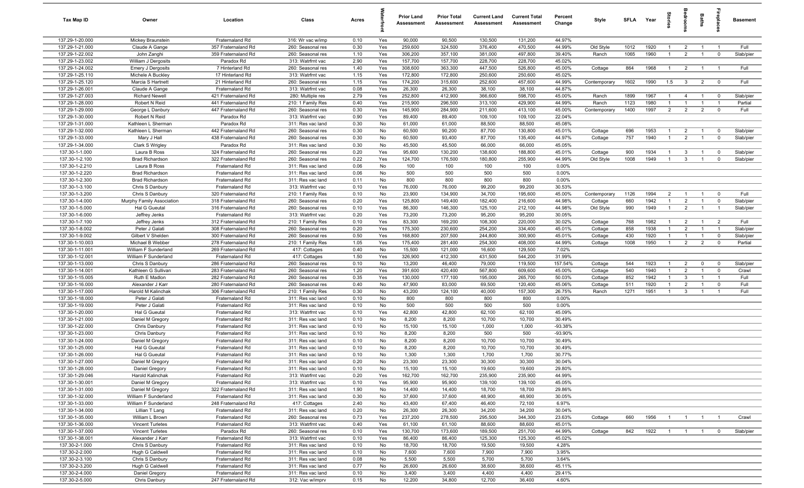| Tax Map ID                         | Owner                                   | Location                                   | Class                                  | Acres        |            | <b>Prior Land</b><br>Assessment | <b>Prior Total</b><br><b>Assessment</b> | <b>Current Land</b><br>Assessment | <b>Current Total</b><br>Assessment | Percent<br>Change | Style              | SFLA        | Year         | tories                         | droom                            | <b>Baths</b>                     | ireplace                   | <b>Basement</b>      |
|------------------------------------|-----------------------------------------|--------------------------------------------|----------------------------------------|--------------|------------|---------------------------------|-----------------------------------------|-----------------------------------|------------------------------------|-------------------|--------------------|-------------|--------------|--------------------------------|----------------------------------|----------------------------------|----------------------------|----------------------|
| 137.29-1-20.000                    | Mickey Braunstein                       | Fraternaland Rd                            | 316: Wr vac w/imp                      | 0.10         | Yes        | 90,000                          | 90,500                                  | 130,500                           | 131,200                            | 44.97%            |                    |             |              |                                |                                  |                                  |                            |                      |
| 137.29-1-21.000                    | Claude A Gange                          | 357 Fraternaland Rd                        | 260: Seasonal res                      | 0.30         | Yes        | 259,600                         | 324,500                                 | 376,400                           | 470,500                            | 44.99%            | Old Style          | 1012        | 1920         | $\overline{1}$                 | $\overline{2}$                   | $\overline{1}$                   | $\overline{1}$             | Full                 |
| 137.29-1-22.002                    | John Zanghi                             | 359 Fraternaland Rd                        | 260: Seasonal res                      | 1.10         | Yes        | 306,200                         | 357,100                                 | 381,000                           | 497,800                            | 39.40%            | Ranch              | 1065        | 1960         | $\overline{1}$                 | $\overline{2}$                   | $\overline{1}$                   | $\mathbf 0$                | Slab/pier            |
| 137.29-1-23.002                    | William J Dergosits                     | Paradox Rd                                 | 313: Watrfrnt vac                      | 2.90         | Yes        | 157,700                         | 157,700                                 | 228,700                           | 228,700                            | 45.02%            |                    |             |              |                                |                                  |                                  |                            |                      |
| 137.29-1-24.002                    | <b>Emery J Dergosits</b>                | 7 Hinterland Rd                            | 260: Seasonal res                      | 1.40         | Yes        | 308,600                         | 363,300                                 | 447,500                           | 526,800                            | 45.00%            | Cottage            | 864         | 1968         | $\overline{1}$                 | $\overline{2}$                   | $\overline{1}$                   | $\overline{1}$             | Full                 |
| 137.29-1-25.110                    | Michele A Buckley                       | 17 Hinterland Rd                           | 313: Watrfrnt vac                      | 1.15         | Yes        | 172,800                         | 172,800                                 | 250,600                           | 250,600                            | 45.02%            |                    |             |              |                                |                                  |                                  |                            |                      |
| 137.29-1-25.120<br>137.29-1-26.001 | Marcia S Hartnett                       | 21 Hinterland Rd                           | 260: Seasonal res                      | 1.15<br>0.08 | Yes<br>Yes | 174,200<br>26,300               | 315,600                                 | 252,600                           | 457,600                            | 44.99%<br>44.87%  | Contemporary       | 1602        | 1990         | 1.5                            | $\mathbf{3}$                     | $\overline{2}$                   | $\overline{\mathbf{0}}$    | Full                 |
| 137.29-1-27.003                    | Claude A Gange<br><b>Richard Newell</b> | Fraternaland Rd<br>421 Fraternaland Rd     | 313: Watrfrnt vac<br>280: Multiple res | 2.79         | Yes        | 252,800                         | 26,300<br>412,900                       | 38,100<br>366,600                 | 38,100<br>598,700                  | 45.00%            |                    | 1899        | 1967         | $\mathbf{1}$                   | $\overline{4}$                   | $\overline{1}$                   | $\mathbf 0$                | Slab/pier            |
| 137.29-1-28.000                    | Robert N Reid                           | 441 Fraternaland Rd                        | 210: 1 Family Res                      | 0.40         | Yes        | 215,900                         | 296,500                                 | 313,100                           | 429,900                            | 44.99%            | Ranch<br>Ranch     | 1123        | 1980         | $\overline{1}$                 | $\overline{1}$                   | $\overline{1}$                   | $\overline{1}$             | Partial              |
| 137.29-1-29.000                    | George L Danbury                        | 447 Fraternaland Rd                        | 260: Seasonal res                      | 0.30         | Yes        | 145,900                         | 284,900                                 | 211,600                           | 413,100                            | 45.00%            | Contemporary       | 1400        | 1997         | $\overline{2}$                 | $\overline{2}$                   | $\overline{2}$                   | $\mathbf 0$                | Full                 |
| 137.29-1-30.000                    | Robert N Reid                           | Paradox Rd                                 | 313: Watrfrnt vac                      | 0.90         | Yes        | 89,400                          | 89,400                                  | 109,100                           | 109,100                            | 22.04%            |                    |             |              |                                |                                  |                                  |                            |                      |
| 137.29-1-31.000                    | Kathleen L Sherman                      | Paradox Rd                                 | 311: Res vac land                      | 0.30         | No         | 61,000                          | 61,000                                  | 88,500                            | 88,500                             | 45.08%            |                    |             |              |                                |                                  |                                  |                            |                      |
| 137.29-1-32.000                    | Kathleen L Sherman                      | 442 Fraternaland Rd                        | 260: Seasonal res                      | 0.30         | No         | 60,500                          | 90,200                                  | 87,700                            | 130,800                            | 45.01%            | Cottage            | 696         | 1953         | $\mathbf{1}$                   | $\overline{2}$                   | $\overline{1}$                   | $^{\circ}$                 | Slab/pier            |
| 137.29-1-33.000                    | Mary J Hall                             | 438 Fraternaland Rd                        | 260: Seasonal res                      | 0.30         | No         | 60,500                          | 93,400                                  | 87,700                            | 135,400                            | 44.97%            | Cottage            | 757         | 1940         | $\overline{1}$                 | 2                                | $\overline{1}$                   | $\mathbf 0$                | Slab/pier            |
| 137.29-1-34.000                    | Clark S Wrigley                         | Paradox Rd                                 | 311: Res vac land                      | 0.30         | No         | 45,500                          | 45,500                                  | 66,000                            | 66,000                             | 45.05%            |                    |             |              |                                |                                  |                                  |                            |                      |
| 137.30-1-1.000                     | Laura B Ross                            | 324 Fraternaland Rd                        | 260: Seasonal res                      | 0.20         | Yes        | 95,600                          | 130,200                                 | 138,600                           | 188,800                            | 45.01%            | Cottage            | 900         | 1934         | $\mathbf{1}$                   | $\mathbf{3}$                     |                                  | $\mathbf 0$                | Slab/pier            |
| 137.30-1-2.100                     | <b>Brad Richardson</b>                  | 322 Fraternaland Rd                        | 260: Seasonal res                      | 0.22         | Yes        | 124,700                         | 176,500                                 | 180,800                           | 255,900                            | 44.99%            | Old Style          | 1008        | 1949         | $\overline{1}$                 | $\mathbf{3}$                     |                                  | $^{\circ}$                 | Slab/pier            |
| 137.30-1-2.210                     | Laura B Ross                            | Fraternaland Rd                            | 311: Res vac land                      | 0.06         | No         | 100                             | 100                                     | 100                               | 100                                | 0.00%             |                    |             |              |                                |                                  |                                  |                            |                      |
| 137.30-1-2.220                     | <b>Brad Richardson</b>                  | Fraternaland Rd                            | 311: Res vac land                      | 0.06         | No         | 500                             | 500                                     | 500                               | 500                                | 0.00%             |                    |             |              |                                |                                  |                                  |                            |                      |
| 137.30-1-2.300                     | <b>Brad Richardson</b>                  | Fraternaland Rd                            | 311: Res vac land                      | 0.11         | No         | 800                             | 800                                     | 800                               | 800                                | 0.00%             |                    |             |              |                                |                                  |                                  |                            |                      |
| 137.30-1-3.100                     | Chris S Danbury                         | Fraternaland Rd                            | 313: Watrfrnt vac                      | 0.10         | Yes        | 76,000                          | 76,000                                  | 99,200                            | 99,200                             | 30.53%            |                    |             |              |                                |                                  |                                  |                            |                      |
| 137.30-1-3.200                     | Chris S Danbury                         | 320 Fraternaland Rd                        | 210: 1 Family Res                      | 0.10         | No         | 23,900                          | 134,900                                 | 34,700                            | 195,600                            | 45.00%            | Contemporary       | 1126        | 1994         | $\overline{2}$                 | $\overline{1}$                   | $\overline{1}$                   | $\mathbf 0$                | Full                 |
| 137.30-1-4.000                     | Murphy Family Association               | 318 Fraternaland Rd                        | 260: Seasonal res                      | 0.20         | Yes        | 125,800                         | 149,400                                 | 182,400                           | 216,600                            | 44.98%            | Cottage            | 660         | 1942         | $\overline{1}$                 | $\overline{2}$                   | $\overline{1}$                   | $\mathbf 0$                | Slab/pier            |
| 137.30-1-5.000                     | Hal G Gueutal                           | 316 Fraternaland Rd                        | 260: Seasonal res                      | 0.10         | Yes        | 86,300                          | 146,300                                 | 125,100                           | 212,100                            | 44.98%            | Old Style          | 990         | 1949         | $\overline{1}$                 | $\overline{2}$                   | $\overline{1}$                   | $\overline{1}$             | Slab/pier            |
| 137.30-1-6.000                     | Jeffrey Jenks                           | Fraternaland Rd                            | 313: Watrfrnt vac                      | 0.20         | Yes        | 73,200                          | 73,200                                  | 95,200                            | 95,200                             | 30.05%            |                    |             |              |                                |                                  |                                  |                            |                      |
| 137.30-1-7.100                     | Jeffrey Jenks                           | 312 Fraternaland Rd                        | 210: 1 Family Res                      | 0.10         | Yes        | 83,300                          | 169,200                                 | 108,300                           | 220,000                            | 30.02%            | Cottage            | 768         | 1982         | $\overline{1}$                 | $\overline{2}$                   | $\overline{1}$                   | $\overline{2}$             | Full                 |
| 137.30-1-8.002                     | Peter J Galati                          | 308 Fraternaland Rd                        | 260: Seasonal res                      | 0.20         | Yes        | 175,300                         | 230,600                                 | 254,200                           | 334,400                            | 45.01%            | Cottage            | 858         | 1938         | $\overline{1}$                 | $\overline{2}$                   | $\mathbf{1}$                     |                            | Slab/pier            |
| 137.30-1-9.002<br>137.30-1-10.003  | Gilbert V Shelden<br>Michael B Webber   | 300 Fraternaland Rd<br>278 Fraternaland Rd | 260: Seasonal res<br>210: 1 Family Res | 0.50<br>1.05 | Yes<br>Yes | 168,800<br>175,400              | 207,500<br>281,400                      | 244,800<br>254,300                | 300,900<br>408,000                 | 45.01%<br>44.99%  | Cottage<br>Cottage | 430<br>1008 | 1920<br>1950 | $\mathbf{1}$<br>$\overline{1}$ | $\overline{1}$<br>$\overline{2}$ | $\overline{1}$<br>$\overline{2}$ | $\mathbf 0$<br>$\mathbf 0$ | Slab/pier<br>Partial |
| 137.30-1-11.001                    | William F Sunderland                    | 269 Fraternaland Rd                        | 417: Cottages                          | 0.40         | No         | 15,500                          | 121,000                                 | 16,600                            | 129,500                            | 7.02%             |                    |             |              |                                |                                  |                                  |                            |                      |
| 137.30-1-12.001                    | William F Sunderland                    | Fraternaland Rd                            | 417: Cottages                          | 1.50         | Yes        | 326,900                         | 412,300                                 | 431,500                           | 544,200                            | 31.99%            |                    |             |              |                                |                                  |                                  |                            |                      |
| 137.30-1-13.000                    | Chris S Danbury                         | 286 Fraternaland Rd                        | 260: Seasonal res                      | 0.10         | No         | 13,200                          | 46,400                                  | 79,000                            | 119,500                            | 157.54%           | Cottage            | 544         | 1923         | $\mathbf{1}$                   | $\overline{2}$                   | $\mathbf 0$                      | $^{\circ}$                 | Slab/pier            |
| 137.30-1-14.001                    | Kathleen G Sullivan                     | 283 Fraternaland Rd                        | 260: Seasonal res                      | 1.20         | Yes        | 391,600                         | 420,400                                 | 567,800                           | 609,600                            | 45.00%            | Cottage            | 540         | 1940         | $\overline{1}$                 | $\overline{2}$                   | $\overline{1}$                   | $^{\circ}$                 | Crawl                |
| 137.30-1-15.005                    | Ruth E Madlon                           | 282 Fraternaland Rd                        | 260: Seasonal res                      | 0.35         | Yes        | 130,000                         | 177,100                                 | 195,000                           | 265,700                            | 50.03%            | Cottage            | 852         | 1942         | $\overline{1}$                 | $\mathbf{3}$                     | $\overline{1}$                   | $\overline{1}$             | Full                 |
| 137.30-1-16.000                    | Alexander J Karr                        | 280 Fraternaland Rd                        | 260: Seasonal res                      | 0.40         | No         | 47,900                          | 83,000                                  | 69,500                            | 120,400                            | 45.06%            | Cottage            | 511         | 1920         | $\overline{1}$                 | $\overline{2}$                   | $\mathbf{1}$                     | $\mathbf 0$                | Full                 |
| 137.30-1-17.000                    | Harold M Kalinchak                      | 306 Fraternaland Rd                        | 210: 1 Family Res                      | 0.30         | No         | 43,200                          | 124,100                                 | 40,000                            | 157,300                            | 26.75%            | Ranch              | 1271        | 1951         | $\overline{1}$                 | $\mathbf{3}$                     | $\overline{1}$                   | $\overline{1}$             | Full                 |
| 137.30-1-18.000                    | Peter J Galati                          | Fraternaland Rd                            | 311: Res vac land                      | 0.10         | No         | 800                             | 800                                     | 800                               | 800                                | 0.00%             |                    |             |              |                                |                                  |                                  |                            |                      |
| 137.30-1-19.000                    | Peter J Galati                          | Fraternaland Rd                            | 311: Res vac land                      | 0.10         | No         | 500                             | 500                                     | 500                               | 500                                | 0.00%             |                    |             |              |                                |                                  |                                  |                            |                      |
| 137.30-1-20.000                    | Hal G Gueutal                           | Fraternaland Rd                            | 313: Watrfrnt vac                      | 0.10         | Yes        | 42,800                          | 42,800                                  | 62,100                            | 62,100                             | 45.09%            |                    |             |              |                                |                                  |                                  |                            |                      |
| 137.30-1-21.000                    | Daniel M Gregory                        | Fraternaland Rd                            | 311: Res vac land                      | 0.10         | No         | 8,200                           | 8,200                                   | 10,700                            | 10,700                             | 30.49%            |                    |             |              |                                |                                  |                                  |                            |                      |
| 137.30-1-22.000                    | Chris Danbury                           | Fraternaland Rd                            | 311: Res vac land                      | 0.10         | No         | 15,100                          | 15,100                                  | 1,000                             | 1,000                              | $-93.38%$         |                    |             |              |                                |                                  |                                  |                            |                      |
| 137.30-1-23.000                    | Chris Danbury                           | Fraternaland Rd                            | 311: Res vac land                      | 0.10         | No         | 8,200                           | 8,200                                   | 500                               | 500                                | -93.90%<br>30.49% |                    |             |              |                                |                                  |                                  |                            |                      |
| 137.30-1-24.000<br>137.30-1-25.000 | Daniel M Gregory<br>Hal G Gueutal       | Fraternaland Rd<br>Fraternaland Rd         | 311: Res vac land<br>311: Res vac land | 0.10<br>0.10 | No<br>No   | 8,200<br>8,200                  | 8,200<br>8,200                          | 10,700<br>10,700                  | 10,700<br>10,700                   | 30.49%            |                    |             |              |                                |                                  |                                  |                            |                      |
| 137.30-1-26.000                    | Hal G Gueutal                           | Fraternaland Rd                            | 311: Res vac land                      | 0.10         | No         | 1,300                           | 1,300                                   | 1,700                             | 1,700                              | 30.77%            |                    |             |              |                                |                                  |                                  |                            |                      |
| 137.30-1-27.000                    | Daniel M Gregory                        | Fraternaland Rd                            | 311: Res vac land                      | 0.20         | No         | 23,300                          | 23,300                                  | 30,300                            | 30,300                             | 30.04%            |                    |             |              |                                |                                  |                                  |                            |                      |
| 137.30-1-28.000                    | Daniel Gregory                          | Fraternaland Rd                            | 311: Res vac land                      | 0.10         | No         | 15,100                          | 15,100                                  | 19,600                            | 19,600                             | 29.80%            |                    |             |              |                                |                                  |                                  |                            |                      |
| 137.30-1-29.046                    | <b>Harold Kalinchak</b>                 | Fraternaland Rd                            | 313: Watrfrnt vac                      | 0.20         | Yes        | 162,700                         | 162,700                                 | 235,900                           | 235,900                            | 44.99%            |                    |             |              |                                |                                  |                                  |                            |                      |
| 137.30-1-30.001                    | Daniel M Gregory                        | Fraternaland Rd                            | 313: Watrfrnt vac                      | 0.10         | Yes        | 95,900                          | 95,900                                  | 139,100                           | 139,100                            | 45.05%            |                    |             |              |                                |                                  |                                  |                            |                      |
| 137.30-1-31.000                    | Daniel M Gregory                        | 322 Fraternaland Rd                        | 311: Res vac land                      | 1.90         | No         | 14,400                          | 14,400                                  | 18,700                            | 18,700                             | 29.86%            |                    |             |              |                                |                                  |                                  |                            |                      |
| 137.30-1-32.000                    | William F Sunderland                    | Fraternaland Rd                            | 311: Res vac land                      | 0.30         | No         | 37,600                          | 37,600                                  | 48,900                            | 48,900                             | 30.05%            |                    |             |              |                                |                                  |                                  |                            |                      |
| 137.30-1-33.000                    | William F Sunderland                    | 248 Fraternaland Rd                        | 417: Cottages                          | 2.40         | No         | 43,400                          | 67,400                                  | 46,400                            | 72,100                             | 6.97%             |                    |             |              |                                |                                  |                                  |                            |                      |
| 137.30-1-34.000                    | Lillian T Lang                          | Fraternaland Rd                            | 311: Res vac land                      | 0.20         | No         | 26,300                          | 26,300                                  | 34,200                            | 34,200                             | 30.04%            |                    |             |              |                                |                                  |                                  |                            |                      |
| 137.30-1-35.000                    | William L Brown                         | Fraternaland Rd                            | 260: Seasonal res                      | 0.73         | Yes        | 237,200                         | 278,500                                 | 295,500                           | 344,300                            | 23.63%            | Cottage            | 660         | 1956         | $\mathbf{1}$                   | $\overline{1}$                   | $\overline{1}$                   | $\overline{1}$             | Crawl                |
| 137.30-1-36.000                    | <b>Vincent Turletes</b>                 | Fraternaland Rd                            | 313: Watrfrnt vac                      | 0.40         | Yes        | 61,100                          | 61,100                                  | 88,600                            | 88,600                             | 45.01%            |                    |             |              |                                |                                  |                                  |                            |                      |
| 137.30-1-37.000                    | Vincent Turletes                        | Paradox Rd                                 | 260: Seasonal res                      | 0.10         | Yes        | 130,700                         | 173,600                                 | 189,500                           | 251,700                            | 44.99%            | Cottage            | 842         | 1922         | $\overline{1}$                 | $\overline{1}$                   | $\overline{1}$                   | $\overline{\mathbf{0}}$    | Slab/pier            |
| 137.30-1-38.001                    | Alexander J Karr                        | Fraternaland Rd                            | 313: Watrfrnt vac                      | 0.10         | Yes        | 86,400                          | 86,400                                  | 125,300                           | 125,300                            | 45.02%            |                    |             |              |                                |                                  |                                  |                            |                      |
| 137.30-2-1.000<br>137.30-2-2.000   | Chris S Danbury                         | Fraternaland Rd                            | 311: Res vac land                      | 0.10<br>0.10 | No<br>No   | 18,700                          | 18,700<br>7,600                         | 19,500<br>7,900                   | 19,500<br>7,900                    | 4.28%<br>3.95%    |                    |             |              |                                |                                  |                                  |                            |                      |
| 137.30-2-3.100                     | Hugh G Caldwell<br>Chris S Danbury      | Fraternaland Rd<br>Fraternaland Rd         | 311: Res vac land<br>311: Res vac land | 0.08         | No         | 7,600<br>5,500                  | 5,500                                   | 5,700                             | 5,700                              | 3.64%             |                    |             |              |                                |                                  |                                  |                            |                      |
| 137.30-2-3.200                     | Hugh G Caldwell                         | Fraternaland Rd                            | 311: Res vac land                      | 0.77         | No         | 26,600                          | 26,600                                  | 38,600                            | 38,600                             | 45.11%            |                    |             |              |                                |                                  |                                  |                            |                      |
| 137.30-2-4.000                     | Daniel Gregory                          | Fraternaland Rd                            | 311: Res vac land                      | 0.10         | No         | 3,400                           | 3,400                                   | 4,400                             | 4,400                              | 29.41%            |                    |             |              |                                |                                  |                                  |                            |                      |
| 137.30-2-5.000                     | Chris Danbury                           | 247 Fraternaland Rd                        | 312: Vac w/imprv                       | 0.15         | No         | 12,200                          | 34,800                                  | 12,700                            | 36,400                             | 4.60%             |                    |             |              |                                |                                  |                                  |                            |                      |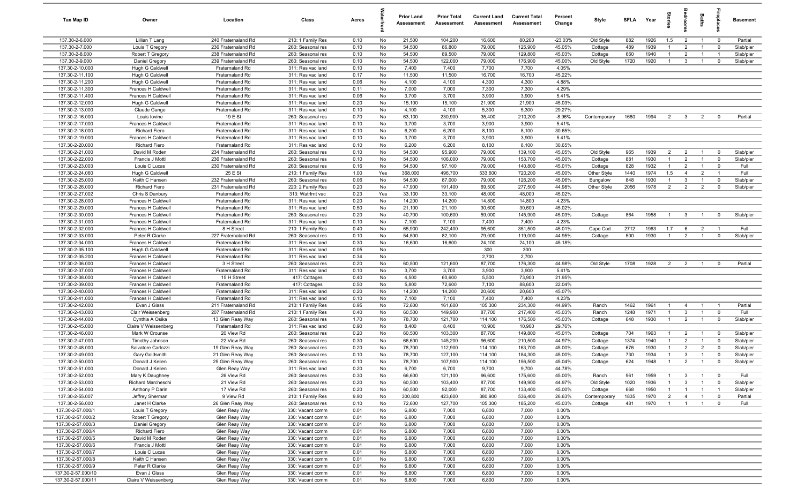| Tax Map ID                             | Owner                                    | Location                             | Class                                  | Acres        |           | <b>Prior Land</b><br>Assessment | <b>Prior Total</b><br>Assessment | <b>Current Land</b><br>Assessment | <b>Current Total</b><br>Assessment | Percent<br>Change | Style                   | <b>SFLA</b> | Year         | Stori                            | droom                            | Baths                            | epla                          | Basement               |
|----------------------------------------|------------------------------------------|--------------------------------------|----------------------------------------|--------------|-----------|---------------------------------|----------------------------------|-----------------------------------|------------------------------------|-------------------|-------------------------|-------------|--------------|----------------------------------|----------------------------------|----------------------------------|-------------------------------|------------------------|
| 137.30-2-6.000                         | Lillian T Lang                           | 240 Fraternaland Rd                  | 210: 1 Family Res                      | 0.10         | No        | 21,500                          | 104,200                          | 16,600                            | 80,200                             | $-23.03%$         | Old Style               | 882         | 1926         | 1.5                              | $\overline{2}$                   | $\overline{1}$                   | $\overline{0}$                | Partial                |
| 137.30-2-7.000                         | Louis T Gregory                          | 236 Fraternaland Rd                  | 260: Seasonal res                      | 0.10         | No        | 54,500                          | 86,800                           | 79,000                            | 125,900                            | 45.05%            | Cottage                 | 489         | 1939         | $\overline{1}$                   | $\overline{2}$                   | $\overline{1}$                   | $\mathbf 0$                   | Slab/pier              |
| 137.30-2-8.000                         | Robert T Gregory                         | 238 Fraternaland Rd                  | 260: Seasonal res                      | 0.10         | No        | 54,500                          | 89,500                           | 79,000                            | 129,800                            | 45.03%            | Cottage                 | 660         | 1940         | $\mathbf{1}$                     | $\overline{2}$                   | $\overline{1}$                   | - 1                           | Slab/pier              |
| 137.30-2-9.000                         | Daniel Gregory                           | 239 Fraternaland Rd                  | 260: Seasonal res                      | 0.10         | No        | 54,500                          | 122,000                          | 79,000                            | 176,900                            | 45.00%            | Old Style               | 1720        | 1920         | $\overline{1}$                   | $\mathbf{3}$                     |                                  | $^{\circ}$                    | Slab/pier              |
| 137.30-2-10.000                        | Hugh G Caldwell                          | Fraternaland Rd                      | 311: Res vac land                      | 0.10         | No        | 7,400                           | 7,400                            | 7,700                             | 7,700                              | 4.05%             |                         |             |              |                                  |                                  |                                  |                               |                        |
| 137.30-2-11.100<br>137.30-2-11.200     | Hugh G Caldwell                          | Fraternaland Rd<br>Fraternaland Rd   | 311: Res vac land<br>311: Res vac land | 0.17<br>0.06 | No<br>No  | 11,500<br>4,100                 | 11,500<br>4,100                  | 16,700<br>4,300                   | 16,700<br>4,300                    | 45.22%<br>4.88%   |                         |             |              |                                  |                                  |                                  |                               |                        |
| 137.30-2-11.300                        | Hugh G Caldwell<br>Frances H Caldwell    | Fraternaland Rd                      | 311: Res vac land                      | 0.11         | No        | 7,000                           | 7,000                            | 7,300                             | 7,300                              | 4.29%             |                         |             |              |                                  |                                  |                                  |                               |                        |
| 137.30-2-11.400                        | Frances H Caldwell                       | Fraternaland Rd                      | 311: Res vac land                      | 0.06         | No        | 3,700                           | 3,700                            | 3,900                             | 3,900                              | 5.41%             |                         |             |              |                                  |                                  |                                  |                               |                        |
| 137.30-2-12.000                        | Hugh G Caldwell                          | Fraternaland Rd                      | 311: Res vac land                      | 0.20         | No        | 15,100                          | 15,100                           | 21,900                            | 21,900                             | 45.03%            |                         |             |              |                                  |                                  |                                  |                               |                        |
| 137.30-2-13.000                        | Claude Gange                             | Fraternaland Rd                      | 311: Res vac land                      | 0.10         | No        | 4,100                           | 4,100                            | 5,300                             | 5,300                              | 29.27%            |                         |             |              |                                  |                                  |                                  |                               |                        |
| 137.30-2-16.000                        | Louis lovine                             | 19 E St                              | 260: Seasonal res                      | 0.70         | No        | 63,100                          | 230,900                          | 35,400                            | 210,200                            | $-8.96%$          | Contemporary            | 1680        | 1994         | $\overline{2}$                   | $\mathbf{3}$                     | $\overline{2}$                   | $^{\circ}$                    | Partial                |
| 137.30-2-17.000                        | Frances H Caldwell                       | Fraternaland Rd                      | 311: Res vac land                      | 0.10         | No        | 3,700                           | 3,700                            | 3,900                             | 3,900                              | 5.41%             |                         |             |              |                                  |                                  |                                  |                               |                        |
| 137.30-2-18.000                        | Richard Fiero                            | Fraternaland Rd                      | 311: Res vac land                      | 0.10         | No        | 6,200                           | 6,200                            | 8,100                             | 8,100                              | 30.65%            |                         |             |              |                                  |                                  |                                  |                               |                        |
| 137.30-2-19.000                        | Frances H Caldwell                       | Fraternaland Rd                      | 311: Res vac land                      | 0.10         | No        | 3,700                           | 3,700                            | 3,900                             | 3,900                              | 5.41%             |                         |             |              |                                  |                                  |                                  |                               |                        |
| 137.30-2-20.000                        | Richard Fiero                            | Fraternaland Rd                      | 311: Res vac land                      | 0.10         | No        | 6,200                           | 6,200                            | 8,100                             | 8,100                              | 30.65%            |                         |             |              |                                  |                                  |                                  |                               |                        |
| 137.30-2-21.000                        | David M Roden                            | 234 Fraternaland Rd                  | 260: Seasonal res                      | 0.10         | No        | 54,500                          | 95,900                           | 79,000                            | 139,100                            | 45.05%            | Old Style               | 965         | 1939         | $\overline{2}$                   | $\overline{2}$                   |                                  | $^{\circ}$                    | Slab/pier              |
| 137.30-2-22.000                        | Francis J Mottl                          | 236 Fraternaland Rd                  | 260: Seasonal res                      | 0.10         | No        | 54,500                          | 106,000                          | 79,000                            | 153,700                            | 45.00%            | Cottage                 | 881         | 1930         | $\mathbf{1}$                     | $\overline{2}$                   | $\mathbf{1}$                     | $^{\circ}$                    | Slab/pier              |
| 137.30-2-23.003<br>137.30-2-24.060     | Louis C Lucas<br>Hugh G Caldwell         | 230 Fraternaland Rd<br>25 E St       | 260: Seasonal res                      | 0.16<br>1.00 | No<br>Yes | 54,500<br>368,000               | 97,100<br>496,700                | 79,000<br>533,600                 | 140,800<br>720,200                 | 45.01%<br>45.00%  | Cottage                 | 828<br>1440 | 1932<br>1974 | $\overline{1}$<br>1.5            | $\overline{2}$<br>$\overline{4}$ | $\overline{2}$                   | $\mathbf 0$<br>$\overline{1}$ | Full<br>Full           |
| 137.30-2-25.000                        | Keith C Hansen                           | 232 Fraternaland Rd                  | 210: 1 Family Res<br>260: Seasonal res | 0.06         | No        | 54,500                          | 87,000                           | 79,000                            | 126,200                            | 45.06%            | Other Style<br>Bungalow | 848         | 1930         | $\overline{1}$                   | $\mathbf{3}$                     | $\overline{1}$                   | $\mathbf 0$                   | Slab/pier              |
| 137.30-2-26.000                        | <b>Richard Fiero</b>                     | 231 Fraternaland Rd                  | 220: 2 Family Res                      | 0.20         | No        | 47,900                          | 191,400                          | 69,500                            | 277,500                            | 44.98%            | Other Style             | 2056        | 1978         | 2                                | $\overline{2}$                   | $\overline{2}$                   | $\mathbf 0$                   | Slab/pier              |
| 137.30-2-27.002                        | Chris S Danbury                          | Fraternaland Rd                      | 313: Watrfrnt vac                      | 0.23         | Yes       | 33,100                          | 33,100                           | 48,000                            | 48,000                             | 45.02%            |                         |             |              |                                  |                                  |                                  |                               |                        |
| 137.30-2-28.000                        | Frances H Caldwell                       | Fraternaland Rd                      | 311: Res vac land                      | 0.20         | No        | 14,200                          | 14,200                           | 14,800                            | 14,800                             | 4.23%             |                         |             |              |                                  |                                  |                                  |                               |                        |
| 137.30-2-29.000                        | Frances H Caldwell                       | Fraternaland Rd                      | 311: Res vac land                      | 0.50         | No        | 21,100                          | 21,100                           | 30,600                            | 30,600                             | 45.02%            |                         |             |              |                                  |                                  |                                  |                               |                        |
| 137.30-2-30.000                        | Frances H Caldwell                       | Fraternaland Rd                      | 260: Seasonal res                      | 0.20         | No        | 40,700                          | 100,600                          | 59,000                            | 145,900                            | 45.03%            | Cottage                 | 864         | 1958         | $\overline{1}$                   | 3                                | $\overline{1}$                   | $\Omega$                      | Slab/pier              |
| 137.30-2-31.000                        | Frances H Caldwell                       | Fraternaland Rd                      | 311: Res vac land                      | 0.10         | No        | 7,100                           | 7,100                            | 7,400                             | 7,400                              | 4.23%             |                         |             |              |                                  |                                  |                                  |                               |                        |
| 137.30-2-32.000                        | Frances H Caldwell                       | 8 H Street                           | 210: 1 Family Res                      | 0.40         | No        | 65,900                          | 242,400                          | 95,600                            | 351,500                            | 45.01%            | Cape Cod                | 2712        | 1963         | 1.7                              | 6                                | $\overline{2}$                   |                               | Full                   |
| 137.30-2-33.000                        | Peter R Clarke                           | 227 Fraternaland Rd                  | 260: Seasonal res                      | 0.10         | No        | 54,500                          | 82,100                           | 79,000                            | 119,000                            | 44.95%            | Cottage                 | 500         | 1930         | $\overline{1}$                   | $\overline{2}$                   | $\overline{1}$                   | $\mathbf 0$                   | Slab/pier              |
| 137.30-2-34.000                        | Frances H Caldwell                       | Fraternaland Rd                      | 311: Res vac land                      | 0.30         | No        | 16,600                          | 16,600                           | 24,100                            | 24,100                             | 45.18%            |                         |             |              |                                  |                                  |                                  |                               |                        |
| 137.30-2-35.100                        | Hugh G Caldwell                          | Fraternaland Rd                      | 311: Res vac land                      | 0.05         | No        |                                 |                                  | 300                               | 300                                |                   |                         |             |              |                                  |                                  |                                  |                               |                        |
| 137.30-2-35.200                        | Frances H Caldwell                       | Fraternaland Rd                      | 311: Res vac land                      | 0.34         | No        |                                 |                                  | 2,700                             | 2,700                              |                   |                         |             |              |                                  |                                  |                                  |                               |                        |
| 137.30-2-36.000<br>137.30-2-37.000     | Frances H Caldwell                       | 3 H Street                           | 260: Seasonal res                      | 0.20         | No<br>No  | 60,500<br>3,700                 | 121,600<br>3,700                 | 87,700                            | 176,300<br>3,900                   | 44.98%<br>5.41%   | Old Style               | 1708        | 1928         | 2                                | $\overline{2}$                   | $\overline{1}$                   | $\overline{0}$                | Partial                |
| 137.30-2-38.000                        | Frances H Caldwell<br>Frances H Caldwell | Fraternaland Rd<br>15 H Street       | 311: Res vac land<br>417: Cottages     | 0.10<br>0.40 | No        | 4,500                           | 60,600                           | 3,900<br>5,500                    | 73,900                             | 21.95%            |                         |             |              |                                  |                                  |                                  |                               |                        |
| 137.30-2-39.000                        | Frances H Caldwell                       | Fraternaland Rd                      | 417: Cottages                          | 0.50         | No        | 5,800                           | 72,600                           | 7,100                             | 88,600                             | 22.04%            |                         |             |              |                                  |                                  |                                  |                               |                        |
| 137.30-2-40.000                        | Frances H Caldwell                       | Fraternaland Rd                      | 311: Res vac land                      | 0.20         | No        | 14,200                          | 14,200                           | 20,600                            | 20,600                             | 45.07%            |                         |             |              |                                  |                                  |                                  |                               |                        |
| 137.30-2-41.000                        | Frances H Caldwell                       | Fraternaland Rd                      | 311: Res vac land                      | 0.10         | No        | 7,100                           | 7,100                            | 7,400                             | 7,400                              | 4.23%             |                         |             |              |                                  |                                  |                                  |                               |                        |
| 137.30-2-42.000                        | Evan J Glass                             | 211 Fraternaland Rd                  | 210: 1 Family Res                      | 0.95         | No        | 72,600                          | 161,600                          | 105,300                           | 234,300                            | 44.99%            | Ranch                   | 1462        | 1961         | $\overline{1}$                   | $\overline{4}$                   |                                  | - 1                           | Partial                |
| 137.30-2-43.000                        | Clair Weissenberg                        | 207 Fraternaland Rd                  | 210: 1 Family Res                      | 0.40         | No        | 60,500                          | 149,900                          | 87,700                            | 217,400                            | 45.03%            | Ranch                   | 1248        | 1971         | $\overline{1}$                   | $\mathbf{3}$                     | $\overline{1}$                   | $\mathbf 0$                   | Full                   |
| 137.30-2-44.000                        | Cynthia A Osika                          | 13 Glen Reay Way                     | 260: Seasonal res                      | 1.70         | No        | 78,700                          | 121,700                          | 114,100                           | 176,500                            | 45.03%            | Cottage                 | 648         | 1930         | $\overline{1}$                   | $\overline{2}$                   |                                  | $\mathbf 0$                   | Slab/pier              |
| 137.30-2-45.000                        | Claire V Weissenberg                     | Fraternaland Rd                      | 311: Res vac land                      | 0.90         | No        | 8,400                           | 8,400                            | 10,900                            | 10,900                             | 29.76%            |                         |             |              |                                  |                                  |                                  |                               |                        |
| 137.30-2-46.000                        | Mark W Crounse                           | 20 View Rd                           | 260: Seasonal res                      | 0.20         | No        | 60,500                          | 103,300                          | 87,700                            | 149,800                            | 45.01%            | Cottage                 | 704         | 1963         | $\overline{1}$                   | $\overline{2}$                   |                                  | $^{\circ}$                    | Slab/pier              |
| 137.30-2-47.000                        | Timothy Johnson                          | 22 View Rd                           | 260: Seasonal res                      | 0.30         | No        | 66,600                          | 145,200                          | 96,600                            | 210,500                            | 44.97%            | Cottage                 | 1374        | 1940         | $\overline{1}$                   | $\overline{2}$                   | $\overline{1}$                   | $^{\circ}$                    | Slab/pier              |
| 137.30-2-48.000                        | Salvatore Carlozzi                       | 19 Glen Reay Way                     | 260: Seasonal res                      | 0.20         | No        | 78,700                          | 112,900                          | 114,100                           | 163,700                            | 45.00%            | Cottage                 | 676         | 1930         | $\overline{1}$                   | $\overline{2}$                   | $\overline{2}$                   | $\Omega$                      | Slab/pier              |
| 137.30-2-49.000<br>137.30-2-50.000     | Gary Goldsmith<br>Donald J Keilen        | 21 Glen Reay Way<br>25 Glen Reay Way | 260: Seasonal res<br>260: Seasonal res | 0.10<br>0.10 | No<br>No  | 78,700<br>78,700                | 127,100<br>107,900               | 114,100<br>114,100                | 184,300<br>156,500                 | 45.00%<br>45.04%  | Cottage<br>Cottage      | 730<br>624  | 1934<br>1948 | $\overline{1}$<br>$\overline{1}$ | $\mathbf{3}$<br>$\mathcal{P}$    | $\overline{1}$<br>$\overline{1}$ | $^{\circ}$                    | Slab/pier<br>Slab/pier |
| 137.30-2-51.000                        | Donald J Keilen                          | Glen Reay Way                        | 311: Res vac land                      | 0.20         | No        | 6,700                           | 6,700                            | 9,700                             | 9,700                              | 44.78%            |                         |             |              |                                  |                                  |                                  |                               |                        |
| 137.30-2-52.000                        | Mary K Daughney                          | 26 View Rd                           | 260: Seasonal res                      | 0.30         | No        | 66,600                          | 121,100                          | 96,600                            | 175,600                            | 45.00%            | Ranch                   | 961         | 1959         | $\overline{1}$                   | 3                                | $\overline{1}$                   | $\overline{\mathbf{0}}$       | Full                   |
| 137.30-2-53.000                        | <b>Richard Marcheschi</b>                | 21 View Rd                           | 260: Seasonal res                      | 0.20         | No        | 60,500                          | 103,400                          | 87,700                            | 149,900                            | 44.97%            | Old Style               | 1020        | 1936         | $\overline{1}$                   | $\mathbf{3}$                     | $\overline{1}$                   | $\mathbf 0$                   | Slab/pier              |
| 137.30-2-54.000                        | Anthony P Darin                          | 17 View Rd                           | 260: Seasonal res                      | 0.20         | No        | 60,500                          | 92,000                           | 87,700                            | 133,400                            | 45.00%            | Cottage                 | 668         | 1950         | $\mathbf{1}$                     | $\overline{1}$                   | $\overline{1}$                   | $\overline{1}$                | Slab/pier              |
| 137.30-2-55.007                        | Jeffrey Sherman                          | 9 View Rd                            | 210: 1 Family Res                      | 9.90         | No        | 300,800                         | 423,600                          | 380,900                           | 536,400                            | 26.63%            | Contemporary            | 1835        | 1970         | $\overline{2}$                   | $\overline{4}$                   | $\overline{1}$                   | $\mathbf 0$                   | Partial                |
| 137.30-2-56.000                        | Janet H Clarke                           | 26 Glen Reay Way                     | 260: Seasonal res                      | 0.10         | No        | 72,600                          | 127,700                          | 105,300                           | 185,200                            | 45.03%            | Cottage                 | 481         | 1970         | $\overline{1}$                   | $\overline{1}$                   | $\overline{1}$                   | $\mathbf 0$                   | Full                   |
| 137.30-2-57.000/1                      | Louis T Gregory                          | Glen Reay Way                        | 330: Vacant comm                       | 0.01         | No        | 6,800                           | 7,000                            | 6,800                             | 7,000                              | 0.00%             |                         |             |              |                                  |                                  |                                  |                               |                        |
| 137.30-2-57.000/2                      | Robert T Gregory                         | Glen Reay Way                        | 330: Vacant comm                       | 0.01         | No        | 6,800                           | 7,000                            | 6,800                             | 7,000                              | 0.00%             |                         |             |              |                                  |                                  |                                  |                               |                        |
| 137.30-2-57.000/3                      | Daniel Gregory                           | Glen Reay Way                        | 330: Vacant comm                       | 0.01         | No        | 6,800                           | 7,000                            | 6,800                             | 7,000                              | 0.00%             |                         |             |              |                                  |                                  |                                  |                               |                        |
| 137.30-2-57.000/4                      | <b>Richard Fiero</b>                     | Glen Reay Way                        | 330: Vacant comm                       | 0.01         | No        | 6,800                           | 7,000                            | 6,800                             | 7,000                              | 0.00%             |                         |             |              |                                  |                                  |                                  |                               |                        |
| 137.30-2-57.000/5                      | David M Roden                            | Glen Reay Way                        | 330: Vacant comm                       | 0.01         | No        | 6,800                           | 7,000                            | 6,800                             | 7,000                              | 0.00%             |                         |             |              |                                  |                                  |                                  |                               |                        |
| 137.30-2-57.000/6                      | Francis J Mottl                          | Glen Reay Way                        | 330: Vacant comm                       | 0.01         | No        | 6,800                           | 7,000                            | 6,800                             | 7,000                              | 0.00%             |                         |             |              |                                  |                                  |                                  |                               |                        |
| 137.30-2-57.000/7<br>137.30-2-57.000/8 | Louis C Lucas                            | Glen Reay Way<br>Glen Reay Way       | 330: Vacant comm<br>330: Vacant comm   | 0.01<br>0.01 | No<br>No  | 6,800                           | 7,000                            | 6,800<br>6,800                    | 7,000<br>7,000                     | 0.00%<br>0.00%    |                         |             |              |                                  |                                  |                                  |                               |                        |
| 137.30-2-57.000/9                      | Keith C Hansen<br>Peter R Clarke         | Glen Reay Way                        | 330: Vacant comm                       | 0.01         | No        | 6,800<br>6,800                  | 7,000<br>7,000                   | 6,800                             | 7,000                              | 0.00%             |                         |             |              |                                  |                                  |                                  |                               |                        |
| 137.30-2-57.000/10                     | Evan J Glass                             | Glen Reay Way                        | 330: Vacant comm                       | 0.01         | No        | 6,800                           | 7,000                            | 6,800                             | 7,000                              | 0.00%             |                         |             |              |                                  |                                  |                                  |                               |                        |
| 137.30-2-57.000/11                     | Claire V Weissenberg                     | Glen Reay Way                        | 330: Vacant comm                       | 0.01         | No        | 6,800                           | 7,000                            | 6,800                             | 7,000                              | 0.00%             |                         |             |              |                                  |                                  |                                  |                               |                        |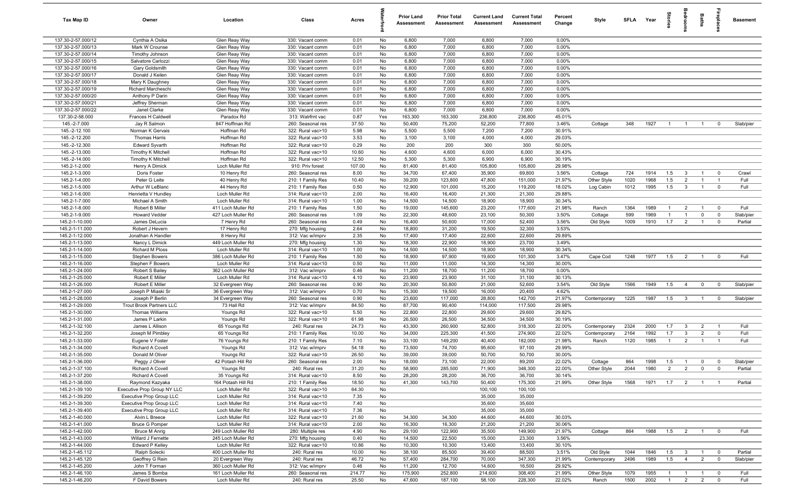| <b>Tax Map ID</b>                        | Owner                                | Location                             | Class                                  | Acres           |          | <b>Prior Land</b><br>Assessment | <b>Prior Total</b><br>Assessment | <b>Current Land</b><br>Assessment | <b>Current Total</b><br><b>Assessment</b> | Percent<br>Change | Style        | <b>SFLA</b>  | Year         | iorie          |                               | Baths          | repla                                     | <b>Basement</b> |
|------------------------------------------|--------------------------------------|--------------------------------------|----------------------------------------|-----------------|----------|---------------------------------|----------------------------------|-----------------------------------|-------------------------------------------|-------------------|--------------|--------------|--------------|----------------|-------------------------------|----------------|-------------------------------------------|-----------------|
| 137.30-2-57.000/12                       | Cynthia A Osika                      | Glen Reay Way                        | 330: Vacant comm                       | 0.01            | No       | 6,800                           | 7,000                            | 6,800                             | 7,000                                     | 0.00%             |              |              |              |                |                               |                |                                           |                 |
| 137.30-2-57.000/13                       | Mark W Crounse                       | Glen Reay Way                        | 330: Vacant comm                       | 0.01            | No       | 6,800                           | 7,000                            | 6,800                             | 7,000                                     | 0.00%             |              |              |              |                |                               |                |                                           |                 |
| 137.30-2-57.000/14                       | Timothy Johnson                      | Glen Reay Way                        | 330: Vacant comm                       | 0.01            | No       | 6,800                           | 7,000                            | 6,800                             | 7,000                                     | 0.00%             |              |              |              |                |                               |                |                                           |                 |
| 137.30-2-57.000/15<br>137.30-2-57.000/16 | Salvatore Carlozzi                   | Glen Reay Way<br>Glen Reay Way       | 330: Vacant comm                       | 0.01<br>0.01    | No<br>No | 6,800<br>6,800                  | 7,000<br>7,000                   | 6,800<br>6,800                    | 7,000<br>7,000                            | 0.00%<br>0.00%    |              |              |              |                |                               |                |                                           |                 |
| 137.30-2-57.000/17                       | Gary Goldsmith<br>Donald J Keilen    | Glen Reay Way                        | 330: Vacant comm<br>330: Vacant comm   | 0.01            | No       | 6,800                           | 7,000                            | 6,800                             | 7,000                                     | 0.00%             |              |              |              |                |                               |                |                                           |                 |
| 137.30-2-57.000/18                       | Mary K Daughney                      | Glen Reay Way                        | 330: Vacant comm                       | 0.01            | No       | 6,800                           | 7,000                            | 6,800                             | 7,000                                     | 0.00%             |              |              |              |                |                               |                |                                           |                 |
| 137.30-2-57.000/19                       | Richard Marcheschi                   | Glen Reay Way                        | 330: Vacant comm                       | 0.01            | No       | 6,800                           | 7,000                            | 6,800                             | 7,000                                     | 0.00%             |              |              |              |                |                               |                |                                           |                 |
| 137.30-2-57.000/20                       | Anthony P Darin                      | Glen Reay Way                        | 330: Vacant comm                       | 0.01            | No       | 6,800                           | 7,000                            | 6,800                             | 7,000                                     | 0.00%             |              |              |              |                |                               |                |                                           |                 |
| 137.30-2-57.000/21                       | Jeffrey Sherman                      | Glen Reay Way                        | 330: Vacant comm                       | 0.01            | No       | 6,800                           | 7,000                            | 6,800                             | 7,000                                     | 0.00%             |              |              |              |                |                               |                |                                           |                 |
| 137.30-2-57.000/22                       | Janet Clarke                         | Glen Reay Way                        | 330: Vacant comm                       | 0.01            | No       | 6,800                           | 7,000                            | 6,800                             | 7,000                                     | 0.00%             |              |              |              |                |                               |                |                                           |                 |
| 137.30-2-58.000                          | Frances H Caldwell                   | Paradox Rd                           | 313: Watrfrnt vac                      | 0.87            | Yes      | 163,300                         | 163,300                          | 236,800                           | 236,800                                   | 45.01%            |              |              |              |                |                               |                |                                           |                 |
| 145.-2-7.000                             | Jay R Salmon                         | 847 Hoffman Rd                       | 260: Seasonal res                      | 37.50           | No       | 50,400                          | 75,200                           | 52,200                            | 77,800                                    | 3.46%             | Cottage      | 348          | 1927         | $\overline{1}$ | $\overline{1}$                | $\overline{1}$ | $^{\circ}$                                | Slab/pier       |
| 145.-2-12.100                            | Norman K Gervais                     | Hoffman Rd                           | 322: Rural vac>10                      | 5.98            | No       | 5,500                           | 5,500                            | 7,200                             | 7,200                                     | 30.91%            |              |              |              |                |                               |                |                                           |                 |
| 145.-2-12.200                            | Thomas Harris                        | Hoffman Rd                           | 322: Rural vac>10                      | 3.53            | No       | 3,100                           | 3,100                            | 4,000                             | 4,000                                     | 29.03%            |              |              |              |                |                               |                |                                           |                 |
| 145.-2-12.300                            | <b>Edward Syvarth</b>                | Hoffman Rd                           | 322: Rural vac>10                      | 0.29            | No       | 200                             | 200                              | 300                               | 300                                       | 50.00%            |              |              |              |                |                               |                |                                           |                 |
| 145.-2-13.000                            | Timothy K Mitchell                   | Hoffman Rd                           | 322: Rural vac>10                      | 10.60           | No       | 4,600                           | 4,600                            | 6,000                             | 6,000                                     | 30.43%            |              |              |              |                |                               |                |                                           |                 |
| 145.-2-14.000<br>145.2-1-2.000           | Timothy K Mitchell<br>Henry A Dimick | Hoffman Rd<br>Loch Muller Rd         | 322: Rural vac>10<br>910: Priv forest  | 12.50<br>107.00 | No<br>No | 5,300<br>81,400                 | 5,300<br>81,400                  | 6,900<br>105,800                  | 6,900<br>105,800                          | 30.19%<br>29.98%  |              |              |              |                |                               |                |                                           |                 |
| 145.2-1-3.000                            | Doris Foster                         | 10 Henry Rd                          | 260: Seasonal res                      | 8.00            | No       | 34,700                          | 67,400                           | 35,900                            | 69,800                                    | 3.56%             | Cottage      | 724          | 1914         | 1.5            | $\mathbf{3}$                  | $\overline{1}$ | $^{\circ}$                                | Crawl           |
| 145.2-1-4.000                            | Peter G Leite                        | 40 Henry Rd                          | 210: 1 Family Res                      | 10.40           | No       | 39,200                          | 123,800                          | 47,800                            | 151,000                                   | 21.97%            | Other Style  | 1020         | 1968         | 1.5            | $\overline{2}$                | $\overline{1}$ | $\overline{1}$                            | Full            |
| 145.2-1-5.000                            | Arthur W LeBlanc                     | 44 Henry Rd                          | 210: 1 Family Res                      | 0.50            | No       | 12,900                          | 101,000                          | 15,200                            | 119,200                                   | 18.02%            | Log Cabin    | 1012         | 1995         | 1.5            | $\mathbf{3}$                  | $\overline{1}$ | $^{\circ}$                                | Full            |
| 145.2-1-6.000                            | Henrietta V Hundley                  | Loch Muller Rd                       | 314: Rural vac<10                      | 2.00            | No       | 16,400                          | 16,400                           | 21,300                            | 21,300                                    | 29.88%            |              |              |              |                |                               |                |                                           |                 |
| 145.2-1-7.000                            | Michael A Smith                      | Loch Muller Rd                       | 314: Rural vac<10                      | 1.00            | No       | 14,500                          | 14,500                           | 18,900                            | 18,900                                    | 30.34%            |              |              |              |                |                               |                |                                           |                 |
| 145.2-1-8.000                            | Robert B Miller                      | 411 Loch Muller Rd                   | 210: 1 Family Res                      | 1.50            | No       | 19,000                          | 145,600                          | 23,200                            | 177,600                                   | 21.98%            | Ranch        | 1364         | 1989         | $\overline{1}$ | $\overline{2}$                | $\overline{1}$ | $\mathbf 0$                               | Full            |
| 145.2-1-9.000                            | <b>Howard Vedder</b>                 | 427 Loch Muller Rd                   | 260: Seasonal res                      | 1.09            | No       | 22,300                          | 48,600                           | 23,100                            | 50,300                                    | 3.50%             | Cottage      | 599          | 1969         | $\overline{1}$ | -1                            | $\mathbf 0$    | $\mathbf 0$                               | Slab/pier       |
| 145.2-1-10.000                           | James DeLucia                        | 7 Henry Rd                           | 260: Seasonal res                      | 0.49            | No       | 16,400                          | 50,600                           | 17,000                            | 52,400                                    | 3.56%             | Old Style    | 1009         | 1910         | 1.7            | $\overline{2}$                | $\overline{1}$ | $^{\circ}$                                | Partial         |
| 145.2-1-11.000                           | Robert J Hevern                      | 17 Henry Rd                          | 270: Mfg housing                       | 2.64            | No       | 18,800                          | 31,200                           | 19,500                            | 32,300                                    | 3.53%             |              |              |              |                |                               |                |                                           |                 |
| 145.2-1-12.000                           | Jonathan A Handler                   | 8 Henry Rd                           | 312: Vac w/imprv                       | 2.35            | No       | 17,400                          | 17,400                           | 22,600                            | 22,600                                    | 29.89%            |              |              |              |                |                               |                |                                           |                 |
| 145.2-1-13.000                           | Nancy L Dimick                       | 449 Loch Muller Rd                   | 270: Mfg housing                       | 1.30            | No       | 18,300                          | 22,900                           | 18,900                            | 23,700                                    | 3.49%             |              |              |              |                |                               |                |                                           |                 |
| 145.2-1-14.000                           | Richard M Ploss                      | Loch Muller Rd                       | 314: Rural vac<10                      | 1.00            | No       | 14,500                          | 14,500                           | 18,900                            | 18,900                                    | 30.34%            |              |              |              |                |                               |                |                                           |                 |
| 145.2-1-15.000                           | <b>Stephen Bowers</b>                | 386 Loch Muller Rd                   | 210: 1 Family Res                      | 1.50            | No       | 18,900                          | 97,900                           | 19,600                            | 101,300                                   | 3.47%             | Cape Cod     | 1248         | 1977         | 1.5            | $\overline{2}$                | $\overline{1}$ | $^{\circ}$                                | Full            |
| 145.2-1-16.000                           | Stephen F Bowers                     | Loch Muller Rd                       | 314: Rural vac<10                      | 0.50            | No<br>No | 11,000                          | 11,000                           | 14,300                            | 14,300                                    | 30.00%            |              |              |              |                |                               |                |                                           |                 |
| 145.2-1-24.000<br>145.2-1-25.000         | Robert S Bailey<br>Robert E Miller   | 362 Loch Muller Rd<br>Loch Muller Rd | 312: Vac w/imprv<br>314: Rural vac<10  | 0.46<br>4.10    | No       | 11,200<br>23,900                | 18,700<br>23,900                 | 11,200<br>31,100                  | 18,700<br>31,100                          | 0.00%<br>30.13%   |              |              |              |                |                               |                |                                           |                 |
| 145.2-1-26.000                           | Robert E Miller                      | 32 Evergreen Way                     | 260: Seasonal res                      | 0.90            | No       | 20,300                          | 50,800                           | 21,000                            | 52,600                                    | 3.54%             | Old Style    | 1566         | 1949         | 1.5            | $\overline{4}$                | $\mathbf 0$    | $\mathbf 0$                               | Slab/pier       |
| 145.2-1-27.000                           | Joseph P Miaski Sr                   | 36 Evergreen Way                     | 312: Vac w/imprv                       | 0.70            | No       | 15,300                          | 19,500                           | 16,000                            | 20,400                                    | 4.62%             |              |              |              |                |                               |                |                                           |                 |
| 145.2-1-28.000                           | Joseph P Berlin                      | 34 Evergreen Way                     | 260: Seasonal res                      | 0.90            | No       | 23,600                          | 117,000                          | 28,800                            | 142,700                                   | 21.97%            | Contemporary | 1225         | 1987         | 1.5            | $\overline{\mathbf{3}}$       | $\overline{1}$ | $\overline{0}$                            | Slab/pier       |
| 145.2-1-29.000                           | Trout Brook Partners LLC             | 73 Hall Rd                           | 312: Vac w/imprv                       | 84.50           | No       | 87,700                          | 90,400                           | 114,000                           | 117,500                                   | 29.98%            |              |              |              |                |                               |                |                                           |                 |
| 145.2-1-30.000                           | Thomas Williams                      | Youngs Rd                            | 322: Rural vac>10                      | 5.50            | No       | 22,800                          | 22,800                           | 29,600                            | 29,600                                    | 29.82%            |              |              |              |                |                               |                |                                           |                 |
| 145.2-1-31.000                           | James P Larkin                       | Youngs Rd                            | 322: Rural vac>10                      | 61.98           | No       | 26,500                          | 26,500                           | 34,500                            | 34,500                                    | 30.19%            |              |              |              |                |                               |                |                                           |                 |
| 145.2-1-32.100                           | James L Allison                      | 65 Youngs Rd                         | 240: Rural res                         | 24.73           | No       | 43,300                          | 260,900                          | 52,800                            | 318,300                                   | 22.00%            | Contemporary | 2324         | 2000         | 1.7            | $\mathbf{3}$                  | $\overline{2}$ |                                           | Full            |
| 145.2-1-32.200                           | Joseph M Pimbley                     | 65 Youngs Rd                         | 210: 1 Family Res                      | 10.00           | No       | 34,000                          | 225,300                          | 41,500                            | 274,900                                   | 22.02%            | Contemporary | 2164         | 1992         | 1.7            | $\mathbf{3}$                  | $\overline{2}$ | $\mathbf 0$                               | Full            |
| 145.2-1-33.000                           | Eugene V Foster                      | 76 Youngs Rd                         | 210: 1 Family Res                      | 7.10            | No       | 33,100                          | 149,200                          | 40,400                            | 182,000                                   | 21.98%            | Ranch        | 1120         | 1985         | $\overline{1}$ | $\overline{2}$                | $\overline{1}$ | $\overline{1}$                            | Full            |
| 145.2-1-34.000                           | <b>Richard A Covell</b>              | Youngs Rd                            | 312: Vac w/imprv                       | 54.18           | No       | 73,500                          | 74,700                           | 95,600                            | 97,100                                    | 29.99%            |              |              |              |                |                               |                |                                           |                 |
| 145.2-1-35.000                           | Donald M Oliver                      | Youngs Rd                            | 322: Rural vac>10                      | 26.50           | No       | 39,000                          | 39,000                           | 50,700                            | 50,700                                    | 30.00%            |              |              |              |                |                               |                |                                           |                 |
| 145.2-1-36.000                           | Peggy J Oliver                       | 42 Potash Hill Rd                    | 260: Seasonal res                      | 2.00            | No.      | 18,000                          | 73,100                           | 22,000                            | 89,200                                    | 22.02%            | Cottage      | 864          | 1998         | 1.5            |                               | $\Omega$       |                                           | Slab/pier       |
| 145.2-1-37.100<br>145.2-1-37.200         | Richard A Covell                     | Youngs Rd                            | 240: Rural res                         | 31.20           | No       | 58,900                          | 285,500<br>28,200                | 71,900                            | 348,300                                   | 22.00%<br>30.14%  | Other Style  | 2044         | 1980         | $\overline{2}$ | $\overline{2}$                | $\mathbf{0}$   | $\overline{\mathbf{0}}$                   | Partial         |
| 145.2-1-38.000                           | Richard A Covell<br>Raymond Kazyaka  | 35 Youngs Rd<br>164 Potash Hill Rd   | 314: Rural vac<10<br>210: 1 Family Res | 8.50<br>18.50   | No<br>No | 28,200<br>41,300                | 143,700                          | 36,700<br>50,400                  | 36,700<br>175,300                         | 21.99%            | Other Style  | 1568         | 1971         | 1.7            | $\overline{\mathbf{2}}$       | $\overline{1}$ | $\overline{1}$                            | Partial         |
| 145.2-1-39.100                           | Executive Prop Group NY LLC          | Loch Muller Rd                       | 322: Rural vac>10                      | 64.30           | No       |                                 |                                  | 100,100                           | 100,100                                   |                   |              |              |              |                |                               |                |                                           |                 |
| 145.2-1-39.200                           | Executive Prop Group LLC             | Loch Muller Rd                       | 314: Rural vac<10                      | 7.35            | No       |                                 |                                  | 35,000                            | 35,000                                    |                   |              |              |              |                |                               |                |                                           |                 |
| 145.2-1-39.300                           | Executive Prop Group LLC             | Loch Muller Rd                       | 314: Rural vac<10                      | 7.40            | No       |                                 |                                  | 35,600                            | 35,600                                    |                   |              |              |              |                |                               |                |                                           |                 |
| 145.2-1-39.400                           | Executive Prop Group LLC             | Loch Muller Rd                       | 314: Rural vac<10                      | 7.36            | No       |                                 |                                  | 35,000                            | 35,000                                    |                   |              |              |              |                |                               |                |                                           |                 |
| 145.2-1-40.000                           | Alvin L Breece                       | Loch Muller Rd                       | 322: Rural vac>10                      | 21.60           | No       | 34,300                          | 34,300                           | 44,600                            | 44,600                                    | 30.03%            |              |              |              |                |                               |                |                                           |                 |
| 145.2-1-41.000                           | <b>Bruce G Pomper</b>                | Loch Muller Rd                       | 314: Rural vac<10                      | 2.00            | No       | 16,300                          | 16,300                           | 21,200                            | 21,200                                    | 30.06%            |              |              |              |                |                               |                |                                           |                 |
| 145.2-1-42.000                           | <b>Bruce M Anrig</b>                 | 249 Loch Muller Rd                   | 280: Multiple res                      | 4.90            | No       | 29,100                          | 122,900                          | 35,500                            | 149,900                                   | 21.97%            | Cottage      | 864          | 1988         | 1.5            | $\overline{2}$                | $\overline{1}$ | $\overline{0}$                            | Full            |
| 145.2-1-43.000                           | Willard J Fernette                   | 245 Loch Muller Rd                   | 270: Mfg housing                       | 0.40            | No       | 14,500                          | 22,500                           | 15,000                            | 23,300                                    | 3.56%             |              |              |              |                |                               |                |                                           |                 |
| 145.2-1-44.000                           | Edward P Kelley                      | Loch Muller Rd                       | 322: Rural vac>10                      | 10.86           | No       | 10,300                          | 10,300                           | 13,400                            | 13,400                                    | 30.10%            |              |              |              |                |                               |                |                                           |                 |
| 145.2-1-45.112                           | Ralph Solecki                        | 400 Loch Muller Rd                   | 240: Rural res                         | 10.00           | No       | 38,100                          | 85,500                           | 39,400                            | 88,500                                    | 3.51%             | Old Style    | 1044         | 1846         | 1.5            | $\mathbf{3}$                  | $\overline{1}$ | $\overline{0}$                            | Partial         |
| 145.2-1-45.120                           | Geoffrey G Rein                      | 20 Evergreen Way                     | 240: Rural res                         | 46.72           | No       | 57,400                          | 284,700                          | 70,000                            | 347,300                                   | 21.99%            | Contemporary | 2496         | 1989         | 1.5            | $\overline{4}$                | $\overline{2}$ | $\mathbf 0$                               | Slab/pier       |
| 145.2-1-45.200                           | John T Forman                        | 360 Loch Muller Rd                   | 312: Vac w/imprv                       | 0.46            | No       | 11,200                          | 12,700                           | 14,600                            | 16,500                                    | 29.92%            |              |              |              |                |                               |                |                                           |                 |
| 145.2-1-46.100<br>145.2-1-46.200         | James S Bomba                        | 161 Loch Muller Rd                   | 260: Seasonal res                      | 214.77<br>25.50 | No       | 175,900<br>47,600               | 252,800                          | 214,600                           | 308,400<br>228,300                        | 21.99%<br>22.02%  | Other Style  | 1079<br>1500 | 1955<br>2002 | $\overline{1}$ | $\overline{1}$<br>$1 \t2 \t2$ | $\overline{1}$ | $\overline{\mathbf{0}}$<br>$\overline{0}$ | Full<br>Full    |
|                                          | F David Bowers                       | Loch Muller Rd                       | 240: Rural res                         |                 | No       |                                 | 187,100                          | 58,100                            |                                           |                   | Ranch        |              |              |                |                               |                |                                           |                 |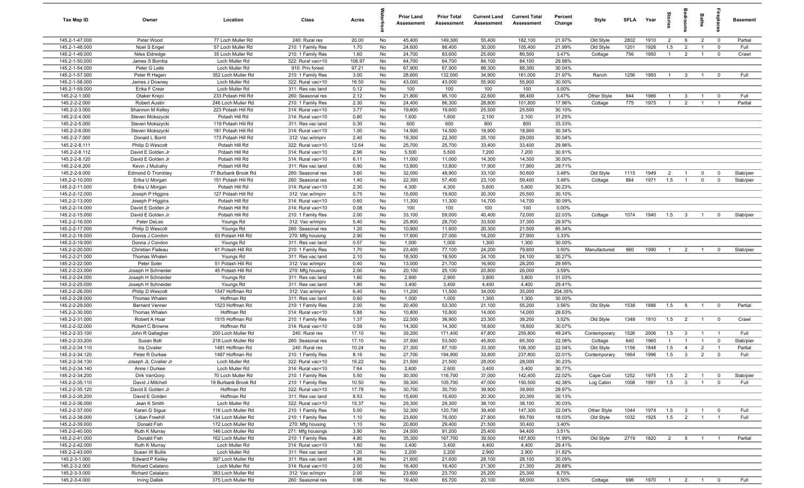| Tax Map ID                       | Owner                              | Location                             | Class                                  | Acres         |          | <b>Prior Land</b><br>Assessment | <b>Prior Total</b><br>Assessment | <b>Current Land</b><br><b>Assessment</b> | <b>Current Total</b><br><b>Assessment</b> | Percent<br>Change | Style        | <b>SFLA</b> | Year         | tories         | ledroo          | Baths          | ireplac                 | <b>Basement</b> |
|----------------------------------|------------------------------------|--------------------------------------|----------------------------------------|---------------|----------|---------------------------------|----------------------------------|------------------------------------------|-------------------------------------------|-------------------|--------------|-------------|--------------|----------------|-----------------|----------------|-------------------------|-----------------|
| 145.2-1-47.000                   | Peter Wood                         | 77 Loch Muller Rd                    | 240: Rural res                         | 20.00         | No       | 45,400                          | 149,300                          | 55,400                                   | 182,100                                   | 21.97%            | Old Style    | 2802        | 1910         | $\overline{2}$ | 6               | $\overline{2}$ | $\overline{\mathbf{0}}$ | Partial         |
| 145.2-1-48.000                   | Noel S Engel                       | 57 Loch Muller Rd                    | 210: 1 Family Res                      | 1.70          | No       | 24,600                          | 86,400                           | 30,000                                   | 105,400                                   | 21.99%            | Old Style    | 1201        | 1926         | 1.5            | 2               | $\overline{1}$ | $\overline{0}$          | Full            |
| 145.2-1-49.000                   | Niles Eldredge                     | 35 Loch Muller Rd                    | 210: 1 Family Res                      | 1.60          | No       | 24,700                          | 83,600                           | 25,600                                   | 86,500                                    | 3.47%             | Cottage      | 756         | 1950         | $\overline{1}$ | $\overline{2}$  | $\overline{1}$ | $\mathbf 0$             | Crawl           |
| 145.2-1-50.000                   | James S Bomba                      | Loch Muller Rd                       | 322: Rural vac>10                      | 106.97        | No       | 64,700                          | 64,700                           | 84,100                                   | 84,100                                    | 29.98%            |              |             |              |                |                 |                |                         |                 |
| 145.2-1-54.000                   | Peter G Leite                      | Loch Muller Rd                       | 910: Priv forest                       | 97.21         | No       | 67,900                          | 67,900                           | 88,300                                   | 88,300                                    | 30.04%            |              |             |              |                |                 |                |                         |                 |
| 145.2-1-57.000                   | Peter R Hagen                      | 352 Loch Muller Rd                   | 210: 1 Family Res                      | 3.00          | No       | 28,600                          | 132,000                          | 34,900                                   | 161,000                                   | 21.97%            | Ranch        | 1256        | 1993         | $\overline{1}$ | $\mathbf{3}$    | $\overline{1}$ | $\overline{0}$          | Full            |
| 145.2-1-58.000                   | James J Downey                     | Loch Muller Rd                       | 322: Rural vac>10                      | 16.50         | No       | 43,000                          | 43,000                           | 55,900                                   | 55,900                                    | 30.00%            |              |             |              |                |                 |                |                         |                 |
| 145.2-1-59.000                   | Erika F Crear                      | Loch Muller Rd                       | 311: Res vac land                      | 0.12          | No       | 100                             | 100                              | 100                                      | 100                                       | 0.00%             |              |             |              |                |                 |                |                         |                 |
| 145.2-2-1.000                    | Otaker Krejci                      | 233 Potash Hill Rd                   | 260: Seasonal res                      | 2.12          | No       | 21,800                          | 95,100                           | 22,600                                   | 98,400                                    | 3.47%             | Other Style  | 844         | 1986         | -1             | $\mathbf{3}$    | $\overline{1}$ | $\mathbf 0$             | Full            |
| 145.2-2-2.000                    | Robert Austin                      | 246 Loch Muller Rd                   | 210: 1 Family Res                      | 2.30          | No       | 24,400                          | 86,300                           | 28,800                                   | 101,800                                   | 17.96%            | Cottage      | 775         | 1975         | $\overline{1}$ | 2               | $\overline{1}$ | $\overline{1}$          | Partial         |
| 145.2-2-3.000                    | Shannon M Kelley                   | 223 Potash Hill Rd                   | 314: Rural vac<10                      | 3.77          | No       | 19,600                          | 19,600                           | 25,500                                   | 25,500                                    | 30.10%            |              |             |              |                |                 |                |                         |                 |
| 145.2-2-4.000                    | Steven Mokszycki                   | Potash Hill Rd                       | 314: Rural vac<10                      | 0.80          | No       | 1,600                           | 1,600                            | 2,100                                    | 2,100                                     | 31.25%            |              |             |              |                |                 |                |                         |                 |
| 145.2-2-5.000                    | Steven Mokszycki                   | 119 Potash Hill Rd                   | 311: Res vac land                      | 0.30          | No       | 600                             | 600                              | 800                                      | 800                                       | 33.33%            |              |             |              |                |                 |                |                         |                 |
| 145.2-2-6.000                    | Steven Mokszycki                   | 181 Potash Hill Rd                   | 314: Rural vac<10                      | 1.00          | No       | 14,500                          | 14,500                           | 18,900                                   | 18,900                                    | 30.34%            |              |             |              |                |                 |                |                         |                 |
| 145.2-2-7.000<br>145.2-2-8.111   | Donald L Bornt<br>Philip D Wescott | 173 Potash Hill Rd<br>Potash Hill Rd | 312: Vac w/imprv<br>322: Rural vac>10  | 2.40<br>12.64 | No<br>No | 19,300<br>25,700                | 22,300<br>25,700                 | 25,100<br>33,400                         | 29,000<br>33,400                          | 30.04%<br>29.96%  |              |             |              |                |                 |                |                         |                 |
| 145.2-2-8.112                    | David E Golden Jr                  | Potash Hill Rd                       | 314: Rural vac<10                      | 2.96          | No       | 5,500                           | 5,500                            | 7,200                                    | 7,200                                     | 30.91%            |              |             |              |                |                 |                |                         |                 |
| 145.2-2-8.120                    | David E Golden Jr                  | Potash Hill Rd                       | 314: Rural vac<10                      | 6.11          | No       | 11,000                          | 11,000                           | 14,300                                   | 14,300                                    | 30.00%            |              |             |              |                |                 |                |                         |                 |
| 145.2-2-8.200                    | Kevin J Mulcahy                    | Potash Hill Rd                       | 311: Res vac land                      | 0.90          | No       | 13,800                          | 13,800                           | 17,900                                   | 17,900                                    | 29.71%            |              |             |              |                |                 |                |                         |                 |
| 145.2-2-9.000                    | <b>Edmond D Trombley</b>           | 77 Burbank Brook Rd                  | 260: Seasonal res                      | 3.60          | No       | 32,000                          | 48,900                           | 33,100                                   | 50,600                                    | 3.48%             | Old Style    | 1115        | 1949         | $\overline{2}$ |                 | $^{\circ}$     | $\mathbf 0$             | Slab/pier       |
| 145.2-2-10.000                   | Erika U Morgan                     | 151 Potash Hill Rd                   | 260: Seasonal res                      | 1.40          | No       | 22,300                          | 57,400                           | 23,100                                   | 59,400                                    | 3.48%             | Cottage      | 864         | 1971         | 1.5            | $\overline{1}$  | $\mathbf 0$    | $\overline{0}$          | Slab/pier       |
| 145.2-2-11.000                   | Erika U Morgan                     | Potash Hill Rd                       | 314: Rural vac<10                      | 2.30          | No       | 4,300                           | 4,300                            | 5,600                                    | 5,600                                     | 30.23%            |              |             |              |                |                 |                |                         |                 |
| 145.2-2-12.000                   | Joseph P Higgins                   | 127 Potash Hill Rd                   | 312: Vac w/imprv                       | 0.75          | No       | 15,600                          | 19,600                           | 20,300                                   | 25,500                                    | 30.10%            |              |             |              |                |                 |                |                         |                 |
| 145.2-2-13.000                   | Joseph P Higgins                   | Potash Hill Rd                       | 314: Rural vac<10                      | 0.60          | No       | 11,300                          | 11,300                           | 14,700                                   | 14,700                                    | 30.09%            |              |             |              |                |                 |                |                         |                 |
| 145.2-2-14.000                   | David E Golden Jr                  | Potash Hill Rd                       | 314: Rural vac<10                      | 0.08          | No       | 100                             | 100                              | 100                                      | 100                                       | 0.00%             |              |             |              |                |                 |                |                         |                 |
| 145.2-2-15.000                   | David E Golden Jr                  | Potash Hill Rd                       | 210: 1 Family Res                      | 2.00          | No       | 33,100                          | 59,000                           | 40,400                                   | 72,000                                    | 22.03%            | Cottage      | 1074        | 1940         | 1.5            | $\mathbf{3}$    | $\overline{1}$ | $\Omega$                | Slab/pier       |
| 145.2-2-16.000                   | Peter DeLeo                        | Youngs Rd                            | 312: Vac w/imprv                       | 5.40          | No       | 25,800                          | 28,700                           | 33,500                                   | 37,300                                    | 29.97%            |              |             |              |                |                 |                |                         |                 |
| 145.2-2-17.000                   | Philip D Wescott                   | Youngs Rd                            | 260: Seasonal res                      | 1.20          | No       | 10,900                          | 11,600                           | 20,300                                   | 21,500                                    | 85.34%            |              |             |              |                |                 |                |                         |                 |
| 145.2-2-18.000                   | Donna J Condon                     | 63 Potash Hill Rd                    | 270: Mfg housing                       | 2.90          | No       | 17,600                          | 27,000                           | 18,200                                   | 27,900                                    | 3.33%             |              |             |              |                |                 |                |                         |                 |
| 145.2-2-19.000                   | Donna J Condon                     | Youngs Rd                            | 311: Res vac land                      | 0.57          | No       | 1,000                           | 1,000                            | 1,300                                    | 1,300                                     | 30.00%            |              |             |              |                |                 |                |                         |                 |
| 145.2-2-20.000                   | Christian Flateau                  | 61 Potash Hill Rd                    | 210: 1 Family Res                      | 1.70          | No       | 23,400                          | 77,100                           | 24,200                                   | 79,800                                    | 3.50%             | Manufactured | 960         | 1990         | $\overline{1}$ | $\overline{2}$  | $\overline{1}$ | $\mathbf 0$             | Slab/pier       |
| 145.2-2-21.000                   | Thomas Whalen                      | Youngs Rd                            | 311: Res vac land                      | 2.10          | No       | 18,500                          | 18,500                           | 24,100                                   | 24,100                                    | 30.27%            |              |             |              |                |                 |                |                         |                 |
| 145.2-2-22.000                   | Peter Soler                        | 51 Potash Hill Rd                    | 312: Vac w/imprv                       | 0.40          | No       | 13,000                          | 21,700                           | 16,900                                   | 28,200                                    | 29.95%            |              |             |              |                |                 |                |                         |                 |
| 145.2-2-23.000                   | Joseph H Schneider                 | 45 Potash Hill Rd                    | 270: Mfg housing                       | 2.00          | No       | 20,100                          | 25,100                           | 20,800                                   | 26,000                                    | 3.59%             |              |             |              |                |                 |                |                         |                 |
| 145.2-2-24.000                   | Joseph H Schneider                 | Youngs Rd                            | 311: Res vac land                      | 1.60          | No       | 2,900                           | 2,900                            | 3,800                                    | 3,800                                     | 31.03%            |              |             |              |                |                 |                |                         |                 |
| 145.2-2-25.000                   | Joseph H Schneider                 | Youngs Rd                            | 311: Res vac land                      | 1.80          | No       | 3,400                           | 3,400                            | 4,400                                    | 4,400                                     | 29.41%            |              |             |              |                |                 |                |                         |                 |
| 145.2-2-26.000                   | Philip D Wescott                   | 1547 Hoffman Rd                      | 312: Vac w/imprv                       | 6.40          | No       | 11,200                          | 11,500                           | 34,000                                   | 35,000                                    | 204.35%           |              |             |              |                |                 |                |                         |                 |
| 145.2-2-28.000                   | Thomas Whalen                      | Hoffman Rd                           | 311: Res vac land                      | 0.60          | No       | 1,000                           | 1,000                            | 1,300                                    | 1,300                                     | 30.00%            |              |             |              |                |                 |                |                         |                 |
| 145.2-2-29.000<br>145.2-2-30.000 | <b>Bernard Venner</b>              | 1523 Hoffman Rd<br>Hoffman Rd        | 210: 1 Family Res                      | 2.00          | No       | 20,400                          | 53,300                           | 21,100                                   | 55,200                                    | 3.56%<br>29.63%   | Old Style    | 1538        | 1886         | 1.5            | $5\overline{5}$ | $\overline{1}$ | $\overline{0}$          | Partial         |
| 145.2-2-31.000                   | Thomas Whalen<br>Robert A Hoar     | 1515 Hoffman Rd                      | 314: Rural vac<10<br>210: 1 Family Res | 5.88<br>1.37  | No<br>No | 10,800<br>22,500                | 10,800<br>36,900                 | 14,000<br>23,300                         | 14,000<br>38,200                          | 3.52%             | Old Style    | 1348        | 1910         | 1.5            | $\overline{2}$  | $\overline{1}$ | $\overline{0}$          | Crawl           |
| 145.2-2-32.000                   | Robert C Browne                    | Hoffman Rd                           | 314: Rural vac<10                      | 0.59          | No       | 14,300                          | 14,300                           | 18,600                                   | 18,600                                    | 30.07%            |              |             |              |                |                 |                |                         |                 |
| 145.2-2-33.100                   | John R Gallagher                   | 200 Loch Muller Rd                   | 240: Rural res                         | 17.10         | No       | 39,200                          | 171,400                          | 47,800                                   | 255,800                                   | 49.24%            | Contemporary | 1526        | 2006         | 1.5            | $\mathbf{3}$    | $\overline{1}$ | $\overline{1}$          | Full            |
| 145.2-2-33.200                   | Susan Bott                         | 218 Loch Muller Rd                   | 260: Seasonal res                      | 17.10         | No       | 37,500                          | 53,500                           | 45,800                                   | 65,300                                    | 22.06%            | Cottage      | 640         | 1960         | -1             |                 | $\overline{1}$ | $\mathbf 0$             | Slab/pier       |
| 145.2-2-34.110                   | Iris Civalier                      | 1481 Hoffman Rd                      | 240: Rural res                         | 10.24         | No       | 27,300                          | 87,100                           | 33,300                                   | 106,300                                   | 22.04%            | Old Style    | 1156        | 1848         | 1.5            | $\overline{4}$  | $\overline{2}$ | $\overline{1}$          | Partial         |
| 145.2-2-34.120                   | Peter R Durkee                     | 1487 Hoffman Rd                      | 210: 1 Family Res                      | 8.16          | No       | 27,700                          | 194,900                          | 33,800                                   | 237,800                                   | 22.01%            | Contemporary | 1664        | 1996         | 1.5            | $\mathbf{3}$    | $\overline{2}$ | $\mathbf 0$             | Full            |
| 145.2-2-34.130                   | Joseph JL Civalier Jr              | Loch Muller Rd                       | 322: Rural vac>10                      | 16.22         | No       | 21,500                          | 21,500                           | 28,000                                   | 28,000                                    | 30.23%            |              |             |              |                |                 |                |                         |                 |
| 145.2-2-34.140                   | Anne I Durkee                      | Loch Muller Rd                       | 314: Rural vac<10                      | 7.64          | No       | 2,600                           | 2,600                            | 3,400                                    | 3,400                                     | 30.77%            |              |             |              |                |                 |                |                         |                 |
| 145.2-2-34.200                   | Dirk VanGorp                       | 70 Loch Muller Rd                    | 210: 1 Family Res                      | 5.50          | No       | 30,300                          | 116,700                          | 37,000                                   | 142,400                                   | 22.02%            | Cape Cod     | 1252        | 1975         | 1.5            | $\overline{2}$  | $\overline{1}$ | $\overline{0}$          | Slab/pier       |
| 145.2-2-35.110                   | David J Mitchell                   | 19 Burbank Brook Rd                  | 210: 1 Family Res                      | 10.50         | No       | 39,300                          | 105,700                          | 47,000                                   | 150,500                                   | 42.38%            | Log Cabin    | 1008        | 1991         | 1.5            | $\mathbf{3}$    | $\overline{1}$ | $\mathbf 0$             | Full            |
| 145.2-2-35.120                   | David E Golden Jr                  | Hoffman Rd                           | 322: Rural vac>10                      | 17.78         | No       | 30,700                          | 30,700                           | 39,900                                   | 39,900                                    | 29.97%            |              |             |              |                |                 |                |                         |                 |
| 145.2-2-35.200                   | David E Golden                     | Hoffman Rd                           | 311: Res vac land                      | 8.53          | No       | 15,600                          | 15,600                           | 20,300                                   | 20,300                                    | 30.13%            |              |             |              |                |                 |                |                         |                 |
| 145.2-2-36.000                   | Jean K Smith                       | Loch Muller Rd                       | 322: Rural vac>10                      | 15.37         | No       | 29,300                          | 29,300                           | 38,100                                   | 38,100                                    | 30.03%            |              |             |              |                |                 |                |                         |                 |
| 145.2-2-37.000                   | Karen G Sigua                      | 116 Loch Muller Rd                   | 210: 1 Family Res                      | 5.00          | No       | 32,300                          | 120,700                          | 39,400                                   | 147,300                                   | 22.04%            | Other Style  | 1044        | 1974         | 1.5            | $\mathbf{3}$    | $\overline{1}$ | $\mathbf 0$             | Full            |
| 145.2-2-38.000                   | <b>Lillian Freehill</b>            | 134 Loch Muller Rd                   | 210: 1 Family Res                      | 1.10          | No       | 23,600                          | 76,000                           | 27,800                                   | 89,700                                    | 18.03%            | Old Style    | 1032        | 1925         | 1.5            | $\overline{2}$  | $\overline{1}$ | $\overline{1}$          | Full            |
| 145.2-2-39.000                   | Donald Fish                        | 172 Loch Muller Rd                   | 270: Mfg housing                       | 1.10          | No       | 20,800                          | 29,400                           | 21,500                                   | 30,400                                    | 3.40%             |              |             |              |                |                 |                |                         |                 |
| 145.2-2-40.000                   | Ruth K Murray                      | 146 Loch Muller Rd                   | 271: Mfg housings                      | 3.90          | No       | 24,500                          | 91,200                           | 25,400                                   | 94,400                                    | 3.51%             |              |             |              |                |                 |                |                         |                 |
| 145.2-2-41.000                   | Donald Fish                        | 162 Loch Muller Rd                   | 210: 1 Family Res                      | 4.80          | No       | 35,300                          | 167,700                          | 39,500                                   | 187,800                                   | 11.99%            | Old Style    | 2719        | 1820         | 2              | $5^{\circ}$     | $\overline{1}$ |                         | Partial         |
| 145.2-2-42.000                   | Ruth K Murray                      | Loch Muller Rd                       | 314: Rural vac<10                      | 1.80          | No       | 3,400                           | 3,400                            | 4,400                                    | 4,400<br>2,900                            | 29.41%<br>31.82%  |              |             |              |                |                 |                |                         |                 |
| 145.2-2-43.000<br>145.2-3-1.000  | Susan W Bullis<br>Edward P Kelley  | Loch Muller Rd<br>397 Loch Muller Rd | 311: Res vac land<br>311: Res vac land | 1.20<br>4.86  | No       | 2,200<br>21,600                 | 2,200<br>21,600                  | 2,900<br>28,100                          | 28,100                                    | 30.09%            |              |             |              |                |                 |                |                         |                 |
| 145.2-3-2.000                    | Richard Catalano                   | Loch Muller Rd                       | 314: Rural vac<10                      | 2.00          | No<br>No | 16,400                          | 16,400                           | 21,300                                   | 21,300                                    | 29.88%            |              |             |              |                |                 |                |                         |                 |
| 145.2-3-3.000                    | Richard Catalano                   | 383 Loch Muller Rd                   | 312: Vac w/imprv                       | 2.00          | No       | 23,600                          | 23,700                           | 25,200                                   | 25,300                                    | 6.75%             |              |             |              |                |                 |                |                         |                 |
| 145.2-3-4.000                    | <b>Irving Dallek</b>               | 375 Loch Muller Rd                   | 260: Seasonal res                      | 0.96          | No       | 19,400                          | 65,700                           | 20,100                                   | 68,000                                    | 3.50%             | Cottage      | 696         | 1970 1 2 1 0 |                |                 |                |                         | Full            |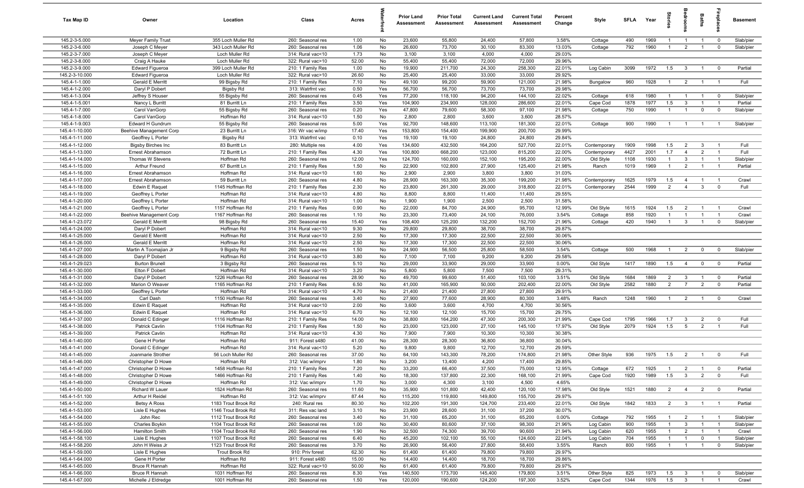| Tax Map ID                       | Owner                                    | Location                      | Class                                  | Acres        |            | <b>Prior Land</b><br>Assessment | <b>Prior Total</b><br>Assessment | <b>Current Land</b><br>Assessment | <b>Current Total</b><br>Assessment | Percent<br>Change | <b>Style</b> | <b>SFLA</b> | Year         | Stories               | edroom                  | Baths                         | epla                             | <b>Basement</b> |
|----------------------------------|------------------------------------------|-------------------------------|----------------------------------------|--------------|------------|---------------------------------|----------------------------------|-----------------------------------|------------------------------------|-------------------|--------------|-------------|--------------|-----------------------|-------------------------|-------------------------------|----------------------------------|-----------------|
| 145.2-3-5.000                    | Meyer Family Trust                       | 355 Loch Muller Rd            | 260: Seasonal res                      | 1.00         | No         | 23,600                          | 55,800                           | 24,400                            | 57,800                             | 3.58%             | Cottage      | 490         | 1969         | $\overline{1}$        | $\overline{1}$          | $\overline{1}$                | $\overline{0}$                   | Slab/pier       |
| 145.2-3-6.000                    | Joseph C Meyer                           | 343 Loch Muller Rd            | 260: Seasonal res                      | 1.06         | No         | 26,600                          | 73,700                           | 30,100                            | 83,300                             | 13.03%            | Cottage      | 792         | 1960         | $\mathbf{1}$          | $\overline{2}$          | $\overline{1}$                | $\overline{0}$                   | Slab/pier       |
| 145.2-3-7.000                    | Joseph C Meyer                           | Loch Muller Rd                | 314: Rural vac<10                      | 1.73         | No         | 3,100                           | 3,100                            | 4,000                             | 4,000                              | 29.03%            |              |             |              |                       |                         |                               |                                  |                 |
| 145.2-3-8.000                    | Craig A Hauke                            | Loch Muller Rd                | 322: Rural vac>10                      | 52.00        | No         | 55,400                          | 55,400                           | 72,000                            | 72,000                             | 29.96%            |              |             |              |                       |                         |                               |                                  |                 |
| 145.2-3-9.000                    | Edward Figueroa                          | 399 Loch Muller Rd            | 210: 1 Family Res                      | 1.00         | No         | 19,900                          | 211,700                          | 24,300                            | 258,300                            | 22.01%            | Log Cabin    | 3099        | 1972         | 1.5                   | $\overline{3}$          | $\overline{1}$                | $\overline{0}$                   | Partial         |
| 145.2-3-10.000                   | <b>Edward Figueroa</b>                   | Loch Muller Rd                | 322: Rural vac>10                      | 26.60        | No         | 25,400                          | 25,400                           | 33,000                            | 33,000                             | 29.92%            |              |             |              |                       |                         |                               |                                  |                 |
| 145.4-1-1.000                    | Gerald E Merritt                         | 99 Bigsby Rd                  | 210: 1 Family Res                      | 7.10         | No         | 49,100                          | 99,200                           | 59,900                            | 121,000                            | 21.98%            | Bungalow     | 960         | 1928         | $\mathbf{1}$          | $\overline{2}$          | $\overline{1}$                | $\overline{1}$                   | Full            |
| 145.4-1-2.000                    | Daryl P Dobert                           | <b>Bigsby Rd</b>              | 313: Watrfrnt vac                      | 0.50         | Yes        | 56,700                          | 56,700                           | 73,700                            | 73,700                             | 29.98%            |              |             |              |                       |                         |                               |                                  |                 |
| 145.4-1-3.004                    | Jeffrey S Houser                         | 55 Bigsby Rd                  | 260: Seasonal res                      | 0.45         | Yes        | 77,200                          | 118,100                          | 94,200                            | 144,100                            | 22.02%            | Cottage      | 618         | 1980         |                       | $\overline{1}$          | $\overline{1}$                | $\overline{\mathbf{0}}$          | Slab/pier       |
| 145.4-1-5.001                    | Nancy L Burritt                          | 81 Burritt Ln                 | 210: 1 Family Res                      | 3.50         | Yes<br>Yes | 104,900                         | 234,900                          | 128,000                           | 286,600                            | 22.01%            | Cape Cod     | 1878        | 1977         | 1.5<br>$\overline{1}$ | 3                       | $\overline{1}$<br>$\mathbf 0$ | $\overline{1}$<br>$\overline{0}$ | Partial         |
| 145.4-1-7.000<br>145.4-1-8.000   | Carol VanGorp<br>Carol VanGorp           | 55 Bigsby Rd<br>Hoffman Rd    | 260: Seasonal res<br>314: Rural vac<10 | 0.20<br>1.50 | No         | 47,800<br>2,800                 | 79,600<br>2,800                  | 58,300<br>3,600                   | 97,100<br>3,600                    | 21.98%<br>28.57%  | Cottage      | 750         | 1990         |                       | $\overline{1}$          |                               |                                  | Slab/pier       |
| 145.4-1-9.003                    | Edward H Gundrum                         | 55 Bigsby Rd                  | 260: Seasonal res                      | 5.00         | Yes        | 92,700                          | 148,600                          | 113,100                           | 181,300                            | 22.01%            | Cottage      | 900         | 1990         | $\overline{1}$        | $\overline{1}$          | $\overline{1}$                | $\overline{1}$                   | Slab/pier       |
| 145.4-1-10.000                   | Beehive Management Corp                  | 23 Burritt Ln                 | 316: Wr vac w/imp                      | 17.40        | Yes        | 153,800                         | 154,400                          | 199,900                           | 200,700                            | 29.99%            |              |             |              |                       |                         |                               |                                  |                 |
| 145.4-1-11.000                   | Geoffrey L Porter                        | <b>Bigsby Rd</b>              | 313: Watrfrnt vac                      | 0.10         | Yes        | 19,100                          | 19,100                           | 24,800                            | 24,800                             | 29.84%            |              |             |              |                       |                         |                               |                                  |                 |
| 145.4-1-12.000                   | <b>Bigsby Birches Inc</b>                | 83 Burritt Ln                 | 280: Multiple res                      | 4.00         | Yes        | 134,600                         | 432,500                          | 164,200                           | 527,700                            | 22.01%            | Contemporary | 1909        | 1998         | 1.5                   | $\overline{2}$          | $\mathbf{3}$                  | $\overline{1}$                   | Full            |
| 145.4-1-13.000                   | Ernest Abrahamson                        | 72 Burritt Ln                 | 210: 1 Family Res                      | 4.30         | Yes        | 100,800                         | 668,200                          | 123,000                           | 815,200                            | 22.00%            | Contemporary | 4427        | 2001         | 1.7                   | $\overline{4}$          | $\overline{2}$                | $\overline{1}$                   | Full            |
| 145.4-1-14.000                   | Thomas W Stevens                         | Hoffman Rd                    | 260: Seasonal res                      | 12.00        | Yes        | 124,700                         | 160,000                          | 152,100                           | 195,200                            | 22.00%            | Old Style    | 1108        | 1930         | $\mathbf{1}$          | 3                       | $\overline{1}$                | $\overline{1}$                   | Slab/pier       |
| 145.4-1-15.000                   | Arthur Freund                            | 67 Burritt Ln                 | 210: 1 Family Res                      | 1.50         | No         | 22,900                          | 102,800                          | 27,900                            | 125,400                            | 21.98%            | Ranch        | 1019        | 1969         |                       | $\overline{2}$          | $\mathbf{1}$                  | $\overline{1}$                   | Partial         |
| 145.4-1-16.000                   | Ernest Abrahamson                        | Hoffman Rd                    | 314: Rural vac<10                      | 1.60         | No         | 2,900                           | 2,900                            | 3,800                             | 3,800                              | 31.03%            |              |             |              |                       |                         |                               |                                  |                 |
| 145.4-1-17.000                   | Ernest Abrahamson                        | 59 Burritt Ln                 | 260: Seasonal res                      | 4.80         | No         | 28,900                          | 163,300                          | 35,300                            | 199,200                            | 21.98%            | Contemporary | 1625        | 1979         | 1.5                   | $\overline{4}$          |                               | - 1                              | Crawl           |
| 145.4-1-18.000                   | Edwin E Raquet                           | 1145 Hoffman Rd               | 210: 1 Family Res                      | 2.30         | No         | 23,800                          | 261,300                          | 29,000                            | 318,800                            | 22.01%            | Contemporary | 2544        | 1999         | 2                     | $\overline{4}$          | $\mathbf{3}$                  | $\overline{0}$                   | Full            |
| 145.4-1-19.000                   | Geoffrey L Porter                        | Hoffman Rd                    | 314: Rural vac<10                      | 4.80         | No         | 8,800                           | 8,800                            | 11,400                            | 11,400                             | 29.55%            |              |             |              |                       |                         |                               |                                  |                 |
| 145.4-1-20.000                   | Geoffrey L Porter                        | Hoffman Rd                    | 314: Rural vac<10                      | 1.00         | No         | 1,900                           | 1,900                            | 2,500                             | 2,500                              | 31.58%            |              |             |              |                       |                         |                               |                                  |                 |
| 145.4-1-21.000                   | Geoffrey L Porter                        | 1157 Hoffman Rd               | 210: 1 Family Res                      | 0.90         | No         | 22,000                          | 84,700                           | 24,900                            | 95,700                             | 12.99%            | Old Style    | 1615        | 1924         | 1.5                   | $\overline{2}$          | $\overline{1}$                | $\overline{1}$                   | Crawl           |
| 145.4-1-22.000                   | Beehive Management Corp                  | 1167 Hoffman Rd               | 260: Seasonal res                      | 1.10         | No         | 23,300                          | 73,400                           | 24,100                            | 76,000                             | 3.54%             | Cottage      | 858         | 1920         | $\overline{1}$        | $\overline{1}$          | $\overline{1}$                | $\overline{1}$                   | Crawl           |
| 145.4-1-23.072                   | Gerald E Merritt                         | 98 Bigsby Rd                  | 260: Seasonal res                      | 15.40        | Yes        | 108,400                         | 125,200                          | 132,200                           | 152,700                            | 21.96%            | Cottage      | 420         | 1940         | $\overline{1}$        | $\mathbf{3}$            | $\overline{1}$                | $\mathbf 0$                      | Slab/pier       |
| 145.4-1-24.000                   | Daryl P Dobert                           | Hoffman Rd                    | 314: Rural vac<10                      | 9.30         | No         | 29,800                          | 29,800                           | 38,700                            | 38,700                             | 29.87%            |              |             |              |                       |                         |                               |                                  |                 |
| 145.4-1-25.000                   | <b>Gerald E Merritt</b>                  | Hoffman Rd                    | 314: Rural vac<10                      | 2.50         | No         | 17,300                          | 17,300                           | 22,500                            | 22,500                             | 30.06%            |              |             |              |                       |                         |                               |                                  |                 |
| 145.4-1-26.000                   | Gerald E Merritt                         | Hoffman Rd                    | 314: Rural vac<10                      | 2.50         | No         | 17,300                          | 17,300                           | 22,500                            | 22,500                             | 30.06%            |              |             |              |                       |                         |                               |                                  |                 |
| 145.4-1-27.000                   | Martin A Toomajian Jr                    | 9 Bigsby Rd                   | 260: Seasonal res                      | 1.50         | No         | 24,900                          | 56,500                           | 25,800                            | 58,500                             | 3.54%             | Cottage      | 500         | 1968         | $\mathbf{1}$          | $\overline{2}$          | $\mathbf 0$                   | $\overline{0}$                   | Slab/pier       |
| 145.4-1-28.000<br>145.4-1-29.023 | Daryl P Dobert<br><b>Burton Brunell</b>  | Hoffman Rd                    | 314: Rural vac<10                      | 3.80<br>5.10 | No<br>No   | 7,100<br>29,000                 | 7,100<br>33,900                  | 9,200<br>29,000                   | 9,200<br>33,900                    | 29.58%<br>0.00%   |              | 1417        | 1890         | 1.5                   | $\overline{4}$          | $\mathbf 0$                   | $\overline{0}$                   | Partial         |
| 145.4-1-30.000                   | Elton F Dobert                           | 3 Bigsby Rd<br>Hoffman Rd     | 260: Seasonal res<br>314: Rural vac<10 | 3.20         | No         | 5,800                           | 5,800                            | 7,500                             | 7,500                              | 29.31%            | Old Style    |             |              |                       |                         |                               |                                  |                 |
| 145.4-1-31.000                   | Daryl P Dobert                           | 1226 Hoffman Rd               | 260: Seasonal res                      | 28.90        | No         | 49,700                          | 99,600                           | 51,400                            | 103,100                            | 3.51%             | Old Style    | 1684        | 1869         | $\overline{2}$        | $\mathbf{3}$            | $\overline{1}$                | $\overline{0}$                   | Partial         |
| 145.4-1-32.000                   | Marion O Weaver                          | 1165 Hoffman Rd               | 210: 1 Family Res                      | 6.50         | No         | 41,000                          | 165,900                          | 50,000                            | 202,400                            | 22.00%            | Old Style    | 2582        | 1880         | 2                     | $\overline{7}$          | $\overline{2}$                | $\overline{0}$                   | Partial         |
| 145.4-1-33.000                   | Geoffrey L Porter                        | Hoffman Rd                    | 314: Rural vac<10                      | 4.70         | No         | 21,400                          | 21,400                           | 27,800                            | 27,800                             | 29.91%            |              |             |              |                       |                         |                               |                                  |                 |
| 145.4-1-34.000                   | Carl Dash                                | 1150 Hoffman Rd               | 260: Seasonal res                      | 3.40         | No         | 27,900                          | 77,600                           | 28,900                            | 80,300                             | 3.48%             | Ranch        | 1248        | 1960         | $\overline{1}$        | $\overline{2}$          | $\overline{1}$                | $\overline{0}$                   | Crawl           |
| 145.4-1-35.000                   | Edwin E Raquet                           | Hoffman Rd                    | 314: Rural vac<10                      | 2.00         | No         | 3,600                           | 3,600                            | 4,700                             | 4,700                              | 30.56%            |              |             |              |                       |                         |                               |                                  |                 |
| 145.4-1-36.000                   | Edwin E Raquet                           | Hoffman Rd                    | 314: Rural vac<10                      | 6.70         | No         | 12,100                          | 12,100                           | 15,700                            | 15,700                             | 29.75%            |              |             |              |                       |                         |                               |                                  |                 |
| 145.4-1-37.000                   | Donald C Edinger                         | 1116 Hoffman Rd               | 210: 1 Family Res                      | 14.00        | No         | 38,800                          | 164,200                          | 47,300                            | 200,300                            | 21.99%            | Cape Cod     | 1795        | 1966         | 1.7                   | 3                       | $\overline{2}$                | $\mathbf 0$                      | Full            |
| 145.4-1-38.000                   | Patrick Cavlin                           | 1104 Hoffman Rd               | 210: 1 Family Res                      | 1.50         | No         | 23,000                          | 123,000                          | 27,100                            | 145,100                            | 17.97%            | Old Style    | 2079        | 1924         | 1.5                   | $5\overline{5}$         | $\overline{2}$                | $\overline{1}$                   | Full            |
| 145.4-1-39.000                   | Patrick Cavlin                           | Hoffman Rd                    | 314: Rural vac<10                      | 4.30         | No         | 7,900                           | 7,900                            | 10,300                            | 10,300                             | 30.38%            |              |             |              |                       |                         |                               |                                  |                 |
| 145.4-1-40.000                   | Gene H Porter                            | Hoffman Rd                    | 911: Forest s480                       | 41.00        | No         | 28,300                          | 28,300                           | 36,800                            | 36,800                             | 30.04%            |              |             |              |                       |                         |                               |                                  |                 |
| 145.4-1-41.000                   | Donald C Edinger                         | Hoffman Rd                    | 314: Rural vac<10                      | 5.20         | No         | 9,800                           | 9,800                            | 12,700                            | 12,700                             | 29.59%            |              |             |              |                       |                         |                               |                                  |                 |
| 145.4-1-45.000                   | Joanmarie Strother                       | 56 Loch Muller Rd             | 260: Seasonal res                      | 37.00        | No         | 64,100                          | 143,300                          | 78,200                            | 174,800                            | 21.98%            | Other Style  | 936         | 1975         | 1.5                   | $\overline{2}$          | $\overline{1}$                | $\overline{0}$                   | Full            |
| 145.4-1-46.000                   | Christopher D Howe                       | Hoffman Rd                    | 312: Vac w/imprv                       | 1.80         | No         | 3,200                           | 13,400                           | 4,200                             | 17,400                             | 29.85%            |              |             |              |                       |                         |                               |                                  |                 |
| 145.4-1-47.000                   | Christopher D Howe                       | 1458 Hoffman Rd               | 210: 1 Family Res                      | 7.20         | No         | 33,200                          | 66,400                           | 37,500                            | 75,000                             | 12.95%            | Cottage      | 672         | 1925<br>1989 | $\overline{1}$        | $\overline{2}$          | $\overline{1}$                | $\overline{\mathbf{0}}$          | Partial         |
| 145.4-1-48.000<br>145.4-1-49.000 | Christopher D Howe<br>Christopher D Howe | 1466 Hoffman Rd<br>Hoffman Rd | 210: 1 Family Res<br>312: Vac w/imprv  | 1.40<br>1.70 | No<br>No   | 18,300<br>3,000                 | 137,800<br>4,300                 | 22,300<br>3,100                   | 168,100<br>4,500                   | 21.99%<br>4.65%   | Cape Cod     | 1920        |              | 1.5                   | $\mathbf{3}$            | $\overline{2}$                | $\mathbf 0$                      | Full            |
| 145.4-1-50.000                   | Richard W Lauer                          | 1524 Hoffman Rd               | 260: Seasonal res                      | 11.60        | No         | 35,900                          | 101,800                          | 42,400                            | 120,100                            | 17.98%            | Old Style    | 1521        | 1880         | $\overline{2}$        | $\overline{4}$          | $\overline{2}$                | $\overline{0}$                   | Partial         |
| 145.4-1-51.100                   | Arthur H Reidel                          | Hoffman Rd                    | 312: Vac w/imprv                       | 87.44        | No         | 115,200                         | 119,800                          | 149,800                           | 155,700                            | 29.97%            |              |             |              |                       |                         |                               |                                  |                 |
| 145.4-1-52.000                   | Betsy A Ross                             | 1183 Trout Brook Rd           | 240: Rural res                         | 80.30        | No         | 102,200                         | 191,300                          | 124,700                           | 233,400                            | 22.01%            | Old Style    | 1842        | 1833         | $\overline{2}$        | $3^{\circ}$             | $\overline{1}$                | $\overline{1}$                   | Partial         |
| 145.4-1-53.000                   | Lisle E Hughes                           | 1146 Trout Brook Rd           | 311: Res vac land                      | 3.10         | No         | 23,900                          | 28,600                           | 31,100                            | 37,200                             | 30.07%            |              |             |              |                       |                         |                               |                                  |                 |
| 145.4-1-54.000                   | John Rec                                 | 1112 Trout Brook Rd           | 260: Seasonal res                      | 3.40         | No         | 31,100                          | 65,200                           | 31,100                            | 65,200                             | $0.00\%$          | Cottage      | 792         | 1955         | $\mathbf{1}$          | $\overline{2}$          | $\overline{1}$                | $\overline{1}$                   | Slab/pier       |
| 145.4-1-55.000                   | Charles Boykin                           | 1104 Trout Brook Rd           | 260: Seasonal res                      | 1.00         | No         | 30,400                          | 80,600                           | 37,100                            | 98,300                             | 21.96%            | Log Cabin    | 900         | 1955         |                       | $\mathbf{3}$            | $\overline{1}$                | $\overline{1}$                   | Slab/pier       |
| 145.4-1-56.000                   | Hamilton Smith                           | 1104 Trout Brook Rd           | 260: Seasonal res                      | 1.90         | No         | 32,500                          | 74,300                           | 39,700                            | 90,600                             | 21.94%            | Log Cabin    | 620         | 1955         |                       | $\overline{2}$          | $\overline{1}$                | $\overline{1}$                   | Crawl           |
| 145.4-1-58.100                   | Lisle E Hughes                           | 1107 Trout Brook Rd           | 260: Seasonal res                      | 6.40         | No         | 45,200                          | 102,100                          | 55,100                            | 124,600                            | 22.04%            | Log Cabin    | 704         | 1955         |                       | $\overline{1}$          | $\mathbf{0}$                  | $\mathbf{1}$                     | Slab/pier       |
| 145.4-1-58.200                   | John H Weiss Jr                          | 1123 Trout Brook Rd           | 260: Seasonal res                      | 3.70         | No         | 26,900                          | 56,400                           | 27,800                            | 58,400                             | 3.55%             | Ranch        | 800         | 1955         |                       | $\overline{1}$          | $\overline{1}$                | $\overline{0}$                   | Slab/pier       |
| 145.4-1-59.000                   | Lisle E Hughes                           | Trout Brook Rd                | 910: Priv forest                       | 62.30        | No         | 61,400                          | 61,400                           | 79,800                            | 79,800                             | 29.97%            |              |             |              |                       |                         |                               |                                  |                 |
| 145.4-1-64.000                   | Gene H Porter                            | Hoffman Rd                    | 911: Forest s480                       | 15.00        | No         | 14,400                          | 14,400                           | 18,700                            | 18,700                             | 29.86%            |              |             |              |                       |                         |                               |                                  |                 |
| 145.4-1-65.000                   | Bruce R Hannah                           | Hoffman Rd                    | 322: Rural vac>10                      | 50.00        | No         | 61,400                          | 61,400                           | 79,800                            | 79,800                             | 29.97%            |              |             |              |                       |                         |                               |                                  |                 |
| 145.4-1-66.000                   | Bruce R Hannah                           | 1031 Hoffman Rd               | 260: Seasonal res                      | 8.30         | Yes        | 140,500                         | 173,700                          | 145,400                           | 179,800                            | 3.51%             | Other Style  | 825         | 1973         | 1.5                   | $\mathbf{3}$            | $\overline{1}$                | $\mathbf 0$                      | Slab/pier       |
| 145.4-1-67.000                   | Michelle J Eldredge                      | 1001 Hoffman Rd               | 260: Seasonal res                      | 1.50         | Yes        | 120,000                         | 190,600                          | 124,200                           | 197,300                            | 3.52%             | Cape Cod     | 1344        | 1976         | 1.5                   | $\overline{\mathbf{3}}$ | $\overline{1}$                | $\overline{1}$                   | Crawl           |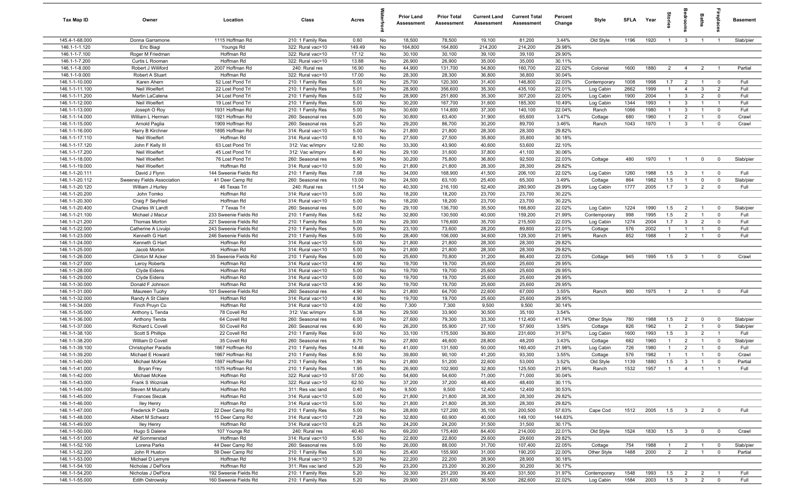| Tax Map ID                       | Owner                               | Location                             | Class                                  | Acres        |          | <b>Prior Land</b><br>Assessment | <b>Prior Total</b><br>Assessment | <b>Current Land</b><br>Assessment | <b>Current Total</b><br>Assessment | Percent<br>Change | Style                  | <b>SFLA</b>  | Year         | Stories             | igrool                           | <b>Baths</b>                   | .<br>Big                         | <b>Basement</b> |
|----------------------------------|-------------------------------------|--------------------------------------|----------------------------------------|--------------|----------|---------------------------------|----------------------------------|-----------------------------------|------------------------------------|-------------------|------------------------|--------------|--------------|---------------------|----------------------------------|--------------------------------|----------------------------------|-----------------|
| 145.4-1-68.000                   | Donna Garramone                     | 1115 Hoffman Rd                      | 210: 1 Family Res                      | 0.60         | No       | 18,500                          | 78,500                           | 19,100                            | 81,200                             | 3.44%             | Old Style              | 1196         | 1920         | $\overline{1}$      | $\mathbf{3}$                     | $\overline{1}$                 | $\overline{1}$                   | Slab/pier       |
| 146.1-1-1.120                    | Eric Biagi                          | Youngs Rd                            | 322: Rural vac>10                      | 149.49       | No       | 164,800                         | 164,800                          | 214,200                           | 214,200                            | 29.98%            |                        |              |              |                     |                                  |                                |                                  |                 |
| 146.1-1-7.100                    | Roger M Friedman                    | Hoffman Rd                           | 322: Rural vac>10                      | 17.12        | No       | 30,100                          | 30,100                           | 39,100                            | 39,100                             | 29.90%            |                        |              |              |                     |                                  |                                |                                  |                 |
| 146.1-1-7.200                    | Curtis L Rooman                     | Hoffman Rd                           | 322: Rural vac>10                      | 13.88        | No       | 26,900                          | 26,900                           | 35,000                            | 35,000                             | 30.11%            |                        |              |              |                     |                                  |                                |                                  |                 |
| 146.1-1-8.000                    | Robert J Williford                  | 2007 Hoffman Rd                      | 240: Rural res                         | 16.90        | No       | 44,900                          | 131,700                          | 54,800                            | 160,700                            | 22.02%            | Colonial               | 1600         | 1880         | $\overline{2}$      | $\overline{4}$                   | $\overline{2}$                 | $\overline{1}$                   | Partial         |
| 146.1-1-9.000                    | Robert A Stuart                     | Hoffman Rd                           | 322: Rural vac>10                      | 17.00        | No       | 28,300                          | 28,300                           | 36,800                            | 36,800                             | 30.04%            |                        |              |              |                     |                                  |                                |                                  |                 |
| 146.1-1-10.000<br>146.1-1-11.100 | Karen Ahern                         | 52 Lost Pond Trl<br>22 Lost Pond Trl | 210: 1 Family Res<br>210: 1 Family Res | 5.00<br>5.01 | No<br>No | 25,700<br>28,900                | 120,300<br>356,600               | 31,400<br>35,300                  | 146,800<br>435,100                 | 22.03%<br>22.01%  | Contemporary           | 1008<br>2662 | 1998<br>1999 | 1.7<br>$\mathbf{1}$ | $\overline{2}$<br>$\overline{4}$ | $\overline{1}$<br>$\mathbf{3}$ | $\overline{0}$<br>$\overline{2}$ | Full<br>Full    |
| 146.1-1-11.200                   | Neil Woelfert<br>Martin LaCatena    | 34 Lost Pond Trl                     |                                        | 5.02         | No       | 28,900                          | 251,800                          | 35,300                            | 307,200                            | 22.00%            | Log Cabin              | 1900         | 2004         | $\mathbf{1}$        | $\mathbf{3}$                     | $\overline{2}$                 | $^{\circ}$                       | Full            |
| 146.1-1-12.000                   | Neil Woelfert                       | 19 Lost Pond Trl                     | 210: 1 Family Res<br>210: 1 Family Res | 5.00         | No       | 30,200                          | 167,700                          | 31,600                            | 185,300                            | 10.49%            | Log Cabin<br>Log Cabin | 1344         | 1993         | $\overline{1}$      | $\mathbf{3}$                     |                                | $\overline{1}$                   | Full            |
| 146.1-1-13.000                   | Joseph O Roy                        | 1931 Hoffman Rd                      | 210: 1 Family Res                      | 5.00         | No       | 30,600                          | 114,800                          | 37,300                            | 140,100                            | 22.04%            | Ranch                  | 1066         | 1980         | $\mathbf{1}$        | $\mathbf{3}$                     | $\overline{1}$                 | $\overline{0}$                   | Full            |
| 146.1-1-14.000                   | William L Herman                    | 1921 Hoffman Rd                      | 260: Seasonal res                      | 5.00         | No       | 30,800                          | 63,400                           | 31,900                            | 65,600                             | 3.47%             | Cottage                | 680          | 1960         | $\overline{1}$      | $\overline{2}$                   | $\overline{1}$                 | $\mathbf 0$                      | Crawl           |
| 146.1-1-15.000                   | Arnold Paglia                       | 1909 Hoffman Rd                      | 260: Seasonal res                      | 5.20         | No       | 29,200                          | 86,700                           | 30,200                            | 89,700                             | 3.46%             | Ranch                  | 1043         | 1970         | $\overline{1}$      | $\mathbf{3}$                     | $\overline{1}$                 | $\mathbf 0$                      | Crawl           |
| 146.1-1-16.000                   | Harry B Kirchner                    | 1895 Hoffman Rd                      | 314: Rural vac<10                      | 5.00         | No       | 21,800                          | 21,800                           | 28,300                            | 28,300                             | 29.82%            |                        |              |              |                     |                                  |                                |                                  |                 |
| 146.1-1-17.110                   | Neil Woelfert                       | Hoffman Rd                           | 314: Rural vac<10                      | 8.10         | No       | 27,500                          | 27,500                           | 35,800                            | 35,800                             | 30.18%            |                        |              |              |                     |                                  |                                |                                  |                 |
| 146.1-1-17.120                   | John F Kelly III                    | 63 Lost Pond Trl                     | 312: Vac w/imprv                       | 12.80        | No       | 33,300                          | 43,900                           | 40,600                            | 53,600                             | 22.10%            |                        |              |              |                     |                                  |                                |                                  |                 |
| 146.1-1-17.200                   | Neil Woelfert                       | 45 Lost Pond Trl                     | 312: Vac w/imprv                       | 8.40         | No       | 29,100                          | 31,600                           | 37,800                            | 41,100                             | 30.06%            |                        |              |              |                     |                                  |                                |                                  |                 |
| 146.1-1-18.000                   | Neil Woelfert                       | 76 Lost Pond Trl                     | 260: Seasonal res                      | 5.90         | No       | 30,200                          | 75,800                           | 36,800                            | 92,500                             | 22.03%            | Cottage                | 480          | 1970         | $\overline{1}$      | $\overline{1}$                   | $\overline{0}$                 | $\mathbf 0$                      | Slab/pier       |
| 146.1-1-19.000                   | Neil Woelfert                       | Hoffman Rd                           | 314: Rural vac<10                      | 5.00         | No       | 21,800                          | 21,800                           | 28,300                            | 28,300                             | 29.82%            |                        |              |              |                     |                                  |                                |                                  |                 |
| 146.1-1-20.111                   | David J Flynn                       | 144 Sweenie Fields Rd                | 210: 1 Family Res                      | 7.08         | No       | 34,000                          | 168,900                          | 41,500                            | 206,100                            | 22.02%            | Log Cabin              | 1260         | 1988         | 1.5                 | $\mathbf{3}$                     | $\mathbf{1}$                   | $\overline{0}$                   | Full            |
| 146.1-1-20.112                   | Sweeney Fields Association          | 41 Deer Camp Rd                      | 260: Seasonal res                      | 13.00        | No       | 24,500                          | 63,100                           | 25,400                            | 65,300                             | 3.49%             | Cottage                | 864          | 1982         | 1.5                 | $\overline{1}$                   | $\mathbf 0$                    | $\mathbf 0$                      | Slab/pier       |
| 146.1-1-20.120                   | William J Hurley                    | 46 Texas Trl                         | 240: Rural res                         | 11.54        | No       | 40,300                          | 216,100                          | 52,400                            | 280,900                            | 29.99%            | Log Cabin              | 1777         | 2005         | 1.7                 | $\mathbf{3}$                     | $\overline{2}$                 | $^{\circ}$                       | Full            |
| 146.1-1-20.200                   | John Tomko                          | Hoffman Rd<br>Hoffman Rd             | 314: Rural vac<10                      | 5.00         | No       | 18,200                          | 18,200                           | 23,700                            | 23,700                             | 30.22%            |                        |              |              |                     |                                  |                                |                                  |                 |
| 146.1-1-20.300<br>146.1-1-20.400 | Craig F Seyfried<br>Charles W Landt | 7 Texas Trl                          | 314: Rural vac<10<br>260: Seasonal res | 5.00<br>5.00 | No<br>No | 18,200<br>29,100                | 18,200<br>136,700                | 23,700<br>35,500                  | 23,700<br>166,800                  | 30.22%<br>22.02%  | Log Cabin              | 1224         | 1990         | 1.5                 | $\overline{2}$                   | $\overline{1}$                 | $\overline{0}$                   | Slab/pier       |
| 146.1-1-21.100                   | Michael J Macur                     | 233 Sweenie Fields Rd                | 210: 1 Family Res                      | 5.62         | No       | 32,800                          | 130,500                          | 40,000                            | 159,200                            | 21.99%            | Contemporary           | 998          | 1995         | 1.5                 | $\overline{2}$                   | $\overline{1}$                 | $^{\circ}$                       | Full            |
| 146.1-1-21.200                   | <b>Thomas Morton</b>                | 221 Sweenie Fields Rd                | 210: 1 Family Res                      | 5.00         | No       | 29,300                          | 176,600                          | 35,700                            | 215,500                            | 22.03%            | Log Cabin              | 1274         | 2004         | 1.7                 | $\mathbf{3}$                     | $\overline{2}$                 | $^{\circ}$                       | Full            |
| 146.1-1-22.000                   | Catherine A Livulpi                 | 243 Sweenie Fields Rd                | 210: 1 Family Res                      | 5.00         | No       | 23,100                          | 73,600                           | 28,200                            | 89,800                             | 22.01%            | Cottage                | 576          | 2002         | $\overline{1}$      | $\overline{1}$                   | $\overline{1}$                 | $\mathbf 0$                      | Full            |
| 146.1-1-23.000                   | Kenneth G Hart                      | 246 Sweenie Fields Rd                | 210: 1 Family Res                      | 5.00         | No       | 28,400                          | 106,000                          | 34,600                            | 129,300                            | 21.98%            | Ranch                  | 852          | 1988         | $\overline{1}$      | $\overline{2}$                   | $\overline{1}$                 | $\mathbf 0$                      | Full            |
| 146.1-1-24.000                   | Kenneth G Hart                      | Hoffman Rd                           | 314: Rural vac<10                      | 5.00         | No       | 21,800                          | 21,800                           | 28,300                            | 28,300                             | 29.82%            |                        |              |              |                     |                                  |                                |                                  |                 |
| 146.1-1-25.000                   | Jacob Morton                        | Hoffman Rd                           | 314: Rural vac<10                      | 5.00         | No       | 21,800                          | 21,800                           | 28,300                            | 28,300                             | 29.82%            |                        |              |              |                     |                                  |                                |                                  |                 |
| 146.1-1-26.000                   | Clinton M Acker                     | 35 Sweenie Fields Rd                 | 210: 1 Family Res                      | 5.00         | No       | 25,600                          | 70,800                           | 31,200                            | 86,400                             | 22.03%            | Cottage                | 945          | 1995         | 1.5                 | $\mathbf{3}$                     |                                | $^{\circ}$                       | Crawl           |
| 146.1-1-27.000                   | Leroy Roberts                       | Hoffman Rd                           | 314: Rural vac<10                      | 4.90         | No       | 19,700                          | 19,700                           | 25,600                            | 25,600                             | 29.95%            |                        |              |              |                     |                                  |                                |                                  |                 |
| 146.1-1-28.000                   | Clyde Eidens                        | Hoffman Rd                           | 314: Rural vac<10                      | 5.00         | No       | 19,700                          | 19,700                           | 25,600                            | 25,600                             | 29.95%            |                        |              |              |                     |                                  |                                |                                  |                 |
| 146.1-1-29.000                   | Clyde Eidens                        | Hoffman Rd                           | 314: Rural vac<10                      | 5.00         | No       | 19,700                          | 19,700                           | 25,600                            | 25,600                             | 29.95%            |                        |              |              |                     |                                  |                                |                                  |                 |
| 146.1-1-30.000                   | Donald F Johnson                    | Hoffman Rd                           | 314: Rural vac<10                      | 4.90         | No       | 19,700                          | 19,700                           | 25,600                            | 25,600                             | 29.95%            |                        |              |              |                     |                                  |                                |                                  |                 |
| 146.1-1-31.000                   | Maureen Tuohy                       | 101 Sweenie Fields Rd                | 260: Seasonal res                      | 4.90         | No       | 21,800                          | 64,700                           | 22,600                            | 67,000                             | 3.55%             | Ranch                  | 900          | 1975         | $\overline{1}$      | $\overline{2}$                   | $\overline{1}$                 | $^{\circ}$                       | Full            |
| 146.1-1-32.000                   | Randy A St Claire                   | Hoffman Rd                           | 314: Rural vac<10                      | 4.90         | No       | 19,700                          | 19,700                           | 25,600                            | 25,600                             | 29.95%            |                        |              |              |                     |                                  |                                |                                  |                 |
| 146.1-1-34.000                   | Finch Pruyn Co                      | Hoffman Rd                           | 314: Rural vac<10                      | 4.00         | No       | 7,300                           | 7,300                            | 9,500                             | 9,500                              | 30.14%            |                        |              |              |                     |                                  |                                |                                  |                 |
| 146.1-1-35.000<br>146.1-1-36.000 | Anthony L Tenda<br>Anthony Tenda    | 78 Covell Rd<br>64 Covell Rd         | 312: Vac w/imprv<br>260: Seasonal res  | 5.38<br>6.00 | No<br>No | 29,500<br>27,600                | 33,900<br>79,300                 | 30,500<br>33,300                  | 35,100<br>112,400                  | 3.54%<br>41.74%   | Other Style            | 780          | 1988         | 1.5                 | $\overline{2}$                   | $\mathbf 0$                    | $\mathbf 0$                      | Slab/pier       |
| 146.1-1-37.000                   | Richard L Covell                    | 50 Covell Rd                         | 260: Seasonal res                      | 6.90         | No       | 26,200                          | 55,900                           | 27,100                            | 57,900                             | 3.58%             | Cottage                | 826          | 1962         | $\overline{1}$      | $\overline{2}$                   | $\overline{1}$                 | $\mathbf 0$                      | Slab/pier       |
| 146.1-1-38.100                   | Scott S Phillips                    | 22 Covell Rd                         | 210: 1 Family Res                      | 9.00         | No       | 33,100                          | 175,500                          | 39,800                            | 231,600                            | 31.97%            | Log Cabin              | 1600         | 1993         | 1.5                 | $\mathbf{3}$                     | $\overline{2}$                 | - 1                              | Full            |
| 146.1-1-38.200                   | William D Covell                    | 35 Covell Rd                         | 260: Seasonal res                      | 8.70         | No       | 27,800                          | 46,600                           | 28,800                            | 48,200                             | 3.43%             | Cottage                | 682          | 1960         | $\mathbf{1}$        | $\overline{2}$                   | $\overline{1}$                 | $\mathbf 0$                      | Slab/pier       |
| 146.1-1-39.100                   | <b>Christopher Paradis</b>          | 1667 Hoffman Rd                      | 210: 1 Family Res                      | 14.46        | No       | 41,000                          | 131,500                          | 50,000                            | 160,400                            | 21.98%            | Log Cabin              | 726          | 1980         | $\mathbf{1}$        | $\overline{2}$                   |                                | $\Omega$                         | Full            |
| 146.1-1-39.200                   | Michael E Howard                    | 1667 Hoffman Rd                      | 210: 1 Family Res                      | 8.50         | No       | 39,800                          | 90,100                           | 41,200                            | 93,300                             | 3.55%             | Cottage                | 576          | 1982         | $\mathbf{1}$        | $\overline{1}$                   |                                | $\Omega$                         | Crawl           |
| 146.1-1-40.000                   | Michael McKee                       | 1597 Hoffman Rd                      | 210: 1 Family Res                      | 1.90         | No       | 21,800                          | 51,200                           | 22,600                            | 53,000                             | 3.52%             | Old Style              | 1139         | 1880         | 1.5                 | 3                                |                                |                                  | Partial         |
| 146.1-1-41.000                   | Bryan Frey                          | 1575 Hoffman Rd                      | 210: 1 Family Res                      | 1.95         | No       | 26,900                          | 102,900                          | 32,800                            | 125,500                            | 21.96%            | Ranch                  | 1532         | 1957         | $\overline{1}$      | $\overline{4}$                   | $\overline{1}$                 | $\overline{1}$                   | Full            |
| 146.1-1-42.000                   | Michael McKee                       | Hoffman Rd                           | 322: Rural vac>10                      | 57.00        | No       | 54,600                          | 54,600                           | 71,000                            | 71,000                             | 30.04%            |                        |              |              |                     |                                  |                                |                                  |                 |
| 146.1-1-43.000                   | Frank S Wozniak                     | Hoffman Rd                           | 322: Rural vac>10                      | 62.50        | No       | 37,200                          | 37,200                           | 48,400                            | 48,400                             | 30.11%            |                        |              |              |                     |                                  |                                |                                  |                 |
| 146.1-1-44.000                   | Steven M Mulcahy                    | Hoffman Rd                           | 311: Res vac land                      | 0.40         | No       | 9,500                           | 9,500                            | 12,400                            | 12,400                             | 30.53%            |                        |              |              |                     |                                  |                                |                                  |                 |
| 146.1-1-45.000                   | <b>Frances Slezak</b>               | Hoffman Rd                           | 314: Rural vac<10                      | 5.00         | No       | 21,800                          | 21,800                           | 28,300                            | 28,300                             | 29.82%            |                        |              |              |                     |                                  |                                |                                  |                 |
| 146.1-1-46.000                   | <b>Iley Henry</b>                   | Hoffman Rd                           | 314: Rural vac<10                      | 5.00         | No       | 21,800                          | 21,800                           | 28,300                            | 28,300                             | 29.82%            |                        |              |              |                     |                                  |                                |                                  |                 |
| 146.1-1-47.000                   | Frederick P Cesta                   | 22 Deer Camp Rd                      | 210: 1 Family Res                      | 5.00         | No       | 28,800                          | 127,200                          | 35,100                            | 200,500                            | 57.63%            | Cape Cod               | 1512         | 2005         | 1.5                 | $\overline{\mathbf{3}}$          | $\overline{2}$                 | $\mathbf 0$                      | Full            |
| 146.1-1-48.000<br>146.1-1-49.000 | Albert M Schwarz<br>Iley Henry      | 15 Deer Camp Rd<br>Hoffman Rd        | 314: Rural vac<10<br>314: Rural vac<10 | 7.29<br>6.25 | No<br>No | 32,800<br>24,200                | 60,900<br>24,200                 | 40,000<br>31,500                  | 149,100<br>31,500                  | 144.83%<br>30.17% |                        |              |              |                     |                                  |                                |                                  |                 |
| 146.1-1-50.000                   | Hugo S Dalene                       | 107 Youngs Rd                        | 240: Rural res                         | 40.40        | No       | 69,200                          | 175,400                          | 84,400                            | 214,000                            | 22.01%            | Old Style              | 1524         | 1830         | 1.5                 | $\overline{\mathbf{3}}$          | $\overline{0}$                 | $\overline{\mathbf{0}}$          | Crawl           |
| 146.1-1-51.000                   | Alf Sommerstad                      | Hoffman Rd                           | 314: Rural vac<10                      | 5.50         | No       | 22,800                          | 22,800                           | 29,600                            | 29,600                             | 29.82%            |                        |              |              |                     |                                  |                                |                                  |                 |
| 146.1-1-52.100                   | Lorena Parks                        | 44 Deer Camp Rd                      | 260: Seasonal res                      | 5.00         | No       | 26,000                          | 88,000                           | 31,700                            | 107,400                            | 22.05%            | Cottage                | 754          | 1988         | $\mathbf{1}$        | $\overline{2}$                   | $\overline{1}$                 | $\overline{\mathbf{0}}$          | Slab/pier       |
| 146.1-1-52.200                   | John R Huston                       | 59 Deer Camp Rd                      | 210: 1 Family Res                      | 5.00         | No       | 25,400                          | 155,900                          | 31,000                            | 190,200                            | 22.00%            | Other Style            | 1488         | 2000         | $\overline{2}$      | $\overline{2}$                   | $\overline{1}$                 | $\mathbf 0$                      | Partial         |
| 146.1-1-53.000                   | Michael D Lemyre                    | Hoffman Rd                           | 314: Rural vac<10                      | 5.20         | No       | 22,200                          | 22,200                           | 28,900                            | 28,900                             | 30.18%            |                        |              |              |                     |                                  |                                |                                  |                 |
| 146.1-1-54.100                   | Nicholas J DeFlora                  | Hoffman Rd                           | 311: Res vac land                      | 5.20         | No       | 23,200                          | 23,200                           | 30,200                            | 30,200                             | 30.17%            |                        |              |              |                     |                                  |                                |                                  |                 |
| 146.1-1-54.200                   | Nicholas J DeFlora                  | 192 Sweenie Fields Rd                | 210: 1 Family Res                      | 5.20         | No       | 32,300                          | 251,200                          | 39,400                            | 331,500                            | 31.97%            | Contemporary           | 1548         | 1993         | 1.5                 | $\overline{2}$                   | $\overline{2}$                 |                                  | Full            |
| 146.1-1-55.000                   | Edith Ostrowsky                     | 160 Sweenie Fields Rd                | 210: 1 Family Res                      | 5.20         | No       | 29,900                          | 231,600                          | 36,500                            | 282,600                            | 22.02%            | Log Cabin              | 1584         | 2003         | 1.5                 | $\overline{\textbf{3}}$          | $\overline{2}$                 | $\mathbf 0$                      | Full            |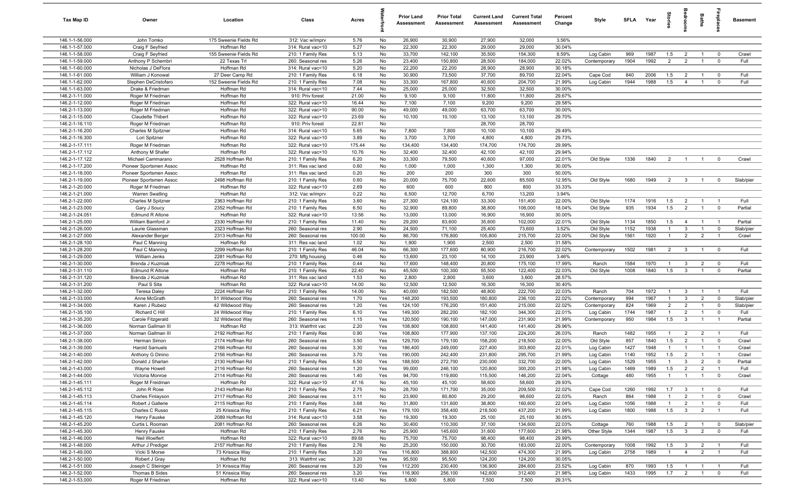| Tax Map ID                       | Owner                                        | Location                           | Class                                  | Acres         |            | <b>Prior Land</b><br>Assessment | <b>Prior Total</b><br>Assessment | <b>Current Land</b><br>Assessment | <b>Current Total</b><br>Assessment | Percent<br>Change | Style              | SFLA Year   |              | ĝ.             | groo                             | Baths                            | repla                   | <b>Basement</b> |
|----------------------------------|----------------------------------------------|------------------------------------|----------------------------------------|---------------|------------|---------------------------------|----------------------------------|-----------------------------------|------------------------------------|-------------------|--------------------|-------------|--------------|----------------|----------------------------------|----------------------------------|-------------------------|-----------------|
| 146.1-1-56.000                   | John Tomko                                   | 175 Sweenie Fields Rd              | 312: Vac w/imprv                       | 5.76          | No         | 26,900                          | 30,900                           | 27,900                            | 32,000                             | 3.56%             |                    |             |              |                |                                  |                                  |                         |                 |
| 146.1-1-57.000                   | Craig F Seyfried                             | Hoffman Rd                         | 314: Rural vac<10                      | 5.27          | No         | 22,300                          | 22,300                           | 29,000                            | 29,000                             | 30.04%            |                    |             |              |                |                                  |                                  |                         |                 |
| 146.1-1-58.000                   | Craig F Seyfried                             | 155 Sweenie Fields Rd              | 210: 1 Family Res                      | 5.13          | No         | 33,700                          | 142,100                          | 35,500                            | 154,300                            | 8.59%             | Log Cabin          | 969         | 1987         | 1.5            | $\overline{2}$                   |                                  | $\mathbf 0$             | Crawl           |
| 146.1-1-59.000                   | Anthony P Schembri                           | 22 Texas Trl                       | 260: Seasonal res                      | 5.26          | No         | 23,400                          | 150,800                          | 28,500                            | 184,000                            | 22.02%            | Contemporary       | 1904        | 1992         | $\overline{2}$ | $\overline{2}$                   |                                  | $\mathbf 0$             | Full            |
| 146.1-1-60.000<br>146.1-1-61.000 | Nicholas J DeFlora<br>William J Konowal      | Hoffman Rd<br>27 Deer Camp Rd      | 314: Rural vac<10<br>210: 1 Family Res | 5.20<br>6.18  | No<br>No   | 22,200<br>30,900                | 22,200<br>73,500                 | 28,900<br>37,700                  | 28,900<br>89,700                   | 30.18%<br>22.04%  | Cape Cod           | 840         | 2006         | 1.5            | $\overline{2}$                   |                                  | $^{\circ}$              | Full            |
| 146.1-1-62.000                   | Stephen DeCristofaro                         | 152 Sweenie Fields Rd              | 210: 1 Family Res                      | 7.08          | No         | 33,300                          | 167,800                          | 40,600                            | 204,700                            | 21.99%            | Log Cabin          | 1944        | 1988         | 1.5            | $\overline{4}$                   | $\overline{1}$                   | $\mathbf 0$             | Full            |
| 146.1-1-63.000                   | Drake & Friedman                             | Hoffman Rd                         | 314: Rural vac<10                      | 7.44          | No         | 25,000                          | 25,000                           | 32,500                            | 32,500                             | 30.00%            |                    |             |              |                |                                  |                                  |                         |                 |
| 146.2-1-11.000                   | Roger M Friedman                             | Hoffman Rd                         | 910: Priv forest                       | 21.00         | No         | 9,100                           | 9,100                            | 11,800                            | 11,800                             | 29.67%            |                    |             |              |                |                                  |                                  |                         |                 |
| 146.2-1-12.000                   | Roger M Friedman                             | Hoffman Rd                         | 322: Rural vac>10                      | 16.44         | No         | 7,100                           | 7,100                            | 9,200                             | 9,200                              | 29.58%            |                    |             |              |                |                                  |                                  |                         |                 |
| 146.2-1-13.000                   | Roger M Friedman                             | Hoffman Rd                         | 322: Rural vac>10                      | 90.00         | No         | 49,000                          | 49,000                           | 63,700                            | 63,700                             | 30.00%            |                    |             |              |                |                                  |                                  |                         |                 |
| 146.2-1-15.000                   | Claudette Thibert                            | Hoffman Rd                         | 322: Rural vac>10                      | 23.69         | No         | 10,100                          | 10,100                           | 13,100                            | 13,100                             | 29.70%            |                    |             |              |                |                                  |                                  |                         |                 |
| 146.2-1-16.110                   | Roger M Friedman                             | Hoffman Rd                         | 910: Priv forest                       | 22.81         | No         |                                 |                                  | 28,700                            | 28,700                             |                   |                    |             |              |                |                                  |                                  |                         |                 |
| 146.2-1-16.200                   | Charles M Spitzner                           | Hoffman Rd                         | 314: Rural vac<10                      | 5.65          | No         | 7,800                           | 7,800                            | 10,100                            | 10,100                             | 29.49%            |                    |             |              |                |                                  |                                  |                         |                 |
| 146.2-1-16.300                   | Lori Spitzner                                | Hoffman Rd                         | 322: Rural vac>10                      | 3.89          | No         | 3,700                           | 3,700                            | 4,800                             | 4,800                              | 29.73%            |                    |             |              |                |                                  |                                  |                         |                 |
| 146.2-1-17.111                   | Roger M Friedman                             | Hoffman Rd                         | 322: Rural vac>10                      | 175.44        | No         | 134,400                         | 134,400                          | 174,700                           | 174,700                            | 29.99%            |                    |             |              |                |                                  |                                  |                         |                 |
| 146.2-1-17.112                   | Anthony M Shafer                             | Hoffman Rd                         | 322: Rural vac>10                      | 10.76         | No         | 32,400                          | 32,400                           | 42,100                            | 42,100<br>97,000                   | 29.94%<br>22.01%  |                    |             | 1840         |                | $\overline{1}$                   |                                  | $^{\circ}$              | Crawl           |
| 146.2-1-17.122<br>146.2-1-17.200 | Michael Cammarano<br>Pioneer Sportsmen Assoc | 2528 Hoffman Rd<br>Hoffman Rd      | 210: 1 Family Res<br>311: Res vac land | 6.20<br>0.60  | No<br>No   | 33,300<br>1,000                 | 79,500<br>1,000                  | 40,600<br>1,300                   | 1,300                              | 30.00%            | Old Style          | 1336        |              | $\overline{2}$ |                                  | $\overline{1}$                   |                         |                 |
| 146.2-1-18.000                   | Pioneer Sportsmen Assoc                      | Hoffman Rd                         | 311: Res vac land                      | 0.20          | No         | 200                             | 200                              | 300                               | 300                                | 50.00%            |                    |             |              |                |                                  |                                  |                         |                 |
| 146.2-1-19.000                   | Pioneer Sportsmen Assoc                      | 2498 Hoffman Rd                    | 210: 1 Family Res                      | 0.60          | No         | 20,000                          | 75,700                           | 22,600                            | 85,500                             | 12.95%            | Old Style          | 1680        | 1949         | $\overline{2}$ | $\overline{3}$                   | $\overline{1}$                   | $\overline{0}$          | Slab/pier       |
| 146.2-1-20.000                   | Roger M Friedman                             | Hoffman Rd                         | 322: Rural vac>10                      | 2.69          | No         | 600                             | 600                              | 800                               | 800                                | 33.33%            |                    |             |              |                |                                  |                                  |                         |                 |
| 146.2-1-21.000                   | <b>Warren Swatling</b>                       | Hoffman Rd                         | 312: Vac w/imprv                       | 0.22          | No         | 6,500                           | 12,700                           | 6,700                             | 13,200                             | 3.94%             |                    |             |              |                |                                  |                                  |                         |                 |
| 146.2-1-22.000                   | Charles M Spitzner                           | 2363 Hoffman Rd                    | 210: 1 Family Res                      | 3.60          | No         | 27,300                          | 124,100                          | 33,300                            | 151,400                            | 22.00%            | Old Style          | 1174        | 1916         | 1.5            | $\overline{2}$                   | $\overline{1}$                   | $\overline{1}$          | Full            |
| 146.2-1-23.000                   | Gary J Soucy                                 | 2352 Hoffman Rd                    | 210: 1 Family Res                      | 6.50          | No         | 32,900                          | 89,800                           | 38,800                            | 106,000                            | 18.04%            | Old Style          | 935         | 1934         | 1.5            | $\overline{2}$                   | $\mathbf{1}$                     | $\mathbf 0$             | Partial         |
| 146.2-1-24.051                   | Edmund R Altone                              | Hoffman Rd                         | 322: Rural vac>10                      | 13.56         | No         | 13,000                          | 13,000                           | 16,900                            | 16,900                             | 30.00%            |                    |             |              |                |                                  |                                  |                         |                 |
| 146.2-1-25.000                   | William Bamford Jr                           | 2330 Hoffman Rd                    | 210: 1 Family Res                      | 11.40         | No         | 29,200                          | 83,600                           | 35,600                            | 102,000                            | 22.01%            | Old Style          | 1134        | 1850         | 1.5            | $\overline{4}$                   | $\overline{1}$                   | $\overline{1}$          | Partial         |
| 146.2-1-26.000                   | Laurie Glassman                              | 2323 Hoffman Rd                    | 260: Seasonal res                      | 2.90          | No         | 24,500                          | 71,100                           | 25,400                            | 73,600                             | 3.52%             | Old Style          | 1152        | 1938         | $\overline{1}$ | $\mathbf{3}$                     | $\overline{1}$                   | $\mathbf 0$             | Slab/pier       |
| 146.2-1-27.000                   | Alexander Berger                             | 2313 Hoffman Rd                    | 260: Seasonal res                      | 100.00        | No         | 86,700                          | 176,800                          | 105,800                           | 215,700                            | 22.00%            | Old Style          | 1561        | 1920         | $\overline{1}$ | $\overline{2}$                   | $\overline{2}$                   | $\overline{1}$          | Crawl           |
| 146.2-1-28.100                   | Paul C Manning                               | Hoffman Rd                         | 311: Res vac land                      | 1.02          | No         | 1,900                           | 1,900                            | 2,500                             | 2,500                              | 31.58%            |                    |             |              |                |                                  |                                  |                         |                 |
| 146.2-1-28.200<br>146.2-1-29.000 | Paul C Manning<br>William Jenks              | 2299 Hoffman Rd<br>2281 Hoffman Rd | 210: 1 Family Res                      | 46.04<br>0.46 | No<br>No   | 66,300<br>13,600                | 177,600<br>23,100                | 80,900<br>14,100                  | 216,700<br>23,900                  | 22.02%<br>3.46%   | Contemporary       | 1502        | 1981         | $\overline{2}$ | $\overline{\mathbf{3}}$          | $\overline{1}$                   | $\overline{0}$          | Full            |
| 146.2-1-30.000                   | Brenda J Kuzmiak                             | 2278 Hoffman Rd                    | 270: Mfg housing<br>210: 1 Family Res  | 0.44          | No         | 17,600                          | 148,400                          | 20,800                            | 175,100                            | 17.99%            | Ranch              | 1584        | 1970         | $\overline{1}$ | $\mathbf{3}$                     | $\overline{2}$                   | $\overline{0}$          | Full            |
| 146.2-1-31.110                   | <b>Edmund R Altone</b>                       | Hoffman Rd                         | 210: 1 Family Res                      | 22.40         | No         | 45,500                          | 100,300                          | 55,500                            | 122,400                            | 22.03%            | Old Style          | 1008        | 1840         | 1.5            | $\overline{3}$                   | $\overline{1}$                   | $\mathbf 0$             | Partial         |
| 146.2-1-31.120                   | Brenda J Kuzmiak                             | Hoffman Rd                         | 311: Res vac land                      | 1.53          | No         | 2,800                           | 2,800                            | 3,600                             | 3,600                              | 28.57%            |                    |             |              |                |                                  |                                  |                         |                 |
| 146.2-1-31.200                   | Paul S Sita                                  | Hoffman Rd                         | 322: Rural vac>10                      | 14.00         | No         | 12,500                          | 12,500                           | 16,300                            | 16,300                             | 30.40%            |                    |             |              |                |                                  |                                  |                         |                 |
| 146.2-1-32.000                   | <b>Teresa Daley</b>                          | 2224 Hoffman Rd                    | 210: 1 Family Res                      | 14.00         | No         | 40,000                          | 182,500                          | 48,800                            | 222,700                            | 22.03%            | Ranch              | 704         | 1972         | $\overline{1}$ | 3                                | $\overline{1}$                   | $\overline{1}$          | Full            |
| 146.2-1-33.000                   | Anne McGrath                                 | 51 Wildwood Way                    | 260: Seasonal res                      | 1.70          | Yes        | 148,200                         | 193,500                          | 180,800                           | 236,100                            | 22.02%            | Contemporary       | 994         | 1967         | $\overline{1}$ | $\mathbf{3}$                     | $\overline{2}$                   | $\mathbf 0$             | Slab/pier       |
| 146.2-1-34.000                   | Karen J Rubeiz                               | 42 Wildwood Way                    | 260: Seasonal res                      | 1.20          | Yes        | 124,100                         | 176,200                          | 151,400                           | 215,000                            | 22.02%            | Contemporary       | 824         | 1969         | $\overline{2}$ | $\overline{2}$                   | $\overline{1}$                   | $\mathbf 0$             | Slab/pier       |
| 146.2-1-35.100                   | Richard C Hill                               | 24 Wildwood Way                    | 210: 1 Family Res                      | 6.10          | Yes        | 149,300                         | 282,200                          | 182,100                           | 344,300                            | 22.01%            | Log Cabin          | 1744        | 1987         | $\overline{1}$ | $\overline{2}$                   | $\overline{1}$                   | $\mathbf 0$             | Full            |
| 146.2-1-35.200                   | Carole Fitzgerald                            | 32 Wildwood Way                    | 260: Seasonal res                      | 1.15          | Yes        | 120,500                         | 190,100                          | 147,000                           | 231,900                            | 21.99%            | Contemporary       | 950         | 1984         | 1.5            | $\mathbf{3}$                     |                                  |                         | Partial         |
| 146.2-1-36.000                   | Norman Gallman III                           | Hoffman Rd                         | 313: Watrfrnt vac                      | 2.20          | Yes        | 108,800                         | 108,800                          | 141,400                           | 141,400                            | 29.96%            |                    |             |              |                |                                  |                                  |                         |                 |
| 146.2-1-37.000<br>146.2-1-38.000 | Norman Gallman III<br>Herman Simon           | 2192 Hoffman Rd<br>2174 Hoffman Rd | 210: 1 Family Res<br>260: Seasonal res | 0.90<br>3.50  | Yes<br>Yes | 108,800<br>129,700              | 177,900<br>179,100               | 137,100<br>158,200                | 224,200<br>218,500                 | 26.03%<br>22.00%  | Ranch<br>Old Style | 1482<br>857 | 1955<br>1840 | -1<br>1.5      | $\overline{2}$<br>$\overline{2}$ | $\overline{2}$<br>$\overline{1}$ | - 1<br>$\mathbf 0$      | Full<br>Crawl   |
| 146.2-1-39.000                   | <b>Harold Samuels</b>                        | 2166 Hoffman Rd                    | 260: Seasonal res                      | 3.30          | Yes        | 186,400                         | 249,000                          | 227,400                           | 303,800                            | 22.01%            | Log Cabin          | 1427        | 1948         | $\overline{1}$ |                                  |                                  | $\overline{1}$          | Crawl           |
| 146.2-1-40.000                   | Anthony G Dinino                             | 2156 Hoffman Rd                    | 260: Seasonal res                      | 3.70          | Yes        | 190,000                         | 242,400                          | 231,800                           | 295,700                            | 21.99%            | Log Cabin          | 1140        | 1952         | 1.5            | $\overline{2}$                   | $\overline{1}$                   | $\overline{1}$          | Crawl           |
| 146.2-1-42.000                   | Donald J Sharlan                             | 2130 Hoffman Rd                    | 210: 1 Family Res                      | 5.50          | Yes        | 188,500                         | 272,700                          | 230,000                           | 332,700                            | 22.00%            | Log Cabin          | 1529        | 1955         | $\overline{1}$ | $\mathcal{R}$                    | $\overline{2}$                   |                         | Partial         |
| 146.2-1-43.000                   | Wayne Howell                                 | 2116 Hoffman Rd                    | 260: Seasonal res                      | 1.20          | Yes        | 99,000                          | 246,100                          | 120,800                           | 300,200                            | 21.98%            | Log Cabin          | 1469        | 1989         | 1.5            | $\overline{2}$                   | $\overline{2}$                   | $\overline{1}$          | Full            |
| 146.2-1-44.000                   | Victoria Monroe                              | 2114 Hoffman Rd                    | 260: Seasonal res                      | 1.40          | Yes        | 94,700                          | 119,800                          | 115,500                           | 146,200                            | 22.04%            | Cottage            | 480         | 1955         | $\overline{1}$ | $\overline{1}$                   | $\mathbf{1}$                     | $^{\circ}$              | Crawl           |
| 146.2-1-45.111                   | Roger M Freidman                             | Hoffman Rd                         | 322: Rural vac>10                      | 47.16         | No         | 45,100                          | 45,100                           | 58,600                            | 58,600                             | 29.93%            |                    |             |              |                |                                  |                                  |                         |                 |
| 146.2-1-45.112                   | John R Rose                                  | 2143 Hoffman Rd                    | 210: 1 Family Res                      | 2.75          | No         | 28,700                          | 171,700                          | 35,000                            | 209,500                            | 22.02%            | Cape Cod           | 1260        | 1992         | 1.7            | $\mathbf{3}$                     | $\overline{1}$                   | $\overline{0}$          | Full            |
| 146.2-1-45.113                   | Charles Finlayson                            | 2117 Hoffman Rd                    | 260: Seasonal res                      | 3.11          | No         | 23,900                          | 80,800                           | 29,200                            | 98,600                             | 22.03%            | Ranch              | 864         | 1988         | $\mathbf{1}$   | $\overline{2}$                   | $\mathbf{1}$                     | $\mathbf 0$             | Crawl           |
| 146.2-1-45.114                   | Robert J Gallerie                            | 2115 Hoffman Rd                    | 210: 1 Family Res                      | 3.68          | No         | 31,800                          | 131,600                          | 38,800                            | 160,600                            | 22.04%            | Log Cabin          | 1056        | 1988         | $\mathbf{1}$   | $\overline{2}$                   | $\mathbf{1}$                     | $\mathbf 0$             | Full            |
| 146.2-1-45.115                   | Charles C Russo                              | 25 Krissica Way                    | 210: 1 Family Res                      | 6.21          | Yes        | 179,100                         | 358,400                          | 218,500                           | 437,200                            | 21.99%            | Log Cabin          | 1800        | 1988         | 1.5            | $\overline{\mathbf{3}}$          | $\overline{2}$                   |                         | Full            |
| 146.2-1-45.120                   | Henry Fauske                                 | 2089 Hoffman Rd                    | 314: Rural vac<10                      | 3.58          | No         | 19,300                          | 19,300                           | 25,100                            | 25,100                             | 30.05%            |                    |             |              |                |                                  |                                  |                         |                 |
| 146.2-1-45.200                   | Curtis L Rooman                              | 2081 Hoffman Rd                    | 260: Seasonal res                      | 6.26          | No         | 30,400                          | 110,300                          | 37,100                            | 134,600                            | 22.03%            | Cottage            | 760         | 1988         | 1.5            | $\overline{2}$                   | $\mathbf{1}$                     | $\overline{\mathbf{0}}$ | Slab/pier       |
| 146.2-1-45.300<br>146.2-1-46.000 | Henry Fauske                                 | Hoffman Rd<br>Hoffman Rd           | 210: 1 Family Res                      | 2.76<br>89.68 | No<br>No   | 25,900<br>75,700                | 145,600                          | 31,600<br>98,400                  | 177,600                            | 21.98%<br>29.99%  | Other Style        | 1344        | 1987         | 1.5            | $\mathbf{3}$                     | $\overline{2}$                   | $\overline{\mathbf{0}}$ | Full            |
| 146.2-1-48.000                   | Neil Woelfert<br>Arthur J Prediger           | 2157 Hoffman Rd                    | 322: Rural vac>10<br>210: 1 Family Res | 2.76          | No         | 25,200                          | 75,700<br>150,000                | 30,700                            | 98,400<br>183,000                  | 22.00%            | Contemporary       | 1008        | 1992         | 1.5            | $\mathbf{3}$                     | $\overline{2}$                   | $\overline{1}$          | Full            |
| 146.2-1-49.000                   | Vicki S Morse                                | 73 Krissica Way                    | 210: 1 Family Res                      | 3.20          | Yes        | 116,800                         | 388,800                          | 142,500                           | 474,300                            | 21.99%            | Log Cabin          | 2758        | 1989         | $\overline{1}$ | $\overline{4}$                   | $\overline{2}$                   | $\overline{1}$          | Full            |
| 146.2-1-50.000                   | Robert J Gray                                | Hoffman Rd                         | 313: Watrfrnt vac                      | 3.20          | Yes        | 95,500                          | 95,500                           | 124,200                           | 124,200                            | 30.05%            |                    |             |              |                |                                  |                                  |                         |                 |
| 146.2-1-51.000                   | Joseph C Steiniger                           | 31 Krissica Way                    | 260: Seasonal res                      | 3.20          | Yes        | 112,200                         | 230,400                          | 136,900                           | 284,600                            | 23.52%            | Log Cabin          | 870         | 1993         | 1.5            | $\overline{1}$                   | $\overline{1}$                   | $\overline{1}$          | Full            |
| 146.2-1-52.000                   | Thomas B Sides                               | 51 Krissica Way                    | 260: Seasonal res                      | 3.20          | Yes        | 116,900                         | 256,100                          | 142,600                           | 312,400                            | 21.98%            | Log Cabin          | 1433        | 1995         | 1.7            | $\overline{2}$                   | $\mathbf{1}$                     | $\mathbf 0$             | Full            |
| 146.2-1-53.000                   | Roger M Friedman                             | Hoffman Rd                         | 322: Rural vac>10                      | 13.40         | No         | 5,800                           | 5,800                            | 7,500                             | 7,500                              | 29.31%            |                    |             |              |                |                                  |                                  |                         |                 |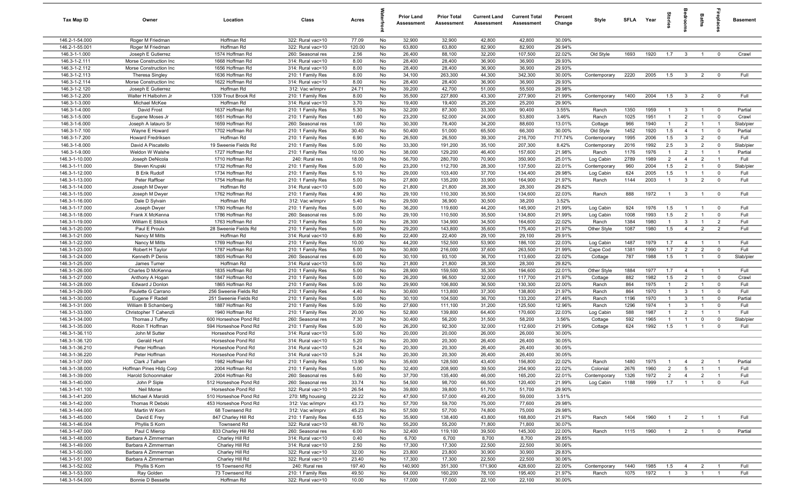| Tax Map ID                           | Owner                                         | Location                                | Class                                  | Acres         |          | <b>Prior Land</b><br>Assessment | <b>Prior Total</b><br>Assessment | <b>Current Land</b><br>Assessment | <b>Current Total</b><br><b>Assessment</b> | Percent<br>Change | Style              | <b>SFLA</b>  | Year         | tories                | drooms                         | Baths               | 률                             | <b>Basement</b>      |
|--------------------------------------|-----------------------------------------------|-----------------------------------------|----------------------------------------|---------------|----------|---------------------------------|----------------------------------|-----------------------------------|-------------------------------------------|-------------------|--------------------|--------------|--------------|-----------------------|--------------------------------|---------------------|-------------------------------|----------------------|
| 146.2-1-54.000                       | Roger M Friedman                              | Hoffman Rd                              | 322: Rural vac>10                      | 77.09         | No       | 32,900                          | 32,900                           | 42,800                            | 42,800                                    | 30.09%            |                    |              |              |                       |                                |                     |                               |                      |
| 146.2-1-55.001                       | Roger M Friedman                              | Hoffman Rd                              | 322: Rural vac>10                      | 120.00        | No       | 63,800                          | 63,800                           | 82,900                            | 82,900                                    | 29.94%            |                    |              |              |                       |                                |                     |                               |                      |
| 146.3-1-1.000                        | Joseph E Gutierrez                            | 1574 Hoffman Rd                         | 260: Seasonal res                      | 2.56          | No       | 26,400                          | 88,100                           | 32,200                            | 107,500                                   | 22.02%            | Old Style          | 1693         | 1920         | 1.7                   | $\mathbf{3}$                   | $\overline{1}$      | $\mathbf 0$                   | Crawl                |
| 146.3-1-2.111                        | Morse Construction Inc                        | 1668 Hoffman Rd                         | 314: Rural vac<10                      | 8.00          | No       | 28,400                          | 28,400                           | 36,900                            | 36,900                                    | 29.93%            |                    |              |              |                       |                                |                     |                               |                      |
| 146.3-1-2.112                        | Morse Construction Inc                        | 1656 Hoffman Rd                         | 314: Rural vac<10                      | 8.00          | No       | 28,400                          | 28,400                           | 36,900                            | 36,900                                    | 29.93%            |                    |              |              |                       |                                |                     |                               |                      |
| 146.3-1-2.113                        | Theresa Singley                               | 1636 Hoffman Rd                         | 210: 1 Family Res                      | 8.00          | No       | 34,100                          | 263,300                          | 44,300                            | 342,300                                   | 30.00%            | Contemporary       | 2220         | 2005         | 1.5                   | $\overline{\mathbf{3}}$        | $\overline{2}$      | $\mathbf 0$                   | Full                 |
| 146.3-1-2.114                        | Morse Construction Inc                        | 1622 Hoffman Rd                         | 314: Rural vac<10                      | 8.00          | No       | 28,400                          | 28,400                           | 36,900                            | 36,900                                    | 29.93%            |                    |              |              |                       |                                |                     |                               |                      |
| 146.3-1-2.120                        | Joseph E Gutierrez                            | Hoffman Rd                              | 312: Vac w/imprv                       | 24.71         | No       | 39,200                          | 42,700                           | 51,000                            | 55,500                                    | 29.98%            |                    |              |              |                       |                                |                     |                               |                      |
| 146.3-1-2.200                        | Walter H Halbohm Jr                           | 1339 Trout Brook Rd                     | 210: 1 Family Res                      | 8.00          | No       | 35,500                          | 227,800                          | 43,300                            | 277,900                                   | 21.99%            | Contemporary       | 1400         | 2004         | 1.5                   | $\mathbf{3}$                   | $\overline{2}$      | $\overline{\mathbf{0}}$       | Full                 |
| 146.3-1-3.000                        | Michael McKee                                 | Hoffman Rd                              | 314: Rural vac<10                      | 3.70          | No       | 19,400                          | 19,400                           | 25,200                            | 25,200                                    | 29.90%            |                    |              |              |                       |                                |                     |                               |                      |
| 146.3-1-4.000                        | David Frost                                   | 1637 Hoffman Rd                         | 210: 1 Family Res                      | 5.30          | No       | 32,200                          | 87,300                           | 33,300                            | 90,400                                    | 3.55%             | Ranch              | 1350         | 1959         | $\overline{1}$        | $\mathbf{3}$                   | $\overline{1}$      | $\overline{\mathbf{0}}$       | Partial              |
| 146.3-1-5.000                        | Eugene Moses Jr                               | 1651 Hoffman Rd                         | 210: 1 Family Res                      | 1.60          | No       | 23,200                          | 52,000                           | 24,000                            | 53,800                                    | 3.46%             | Ranch              | 1025         | 1951         | $\overline{1}$        | $\overline{2}$                 | $\overline{1}$      | $\mathbf 0$                   | Crawl                |
| 146.3-1-6.000                        | Joseph A latauro Sr                           | 1659 Hoffman Rd                         | 260: Seasonal res                      | 1.00          | No       | 30,300                          | 78,400                           | 34,200                            | 88,600                                    | 13.01%            | Cottage            | 966          | 1940         | $\overline{1}$        | $\overline{2}$                 | $\overline{1}$      | $\overline{1}$                | Slab/pier            |
| 146.3-1-7.100                        | Wayne E Howard                                | 1702 Hoffman Rd                         | 210: 1 Family Res                      | 30.40         | No       | 50,400                          | 51,000                           | 65,500                            | 66,300                                    | 30.00%            | Old Style          | 1452         | 1920         | 1.5                   | $\overline{4}$                 | $\overline{1}$      | $\mathbf 0$                   | Partial              |
| 146.3-1-7.200<br>$146.3 - 1 - 8.000$ | Howard Fredriksen                             | Hoffman Rd                              | 210: 1 Family Res                      | 6.90          | No       | 26,500                          | 26,500                           | 39,300                            | 216,700                                   | 717.74%           | Contemporary       | 1995         | 2006         | 1.5                   | $\mathbf{3}$                   | $\overline{2}$      | $\mathbf 0$                   | Full                 |
| 146.3-1-9.000                        | David A Piscatello<br>Weldon W Walshe         | 19 Sweenie Fields Rd<br>1727 Hoffman Rd | 210: 1 Family Res                      | 5.00<br>10.00 | No<br>No | 33,300<br>38,000                | 191,200<br>129,200               | 35,100<br>46,400                  | 207,300<br>157,600                        | 8.42%<br>21.98%   | Contemporary       | 2016<br>1176 | 1992<br>1976 | 2.5<br>$\overline{1}$ | $\mathbf{3}$<br>$\overline{2}$ | 2<br>$\overline{1}$ | $\mathbf 0$<br>$\overline{1}$ | Slab/pier<br>Partial |
| 146.3-1-10.000                       | Joseph DeNicola                               | 1710 Hoffman Rd                         | 210: 1 Family Res<br>240: Rural res    | 18.00         | No       | 56,700                          | 280,700                          | 70,900                            | 350,900                                   | 25.01%            | Ranch<br>Log Cabin | 2789         | 1989         | $\overline{2}$        | $\overline{4}$                 | $\overline{2}$      | $\overline{1}$                | Full                 |
| 146.3-1-11.000                       | Steven Krupski                                | 1732 Hoffman Rd                         | 210: 1 Family Res                      | 5.00          | No       | 23,200                          | 112,700                          | 28,300                            | 137,500                                   | 22.01%            | Contemporary       | 960          | 2004         | 1.5                   | 2                              | -1                  | $\mathbf 0$                   | Slab/pier            |
| 146.3-1-12.000                       | <b>B Erik Rudolf</b>                          | 1734 Hoffman Rd                         | 210: 1 Family Res                      | 5.10          | No       | 29,000                          | 103,400                          | 37,700                            | 134,400                                   | 29.98%            | Log Cabin          | 624          | 2005         | 1.5                   | $\mathbf{1}$                   | $\overline{1}$      | $\mathbf 0$                   | Full                 |
| 146.3-1-13.000                       | Peter Raffloer                                | 1754 Hoffman Rd                         | 210: 1 Family Res                      | 5.00          | No       | 27,800                          | 135,200                          | 33,900                            | 164,900                                   | 21.97%            | Ranch              | 1144         | 2003         | -1                    | 3                              | $\overline{2}$      | $\mathbf 0$                   | Full                 |
| 146.3-1-14.000                       | Joseph M Dwyer                                | Hoffman Rd                              | 314: Rural vac<10                      | 5.00          | No       | 21,800                          | 21,800                           | 28,300                            | 28,300                                    | 29.82%            |                    |              |              |                       |                                |                     |                               |                      |
| 146.3-1-15.000                       | Joseph M Dwyer                                | 1762 Hoffman Rd                         | 210: 1 Family Res                      | 4.90          | No       | 29,100                          | 110,300                          | 35,500                            | 134,600                                   | 22.03%            | Ranch              | 888          | 1972         | $\overline{1}$        | $\mathbf{3}$                   | $\overline{1}$      | $\overline{\mathbf{0}}$       | Full                 |
| 146.3-1-16.000                       | Dale D Sylvain                                | Hoffman Rd                              | 312: Vac w/imprv                       | 5.40          | No       | 29,500                          | 36,900                           | 30,500                            | 38,200                                    | 3.52%             |                    |              |              |                       |                                |                     |                               |                      |
| 146.3-1-17.000                       | Joseph Dwyer                                  | 1780 Hoffman Rd                         | 210: 1 Family Res                      | 5.00          | No       | 36,200                          | 119,600                          | 44,200                            | 145,900                                   | 21.99%            | Log Cabin          | 924          | 1976         | 1.5                   | $\overline{1}$                 | $\overline{1}$      | $\overline{\mathbf{0}}$       | Full                 |
| 146.3-1-18.000                       | Frank X McKenna                               | 1786 Hoffman Rd                         | 260: Seasonal res                      | 5.00          | No       | 29,100                          | 110,500                          | 35,500                            | 134,800                                   | 21.99%            | Log Cabin          | 1008         | 1993         | 1.5                   | $\overline{2}$                 | $\overline{1}$      | $\mathbf 0$                   | Full                 |
| 146.3-1-19.000                       | William E Stibick                             | 1763 Hoffman Rd                         | 210: 1 Family Res                      | 5.00          | No       | 28,300                          | 134,900                          | 34,500                            | 164,600                                   | 22.02%            | Ranch              | 1384         | 1980         | $\overline{1}$        | $\mathbf{3}$                   | $\overline{1}$      | $\overline{2}$                | Full                 |
| 146.3-1-20.000                       | Paul E Proulx                                 | 28 Sweenie Fields Rd                    | 210: 1 Family Res                      | 5.00          | No       | 29,200                          | 143,800                          | 35,600                            | 175,400                                   | 21.97%            | Other Style        | 1087         | 1980         | 1.5                   | $\overline{4}$                 | $\overline{2}$      | $\overline{2}$                | Full                 |
| 146.3-1-21.000                       | Nancy M Mitts                                 | Hoffman Rd                              | 314: Rural vac<10                      | 6.80          | No       | 22,400                          | 22,400                           | 29,100                            | 29,100                                    | 29.91%            |                    |              |              |                       |                                |                     |                               |                      |
| 146.3-1-22.000                       | Nancy M Mitts                                 | 1769 Hoffman Rd                         | 210: 1 Family Res                      | 10.00         | No       | 44,200                          | 152,500                          | 53,900                            | 186,100                                   | 22.03%            | Log Cabin          | 1487         | 1979         | 1.7                   | $\overline{4}$                 | $\overline{1}$      | $\overline{1}$                | Full                 |
| 146.3-1-23.000                       | Robert H Taylor                               | 1787 Hoffman Rd                         | 210: 1 Family Res                      | 5.00          | No       | 30,800                          | 216,000                          | 37,600                            | 263,500                                   | 21.99%            | Cape Cod           | 1381         | 1990         | 1.7                   | $\overline{2}$                 | $\overline{2}$      | $\mathbf 0$                   | Full                 |
| 146.3-1-24.000                       | Kenneth P Denis                               | 1805 Hoffman Rd                         | 260: Seasonal res                      | 6.00          | No       | 30,100                          | 93,100                           | 36,700                            | 113,600                                   | 22.02%            | Cottage            | 787          | 1988         | 1.5                   | $\overline{1}$                 | $\mathbf{1}$        | $\mathbf 0$                   | Slab/pier            |
| 146.3-1-25.000                       | James Turner                                  | Hoffman Rd                              | 314: Rural vac<10                      | 5.00          | No       | 21,800                          | 21,800                           | 28,300                            | 28,300                                    | 29.82%            |                    |              |              |                       |                                |                     |                               |                      |
| 146.3-1-26.000                       | Charles D McKenna                             | 1835 Hoffman Rd                         | 210: 1 Family Res                      | 5.00          | No       | 28,900                          | 159,500                          | 35,300                            | 194,600                                   | 22.01%            | Other Style        | 1884         | 1977         | 1.7                   | 4                              | $\overline{1}$      | $\overline{1}$                | Full                 |
| 146.3-1-27.000                       | Anthony A Hogan                               | 1847 Hoffman Rd                         | 210: 1 Family Res                      | 5.00          | No       | 26,200                          | 96,500                           | 32,000                            | 117,700                                   | 21.97%            | Cottage            | 882          | 1982         | 1.5                   | $\overline{2}$                 | $\overline{1}$      | $\mathbf 0$                   | Crawl                |
| 146.3-1-28.000                       | Edward J Donlon                               | 1865 Hoffman Rd                         | 210: 1 Family Res                      | 5.00          | No       | 29,900                          | 106,800                          | 36,500                            | 130,300                                   | 22.00%            | Ranch              | 864          | 1975         | $\overline{1}$        | $\overline{2}$                 | $\overline{1}$      | $\mathbf 0$                   | Full                 |
| 146.3-1-29.000                       | Paulette G Carrano                            | 256 Sweenie Fields Rd                   | 210: 1 Family Res                      | 4.40          | No       | 30,600                          | 113,800                          | 37,300                            | 138,800                                   | 21.97%            | Ranch              | 864          | 1970         | $\overline{1}$        | $\mathbf{3}$                   | $\overline{1}$      | $\mathbf 0$                   | Full                 |
| 146.3-1-30.000                       | Eugene F Radell                               | 251 Sweenie Fields Rd                   | 210: 1 Family Res                      | 5.00          | No       | 30,100                          | 104,500                          | 36,700                            | 133,200                                   | 27.46%            | Ranch              | 1196         | 1970         | $\overline{1}$        | 3                              | $\overline{1}$      | $\mathbf 0$                   | Partial              |
| 146.3-1-31.000                       | William B Schamberg                           | 1887 Hoffman Rd                         | 210: 1 Family Res                      | 5.00          | No       | 27,600                          | 111,100                          | 31,200                            | 125,500                                   | 12.96%            | Ranch              | 1296         | 1974         | $\overline{1}$        | $\mathbf{3}$                   | $\overline{1}$      | $\mathbf 0$                   | Full                 |
| 146.3-1-33.000                       | Christopher T Cahenzli                        | 1940 Hoffman Rd                         | 210: 1 Family Res                      | 20.00         | No       | 52,800                          | 139,800                          | 64,400                            | 170,600                                   | 22.03%            | Log Cabin          | 588          | 1987         | $\overline{1}$        | $\overline{2}$                 | $\overline{1}$      | $\overline{1}$                | Full                 |
| 146.3-1-34.000                       | Thomas J Tuffey                               | 600 Horseshoe Pond Rd                   | 260: Seasonal res                      | 7.30          | No       | 30,400                          | 56,200                           | 31,500                            | 58,200                                    | 3.56%             | Cottage            | 592          | 1965         | $\overline{1}$        | $\mathbf{1}$                   | $\mathbf 0$         | $\mathbf 0$                   | Slab/pier            |
| 146.3-1-35.000                       | Robin T Hoffman                               | 594 Horseshoe Pond Rd                   | 210: 1 Family Res                      | 5.00          | No       | 26,200                          | 92,300                           | 32,000                            | 112,600                                   | 21.99%            | Cottage            | 624          | 1992         | 1.5                   | $\mathbf{1}$                   | $\overline{1}$      | $\mathbf 0$                   | Full                 |
| 146.3-1-36.110                       | John M Sutter                                 | Horseshoe Pond Rd                       | 314: Rural vac<10                      | 5.00          | No       | 20,000                          | 20,000                           | 26,000                            | 26,000                                    | 30.00%            |                    |              |              |                       |                                |                     |                               |                      |
| 146.3-1-36.120                       | Gerald Hunt                                   | Horseshoe Pond Rd                       | 314: Rural vac<10                      | 5.20<br>5.24  | No<br>No | 20,300                          | 20,300                           | 26,400                            | 26,400                                    | 30.05%<br>30.05%  |                    |              |              |                       |                                |                     |                               |                      |
| 146.3-1-36.210                       | Peter Hoffman                                 | Horseshoe Pond Rd                       | 314: Rural vac<10                      | 5.24          | No       | 20,300<br>20,300                | 20,300<br>20,300                 | 26,400<br>26,400                  | 26,400<br>26,400                          | 30.05%            |                    |              |              |                       |                                |                     |                               |                      |
| 146.3-1-36.220<br>146.3-1-37.000     | Peter Hoffman<br>Clark J Talham               | Horseshoe Pond Rd<br>1982 Hoffman Rd    | 314: Rural vac<10<br>210: 1 Family Res | 13.90         | No       | 35,600                          | 128,500                          | 43,400                            | 156,800                                   | 22.02%            | Ranch              |              |              |                       |                                |                     |                               |                      |
| 146.3-1-38.000                       |                                               | 2004 Hoffman Rd                         | 210: 1 Family Res                      | 5.00          | No       | 32,400                          | 208,900                          | 39,500                            | 254,900                                   | 22.02%            | Colonial           | 1480<br>2676 | 1975<br>1960 | $\overline{2}$        | $5\overline{5}$                | $\overline{1}$      | $\overline{1}$                | Partial<br>Full      |
| 146.3-1-39.000                       | Hoffman Pines HIdg Corp<br>Harold Schoonmaker | 2004 Hoffman Rd                         | 260: Seasonal res                      | 5.60          | No       | 37,700                          | 135,400                          | 46,000                            | 165,200                                   | 22.01%            | Contemporary       | 1326         | 1972         | $\overline{2}$        | $\overline{4}$                 | $\overline{2}$      | $\overline{1}$                | Full                 |
| 146.3-1-40.000                       | John P Siple                                  | 512 Horseshoe Pond Rd                   | 260: Seasonal res                      | 33.74         | No       | 54,500                          | 98,700                           | 66,500                            | 120,400                                   | 21.99%            | Log Cabin          | 1188         | 1999         | 1.7                   | $\overline{1}$                 | $\overline{1}$      | $\mathbf 0$                   | Full                 |
| 146.3-1-41.100                       | Neil Morse                                    | Horseshoe Pond Rd                       | 322: Rural vac>10                      | 26.54         | No       | 39,800                          | 39,800                           | 51,700                            | 51,700                                    | 29.90%            |                    |              |              |                       |                                |                     |                               |                      |
| 146.3-1-41.200                       | Michael A Maroldi                             | 510 Horseshoe Pond Rd                   | 270: Mfg housing                       | 22.22         | No       | 47,500                          | 57,000                           | 49,200                            | 59,000                                    | 3.51%             |                    |              |              |                       |                                |                     |                               |                      |
| 146.3-1-42.000                       | Thomas R Debski                               | 453 Horseshoe Pond Rd                   | 312: Vac w/imprv                       | 43.73         | No       | 57,700                          | 59,700                           | 75,000                            | 77,600                                    | 29.98%            |                    |              |              |                       |                                |                     |                               |                      |
| 146.3-1-44.000                       | Martin W Korn                                 | 68 Townsend Rd                          | 312: Vac w/imprv                       | 45.23         | No       | 57,500                          | 57,700                           | 74,800                            | 75,000                                    | 29.98%            |                    |              |              |                       |                                |                     |                               |                      |
| 146.3-1-45.000                       | David E Frey                                  | 847 Charley Hill Rd                     | 210: 1 Family Res                      | 6.55          | No       | 35,900                          | 138,400                          | 43,800                            | 168,800                                   | 21.97%            | Ranch              | 1404         | 1960         | $\overline{1}$        |                                | $2 \qquad 1$        | $\blacksquare$ 1              | Full                 |
| 146.3-1-46.004                       | Phyllis S Korn                                | Townsend Rd                             | 322: Rural vac>10                      | 48.70         | No       | 55,200                          | 55,200                           | 71,800                            | 71,800                                    | 30.07%            |                    |              |              |                       |                                |                     |                               |                      |
| 146.3-1-47.000                       | Paul C Mierop                                 | 833 Charley Hill Rd                     | 260: Seasonal res                      | 6.00          | No       | 32,400                          | 119,100                          | 39,500                            | 145,300                                   | 22.00%            | Ranch              | 1115         | 1960         | $\overline{1}$        | $\overline{2}$                 | $\overline{1}$      | $\overline{\mathbf{0}}$       | Partial              |
| 146.3-1-48.000                       | Barbara A Zimmerman                           | Charley Hill Rd                         | 314: Rural vac<10                      | 0.40          | No       | 6,700                           | 6,700                            | 8,700                             | 8,700                                     | 29.85%            |                    |              |              |                       |                                |                     |                               |                      |
| 146.3-1-49.000                       | Barbara A Zimmerman                           | Charley Hill Rd                         | 314: Rural vac<10                      | 2.50          | No       | 17,300                          | 17,300                           | 22,500                            | 22,500                                    | 30.06%            |                    |              |              |                       |                                |                     |                               |                      |
| 146.3-1-50.000                       | Barbara A Zimmerman                           | Charley Hill Rd                         | 322: Rural vac>10                      | 32.00         | No       | 23,800                          | 23,800                           | 30,900                            | 30,900                                    | 29.83%            |                    |              |              |                       |                                |                     |                               |                      |
| 146.3-1-51.000                       | Barbara A Zimmerman                           | Charley Hill Rd                         | 322: Rural vac>10                      | 23.40         | No       | 17,300                          | 17,300                           | 22,500                            | 22,500                                    | 30.06%            |                    |              |              |                       |                                |                     |                               |                      |
| 146.3-1-52.002                       | Phyllis S Korn                                | 15 Townsend Rd                          | 240: Rural res                         | 197.40        | No       | 140,900                         | 351,300                          | 171,900                           | 428,600                                   | 22.00%            | Contemporary       | 1440         | 1985         | 1.5                   | $\overline{4}$                 | $\overline{2}$      | $\overline{1}$                | Full                 |
| 146.3-1-53.000                       | Ray Golden                                    | 73 Townsend Rd                          | 210: 1 Family Res                      | 49.50         | No       | 64,000                          | 160,200                          | 78,100                            | 195,400                                   | 21.97%            | Ranch              | 1075         | 1972         | $\overline{1}$        | $\overline{3}$                 | $\overline{1}$      | $\overline{1}$                | Full                 |
| 146.3-1-54.000                       | Bonnie D Bessette                             | Hoffman Rd                              | 322: Rural vac>10                      | 10.00         | No       | 17,000                          | 17,000                           | 22,100                            | 22,100                                    | 30.00%            |                    |              |              |                       |                                |                     |                               |                      |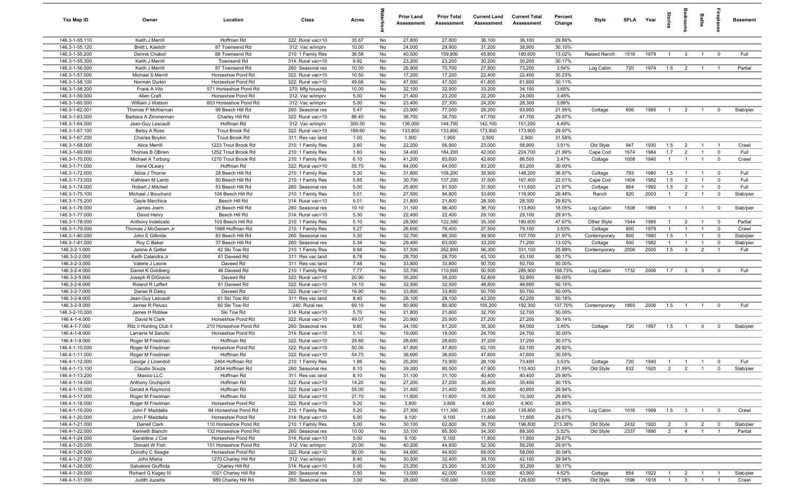| Tax Map ID                       | Owner                                    | Location                                   | Class                                  | Acres         |          | <b>Prior Land</b><br>Assessment | <b>Prior Total</b><br>Assessment | <b>Current Land</b><br>Assessment | <b>Current Total</b><br>Assessment | Percent<br>Change | Style        | SFLA | Year | Stories        | droom                   | Baths          | epla                    | <b>Basement</b> |
|----------------------------------|------------------------------------------|--------------------------------------------|----------------------------------------|---------------|----------|---------------------------------|----------------------------------|-----------------------------------|------------------------------------|-------------------|--------------|------|------|----------------|-------------------------|----------------|-------------------------|-----------------|
| 146.3-1-55.110                   | Keith J Merrill                          | Hoffman Rd                                 | 322: Rural vac>10                      | 35.67         | No       | 27,800                          | 27,800                           | 36,100                            | 36,100                             | 29.86%            |              |      |      |                |                         |                |                         |                 |
| 146.3-1-55.120                   | Brett L Kasitch                          | 87 Townsend Rd                             | 312: Vac w/imprv                       | 10.00         | No       | 24,000                          | 29,900                           | 31,200                            | 38,900                             | 30.10%            |              |      |      |                |                         |                |                         |                 |
| 146.3-1-55.200                   | Dennis Chabot                            | 88 Townsend Rd                             | 210: 1 Family Res                      | 36.58         | No       | 40,500                          | 159,800                          | 45,800                            | 180,600                            | 13.02%            | Raised Ranch | 1518 | 1979 | $\overline{1}$ | $\mathbf{3}$            | $\overline{1}$ | $\overline{0}$          | Full            |
| 146.3-1-55.300                   | Keith J Merrill                          | Townsend Rd                                | 314: Rural vac<10                      | 9.92          | No       | 23,200                          | 23,200                           | 30,200                            | 30,200                             | 30.17%            |              |      |      |                |                         |                |                         |                 |
| 146.3-1-56.000                   | Keith J Merrill                          | 87 Townsend Rd                             | 260: Seasonal res                      | 10.00         | No       | 26,900                          | 70,700                           | 27,800                            | 73,200                             | 3.54%             | Log Cabin    | 720  | 1974 | 1.5            | $\overline{2}$          | $\overline{1}$ | $\overline{1}$          | Partial         |
| 146.3-1-57.000                   | Michael S Merrill                        | Horseshoe Pond Rd                          | 322: Rural vac>10                      | 10.50         | No       | 17,200                          | 17,200                           | 22,400                            | 22,400                             | 30.23%            |              |      |      |                |                         |                |                         |                 |
| 146.3-1-58.100                   | Norman Durkin                            | Horseshoe Pond Rd                          | 322: Rural vac>10                      | 49.66         | No       | 47,500                          | 47,500                           | 61,800                            | 61,800                             | 30.11%            |              |      |      |                |                         |                |                         |                 |
| 146.3-1-58.200                   | Frank A Vito                             | 571 Horseshoe Pond Rd                      | 270: Mfg housing                       | 10.00         | No       | 32,100                          | 32,900                           | 33,200                            | 34,100                             | 3.65%             |              |      |      |                |                         |                |                         |                 |
| 146.3-1-59.000                   | Allen Craft                              | Horseshoe Pond Rd                          | 312: Vac w/imprv                       | 5.00          | No       | 21,400                          | 23,200                           | 22,200                            | 24,000                             | 3.45%             |              |      |      |                |                         |                |                         |                 |
| 146.3-1-60.000                   | William J Watson                         | 603 Horseshoe Pond Rd<br>99 Beech Hill Rd  | 312: Vac w/imprv                       | 5.00          | No       | 23,400                          | 27,300                           | 24,200                            | 28,300                             | 3.66%             |              |      |      |                |                         |                |                         |                 |
| 146.3-1-62.001                   | Thomas P McKiernan                       |                                            | 260: Seasonal res                      | 5.47<br>86.40 | No<br>No | 23,900<br>36,700                | 77,000                           | 29,200                            | 93,900                             | 21.95%<br>29.97%  | Cottage      | 606  | 1985 | $\overline{1}$ | $\overline{2}$          | $\overline{1}$ | $\mathbf 0$             | Slab/pier       |
| 146.3-1-63.000<br>146.3-1-64.000 | Barbara A Zimmerman<br>Jean-Guy Lescault | Charley Hill Rd<br>Hoffman Rd              | 322: Rural vac>10<br>312: Vac w/imprv  | 300.50        | No       | 136,000                         | 36,700<br>144,700                | 47,700<br>142,100                 | 47,700<br>151,200                  | 4.49%             |              |      |      |                |                         |                |                         |                 |
| 146.3-1-67.100                   | Betsy A Ross                             | <b>Trout Brook Rd</b>                      | 322: Rural vac>10                      | 189.60        | No       | 133,800                         | 133,800                          | 173,900                           | 173,900                            | 29.97%            |              |      |      |                |                         |                |                         |                 |
| 146.3-1-67.200                   | <b>Charles Boykin</b>                    | <b>Trout Brook Rd</b>                      | 311: Res vac land                      | 1.00          | No       | 1,900                           | 1,900                            | 2,500                             | 2,500                              | 31.58%            |              |      |      |                |                         |                |                         |                 |
| 146.3-1-68.000                   | Alice Merrill                            | 1223 Trout Brook Rd                        | 210: 1 Family Res                      | 2.60          | No       | 22,200                          | 56,900                           | 23,000                            | 58,900                             | 3.51%             | Old Style    | 947  | 1930 | 1.5            | $\overline{2}$          | $\overline{1}$ | $\overline{1}$          | Crawl           |
| 146.3-1-69.000                   | Thomas B OBrien                          | 1252 Trout Brook Rd                        | 210: 1 Family Res                      | 1.60          | No       | 34,400                          | 184,200                          | 42,000                            | 224,700                            | 21.99%            | Cape Cod     | 1674 | 1984 | 1.7            | $\overline{2}$          | $\mathbf{1}$   | $\mathbf 0$             | Full            |
| 146.3-1-70.000                   | Michael A Torborg                        | 1270 Trout Brook Rd                        | 210: 1 Family Res                      | 6.10          | No       | 41,200                          | 83,600                           | 42,600                            | 86,500                             | 3.47%             | Cottage      | 1008 | 1940 | $\overline{1}$ | $\overline{1}$          | $\overline{1}$ | $\mathbf 0$             | Crawl           |
| 146.3-1-71.000                   | Irene OLeary                             | Hoffman Rd                                 | 322: Rural vac>10                      | 55.70         | No       | 64,000                          | 64,000                           | 83,200                            | 83,200                             | 30.00%            |              |      |      |                |                         |                |                         |                 |
| 146.3-1-72.000                   | Alicia J Thorne                          | 28 Beech Hill Rd                           | 210: 1 Family Res                      | 5.30          | No       | 31,800                          | 108,200                          | 35,900                            | 148,200                            | 36.97%            | Cottage      | 793  | 1980 | 1.5            | $\overline{1}$          | $\overline{1}$ | $\overline{0}$          | Full            |
| 146.3-1-73.002                   | Kathleen M Lamb                          | 50 Beech Hill Rd                           | 210: 1 Family Res                      | 5.85          | No       | 30,700                          | 137,200                          | 37,500                            | 167,400                            | 22.01%            | Cape Cod     | 1404 | 1982 | 1.5            | $\mathbf{3}$            |                | $\mathbf 0$             | Full            |
| 146.3-1-74.000                   | Robert J Mitchell                        | 53 Beech Hill Rd                           | 260: Seasonal res                      | 5.00          | No       | 25,800                          | 91,500                           | 31,500                            | 111,600                            | 21.97%            | Cottage      | 864  | 1992 | 1.5            | $\overline{2}$          | $\overline{1}$ | $\mathbf 0$             | Full            |
| 146.3-1-75.100                   | Michael J Bouchard                       | 104 Beech Hill Rd                          | 210: 1 Family Res                      | 5.01          | No       | 27,500                          | 94,800                           | 33,600                            | 119,900                            | 26.48%            | Ranch        | 920  | 2003 | $\overline{1}$ | $\overline{2}$          | $\overline{1}$ | $\mathbf 0$             | Slab/pier       |
| 146.3-1-75.200                   | Gayle Marchica                           | Beech Hill Rd                              | 314: Rural vac<10                      | 5.01          | No       | 21,800                          | 21,800                           | 28,300                            | 28,300                             | 29.82%            |              |      |      |                |                         |                |                         |                 |
| 146.3-1-76.000                   | James Joern                              | 25 Beech Hill Rd                           | 260: Seasonal res                      | 10.10         | No       | 31,100                          | 96,400                           | 36,700                            | 113,800                            | 18.05%            | Log Cabin    | 1508 | 1989 | $\overline{1}$ | $\overline{1}$          | $\overline{1}$ | $\overline{0}$          | Slab/pier       |
| 146.3-1-77.000                   | David Henry                              | Beech Hill Rd                              | 314: Rural vac<10                      | 5.30          | No       | 22,400                          | 22,400                           | 29,100                            | 29,100                             | 29.91%            |              |      |      |                |                         |                |                         |                 |
| 146.3-1-78.000                   | Anthony Indelicato                       | 103 Beech Hill Rd                          | 210: 1 Family Res                      | 5.10          | No       | 28,900                          | 122,300                          | 35,300                            | 180,600                            | 47.67%            | Other Style  | 1544 | 1985 | $\overline{1}$ | $\overline{2}$          | $\overline{1}$ | $\mathbf 0$             | Partial         |
| 146.3-1-79.000                   | Thomas J McGeown Jr                      | 1868 Hoffman Rd                            | 210: 1 Family Res                      | 5.27          | No       | 26,600                          | 76,400                           | 27,500                            | 79,100                             | 3.53%             | Cottage      | 800  | 1979 | $\overline{1}$ | $\overline{1}$          | $\overline{1}$ | $\overline{0}$          | Crawl           |
| 146.3-1-80.000                   | John E Gilbride                          | 83 Beech Hill Rd                           | 260: Seasonal res                      | 5.30          | No       | 32,700                          | 88,300                           | 39,900                            | 107,700                            | 21.97%            | Contemporary | 800  | 1980 | 1.5            | $\overline{1}$          | $\overline{1}$ | $\mathbf 0$             | Slab/pier       |
| 146.3-1-81.000                   | Roy C Baker                              | 37 Beech Hill Rd                           | 260: Seasonal res                      | 5.34          | No       | 29,400                          | 63,000                           | 33,200                            | 71,200                             | 13.02%            | Cottage      | 500  | 1982 | $\overline{1}$ | $\overline{1}$          | $\overline{1}$ | $\mathbf 0$             | Slab/pier       |
| 146.3-2-1.000                    | Janine A Getler                          | 42 Ski Tow Rd                              | 210: 1 Family Res                      | 9.94          | No       | 37,500                          | 262,800                          | 56,300                            | 331,100                            | 25.99%            | Contemporary | 2006 | 2005 | 1.5            | $\overline{\mathbf{3}}$ | $\overline{2}$ | $\overline{1}$          | Full            |
| 146.3-2-2.000                    | Keith Calandra Jr                        | 61 Daveed Rd                               | 311: Res vac land                      | 8.78          | No       | 28,700                          | 28,700                           | 43,100                            | 43,100                             | 50.17%            |              |      |      |                |                         |                |                         |                 |
| 146.3-2-3.000                    | Valerie J Leone                          | Daveed Rd                                  | 311: Res vac land                      | 7.48          | No       | 33,800                          | 33,800                           | 50,700                            | 50,700                             | 50.00%            |              |      |      |                |                         |                |                         |                 |
| 146.3-2-4.000                    | Daniel K Goldberg                        | 46 Daveed Rd                               | 210: 1 Family Res                      | 7.77          | No       | 33,700                          | 110,500                          | 50,500                            | 285,900                            | 158.73%           | Log Cabin    | 1732 | 2006 | 1.7            | $\mathbf{3}$            | 3              | $^{\circ}$              | Full            |
| 146.3-2-5.000                    | Joseph R DiGravio                        | Daveed Rd                                  | 322: Rural vac>10                      | 20.90         | No       | 35,200                          | 35,200                           | 52,800                            | 52,800                             | 50.00%            |              |      |      |                |                         |                |                         |                 |
| 146.3-2-6.000                    | Roland R Laffert                         | 61 Daveed Rd                               | 322: Rural vac>10                      | 14.10         | No       | 32,500                          | 32,500                           | 48,800                            | 48,800                             | 50.15%            |              |      |      |                |                         |                |                         |                 |
| 146.3-2-7.000<br>146.3-2-8.000   | Daniel R Daley                           | Daveed Rd<br>61 Ski Tow Rd                 | 322: Rural vac>10<br>311: Res vac land | 16.90<br>8.40 | No<br>No | 33,800<br>28,100                | 33,800<br>28,100                 | 50,700<br>42,200                  | 50,700<br>42,200                   | 50.00%<br>50.18%  |              |      |      |                |                         |                |                         |                 |
| 146.3-2-9.000                    | Jean-Guy Lescault<br>James R Peluso      | 60 Ski Tow Rd                              | 240: Rural res                         | 69.10         | No       | 80,900                          | 80,900                           | 105,200                           | 192,300                            | 137.70%           | Contemporary | 1865 | 2006 | 1.5            | $\overline{1}$          | $\overline{1}$ | $^{\circ}$              | Full            |
| 146.3-2-10.000                   | James H Roblee                           | Ski Tow Rd                                 | 314: Rural vac<10                      | 5.70          | No       | 21,800                          | 21,800                           | 32,700                            | 32,700                             | 50.00%            |              |      |      |                |                         |                |                         |                 |
| 146.4-1-4.000                    | David N Clark                            | Horseshoe Pond Rd                          | 322: Rural vac>10                      | 49.07         | No       | 20,900                          | 20,900                           | 27,200                            | 27,200                             | 30.14%            |              |      |      |                |                         |                |                         |                 |
| 146.4-1-7.000                    | Ritz II Hunting Club II                  | 210 Horseshoe Pond Rd                      | 260: Seasonal res                      | 9.80          | No       | 34,100                          | 81,200                           | 35,300                            | 84,000                             | 3.45%             | Cottage      | 720  | 1997 | 1.5            | $\overline{1}$          | $\mathbf 0$    | $\mathbf 0$             | Slab/pier       |
| 146.4-1-8.000                    | Larraine M Sarutto                       | Horseshoe Pond Rd                          | 314: Rural vac<10                      | 5.10          | No       | 19,000                          | 19,000                           | 24,700                            | 24,700                             | 30.00%            |              |      |      |                |                         |                |                         |                 |
| 146.4-1-9.000                    | Roger M Friedman                         | Hoffman Rd                                 | 322: Rural vac>10                      | 29.80         | No       | 28,600                          | 28,600                           | 37,200                            | 37,200                             | 30.07%            |              |      |      |                |                         |                |                         |                 |
| 146.4-1-10.000                   | Roger M Friedman                         | Horseshoe Pond Rd                          | 322: Rural vac>10                      | 50.00         | No       | 47,800                          | 47,800                           | 62,100                            | 62,100                             | 29.92%            |              |      |      |                |                         |                |                         |                 |
| 146.4-1-11.000                   | Roger M Friedman                         | Hoffman Rd                                 | 322: Rural vac>10                      | 54.70         | No       | 36,600                          | 36,600                           | 47,600                            | 47,600                             | 30.05%            |              |      |      |                |                         |                |                         |                 |
| 146.4-1-12.000                   | George J Linendoll                       | 2404 Hoffman Rd                            | 210: 1 Family Res                      | 1.86          | No       | 25,200                          | 70,900                           | 26,100                            | 73,400                             | 3.53%             | Cottage      | 720  | 1940 |                |                         |                |                         | Full            |
| 146.4-1-13.100                   | Claudio Souza                            | 2434 Hoffman Rd                            | 260: Seasonal res                      | 8.10          | No       | 39,300                          | 90,500                           | 47,900                            | 110,400                            | 21.99%            | Old Style    | 832  | 1920 | $\overline{2}$ | $\overline{2}$          | $\overline{1}$ | $\overline{0}$          | Slab/pier       |
| 146.4-1-13.200                   | Maxico LLC                               | Hoffman Rd                                 | 311: Res vac land                      | 8.10          | No       | 31,100                          | 31,100                           | 40,400                            | 40,400                             | 29.90%            |              |      |      |                |                         |                |                         |                 |
| 146.4-1-14.000                   | Anthony Occhipinti                       | Hoffman Rd                                 | 322: Rural vac>10                      | 14.20         | No       | 27,200                          | 27,200                           | 35,400                            | 35,400                             | 30.15%            |              |      |      |                |                         |                |                         |                 |
| 146.4-1-15.000                   | Gerald A Raymond                         | Hoffman Rd                                 | 322: Rural vac>10                      | 55.00         | No       | 31,400                          | 31,400                           | 40,800                            | 40,800                             | 29.94%            |              |      |      |                |                         |                |                         |                 |
| 146.4-1-17.000                   | Roger M Friedman                         | Hoffman Rd                                 | 322: Rural vac>10                      | 27.70         | No       | 11,800                          | 11,800                           | 15,300                            | 15,300                             | 29.66%            |              |      |      |                |                         |                |                         |                 |
| 146.4-1-18.000                   | Roger M Friedman                         | Horseshoe Pond Rd                          | 322: Rural vac>10                      | 9.20          | No       | 3,800                           | 3,800                            | 4,900                             | 4,900                              | 28.95%            |              |      |      |                |                         |                |                         |                 |
| 146.4-1-19.000                   | John F Maddalla                          | 94 Horseshoe Pond Rd                       | 210: 1 Family Res                      | 5.20          | No       | 27,300                          | 111,300                          | 33,300                            | 135,800                            | 22.01%            | Log Cabin    | 1016 | 1999 | 1.5            | $\overline{\mathbf{3}}$ | $\overline{1}$ | $\mathbf 0$             | Crawl           |
| 146.4-1-20.000                   | John F Maddalla                          | Horseshoe Pond Rd                          | 314: Rural vac<10                      | 5.00          | No       | 9,100                           | 9,100                            | 11,800                            | 11,800                             | 29.67%            |              |      |      |                |                         |                |                         |                 |
| 146.4-1-21.000                   | Darrell Clark                            | 110 Horseshoe Pond Rd                      | 210: 1 Family Res                      | 5.00          | No       | 30,100                          | 62,800                           | 36,700                            | 196,800                            | 213.38%           | Old Style    | 2432 | 1920 | $\overline{2}$ | $\mathbf{3}$            | $\overline{2}$ | $\overline{\mathbf{0}}$ | Slab/pier       |
| 146.4-1-22.000                   | Kenneth Bianchi                          | 132 Horseshoe Pond Rd                      | 260: Seasonal res                      | 10.00         | No       | 33,100                          | 85,300                           | 34,300                            | 88,300                             | 3.52%             | Old Style    | 2337 | 1890 | $\overline{2}$ | $\overline{4}$          | $\overline{1}$ | $\overline{1}$          | Partial         |
| 146.4-1-24.000<br>146.4-1-25.000 | Geraldine J Cox<br>Donald W Fish         | Horseshoe Pond Rd<br>151 Horseshoe Pond Rd | 314: Rural vac<10                      | 5.00<br>20.00 | No<br>No | 9,100<br>40,200                 | 9,100<br>44,800                  | 11,800<br>52,300                  | 11,800<br>58,200                   | 29.67%<br>29.91%  |              |      |      |                |                         |                |                         |                 |
| 146.4-1-26.000                   | Dorothy C Seagle                         | Horseshoe Pond Rd                          | 312: Vac w/imprv<br>322: Rural vac>10  | 80.00         | No       | 44,600                          | 44,600                           | 58,000                            | 58,000                             | 30.04%            |              |      |      |                |                         |                |                         |                 |
| 146.4-1-27.000                   | John Misha                               | 1270 Charley Hill Rd                       | 312: Vac w/imprv                       | 8.40          | No       | 30,500                          | 32,400                           | 39,700                            | 42,100                             | 29.94%            |              |      |      |                |                         |                |                         |                 |
| 146.4-1-28.000                   | Salvatore Giuffrida                      | Charley Hill Rd                            | 314: Rural vac<10                      | 5.00          | No       | 23,200                          | 23,200                           | 30,200                            | 30,200                             | 30.17%            |              |      |      |                |                         |                |                         |                 |
| 146.4-1-29.000                   | Richard G Kagey III                      | 1021 Charley Hill Rd                       | 260: Seasonal res                      | 0.50          | No       | 13,000                          | 42,000                           | 13,600                            | 43,900                             | 4.52%             | Cottage      | 854  | 1922 | $\overline{1}$ | $\overline{2}$          | $\overline{1}$ | $\overline{1}$          | Slab/pier       |
| 146.4-1-31.000                   | Judith Juzaitis                          | 989 Charley Hill Rd                        | 260: Seasonal res                      | 3.00          | No       | 28,000                          | 109,000                          | 33,000                            | 128,600                            | 17.98%            | Old Style    | 1596 | 1918 | $\overline{1}$ | $\overline{\mathbf{3}}$ | $\overline{1}$ | $\overline{1}$          | Crawl           |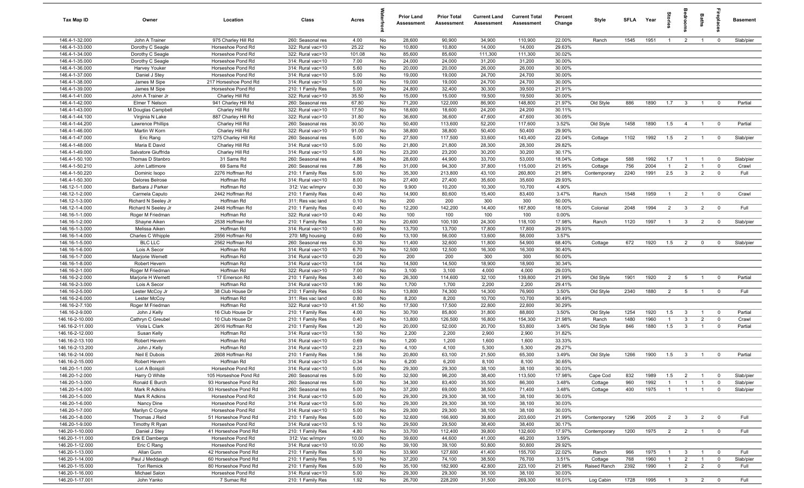| Tax Map ID                         | Owner                                 | Location                                   | Class                                  | Acres        |          | <b>Prior Land</b><br>Assessment | <b>Prior Total</b><br>Assessment | <b>Current Land</b><br>Assessment | <b>Current Total</b><br>Assessment | Percent<br>Change | Style        | <b>SFI A</b> | Year         | Stories               | droom                          | Baths          | <b>Gebla</b>               | <b>Basement</b> |
|------------------------------------|---------------------------------------|--------------------------------------------|----------------------------------------|--------------|----------|---------------------------------|----------------------------------|-----------------------------------|------------------------------------|-------------------|--------------|--------------|--------------|-----------------------|--------------------------------|----------------|----------------------------|-----------------|
| 146.4-1-32.000                     | John A Trainer                        | 975 Charley Hill Rd                        | 260: Seasonal res                      | 4.00         | No       | 28,600                          | 90,900                           | 34,900                            | 110,900                            | 22.00%            | Ranch        | 1545         | 1951         | $\overline{1}$        | $\overline{2}$                 | $\mathbf{1}$   | $\mathbf 0$                | Slab/pier       |
| 146.4-1-33.000                     | Dorothy C Seagle                      | Horseshoe Pond Rd                          | 322: Rural vac>10                      | 25.22        | No       | 10,800                          | 10,800                           | 14,000                            | 14,000                             | 29.63%            |              |              |              |                       |                                |                |                            |                 |
| 146.4-1-34.000                     | Dorothy C Seagle                      | Horseshoe Pond Rd                          | 322: Rural vac>10                      | 101.08       | No       | 85,600                          | 85,600                           | 111,300                           | 111,300                            | 30.02%            |              |              |              |                       |                                |                |                            |                 |
| 146.4-1-35.000                     | Dorothy C Seagle                      | Horseshoe Pond Rd                          | 314: Rural vac<10                      | 7.00         | No       | 24,000                          | 24,000                           | 31,200                            | 31,200                             | 30.00%            |              |              |              |                       |                                |                |                            |                 |
| 146.4-1-36.000<br>146.4-1-37.000   | Harvey Youker                         | Horseshoe Pond Rd                          | 314: Rural vac<10                      | 5.60<br>5.00 | No       | 20,000<br>19,000                | 20,000<br>19,000                 | 26,000<br>24,700                  | 26,000<br>24,700                   | 30.00%<br>30.00%  |              |              |              |                       |                                |                |                            |                 |
| 146.4-1-38.000                     | Daniel J Stey<br>James M Sipe         | Horseshoe Pond Rd<br>217 Horseshoe Pond Rd | 314: Rural vac<10<br>314: Rural vac<10 | 5.00         | No<br>No | 19,000                          | 19,000                           | 24,700                            | 24,700                             | 30.00%            |              |              |              |                       |                                |                |                            |                 |
| 146.4-1-39.000                     | James M Sipe                          | Horseshoe Pond Rd                          | 210: 1 Family Res                      | 5.00         | No       | 24,800                          | 32,400                           | 30,300                            | 39,500                             | 21.91%            |              |              |              |                       |                                |                |                            |                 |
| 146.4-1-41.000                     | John A Trainer Jr                     | Charley Hill Rd                            | 322: Rural vac>10                      | 35.50        | No       | 15,000                          | 15,000                           | 19,500                            | 19,500                             | 30.00%            |              |              |              |                       |                                |                |                            |                 |
| 146.4-1-42.000                     | Elmer T Nelson                        | 941 Charley Hill Rd                        | 260: Seasonal res                      | 67.80        | No       | 71,200                          | 122,000                          | 86,900                            | 148,800                            | 21.97%            | Old Style    | 886          | 1890         | 1.7                   | $\overline{\mathbf{3}}$        | $\overline{1}$ | $\overline{0}$             | Partial         |
| 146.4-1-43.000                     | M Douglas Campbell                    | Charley Hill Rd                            | 322: Rural vac>10                      | 17.50        | No       | 18,600                          | 18,600                           | 24,200                            | 24,200                             | 30.11%            |              |              |              |                       |                                |                |                            |                 |
| 146.4-1-44.100                     | Virginia N Lake                       | 887 Charley Hill Rd                        | 322: Rural vac>10                      | 31.80        | No       | 36,600                          | 36,600                           | 47,600                            | 47,600                             | 30.05%            |              |              |              |                       |                                |                |                            |                 |
| 146.4-1-44.200                     | <b>Lawrence Phillips</b>              | Charley Hill Rd                            | 260: Seasonal res                      | 30.00        | No       | 50,400                          | 113,600                          | 52,200                            | 117,600                            | 3.52%             | Old Style    | 1458         | 1890         | 1.5                   | $\overline{4}$                 | $\overline{1}$ | $\mathbf 0$                | Partial         |
| 146.4-1-46.000                     | Martin W Korn                         | Charley Hill Rd                            | 322: Rural vac>10                      | 91.00        | No       | 38,800                          | 38,800                           | 50,400                            | 50,400                             | 29.90%            |              |              |              |                       |                                |                |                            |                 |
| 146.4-1-47.000                     | Eric Rang                             | 1275 Charley Hill Rd                       | 260: Seasonal res                      | 5.00         | No       | 27,500                          | 117,500                          | 33,600                            | 143,400                            | 22.04%            | Cottage      | 1102         | 1992         | 1.5                   | $\overline{2}$                 | $\overline{1}$ | $^{\circ}$                 | Slab/pier       |
| 146.4-1-48.000                     | Maria E David                         | Charley Hill Rd                            | 314: Rural vac<10                      | 5.00         | No       | 21,800                          | 21,800                           | 28,300                            | 28,300                             | 29.82%            |              |              |              |                       |                                |                |                            |                 |
| 146.4-1-49.000                     | Salvatore Giuffrida                   | Charley Hill Rd                            | 314: Rural vac<10                      | 5.00         | No       | 23,200                          | 23,200                           | 30,200                            | 30,200                             | 30.17%            |              |              |              |                       |                                |                |                            |                 |
| 146.4-1-50.100                     | Thomas D Stanbro                      | 31 Sams Rd<br>69 Sams Rd                   | 260: Seasonal res                      | 4.86         | No       | 28,600                          | 44,900                           | 33,700                            | 53,000                             | 18.04%            | Cottage      | 588          | 1992         | 1.7                   |                                |                | $^{\circ}$                 | Slab/pier       |
| 146.4-1-50.210<br>146.4-1-50.220   | John Lattimore<br>Dominic Isopo       | 2276 Hoffman Rd                            | 260: Seasonal res                      | 7.86<br>5.00 | No<br>No | 31,000<br>35,300                | 94,300<br>213,800                | 37,800<br>43,100                  | 115,000<br>260,800                 | 21.95%<br>21.98%  | Cottage      | 756<br>2240  | 2004<br>1991 | $\overline{1}$<br>2.5 | $\overline{2}$<br>$\mathbf{3}$ | $\overline{2}$ | $\mathbf 0$<br>$\mathbf 0$ | Crawl<br>Full   |
| 146.4-1-50.300                     | <b>Delores Belrose</b>                | Hoffman Rd                                 | 210: 1 Family Res<br>314: Rural vac<10 | 8.00         | No       | 27,400                          | 27,400                           | 35,600                            | 35,600                             | 29.93%            | Contemporary |              |              |                       |                                |                |                            |                 |
| 146.12-1-1.000                     | Barbara J Parker                      | Hoffman Rd                                 | 312: Vac w/imprv                       | 0.30         | No       | 9,900                           | 10,200                           | 10,300                            | 10,700                             | 4.90%             |              |              |              |                       |                                |                |                            |                 |
| 146.12-1-2.000                     | Carmela Caputo                        | 2442 Hoffman Rd                            | 210: 1 Family Res                      | 0.40         | No       | 14,900                          | 80,600                           | 15,400                            | 83,400                             | 3.47%             | Ranch        | 1548         | 1959         | $\overline{1}$        | 2                              | $\overline{1}$ | $\overline{0}$             | Crawl           |
| 146.12-1-3.000                     | Richard N Seeley Jr                   | Hoffman Rd                                 | 311: Res vac land                      | 0.10         | No       | 200                             | 200                              | 300                               | 300                                | 50.00%            |              |              |              |                       |                                |                |                            |                 |
| 146.12-1-4.000                     | Richard N Seeley Jr                   | 2448 Hoffman Rd                            | 210: 1 Family Res                      | 0.40         | No       | 12,200                          | 142,200                          | 14,400                            | 167,800                            | 18.00%            | Colonial     | 2048         | 1994         | 2                     | $\overline{\mathbf{3}}$        | $\overline{2}$ | $\mathbf 0$                | Full            |
| 146.16-1-1.000                     | Roger M Friedman                      | Hoffman Rd                                 | 322: Rural vac>10                      | 0.40         | No       | 100                             | 100                              | 100                               | 100                                | 0.00%             |              |              |              |                       |                                |                |                            |                 |
| 146.16-1-2.000                     | Shayne Aiken                          | 2538 Hoffman Rd                            | 210: 1 Family Res                      | 1.30         | No       | 20,600                          | 100,100                          | 24,300                            | 118,100                            | 17.98%            | Ranch        | 1120         | 1997         | $\overline{1}$        | $\mathbf{3}$                   | $\overline{2}$ | $\mathbf 0$                | Slab/pier       |
| 146.16-1-3.000                     | Melissa Aiken                         | Hoffman Rd                                 | 314: Rural vac<10                      | 0.60         | No       | 13,700                          | 13,700                           | 17,800                            | 17,800                             | 29.93%            |              |              |              |                       |                                |                |                            |                 |
| 146.16-1-4.000                     | Charles C Whipple                     | 2556 Hoffman Rd                            | 270: Mfg housing                       | 0.60         | No       | 13,100                          | 56,000                           | 13,600                            | 58,000                             | 3.57%             |              |              |              |                       |                                |                |                            |                 |
| 146.16-1-5.000                     | <b>BLC LLC</b>                        | 2562 Hoffman Rd                            | 260: Seasonal res                      | 0.30         | No       | 11,400                          | 32,600                           | 11,800                            | 54,900                             | 68.40%            | Cottage      | 672          | 1920         | 1.5                   | $\overline{2}$                 | $\mathbf 0$    | $^{\circ}$                 | Slab/pier       |
| 146.16-1-6.000                     | Lois A Secor                          | Hoffman Rd                                 | 314: Rural vac<10                      | 6.70         | No       | 12,500                          | 12,500                           | 16,300                            | 16,300                             | 30.40%            |              |              |              |                       |                                |                |                            |                 |
| 146.16-1-7.000                     | Marjorie Wemett                       | Hoffman Rd                                 | 314: Rural vac<10                      | 0.20         | No       | 200                             | 200                              | 300                               | 300                                | 50.00%            |              |              |              |                       |                                |                |                            |                 |
| 146.16-1-8.000                     | Robert Hevern                         | Hoffman Rd                                 | 314: Rural vac<10                      | 1.04         | No       | 14,500                          | 14,500                           | 18,900                            | 18,900                             | 30.34%            |              |              |              |                       |                                |                |                            |                 |
| 146.16-2-1.000<br>146.16-2-2.000   | Roger M Friedman<br>Marjorie H Wemett | Hoffman Rd<br>17 Emerson Rd                | 322: Rural vac>10<br>210: 1 Family Res | 7.00<br>3.40 | No<br>No | 3,100<br>26,300                 | 3,100<br>114,600                 | 4,000<br>32,100                   | 4,000<br>139,800                   | 29.03%<br>21.99%  | Old Style    | 1901         | 1920         | 2                     | 5                              | $\overline{1}$ | $\mathbf 0$                | Partial         |
| 146.16-2-3.000                     | Lois A Secor                          | Hoffman Rd                                 | 314: Rural vac<10                      | 1.90         | No       | 1,700                           | 1,700                            | 2,200                             | 2,200                              | 29.41%            |              |              |              |                       |                                |                |                            |                 |
| 146.16-2-5.000                     | Lester McCoy Jr                       | 38 Club House Dr                           | 210: 1 Family Res                      | 0.50         | No       | 13,800                          | 74,300                           | 14,300                            | 76,900                             | 3.50%             | Old Style    | 2340         | 1880         | 2                     | $5\overline{5}$                | $\overline{1}$ | $^{\circ}$                 | Full            |
| 146.16-2-6.000                     | Lester McCoy                          | Hoffman Rd                                 | 311: Res vac land                      | 0.80         | No       | 8,200                           | 8,200                            | 10,700                            | 10,700                             | 30.49%            |              |              |              |                       |                                |                |                            |                 |
| 146.16-2-7.100                     | Roger M Friedman                      | Hoffman Rd                                 | 322: Rural vac>10                      | 41.50        | No       | 17,500                          | 17,500                           | 22,800                            | 22,800                             | 30.29%            |              |              |              |                       |                                |                |                            |                 |
| 146.16-2-9.000                     | John J Kelly                          | 16 Club House Dr                           | 210: 1 Family Res                      | 4.00         | No       | 30,700                          | 85,800                           | 31,800                            | 88,800                             | 3.50%             | Old Style    | 1254         | 1920         | 1.5                   | $\mathbf{3}$                   | $\overline{1}$ | $\mathbf 0$                | Partial         |
| 146.16-2-10.000                    | Cathryn C Greubel                     | 10 Club House Dr                           | 210: 1 Family Res                      | 0.40         | No       | 13,800                          | 126,500                          | 16,800                            | 154,300                            | 21.98%            | Ranch        | 1480         | 1960         | $\overline{1}$        | $\mathbf{3}$                   | $\overline{2}$ | $\mathbf 0$                | Crawl           |
| 146.16-2-11.000                    | Viola L Clark                         | 2616 Hoffman Rd                            | 210: 1 Family Res                      | 1.20         | No       | 20,000                          | 52,000                           | 20,700                            | 53,800                             | 3.46%             | Old Style    | 846          | 1880         | 1.5                   | $\mathbf{3}$                   | $\overline{1}$ | $^{\circ}$                 | Partial         |
| 146.16-2-12.000                    | Susan Kelly                           | Hoffman Rd                                 | 314: Rural vac<10                      | 1.50         | No       | 2,200                           | 2,200                            | 2,900                             | 2,900                              | 31.82%            |              |              |              |                       |                                |                |                            |                 |
| 146.16-2-13.100                    | Robert Hevern                         | Hoffman Rd                                 | 314: Rural vac<10                      | 0.69         | No       | 1,200                           | 1,200                            | 1,600                             | 1,600                              | 33.33%            |              |              |              |                       |                                |                |                            |                 |
| 146.16-2-13.200                    | John J Kelly                          | Hoffman Rd                                 | 314: Rural vac<10                      | 2.23         | No       | 4,100                           | 4,100                            | 5,300                             | 5,300                              | 29.27%            |              |              |              |                       |                                |                |                            |                 |
| 146.16-2-14.000                    | Neil E Dubois                         | 2608 Hoffman Rd                            | 210: 1 Family Res                      | 1.56         | No       | 20,800                          | 63,100                           | 21,500                            | 65,300                             | 3.49%             | Old Style    | 1266         | 1900         | 1.5                   | $\mathbf{3}$                   | $\overline{1}$ | $^{\circ}$                 | Partial         |
| 146.16-2-15.000<br>146.20-1-1.000  | Robert Hevern<br>Lori A Boisjoli      | Hoffman Rd<br>Horseshoe Pond Rd            | 314: Rural vac<10<br>314: Rural vac<10 | 0.34<br>5.00 | No<br>No | 6,200<br>29,300                 | 6,200<br>29,300                  | 8,100<br>38,100                   | 8,100<br>38,100                    | 30.65%<br>30.03%  |              |              |              |                       |                                |                |                            |                 |
| 146.20-1-2.000                     | Harry O White                         | 105 Horseshoe Pond Rd                      | 260: Seasonal res                      | 5.00         | No       | 32,500                          | 96,200                           | 38,400                            | 113,500                            | 17.98%            | Cape Cod     | 832          | 1989         | 1.5                   | $\overline{2}$                 | $\overline{1}$ | $\overline{0}$             | Slab/pier       |
| 146.20-1-3.000                     | Ronald E Burch                        | 93 Horseshoe Pond Rd                       | 260: Seasonal res                      | 5.00         | No       | 34,300                          | 83,400                           | 35,500                            | 86,300                             | 3.48%             | Cottage      | 960          | 1992         | $\overline{1}$        | $\overline{1}$                 | $\overline{1}$ | $\mathbf 0$                | Slab/pier       |
| 146.20-1-4.000                     | Mark R Adkins                         | 93 Horseshoe Pond Rd                       | 260: Seasonal res                      | 5.00         | No       | 37,200                          | 69,000                           | 38,500                            | 71,400                             | 3.48%             | Cottage      | 400          | 1975         | $\overline{1}$        | $\overline{1}$                 | $\overline{1}$ | $\mathbf{0}$               | Slab/pier       |
| 146.20-1-5.000                     | Mark R Adkins                         | Horseshoe Pond Rd                          | 314: Rural vac<10                      | 5.00         | No       | 29,300                          | 29,300                           | 38,100                            | 38,100                             | 30.03%            |              |              |              |                       |                                |                |                            |                 |
| 146.20-1-6.000                     | Nancy Dine                            | Horseshoe Pond Rd                          | 314: Rural vac<10                      | 5.00         | No       | 29,300                          | 29,300                           | 38,100                            | 38,100                             | 30.03%            |              |              |              |                       |                                |                |                            |                 |
| 146.20-1-7.000                     | Marilyn C Coyne                       | Horseshoe Pond Rd                          | 314: Rural vac<10                      | 5.00         | No       | 29,300                          | 29,300                           | 38,100                            | 38,100                             | 30.03%            |              |              |              |                       |                                |                |                            |                 |
| 146.20-1-8.000                     | Thomas J Reid                         | 51 Horseshoe Pond Rd                       | 210: 1 Family Res                      | 5.00         | No       | 32,600                          | 166,900                          | 39,800                            | 203,600                            | 21.99%            | Contemporary | 1296         | 2005         | $\overline{2}$        | $\overline{\mathbf{3}}$        | $\overline{2}$ | $\overline{0}$             | Full            |
| 146.20-1-9.000                     | Timothy R Ryan                        | Horseshoe Pond Rd                          | 314: Rural vac<10                      | 5.10         | No       | 29,500                          | 29,500                           | 38,400                            | 38,400                             | 30.17%            |              |              |              |                       |                                |                |                            |                 |
| 146.20-1-10.000                    | Daniel J Stey                         | 41 Horseshoe Pond Rd                       | 210: 1 Family Res                      | 4.80         | No       | 33,700                          | 112,400                          | 39,800                            | 132,600                            | 17.97%            | Contemporary | 1200         | 1975         |                       | $2 \t 2$                       | $\overline{1}$ | $\overline{\mathbf{0}}$    | Full            |
| 146.20-1-11.000                    | Erik E Dambergs                       | Horseshoe Pond Rd                          | 312: Vac w/imprv                       | 10.00        | No       | 39,600                          | 44,600                           | 41,000                            | 46,200                             | 3.59%             |              |              |              |                       |                                |                |                            |                 |
| 146.20-1-12.000                    | Eric C Rang                           | Horseshoe Pond Rd                          | 314: Rural vac<10                      | 10.00        | No       | 39,100                          | 39,100                           | 50,800                            | 50,800                             | 29.92%            |              |              |              |                       |                                |                |                            |                 |
| 146.20-1-13.000                    | Allan Gunn                            | 42 Horseshoe Pond Rd                       | 210: 1 Family Res                      | 5.00         | No       | 33,900                          | 127,600                          | 41,400                            | 155,700                            | 22.02%            | Ranch        | 966          | 1975         | $\overline{1}$        | $\mathbf{3}$                   | $\overline{1}$ | $\overline{\mathbf{0}}$    | Full            |
| 146.20-1-14.000                    | Paul J Meddaugh                       | 60 Horseshoe Pond Rd                       | 210: 1 Family Res                      | 5.10         | No       | 37,200                          | 74,100                           | 38,500                            | 76,700                             | 3.51%             | Cottage      | 768          | 1960         | $\overline{1}$        | $\overline{2}$                 | $\overline{1}$ | $\mathbf 0$                | Slab/pier       |
| 146.20-1-15.000<br>146.20-1-16.000 | <b>Tori Remick</b><br>Michael Salon   | 80 Horseshoe Pond Rd<br>Horseshoe Pond Rd  | 210: 1 Family Res<br>314: Rural vac<10 | 5.00<br>5.00 | No<br>No | 35,100<br>29,300                | 182,900<br>29,300                | 42,800<br>38,100                  | 223,100<br>38,100                  | 21.98%<br>30.03%  | Raised Ranch | 2392         | 1990         | $\overline{1}$        | $\overline{2}$                 | $\overline{2}$ | $\mathbf 0$                | Full            |
| 146.20-1-17.001                    | John Yanko                            | 7 Sumac Rd                                 | 210: 1 Family Res                      | 1.92         | No       | 26,700                          | 228,200                          | 31,500                            | 269,300                            | 18.01%            | Log Cabin    | 1728         | 1995         | $\overline{1}$        | $3\qquad2$                     |                | $\overline{\mathbf{0}}$    | Full            |
|                                    |                                       |                                            |                                        |              |          |                                 |                                  |                                   |                                    |                   |              |              |              |                       |                                |                |                            |                 |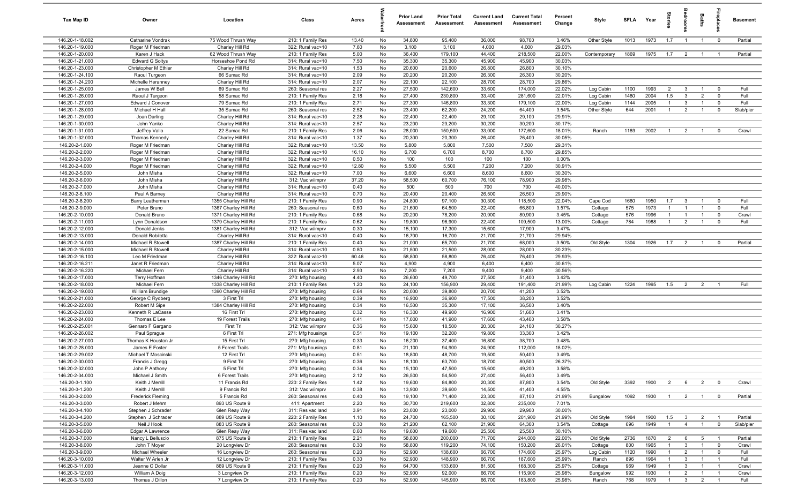| Tax Map ID                         | Owner                             | Location                                     | Class                                  | Acres         |          | <b>Prior Land</b><br>Assessment | <b>Prior Total</b><br>Assessment | <b>Current Land</b><br>Assessment | <b>Current Total</b><br>Assessment | Percent<br>Change | Style               | <b>SFLA</b> | Year         | tories                           | edroon                         | Baths                            | ireplace                         | <b>Basement</b> |
|------------------------------------|-----------------------------------|----------------------------------------------|----------------------------------------|---------------|----------|---------------------------------|----------------------------------|-----------------------------------|------------------------------------|-------------------|---------------------|-------------|--------------|----------------------------------|--------------------------------|----------------------------------|----------------------------------|-----------------|
| 146.20-1-18.002                    | Catharine Vondrak                 | 75 Wood Thrush Way                           | 210: 1 Family Res                      | 13.40         | No       | 34,800                          | 95,400                           | 36,000                            | 98,700                             | 3.46%             | Other Style         | 1013        | 1973         | 1.7                              | $\overline{1}$                 | $\overline{1}$                   | $\overline{\mathbf{0}}$          | Partial         |
| 146.20-1-19.000                    | Roger M Friedman                  | Charley Hill Rd                              | 322: Rural vac>10                      | 7.60          | No       | 3,100                           | 3,100                            | 4,000                             | 4,000                              | 29.03%            |                     |             |              |                                  |                                |                                  |                                  |                 |
| 146.20-1-20.000                    | Karen J Hack                      | 62 Wood Thrush Way                           | 210: 1 Family Res                      | 5.00          | No       | 36,400                          | 179,100                          | 44,400                            | 218,500                            | 22.00%            | Contemporary        | 1869        | 1975         | 1.7                              | $\overline{2}$                 | $\overline{1}$                   | $\overline{1}$                   | Partial         |
| 146.20-1-21.000                    | <b>Edward G Soltys</b>            | Horseshoe Pond Rd                            | 314: Rural vac<10                      | 7.50          | No       | 35,300                          | 35,300                           | 45,900                            | 45,900                             | 30.03%            |                     |             |              |                                  |                                |                                  |                                  |                 |
| 146.20-1-23.000                    | Christopher M Ethier              | Charley Hill Rd                              | 314: Rural vac<10                      | 1.53          | No       | 20,600                          | 20,600                           | 26,800                            | 26,800                             | 30.10%            |                     |             |              |                                  |                                |                                  |                                  |                 |
| 146.20-1-24.100                    | Raoul Turgeon                     | 66 Sumac Rd                                  | 314: Rural vac<10                      | 2.09          | No       | 20,200                          | 20,200                           | 26,300                            | 26,300                             | 30.20%            |                     |             |              |                                  |                                |                                  |                                  |                 |
| 146.20-1-24.200<br>146.20-1-25.000 | Michelle Heranney<br>James W Bell | Charley Hill Rd<br>69 Sumac Rd               | 314: Rural vac<10<br>260: Seasonal res | 2.07<br>2.27  | No<br>No | 22,100<br>27,500                | 22,100<br>142,600                | 28,700<br>33,600                  | 28,700<br>174,000                  | 29.86%<br>22.02%  | Log Cabin           | 1100        | 1993         | $\overline{2}$                   | $\mathbf{3}$                   | $\overline{1}$                   | $^{\circ}$                       | Full            |
| 146.20-1-26.000                    | Raoul J Turgeon                   | 58 Sumac Rd                                  | 210: 1 Family Res                      | 2.18          | No       | 27,400                          | 230,800                          | 33,400                            | 281,600                            | 22.01%            | Log Cabin           | 1480        | 2004         | 1.5                              | $\mathbf{3}$                   | $\overline{2}$                   | $\mathbf{0}$                     | Full            |
| 146.20-1-27.000                    | Edward J Conover                  | 79 Sumac Rd                                  | 210: 1 Family Res                      | 2.71          | No       | 27,300                          | 146,800                          | 33,300                            | 179,100                            | 22.00%            | Log Cabin           | 1144        | 2005         | $\overline{1}$                   | $\mathbf{3}$                   | $\overline{1}$                   | $\mathbf 0$                      | Full            |
| 146.20-1-28.000                    | Michael H Hall                    | 35 Sumac Rd                                  | 260: Seasonal res                      | 2.52          | No       | 23,400                          | 62,200                           | 24,200                            | 64,400                             | 3.54%             | Other Style         | 644         | 2001         | $\overline{1}$                   | $\overline{2}$                 | $\overline{1}$                   | $\mathbf 0$                      | Slab/pier       |
| 146.20-1-29.000                    | Joan Darling                      | Charley Hill Rd                              | 314: Rural vac<10                      | 2.28          | No       | 22,400                          | 22,400                           | 29,100                            | 29,100                             | 29.91%            |                     |             |              |                                  |                                |                                  |                                  |                 |
| 146.20-1-30.000                    | John Yanko                        | Charley Hill Rd                              | 314: Rural vac<10                      | 2.57          | No       | 23,200                          | 23,200                           | 30,200                            | 30,200                             | 30.17%            |                     |             |              |                                  |                                |                                  |                                  |                 |
| 146.20-1-31.000                    | Jeffrey Vallo                     | 22 Sumac Rd                                  | 210: 1 Family Res                      | 2.06          | No       | 28,000                          | 150,500                          | 33,000                            | 177,600                            | 18.01%            | Ranch               | 1189        | 2002         | $\overline{1}$                   | $\overline{2}$                 | $\overline{1}$                   | $^{\circ}$                       | Crawl           |
| 146.20-1-32.000                    | Thomas Kennedy                    | Charley Hill Rd                              | 314: Rural vac<10                      | 1.37          | No       | 20,300                          | 20,300                           | 26,400                            | 26,400                             | 30.05%            |                     |             |              |                                  |                                |                                  |                                  |                 |
| 146.20-2-1.000                     | Roger M Friedman                  | Charley Hill Rd                              | 322: Rural vac>10                      | 13.50         | No       | 5,800                           | 5,800                            | 7,500                             | 7,500                              | 29.31%            |                     |             |              |                                  |                                |                                  |                                  |                 |
| 146.20-2-2.000                     | Roger M Friedman                  | Charley Hill Rd                              | 322: Rural vac>10                      | 16.10         | No       | 6,700                           | 6,700                            | 8,700                             | 8,700                              | 29.85%            |                     |             |              |                                  |                                |                                  |                                  |                 |
| 146.20-2-3.000                     | Roger M Friedman                  | Charley Hill Rd                              | 322: Rural vac>10                      | 0.50          | No       | 100                             | 100                              | 100                               | 100                                | 0.00%             |                     |             |              |                                  |                                |                                  |                                  |                 |
| 146.20-2-4.000<br>146.20-2-5.000   | Roger M Friedman                  | Charley Hill Rd                              | 322: Rural vac>10                      | 12.80         | No<br>No | 5,500<br>6,600                  | 5,500                            | 7,200<br>8,600                    | 7,200<br>8,600                     | 30.91%<br>30.30%  |                     |             |              |                                  |                                |                                  |                                  |                 |
| 146.20-2-6.000                     | John Misha<br>John Misha          | Charley Hill Rd<br>Charley Hill Rd           | 322: Rural vac>10<br>312: Vac w/imprv  | 7.00<br>37.20 | No       | 58,500                          | 6,600<br>60,700                  | 76,100                            | 78,900                             | 29.98%            |                     |             |              |                                  |                                |                                  |                                  |                 |
| 146.20-2-7.000                     | John Misha                        | Charley Hill Rd                              | 314: Rural vac<10                      | 0.40          | No       | 500                             | 500                              | 700                               | 700                                | 40.00%            |                     |             |              |                                  |                                |                                  |                                  |                 |
| 146.20-2-8.100                     | Paul A Barney                     | Charley Hill Rd                              | 314: Rural vac<10                      | 0.70          | No       | 20,400                          | 20,400                           | 26,500                            | 26,500                             | 29.90%            |                     |             |              |                                  |                                |                                  |                                  |                 |
| 146.20-2-8.200                     | Barry Leatherman                  | 1355 Charley Hill Rd                         | 210: 1 Family Res                      | 0.90          | No       | 24,800                          | 97,100                           | 30,300                            | 118,500                            | 22.04%            | Cape Cod            | 1680        | 1950         | 1.7                              | $\mathbf{3}$                   | $\overline{1}$                   | $\Omega$                         | Full            |
| 146.20-2-9.000                     | Peter Bruno                       | 1367 Charley Hill Rd                         | 260: Seasonal res                      | 0.60          | No       | 21,600                          | 64,500                           | 22,400                            | 66,800                             | 3.57%             | Cottage             | 575         | 1973         | $\overline{1}$                   | $\overline{1}$                 | $\overline{1}$                   | $^{\circ}$                       | Full            |
| 146.20-2-10.000                    | Donald Bruno                      | 1371 Charley Hill Rd                         | 210: 1 Family Res                      | 0.68          | No       | 20,200                          | 78,200                           | 20,900                            | 80,900                             | 3.45%             | Cottage             | 576         | 1996         | $\overline{1}$                   | $\overline{1}$                 | $\overline{1}$                   | $^{\circ}$                       | Crawl           |
| 146.20-2-11.000                    | Lynn Donaldson                    | 1379 Charley Hill Rd                         | 210: 1 Family Res                      | 0.62          | No       | 19,800                          | 96,900                           | 22,400                            | 109,500                            | 13.00%            | Cottage             | 784         | 1988         | $\overline{1}$                   | $\overline{2}$                 | $\mathbf{1}$                     | $\mathbf 0$                      | Full            |
| 146.20-2-12.000                    | Donald Jenks                      | 1381 Charley Hill Rd                         | 312: Vac w/imprv                       | 0.30          | No       | 15,100                          | 17,300                           | 15,600                            | 17,900                             | 3.47%             |                     |             |              |                                  |                                |                                  |                                  |                 |
| 146.20-2-13.000                    | Donald Robilotta                  | Charley Hill Rd                              | 314: Rural vac<10                      | 0.40          | No       | 16,700                          | 16,700                           | 21,700                            | 21,700                             | 29.94%            |                     |             |              |                                  |                                |                                  |                                  |                 |
| 146.20-2-14.000                    | Michael R Stowell                 | 1387 Charley Hill Rd                         | 210: 1 Family Res                      | 0.40          | No       | 21,000                          | 65,700                           | 21,700                            | 68,000                             | 3.50%             | Old Style           | 1304        | 1926         | 1.7                              | $\overline{2}$                 |                                  | $^{\circ}$                       | Partial         |
| 146.20-2-15.000                    | Michael R Stowell                 | Charley Hill Rd                              | 314: Rural vac<10                      | 0.80          | No       | 21,500                          | 21,500                           | 28,000                            | 28,000                             | 30.23%            |                     |             |              |                                  |                                |                                  |                                  |                 |
| 146.20-2-16.100                    | Leo M Friedman                    | Charley Hill Rd                              | 322: Rural vac>10                      | 60.46         | No       | 58,800                          | 58,800                           | 76,400                            | 76,400                             | 29.93%            |                     |             |              |                                  |                                |                                  |                                  |                 |
| 146.20-2-16.211                    | Janet R Friedman                  | Charley Hill Rd                              | 314: Rural vac<10                      | 5.07          | No       | 4,900                           | 4,900                            | 6,400                             | 6,400                              | 30.61%            |                     |             |              |                                  |                                |                                  |                                  |                 |
| 146.20-2-16.220<br>146.20-2-17.000 | Michael Fern                      | Charley Hill Rd                              | 314: Rural vac<10                      | 2.93<br>4.40  | No<br>No | 7,200                           | 7,200                            | 9,400<br>27,500                   | 9,400                              | 30.56%<br>3.42%   |                     |             |              |                                  |                                |                                  |                                  |                 |
| 146.20-2-18.000                    | Terry Hoffman<br>Michael Fern     | 1346 Charley Hill Rd<br>1338 Charley Hill Rd | 270: Mfg housing<br>210: 1 Family Res  | 1.20          | No       | 26,600<br>24,100                | 49,700<br>156,900                | 29,400                            | 51,400<br>191,400                  | 21.99%            | Log Cabin           | 1224        | 1995         | 1.5                              | $\overline{2}$                 | $\overline{2}$                   | $\overline{1}$                   | Full            |
| 146.20-2-19.000                    | William Brundige                  | 1390 Charley Hill Rd                         | 270: Mfg housing                       | 0.64          | No       | 20,000                          | 39,800                           | 20,700                            | 41,200                             | 3.52%             |                     |             |              |                                  |                                |                                  |                                  |                 |
| 146.20-2-21.000                    | George C Rydberg                  | 3 First Trl                                  | 270: Mfg housing                       | 0.39          | No       | 16,900                          | 36,900                           | 17,500                            | 38,200                             | 3.52%             |                     |             |              |                                  |                                |                                  |                                  |                 |
| 146.20-2-22.000                    | Robert M Sipe                     | 1384 Charley Hill Rd                         | 270: Mfg housing                       | 0.34          | No       | 16,500                          | 35,300                           | 17,100                            | 36,500                             | 3.40%             |                     |             |              |                                  |                                |                                  |                                  |                 |
| 146.20-2-23.000                    | Kenneth R LaCasse                 | 16 First Trl                                 | 270: Mfg housing                       | 0.32          | No       | 16,300                          | 49,900                           | 16,900                            | 51,600                             | 3.41%             |                     |             |              |                                  |                                |                                  |                                  |                 |
| 146.20-2-24.000                    | Thomas E Lee                      | 19 Forest Trails                             | 270: Mfg housing                       | 0.41          | No       | 17,000                          | 41,900                           | 17,600                            | 43,400                             | 3.58%             |                     |             |              |                                  |                                |                                  |                                  |                 |
| 146.20-2-25.001                    | Gennaro F Gargano                 | First Trl                                    | 312: Vac w/imprv                       | 0.36          | No       | 15,600                          | 18,500                           | 20,300                            | 24,100                             | 30.27%            |                     |             |              |                                  |                                |                                  |                                  |                 |
| 146.20-2-26.002                    | Paul Sprague                      | 6 First Trl                                  | 271: Mfg housings                      | 0.51          | No       | 19,100                          | 32,200                           | 19,800                            | 33,300                             | 3.42%             |                     |             |              |                                  |                                |                                  |                                  |                 |
| 146.20-2-27.000                    | Thomas K Houston Jr               | 15 First Trl                                 | 270: Mfg housing                       | 0.33          | No       | 16,200                          | 37,400                           | 16,800                            | 38,700                             | 3.48%             |                     |             |              |                                  |                                |                                  |                                  |                 |
| 146.20-2-28.000                    | James E Foster                    | 5 Forest Trails                              | 271: Mfg housings                      | 0.81          | No       | 21,100                          | 94,900                           | 24,900                            | 112,000                            | 18.02%            |                     |             |              |                                  |                                |                                  |                                  |                 |
| 146.20-2-29.002                    | Michael T Moscinski               | 12 First Trl                                 | 270: Mfg housing                       | 0.51          | No       | 18,800                          | 48,700                           | 19,500                            | 50,400                             | 3.49%             |                     |             |              |                                  |                                |                                  |                                  |                 |
| 146.20-2-30.000                    | Francis J Gregg                   | 9 First Trl                                  | 270: Mfg housing                       | 0.36<br>0.34  | No<br>No | 18,100                          | 63,700                           | 18,700                            | 80,500<br>49,200                   | 26.37%<br>3.58%   |                     |             |              |                                  |                                |                                  |                                  |                 |
| 146.20-2-32.000<br>146.20-2-34.000 | John P Anthony<br>Michael J Smith | 5 First Trl<br>6 Forest Trails               | 270: Mfg housing<br>270: Mfg housing   | 2.12          | No       | 15,100<br>26,500                | 47,500<br>54,500                 | 15,600<br>27,400                  | 56,400                             | 3.49%             |                     |             |              |                                  |                                |                                  |                                  |                 |
| 146.20-3-1.100                     | Keith J Merrill                   | 11 Francis Rd                                | 220: 2 Family Res                      | 1.42          | No       | 19,600                          | 84,800                           | 20,300                            | 87,800                             | 3.54%             | Old Style           | 3392        | 1900         | $\overline{2}$                   | 6                              | $\overline{2}$                   | $\overline{0}$                   | Crawl           |
| 146.20-3-1.200                     | Keith J Merrill                   | 9 Francis Rd                                 | 312: Vac w/imprv                       | 0.38          | No       | 13,900                          | 39,600                           | 14,500                            | 41,400                             | 4.55%             |                     |             |              |                                  |                                |                                  |                                  |                 |
| 146.20-3-2.000                     | <b>Frederick Fleming</b>          | 5 Francis Rd                                 | 260: Seasonal res                      | 0.40          | No       | 19,100                          | 71,400                           | 23,300                            | 87,100                             | 21.99%            | Bungalow            | 1092        | 1930         | $\overline{1}$                   | $\overline{2}$                 | $\mathbf{1}$                     | $\mathbf{0}$                     | Partial         |
| 146.20-3-3.000                     | Robert J Mehm                     | 893 US Route 9                               | 411: Apartment                         | 2.20          | No       | 30,700                          | 219,600                          | 32,800                            | 235,000                            | 7.01%             |                     |             |              |                                  |                                |                                  |                                  |                 |
| 146.20-3-4.100                     | Stephen J Schrader                | Glen Reay Way                                | 311: Res vac land                      | 3.91          | No       | 23,000                          | 23,000                           | 29,900                            | 29,900                             | 30.00%            |                     |             |              |                                  |                                |                                  |                                  |                 |
| 146.20-3-4.200                     | Stephen J Schrader                | 889 US Route 9                               | 220: 2 Family Res                      | 1.10          | No       | 24,700                          | 165,500                          | 30,100                            | 201,900                            | 21.99%            | Old Style           | 1984        | 1900         | 1.5                              | $\mathbf{3}$                   | $\overline{2}$                   | $\overline{1}$                   | Partial         |
| 146.20-3-5.000                     | Neil J Hook                       | 883 US Route 9                               | 260: Seasonal res                      | 0.30          | No       | 21,200                          | 62,100                           | 21,900                            | 64,300                             | 3.54%             | Cottage             | 696         | 1949         | $\overline{1}$                   | $\overline{4}$                 | $\mathbf{1}$                     | $\overline{0}$                   | Slab/pier       |
| 146.20-3-6.000                     | Edgar A Lawrence                  | Glen Reay Way                                | 311: Res vac land                      | 0.60          | No       | 19,600                          | 19,600                           | 25,500                            | 25,500                             | 30.10%            |                     |             |              |                                  |                                |                                  |                                  |                 |
| 146.20-3-7.000                     | Nancy L Belluscio                 | 875 US Route 9                               | 210: 1 Family Res                      | 2.21          | No       | 58,800                          | 200,000                          | 71,700                            | 244,000                            | 22.00%            | Old Style           | 2736        | 1870         | $\overline{2}$                   | 6                              | 5                                | - 1                              | Partial         |
| 146.20-3-8.000                     | John T Moyer                      | 20 Longview Dr                               | 260: Seasonal res                      | 0.30          | No       | 58,800                          | 119,200                          | 74,100                            | 150,200                            | 26.01%            | Cottage             | 800         | 1965         | $\overline{1}$                   | $\mathbf{3}$                   | $\mathbf{1}$                     | $\overline{\mathbf{0}}$          | Crawl           |
| 146.20-3-9.000                     | Michael Wheeler                   | 16 Longview Dr                               | 260: Seasonal res                      | 0.20          | No       | 52,900                          | 138,600                          | 66,700                            | 174,600                            | 25.97%            | Log Cabin           | 1120        | 1990         | $\overline{1}$                   | $\overline{2}$                 | $\overline{1}$                   | $\mathbf 0$                      | Full            |
| 146.20-3-10.000                    | Walter W Arlen Jr                 | 12 Longview Dr                               | 210: 1 Family Res                      | 0.30          | No       | 52,900                          | 148,900                          | 66,700                            | 187,600                            | 25.99%            | Ranch               | 896         | 1964         | $\mathbf{1}$                     | $\mathbf{3}$                   | $\overline{1}$                   | $\overline{1}$                   | Full            |
| 146.20-3-11.000<br>146.20-3-12.000 | Jeanne C Dollar<br>William A Doig | 869 US Route 9<br>3 Longview Dr              | 210: 1 Family Res<br>210: 1 Family Res | 0.20          | No<br>No | 64,700<br>52,900                | 133,600<br>92,000                | 81,500<br>66,700                  | 168,300<br>115,900                 | 25.97%<br>25.98%  | Cottage<br>Bungalow | 969<br>992  | 1949<br>1930 | $\overline{1}$<br>$\overline{1}$ | $\mathbf{3}$<br>$\overline{2}$ | $\overline{1}$<br>$\overline{1}$ | $\overline{1}$<br>$\overline{1}$ | Crawl<br>Crawl  |
| 146.20-3-13.000                    | Thomas J Dillon                   | 7 Longview Dr                                | 210: 1 Family Res                      | 0.20<br>0.20  | No       | 52,900                          | 145,900                          | 66,700                            | 183,800                            | 25.98%            | Ranch               | 768         | 1979         | $\overline{1}$                   | $\mathbf{3}$                   | $\overline{2}$                   | $\overline{1}$                   | Full            |
|                                    |                                   |                                              |                                        |               |          |                                 |                                  |                                   |                                    |                   |                     |             |              |                                  |                                |                                  |                                  |                 |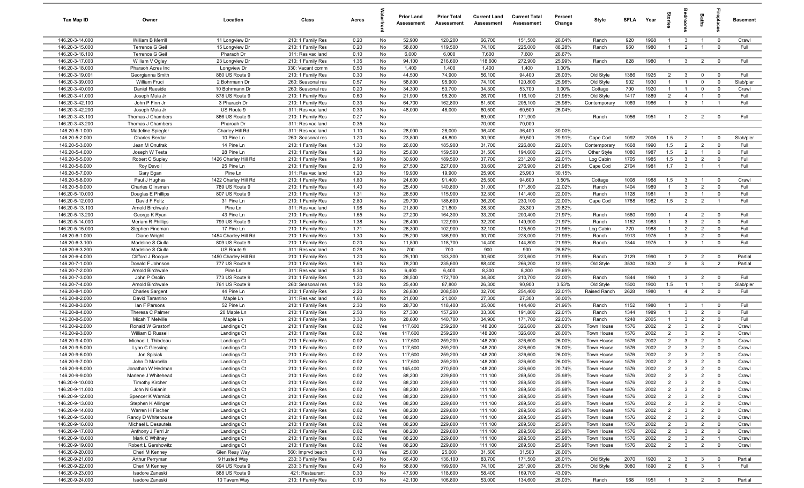| Tax Map ID                         | Owner                             | Location                         | Class                                  | Acres        |            | <b>Prior Land</b><br>Assessment | <b>Prior Total</b><br>Assessment | <b>Current Land</b><br>Assessment | <b>Current Total</b><br><b>Assessment</b> | Percent<br>Change | Style                    | <b>SFLA</b>  | Year         | ğ                                | droom                          | Baths                            | ireplace                                  | <b>Basement</b>   |
|------------------------------------|-----------------------------------|----------------------------------|----------------------------------------|--------------|------------|---------------------------------|----------------------------------|-----------------------------------|-------------------------------------------|-------------------|--------------------------|--------------|--------------|----------------------------------|--------------------------------|----------------------------------|-------------------------------------------|-------------------|
| 146.20-3-14.000                    | William B Merrill                 | 11 Longview Dr                   | 210: 1 Family Res                      | 0.20         | No         | 52,900                          | 120,200                          | 66,700                            | 151,500                                   | 26.04%            | Ranch                    | 920          | 1968         | $\overline{1}$                   | $\mathbf{3}$                   | $\overline{1}$                   | $\overline{0}$                            | Crawl             |
| 146.20-3-15.000                    | Terrence G Geil                   | 15 Longview Dr                   | 210: 1 Family Res                      | 0.20         | No         | 58,800                          | 119,500                          | 74,100                            | 225,000                                   | 88.28%            | Ranch                    | 960          | 1980         | $\overline{1}$                   | 2                              | $\overline{1}$                   | $\mathbf 0$                               | Full              |
| 146.20-3-16.100                    | Terrence G Geil                   | Pharaoh Dr                       | 311: Res vac land                      | 0.10         | No         | 6,000                           | 6,000                            | 7,600                             | 7,600                                     | 26.67%            |                          |              |              |                                  |                                |                                  |                                           |                   |
| 146.20-3-17.003                    | William V Ogley                   | 23 Longview Dr                   | 210: 1 Family Res                      | 1.35         | No         | 94,100                          | 216,600                          | 118,600                           | 272,900                                   | 25.99%            | Ranch                    | 828          | 1980         | $\overline{1}$                   | $\mathbf{3}$                   | $\overline{2}$                   | $\mathbf 0$                               | Full              |
| 146.20-3-18.000                    | Pharaoh Acres Inc                 | Longview Dr                      | 330: Vacant comm                       | 0.50         | No         | 1,400                           | 1,400                            | 1,400                             | 1,400                                     | 0.00%             |                          |              |              |                                  |                                |                                  |                                           |                   |
| 146.20-3-19.001<br>146.20-3-39.000 | Georgianna Smith<br>William Fruci | 860 US Route 9<br>2 Bohrmann Dr  | 210: 1 Family Res                      | 0.30<br>0.57 | No<br>No   | 44,500<br>58,800                | 74,900<br>95,900                 | 56,100<br>74,100                  | 94,400<br>120,800                         | 26.03%<br>25.96%  | Old Style                | 1386<br>902  | 1925<br>1930 | $\overline{2}$<br>$\mathbf{1}$   | $\mathbf{3}$<br>$\overline{1}$ | $\mathbf 0$<br>$\mathbf 0$       | $^{\circ}$<br>$^{\circ}$                  | Full<br>Slab/pier |
| 146.20-3-40.000                    | Daniel Raeside                    | 10 Bohrmann Dr                   | 260: Seasonal res<br>260: Seasonal res | 0.20         | No         | 34,300                          | 53,700                           | 34,300                            | 53,700                                    | 0.00%             | Old Style<br>Cottage     | 700          | 1920         | $\overline{1}$                   |                                | $\mathbf{0}$                     | $\mathbf 0$                               | Crawl             |
| 146.20-3-41.000                    | Joseph Muia Jr                    | 878 US Route 9                   | 210: 1 Family Res                      | 0.60         | No         | 21,900                          | 95,200                           | 26,700                            | 116,100                                   | 21.95%            | Old Style                | 1417         | 1889         | $\overline{2}$                   | $\overline{4}$                 | $\overline{1}$                   | $^{\circ}$                                | Full              |
| 146.20-3-42.100                    | John P Finn Jr                    | 3 Pharaoh Dr                     | 210: 1 Family Res                      | 0.33         | No         | 64,700                          | 162,800                          | 81,500                            | 205,100                                   | 25.98%            | Contemporary             | 1069         | 1986         | $\overline{1}$                   | $\mathbf{3}$                   | $\overline{1}$                   | $\overline{1}$                            | Full              |
| 146.20-3-42.200                    | Joseph Muia Jr                    | US Route 9                       | 311: Res vac land                      | 0.33         | No         | 48,000                          | 48,000                           | 60,500                            | 60,500                                    | 26.04%            |                          |              |              |                                  |                                |                                  |                                           |                   |
| 146.20-3-43.100                    | Thomas J Chambers                 | 866 US Route 9                   | 210: 1 Family Res                      | 0.27         | No         |                                 |                                  | 89,000                            | 171,900                                   |                   | Ranch                    | 1056         | 1951         | $\overline{1}$                   | $\overline{2}$                 | $\overline{2}$                   | $\overline{0}$                            | Full              |
| 146.20-3-43.200                    | Thomas J Chambers                 | Pharoah Dr                       | 311: Res vac land                      | 0.35         | No         |                                 |                                  | 70,000                            | 70,000                                    |                   |                          |              |              |                                  |                                |                                  |                                           |                   |
| 146.20-5-1.000                     | Madeline Spiegler                 | Charley Hill Rd                  | 311: Res vac land                      | 1.10         | No         | 28,000                          | 28,000                           | 36,400                            | 36,400                                    | 30.00%            |                          |              |              |                                  |                                |                                  |                                           |                   |
| 146.20-5-2.000                     | <b>Charles Berdar</b>             | 10 Pine Ln                       | 260: Seasonal res                      | 1.20         | No         | 23,800                          | 45,800                           | 30,900                            | 59,500                                    | 29.91%            | Cape Cod                 | 1092         | 2005         | 1.5                              | $\overline{2}$                 | $\overline{1}$                   | $\Omega$                                  | Slab/pier         |
| 146.20-5-3.000                     | Jean M Onufrak                    | 14 Pine Ln                       | 210: 1 Family Res                      | 1.30         | No         | 26,000                          | 185,900                          | 31,700                            | 226,800                                   | 22.00%            | Contemporary             | 1668         | 1990         | 1.5                              | $\overline{2}$                 | $\overline{2}$                   | $\mathbf 0$                               | Full              |
| 146.20-5-4.000                     | Joseph W Testa                    | 28 Pine Ln                       | 210: 1 Family Res                      | 1.20         | No         | 25,800                          | 159,500                          | 31,500                            | 194,600                                   | 22.01%            | Other Style              | 1080         | 1987         | 1.5                              | $\overline{2}$                 | $\overline{1}$                   | $\Omega$                                  | Full              |
| 146.20-5-5.000                     | Robert C Supley                   | 1426 Charley Hill Rd             | 210: 1 Family Res                      | 1.90         | No         | 30,900                          | 189,500                          | 37,700                            | 231,200                                   | 22.01%            | Log Cabin                | 1705         | 1985         | 1.5                              | $\mathbf{3}$                   | $\overline{2}$                   | $\mathbf 0$                               | Full              |
| 146.20-5-6.000                     | Roy Davoll                        | 25 Pine Ln<br>Pine Ln            | 210: 1 Family Res                      | 2.10         | No         | 27,500                          | 227,000                          | 33,600                            | 276,900                                   | 21.98%<br>30.15%  | Cape Cod                 | 2704         | 1981         | 1.7                              | $\mathbf{3}$                   |                                  |                                           | Full              |
| 146.20-5-7.000<br>146.20-5-8.000   | Gary Egan<br>Paul J Hughes        | 1422 Charley Hill Rd             | 311: Res vac land<br>210: 1 Family Res | 1.20<br>1.80 | No<br>No   | 19,900<br>24,600                | 19,900<br>91,400                 | 25,900<br>25,500                  | 25,900<br>94,600                          | 3.50%             | Cottage                  | 1008         | 1988         | 1.5                              | $\mathbf{3}$                   | $\overline{1}$                   | $\mathbf 0$                               | Crawl             |
| 146.20-5-9.000                     | Charles Glinsman                  | 789 US Route 9                   | 210: 1 Family Res                      | 1.40         | No         | 25,400                          | 140,800                          | 31,000                            | 171,800                                   | 22.02%            | Ranch                    | 1404         | 1989         | $\overline{1}$                   | $\mathbf{3}$                   | $\overline{2}$                   | $\mathbf 0$                               | Full              |
| 146.20-5-10.000                    | Douglas E Phillips                | 807 US Route 9                   | 210: 1 Family Res                      | 1.31         | No         | 26,500                          | 115,900                          | 32,300                            | 141,400                                   | 22.00%            | Ranch                    | 1128         | 1981         | $\overline{1}$                   | $\mathbf{3}$                   | $\overline{1}$                   | $\mathbf 0$                               | Full              |
| 146.20-5-12.000                    | David F Feltz                     | 31 Pine Ln                       | 210: 1 Family Res                      | 2.80         | No         | 29,700                          | 188,600                          | 36,200                            | 230,100                                   | 22.00%            | Cape Cod                 | 1788         | 1982         | 1.5                              | 2                              | $\overline{2}$                   | $\overline{1}$                            | Full              |
| 146.20-5-13.100                    | Arnold Birchwale                  | Pine Ln                          | 311: Res vac land                      | 1.98         | No         | 21,800                          | 21,800                           | 28,300                            | 28,300                                    | 29.82%            |                          |              |              |                                  |                                |                                  |                                           |                   |
| 146.20-5-13.200                    | George K Ryan                     | 43 Pine Ln                       | 210: 1 Family Res                      | 1.65         | No         | 27,200                          | 164,300                          | 33,200                            | 200,400                                   | 21.97%            | Ranch                    | 1560         | 1990         | $\overline{1}$                   | $\overline{4}$                 | $\overline{2}$                   | $^{\circ}$                                | Full              |
| 146.20-5-14.000                    | Meriam R Phillips                 | 799 US Route 9                   | 210: 1 Family Res                      | 1.38         | No         | 26,400                          | 122,900                          | 32,200                            | 149,900                                   | 21.97%            | Ranch                    | 1152         | 1983         | $\overline{1}$                   | $\mathbf{3}$                   | $\overline{2}$                   | $^{\circ}$                                | Full              |
| 146.20-5-15.000                    | Stephen Fineman                   | 17 Pine Ln                       | 210: 1 Family Res                      | 1.71         | No         | 26,300                          | 102,900                          | 32,100                            | 125,500                                   | 21.96%            | Log Cabin                | 720          | 1988         | $\overline{1}$                   | $\overline{2}$                 | $\overline{2}$                   | $\mathbf 0$                               | Full              |
| 146.20-6-1.000                     | Diane Wright                      | 1454 Charley Hill Rd             | 210: 1 Family Res                      | 1.30         | No         | 25,200                          | 186,900                          | 30,700                            | 228,000                                   | 21.99%            | Ranch                    | 1913         | 1975         | $\overline{1}$                   | $\mathbf{3}$                   | $\overline{2}$                   | $\mathbf 0$                               | Full              |
| 146.20-6-3.100                     | Madeline S Ciulla                 | 809 US Route 9                   | 210: 1 Family Res                      | 0.20         | No         | 11,800                          | 118,700                          | 14,400                            | 144,800                                   | 21.99%            | Ranch                    | 1344         | 1975         | $\mathbf{1}$                     | $\mathbf{3}$                   |                                  | $\Omega$                                  | Full              |
| 146.20-6-3.200                     | Madeline S Ciulla                 | US Route 9                       | 311: Res vac land                      | 0.28         | No         | 700                             | 700                              | 900                               | 900                                       | 28.57%            |                          |              |              |                                  |                                |                                  |                                           |                   |
| 146.20-6-4.000                     | Clifford J Rocque                 | 1450 Charley Hill Rd             | 210: 1 Family Res                      | 1.20         | No         | 25,100                          | 183,300                          | 30,600                            | 223,600                                   | 21.99%            | Ranch                    | 2129         | 1990         | -1                               | $\overline{2}$                 | $\overline{2}$                   | $\overline{0}$                            | Partial           |
| 146.20-7-1.000<br>146.20-7-2.000   | Donald F Johnson                  | 777 US Route 9<br>Pine Ln        | 210: 1 Family Res                      | 1.60         | No         | 78,200<br>6,400                 | 235,600                          | 88,400<br>8,300                   | 266,200<br>8,300                          | 12.99%<br>29.69%  | Old Style                | 3530         | 1830         | 2                                | 5                              | $\mathbf{3}$                     | $\overline{2}$                            | Partial           |
| 146.20-7-3.000                     | Arnold Birchwale<br>John P Osolin | 773 US Route 9                   | 311: Res vac land<br>210: 1 Family Res | 5.30<br>1.20 | No<br>No   | 28,500                          | 6,400<br>172,700                 | 34,800                            | 210,700                                   | 22.00%            | Ranch                    | 1844         | 1960         | $\overline{1}$                   | $\mathbf{3}$                   | $\overline{2}$                   | $\mathbf 0$                               | Full              |
| 146.20-7-4.000                     | Arnold Birchwale                  | 761 US Route 9                   | 260: Seasonal res                      | 1.50         | No         | 25,400                          | 87,800                           | 26,300                            | 90,900                                    | 3.53%             | Old Style                | 1500         | 1900         | 1.5                              | $\overline{1}$                 | $\overline{1}$                   | $\mathbf 0$                               | Slab/pier         |
| 146.20-8-1.000                     | <b>Charles Sargent</b>            | 44 Pine Ln                       | 210: 1 Family Res                      | 2.20         | No         | 26,800                          | 208,500                          | 32,700                            | 254,400                                   | 22.01%            | Raised Ranch             | 2628         | 1980         | $\overline{1}$                   | $\overline{4}$                 | $\overline{2}$                   | $\mathbf 0$                               | Full              |
| 146.20-8-2.000                     | David Tarantino                   | Maple Ln                         | 311: Res vac land                      | 1.60         | No         | 21,000                          | 21,000                           | 27,300                            | 27,300                                    | 30.00%            |                          |              |              |                                  |                                |                                  |                                           |                   |
| 146.20-8-3.000                     | lan F Parsons                     | 52 Pine Ln                       | 210: 1 Family Res                      | 2.30         | No         | 28,700                          | 118,400                          | 35,000                            | 144,400                                   | 21.96%            | Ranch                    | 1152         | 1980         | $\overline{1}$                   | $\mathbf{3}$                   | $\overline{1}$                   | $\mathbf 0$                               | Full              |
| 146.20-8-4.000                     | Theresa C Palmer                  | 20 Maple Ln                      | 210: 1 Family Res                      | 2.50         | No         | 27,300                          | 157,200                          | 33,300                            | 191,800                                   | 22.01%            | Ranch                    | 1344         | 1989         | $\overline{1}$                   | $\mathbf{3}$                   | $\overline{2}$                   | $\mathbf 0$                               | Full              |
| 146.20-8-5.000                     | Micah T Melville                  | Maple Ln                         | 210: 1 Family Res                      | 3.30         | No         | 28,600                          | 140,700                          | 34,900                            | 171,700                                   | 22.03%            | Ranch                    | 1248         | 2005         | $\mathbf{1}$                     | $\mathbf{3}$                   | $\overline{2}$                   | $\mathbf 0$                               | Full              |
| 146.20-9-2.000                     | Ronald W Grastorf                 | Landings Ct                      | 210: 1 Family Res                      | 0.02         | Yes        | 117,600                         | 259,200                          | 148,200                           | 326,600                                   | 26.00%            | Town House               | 1576         | 2002         | $\overline{2}$                   | $\mathbf{3}$                   | $\overline{2}$                   | $\mathbf 0$                               | Crawl             |
| 146.20-9-3.000                     | William D Russell                 | Landings Ct                      | 210: 1 Family Res                      | 0.02         | Yes        | 117,600                         | 259,200                          | 148,200                           | 326,600                                   | 26.00%            | Town House               | 1576         | 2002         | $\overline{2}$                   | $\mathbf{3}$                   | $\overline{2}$                   | $\mathbf 0$                               | Crawl             |
| 146.20-9-4.000                     | Michael L Thibdeau                | Landings Ct                      | 210: 1 Family Res                      | 0.02         | Yes        | 117,600                         | 259,200                          | 148,200                           | 326,600                                   | 26.00%            | Town House               | 1576         | 2002         | $\overline{2}$                   | $\mathbf{3}$                   | $\overline{2}$                   | $^{\circ}$                                | Crawl             |
| 146.20-9-5.000                     | Lynn C Glessing                   | Landings Ct                      | 210: 1 Family Res                      | 0.02         | Yes        | 117,600                         | 259,200                          | 148,200                           | 326,600                                   | 26.00%            | Town House               | 1576         | 2002         | $\overline{2}$                   | $\mathbf{3}$                   | $\overline{2}$                   | $\Omega$                                  | Crawl             |
| 146.20-9-6.000<br>146.20-9-7.000   | Jon Spisiak<br>John D Marcella    | Landings Ct                      | 210: 1 Family Res<br>210: 1 Family Res | 0.02<br>0.02 | Yes<br>Yes | 117,600<br>117,600              | 259,200<br>259,200               | 148,200<br>148,200                | 326,600<br>326,600                        | 26.00%<br>26.00%  | Town House<br>Town House | 1576<br>1576 | 2002<br>2002 | $\overline{2}$<br>$\overline{2}$ | $\mathbf{3}$<br>3              | $\overline{2}$<br>$\overline{2}$ | $^{\circ}$                                | Crawl<br>Crawl    |
| 146.20-9-8.000                     | Jonathan W Hedman                 | Landings Ct<br>Landings Ct       | 210: 1 Family Res                      | 0.02         | Yes        | 145,400                         | 270,500                          | 148,200                           | 326,600                                   | 20.74%            | Town House               | 1576         | 2002         | $\overline{2}$                   | $\overline{3}$                 | $\overline{2}$                   | $\mathbf 0$                               | Crawl             |
| 146.20-9-9.000                     | Marlene J Whitehead               | Landings Ct                      | 210: 1 Family Res                      | 0.02         | Yes        | 88,200                          | 229,800                          | 111,100                           | 289,500                                   | 25.98%            | Town House               | 1576         | 2002         | $\overline{2}$                   | $\mathbf{3}$                   | $\overline{2}$                   | $\mathbf 0$                               | Crawl             |
| 146.20-9-10.000                    | <b>Timothy Kircher</b>            | Landings Ct                      | 210: 1 Family Res                      | 0.02         | Yes        | 88,200                          | 229,800                          | 111,100                           | 289,500                                   | 25.98%            | Town House               | 1576         | 2002         | $\overline{2}$                   | $\mathbf{3}$                   | $\overline{2}$                   | $\overline{\mathbf{0}}$                   | Crawl             |
| 146.20-9-11.000                    | John N Galanin                    | Landings Ct                      | 210: 1 Family Res                      | 0.02         | Yes        | 88,200                          | 229,800                          | 111,100                           | 289,500                                   | 25.98%            | Town House               | 1576         | 2002         | $\overline{2}$                   | $\mathbf{3}$                   | $\overline{2}$                   | $\overline{0}$                            | Crawl             |
| 146.20-9-12.000                    | Spencer K Warnick                 | Landings Ct                      | 210: 1 Family Res                      | 0.02         | Yes        | 88,200                          | 229,800                          | 111,100                           | 289,500                                   | 25.98%            | Town House               | 1576         | 2002         | $\overline{2}$                   | $\mathbf{3}$                   | $\overline{2}$                   | $\mathbf 0$                               | Crawl             |
| 146.20-9-13.000                    | Stephen K Allinger                | Landings Ct                      | 210: 1 Family Res                      | 0.02         | Yes        | 88,200                          | 229,800                          | 111,100                           | 289,500                                   | 25.98%            | Town House               | 1576         | 2002         | $\overline{2}$                   | $\mathbf{3}$                   | $\overline{2}$                   | $\overline{0}$                            | Crawl             |
| 146.20-9-14.000                    | Warren H Fischer                  | Landings Ct                      | 210: 1 Family Res                      | 0.02         | Yes        | 88,200                          | 229,800                          | 111,100                           | 289,500                                   | 25.98%            | Town House               | 1576         | 2002         | $\overline{2}$                   | $\mathbf{3}$                   | $\overline{2}$                   | $\mathbf 0$                               | Crawl             |
| 146.20-9-15.000                    | Randy D Whitehouse                | Landings Ct                      | 210: 1 Family Res                      | 0.02         | Yes        | 88,200                          | 229,800                          | 111,100                           | 289,500                                   | 25.98%            | Town House               | 1576         | 2002         | $\overline{2}$                   | $\mathbf{3}$                   | $\overline{2}$                   | $\mathbf 0$                               | Crawl             |
| 146.20-9-16.000                    | Michael L Desautels               | Landings Ct                      | 210: 1 Family Res                      | 0.02         | Yes        | 88,200                          | 229,800                          | 111,100                           | 289,500                                   | 25.98%            | Town House               | 1576         | 2002         | $\overline{2}$                   | $\mathbf{3}$                   | $\overline{2}$                   | $\mathbf 0$                               | Crawl             |
| 146.20-9-17.000                    | Anthony J Ferri Jr                | Landings Ct                      | 210: 1 Family Res                      | 0.02         | Yes        | 88,200                          | 229,800                          | 111,100                           | 289,500                                   | 25.98%            | Town House               | 1576         | 2002         | $\overline{2}$                   | $\mathbf{3}$                   | $\overline{2}$                   | $\overline{\mathbf{0}}$                   | Crawl             |
| 146.20-9-18.000                    | Mark C Whitney                    | Landings Ct                      | 210: 1 Family Res                      | 0.02         | Yes        | 88,200                          | 229,800                          | 111,100                           | 289,500                                   | 25.98%            | Town House               | 1576         | 2002         | $\overline{2}$                   | $\mathbf{3}$                   | $\overline{2}$                   | $\overline{1}$                            | Crawl             |
| 146.20-9-19.000                    | Robert L Gershowitz               | Landings Ct                      | 210: 1 Family Res                      | 0.02         | Yes        | 88,200                          | 229,800                          | 111,100                           | 289,500                                   | 25.98%            | Town House               | 1576         | 2002         | $\overline{2}$                   | $\overline{\mathbf{3}}$        | $\overline{2}$                   | $\overline{\mathbf{0}}$                   | Crawl             |
| 146.20-9-20.000                    | Cheri M Kenney                    | Glen Reay Way                    | 560: Imprvd beach                      | 0.10         | Yes        | 25,000                          | 25,000                           | 31,500                            | 31,500                                    | 26.00%            |                          |              |              |                                  |                                |                                  |                                           |                   |
| 146.20-9-21.000                    | Arthur Perryman                   | 9 Husted Way                     | 230: 3 Family Res                      | 0.40<br>0.40 | No         | 66,400                          | 136,100                          | 83,700                            | 171,500                                   | 26.01%            | Old Style<br>Old Style   | 2070<br>3080 | 1920<br>1890 | $\overline{2}$<br>$\overline{2}$ | $\mathbf{3}$<br>6              | $\mathbf{3}$<br>$\mathbf{3}$     | $\overline{\mathbf{0}}$<br>$\overline{1}$ | Partial<br>Full   |
| 146.20-9-22.000<br>146.20-9-23.000 | Cheri M Kenney<br>Isadore Zaneski | 894 US Route 9<br>888 US Route 9 | 230: 3 Family Res<br>421: Restaurant   | 0.30         | No<br>No   | 58,800<br>47,900                | 199,900<br>118,600               | 74,100<br>58,400                  | 251,900<br>169,700                        | 26.01%<br>43.09%  |                          |              |              |                                  |                                |                                  |                                           |                   |
| 146.20-9-24.000                    | Isadore Zaneski                   | 10 Tavern Way                    | 210: 1 Family Res                      | 0.10         | No         | 42,100                          | 106,800                          | 53,000                            | 134,600                                   | 26.03%            | Ranch                    | 968          | 1951         | $\overline{1}$                   | $\overline{\mathbf{3}}$        | $\overline{2}$                   | $\overline{0}$                            | Partial           |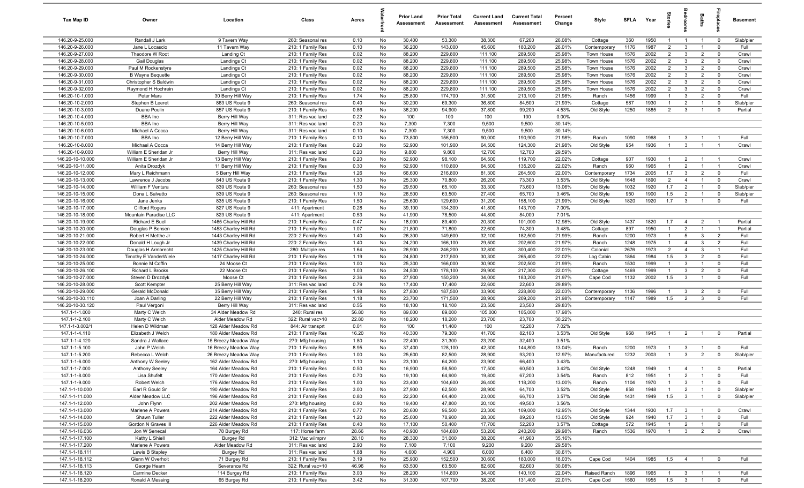| Tax Map ID                           | Owner                                          | Location                                     | Class                                  | Acres        |          | <b>Prior Land</b><br>Assessment | <b>Prior Total</b><br>Assessment | <b>Current Land</b><br>Assessment | <b>Current Total</b><br>Assessment | Percent<br>Change | Style                    | <b>SFLA</b>  | Year         | $\vec{a}$                        | g                                | Baths                            | Lebia                         | Basement          |
|--------------------------------------|------------------------------------------------|----------------------------------------------|----------------------------------------|--------------|----------|---------------------------------|----------------------------------|-----------------------------------|------------------------------------|-------------------|--------------------------|--------------|--------------|----------------------------------|----------------------------------|----------------------------------|-------------------------------|-------------------|
| 146.20-9-25.000                      | Randall J Lark                                 | 9 Tavern Way                                 | 260: Seasonal res                      | 0.10         | No       | 30,400                          | 53,300                           | 38,300                            | 67,200                             | 26.08%            | Cottage                  | 360          | 1950         | $\mathbf{1}$                     | $\overline{1}$                   | $\overline{1}$                   | $\mathbf{0}$                  | Slab/pier         |
| 146.20-9-26.000                      | Jane L Locascio                                | 11 Tavern Way                                | 210: 1 Family Res                      | 0.10         | No       | 36,200                          | 143,000                          | 45,600                            | 180,200                            | 26.01%            | Contemporary             | 1176         | 1987         | $\overline{2}$                   | $\mathbf{3}$                     | $\overline{1}$                   | $^{\circ}$                    | Full              |
| 146.20-9-27.000                      | Theodore W Root                                | Landing Ct                                   | 210: 1 Family Res                      | 0.02         | No       | 88,200                          | 229,800                          | 111,100                           | 289,500                            | 25.98%            | Town House               | 1576         | 2002         | $\overline{2}$                   | $\mathbf{3}$                     | $\overline{2}$                   | $\mathbf 0$                   | Crawl             |
| 146.20-9-28.000                      | Gail Douglas                                   | Landings Ct                                  | 210: 1 Family Res                      | 0.02         | No       | 88,200                          | 229,800                          | 111,100                           | 289,500                            | 25.98%            | Town House               | 1576<br>1576 | 2002<br>2002 | $\overline{2}$<br>$\overline{2}$ | $\mathbf{3}$<br>$\mathbf{3}$     | $\overline{2}$                   | $^{\circ}$<br>$^{\circ}$      | Crawl             |
| 146.20-9-29.000<br>146.20-9-30.000   | Paul M Rockenstyre<br><b>B</b> Wayne Bequette  | Landings Ct<br>Landings Ct                   | 210: 1 Family Res<br>210: 1 Family Res | 0.02<br>0.02 | No<br>No | 88,200<br>88,200                | 229,800<br>229,800               | 111,100<br>111,100                | 289,500<br>289,500                 | 25.98%<br>25.98%  | Town House<br>Town House | 1576         | 2002         | 2                                | $\mathbf{3}$                     | $\overline{2}$<br>$\overline{2}$ | $\mathbf 0$                   | Crawl<br>Crawl    |
| 146.20-9-31.000                      | Christopher S Baldwin                          | Landings Ct                                  | 210: 1 Family Res                      | 0.02         | No       | 88,200                          | 229,800                          | 111,100                           | 289,500                            | 25.98%            | Town House               | 1576         | 2002         | $\overline{2}$                   | $\mathbf{3}$                     | $\overline{2}$                   | $\mathbf 0$                   | Crawl             |
| 146.20-9-32.000                      | Raymond H Hochrein                             | Landings Ct                                  | 210: 1 Family Res                      | 0.02         | No       | 88,200                          | 229,800                          | 111,100                           | 289,500                            | 25.98%            | Town House               | 1576         | 2002         | $\overline{2}$                   | $\mathbf{3}$                     | $\overline{2}$                   | $\mathbf 0$                   | Crawl             |
| 146.20-10-1.000                      | Peter Mars                                     | 30 Berry Hill Way                            | 210: 1 Family Res                      | 1.74         | No       | 25,800                          | 174,700                          | 31,500                            | 213,100                            | 21.98%            | Ranch                    | 1456         | 1999         | $\overline{1}$                   | $\mathbf{3}$                     | $\overline{2}$                   | $\mathbf 0$                   | Full              |
| 146.20-10-2.000                      | Stephen B Leeret                               | 863 US Route 9                               | 260: Seasonal res                      | 0.40         | No       | 30,200                          | 69,300                           | 36,800                            | 84,500                             | 21.93%            | Cottage                  | 587          | 1930         | $\overline{1}$                   | $\overline{2}$                   | $\overline{1}$                   | $\mathbf{0}$                  | Slab/pier         |
| 146.20-10-3.000                      | Duane Poulin                                   | 857 US Route 9                               | 210: 1 Family Res                      | 0.86         | No       | 36,200                          | 94,900                           | 37,800                            | 99,200                             | 4.53%             | Old Style                | 1250         | 1885         | $\overline{2}$                   | $\mathbf{3}$                     | $\overline{1}$                   | $^{\circ}$                    | Partial           |
| 146.20-10-4.000                      | <b>BBA</b> Inc                                 | Berry Hill Way                               | 311: Res vac land                      | 0.22         | No       | 100                             | 100                              | 100                               | 100                                | 0.00%             |                          |              |              |                                  |                                  |                                  |                               |                   |
| 146.20-10-5.000                      | <b>BBA</b> Inc                                 | Berry Hill Way                               | 311: Res vac land                      | 0.20         | No       | 7,300                           | 7,300                            | 9,500                             | 9,500                              | 30.14%            |                          |              |              |                                  |                                  |                                  |                               |                   |
| 146.20-10-6.000                      | Michael A Cocca                                | Berry Hill Way                               | 311: Res vac land                      | 0.10         | No       | 7,300                           | 7,300                            | 9,500                             | 9,500                              | 30.14%            |                          |              |              |                                  |                                  |                                  |                               |                   |
| 146.20-10-7.000                      | <b>BBA</b> Inc                                 | 12 Berry Hill Way                            | 210: 1 Family Res                      | 0.10         | No       | 73,800                          | 156,500                          | 90,000                            | 190,900                            | 21.98%            | Ranch                    | 1090         | 1968         | $\mathbf{1}$                     | $\mathbf{3}$                     | $\overline{1}$                   |                               | Full              |
| 146.20-10-8.000                      | Michael A Cocca                                | 14 Berry Hill Way                            | 210: 1 Family Res                      | 0.20         | No       | 52,900                          | 101,900                          | 64,500                            | 124,300                            | 21.98%            | Old Style                | 954          | 1936         | $\overline{1}$                   | $\mathbf{3}$                     | $\overline{1}$                   | $\overline{1}$                | Crawl             |
| 146.20-10-9.000                      | William E Sheridan Jr<br>William E Sheridan Jr | Berry Hill Way                               | 311: Res vac land                      | 0.20         | No       | 9,800                           | 9,800                            | 12,700<br>64,500                  | 12,700                             | 29.59%            |                          | 907          | 1930         | -1                               |                                  | $\overline{1}$                   | $\overline{1}$                |                   |
| 146.20-10-10.000<br>146.20-10-11.000 | Anita Drozdyk                                  | 13 Berry Hill Way<br>11 Berry Hill Way       | 210: 1 Family Res<br>210: 1 Family Res | 0.20<br>0.30 | No<br>No | 52,900<br>52,900                | 98,100<br>110,800                | 64,500                            | 119,700<br>135,200                 | 22.02%<br>22.02%  | Cottage<br>Ranch         | 960          | 1965         | $\overline{1}$                   | $\overline{2}$<br>$\overline{2}$ |                                  | $\overline{1}$                | Crawl<br>Crawl    |
| 146.20-10-12.000                     | Mary L Reichmann                               | 5 Berry Hill Way                             | 210: 1 Family Res                      | 1.26         | No       | 66,600                          | 216,800                          | 81,300                            | 264,500                            | 22.00%            | Contemporary             | 1734         | 2005         | 1.7                              | $\mathbf{3}$                     | $\overline{2}$                   | $\mathbf 0$                   | Full              |
| 146.20-10-13.000                     | Lawrence J Jacobs                              | 843 US Route 9                               | 210: 1 Family Res                      | 1.30         | No       | 25,300                          | 70,800                           | 26,200                            | 73,300                             | 3.53%             | Old Style                | 1648         | 1890         | 2                                | $\overline{4}$                   | $\overline{1}$                   | $\mathbf 0$                   | Crawl             |
| 146.20-10-14.000                     | William F Ventura                              | 839 US Route 9                               | 260: Seasonal res                      | 1.50         | No       | 29,500                          | 65,100                           | 33,300                            | 73,600                             | 13.06%            | Old Style                | 1032         | 1920         | 1.7                              | $\overline{2}$                   | $\overline{1}$                   | $\mathbf 0$                   | Slab/pier         |
| 146.20-10-15.000                     | Dona L Salvatto                                | 839 US Route 9                               | 260: Seasonal res                      | 1.10         | No       | 26,500                          | 63,500                           | 27,400                            | 65,700                             | 3.46%             | Old Style                | 950          | 1900         | 1.5                              | $\overline{2}$                   | $\overline{1}$                   | $^{\circ}$                    | Slab/pier         |
| 146.20-10-16.000                     | Jane Jenks                                     | 835 US Route 9                               | 210: 1 Family Res                      | 1.50         | No       | 25,600                          | 129,600                          | 31,200                            | 158,100                            | 21.99%            | Old Style                | 1820         | 1920         | 1.7                              | $\overline{3}$                   | $\overline{1}$                   | $^{\circ}$                    | Full              |
| 146.20-10-17.000                     | <b>Clifford Rogers</b>                         | 827 US Route 9                               | 411: Apartment                         | 0.28         | No       | 39,100                          | 134,300                          | 41,800                            | 143,700                            | 7.00%             |                          |              |              |                                  |                                  |                                  |                               |                   |
| 146.20-10-18.000                     | Mountain Paradise LLC                          | 823 US Route 9                               | 411: Apartment                         | 0.53         | No       | 41,900                          | 78,500                           | 44,800                            | 84,000                             | 7.01%             |                          |              |              |                                  |                                  |                                  |                               |                   |
| 146.20-10-19.000                     | Richard E Buell                                | 1465 Charley Hill Rd                         | 210: 1 Family Res                      | 0.47         | No       | 18,000                          | 89,400                           | 20,300                            | 101,000                            | 12.98%            | Old Style                | 1437         | 1820         | 1.7                              | $\overline{4}$                   | $\overline{2}$                   | $\overline{\phantom{0}}$      | Partial           |
| 146.20-10-20.000                     | Douglas P Bensen                               | 1453 Charley Hill Rd                         | 210: 1 Family Res                      | 1.07         | No       | 21,800                          | 71,800                           | 22,600                            | 74,300                             | 3.48%             | Cottage                  | 897          | 1950         | $\overline{1}$                   | $\overline{2}$                   | $\overline{1}$                   | -1                            | Partial           |
| 146.20-10-21.000                     | Robert H Metthe Jr                             | 1443 Charley Hill Rd                         | 220: 2 Family Res                      | 1.40         | No       | 26,300                          | 149,600                          | 32,100                            | 182,500                            | 21.99%            | Ranch                    | 1200         | 1973         | $\overline{1}$                   | 5                                | $\mathbf{3}$                     | $\overline{2}$                | Full              |
| 146.20-10-22.000                     | Donald H Lough Jr                              | 1439 Charley Hill Rd                         | 220: 2 Family Res                      | 1.40         | No       | 24,200                          | 166,100                          | 29,500                            | 202,600                            | 21.97%            | Ranch                    | 1248         | 1975         | $\mathbf{1}$                     | $\overline{4}$                   | $\mathbf{3}$                     | 2                             | Full              |
| 146.20-10-23.000                     | Douglas H Armbrecht                            | 1425 Charley Hill Rd                         | 280: Multiple res                      | 1.64<br>1.19 | No       | 26,900                          | 246,200<br>217,500               | 32,800<br>30,300                  | 300,400<br>265,400                 | 22.01%<br>22.02%  | Colonial                 | 2676         | 1973<br>1984 | $\overline{2}$<br>1.5            | $\overline{4}$<br>$\mathbf{3}$   | $\mathbf{3}$<br>$\overline{2}$   | $\overline{1}$<br>$\mathbf 0$ | Full<br>Full      |
| 146.20-10-24.000<br>146.20-10-25.000 | Timothy E VanderWiele<br>Bonnie M Coffin       | 1417 Charley Hill Rd<br>24 Moose Ct          | 210: 1 Family Res<br>210: 1 Family Res | 1.00         | No<br>No | 24,800<br>25,300                | 166,000                          | 30,900                            | 202,500                            | 21.99%            | Log Cabin<br>Ranch       | 1864<br>1530 | 1999         | $\overline{1}$                   | $\mathbf{3}$                     | $\overline{1}$                   | $\mathbf 0$                   | Full              |
| 146.20-10-26.100                     | Richard L Brooks                               | 22 Moose Ct                                  | 210: 1 Family Res                      | 1.03         | No       | 24,500                          | 178,100                          | 29,900                            | 217,300                            | 22.01%            | Cottage                  | 1469         | 1999         | $\overline{1}$                   | $\mathbf{3}$                     | $\overline{2}$                   | $\mathbf 0$                   | Full              |
| 146.20-10-27.000                     | Steven D Drozdyk                               | Moose Ct                                     | 210: 1 Family Res                      | 2.36         | No       | 27,900                          | 150,200                          | 34,000                            | 183,200                            | 21.97%            | Cape Cod                 | 1132         | 2002         | 1.5                              | $\mathbf{3}$                     | $\overline{1}$                   | $^{\circ}$                    | Full              |
| 146.20-10-28.000                     | Scott Kempter                                  | 25 Berry Hill Way                            | 311: Res vac land                      | 0.79         | No       | 17,400                          | 17,400                           | 22,600                            | 22,600                             | 29.89%            |                          |              |              |                                  |                                  |                                  |                               |                   |
| 146.20-10-29.000                     | Gerald McDonald                                | 35 Berry Hill Way                            | 210: 1 Family Res                      | 1.98         | No       | 27,800                          | 187,500                          | 33,900                            | 228,800                            | 22.03%            | Contemporary             | 1136         | 1996         | $\overline{1}$                   | $\mathbf{3}$                     | $\overline{2}$                   | $^{\circ}$                    | Full              |
| 146.20-10-30.110                     | Joan A Darling                                 | 22 Berry Hill Way                            | 210: 1 Family Res                      | 1.18         | No       | 23,700                          | 171,500                          | 28,900                            | 209,200                            | 21.98%            | Contemporary             | 1147         | 1989         | 1.5                              | $\overline{2}$                   | $\mathbf{3}$                     | $\Omega$                      | Full              |
| 146.20-10-30.120                     | Paul Vergoni                                   | Berry Hill Way                               | 311: Res vac land                      | 0.55         | No       | 18,100                          | 18,100                           | 23,500                            | 23,500                             | 29.83%            |                          |              |              |                                  |                                  |                                  |                               |                   |
| 147.1-1-1.000                        | Marty C Welch                                  | 34 Alder Meadow Rd                           | 240: Rural res                         | 56.80        | No       | 89,000                          | 89,000                           | 105,000                           | 105,000                            | 17.98%            |                          |              |              |                                  |                                  |                                  |                               |                   |
| 147.1-1-2.100                        | Marty C Welch                                  | Alder Meadow Rd                              | 322: Rural vac>10                      | 22.80        | No       | 18,200                          | 18,200                           | 23,700                            | 23,700                             | 30.22%            |                          |              |              |                                  |                                  |                                  |                               |                   |
| 147.1-1-3.002/1                      | Helen D Wildman                                | 128 Alder Meadow Rd                          | 844: Air transprt                      | 0.01         | No       | 100                             | 11,400                           | 100                               | 12,200                             | 7.02%             |                          |              |              |                                  |                                  |                                  |                               |                   |
| 147.1-1-4.110                        | Elizabeth J Welch                              | 180 Alder Meadow Rd                          | 210: 1 Family Res                      | 16.20        | No       | 40,300                          | 79,300                           | 41,700                            | 82,100                             | 3.53%             | Old Style                | 968          | 1945         | -1                               | $\overline{2}$                   | $\overline{1}$                   | $^{\circ}$                    | Partial           |
| 147.1-1-4.120                        | Sandra J Wallace                               | 15 Breezy Meadow Way                         | 270: Mfg housing                       | 1.80         | No       | 22,400                          | 31,300                           | 23,200                            | 32,400                             | 3.51%             |                          |              |              |                                  |                                  |                                  |                               |                   |
| 147.1-1-5.100<br>147.1-1-5.200       | John P Welch<br>Rebecca L Welch                | 16 Breezy Meadow Way<br>26 Breezy Meadow Way | 210: 1 Family Res<br>210: 1 Family Res | 8.95<br>1.00 | No<br>No | 37,400<br>25,600                | 128,100<br>82,500                | 42,300<br>28,900                  | 144,800<br>93,200                  | 13.04%<br>12.97%  | Ranch<br>Manufactured    | 1200<br>1232 | 1973<br>2003 | $\mathbf{1}$<br>$\overline{1}$   | $\mathbf{3}$<br>$\mathbf{3}$     | $\overline{1}$<br>$\overline{2}$ | $^{\circ}$<br>$^{\circ}$      | Full<br>Slab/pier |
| 147.1-1-6.000                        | Anthony W Seeley                               | 162 Alder Meadow Rd                          | 270: Mfg housing                       | 1.10         | No       | 23,100                          | 64,200                           | 23,900                            | 66,400                             | 3.43%             |                          |              |              |                                  |                                  |                                  |                               |                   |
| 147.1-1-7.000                        | Anthony Seeley                                 | 164 Alder Meadow Rd                          | 210: 1 Family Res                      | 0.50         | No       | 16,900                          | 58,500                           | 17,500                            | 60,500                             | 3.42%             | Old Style                | 1248         | 1949         | $\overline{1}$                   | $\overline{4}$                   | $\overline{1}$                   | $\overline{0}$                | Partial           |
| 147.1-1-8.000                        | Lisa Shufelt                                   | 170 Alder Meadow Rd                          | 210: 1 Family Res                      | 0.70         | No       | 19,100                          | 64,900                           | 19,800                            | 67,200                             | 3.54%             | Ranch                    | 812          | 1951         | $\overline{1}$                   | $\overline{2}$                   | $\overline{1}$                   | $\overline{0}$                | Full              |
| 147.1-1-9.000                        | Robert Welch                                   | 176 Alder Meadow Rd                          | 210: 1 Family Res                      | 1.00         | No       | 23,400                          | 104,600                          | 26,400                            | 118,200                            | 13.00%            | Ranch                    | 1104         | 1970         | $\overline{1}$                   | $\mathbf{3}$                     | $\mathbf{1}$                     | $\mathbf 0$                   | Full              |
| 147.1-1-10.000                       | Earl R Gould Sr                                | 190 Alder Meadow Rd                          | 210: 1 Family Res                      | 3.00         | No       | 27,900                          | 62,500                           | 28,900                            | 64,700                             | 3.52%             | Old Style                | 858          | 1948         | $\overline{1}$                   | $\overline{2}$                   | $\overline{1}$                   | $\mathbf 0$                   | Slab/pier         |
| 147.1-1-11.000                       | Alder Meadow LLC                               | 196 Alder Meadow Rd                          | 210: 1 Family Res                      | 0.80         | No       | 22,200                          | 64,400                           | 23,000                            | 66,700                             | 3.57%             | Old Style                | 1431         | 1949         | 1.5                              | $\overline{\mathbf{3}}$          | $\mathbf{1}$                     | $\overline{0}$                | Slab/pier         |
| 147.1-1-12.000                       | John Flynn                                     | 202 Alder Meadow Rd                          | 270: Mfg housing                       | 0.90         | No       | 19,400                          | 47,800                           | 20,100                            | 49,500                             | 3.56%             |                          |              |              |                                  |                                  |                                  |                               |                   |
| 147.1-1-13.000                       | Marlene A Powers                               | 214 Alder Meadow Rd                          | 210: 1 Family Res                      | 0.77         | No       | 20,600                          | 96,500                           | 23,300                            | 109,000                            | 12.95%            | Old Style                | 1344         | 1930         | 1.7                              | $\mathbf{3}$                     | $\overline{1}$                   | $\overline{\mathbf{0}}$       | Crawl             |
| 147.1-1-14.000                       | Shawn Tuller                                   | 222 Alder Meadow Rd                          | 210: 1 Family Res                      | 1.20         | No       | 25,000                          | 78,900                           | 28,300                            | 89,200                             | 13.05%            | Old Style                | 924          | 1940         | 1.7                              | $\overline{\mathbf{3}}$          | $\overline{1}$                   | $\overline{\mathbf{0}}$       | Full              |
| 147.1-1-15.000                       | Gordon N Graves III                            | 226 Alder Meadow Rd                          | 210: 1 Family Res                      | 0.40         | No       | 17,100                          | 50,400                           | 17,700                            | 52,200                             | 3.57%             | Cottage                  | 572          | 1945         | $\mathbf{1}$                     | $\overline{2}$                   | $\overline{1}$                   | $\overline{\mathbf{0}}$       | Full              |
| 147.1-1-16.036                       | Jon W Senecal                                  | 78 Burgey Rd                                 | 117: Horse farm                        | 28.66        | No       | 40,900                          | 184,800                          | 53,200                            | 240,200                            | 29.98%            | Ranch                    | 1536         | 1970         | $\overline{1}$                   | $\mathbf{3}$                     | $\overline{2}$                   | $\overline{0}$                | Crawl             |
| 147.1-1-17.100                       | Kathy L Shiell                                 | Burgey Rd                                    | 312: Vac w/imprv                       | 28.10        | No       | 28,300                          | 31,000                           | 38,200                            | 41,900                             | 35.16%            |                          |              |              |                                  |                                  |                                  |                               |                   |
| 147.1-1-17.200                       | Marlene A Powers                               | Alder Meadow Rd                              | 311: Res vac land                      | 2.90         | No       | 7,100                           | 7,100                            | 9,200                             | 9,200                              | 29.58%            |                          |              |              |                                  |                                  |                                  |                               |                   |
| 147.1-1-18.111<br>147.1-1-18.112     | Lewis B Stapley<br>Glenn W Overholt            | Burgey Rd<br>71 Burgey Rd                    | 311: Res vac land<br>210: 1 Family Res | 1.88<br>3.19 | No<br>No | 4,600<br>25,900                 | 4,900<br>152,500                 | 6,000<br>30,600                   | 6,400<br>180,000                   | 30.61%<br>18.03%  | Cape Cod                 | 1404         | 1985         | 1.5                              | $\overline{4}$                   | $\mathbf{1}$                     | $^{\circ}$                    | Full              |
| 147.1-1-18.113                       | George Hearn                                   | Severance Rd                                 | 322: Rural vac>10                      | 46.96        | No       | 63,500                          | 63,500                           | 82,600                            | 82,600                             | 30.08%            |                          |              |              |                                  |                                  |                                  |                               |                   |
| 147.1-1-18.120                       | Carmine Decker                                 | 114 Burgey Rd                                | 210: 1 Family Res                      | 3.03         | No       | 28,200                          | 114,800                          | 34,400                            | 140,100                            | 22.04%            | Raised Ranch             | 1896         | 1965         | $\overline{1}$                   | $\mathbf{3}$                     | $\overline{1}$                   |                               | Full              |
| 147.1-1-18.200                       | Ronald A Messing                               | 65 Burgey Rd                                 | 210: 1 Family Res                      | 3.42         | No       | 31,300                          | 107,700                          | 38,200                            | 131,400                            | 22.01%            | Cape Cod                 | 1560         | 1955         | 1.5                              | $\overline{\mathbf{3}}$          | $\overline{1}$                   | $\overline{0}$                | Full              |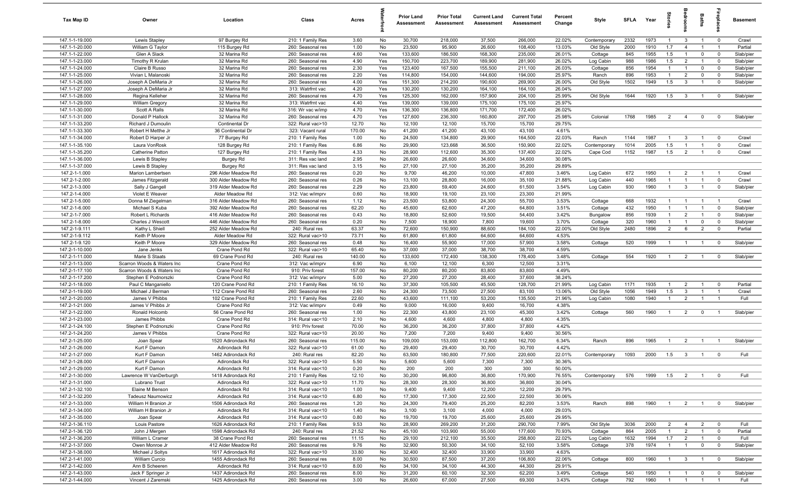| Tax Map ID                       | Owner                                | Location                             | Class                                  | Acres           |            | <b>Prior Land</b><br>Assessment | <b>Prior Total</b><br>Assessment | <b>Current Land</b><br>Assessment | <b>Current Total</b><br>Assessment | Percent<br>Change | Style            | <b>SFLA</b> | Year         | Stori                          | drooi                            | Baths                      | <b>G</b> bla              | Basement               |
|----------------------------------|--------------------------------------|--------------------------------------|----------------------------------------|-----------------|------------|---------------------------------|----------------------------------|-----------------------------------|------------------------------------|-------------------|------------------|-------------|--------------|--------------------------------|----------------------------------|----------------------------|---------------------------|------------------------|
| 147.1-1-19.000                   | Lewis Stapley                        | 97 Burgey Rd                         | 210: 1 Family Res                      | 3.60            | No         | 30,700                          | 218,000                          | 37,500                            | 266,000                            | 22.02%            | Contemporary     | 2332        | 1973         | $\mathbf{1}$                   | $\mathbf{3}$                     | $\overline{1}$             | $\overline{0}$            | Crawl                  |
| 147.1-1-20.000                   | William G Taylor                     | 115 Burgey Rd                        | 260: Seasonal res                      | 1.00            | No         | 23,500                          | 95,900                           | 26,600                            | 108,400                            | 13.03%            | Old Style        | 2000        | 1910         | 1.7                            | $\overline{4}$                   | $\overline{1}$             | $\overline{1}$            | Partial                |
| 147.1-1-22.000                   | Glen A Slack                         | 32 Marina Rd                         | 260: Seasonal res                      | 4.60            | Yes        | 133,600                         | 186,500                          | 168,300                           | 235,000                            | 26.01%            | Cottage          | 845         | 1955         | 1.5                            | $\overline{1}$                   | $\mathbf 0$                | $\mathbf 0$               | Slab/pier              |
| 147.1-1-23.000                   | Timothy R Krulan                     | 32 Marina Rd                         | 260: Seasonal res                      | 4.90            | Yes        | 150,700                         | 223,700                          | 189,900                           | 281,900                            | 26.02%            | Log Cabin        | 988         | 1986         | 1.5                            | $\overline{2}$                   |                            | $\mathbf 0$               | Slab/pier              |
| 147.1-1-24.000<br>147.1-1-25.000 | Claire B Russo<br>Vivian L Malanoski | 32 Marina Rd<br>32 Marina Rd         | 260: Seasonal res<br>260: Seasonal res | 2.30<br>2.20    | Yes<br>Yes | 123,400<br>114,800              | 167,500<br>154,000               | 155,500<br>144,600                | 211,100<br>194,000                 | 26.03%<br>25.97%  | Cottage<br>Ranch | 856<br>896  | 1954<br>1953 | $\mathbf{1}$<br>$\overline{1}$ | $\overline{1}$<br>$\overline{2}$ | $\mathbf 0$<br>$\mathbf 0$ | $^{\circ}$<br>$\mathbf 0$ | Slab/pier<br>Slab/pier |
| 147.1-1-26.000                   | Joseph A DeMaria Jr                  | 32 Marina Rd                         | 260: Seasonal res                      | 4.00            | Yes        | 151,300                         | 214,200                          | 190,600                           | 269,900                            | 26.00%            | Old Style        | 1502        | 1949         | 1.5                            | $\mathbf{3}$                     | $\overline{1}$             | $^{\circ}$                | Slab/pier              |
| 147.1-1-27.000                   | Joseph A DeMaria Jr                  | 32 Marina Rd                         | 313: Watrfrnt vac                      | 4.20            | Yes        | 130,200                         | 130,200                          | 164,100                           | 164,100                            | 26.04%            |                  |             |              |                                |                                  |                            |                           |                        |
| 147.1-1-28.000                   | Regina Kelleher                      | 32 Marina Rd                         | 260: Seasonal res                      | 4.70            | Yes        | 125,300                         | 162,000                          | 157,900                           | 204,100                            | 25.99%            | Old Style        | 1644        | 1920         | 1.5                            | $\mathbf{3}$                     | $\overline{1}$             | $^{\circ}$                | Slab/pier              |
| 147.1-1-29.000                   | William Gregory                      | 32 Marina Rd                         | 313: Watrfrnt vac                      | 4.40            | Yes        | 139,000                         | 139,000                          | 175,100                           | 175,100                            | 25.97%            |                  |             |              |                                |                                  |                            |                           |                        |
| 147.1-1-30.000                   | Scott A Ralls                        | 32 Marina Rd                         | 316: Wr vac w/imp                      | 4.70            | Yes        | 136,300                         | 136,800                          | 171,700                           | 172,400                            | 26.02%            |                  |             |              |                                |                                  |                            |                           |                        |
| 147.1-1-31.000                   | Donald P Hallock                     | 32 Marina Rd                         | 260: Seasonal res                      | 4.70            | Yes        | 127,600                         | 236,300                          | 160,800                           | 297,700                            | 25.98%            | Colonial         | 1768        | 1985         | 2                              | $\overline{4}$                   | $\mathbf 0$                | $^{\circ}$                | Slab/pier              |
| 147.1-1-33.200                   | Richard J Dumoulin                   | Continental Dr                       | 322: Rural vac>10                      | 12.70           | No         | 12,100                          | 12,100                           | 15,700                            | 15,700                             | 29.75%            |                  |             |              |                                |                                  |                            |                           |                        |
| 147.1-1-33.300                   | Robert H Metthe Jr                   | 36 Continental Dr                    | 323: Vacant rural                      | 170.00          | No         | 41,200                          | 41,200                           | 43,100                            | 43,100                             | 4.61%             |                  |             |              |                                |                                  |                            |                           |                        |
| 147.1-1-34.000                   | Robert D Harper Jr                   | 77 Burgey Rd                         | 210: 1 Family Res                      | 1.00            | No         | 24,500                          | 134,800                          | 29,900                            | 164,500                            | 22.03%            | Ranch            | 1144        | 1987         | $\overline{1}$                 | $\mathbf{3}$                     |                            | $^{\circ}$                | Crawl                  |
| 147.1-1-35.100                   | Laura VonRosk                        | 128 Burgey Rd                        | 210: 1 Family Res                      | 6.86            | No         | 29,900                          | 123,668                          | 36,500                            | 150,900                            | 22.02%            | Contemporary     | 1014        | 2005         | 1.5                            |                                  |                            | $\mathbf 0$               | Crawl                  |
| 147.1-1-35.200                   | Catherine Patton                     | 127 Burgey Rd                        | 210: 1 Family Res<br>311: Res vac land | 4.33            | No         | 28,900                          | 112,600                          | 35,300                            | 137,400                            | 22.02%            | Cape Cod         | 1152        | 1987         | 1.5                            | $\overline{2}$                   |                            | $^{\circ}$                | Crawl                  |
| 147.1-1-36.000<br>147.1-1-37.000 | Lewis B Stapley<br>Lewis B Stapley   | <b>Burgey Rd</b><br><b>Burgey Rd</b> | 311: Res vac land                      | 2.95<br>3.15    | No<br>No   | 26,600<br>27,100                | 26,600<br>27,100                 | 34,600<br>35,200                  | 34,600<br>35,200                   | 30.08%<br>29.89%  |                  |             |              |                                |                                  |                            |                           |                        |
| 147.2-1-1.000                    | Marion Lambertsen                    | 296 Alder Meadow Rd                  | 260: Seasonal res                      | 0.20            | No         | 9,700                           | 46,200                           | 10,000                            | 47,800                             | 3.46%             | Log Cabin        | 672         | 1950         | $\overline{1}$                 | $\overline{2}$                   |                            | - 1                       | Crawl                  |
| 147.2-1-2.000                    | James Fitzgerald                     | 300 Alder Meadow Rd                  | 260: Seasonal res                      | 0.26            | No         | 13,100                          | 28,800                           | 16,000                            | 35,100                             | 21.88%            | Log Cabin        | 440         | 1965         | $\overline{1}$                 | $\overline{1}$                   | $\overline{1}$             | $\mathbf 0$               | Crawl                  |
| 147.2-1-3.000                    | Sally J Gangell                      | 319 Alder Meadow Rd                  | 260: Seasonal res                      | 2.29            | No         | 23,800                          | 59,400                           | 24,600                            | 61,500                             | 3.54%             | Log Cabin        | 930         | 1960         | $\overline{1}$                 | $\mathbf{3}$                     | $\overline{1}$             | $\mathbf 0$               | Slab/pier              |
| 147.2-1-4.000                    | Violet E Weaver                      | Alder Meadow Rd                      | 312: Vac w/imprv                       | 0.60            | No         | 18,900                          | 19,100                           | 23,100                            | 23,300                             | 21.99%            |                  |             |              |                                |                                  |                            |                           |                        |
| 147.2-1-5.000                    | Donna M Ziegelman                    | 316 Alder Meadow Rd                  | 260: Seasonal res                      | 1.12            | No         | 23,500                          | 53,800                           | 24,300                            | 55,700                             | 3.53%             | Cottage          | 668         | 1932         | $\overline{1}$                 | $\overline{1}$                   | $\overline{1}$             | $\overline{1}$            | Crawl                  |
| 147.2-1-6.000                    | Michael S Kuba                       | 392 Alder Meadow Rd                  | 260: Seasonal res                      | 62.20           | No         | 45,600                          | 62,600                           | 47,200                            | 64,800                             | 3.51%             | Cottage          | 432         | 1950         | $\overline{1}$                 | $\overline{1}$                   | $\overline{1}$             | $\mathbf 0$               | Slab/pier              |
| 147.2-1-7.000                    | Robert L Richards                    | 416 Alder Meadow Rd                  | 260: Seasonal res                      | 0.43            | No         | 18,800                          | 52,600                           | 19,500                            | 54,400                             | 3.42%             | Bungalow         | 856         | 1939         | $\mathbf{1}$                   | $\overline{2}$                   | $\overline{1}$             | $^{\circ}$                | Slab/pier              |
| 147.2-1-8.000                    | Charles J Wescott                    | 446 Alder Meadow Rd                  | 260: Seasonal res                      | 0.20            | No         | 7,500                           | 18,900                           | 7,800                             | 19,600                             | 3.70%             | Cottage          | 320         | 1960         | $\overline{1}$                 | $\overline{1}$                   | $\mathbf 0$                | $\mathbf 0$               | Slab/pier              |
| 147.2-1-9.111                    | Kathy L Shiell                       | 252 Alder Meadow Rd                  | 240: Rural res                         | 63.37           | No         | 72,600                          | 150,900                          | 88,600                            | 184,100                            | 22.00%            | Old Style        | 2480        | 1896         | $\overline{2}$                 | 6                                | $\overline{2}$             | $\mathbf 0$               | Partial                |
| 147.2-1-9.112                    | Keith P Moore                        | Alder Meadow Rd                      | 322: Rural vac>10                      | 73.71           | No         | 61,800                          | 61,800                           | 64,600                            | 64,600                             | 4.53%             |                  |             |              |                                |                                  |                            |                           |                        |
| 147.2-1-9.120                    | Keith P Moore                        | 329 Alder Meadow Rd                  | 260: Seasonal res                      | 0.48            | No         | 16,400<br>37,000                | 55,900                           | 17,000                            | 57,900                             | 3.58%             | Cottage          | 520         | 1999         | -1                             | $\overline{1}$                   |                            | $^{\circ}$                | Slab/pier              |
| 147.2-1-10.000<br>147.2-1-11.000 | Jane Jenks<br>Marie S Staats         | Crane Pond Rd<br>69 Crane Pond Rd    | 322: Rural vac>10<br>240: Rural res    | 65.40<br>140.00 | No<br>No   | 133,600                         | 37,000<br>172,400                | 38,700<br>138,300                 | 38,700<br>178,400                  | 4.59%<br>3.48%    | Cottage          | 554         | 1920         | $\overline{1}$                 | $\overline{2}$                   |                            | $\mathbf 0$               | Slab/pier              |
| 147.2-1-13.000                   | Scarron Woods & Waters Inc           | Crane Pond Rd                        | 312: Vac w/imprv                       | 6.90            | No         | 6,100                           | 12,100                           | 6,300                             | 12,500                             | 3.31%             |                  |             |              |                                |                                  |                            |                           |                        |
| 147.2-1-17.100                   | Scarron Woods & Waters Inc           | Crane Pond Rd                        | 910: Priv forest                       | 157.00          | No         | 80,200                          | 80,200                           | 83,800                            | 83,800                             | 4.49%             |                  |             |              |                                |                                  |                            |                           |                        |
| 147.2-1-17.200                   | Stephen E Podnorszki                 | Crane Pond Rd                        | 312: Vac w/imprv                       | 5.00            | No         | 27,200                          | 27,200                           | 28,400                            | 37,600                             | 38.24%            |                  |             |              |                                |                                  |                            |                           |                        |
| 147.2-1-18.000                   | Paul C Manganiello                   | 120 Crane Pond Rd                    | 210: 1 Family Res                      | 16.10           | No         | 37,300                          | 105,500                          | 45,500                            | 128,700                            | 21.99%            | Log Cabin        | 1171        | 1935         | $\overline{1}$                 | $\overline{2}$                   | $\overline{1}$             | $^{\circ}$                | Partial                |
| 147.2-1-19.000                   | Michael J Berman                     | 112 Crane Pond Rd                    | 260: Seasonal res                      | 2.60            | No         | 24,300                          | 73,500                           | 27,500                            | 83,100                             | 13.06%            | Old Style        | 1056        | 1949         | 1.5                            | $\mathbf{3}$                     | $\overline{1}$             | $\overline{1}$            | Crawl                  |
| 147.2-1-20.000                   | James V Phibbs                       | 102 Crane Pond Rd                    | 210: 1 Family Res                      | 22.60           | No         | 43,600                          | 111,100                          | 53,200                            | 135,500                            | 21.96%            | Log Cabin        | 1080        | 1940         | $\overline{1}$                 | $\overline{2}$                   | $\overline{1}$             | $\overline{1}$            | Full                   |
| 147.2-1-21.000                   | James V Phibbs Jr                    | Crane Pond Rd                        | 312: Vac w/imprv                       | 0.49            | No         | 9,000                           | 16,000                           | 9,400                             | 16,700                             | 4.38%             |                  |             |              |                                |                                  |                            |                           |                        |
| 147.2-1-22.000                   | Ronald Holcomb                       | 56 Crane Pond Rd                     | 260: Seasonal res                      | 1.00            | No         | 22,300                          | 43,800                           | 23,100                            | 45,300                             | 3.42%             | Cottage          | 560         | 1960         | $\overline{1}$                 | 2                                | $\overline{0}$             | - 1                       | Slab/pier              |
| 147.2-1-23.000                   | James Phibbs                         | Crane Pond Rd                        | 314: Rural vac<10                      | 2.10            | No         | 4,600                           | 4,600                            | 4,800                             | 4,800                              | 4.35%             |                  |             |              |                                |                                  |                            |                           |                        |
| 147.2-1-24.100<br>147.2-1-24.200 | Stephen E Podnorszki                 | Crane Pond Rd<br>Crane Pond Rd       | 910: Priv forest                       | 70.00           | No         | 36,200                          | 36,200                           | 37,800<br>9,400                   | 37,800<br>9,400                    | 4.42%<br>30.56%   |                  |             |              |                                |                                  |                            |                           |                        |
| 147.2-1-25.000                   | James V Phibbs<br>Joan Spear         | 1520 Adirondack Rd                   | 322: Rural vac>10<br>260: Seasonal res | 20.00<br>115.00 | No<br>No   | 7,200<br>109,000                | 7,200<br>153,000                 | 112,800                           | 162,700                            | 6.34%             | Ranch            | 896         | 1965         | $\mathbf{1}$                   | $\overline{2}$                   |                            |                           | Slab/pier              |
| 147.2-1-26.000                   | Kurt F Damon                         | Adirondack Rd                        | 322: Rural vac>10                      | 61.00           | No         | 29,400                          | 29,400                           | 30,700                            | 30,700                             | 4.42%             |                  |             |              |                                |                                  |                            |                           |                        |
| 147.2-1-27.000                   | Kurt F Damon                         | 1462 Adirondack Rd                   | 240: Rural res                         | 82.20           | No         | 63,500                          | 180,800                          | 77,500                            | 220,600                            | 22.01%            | Contemporary     | 1093        | 2000         | 1.5                            | $\mathbf{3}$                     | $\overline{1}$             | $^{\circ}$                | Full                   |
| 147.2-1-28.000                   | Kurt F Damon                         | Adirondack Rd                        | 322: Rural vac>10                      | 5.50            | No         | 5,600                           | 5,600                            | 7,300                             | 7,300                              | 30.36%            |                  |             |              |                                |                                  |                            |                           |                        |
| 147.2-1-29.000                   | Kurt F Damon                         | Adirondack Rd                        | 314: Rural vac<10                      | 0.20            | No         | 200                             | 200                              | 300                               | 300                                | 50.00%            |                  |             |              |                                |                                  |                            |                           |                        |
| 147.2-1-30.000                   | Lawrence W VanDerburgh               | 1418 Adirondack Rd                   | 210: 1 Family Res                      | 12.10           | No         | 30,200                          | 96,800                           | 36,800                            | 170,900                            | 76.55%            | Contemporary     | 576         | 1999         | 1.5                            | $\overline{2}$                   | $\overline{1}$             | $\overline{0}$            | Full                   |
| 147.2-1-31.000                   | Lubrano Trust                        | Adirondack Rd                        | 322: Rural vac>10                      | 11.70           | No         | 28,300                          | 28,300                           | 36,800                            | 36,800                             | 30.04%            |                  |             |              |                                |                                  |                            |                           |                        |
| 147.2-1-32.100                   | Elaine M Benson                      | Adirondack Rd                        | 314: Rural vac<10                      | 1.00            | No         | 9,400                           | 9,400                            | 12,200                            | 12,200                             | 29.79%            |                  |             |              |                                |                                  |                            |                           |                        |
| 147.2-1-32.200                   | <b>Tadeusz Naumowicz</b>             | Adirondack Rd                        | 314: Rural vac<10                      | 6.80            | No         | 17,300                          | 17,300                           | 22,500                            | 22,500                             | 30.06%            |                  |             |              |                                |                                  |                            |                           |                        |
| 147.2-1-33.000                   | William H Branion Jr                 | 1506 Adirondack Rd                   | 260: Seasonal res                      | 1.20            | No         | 24,300                          | 79,400                           | 25,200                            | 82,200                             | 3.53%             | Ranch            | 898         | 1960         | $\overline{1}$                 | $\overline{2}$                   | $\overline{1}$             | $\overline{0}$            | Slab/pier              |
| 147.2-1-34.000                   | William H Branion Jr                 | Adirondack Rd<br>Adirondack Rd       | 314: Rural vac<10                      | 1.40            | No         | 3,100                           | 3,100                            | 4,000                             | 4,000<br>25,600                    | 29.03%            |                  |             |              |                                |                                  |                            |                           |                        |
| 147.2-1-35.000<br>147.2-1-36.110 | Joan Spear<br>Louis Pastore          | 1626 Adirondack Rd                   | 314: Rural vac<10<br>210: 1 Family Res | 0.80<br>9.53    | No<br>No   | 19,700<br>28,900                | 19,700<br>269,200                | 25,600<br>31,200                  | 290,700                            | 29.95%<br>7.99%   | Old Style        | 3036        | 2000         | $\overline{2}$                 | $\overline{4}$                   | $\overline{2}$             | $\overline{0}$            | Full                   |
| 147.2-1-36.120                   | John J Mergen                        | 1598 Adirondack Rd                   | 240: Rural res                         | 21.52           | No         | 45,100                          | 103,900                          | 55,000                            | 177,600                            | 70.93%            | Cottage          | 864         | 2005         | $\overline{1}$                 | $\overline{2}$                   | $\mathbf{1}$               | $\overline{0}$            | Partial                |
| 147.2-1-36.200                   | William L Cramer                     | 38 Crane Pond Rd                     | 260: Seasonal res                      | 11.15           | No         | 29,100                          | 212,100                          | 35,500                            | 258,800                            | 22.02%            | Log Cabin        | 1632        | 1994         | 1.7                            | $\overline{2}$                   | $\overline{1}$             | $\mathbf 0$               | Full                   |
| 147.2-1-37.000                   | Owen Monroe Jr                       | 412 Alder Meadow Rd                  | 260: Seasonal res                      | 9.76            | No         | 32,900                          | 50,300                           | 34,100                            | 52,100                             | 3.58%             | Cottage          | 378         | 1974         | $\mathbf{1}$                   | $\overline{1}$                   | $\mathbf 0$                | $\overline{0}$            | Slab/pier              |
| 147.2-1-38.000                   | Michael J Soltys                     | 1617 Adirondack Rd                   | 322: Rural vac>10                      | 33.80           | No         | 32,400                          | 32,400                           | 33,900                            | 33,900                             | 4.63%             |                  |             |              |                                |                                  |                            |                           |                        |
| 147.2-1-41.000                   | William Curcio                       | 1455 Adirondack Rd                   | 260: Seasonal res                      | 8.00            | No         | 30,500                          | 87,500                           | 37,200                            | 106,800                            | 22.06%            | Cottage          | 800         | 1960         | $\overline{1}$                 | $\mathbf{3}$                     | $\overline{1}$             | $\overline{0}$            | Slab/pier              |
| 147.2-1-42.000                   | Ann B Scheeren                       | Adirondack Rd                        | 314: Rural vac<10                      | 8.00            | No         | 34,100                          | 34,100                           | 44,300                            | 44,300                             | 29.91%            |                  |             |              |                                |                                  |                            |                           |                        |
| 147.2-1-43.000                   | Jack F Springer Jr                   | 1437 Adirondack Rd                   | 260: Seasonal res                      | 8.00            | No         | 31,200                          | 60,100                           | 32,300                            | 62,200                             | 3.49%             | Cottage          | 540         | 1950         | $\overline{1}$                 | $\overline{1}$                   | $\mathbf 0$                | $^{\circ}$                | Slab/pier              |
| 147.2-1-44.000                   | Vincent J Zaremski                   | 1425 Adirondack Rd                   | 260: Seasonal res                      | 3.00            | No         | 26,600                          | 67,000                           | 27,500                            | 69,300                             | 3.43%             | Cottage          | 792         | 1960         | $\overline{1}$                 | $\overline{1}$                   | $\overline{1}$             |                           | Full                   |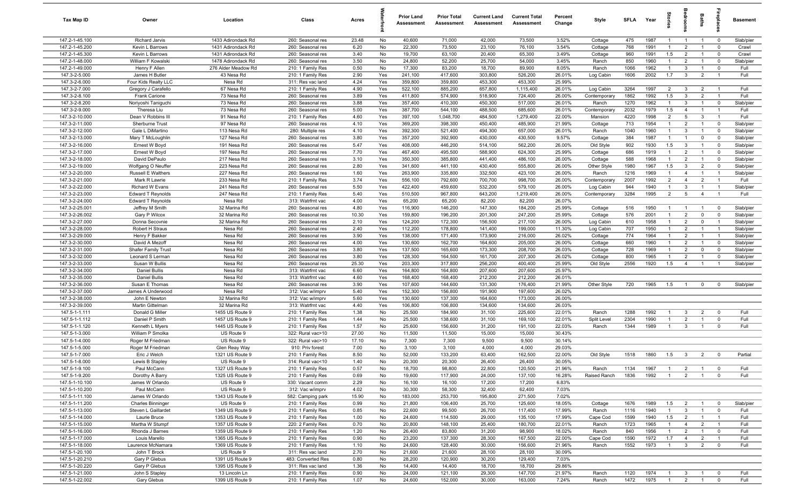| Tax Map ID                       | Owner                                 | Location                         | Class                                  | Acres        |            | <b>Prior Land</b><br>Assessment | <b>Prior Total</b><br>Assessment | <b>Current Land</b><br>Assessment | <b>Current Total</b><br>Assessment | Percent<br>Change | Style                   | <b>SFI A</b> | Year         | ĝ                            | droom                            | Baths                            | repla                         | <b>Basement</b>        |
|----------------------------------|---------------------------------------|----------------------------------|----------------------------------------|--------------|------------|---------------------------------|----------------------------------|-----------------------------------|------------------------------------|-------------------|-------------------------|--------------|--------------|------------------------------|----------------------------------|----------------------------------|-------------------------------|------------------------|
| 147.2-1-45.100                   | Richard Jarvis                        | 1433 Adirondack Rd               | 260: Seasonal res                      | 23.48        | No         | 40,600                          | 71,000                           | 42,000                            | 73,500                             | 3.52%             | Cottage                 | 475          | 1987         | $\overline{1}$               | $\overline{1}$                   | $\overline{1}$                   | $\overline{0}$                | Slab/pier              |
| 147.2-1-45.200                   | Kevin L Barrows                       | 1431 Adirondack Rd               | 260: Seasonal res                      | 6.20         | No         | 22,300                          | 73,500                           | 23,100                            | 76,100                             | 3.54%             | Cottage                 | 768          | 1991         | $\overline{1}$               | $\overline{2}$                   | $\overline{1}$                   | $\mathbf 0$                   | Crawl                  |
| 147.2-1-45.300                   | Kevin L Barrows                       | 1431 Adirondack Rd               | 260: Seasonal res                      | 3.40         | No         | 19,700                          | 63,100                           | 20,400                            | 65,300                             | 3.49%             | Cottage                 | 960          | 1991         | 1.5                          | $\overline{2}$                   | $\overline{1}$                   | $\mathbf 0$                   | Crawl                  |
| 147.2-1-48.000                   | William F Kowalski                    | 1478 Adirondack Rd               | 260: Seasonal res                      | 3.50         | No         | 24,800                          | 52,200                           | 25,700                            | 54,000                             | 3.45%             | Ranch                   | 850          | 1960         | $\mathbf{1}$                 | $\overline{2}$                   | $\overline{1}$                   | $\mathbf 0$                   | Slab/pier              |
| 147.2-1-49.000                   | Henry F Allen                         | 276 Alder Meadow Rd              | 210: 1 Family Res                      | 0.50         | No         | 17,300                          | 83,200                           | 18,700                            | 89,900                             | 8.05%             | Ranch                   | 1066         | 1962         | $\overline{1}$               | $\mathbf{3}$                     | $\overline{1}$                   | $\mathbf 0$                   | Full                   |
| 147.3-2-5.000                    | James H Butler                        | 43 Nesa Rd                       | 210: 1 Family Res                      | 2.90         | Yes        | 241,100                         | 417,600                          | 303,800                           | 526,200                            | 26.01%            | Log Cabin               | 1606         | 2002         | 1.7                          | $\mathbf{3}$                     | $\overline{2}$                   |                               | Full                   |
| 147.3-2-6.000                    | Four Kids Realty LLC                  | Nesa Rd                          | 311: Res vac land                      | 4.24         | Yes        | 359,800                         | 359,800                          | 453,300                           | 453,300                            | 25.99%            |                         |              |              |                              |                                  |                                  |                               |                        |
| 147.3-2-7.000                    | Gregory J Carafello                   | 67 Nesa Rd                       | 210: 1 Family Res                      | 4.90         | Yes        | 522,100                         | 885,200                          | 657,800                           | 1,115,400                          | 26.01%            | Log Cabin               | 3264         | 1997         | 2                            | $\mathbf{3}$                     | $\overline{2}$                   | $\overline{1}$                | Full                   |
| 147.3-2-8.100                    | <b>Frank Carione</b>                  | 73 Nesa Rd                       | 260: Seasonal res                      | 3.89         | Yes        | 411,800                         | 574,900                          | 518,900                           | 724,400                            | 26.00%            | Contemporary            | 1862         | 1992         | 1.5                          | $\mathbf{3}$                     | $\overline{2}$                   | $\overline{1}$                | Full                   |
| 147.3-2-8.200<br>147.3-2-9.000   | Noriyoshi Taniguchi<br>Theresa Liu    | 73 Nesa Rd<br>73 Nesa Rd         | 260: Seasonal res<br>260: Seasonal res | 3.88<br>5.00 | Yes        | 357,400<br>387,700              | 410,300<br>544,100               | 450,300<br>488,500                | 517,000<br>685,600                 | 26.01%<br>26.01%  | Ranch                   | 1270<br>2032 | 1962<br>1979 | $\overline{1}$<br>1.5        | $\mathbf{3}$<br>$\overline{4}$   | $\overline{1}$<br>$\overline{1}$ | $\mathbf 0$<br>$\overline{1}$ | Slab/pier<br>Full      |
| 147.3-2-10.000                   | Dean V Robbins III                    | 91 Nesa Rd                       | 210: 1 Family Res                      | 4.60         | Yes<br>Yes | 397,100                         | 1,048,700                        | 484,500                           | 1,279,400                          | 22.00%            | Contemporary<br>Mansion | 4220         | 1998         | $\overline{2}$               | $5\overline{5}$                  | $\mathbf{3}$                     | $\overline{1}$                | Full                   |
| 147.3-2-11.000                   | Sherburne Trust                       | 97 Nesa Rd                       | 260: Seasonal res                      | 4.10         | Yes        | 369,200                         | 398,300                          | 450,400                           | 485,900                            | 21.99%            | Cottage                 | 713          | 1954         | $\overline{1}$               | $\overline{2}$                   | $\overline{1}$                   | $^{\circ}$                    | Slab/pier              |
| 147.3-2-12.000                   | Gale L DiMartino                      | 113 Nesa Rd                      | 280: Multiple res                      | 4.10         | Yes        | 392,300                         | 521,400                          | 494,300                           | 657,000                            | 26.01%            | Ranch                   | 1040         | 1960         | $\overline{1}$               | $\mathbf{3}$                     | $\overline{1}$                   | $\mathbf 0$                   | Slab/pier              |
| 147.3-2-13.000                   | Mary T McLoughlin                     | 127 Nesa Rd                      | 260: Seasonal res                      | 3.80         | Yes        | 357,200                         | 392,900                          | 430,000                           | 430,500                            | 9.57%             | Cottage                 | 384          | 1987         | $\overline{1}$               | $\overline{1}$                   | $\mathbf 0$                      | $\mathbf 0$                   | Slab/pier              |
| 147.3-2-16.000                   | Ernest W Boyd                         | 191 Nesa Rd                      | 260: Seasonal res                      | 5.47         | Yes        | 408,000                         | 446,200                          | 514,100                           | 562,200                            | 26.00%            | Old Style               | 902          | 1930         | 1.5                          | $\mathbf{3}$                     | $\overline{1}$                   | $\mathbf 0$                   | Slab/pier              |
| 147.3-2-17.000                   | Ernest W Boyd                         | 197 Nesa Rd                      | 260: Seasonal res                      | 7.70         | Yes        | 467,400                         | 495,500                          | 588,900                           | 624,300                            | 25.99%            | Cottage                 | 686          | 1919         | $\mathbf{1}$                 | $\overline{2}$                   | $\overline{1}$                   | $^{\circ}$                    | Slab/pier              |
| 147.3-2-18.000                   | David DePaulo                         | 217 Nesa Rd                      | 260: Seasonal res                      | 3.10         | Yes        | 350,300                         | 385,800                          | 441,400                           | 486,100                            | 26.00%            | Cottage                 | 588          | 1968         | $\mathbf{1}$                 | $\overline{2}$                   | $\overline{1}$                   | $\mathbf 0$                   | Slab/pier              |
| 147.3-2-19.000                   | Wolfgang O Neuffer                    | 223 Nesa Rd                      | 260: Seasonal res                      | 2.80         | Yes        | 341,600                         | 441,100                          | 430,400                           | 555,800                            | 26.00%            | Other Style             | 1980         | 1967         | 1.5                          | $\mathbf{3}$                     | $\overline{2}$                   | $\Omega$                      | Slab/pier              |
| 147.3-2-20.000                   | <b>Russell E Walthers</b>             | 227 Nesa Rd                      | 260: Seasonal res                      | 1.60         | Yes        | 263,900                         | 335,800                          | 332,500                           | 423,100                            | 26.00%            | Ranch                   | 1216         | 1969         | $\mathbf{1}$                 | $\overline{4}$                   | $\overline{1}$                   |                               | Slab/pier              |
| 147.3-2-21.000                   | Mark R Lawrie                         | 233 Nesa Rd                      | 210: 1 Family Res                      | 3.74         | Yes        | 556,100                         | 792,600                          | 700,700                           | 998,700                            | 26.00%            | Contemporary            | 2007         | 1992         | 2                            | $\overline{4}$                   | $\overline{2}$                   | $\overline{1}$                | Full                   |
| 147.3-2-22.000                   | Richard W Evans                       | 241 Nesa Rd                      | 260: Seasonal res                      | 5.50         | Yes        | 422,400                         | 459,600                          | 532,200                           | 579,100                            | 26.00%            | Log Cabin               | 944          | 1940         | $\overline{1}$               | $\mathbf{3}$                     | $\overline{1}$                   | $\overline{1}$                | Slab/pier              |
| 147.3-2-23.000                   | <b>Edward T Reynolds</b>              | 247 Nesa Rd                      | 210: 1 Family Res                      | 5.40         | Yes        | 510,500                         | 967,800                          | 643,200                           | 1,219,400                          | 26.00%            | Contemporary            | 3284         | 1995         | $\overline{2}$               | 5                                | $\overline{4}$                   | $\overline{1}$                | Full                   |
| 147.3-2-24.000                   | <b>Edward T Reynolds</b>              | Nesa Rd                          | 313: Watrfrnt vac                      | 4.00         | Yes        | 65,200                          | 65,200                           | 82,200                            | 82,200                             | 26.07%            |                         |              |              |                              |                                  |                                  |                               |                        |
| 147.3-2-25.001                   | Jeffrey M Smith                       | 32 Marina Rd                     | 260: Seasonal res                      | 4.80         | Yes        | 116,900                         | 146,200                          | 147,300                           | 184,200                            | 25.99%            | Cottage                 | 516          | 1950         | $\overline{1}$               | $\overline{1}$                   | $\overline{1}$                   | $^{\circ}$                    | Slab/pier              |
| 147.3-2-26.002                   | Gary P Wilcox                         | 32 Marina Rd                     | 260: Seasonal res                      | 10.30        | Yes        | 159,800                         | 196,200                          | 201,300                           | 247,200                            | 25.99%            | Cottage                 | 576          | 2001         | $\overline{1}$               | $\overline{2}$                   | $\mathbf 0$                      | $^{\circ}$                    | Slab/pier              |
| 147.3-2-27.000                   | Donna Secovnie                        | 32 Marina Rd                     | 260: Seasonal res                      | 2.10         | Yes        | 124,200                         | 172,300                          | 156,500                           | 217,100                            | 26.00%            | Log Cabin               | 610          | 1958         | $\overline{1}$               | 2                                | $\mathbf 0$                      | $\overline{1}$                | Slab/pier              |
| 147.3-2-28.000                   | Robert H Straus                       | Nesa Rd                          | 260: Seasonal res                      | 2.40         | Yes        | 112,200                         | 178,800                          | 141,400                           | 199,000                            | 11.30%            | Log Cabin               | 707          | 1950         | $\overline{1}$               | $\overline{2}$                   | $\overline{1}$                   |                               | Slab/pier              |
| 147.3-2-29.000                   | Henry F Bakker                        | Nesa Rd                          | 260: Seasonal res                      | 3.90         | Yes        | 138,000                         | 171,400                          | 173,900                           | 216,000                            | 26.02%            | Cottage                 | 774          | 1964         | $\mathbf{1}$                 | $\overline{2}$                   | $\overline{1}$                   | $\overline{1}$                | Slab/pier              |
| 147.3-2-30.000<br>147.3-2-31.000 | David A Mezoff<br>Shafer Family Trust | Nesa Rd<br>Nesa Rd               | 260: Seasonal res<br>260: Seasonal res | 4.00<br>3.80 | Yes<br>Yes | 130,600<br>137,500              | 162,700<br>165,600               | 164,600<br>173,300                | 205,000<br>208,700                 | 26.00%<br>26.03%  | Cottage<br>Cottage      | 660<br>728   | 1960<br>1969 | $\mathbf{1}$<br>$\mathbf{1}$ | $\overline{2}$<br>$\overline{2}$ | $\mathbf 0$                      | $^{\circ}$<br>$^{\circ}$      | Slab/pier<br>Slab/pier |
| 147.3-2-32.000                   | Leonard S Lerman                      | Nesa Rd                          | 260: Seasonal res                      | 3.80         | Yes        | 128,300                         | 164,500                          | 161,700                           | 207,300                            | 26.02%            | Cottage                 | 800          | 1965         | $\mathbf{1}$                 | $\overline{2}$                   |                                  | $\Omega$                      | Slab/pier              |
| 147.3-2-33.000                   | Susan W Bullis                        | Nesa Rd                          | 260: Seasonal res                      | 25.30        | Yes        | 203,300                         | 317,800                          | 256,200                           | 400,400                            | 25.99%            | Old Style               | 2556         | 1920         | 1.5                          | $\overline{4}$                   |                                  |                               | Slab/pier              |
| 147.3-2-34.000                   | <b>Daniel Bullis</b>                  | Nesa Rd                          | 313: Watrfrnt vac                      | 6.60         | Yes        | 164,800                         | 164,800                          | 207,600                           | 207,600                            | 25.97%            |                         |              |              |                              |                                  |                                  |                               |                        |
| 147.3-2-35.000                   | <b>Daniel Bullis</b>                  | Nesa Rd                          | 313: Watrfrnt vac                      | 4.60         | Yes        | 168,400                         | 168,400                          | 212,200                           | 212,200                            | 26.01%            |                         |              |              |                              |                                  |                                  |                               |                        |
| 147.3-2-36.000                   | Susan E Thomas                        | Nesa Rd                          | 260: Seasonal res                      | 3.90         | Yes        | 107,600                         | 144,600                          | 131,300                           | 176,400                            | 21.99%            | Other Style             | 720          | 1965         | 1.5                          | $\overline{1}$                   | $\mathbf 0$                      | $^{\circ}$                    | Slab/pier              |
| 147.3-2-37.000                   | James A Underwood                     | Nesa Rd                          | 312: Vac w/imprv                       | 5.40         | Yes        | 152,300                         | 156,800                          | 191,900                           | 197,600                            | 26.02%            |                         |              |              |                              |                                  |                                  |                               |                        |
| 147.3-2-38.000                   | John E Newton                         | 32 Marina Rd                     | 312: Vac w/imprv                       | 5.60         | Yes        | 130,600                         | 137,300                          | 164,600                           | 173,000                            | 26.00%            |                         |              |              |                              |                                  |                                  |                               |                        |
| 147.3-2-39.000                   | Martin Gittelman                      | 32 Marina Rd                     | 313: Watrfrnt vac                      | 4.40         | Yes        | 106,800                         | 106,800                          | 134,600                           | 134,600                            | 26.03%            |                         |              |              |                              |                                  |                                  |                               |                        |
| 147.5-1-1.111                    | Donald G Miller                       | 1455 US Route 9                  | 210: 1 Family Res                      | 1.38         | No         | 25,500                          | 184,900                          | 31,100                            | 225,600                            | 22.01%            | Ranch                   | 1288         | 1992         | $\mathbf{1}$                 | $\mathbf{3}$                     | $\overline{2}$                   | $\mathbf 0$                   | Full                   |
| 147.5-1-1.112                    | Daniel P Smith                        | 1457 US Route 9                  | 210: 1 Family Res                      | 1.44         | No         | 25,500                          | 138,600                          | 31,100                            | 169,100                            | 22.01%            | Split Level             | 2304         | 1990         | $\overline{1}$               | $\overline{2}$                   | $\overline{1}$                   | $^{\circ}$                    | Full                   |
| 147.5-1-1.120                    | Kenneth L Myers                       | 1445 US Route 9                  | 210: 1 Family Res                      | 1.57         | No         | 25,600                          | 156,600                          | 31,200                            | 191,100                            | 22.03%            | Ranch                   | 1344         | 1989         | $\overline{1}$               | $\mathbf{3}$                     | $\mathbf{1}$                     | $\mathbf 0$                   | Full                   |
| 147.5-1-3.000                    | William P Smolka                      | US Route 9                       | 322: Rural vac>10                      | 27.00        | No         | 11,500                          | 11,500                           | 15,000                            | 15,000                             | 30.43%            |                         |              |              |                              |                                  |                                  |                               |                        |
| 147.5-1-4.000                    | Roger M Friedman                      | US Route 9                       | 322: Rural vac>10                      | 17.10        | No         | 7,300                           | 7,300                            | 9,500                             | 9,500                              | 30.14%            |                         |              |              |                              |                                  |                                  |                               |                        |
| 147.5-1-5.000                    | Roger M Friedman                      | Glen Reay Way<br>1321 US Route 9 | 910: Priv forest                       | 7.00<br>8.50 | No<br>No   | 3,100<br>52,000                 | 3,100<br>133,200                 | 4,000<br>63,400                   | 4,000<br>162,500                   | 29.03%<br>22.00%  |                         | 1518         | 1860         | 1.5                          |                                  | 2                                | $^{\circ}$                    | Partial                |
| 147.5-1-7.000<br>147.5-1-8.000   | Eric J Welch<br>Lewis B Stapley       | US Route 9                       | 210: 1 Family Res<br>314: Rural vac<10 | 1.40         | No         | 20,300                          | 20,300                           | 26,400                            | 26,400                             | 30.05%            | Old Style               |              |              |                              | $\mathbf{3}$                     |                                  |                               |                        |
| 147.5-1-9.100                    | Paul McCann                           | 1327 US Route 9                  | 210: 1 Family Res                      | 0.57         | No         | 18,700                          | 98,800                           | 22,800                            | 120,500                            | 21.96%            | Ranch                   | 1134         | 1967         | $\overline{1}$               | $\overline{2}$                   | $\overline{1}$                   | $\overline{\mathbf{0}}$       | Full                   |
| 147.5-1-9.200                    | Dorothy A Barry                       | 1325 US Route 9                  | 210: 1 Family Res                      | 0.69         | No         | 19,600                          | 117,900                          | 24,000                            | 137,100                            | 16.28%            | Raised Ranch            | 1836         | 1992         | $\overline{1}$               | $\overline{2}$                   | $\overline{1}$                   | $\Omega$                      | Full                   |
| 147.5-1-10.100                   | James W Orlando                       | US Route 9                       | 330: Vacant comm                       | 2.29         | No         | 16,100                          | 16,100                           | 17,200                            | 17,200                             | 6.83%             |                         |              |              |                              |                                  |                                  |                               |                        |
| 147.5-1-10.200                   | Paul McCann                           | US Route 9                       | 312: Vac w/imprv                       | 4.02         | No         | 30,300                          | 58,300                           | 32,400                            | 62,400                             | 7.03%             |                         |              |              |                              |                                  |                                  |                               |                        |
| 147.5-1-11.100                   | James W Orlando                       | 1343 US Route 9                  | 582: Camping park                      | 15.90        | No         | 183,000                         | 253,700                          | 195,800                           | 271,500                            | 7.02%             |                         |              |              |                              |                                  |                                  |                               |                        |
| 147.5-1-11.200                   | <b>Charles Binninger</b>              | US Route 9                       | 210: 1 Family Res                      | 0.99         | No         | 21,800                          | 106,400                          | 25,700                            | 125,600                            | 18.05%            | Cottage                 | 1676         | 1989         | 1.5                          | $\overline{2}$                   | $\overline{1}$                   | $\overline{0}$                | Slab/pier              |
| 147.5-1-13.000                   | Steven L Gaillardet                   | 1349 US Route 9                  | 210: 1 Family Res                      | 0.85         | No         | 22,600                          | 99,500                           | 26,700                            | 117,400                            | 17.99%            | Ranch                   | 1116         | 1940         | $\overline{1}$               | $\mathbf{3}$                     | $\mathbf{1}$                     | $\mathbf 0$                   | Full                   |
| 147.5-1-14.000                   | Laurie Bruce                          | 1353 US Route 9                  | 210: 1 Family Res                      | 1.00         | No         | 24,600                          | 114,500                          | 29,000                            | 135,100                            | 17.99%            | Cape Cod                | 1599         | 1940         | 1.5                          | $\overline{2}$                   | $\mathbf{1}$                     | $\overline{1}$                | Full                   |
| 147.5-1-15.000                   | Martha W Stumpf                       | 1357 US Route 9                  | 220: 2 Family Res                      | 0.70         | No         | 20,800                          | 148,100                          | 25,400                            | 180,700                            | 22.01%            | Ranch                   | 1723         | 1965         | $\mathbf{1}$                 | $\overline{4}$                   | $\overline{2}$                   |                               | Full                   |
| 147.5-1-16.000                   | Rhonda J Barnes                       | 1359 US Route 9                  | 210: 1 Family Res                      | 1.20         | No         | 26,400                          | 83,800                           | 31,200                            | 98,900                             | 18.02%            | Ranch                   | 840          | 1956         | $\mathbf{1}$                 | $\overline{2}$                   | $\overline{1}$                   | $\mathbf 0$                   | Full                   |
| 147.5-1-17.000                   | Louis Marello                         | 1365 US Route 9                  | 210: 1 Family Res                      | 0.90         | No         | 23,200                          | 137,300                          | 28,300                            | 167,500                            | 22.00%            | Cape Cod                | 1590         | 1972         | 1.7                          | $\overline{4}$                   | $\overline{2}$                   | $\overline{1}$                | Full                   |
| 147.5-1-18.000                   | Laurence McNamara                     | 1369 US Route 9                  | 210: 1 Family Res                      | 1.10         | No         | 24,600                          | 128,400                          | 30,000                            | 156,600                            | 21.96%            | Ranch                   | 1552         | 1973         | $\mathbf{1}$                 | $\mathbf{3}$                     | $\overline{2}$                   | $\overline{0}$                | Full                   |
| 147.5-1-20.100                   | John T Brock                          | US Route 9                       | 311: Res vac land                      | 2.70         | No         | 21,600                          | 21,600                           | 28,100                            | 28,100                             | 30.09%            |                         |              |              |                              |                                  |                                  |                               |                        |
| 147.5-1-20.210                   | Gary P Glebus                         | 1391 US Route 9                  | 483: Converted Res                     | 0.80         | No         | 28,200                          | 120,900                          | 30,200                            | 129,400                            | 7.03%             |                         |              |              |                              |                                  |                                  |                               |                        |
| 147.5-1-20.220<br>147.5-1-21.000 | Gary P Glebus<br>John S Stapley       | 1395 US Route 9<br>13 Lincoln Ln | 311: Res vac land                      | 1.36<br>0.90 | No<br>No   | 14,400<br>24,000                | 14,400<br>121,100                | 18,700<br>29,300                  | 18,700<br>147,700                  | 29.86%<br>21.97%  | Ranch                   | 1120         | 1974         | $\overline{1}$               | $\mathbf{3}$                     | $\mathbf{1}$                     | $^{\circ}$                    | Full                   |
| 147.5-1-22.002                   | Gary Glebus                           | 1399 US Route 9                  | 210: 1 Family Res<br>210: 1 Family Res | 1.07         | No         | 24,600                          | 152,000                          | 30,000                            | 163,000                            | 7.24%             | Ranch                   | 1472         | 1975         | $\overline{1}$               | $\overline{2}$                   | $\overline{1}$                   | $\mathbf 0$                   | Full                   |
|                                  |                                       |                                  |                                        |              |            |                                 |                                  |                                   |                                    |                   |                         |              |              |                              |                                  |                                  |                               |                        |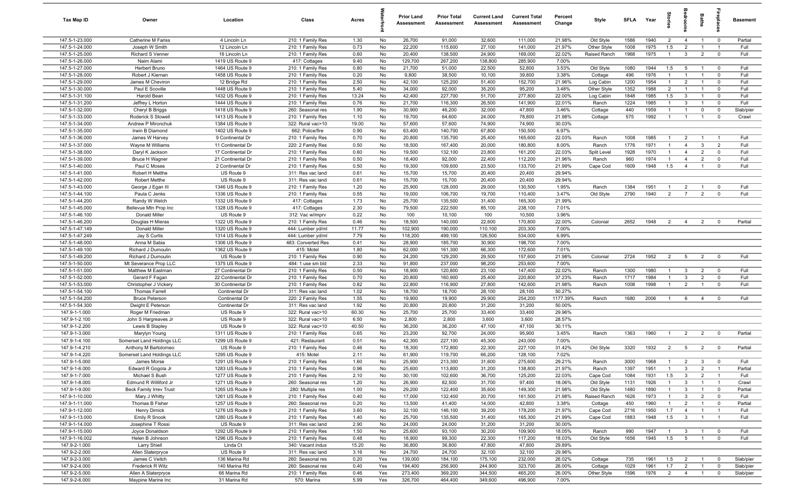| Tax Map ID                       | Owner                                   | Location                               | Class                                  | Acres        |          | <b>Prior Land</b><br>Assessment | <b>Prior Total</b><br>Assessment | <b>Current Land</b><br>Assessment | <b>Current Total</b><br>Assessment | Percent<br>Change | Style              | <b>SFI A</b> | Year         | tories                           | droom                          | Baths                            | ireplace                   | <b>Basement</b> |
|----------------------------------|-----------------------------------------|----------------------------------------|----------------------------------------|--------------|----------|---------------------------------|----------------------------------|-----------------------------------|------------------------------------|-------------------|--------------------|--------------|--------------|----------------------------------|--------------------------------|----------------------------------|----------------------------|-----------------|
| 147.5-1-23.000                   | <b>Catherine M Fariss</b>               | 4 Lincoln Ln                           | 210: 1 Family Res                      | 1.30         | No       | 26,700                          | 91,000                           | 32,600                            | 111,000                            | 21.98%            | Old Style          | 1586         | 1940         | $\overline{2}$                   | $\overline{4}$                 | $\overline{1}$                   | $\overline{0}$             | Partial         |
| 147.5-1-24.000                   | Joseph W Smith                          | 12 Lincoln Ln                          | 210: 1 Family Res                      | 0.73         | No       | 22,200                          | 115,600                          | 27,100                            | 141,000                            | 21.97%            | Other Style        | 1008         | 1975         | 1.5                              | $\overline{2}$                 | $\overline{1}$                   | $\overline{1}$             | Full            |
| 147.5-1-25.000                   | Richard S Venner                        | 16 Lincoln Ln                          | 210: 1 Family Res                      | 0.60         | No       | 20,400                          | 138,500                          | 24,900                            | 169,000                            | 22.02%            | Raised Ranch       | 1968         | 1975         | $\mathbf{1}$                     | $\mathbf{3}$                   | $\overline{2}$                   | $\mathbf 0$                | Full            |
| 147.5-1-26.000                   | Naim Alami                              | 1419 US Route 9                        | 417: Cottages                          | 9.40         | No       | 129,700                         | 267,200                          | 138,800                           | 285,900                            | 7.00%             |                    |              |              |                                  |                                |                                  |                            |                 |
| 147.5-1-27.000                   | Herbert Bruno                           | 1464 US Route 9                        | 210: 1 Family Res                      | 0.80         | No       | 21,700                          | 51,000                           | 22,500                            | 52,800                             | 3.53%             | Old Style          | 1080         | 1944         | 1.5                              | 5                              |                                  | $\overline{0}$             | Full            |
| 147.5-1-28.000                   | Robert J Kiernan                        | 1458 US Route 9                        | 210: 1 Family Res                      | 0.20         | No       | 9,800                           | 38,500                           | 10,100                            | 39,800                             | 3.38%             | Cottage            | 496          | 1976         | $\overline{1}$                   | $\overline{1}$                 |                                  | $\mathbf 0$                | Full            |
| 147.5-1-29.000                   | James M Cheviron                        | 12 Bridge Rd                           | 210: 1 Family Res                      | 2.50         | No       | 42,100                          | 125,200                          | 51,400                            | 152,700                            | 21.96%            | Log Cabin          | 1200         | 1954         | $\mathbf{1}$                     | $\overline{2}$                 | $\mathbf{1}$                     | $^{\circ}$                 | Full            |
| 147.5-1-30.000                   | Paul E Scoville                         | 1448 US Route 9                        | 210: 1 Family Res                      | 5.40         | No       | 34,000                          | 92,000                           | 35,200                            | 95,200                             | 3.48%             | Other Style        | 1352         | 1988         | 2                                | $\overline{1}$                 |                                  | $\mathbf 0$                | Full            |
| 147.5-1-31.100                   | Harold Bean                             | 1432 US Route 9                        | 210: 1 Family Res                      | 13.24        | No       | 42,400                          | 227,700                          | 51,700                            | 277,800                            | 22.00%            | Log Cabin          | 1848<br>1224 | 1985<br>1985 | 1.5<br>$\overline{1}$            | $\mathbf{3}$                   | $\overline{1}$<br>$\overline{1}$ | $^{\circ}$                 | Full<br>Full    |
| 147.5-1-31.200<br>147.5-1-32.000 | Jeffrey L Horton                        | 1444 US Route 9<br>1418 US Route 9     | 210: 1 Family Res<br>260: Seasonal res | 0.76<br>1.90 | No<br>No | 21,700<br>30,900                | 116,300<br>46,200                | 26,500<br>32,000                  | 141,900<br>47,800                  | 22.01%            | Ranch              | 440          | 1959         | $\overline{1}$                   | $\mathbf{3}$<br>$\overline{1}$ | $\mathbf 0$                      | $\mathbf 0$<br>$\mathbf 0$ | Slab/pier       |
| 147.5-1-33.000                   | Cheryl B Briggs<br>Roderick S Stowell   | 1413 US Route 9                        | 210: 1 Family Res                      | 1.10         | No       | 19,700                          | 64,600                           | 24,000                            | 78,800                             | 3.46%<br>21.98%   | Cottage<br>Cottage | 575          | 1992         | $\overline{1}$                   | $\overline{1}$                 | $\overline{1}$                   | $\mathbf 0$                | Crawl           |
| 147.5-1-34.000                   | Andrew P Mironchuk                      | 1384 US Route 9                        | 322: Rural vac>10                      | 19.00        | No       | 57,600                          | 57,600                           | 74,900                            | 74,900                             | 30.03%            |                    |              |              |                                  |                                |                                  |                            |                 |
| 147.5-1-35.000                   | Irwin B Diamond                         | 1402 US Route 9                        | 662: Police/fire                       | 0.90         | No       | 63,400                          | 140,700                          | 67,800                            | 150,500                            | 6.97%             |                    |              |              |                                  |                                |                                  |                            |                 |
| 147.5-1-36.000                   | James W Harvey                          | 9 Continental Dr                       | 210: 1 Family Res                      | 0.70         | No       | 20,800                          | 135,700                          | 25,400                            | 165,600                            | 22.03%            | Ranch              | 1008         | 1985         | $\overline{1}$                   | $\overline{2}$                 | $\overline{1}$                   | - 1                        | Full            |
| 147.5-1-37.000                   | Wayne M Williams                        | 11 Continental Dr                      | 220: 2 Family Res                      | 0.50         | No       | 18,500                          | 167,400                          | 20,000                            | 180,800                            | 8.00%             | Ranch              | 1776         | 1971         | $\overline{1}$                   | $\overline{4}$                 | $\mathbf{3}$                     | $\overline{2}$             | Full            |
| 147.5-1-38.000                   | Daryl K Jackson                         | 17 Continental Dr                      | 210: 1 Family Res                      | 0.60         | No       | 19,500                          | 132,100                          | 23,800                            | 161,200                            | 22.03%            | Split Level        | 1928         | 1970         | $\mathbf{1}$                     | $\overline{4}$                 | $\overline{2}$                   | $\Omega$                   | Full            |
| 147.5-1-39.000                   | Bruce H Wagner                          | 21 Continental Dr                      | 210: 1 Family Res                      | 0.50         | No       | 18,400                          | 92,000                           | 22,400                            | 112,200                            | 21.96%            | Ranch              | 960          | 1974         | $\mathbf{1}$                     | $\overline{4}$                 | $\overline{2}$                   | $\Omega$                   | Full            |
| 147.5-1-40.000                   | Paul C Moses                            | 2 Continental Dr                       | 210: 1 Family Res                      | 0.50         | No       | 19,300                          | 109,600                          | 23,500                            | 133,700                            | 21.99%            | Cape Cod           | 1609         | 1948         | 1.5                              | $\overline{4}$                 |                                  | $\Omega$                   | Full            |
| 147.5-1-41.000                   | Robert H Metthe                         | US Route 9                             | 311: Res vac land                      | 0.61         | No       | 15,700                          | 15,700                           | 20,400                            | 20,400                             | 29.94%            |                    |              |              |                                  |                                |                                  |                            |                 |
| 147.5-1-42.000                   | <b>Robert Metthe</b>                    | US Route 9                             | 311: Res vac land                      | 0.61         | No       | 15,700                          | 15,700                           | 20,400                            | 20,400                             | 29.94%            |                    |              |              |                                  |                                |                                  |                            |                 |
| 147.5-1-43.000                   | George J Egan III                       | 1346 US Route 9                        | 210: 1 Family Res                      | 1.20         | No       | 25,900                          | 128,000                          | 29,000                            | 130,500                            | 1.95%             | Ranch              | 1384         | 1951         | $\overline{1}$                   | $\overline{2}$                 | $\overline{1}$                   | $^{\circ}$                 | Full            |
| 147.5-1-44.100                   | Paula C Jenks                           | 1336 US Route 9                        | 210: 1 Family Res                      | 0.55         | No       | 19,000                          | 106,700                          | 19,700                            | 110,400                            | 3.47%             | Old Style          | 2790         | 1940         | 2                                | $\overline{7}$                 | $\overline{2}$                   | $\mathbf 0$                | Full            |
| 147.5-1-44.200                   | Randy W Welch                           | 1332 US Route 9                        | 417: Cottages                          | 1.73         | No       | 25,700                          | 135,500                          | 31,400                            | 165,300                            | 21.99%            |                    |              |              |                                  |                                |                                  |                            |                 |
| 147.5-1-45.000                   | Bellevue Mtn Prop Inc                   | 1328 US Route 9                        | 417: Cottages                          | 2.30         | No       | 79,500                          | 222,500                          | 85,100                            | 238,100                            | 7.01%             |                    |              |              |                                  |                                |                                  |                            |                 |
| 147.5-1-46.100                   | Donald Miller                           | US Route 9                             | 312: Vac w/imprv                       | 0.22         | No       | 100                             | 10,100                           | 100                               | 10,500                             | 3.96%             |                    |              |              |                                  |                                |                                  |                            |                 |
| 147.5-1-46.200                   | Douglas H Mieras                        | 1322 US Route 9                        | 210: 1 Family Res                      | 0.46         | No       | 18,500                          | 140,000                          | 22,600                            | 170,800                            | 22.00%            | Colonial           | 2652         | 1948         | $\overline{2}$                   | $\overline{4}$                 | $\overline{2}$                   | $^{\circ}$                 | Partial         |
| 147.5-1-47.149                   | Donald Miller                           | 1320 US Route 9                        | 444: Lumber yd/ml                      | 11.77        | No       | 102,900                         | 190,000                          | 110,100                           | 203,300                            | 7.00%             |                    |              |              |                                  |                                |                                  |                            |                 |
| 147.5-1-47.249                   | Jay S Curtis                            | 1314 US Route 9                        | 444: Lumber yd/ml                      | 7.79         | No       | 118,200                         | 499,100                          | 126,500                           | 534,000                            | 6.99%             |                    |              |              |                                  |                                |                                  |                            |                 |
| 147.5-1-48.000                   | Anna M Sabia                            | 1306 US Route 9                        | 483: Converted Res                     | 0.41         | No       | 28,900                          | 185,700                          | 30,900                            | 198,700                            | 7.00%             |                    |              |              |                                  |                                |                                  |                            |                 |
| 147.5-1-49.100                   | Richard J Dumoulin                      | 1362 US Route 9                        | 415: Motel                             | 1.80         | No       | 62,000                          | 161,300                          | 66,300                            | 172,600                            | 7.01%             |                    |              |              |                                  |                                |                                  |                            |                 |
| 147.5-1-49.200                   | Richard J Dumoulin                      | US Route 9                             | 210: 1 Family Res                      | 0.90         | No       | 24,200                          | 129,200                          | 29,500                            | 157,600                            | 21.98%            | Colonial           | 2724         | 1952         | $\overline{2}$                   | $5\overline{5}$                | $\overline{2}$                   | $\overline{0}$             | Full            |
| 147.5-1-50.000                   | Mt Severance Prop LLC                   | 1375 US Route 9                        | 484: 1 use sm bld                      | 2.33         | No       | 91,800                          | 237,000                          | 98,200                            | 253,600                            | 7.00%             |                    |              |              |                                  |                                |                                  |                            |                 |
| 147.5-1-51.000                   | Matthew M Eastman                       | 27 Continental Dr                      | 210: 1 Family Res                      | 0.50         | No       | 18,900                          | 120,800                          | 23,100                            | 147,400                            | 22.02%            | Ranch              | 1300         | 1980         | $\overline{1}$                   | $\mathbf{3}$                   | $\overline{2}$                   | $\mathbf 0$                | Full            |
| 147.5-1-52.000<br>147.5-1-53.000 | Gerard F Fagan<br>Christopher J Vickery | 22 Continental Dr<br>30 Continental Dr | 210: 1 Family Res<br>210: 1 Family Res | 0.70<br>0.82 | No<br>No | 20,800<br>22,800                | 160,900<br>116,900               | 25,400<br>27,800                  | 220,800<br>142,600                 | 37.23%<br>21.98%  | Ranch<br>Ranch     | 1717<br>1008 | 1984<br>1998 | $\overline{1}$<br>$\overline{1}$ | $\mathbf{3}$<br>2              | $\overline{2}$<br>$\overline{1}$ | $\mathbf 0$<br>$\mathbf 0$ | Full<br>Full    |
| 147.5-1-54.100                   | <b>Thomas Farrell</b>                   | Continental Dr                         | 311: Res vac land                      | 1.02         | No       | 18,700                          | 18,700                           | 28,100                            | 28,100                             | 50.27%            |                    |              |              |                                  |                                |                                  |                            |                 |
| 147.5-1-54.200                   | <b>Bruce Peterson</b>                   | Continental Dr                         | 220: 2 Family Res                      | 1.55         | No       | 19,900                          | 19,900                           | 29,900                            | 254,200                            | 1177.39%          | Ranch              | 1680         | 2006         | $\overline{1}$                   | 6                              | $\overline{4}$                   | $\mathbf 0$                | Full            |
| 147.5-1-54.300                   | Dwight E Peterson                       | Continental Dr                         | 311: Res vac land                      | 1.92         | No       | 20,800                          | 20,800                           | 31,200                            | 31,200                             | 50.00%            |                    |              |              |                                  |                                |                                  |                            |                 |
| 147.9-1-1.000                    | Roger M Friedman                        | US Route 9                             | 322: Rural vac>10                      | 60.30        | No       | 25,700                          | 25,700                           | 33,400                            | 33,400                             | 29.96%            |                    |              |              |                                  |                                |                                  |                            |                 |
| 147.9-1-2.100                    | John S Hargreaves Jr                    | US Route 9                             | 322: Rural vac>10                      | 6.50         | No       | 2,800                           | 2,800                            | 3,600                             | 3,600                              | 28.57%            |                    |              |              |                                  |                                |                                  |                            |                 |
| 147.9-1-2.200                    | Lewis B Stapley                         | US Route 9                             | 322: Rural vac>10                      | 40.50        | No       | 36,200                          | 36,200                           | 47,100                            | 47,100                             | 30.11%            |                    |              |              |                                  |                                |                                  |                            |                 |
| 147.9-1-3.000                    | Marylyn Young                           | 1311 US Route 9                        | 210: 1 Family Res                      | 0.65         | No       | 23,200                          | 92,700                           | 24,000                            | 95,900                             | 3.45%             | Ranch              | 1363         | 1960         | $\overline{1}$                   | $\overline{2}$                 | $\overline{2}$                   | $\mathbf 0$                | Partial         |
| 147.9-1-4.100                    | Somerset Land Holdings LLC              | 1299 US Route 9                        | 421: Restaurant                        | 0.51         | No       | 42,300                          | 227,100                          | 45,300                            | 243,000                            | 7.00%             |                    |              |              |                                  |                                |                                  |                            |                 |
| 147.9-1-4.210                    | Anthony M Bartolomeo                    | US Route 9                             | 210: 1 Family Res                      | 0.46         | No       | 18,300                          | 172,800                          | 22,300                            | 227,100                            | 31.42%            | Old Style          | 3320         | 1932         | $\overline{2}$                   | 5                              | $\overline{2}$                   | $\mathbf 0$                | Partial         |
| 147.9-1-4.220                    | Somerset Land Holdings LLC              | 1295 US Route 9                        | 415: Motel                             | 2.11         | No       | 61,900                          | 119,700                          | 66,200                            | 128,100                            | 7.02%             |                    |              |              |                                  |                                |                                  |                            |                 |
| 147.9-1-5.000                    | James Morse                             | 1291 US Route 9                        | 210: 1 Family Res                      | 1.60         | No       | 25,900                          | 213,300                          | 31,600                            | 275,600                            | 29.21%            | Ranch              | 3000         | 1968         | $\overline{1}$                   | $\mathcal{D}$                  | $\mathbf{3}$                     |                            | Full            |
| 147.9-1-6.000                    | Edward R Gogola Jr                      | 1283 US Route 9                        | 210: 1 Family Res                      | 0.96         | No       | 25,600                          | 113,800                          | 31,200                            | 138,800                            | 21.97%            | Ranch              | 1397         | 1951         | $\overline{1}$                   | $\mathbf{3}$                   | $\overline{2}$                   | $\overline{1}$             | Partial         |
| 147.9-1-7.000                    | Michael S Bush                          | 1277 US Route 9                        | 210: 1 Family Res                      | 2.10         | No       | 30,100                          | 102,600                          | 36,700                            | 125,200                            | 22.03%            | Cape Cod           | 1084         | 1931         | 1.5                              | $\mathbf{3}$                   | $\overline{2}$                   | $\overline{1}$             | Full            |
| 147.9-1-8.000                    | Edmund R Williford Jr                   | 1271 US Route 9                        | 260: Seasonal res                      | 1.20         | No       | 26,900                          | 82,500                           | 31,700                            | 97,400                             | 18.06%            | Old Style          | 1131         | 1926         | $\mathbf{1}$                     | $\mathbf{3}$                   | $\overline{1}$                   | $\overline{1}$             | Crawl           |
| 147.9-1-9.000                    | <b>Beck Family Irrev Trust</b>          | 1265 US Route 9                        | 280: Multiple res                      | 1.00         | No       | 29,200                          | 122,400                          | 35,600                            | 149,300                            | 21.98%            | Old Style          | 1480         | 1890         | $\overline{1}$                   | $\mathbf{3}$                   | $\overline{1}$                   | $\overline{\mathbf{0}}$    | Partial         |
| 147.9-1-10.000                   | Mary J Whitty                           | 1261 US Route 9                        | 210: 1 Family Res                      | 0.40         | No       | 17,000                          | 132,400                          | 20,700                            | 161,500                            | 21.98%            | Raised Ranch       | 1626         | 1973         | $\overline{1}$                   | $\mathbf{3}$                   | $\overline{2}$                   | $\mathbf 0$                | Full            |
| 147.9-1-11.000                   | Thomas B Fisher                         | 1257 US Route 9                        | 260: Seasonal res                      | 0.20         | No       | 13,500                          | 41,400                           | 14,000                            | 42,800                             | 3.38%             | Cottage            | 450          | 1960         | $\mathbf{1}$                     | $\overline{2}$                 | $\overline{1}$                   | $\mathbf 0$                | Partial         |
| 147.9-1-12.000                   | Henry Dimick                            | 1276 US Route 9                        | 210: 1 Family Res                      | 3.60         | No       | 32,100                          | 146,100                          | 39,200                            | 178,200                            | 21.97%            | Cape Cod           | 2716         | 1950         | 1.7                              | $\overline{4}$                 | $\overline{1}$                   | $\overline{1}$             | Full            |
| 147.9-1-13.000<br>147.9-1-14.000 | Emily R Snook                           | 1280 US Route 9<br>US Route 9          | 210: 1 Family Res                      | 1.40         | No<br>No | 25,700                          | 135,500                          | 31,400<br>31,200                  | 165,300<br>31,200                  | 21.99%<br>30.00%  | Cape Cod           | 1883         | 1948         | 1.5                              | $\overline{\mathbf{3}}$        | $\overline{1}$                   | $\overline{1}$             | Full            |
| 147.9-1-15.000                   | Josephine T Rossi<br>Joyce Donaldson    | 1292 US Route 9                        | 311: Res vac land<br>210: 1 Family Res | 2.90<br>1.50 | No       | 24,000<br>25,600                | 24,000<br>93,100                 | 30,200                            | 109,900                            | 18.05%            | Ranch              | 990          | 1947         | $\overline{1}$                   | $\mathbf{3}$                   |                                  | $\overline{0}$             | Full            |
| 147.9-1-16.002                   | Helen B Johnson                         | 1296 US Route 9                        | 210: 1 Family Res                      | 0.48         | No       | 18,900                          | 99,300                           | 22,300                            | 117,200                            | 18.03%            | Old Style          | 1656         | 1945         | 1.5                              | $5\overline{5}$                | $\overline{1}$                   | $\mathbf 0$                | Full            |
| 147.9-2-1.000                    | <b>Larry Shiell</b>                     | Linda Ct                               | 340: Vacant indus                      | 15.20        | No       | 36,800                          | 36,800                           | 47,800                            | 47,800                             | 29.89%            |                    |              |              |                                  |                                |                                  |                            |                 |
| 147.9-2-2.000                    | Allen Slaterpryce                       | US Route 9                             | 311: Res vac land                      | 3.16         | No       | 24,700                          | 24,700                           | 32,100                            | 32,100                             | 29.96%            |                    |              |              |                                  |                                |                                  |                            |                 |
| 147.9-2-3.000                    | James C Veitch                          | 136 Marina Rd                          | 260: Seasonal res                      | 0.20         | Yes      | 139,000                         | 184,100                          | 175,100                           | 232,000                            | 26.02%            | Cottage            | 735          | 1961         | 1.5                              | $\overline{2}$                 | $\overline{1}$                   | $\mathbf 0$                | Slab/pier       |
| 147.9-2-4.000                    | Frederick R Witz                        | 140 Marina Rd                          | 260: Seasonal res                      | 0.40         | Yes      | 194,400                         | 256,900                          | 244,900                           | 323,700                            | 26.00%            | Cottage            | 1029         | 1961         | 1.7                              | $\overline{2}$                 | $\overline{1}$                   | $\mathbf 0$                | Slab/pier       |
| 147.9-2-5.000                    | Allen A Slaterpryce                     | 66 Marina Rd                           | 210: 1 Family Res                      | 0.46         | Yes      | 273,400                         | 369,200                          | 344,500                           | 465,200                            | 26.00%            | Other Style        | 1596         | 1976         | $\overline{2}$                   | $\overline{4}$                 | $\overline{1}$                   | $\mathbf 0$                | Slab/pier       |
| 147.9-2-6.000                    | Maypine Marine Inc                      | 31 Marina Rd                           | 570: Marina                            | 5.99         | Yes      | 326,700                         | 464,400                          | 349,600                           | 496,900                            | 7.00%             |                    |              |              |                                  |                                |                                  |                            |                 |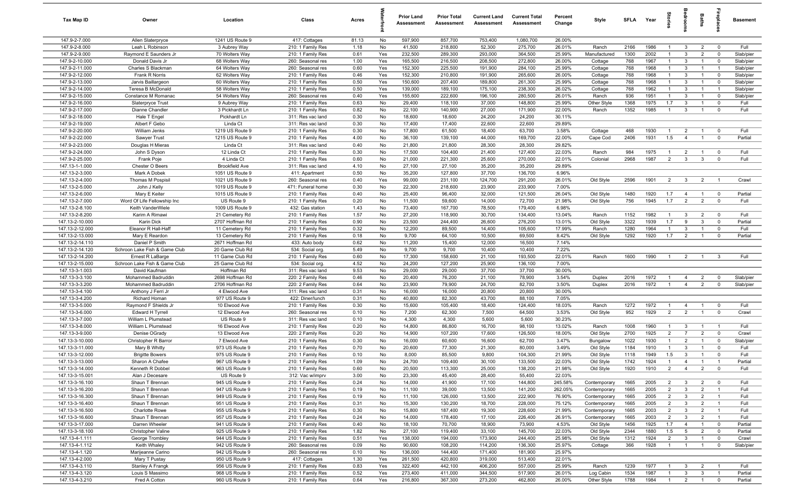| Tax Map ID                         | Owner                                    | Location                           | Class                                  | Acres        |            | <b>Prior Land</b><br>Assessment | <b>Prior Total</b><br>Assessment | <b>Current Land</b><br>Assessment | <b>Current Total</b><br>Assessment | Percent<br>Change | Style              | SFLA Year    |              | tories                           | droom                            | <b>Baths</b>        | ireplac                     | <b>Basement</b>        |
|------------------------------------|------------------------------------------|------------------------------------|----------------------------------------|--------------|------------|---------------------------------|----------------------------------|-----------------------------------|------------------------------------|-------------------|--------------------|--------------|--------------|----------------------------------|----------------------------------|---------------------|-----------------------------|------------------------|
| 147.9-2-7.000                      | Allen Slaterpryce                        | 1241 US Route 9                    | 417: Cottages                          | 81.13        | No         | 597,900                         | 857,700                          | 753,400                           | 1,080,700                          | 26.00%            |                    |              |              |                                  |                                  |                     |                             |                        |
| 147.9-2-8.000                      | Leah L Robinson                          | 3 Aubrey Way                       | 210: 1 Family Res                      | 1.18         | No         | 41,500                          | 218,800                          | 52,300                            | 275,700                            | 26.01%            | Ranch              | 2166         | 1986         | $\overline{1}$                   | 3                                | $\overline{2}$      | $\mathbf 0$                 | Full                   |
| 147.9-2-9.000                      | Raymond E Saunders Jr                    | 70 Wolters Way                     | 210: 1 Family Res                      | 0.61         | Yes        | 232,500                         | 289,300                          | 293,000                           | 364,500                            | 25.99%            | Manufactured       | 1300         | 2002         |                                  | $\mathbf{3}$                     | $\overline{2}$      | $\mathbf 0$                 | Slab/pier              |
| 147.9-2-10.000                     | Donald Davis Jr                          | 68 Wolters Way                     | 260: Seasonal res                      | 1.00         | Yes        | 165,500                         | 216,500                          | 208,500                           | 272,800                            | 26.00%            | Cottage            | 768          | 1967         | $\overline{1}$                   | 3                                | $\overline{1}$      | $\mathbf 0$                 | Slab/pier              |
| 147.9-2-11.000                     | Charles S Blackman                       | 64 Wolters Way                     | 260: Seasonal res                      | 0.60         | Yes        | 152,300                         | 225,500                          | 191,900                           | 284,100                            | 25.99%            | Cottage            | 768          | 1968         | $\overline{1}$<br>$\mathbf{1}$   | 3                                | $\overline{1}$      | $\overline{1}$              | Slab/pier              |
| 147.9-2-12.000<br>147.9-2-13.000   | Frank R Norris                           | 62 Wolters Way                     | 210: 1 Family Res                      | 0.46<br>0.50 | Yes<br>Yes | 152,300<br>150,600              | 210,800<br>207,400               | 191,900<br>189,800                | 265,600<br>261,300                 | 26.00%<br>25.99%  | Cottage            | 768<br>768   | 1968<br>1968 | $\mathbf{1}$                     | 3<br>3                           | $\overline{1}$      | $\mathbf 0$<br>$^{\circ}$   | Slab/pier<br>Slab/pier |
| 147.9-2-14.000                     | Jarvis Baillargeon<br>Teresa B McDonald  | 60 Wolters Way<br>58 Wolters Way   | 210: 1 Family Res<br>210: 1 Family Res | 0.50         | Yes        | 139,000                         | 189,100                          | 175,100                           | 238,300                            | 26.02%            | Cottage<br>Cottage | 768          | 1962         | $\overline{1}$                   | 3                                | -1                  | $\overline{1}$              | Slab/pier              |
| 147.9-2-15.000                     | Constance M Romanac                      | 54 Wolters Way                     | 260: Seasonal res                      | 0.40         | Yes        | 155,600                         | 222,600                          | 196,100                           | 280,500                            | 26.01%            | Ranch              | 936          | 1951         | $\overline{1}$                   | 3                                | $\overline{1}$      | $\mathbf 0$                 | Slab/pier              |
| 147.9-2-16.000                     | Slaterpryce Trust                        | 9 Aubrey Way                       | 210: 1 Family Res                      | 0.63         | No         | 29,400                          | 118,100                          | 37,000                            | 148,800                            | 25.99%            | Other Style        | 1368         | 1975         | 1.7                              | 3                                | $\overline{1}$      | $\mathbf 0$                 | Full                   |
| 147.9-2-17.000                     | Dianne Chandler                          | 3 Pickhardt Ln                     | 210: 1 Family Res                      | 0.82         | No         | 22,100                          | 140,900                          | 27,000                            | 171,900                            | 22.00%            | Ranch              | 1352         | 1985         | $\overline{1}$                   | 3                                | $\overline{1}$      | $\mathbf 0$                 | Full                   |
| 147.9-2-18.000                     | Hale T Engel                             | Pickhardt Ln                       | 311: Res vac land                      | 0.30         | No         | 18,600                          | 18,600                           | 24,200                            | 24,200                             | 30.11%            |                    |              |              |                                  |                                  |                     |                             |                        |
| 147.9-2-19.000                     | Albert F Gebo                            | Linda Ct                           | 311: Res vac land                      | 0.30         | No         | 17,400                          | 17,400                           | 22,600                            | 22,600                             | 29.89%            |                    |              |              |                                  |                                  |                     |                             |                        |
| 147.9-2-20.000                     | William Jenks                            | 1219 US Route 9                    | 210: 1 Family Res                      | 0.30         | No         | 17,800                          | 61,500                           | 18,400                            | 63,700                             | 3.58%             | Cottage            | 468          | 1930         | $\overline{1}$                   | $\overline{2}$                   | $\mathbf{1}$        | $\mathbf 0$                 | Full                   |
| 147.9-2-22.000                     | Sawyer Trust                             | 1215 US Route 9                    | 210: 1 Family Res                      | 4.00         | No         | 36,100                          | 139,100                          | 44,000                            | 169,700                            | 22.00%            | Cape Cod           | 2406         | 1931         | 1.5                              | $\overline{4}$                   | $\overline{1}$      | $\mathbf 0$                 | Partial                |
| 147.9-2-23.000                     | Douglas H Mieras                         | Linda Ct                           | 311: Res vac land                      | 0.40         | No         | 21,800                          | 21,800                           | 28,300                            | 28,300                             | 29.82%            |                    |              |              |                                  |                                  |                     |                             |                        |
| 147.9-2-24.000                     | John S Dyson                             | 12 Linda Ct                        | 210: 1 Family Res                      | 0.30         | No         | 17,500                          | 104,400                          | 21,400                            | 127,400                            | 22.03%            | Ranch              | 984          | 1975         | $\mathbf{1}$                     | $\overline{2}$                   |                     | $\mathbf 0$                 | Full                   |
| 147.9-2-25.000                     | Frank Poje                               | 4 Linda Ct                         | 210: 1 Family Res                      | 0.60         | No         | 21,000                          | 221,300                          | 25,600                            | 270,000                            | 22.01%            | Colonial           | 2968         | 1987         | $\overline{2}$                   | $\mathbf{3}$                     | $\mathbf{3}$        | $\mathbf 0$                 | Full                   |
| 147.13-1-1.000                     | Chester O Beers                          | <b>Brookfield Ave</b>              | 311: Res vac land                      | 4.10         | No         | 27,100                          | 27,100                           | 35,200                            | 35,200                             | 29.89%            |                    |              |              |                                  |                                  |                     |                             |                        |
| 147.13-2-3.000<br>147.13-2-4.000   | Mark A Dobek                             | 1051 US Route 9<br>1021 US Route 9 | 411: Apartment<br>260: Seasonal res    | 0.50<br>0.40 | No<br>Yes  | 35,200<br>99,000                | 127,800                          | 37,700<br>124,700                 | 136,700<br>291,200                 | 6.96%             | Old Style          | 2596         | 1901         | $\overline{2}$                   | $\mathbf{3}$                     | $\overline{2}$      | $\overline{1}$              | Crawl                  |
| 147.13-2-5.000                     | Thomas M Pospisil<br>John J Kelly        | 1019 US Route 9                    | 471: Funeral home                      | 0.30         | No         | 22,300                          | 231,100<br>218,600               | 23,900                            | 233,900                            | 26.01%<br>7.00%   |                    |              |              |                                  |                                  |                     |                             |                        |
| 147.13-2-6.000                     | Mary E Keiter                            | 1015 US Route 9                    | 210: 1 Family Res                      | 0.40         | No         | 25,400                          | 96,400                           | 32,000                            | 121,500                            | 26.04%            | Old Style          | 1480         | 1920         | 1.7                              | $\overline{4}$                   | $\overline{1}$      | $\overline{0}$              | Partial                |
| 147.13-2-7.000                     | Word Of Life Fellowship Inc              | US Route 9                         | 210: 1 Family Res                      | 0.20         | No         | 11,500                          | 59,600                           | 14,000                            | 72,700                             | 21.98%            | Old Style          | 756          | 1945         | 1.7                              | 2                                | $\overline{2}$      | $\mathbf 0$                 | Full                   |
| 147.13-2-8.100                     | Keith VanderWiele                        | 1009 US Route 9                    | 432: Gas station                       | 1.43         | No         | 73,400                          | 167,700                          | 78,500                            | 179,400                            | 6.98%             |                    |              |              |                                  |                                  |                     |                             |                        |
| 147.13-2-8.200                     | Karim A Rimawi                           | 21 Cemetery Rd                     | 210: 1 Family Res                      | 1.57         | No         | 27,200                          | 118,900                          | 30,700                            | 134,400                            | 13.04%            | Ranch              | 1152         | 1982         | $\overline{1}$                   | 3                                | $\overline{2}$      | $\mathbf 0$                 | Full                   |
| 147.13-2-10.000                    | Karin Dick                               | 2707 Hoffman Rd                    | 210: 1 Family Res                      | 0.90         | No         | 23,500                          | 244,400                          | 26,600                            | 276,200                            | 13.01%            | Old Style          | 3322         | 1939         | 1.7                              | 9                                | 3                   | $\mathbf 0$                 | Partial                |
| 147.13-2-12.000                    | Eleanor R Hall-Haff                      | 11 Cemetery Rd                     | 210: 1 Family Res                      | 0.32         | No         | 12,200                          | 89,500                           | 14,400                            | 105,600                            | 17.99%            | Ranch              | 1280         | 1964         | $\overline{1}$                   | 3                                | $\overline{1}$      | $\mathbf 0$                 | Full                   |
| 147.13-2-13.000                    | Mary E Reardon                           | 13 Cemetery Rd                     | 210: 1 Family Res                      | 0.18         | No         | 9,700                           | 64,100                           | 10,500                            | 69,500                             | 8.42%             | Old Style          | 1292         | 1920         | 1.7                              | $\overline{2}$                   | $\overline{1}$      | $\mathbf 0$                 | Partial                |
| 147.13-2-14.110                    | Daniel P Smith                           | 2671 Hoffman Rd                    | 433: Auto body                         | 0.62         | No         | 11,200                          | 15,400                           | 12,000                            | 16,500                             | 7.14%             |                    |              |              |                                  |                                  |                     |                             |                        |
| 147.13-2-14.120                    | Schroon Lake Fish & Game Club            | 20 Game Club Rd                    | 534: Social org.                       | 5.49         | No         | 9,700                           | 9,700                            | 10,400                            | 10,400                             | 7.22%             |                    |              |              |                                  |                                  |                     |                             |                        |
| 147.13-2-14.200                    | Ernest R LaBarge                         | 11 Game Club Rd                    | 210: 1 Family Res                      | 0.60         | No         | 17,300                          | 158,600                          | 21,100                            | 193,500                            | 22.01%            | Ranch              | 1600         | 1990         |                                  | $\overline{2}$                   | $\overline{1}$      | 3                           | Full                   |
| 147.13-2-15.000                    | Schroon Lake Fish & Game Club            | 25 Game Club Rd                    | 534: Social org.                       | 4.52         | No         | 24,200                          | 127,200                          | 25,900                            | 136,100                            | 7.00%             |                    |              |              |                                  |                                  |                     |                             |                        |
| 147.13-3-1.003                     | David Kaufman                            | Hoffman Rd                         | 311: Res vac land                      | 9.53         | No         | 29,000                          | 29,000                           | 37,700                            | 37,700                             | 30.00%            |                    |              |              |                                  |                                  |                     |                             |                        |
| 147.13-3-3.100<br>147.13-3-3.200   | Mohammed Badruddin<br>Mohammed Badruddin | 2698 Hoffman Rd<br>2706 Hoffman Rd | 220: 2 Family Res<br>220: 2 Family Res | 0.46<br>0.64 | No<br>No   | 20,400<br>23,900                | 76,200<br>79,900                 | 21,100<br>24,700                  | 78,900<br>82,700                   | 3.54%<br>3.50%    | Duplex<br>Duplex   | 2016<br>2016 | 1972<br>1972 | $\overline{1}$<br>$\overline{1}$ | $\overline{4}$<br>$\overline{4}$ | $\overline{2}$<br>2 | $\mathbf 0$<br>$\mathbf{0}$ | Slab/pier<br>Slab/pier |
| 147.13-3-4.100                     | Anthony J Ferri Jr                       | 4 Elwood Ave                       | 311: Res vac land                      | 0.31         | No         | 16,000                          | 16,000                           | 20,800                            | 20,800                             | 30.00%            |                    |              |              |                                  |                                  |                     |                             |                        |
| 147.13-3-4.200                     | Richard Homan                            | 977 US Route 9                     | 422: Diner/lunch                       | 0.31         | No         | 40,800                          | 82,300                           | 43,700                            | 88,100                             | 7.05%             |                    |              |              |                                  |                                  |                     |                             |                        |
| 147.13-3-5.000                     | Raymond F Shields Jr                     | 10 Elwood Ave                      | 210: 1 Family Res                      | 0.30         | No         | 15,600                          | 105,400                          | 18,400                            | 124,400                            | 18.03%            | Ranch              | 1272         | 1972         | $\overline{1}$                   | -4                               | $\mathbf{1}$        | $\mathbf 0$                 | Full                   |
| 147.13-3-6.000                     | Edward H Tyrrell                         | 12 Elwood Ave                      | 260: Seasonal res                      | 0.10         | No         | 7,200                           | 62,300                           | 7,500                             | 64,500                             | 3.53%             | Old Style          | 952          | 1929         | 2                                | 2                                | $\overline{1}$      | $\mathbf 0$                 | Crawl                  |
| 147.13-3-7.000                     | William L Plumstead                      | US Route 9                         | 311: Res vac land                      | 0.10         | No         | 4,300                           | 4,300                            | 5,600                             | 5,600                              | 30.23%            |                    |              |              |                                  |                                  |                     |                             |                        |
| 147.13-3-8.000                     | William L Plumstead                      | 16 Elwood Ave                      | 210: 1 Family Res                      | 0.20         | No         | 14,800                          | 86,800                           | 16,700                            | 98,100                             | 13.02%            | Ranch              | 1008         | 1960         | $\mathbf{1}$                     | $\mathbf{3}$                     | $\overline{1}$      | $\overline{1}$              | Full                   |
| 147.13-3-9.000                     | Denise OGrady                            | 13 Elwood Ave                      | 220: 2 Family Res                      | 0.20         | No         | 14,900                          | 107,200                          | 17,600                            | 126,500                            | 18.00%            | Old Style          | 2700         | 1925         | $\overline{2}$                   | $\overline{7}$                   | $\overline{2}$      | $\mathbf 0$                 | Crawl                  |
| 147.13-3-10.000                    | Christopher R Barror                     | 7 Elwood Ave                       | 210: 1 Family Res                      | 0.30         | No         | 16,000                          | 60,600                           | 16,600                            | 62,700                             | 3.47%             | Bungalow           | 1022         | 1930         |                                  | $\overline{2}$                   |                     | $^{\circ}$                  | Slab/pier              |
| 147.13-3-11.000                    | Mary B Whitty                            | 973 US Route 9                     | 210: 1 Family Res                      | 0.70         | No         | 20,600                          | 77,300                           | 21,300                            | 80,000                             | 3.49%             | Old Style          | 1184         | 1910         | $\mathbf{1}$                     | -3                               |                     | $\mathbf{0}$                | Full                   |
| 147.13-3-12.000                    | <b>Brigitte Bowers</b>                   | 975 US Route 9                     | 210: 1 Family Res                      | 0.10         | No         | 8,000                           | 85,500                           | 9,800                             | 104,300                            | 21.99%            | Old Style          | 1118         | 1949         | 1.5                              | $\mathbf{3}$                     | $\overline{1}$      | $^{\circ}$                  | Full                   |
| 147.13-3-13.000                    | Sharon A Chafee                          | 967 US Route 9                     | 210: 1 Family Res                      | 1.09         | No         | 24,700                          | 109,400                          | 30,100                            | 133,500                            | 22.03%            | Old Style          | 1742         | 1924         | $\overline{1}$                   | $\overline{4}$                   |                     |                             | Partial                |
| 147.13-3-14.000                    | Kenneth R Dobbel                         | 963 US Route 9                     | 210: 1 Family Res                      | 0.60         | No         | 20,500                          | 113,300                          | 25,000                            | 138,200                            | 21.98%            | Old Style          | 1920         | 1910         | $\overline{2}$                   | $\overline{4}$                   | $\overline{2}$      | $\overline{0}$              | Full                   |
| 147.13-3-15.001<br>147.13-3-16.100 | Alan J Decesare<br>Shaun T Brennan       | US Route 9<br>945 US Route 9       | 312: Vac w/imprv<br>210: 1 Family Res  | 3.00<br>0.24 | No<br>No   | 23,300<br>14,000                | 45,400<br>41,900                 | 28,400<br>17,100                  | 55,400<br>144,800                  | 22.03%<br>245.58% | Contemporary       | 1665         | 2005         | $\overline{2}$                   | $\mathbf{3}$                     | $\overline{2}$      | $\mathbf 0$                 | Full                   |
| 147.13-3-16.200                    | Shaun T Brennan                          | 947 US Route 9                     | 210: 1 Family Res                      | 0.19         | No         | 11,100                          | 39,000                           | 13,500                            | 141,200                            | 262.05%           | Contemporary       | 1665         | 2005         | $\overline{2}$                   | $\mathbf{3}$                     | $\overline{2}$      | $\overline{1}$              | Full                   |
| 147.13-3-16.300                    | Shaun T Brennan                          | 949 US Route 9                     | 210: 1 Family Res                      | 0.19         | No         | 11,100                          | 126,000                          | 13,500                            | 222,900                            | 76.90%            | Contemporary       | 1665         | 2005         | $\overline{2}$                   | $\mathbf{3}$                     | $\overline{2}$      | $\overline{1}$              | Full                   |
| 147.13-3-16.400                    | Shaun T Brennan                          | 951 US Route 9                     | 210: 1 Family Res                      | 0.31         | No         | 15,300                          | 130,200                          | 18,700                            | 228,000                            | 75.12%            | Contemporary       | 1665         | 2005         | $\overline{2}$                   | $\mathbf{3}$                     | $\overline{2}$      | $\overline{1}$              | Full                   |
| 147.13-3-16.500                    | <b>Charlotte Rowe</b>                    | 955 US Route 9                     | 210: 1 Family Res                      | 0.30         | No         | 15,800                          | 187,400                          | 19,300                            | 228,600                            | 21.99%            | Contemporary       | 1665         | 2003         | $\overline{2}$                   | 3                                | $\overline{2}$      | $\overline{1}$              | Full                   |
| 147.13-3-16.600                    | Shaun T Brennan                          | 957 US Route 9                     | 210: 1 Family Res                      | 0.24         | No         | 14,000                          | 178,400                          | 17,100                            | 226,400                            | 26.91%            | Contemporary       | 1665         | 2003         | $\overline{2}$                   | $\mathbf{3}$                     | $\overline{2}$      | $\overline{1}$              | Full                   |
| 147.13-3-17.000                    | Darren Wheeler                           | 941 US Route 9                     | 210: 1 Family Res                      | 0.40         | No         | 18,100                          | 70,700                           | 18,900                            | 73,900                             | 4.53%             | Old Style          | 1456         | 1925         | 1.7                              | $\overline{4}$                   |                     | $\mathbf{0}$                | Partial                |
| 147.13-3-18.100                    | <b>Christopher Valine</b>                | 925 US Route 9                     | 210: 1 Family Res                      | 1.82         | No         | 27,100                          | 119,400                          | 33,100                            | 145,700                            | 22.03%            | Old Style          | 2344         | 1880         | 1.5                              | 5                                | $\overline{2}$      | $\mathbf 0$                 | Partial                |
| 147.13-4-1.111                     | George Trombley                          | 944 US Route 9                     | 210: 1 Family Res                      | 0.51         | Yes        | 138,000                         | 194,000                          | 173,900                           | 244,400                            | 25.98%            | Old Style          | 1312         | 1924         | $\overline{2}$                   | $\mathbf{3}$                     | $\overline{1}$      | $\mathbf 0$                 | Crawl                  |
| 147.13-4-1.112                     | Keith Whaley                             | 942 US Route 9                     | 260: Seasonal res                      | 0.09         | No         | 90,600                          | 108,200                          | 114,200                           | 136,300                            | 25.97%            | Cottage            | 366          | 1928         | $\mathbf{1}$                     | $\overline{1}$                   | $\overline{1}$      | $\mathbf 0$                 | Slab/pier              |
| 147.13-4-1.120                     | Marijeanne Carino                        | 942 US Route 9                     | 260: Seasonal res                      | 0.10         | No         | 136,000                         | 144,400                          | 171,400                           | 181,900                            | 25.97%            |                    |              |              |                                  |                                  |                     |                             |                        |
| 147.13-4-2.000                     | Mary T Pustay                            | 950 US Route 9                     | 417: Cottages                          | 1.30         | Yes        | 261,500                         | 420,800                          | 319,000                           | 513,400                            | 22.01%            |                    |              |              |                                  |                                  |                     |                             |                        |
| 147.13-4-3.110                     | Stanley A Frangk                         | 956 US Route 9                     | 210: 1 Family Res                      | 0.83         | Yes        | 322,400                         | 442,100                          | 406,200                           | 557,000                            | 25.99%            | Ranch              | 1239         | 1977         | $\overline{1}$                   | $\mathbf{3}$                     | $\overline{2}$      | $\overline{1}$              | Full                   |
| 147.13-4-3.120                     | Louis S Massimo                          | 968 US Route 9                     | 210: 1 Family Res                      | 0.52         | Yes        | 273,400                         | 411,000                          | 344,500                           | 517,900                            | 26.01%            | Log Cabin          | 1534         | 1987         | $\overline{1}$                   | $\mathbf{3}$                     | 3                   | $\overline{1}$              | Partial                |
| 147.13-4-3.210                     | Fred A Cotton                            | 960 US Route 9                     | 210: 1 Family Res                      | 0.64         | Yes        | 216,800                         | 367,300                          | 273,200                           | 462,800                            | 26.00%            | Other Style        | 1788         | 1984         | $\overline{1}$                   | $\overline{2}$                   | $\overline{1}$      | $\mathbf 0$                 | Partial                |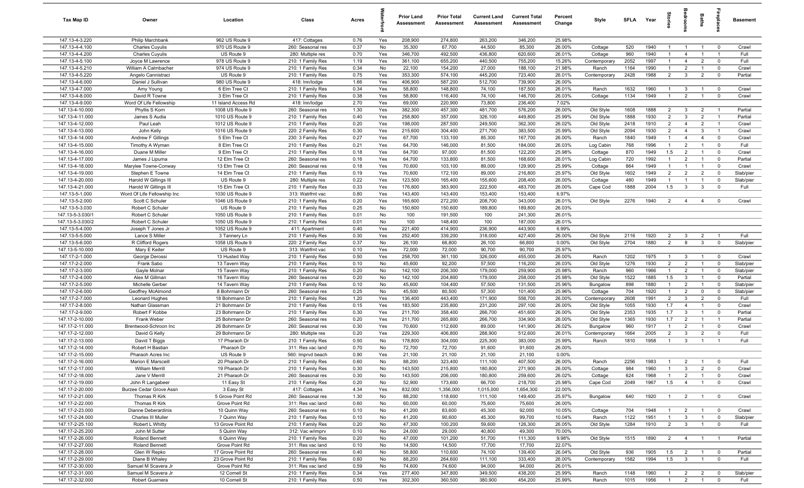| Tax Map ID                         | Owner                                                | Location                           | Class                                  | Acres        |            | <b>Prior Land</b><br>Assessment | <b>Prior Total</b><br>Assessment | <b>Current Land</b><br>Assessment | <b>Current Total</b><br>Assessment | Percent<br>Change | Style                   | SFLA Year   |              |                                | droom                            | Baths                          | epla                      | Basement          |
|------------------------------------|------------------------------------------------------|------------------------------------|----------------------------------------|--------------|------------|---------------------------------|----------------------------------|-----------------------------------|------------------------------------|-------------------|-------------------------|-------------|--------------|--------------------------------|----------------------------------|--------------------------------|---------------------------|-------------------|
| 147.13-4-3.220                     | Philip Marchbank                                     | 962 US Route 9                     | 417: Cottages                          | 0.76         | Yes        | 208,900                         | 274,800                          | 263,200                           | 346,200                            | 25.98%            |                         |             |              |                                |                                  |                                |                           |                   |
| 147.13-4-4.100                     | <b>Charles Cuyulis</b>                               | 970 US Route 9                     | 260: Seasonal res                      | 0.37         | No         | 35,300                          | 67,700                           | 44,500                            | 85,300                             | 26.00%            | Cottage                 | 520         | 1940         | $\mathbf{1}$                   | $\overline{1}$                   | $\overline{1}$                 | $^{\circ}$                | Crawl             |
| 147.13-4-4.200                     | <b>Charles Cuyulis</b>                               | US Route 9                         | 280: Multiple res                      | 0.70         | Yes        | 346,700                         | 492,500                          | 436,800                           | 620,600                            | 26.01%            | Cottage                 | 960         | 1940         | $\mathbf{1}$                   | $\overline{4}$                   |                                | -1                        | Full              |
| 147.13-4-5.100                     | Joyce M Lawrence                                     | 978 US Route 9                     | 210: 1 Family Res                      | 1.19         | Yes        | 361,100                         | 655,200                          | 440,500                           | 755,200                            | 15.26%            | Contemporary            | 2052        | 1997         | $\mathbf{1}$                   | $\overline{4}$                   | $\overline{2}$                 | $^{\circ}$                | Full              |
| 147.13-4-5.210                     | William A Calmbacher                                 | 974 US Route 9                     | 210: 1 Family Res                      | 0.34         | No         | 22,100                          | 154,200                          | 27,000                            | 188,100                            | 21.98%            | Ranch                   | 1164        | 1990         | $\mathbf{1}$                   | $\overline{2}$                   |                                | $\mathbf 0$               | Crawl             |
| 147.13-4-5.220                     | Angelo Cannistraci<br>Daniel J Sullivan              | US Route 9                         | 210: 1 Family Res                      | 0.75<br>1.66 | Yes        | 353,300<br>406,900              | 574,100<br>587,200               | 445,200<br>512,700                | 723,400                            | 26.01%<br>26.00%  | Contemporary            | 2428        | 1988         | $\overline{2}$                 | $\mathbf{3}$                     | $\overline{2}$                 | $\mathbf 0$               | Partial           |
| 147.13-4-6.000<br>147.13-4-7.000   | Amy Young                                            | 980 US Route 9<br>6 Elm Tree Ct    | 418: Inn/lodge<br>210: 1 Family Res    | 0.34         | Yes<br>Yes | 58,800                          | 148,800                          | 74,100                            | 739,900<br>187,500                 | 26.01%            | Ranch                   | 1632        | 1960         | $\overline{1}$                 | $\mathbf{3}$                     | $\overline{1}$                 | $\overline{0}$            | Crawl             |
| 147.13-4-8.000                     | David R Towne                                        | 3 Elm Tree Ct                      | 210: 1 Family Res                      | 0.38         | Yes        | 58,800                          | 116,400                          | 74,100                            | 146,700                            | 26.03%            | Cottage                 | 1134        | 1949         | $\overline{1}$                 | $\overline{2}$                   | $\overline{1}$                 | $\overline{0}$            | Crawl             |
| 147.13-4-9.000                     | Word Of Life Fellowship                              | 11 Island Access Rd                | 418: Inn/lodge                         | 2.70         | Yes        | 69,000                          | 220,900                          | 73,800                            | 236,400                            | 7.02%             |                         |             |              |                                |                                  |                                |                           |                   |
| 147.13-4-10.000                    | Phyllis S Korn                                       | 1008 US Route 9                    | 260: Seasonal res                      | 1.30         | Yes        | 382,300                         | 457,300                          | 481,700                           | 576,200                            | 26.00%            | Old Style               | 1608        | 1888         | 2                              | $\mathbf{3}$                     | $\overline{2}$                 | $\overline{1}$            | Partial           |
| 147.13-4-11.000                    | James S Audia                                        | 1010 US Route 9                    | 210: 1 Family Res                      | 0.40         | Yes        | 258,800                         | 357,000                          | 326,100                           | 449,800                            | 25.99%            | Old Style               | 1888        | 1930         | $\overline{2}$                 | $\mathbf{3}$                     | $\overline{2}$                 | $\overline{1}$            | Partial           |
| 147.13-4-12.000                    | Paul Leah                                            | 1012 US Route 9                    | 210: 1 Family Res                      | 0.20         | Yes        | 198,000                         | 287,500                          | 249,500                           | 362,300                            | 26.02%            | Old Style               | 2418        | 1910         | $\overline{2}$                 | $\overline{4}$                   | $\overline{2}$                 | $\overline{1}$            | Crawl             |
| 147.13-4-13.000                    | John Kelly                                           | 1016 US Route 9                    | 220: 2 Family Res                      | 0.30         | Yes        | 215,600                         | 304,400                          | 271,700                           | 383,500                            | 25.99%            | Old Style               | 2094        | 1930         | $\overline{2}$                 | $\overline{4}$                   | $\mathbf{3}$                   | $\overline{1}$            | Crawl             |
| 147.13-4-14.000                    | Andrew F Gillings                                    | 5 Elm Tree Ct                      | 230: 3 Family Res                      | 0.27         | Yes        | 67,700                          | 133,100                          | 85,300                            | 167,700                            | 26.00%            | Ranch                   | 1840        | 1949         | $\mathbf{1}$                   | $\overline{4}$                   | $\overline{4}$                 | $\mathbf 0$               | Crawl             |
| 147.13-4-15.000                    | Timothy A Wyman                                      | 8 Elm Tree Ct                      | 210: 1 Family Res                      | 0.21         | Yes        | 64,700                          | 146,000                          | 81,500                            | 184,000                            | 26.03%            | Log Cabin               | 768         | 1996         | $\mathbf{1}$                   | $\overline{2}$                   |                                | $\mathbf 0$               | Full              |
| 147.13-4-16.000                    | Duane M Miller                                       | 9 Elm Tree Ct                      | 210: 1 Family Res                      | 0.18         | Yes        | 64,700                          | 97,000                           | 81,500                            | 122,200                            | 25.98%            | Cottage                 | 870         | 1949         | 1.5                            | $\overline{2}$                   |                                | $^{\circ}$                | Crawl             |
| 147.13-4-17.000                    | James J Lipuma                                       | 12 Elm Tree Ct                     | 260: Seasonal res                      | 0.16         | Yes        | 64,700                          | 133,800                          | 81,500                            | 168,600                            | 26.01%            | Log Cabin               | 720         | 1992         | $\mathbf{1}$                   | $\overline{2}$                   |                                | $^{\circ}$                | Partial           |
| 147.13-4-18.000                    | Marylee Towne-Conway                                 | 13 Elm Tree Ct                     | 260: Seasonal res                      | 0.18         | Yes        | 70,600                          | 103,100                          | 89,000                            | 129,900                            | 25.99%            | Cottage                 | 864         | 1949         | $\overline{1}$                 |                                  |                                | $\mathbf 0$               | Crawl             |
| 147.13-4-19.000                    | Stephen E Towne                                      | 14 Elm Tree Ct                     | 210: 1 Family Res                      | 0.19         | Yes        | 70,600                          | 172,100                          | 89,000                            | 216,800                            | 25.97%            | Old Style               | 1602        | 1949         | $\overline{2}$                 | $\overline{2}$                   | $\overline{2}$                 | $\mathbf 0$               | Slab/pier         |
| 147.13-4-20.000                    | Harold W Gillings III                                | US Route 9                         | 280: Multiple res<br>210: 1 Family Res | 0.22         | Yes        | 123,500                         | 165,400                          | 155,600                           | 208,400                            | 26.00%            | Cottage                 | 480<br>1888 | 1949<br>2004 | $\overline{1}$<br>1.5          | $\mathbf{3}$                     | $\overline{1}$<br>$\mathbf{3}$ | $\mathbf 0$<br>$^{\circ}$ | Slab/pier<br>Full |
| 147.13-4-21.000<br>147.13-5-1.000  | Harold W Gillings III<br>Word Of Life Fellowship Inc | 15 Elm Tree Ct<br>1030 US Route 9  | 313: Watrfrnt vac                      | 0.33<br>0.80 | Yes<br>Yes | 176,600<br>143,400              | 383,900<br>143,400               | 222,500<br>153,400                | 483,700<br>153,400                 | 26.00%<br>6.97%   | Cape Cod                |             |              |                                |                                  |                                |                           |                   |
| 147.13-5-2.000                     | Scott C Schuler                                      | 1046 US Route 9                    | 210: 1 Family Res                      | 0.20         | Yes        | 165,600                         | 272,200                          | 208,700                           | 343,000                            | 26.01%            | Old Style               | 2276        | 1940         | $\overline{2}$                 | $\overline{4}$                   | $\overline{4}$                 | $^{\circ}$                | Crawl             |
| 147.13-5-3.030                     | Robert C Schuler                                     | US Route 9                         | 210: 1 Family Res                      | 0.25         | No         | 150,600                         | 150,600                          | 189,800                           | 189,800                            | 26.03%            |                         |             |              |                                |                                  |                                |                           |                   |
| 147.13-5-3.030/1                   | Robert C Schuler                                     | 1050 US Route 9                    | 210: 1 Family Res                      | 0.01         | No         | 100                             | 191,500                          | 100                               | 241,300                            | 26.01%            |                         |             |              |                                |                                  |                                |                           |                   |
| 147.13-5-3.030/2                   | Robert C Schuler                                     | 1050 US Route 9                    | 210: 1 Family Res                      | 0.01         | No         | 100                             | 148,400                          | 100                               | 187,000                            | 26.01%            |                         |             |              |                                |                                  |                                |                           |                   |
| 147.13-5-4.000                     | Joseph T Jones Jr                                    | 1052 US Route 9                    | 411: Apartment                         | 0.40         | Yes        | 221,400                         | 414,900                          | 236,900                           | 443,900                            | 6.99%             |                         |             |              |                                |                                  |                                |                           |                   |
| 147.13-5-5.000                     | Lance S Miller                                       | 3 Tannery Ln                       | 210: 1 Family Res                      | 0.30         | Yes        | 252,400                         | 339,200                          | 318,000                           | 427,400                            | 26.00%            | Old Style               | 2116        | 1920         | $\overline{2}$                 | $\mathbf{3}$                     | $\overline{2}$                 | $\overline{1}$            | Full              |
| 147.13-5-6.000                     | R Clifford Rogers                                    | 1058 US Route 9                    | 220: 2 Family Res                      | 0.37         | No         | 26,100                          | 66,800                           | 26,100                            | 66,800                             | $0.00\%$          | Old Style               | 2704        | 1880         | 2                              | 8                                | $\mathbf{3}$                   | $\mathbf 0$               | Slab/pier         |
| 147.13-5-10.000                    | Mary E Keiter                                        | US Route 9                         | 313: Watrfrnt vac                      | 0.10         | Yes        | 72,000                          | 72,000                           | 90,700                            | 90,700                             | 25.97%            |                         |             |              |                                |                                  |                                |                           |                   |
| 147.17-2-1.000                     | George Derossi                                       | 13 Husted Way                      | 210: 1 Family Res                      | 0.50         | Yes        | 258,700                         | 361,100                          | 326,000                           | 455,000                            | 26.00%            | Ranch                   | 1202        | 1975         | $\overline{1}$                 | $\mathbf{3}$                     | $\overline{1}$                 | $\mathbf 0$               | Crawl             |
| 147.17-2-2.000                     | Frank Sabo                                           | 13 Tavern Way                      | 210: 1 Family Res                      | 0.10         | No         | 45,600                          | 92,200                           | 57,500                            | 116,200                            | 26.03%            | Old Style               | 1276        | 1930         | $\overline{2}$                 | $\overline{2}$                   | $\overline{1}$                 | $\overline{0}$            | Slab/pier         |
| 147.17-2-3.000                     | Gayle Molnar                                         | 15 Tavern Way                      | 210: 1 Family Res                      | 0.20         | No         | 142,100                         | 206,300                          | 179,000                           | 259,900                            | 25.98%            | Ranch                   | 960         | 1966         | $\overline{1}$                 | $\overline{2}$                   | $\overline{1}$                 | $\mathbf 0$               | Slab/pier         |
| 147.17-2-4.000                     | Alex M Gillman                                       | 16 Tavern Way                      | 260: Seasonal res                      | 0.20         | No         | 142,100                         | 204,800                          | 179,000                           | 258,000                            | 25.98%            | Old Style               | 1522        | 1885         | 1.5                            | $\mathbf{3}$                     | $\overline{1}$                 | $\mathbf 0$               | Partial           |
| 147.17-2-5.000<br>147.17-2-6.000   | Michelle Gerber                                      | 14 Tavern Way<br>8 Bohrmann Dr     | 210: 1 Family Res                      | 0.10<br>0.25 | No<br>No   | 45,600                          | 104,400<br>80,500                | 57,500<br>57,300                  | 131,500<br>101,400                 | 25.96%<br>25.96%  | Bungalow                | 898<br>704  | 1880<br>1920 | $\mathbf{1}$<br>$\overline{1}$ | $\overline{2}$<br>$\overline{2}$ | $\overline{1}$<br>$\mathbf 0$  | $^{\circ}$<br>$^{\circ}$  | Slab/pier         |
| 147.17-2-7.000                     | Geoffrey McAlmond<br>Leonard Hughes                  | 18 Bohrmann Dr                     | 260: Seasonal res<br>210: 1 Family Res | 1.20         | Yes        | 45,500<br>136,400               | 443,400                          | 171,900                           | 558,700                            | 26.00%            | Cottage<br>Contemporary | 2608        | 1991         | $\overline{2}$                 | $\mathbf{3}$                     | $\overline{2}$                 | $\mathbf 0$               | Slab/pier<br>Full |
| 147.17-2-8.000                     | Nathan Glassman                                      | 21 Bohrmann Dr                     | 210: 1 Family Res                      | 0.15         | Yes        | 183,500                         | 235,800                          | 231,200                           | 297,100                            | 26.00%            | Old Style               | 1055        | 1930         | 1.7                            | $\overline{4}$                   |                                | $\mathbf 0$               | Crawl             |
| 147.17-2-9.000                     | Robert F Kobbe                                       | 23 Bohrmann Dr                     | 210: 1 Family Res                      | 0.30         | Yes        | 211,700                         | 358,400                          | 266,700                           | 451,600                            | 26.00%            | Old Style               | 2353        | 1935         | 1.7                            | $\mathbf{3}$                     | $\overline{1}$                 | $\mathbf 0$               | Partial           |
| 147.17-2-10.000                    | Frank Weber                                          | 25 Bohrmann Dr                     | 260: Seasonal res                      | 0.20         | Yes        | 211,700                         | 265,800                          | 266,700                           | 334,900                            | 26.00%            | Old Style               | 1365        | 1930         | 1.7                            | $\overline{2}$                   |                                | - 1                       | Partial           |
| 147.17-2-11.000                    | Brentwood-Schroon Inc                                | 26 Bohrmann Dr                     | 260: Seasonal res                      | 0.30         | Yes        | 70,600                          | 112,600                          | 89,000                            | 141,900                            | 26.02%            | Bungalow                | 960         | 1917         | $\mathbf{1}$                   | $\overline{2}$                   |                                | $\overline{0}$            | Crawl             |
| 147.17-2-12.000                    | David G Kelly                                        | 29 Bohrmann Dr                     | 280: Multiple res                      | 0.20         | Yes        | 229,300                         | 406,800                          | 288,900                           | 512,600                            | 26.01%            | Contemporary            | 1664        | 2005         | $\overline{2}$                 | $\mathbf{3}$                     | $\overline{2}$                 | $^{\circ}$                | Full              |
| 147.17-2-13.000                    | David T Biggs                                        | 17 Pharaoh Dr                      | 210: 1 Family Res                      | 0.50         | No         | 178,800                         | 304,000                          | 225,300                           | 383,000                            | 25.99%            | Ranch                   | 1810        | 1958         | $\mathbf{1}$                   | $\mathbf{3}$                     |                                |                           | Full              |
| 147.17-2-14.000                    | Robert H Bastian                                     | Pharaoh Dr                         | 311: Res vac land                      | 0.70         | No         | 72,700                          | 72,700                           | 91,600                            | 91,600                             | 26.00%            |                         |             |              |                                |                                  |                                |                           |                   |
| 147.17-2-15.000                    | Pharaoh Acres Inc                                    | US Route 9                         | 560: Imprvd beach                      | 0.90         | Yes        | 21,100                          | 21,100                           | 21,100                            | 21,100                             | 0.00%             |                         |             |              |                                |                                  |                                |                           |                   |
| 147.17-2-16.000                    | Marion E Marsceill                                   | 20 Pharaoh Dr                      | 210: 1 Family Res                      | 0.60         | No         | 88,200                          | 323,400                          | 111,100                           | 407,500                            | 26.00%            | Ranch                   | 2256        | 1983         | $\overline{1}$                 | $\mathcal{P}$                    |                                |                           | Full              |
| 147.17-2-17.000                    | William Merrill                                      | 19 Pharaoh Dr                      | 210: 1 Family Res                      | 0.30         | No         | 143,500                         | 215,800                          | 180,800                           | 271,900                            | 26.00%            | Cottage                 | 984         | 1960         | $\overline{1}$                 | $\mathbf{3}$                     | $\overline{2}$                 | $\overline{0}$            | Crawl             |
| 147.17-2-18.000                    | Jane V Merrill                                       | 21 Pharaoh Dr                      | 260: Seasonal res                      | 0.30         | No         | 143,500                         | 206,000                          | 180,800                           | 259,600                            | 26.02%            | Cottage                 | 624         | 1968         | $\overline{1}$                 | $\overline{2}$                   | $\overline{1}$                 | $\overline{0}$            | Crawl             |
| 147.17-2-19.000                    | John R Langabeer                                     | 11 Easy St                         | 210: 1 Family Res                      | 0.20         | No         | 52,900                          | 173,600                          | 66,700                            | 218,700                            | 25.98%            | Cape Cod                | 2049        | 1967         | 1.5                            | $\overline{4}$                   | $\overline{1}$                 | $\mathbf 0$               | Crawl             |
| 147.17-2-20.000                    | Burzee Cedar Grove Assn<br>Thomas R Kirk             | 3 Easy St                          | 417: Cottages                          | 4.34         | Yes        | 832,000                         | 1,356,000                        | 1,015,000                         | 1,654,300                          | 22.00%            |                         |             |              | $\overline{1}$                 |                                  |                                | $\overline{0}$            |                   |
| 147.17-2-21.000<br>147.17-2-22.000 | Thomas R Kirk                                        | 5 Grove Point Rd<br>Grove Point Rd | 260: Seasonal res<br>311: Res vac land | 1.30<br>0.60 | No<br>No   | 88,200<br>60,000                | 118,600<br>60,000                | 111,100<br>75,600                 | 149,400<br>75,600                  | 25.97%<br>26.00%  | Bungalow                | 640         | 1920         |                                | $\overline{2}$                   | $\overline{1}$                 |                           | Crawl             |
| 147.17-2-23.000                    | Dianne Deberardinis                                  | 10 Quinn Way                       | 260: Seasonal res                      | 0.10         | No         | 41,200                          | 83,600                           | 45,300                            | 92,000                             | 10.05%            | Cottage                 | 704         | 1948         | $\overline{1}$                 | $\overline{2}$                   |                                | $\overline{0}$            | Crawl             |
| 147.17-2-24.000                    | Charles III Muller                                   | 7 Quinn Way                        | 210: 1 Family Res                      | 0.10         | No         | 41,200                          | 90,600                           | 45,300                            | 99,700                             | 10.04%            | Ranch                   | 1122        | 1951         | $\mathbf{1}$                   | $\mathbf{3}$                     | $\overline{1}$                 | $\overline{0}$            | Slab/pier         |
| 147.17-2-25.100                    | Robert L Whitty                                      | 13 Grove Point Rd                  | 210: 1 Family Res                      | 0.20         | No         | 47,300                          | 100,200                          | 59,600                            | 126,300                            | 26.05%            | Old Style               | 1284        | 1910         | $\overline{2}$                 | $\mathbf{3}$                     |                                | $\mathbf 0$               | Full              |
| 147.17-2-25.200                    | John M Sutter                                        | 5 Quinn Way                        | 312: Vac w/imprv                       | 0.10         | No         | 24,000                          | 29,000                           | 40,800                            | 49,300                             | 70.00%            |                         |             |              |                                |                                  |                                |                           |                   |
| 147.17-2-26.000                    | <b>Roland Bennett</b>                                | 6 Quinn Way                        | 210: 1 Family Res                      | 0.20         | No         | 47,000                          | 101,200                          | 51,700                            | 111,300                            | 9.98%             | Old Style               | 1515        | 1890         | $\overline{2}$                 | $\overline{4}$                   | $\overline{1}$                 | $\overline{1}$            | Partial           |
| 147.17-2-27.000                    | <b>Roland Bennett</b>                                | Grove Point Rd                     | 311: Res vac land                      | 0.10         | No         | 14,500                          | 14,500                           | 17,700                            | 17,700                             | 22.07%            |                         |             |              |                                |                                  |                                |                           |                   |
| 147.17-2-28.000                    | Glen W Repko                                         | 17 Grove Point Rd                  | 260: Seasonal res                      | 0.40         | No         | 58,800                          | 110,600                          | 74,100                            | 139,400                            | 26.04%            | Old Style               | 936         | 1905         | 1.5                            | $\overline{2}$                   | $\overline{1}$                 | $\overline{\mathbf{0}}$   | Partial           |
| 147.17-2-29.000                    | Diane B Whaley                                       | 23 Grove Point Rd                  | 210: 1 Family Res                      | 0.60         | No         | 88,200                          | 264,600                          | 111,100                           | 333,400                            | 26.00%            | Contemporary            | 1582        | 1994         | 1.5                            | $\mathbf{3}$                     | $\overline{1}$                 | $\mathbf 0$               | Full              |
| 147.17-2-30.000                    | Samuel M Scavera Jr                                  | Grove Point Rd                     | 311: Res vac land                      | 0.59         | No         | 74,600                          | 74,600                           | 94,000                            | 94,000                             | 26.01%            |                         |             |              |                                |                                  |                                |                           |                   |
| 147.17-2-31.000                    | Samuel M Scavera Jr                                  | 12 Cornell St                      | 210: 1 Family Res                      | 0.34         | Yes        | 277,400                         | 347,800                          | 349,500                           | 438,200                            | 25.99%            | Ranch                   | 1148        | 1960         | $\mathbf{1}$                   | $\overline{2}$                   | $\overline{2}$                 | $^{\circ}$                | Slab/pier         |
| 147.17-2-32.000                    | Robert Guarnera                                      | 10 Cornell St                      | 210: 1 Family Res                      | 0.50         | Yes        | 302,300                         | 360,500                          | 380,900                           | 454,200                            | 25.99%            | Ranch                   | 1015        | 1956         | $\overline{1}$                 | $\overline{2}$                   | $\overline{1}$                 | $\mathbf 0$               | Full              |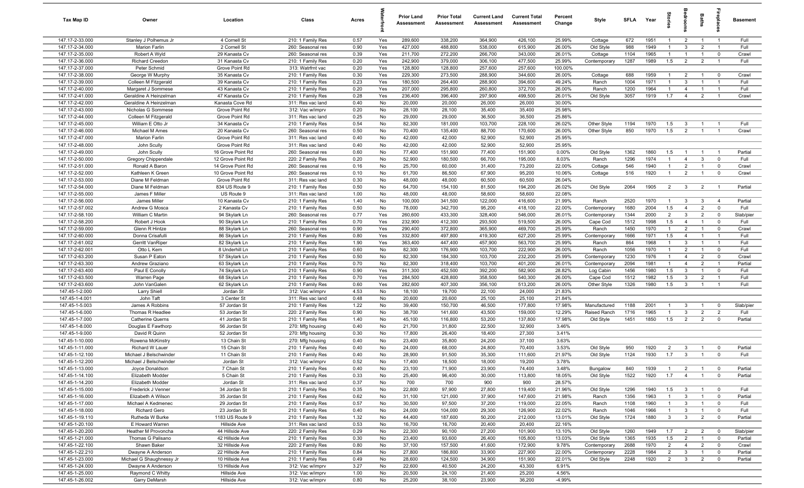| Tax Map ID                         | Owner                                         | Location                               | Class                                  | Acres        |            | <b>Prior Land</b><br>Assessment | <b>Prior Total</b><br>Assessment | <b>Current Land</b><br>Assessment | <b>Current Total</b><br><b>Assessment</b> | Percent<br>Change | Style                        | <b>SFI A</b> | Year         | tories                           |                                  | Baths                            | 름                                      | <b>Basement</b>  |
|------------------------------------|-----------------------------------------------|----------------------------------------|----------------------------------------|--------------|------------|---------------------------------|----------------------------------|-----------------------------------|-------------------------------------------|-------------------|------------------------------|--------------|--------------|----------------------------------|----------------------------------|----------------------------------|----------------------------------------|------------------|
| 147.17-2-33.000                    | Stanley J Polhemus Jr                         | 4 Cornell St                           | 210: 1 Family Res                      | 0.57         | Yes        | 289,600                         | 338,200                          | 364,900                           | 426,100                                   | 25.99%            | Cottage                      | 672          | 1951         | $\overline{1}$                   | $\overline{2}$                   | $\overline{1}$                   | $\overline{1}$                         | Full             |
| 147.17-2-34.000                    | Marion Farlin                                 | 2 Cornell St                           | 260: Seasonal res                      | 0.90         | Yes        | 427,000                         | 488,800                          | 538,000                           | 615,900                                   | 26.00%            | Old Style                    | 988          | 1949         | $\overline{1}$                   | 3                                | $\overline{2}$                   | $\overline{1}$                         | Full             |
| 147.17-2-35.000                    | Robert A Wyld                                 | 29 Kanasta Cv                          | 260: Seasonal res                      | 0.39         | Yes        | 211,700                         | 272,200                          | 266,700                           | 343,000                                   | 26.01%            | Cottage                      | 1104         | 1965         | $\overline{1}$                   | $\overline{1}$                   | $\overline{1}$                   | $\mathbf 0$                            | Crawl            |
| 147.17-2-36.000<br>147.17-2-37.000 | <b>Richard Creedon</b><br>Peter Schmid        | 31 Kanasta Cv<br>Grove Point Rd        | 210: 1 Family Res<br>313: Watrfrnt vac | 0.20<br>0.20 | Yes<br>Yes | 242,900<br>128,800              | 379,000<br>128,800               | 306,100<br>257,600                | 477,500<br>257,600                        | 25.99%<br>100.00% | Contemporary                 | 1287         | 1989         | 1.5                              | $\overline{2}$                   | $\overline{2}$                   | $\overline{1}$                         | Full             |
| 147.17-2-38.000                    | George W Murphy                               | 35 Kanasta Cv                          | 210: 1 Family Res                      | 0.30         | Yes        | 229,300                         | 273,500                          | 288,900                           | 344,600                                   | 26.00%            | Cottage                      | 688          | 1959         | $\overline{1}$                   | $\overline{2}$                   | $\overline{1}$                   | $\overline{\mathbf{0}}$                | Crawl            |
| 147.17-2-39.000                    | Colleen M Fitzgerald                          | 39 Kanasta Cv                          | 210: 1 Family Res                      | 0.23         | Yes        | 180,500                         | 264,400                          | 288,900                           | 394,600                                   | 49.24%            | Ranch                        | 1004         | 1971         | $\overline{1}$                   | 3                                | $\overline{1}$                   | $\overline{1}$                         | Full             |
| 147.17-2-40.000                    | Margaret J Sommese                            | 43 Kanasta Cv                          | 210: 1 Family Res                      | 0.20         | Yes        | 207,000                         | 295,800                          | 260,800                           | 372,700                                   | 26.00%            | Ranch                        | 1200         | 1964         | $\overline{1}$                   | $\overline{4}$                   | $\overline{1}$                   | $\overline{1}$                         | Full             |
| 147.17-2-41.000                    | Geraldine A Heinzelman                        | 47 Kanasta Cv                          | 210: 1 Family Res                      | 0.28         | Yes        | 236,400                         | 396,400                          | 297,900                           | 499,500                                   | 26.01%            | Old Style                    | 3057         | 1919         | 1.7                              | $\overline{4}$                   | $\overline{2}$                   | $\overline{1}$                         | Crawl            |
| 147.17-2-42.000                    | Geraldine A Heinzelman                        | Kanasta Cove Rd                        | 311: Res vac land                      | 0.40         | No         | 20,000                          | 20,000                           | 26,000                            | 26,000                                    | 30.00%            |                              |              |              |                                  |                                  |                                  |                                        |                  |
| 147.17-2-43.000                    | Nicholas G Sommese                            | Grove Point Rd                         | 312: Vac w/imprv                       | 0.20         | No         | 28,100                          | 28,100                           | 35,400                            | 35,400                                    | 25.98%            |                              |              |              |                                  |                                  |                                  |                                        |                  |
| 147.17-2-44.000                    | Colleen M Fitzgerald                          | Grove Point Rd                         | 311: Res vac land                      | 0.25         | No         | 29,000                          | 29,000                           | 36,500                            | 36,500                                    | 25.86%            |                              |              |              |                                  |                                  |                                  |                                        |                  |
| 147.17-2-45.000                    | William E Otto Jr                             | 34 Kanasta Cv                          | 210: 1 Family Res                      | 0.54         | No         | 82,300                          | 181,000                          | 103,700                           | 228,100                                   | 26.02%            | Other Style                  | 1194         | 1970         | 1.5                              | $\overline{3}$                   | $\overline{1}$                   | $\overline{1}$                         | Full             |
| 147.17-2-46.000                    | Michael M Ames                                | 20 Kanasta Cv                          | 260: Seasonal res                      | 0.50         | No         | 70,400                          | 135,400                          | 88,700                            | 170,600                                   | 26.00%            | Other Style                  | 850          | 1970         | 1.5                              | $\overline{2}$                   | $\overline{1}$                   | $\overline{1}$                         | Crawl            |
| 147.17-2-47.000                    | Marion Farlin                                 | Grove Point Rd                         | 311: Res vac land                      | 0.40         | No         | 42,000                          | 42,000                           | 52,900                            | 52,900                                    | 25.95%            |                              |              |              |                                  |                                  |                                  |                                        |                  |
| 147.17-2-48.000                    | John Scully                                   | Grove Point Rd                         | 311: Res vac land                      | 0.40         | No         | 42,000                          | 42,000                           | 52,900                            | 52,900                                    | 25.95%            |                              |              |              |                                  |                                  |                                  |                                        |                  |
| 147.17-2-49.000                    | John Scully                                   | 16 Grove Point Rd                      | 260: Seasonal res                      | 0.60         | No         | 77,400<br>52,900                | 151,900                          | 77,400<br>66,700                  | 151,900                                   | 0.00%             | Old Style                    | 1362<br>1296 | 1860<br>1974 | 1.5<br>$\overline{1}$            | $\overline{4}$                   | $\overline{1}$<br>$\mathbf{3}$   | $\overline{1}$                         | Partial<br>Full  |
| 147.17-2-50.000<br>147.17-2-51.000 | <b>Gregory Chippendale</b><br>Ronald A Baron  | 12 Grove Point Rd<br>14 Grove Point Rd | 220: 2 Family Res<br>260: Seasonal res | 0.20<br>0.16 | No<br>No   | 25,700                          | 180,500<br>60,000                | 31,400                            | 195,000<br>73,200                         | 8.03%<br>22.00%   | Ranch<br>Cottage             | 546          | 1940         | $\overline{1}$                   | $\overline{2}$                   | $\overline{1}$                   | $\mathbf 0$<br>$\mathbf 0$             | Crawl            |
| 147.17-2-52.000                    | Kathleen K Green                              | 10 Grove Point Rd                      | 260: Seasonal res                      | 0.10         | No         | 61,700                          | 86,500                           | 67,900                            | 95,200                                    | 10.06%            | Cottage                      | 516          | 1920         | $\overline{1}$                   | $\overline{2}$                   | $\overline{1}$                   | $\mathbf 0$                            | Crawl            |
| 147.17-2-53.000                    | Diane M Feldman                               | Grove Point Rd                         | 311: Res vac land                      | 0.30         | No         | 48,000                          | 48,000                           | 60,500                            | 60,500                                    | 26.04%            |                              |              |              |                                  |                                  |                                  |                                        |                  |
| 147.17-2-54.000                    | Diane M Feldman                               | 834 US Route 9                         | 210: 1 Family Res                      | 0.50         | No         | 64,700                          | 154,100                          | 81,500                            | 194,200                                   | 26.02%            | Old Style                    | 2064         | 1905         | $\overline{2}$                   | $\mathbf{3}$                     | $\overline{2}$                   | $\overline{1}$                         | Partial          |
| 147.17-2-55.000                    | James F Miller                                | US Route 9                             | 311: Res vac land                      | 1.00         | No         | 48,000                          | 48,000                           | 58,600                            | 58,600                                    | 22.08%            |                              |              |              |                                  |                                  |                                  |                                        |                  |
| 147.17-2-56.000                    | James Miller                                  | 10 Kanasta Cv                          | 210: 1 Family Res                      | 1.40         | No         | 100,000                         | 341,500                          | 122,000                           | 416,600                                   | 21.99%            | Ranch                        | 2520         | 1970         | $\overline{1}$                   | $\mathbf{3}$                     | 3                                | $\overline{4}$                         | Partial          |
| 147.17-2-57.002                    | Andrew G Mosca                                | 2 Kanasta Cv                           | 210: 1 Family Res                      | 0.50         | No         | 78,000                          | 342,700                          | 95,200                            | 418,100                                   | 22.00%            | Contemporary                 | 1680         | 2004         | 1.5                              | $\overline{4}$                   | $\overline{2}$                   | $\mathbf 0$                            | Full             |
| 147.17-2-58.100                    | William C Martin                              | 94 Skylark Ln                          | 260: Seasonal res                      | 0.77         | Yes        | 260,600                         | 433,300                          | 328,400                           | 546,000                                   | 26.01%            | Contemporary                 | 1344         | 2000         | $\overline{2}$                   | $\mathbf{3}$                     | $\overline{2}$                   | $\mathbf 0$                            | Slab/pier        |
| 147.17-2-58.200                    | Robert J Hook                                 | 90 Skylark Ln                          | 210: 1 Family Res                      | 0.70         | Yes        | 232,900                         | 412,300                          | 293,500                           | 519,500                                   | 26.00%            | Cape Cod                     | 1512         | 1998         | 1.5                              | $\overline{4}$                   | $\overline{1}$                   | $\mathbf 0$                            | Full             |
| 147.17-2-59.000                    | Glenn R Hintze                                | 88 Skylark Ln                          | 260: Seasonal res                      | 0.90         | Yes        | 290,400                         | 372,800                          | 365,900                           | 469,700                                   | 25.99%            | Ranch                        | 1450         | 1970         | $\overline{1}$                   | $\overline{2}$                   | $\overline{1}$                   | $\mathbf 0$                            | Crawl            |
| 147.17-2-60.000                    | Donna Crisafulli                              | 86 Skylark Ln                          | 210: 1 Family Res                      | 0.80         | Yes        | 332,800                         | 497,800                          | 419,300                           | 627,200                                   | 25.99%            | Contemporary                 | 1666         | 1971         | 1.5                              | $\overline{4}$                   | $\overline{1}$                   | $\overline{1}$                         | Full             |
| 147.17-2-61.002                    | Gerritt VanRiper                              | 82 Skylark Ln                          | 210: 1 Family Res                      | 1.90         | Yes        | 363,400                         | 447,400                          | 457,900                           | 563,700                                   | 25.99%            | Ranch                        | 864          | 1968         | $\overline{1}$                   | 3                                | $\overline{1}$                   | $\overline{1}$                         | Full             |
| 147.17-2-62.001                    | Otto L Kern                                   | 8 Underhill Ln                         | 210: 1 Family Res                      | 0.60         | No         | 82,300                          | 176,900                          | 103,700                           | 222,900                                   | 26.00%            | Ranch                        | 1056<br>1230 | 1970         | $\overline{1}$<br>$\overline{1}$ | $\overline{2}$<br>$\overline{4}$ | $\overline{1}$                   | $\mathbf 0$                            | Full             |
| 147.17-2-63.200<br>147.17-2-63.300 | Susan P Eaton<br>Andrew Graziano              | 57 Skylark Ln<br>63 Skylark Ln         | 210: 1 Family Res<br>210: 1 Family Res | 0.50<br>0.70 | No<br>No   | 82,300<br>82,300                | 184,300<br>318,400               | 103,700<br>103,700                | 232,200<br>401,200                        | 25.99%<br>26.01%  | Contemporary<br>Contemporary | 2094         | 1976<br>1981 | $\overline{1}$                   | $\overline{4}$                   | $\overline{2}$<br>$\overline{2}$ | $\mathbf 0$<br>$\overline{1}$          | Crawl<br>Partial |
| 147.17-2-63.400                    | Paul E Conolly                                | 74 Skylark Ln                          | 210: 1 Family Res                      | 0.90         | Yes        | 311,300                         | 452,500                          | 392,200                           | 582,900                                   | 28.82%            | Log Cabin                    | 1456         | 1980         | 1.5                              | $\mathbf{3}$                     | $\overline{1}$                   | $\mathbf 0$                            | Full             |
| 147.17-2-63.500                    | Warren Page                                   | 68 Skylark Ln                          | 210: 1 Family Res                      | 0.70         | Yes        | 284,500                         | 428,800                          | 358,500                           | 540,300                                   | 26.00%            | Cape Cod                     | 1512         | 1982         | 1.5                              | $\mathbf{3}$                     | $\overline{2}$                   | $\overline{1}$                         | Full             |
| 147.17-2-63.600                    | John VanGaler                                 | 62 Skylark Ln                          | 210: 1 Family Res                      | 0.60         | Yes        | 282,600                         | 407,300                          | 356,100                           | 513,200                                   | 26.00%            | Other Style                  | 1326         | 1980         | 1.5                              | $\mathbf{3}$                     | $\overline{1}$                   | $\overline{1}$                         | Full             |
| 147.45-1-2.000                     | Larry Shiell                                  | Jordan St                              | 312: Vac w/imprv                       | 4.53         | No         | 18,100                          | 19,700                           | 22,100                            | 24,000                                    | 21.83%            |                              |              |              |                                  |                                  |                                  |                                        |                  |
| 147.45-1-4.001                     | John Taft                                     | 3 Center St                            | 311: Res vac land                      | 0.48         | No         | 20,600                          | 20,600                           | 25,100                            | 25,100                                    | 21.84%            |                              |              |              |                                  |                                  |                                  |                                        |                  |
| 147.45-1-5.003                     | James A Robbins                               | 57 Jordan St                           | 210: 1 Family Res                      | 1.22         | No         | 39,400                          | 150,700                          | 46,500                            | 177,800                                   | 17.98%            | Manufactured                 | 1188         | 2001         | -1                               | -3                               | $\mathbf{1}$                     | $\mathbf 0$                            | Slab/pier        |
| 147.45-1-6.000                     | Thomas R Headlee                              | 53 Jordan St                           | 220: 2 Family Res                      | 0.90         | No         | 38,700                          | 141,600                          | 43,500                            | 159,000                                   | 12.29%            | Raised Ranch                 | 1716         | 1965         | -1                               | 3                                | $\overline{2}$                   | $\overline{2}$                         | Full             |
| 147.45-1-7.000                     | Catherine Querns                              | 41 Jordan St                           | 210: 1 Family Res                      | 1.40         | No         | 45,100                          | 116,800                          | 53,200                            | 137,800                                   | 17.98%            | Old Style                    | 1451         | 1850         | 1.5                              | $\overline{2}$                   | $\overline{2}$                   | $\mathbf 0$                            | Partial          |
| 147.45-1-8.000                     | Douglas E Fawthorp                            | 56 Jordan St                           | 270: Mfg housing                       | 0.40         | No         | 21,700                          | 31,800                           | 22,500                            | 32,900                                    | 3.46%             |                              |              |              |                                  |                                  |                                  |                                        |                  |
| 147.45-1-9.000                     | David R Quinn                                 | 52 Jordan St                           | 270: Mfg housing                       | 0.30         | No         | 17,800                          | 26,400                           | 18,400                            | 27,300                                    | 3.41%             |                              |              |              |                                  |                                  |                                  |                                        |                  |
| 147.45-1-10.000<br>147.45-1-11.000 | Rowena McKinstry<br>Richard W Lauer           | 13 Chain St<br>15 Chain St             | 270: Mfg housing<br>210: 1 Family Res  | 0.40<br>0.40 | No<br>No   | 23,400<br>24,000                | 35,800<br>68,000                 | 24,200<br>24,800                  | 37,100<br>70,400                          | 3.63%<br>3.53%    | Old Style                    | 950          | 1920         | $\overline{2}$                   | $\mathbf{3}$                     | $\overline{1}$                   | $\mathbf 0$                            | Partial          |
| 147.45-1-12.100                    | Michael J Belschwinder                        | 11 Chain St                            | 210: 1 Family Res                      | 0.40         | No         | 28,900                          | 91,500                           | 35,300                            | 111,600                                   | 21.97%            | Old Style                    | 1124         | 1930         | 1.7                              | $\mathbf{3}$                     | $\overline{1}$                   | $\mathbf 0$                            | Full             |
| 147.45-1-12.200                    | Michael J Belschwinder                        | Jordan St                              | 312: Vac w/imprv                       | 0.52         | <b>No</b>  | 17,400                          | 18,500                           | 18,000                            | 19,200                                    | 3.78%             |                              |              |              |                                  |                                  |                                  |                                        |                  |
| 147.45-1-13.000                    | Joyce Donaldson                               | 7 Chain St                             | 210: 1 Family Res                      | 0.40         | No         | 23,100                          | 71,900                           | 23,900                            | 74,400                                    | 3.48%             | Bungalow                     | 840          | 1939         | $\overline{1}$                   | $\overline{2}$                   | $\overline{1}$                   | $\overline{\mathbf{0}}$                | Partial          |
| 147.45-1-14.100                    | Elizabeth Modder                              | 5 Chain St                             | 210: 1 Family Res                      | 0.33         | No         | 25,400                          | 96,400                           | 30,000                            | 113,800                                   | 18.05%            | Old Style                    | 1522         | 1920         | 1.7                              | $\overline{4}$                   | $\overline{1}$                   | $\mathbf 0$                            | Partial          |
| 147.45-1-14.200                    | Elizabeth Modder                              | Jordan St                              | 311: Res vac land                      | 0.37         | No         | 700                             | 700                              | 900                               | 900                                       | 28.57%            |                              |              |              |                                  |                                  |                                  |                                        |                  |
| 147.45-1-15.000                    | Frederick J Venner                            | 34 Jordan St                           | 210: 1 Family Res                      | 0.35         | No         | 22,800                          | 97,900                           | 27,800                            | 119,400                                   | 21.96%            | Old Style                    | 1296         | 1940         | 1.5                              | $\overline{\mathbf{3}}$          | $\overline{1}$                   | $\mathbf 0$                            | Full             |
| 147.45-1-16.000                    | Elizabeth A Wilson                            | 35 Jordan St                           | 210: 1 Family Res                      | 0.62         | No         | 31,100                          | 121,000                          | 37,900                            | 147,600                                   | 21.98%            | Ranch                        | 1356         | 1963         | $\overline{1}$                   | $\mathbf{3}$                     | $\overline{1}$                   | $\mathbf 0$                            | Partial          |
| 147.45-1-17.000                    | Michael A Kedmenec                            | 29 Jordan St                           | 210: 1 Family Res                      | 0.57         | No         | 30,500                          | 97,500                           | 37,200                            | 119,000                                   | 22.05%            | Ranch                        | 1108         | 1960         | $\mathbf{1}$                     | $\mathbf{3}$                     | $\overline{1}$                   | $\overline{0}$                         | Full             |
| 147.45-1-18.000                    | Richard Gero                                  | 23 Jordan St                           | 210: 1 Family Res                      | 0.40         | No         | 24,000                          | 104,000                          | 29,300                            | 126,900                                   | 22.02%            | Ranch                        | 1046         | 1966         | $\overline{1}$                   | $\mathbf{3}$                     | $\overline{1}$                   | $\overline{0}$                         | Full             |
| 147.45-1-19.110                    | Rutheda W Burke                               | 1183 US Route 9                        | 210: 1 Family Res                      | 1.32         | No         | 44,400                          | 187,600                          | 50,200                            | 212,000                                   | 13.01%            | Old Style                    | 1724         | 1880         | $\mathbf{3}$                     | $\overline{3}$                   | $\overline{2}$                   | $\mathbf 0$                            | Partial          |
| 147.45-1-20.100                    | E Howard Warren                               | Hillside Ave                           | 311: Res vac land                      | 0.53         | No         | 16,700                          | 16,700                           | 20,400                            | 20,400                                    | 22.16%            |                              |              |              |                                  |                                  |                                  |                                        |                  |
| 147.45-1-20.200                    | Heather M Provoncha                           | 44 Hillside Ave                        | 220: 2 Family Res                      | 0.29         | No         | 22,300                          | 90,100                           | 27,200                            | 101,900                                   | 13.10%            | Old Style                    | 1260         | 1949         | 1.7                              | $\overline{2}$                   | $\overline{2}$                   | $\overline{\mathbf{0}}$                | Slab/pier        |
| 147.45-1-21.000                    | Thomas G Palisano                             | 42 Hillside Ave                        | 210: 1 Family Res                      | 0.30         | No         | 23,400                          | 93,600                           | 26,400                            | 105,800                                   | 13.03%            | Old Style                    | 1365         | 1935         | 1.5                              | $\overline{2}$                   | $\overline{1}$                   | $\mathbf 0$                            | Partial          |
| 147.45-1-22.100<br>147.45-1-22.210 | Shawn Baker                                   | 32 Hillside Ave<br>22 Hillside Ave     | 220: 2 Family Res<br>210: 1 Family Res | 0.80<br>0.84 | No         | 37,100<br>27,800                | 157,500<br>186,800               | 41,600<br>33,900                  | 172,900<br>227,900                        | 9.78%<br>22.00%   | Contemporary                 | 2688<br>2228 | 1970<br>1984 | $\overline{2}$<br>$\overline{2}$ | $\overline{4}$<br>$\mathbf{3}$   | $\overline{2}$<br>$\overline{1}$ | $\overline{\mathbf{0}}$<br>$\mathbf 0$ | Crawl<br>Partial |
| 147.45-1-23.000                    | Dwayne A Anderson<br>Michael G Shaughnessy Jr | 10 Hillside Ave                        | 210: 1 Family Res                      | 0.49         | No<br>No   | 28,600                          | 124,500                          | 34,900                            | 151,900                                   | 22.01%            | Contemporary<br>Old Style    | 2248         | 1920         | $\overline{2}$                   | $\mathbf{3}$                     | $\overline{2}$                   | $\mathbf 0$                            | Partial          |
| 147.45-1-24.000                    | Dwayne A Anderson                             | 13 Hillside Ave                        | 312: Vac w/imprv                       | 3.27         | No         | 22,600                          | 40,500                           | 24,200                            | 43,300                                    | 6.91%             |                              |              |              |                                  |                                  |                                  |                                        |                  |
| 147.45-1-25.000                    | Raymond C Whitty                              | Hillside Ave                           | 312: Vac w/imprv                       | 1.00         | No         | 20,500                          | 24,100                           | 21,400                            | 25,200                                    | 4.56%             |                              |              |              |                                  |                                  |                                  |                                        |                  |
| 147.45-1-26.002                    | Garry DeMarsh                                 | Hillside Ave                           | 312: Vac w/imprv                       | 0.80         | No         | 25,200                          | 38,100                           | 23,900                            | 36,200                                    | $-4.99%$          |                              |              |              |                                  |                                  |                                  |                                        |                  |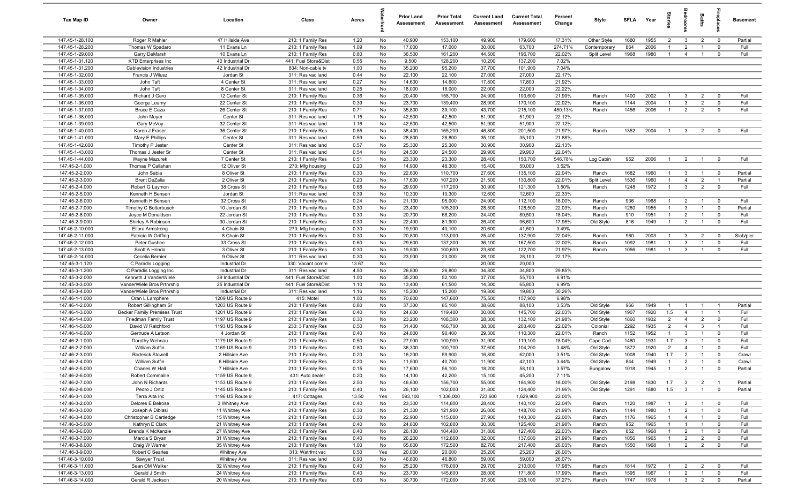| <b>Tax Map ID</b>                  | Owner                               | Location                       | Class                                  | Acres        |          | <b>Prior Land</b><br>Assessment | <b>Prior Total</b><br>Assessment | <b>Current Land</b><br>Assessment | <b>Current Total</b><br>Assessment | Percent<br>Change | Style                 | <b>SFLA</b>  | Year         | Stories               | <b>edroon</b>                | Baths                            | irepla                      | <b>Basement</b> |
|------------------------------------|-------------------------------------|--------------------------------|----------------------------------------|--------------|----------|---------------------------------|----------------------------------|-----------------------------------|------------------------------------|-------------------|-----------------------|--------------|--------------|-----------------------|------------------------------|----------------------------------|-----------------------------|-----------------|
| 147.45-1-28.100                    | Roger R Mahler                      | 47 Hillside Ave                | 210: 1 Family Res                      | 1.20         | No       | 40,900                          | 153,100                          | 49,900                            | 179,600                            | 17.31%            | Other Style           | 1680         | 1955         | $\overline{2}$        | $\mathbf{3}$                 | $\overline{2}$                   | $\overline{0}$              | Partial         |
| 147.45-1-28.200                    | Thomas W Spadaro                    | 11 Evans Ln                    | 210: 1 Family Res                      | 1.09         | No       | 17,000                          | 17,000                           | 30,000                            | 63,700                             | 274.71%           | Contemporary          | 864          | 2006         | $\overline{1}$        | $\overline{2}$               | $\overline{1}$                   | $^{\circ}$                  | Full            |
| 147.45-1-29.000                    | Garry DeMarsh                       | 10 Evans Ln                    | 210: 1 Family Res                      | 0.80         | No       | 36,500                          | 161,200                          | 44,500                            | 196,700                            | 22.02%            | Split Level           | 1968         | 1980         | $\overline{1}$        | $\overline{4}$               | $\overline{1}$                   | $^{\circ}$                  | Full            |
| 147.45-1-31.120                    | <b>KTD Enterprises Inc</b>          | 40 Industrial Dr               | 441: Fuel Store&Dist                   | 0.55         | No       | 9,500                           | 128,200                          | 10,200                            | 137,200                            | 7.02%             |                       |              |              |                       |                              |                                  |                             |                 |
| 147.45-1-31.200                    | Cablevision Industries              | 42 Industrial Dr               | 834: Non-cable tv                      | 1.00         | No       | 35,200                          | 95,200                           | 37,700                            | 101,900                            | 7.04%             |                       |              |              |                       |                              |                                  |                             |                 |
| 147.45-1-32.000                    | Francis J Wilusz                    | Jordan St                      | 311: Res vac land                      | 0.44         | No       | 22,100                          | 22,100                           | 27,000                            | 27,000                             | 22.17%            |                       |              |              |                       |                              |                                  |                             |                 |
| 147.45-1-33.000                    | John Taft                           | 4 Center St                    | 311: Res vac land                      | 0.27         | No       | 14,600                          | 14,600                           | 17,800                            | 17,800                             | 21.92%            |                       |              |              |                       |                              |                                  |                             |                 |
| 147.45-1-34.000                    | John Taft                           | 8 Center St                    | 311: Res vac land                      | 0.25         | No       | 18,000                          | 18,000                           | 22,000                            | 22,000                             | 22.22%            |                       |              |              |                       |                              |                                  |                             |                 |
| 147.45-1-35.000                    | Richard J Gero                      | 12 Center St                   | 210: 1 Family Res                      | 0.36         | No       | 20,400                          | 158,700                          | 24,900                            | 193,600                            | 21.99%            | Ranch                 | 1400         | 2002         | $\mathbf{1}$          | $\mathbf{3}$                 | $\overline{2}$                   | $^{\circ}$                  | Full            |
| 147.45-1-36.000                    | George Leamy                        | 22 Center St                   | 210: 1 Family Res                      | 0.39         | No       | 23,700                          | 139,400                          | 28,900                            | 170,100                            | 22.02%            | Ranch                 | 1144         | 2004         | $\overline{1}$        | $\mathbf{3}$                 | $\overline{2}$                   | $\mathbf{0}$                | Full            |
| 147.45-1-37.000                    | <b>Bruce E Caza</b>                 | 26 Center St                   | 210: 1 Family Res                      | 0.71         | No       | 35,800                          | 39,100                           | 43,700                            | 215,100                            | 450.13%           | Ranch                 | 1456         | 2006         | $\overline{1}$        | $\overline{2}$               | $\overline{2}$                   | $\mathbf 0$                 | Full            |
| 147.45-1-38.000<br>147.45-1-39.000 | John Moyer                          | Center St<br>32 Center St      | 311: Res vac land                      | 1.15         | No<br>No | 42,500<br>42,500                | 42,500<br>42,500                 | 51,900                            | 51,900<br>51,900                   | 22.12%<br>22.12%  |                       |              |              |                       |                              |                                  |                             |                 |
| 147.45-1-40.000                    | Gary McVoy<br>Karen J Fraser        | 36 Center St                   | 311: Res vac land<br>210: 1 Family Res | 1.16<br>0.85 | No       | 38,400                          | 165,200                          | 51,900<br>46,800                  | 201,500                            | 21.97%            | Ranch                 | 1352         | 2004         | $\overline{1}$        | $\mathbf{3}$                 | $\overline{2}$                   | $^{\circ}$                  | Full            |
| 147.45-1-41.000                    | Mary E Phillips                     | Center St                      | 311: Res vac land                      | 0.59         | No       | 28,800                          | 28,800                           | 35,100                            | 35,100                             | 21.88%            |                       |              |              |                       |                              |                                  |                             |                 |
| 147.45-1-42.000                    | Timothy P Jester                    | Center St                      | 311: Res vac land                      | 0.57         | No       | 25,300                          | 25,300                           | 30,900                            | 30,900                             | 22.13%            |                       |              |              |                       |                              |                                  |                             |                 |
| 147.45-1-43.000                    | Thomas J Jester Sr                  | Center St                      | 311: Res vac land                      | 0.54         | No       | 24,500                          | 24,500                           | 29,900                            | 29,900                             | 22.04%            |                       |              |              |                       |                              |                                  |                             |                 |
| 147.45-1-44.000                    | Wayne Mazurek                       | 7 Center St                    | 210: 1 Family Res                      | 0.51         | No       | 23,300                          | 23,300                           | 28,400                            | 150,700                            | 546.78%           | Log Cabin             | 952          | 2006         | $\overline{1}$        | 2                            | $\overline{1}$                   | $\mathbf 0$                 | Full            |
| 147.45-2-1.000                     | Thomas P Callahan                   | 12 Oliver St                   | 270: Mfg housing                       | 0.20         | No       | 14,900                          | 48,300                           | 15,400                            | 50,000                             | 3.52%             |                       |              |              |                       |                              |                                  |                             |                 |
| 147.45-2-2.000                     | John Sabia                          | 8 Oliver St                    | 210: 1 Family Res                      | 0.30         | No       | 22,600                          | 110,700                          | 27,600                            | 135,100                            | 22.04%            | Ranch                 | 1682         | 1960         | $\overline{1}$        | $\mathbf{3}$                 | $\overline{1}$                   | $\overline{\mathbf{0}}$     | Partial         |
| 147.45-2-3.000                     | <b>Brent DeZalia</b>                | 2 Oliver St                    | 210: 1 Family Res                      | 0.20         | No       | 17,600                          | 107,200                          | 21,500                            | 130,800                            | 22.01%            | Split Level           | 1536         | 1960         | $\overline{1}$        | $\overline{4}$               | $\overline{2}$                   | $\overline{1}$              | Partial         |
| 147.45-2-4.000                     | Robert G Laymon                     | 38 Cross St                    | 210: 1 Family Res                      | 0.66         | No       | 29,900                          | 117,200                          | 30,900                            | 121,300                            | 3.50%             | Ranch                 | 1248         | 1972         | $\overline{1}$        | $\mathbf{3}$                 | $\overline{2}$                   | $\mathbf 0$                 | Full            |
| 147.45-2-5.000                     | Kenneth H Bensen                    | Jordan St                      | 311: Res vac land                      | 0.39         | No       | 10,300                          | 10,300                           | 12,600                            | 12,600                             | 22.33%            |                       |              |              |                       |                              |                                  |                             |                 |
| 147.45-2-6.000                     | Kenneth H Bensen                    | 32 Cross St                    | 210: 1 Family Res                      | 0.24         | No       | 21,100                          | 95,000                           | 24,900                            | 112,100                            | 18.00%            | Ranch                 | 936          | 1968         | $\overline{1}$        | $\overline{2}$               | $\overline{1}$                   | $\overline{\mathbf{0}}$     | Full            |
| 147.45-2-7.000                     | Timothy C Botterbusch               | 10 Jordan St                   | 210: 1 Family Res                      | 0.30         | No       | 23,400                          | 105,300                          | 28,500                            | 128,500                            | 22.03%            | Ranch                 | 1280         | 1955         | $\overline{1}$        | $\mathbf{3}$                 | $\overline{1}$                   | $\mathbf 0$                 | Partial         |
| 147.45-2-8.000                     | Joyce M Donaldson                   | 22 Jordan St                   | 210: 1 Family Res                      | 0.30         | No       | 20,700                          | 68,200                           | 24,400                            | 80,500                             | 18.04%            | Ranch                 | 910          | 1951         | $\overline{1}$        | 2                            | $\overline{1}$                   | $\mathbf{0}$                | Full            |
| 147.45-2-9.000                     | Shirley A Robinson                  | 30 Jordan St                   | 210: 1 Family Res                      | 0.30         | No       | 22,400                          | 81,900                           | 26,400                            | 96,600                             | 17.95%            | Old Style             | 816          | 1949         | $\overline{1}$        | $\overline{2}$               | $\overline{1}$                   | $\mathbf 0$                 | Full            |
| 147.45-2-10.000                    | <b>Ellora Armstrong</b>             | 4 Chain St                     | 270: Mfg housing                       | 0.30         | No       | 19,900                          | 40,100                           | 20,600                            | 41,500                             | 3.49%             |                       |              |              |                       |                              |                                  |                             |                 |
| 147.45-2-11.000                    | Patricia W Griffing                 | 8 Chain St                     | 210: 1 Family Res                      | 0.30         | No       | 20,800                          | 113,000                          | 25,400                            | 137,900                            | 22.04%            | Ranch                 | 960          | 2003         | $\overline{1}$        | $\mathbf{3}$                 | $\overline{2}$                   | $\mathbf 0$                 | Slab/pier       |
| 147.45-2-12.000                    | Peter Gushee                        | 33 Cross St                    | 210: 1 Family Res                      | 0.60         | No       | 29,600                          | 137,300                          | 36,100                            | 167,500                            | 22.00%            | Ranch                 | 1092         | 1981         | $\overline{1}$        | $\mathbf{3}$                 | $\overline{1}$                   | $\mathbf{0}$                | Full            |
| 147.45-2-13.000                    | Scott A Hrinda                      | 3 Oliver St                    | 210: 1 Family Res                      | 0.30         | No       | 19,500                          | 100,600                          | 23,800                            | 122,700                            | 21.97%            | Ranch                 | 1056         | 1981         | $\overline{1}$        | $\mathbf{3}$                 | $\overline{1}$                   | $^{\circ}$                  | Full            |
| 147.45-2-14.000                    | Cecelia Bernier                     | 9 Oliver St                    | 311: Res vac land                      | 0.30         | No       | 23,000                          | 23,000                           | 28,100                            | 28,100                             | 22.17%            |                       |              |              |                       |                              |                                  |                             |                 |
| 147.45-3-1.120                     | C Paradis Logging                   | Industrial Dr                  | 330: Vacant comm                       | 13.67        | No       |                                 |                                  | 20,000                            | 20,000                             |                   |                       |              |              |                       |                              |                                  |                             |                 |
| 147.45-3-1.200                     | C Paradis Logging Inc               | Industrial Dr                  | 311: Res vac land                      | 4.50         | No       | 26,800                          | 26,800                           | 34,800                            | 34,800                             | 29.85%            |                       |              |              |                       |                              |                                  |                             |                 |
| 147.45-3-2.000                     | Kenneth J VanderWiele               | 39 Industrial Dr               | 441: Fuel Store&Dist                   | 1.00         | No       | 35,200                          | 52,100                           | 37,700                            | 55,700                             | 6.91%             |                       |              |              |                       |                              |                                  |                             |                 |
| 147.45-3-3.000                     | VanderWiele Bros Prtnrship          | 25 Industrial Dr               | 441: Fuel Store&Dist                   | 1.10         | No       | 13,400                          | 61,500                           | 14,300                            | 65,800                             | 6.99%             |                       |              |              |                       |                              |                                  |                             |                 |
| 147.45-3-4.000                     | VanderWiele Bros Prtnrship          | Industrial Dr                  | 311: Res vac land                      | 1.16         | No       | 15,200                          | 15,200                           | 19,800                            | 19,800                             | 30.26%            |                       |              |              |                       |                              |                                  |                             |                 |
| 147.46-1-1.000                     | Oran L Lamphere                     | 1209 US Route 9                | $415$ : Motel                          | 1.00         | No       | 70,600                          | 147,600                          | 75,500                            | 157,900                            | 6.98%             |                       |              |              |                       |                              |                                  |                             |                 |
| 147.46-1-2.000                     | Robert Gillingham Sr                | 1203 US Route 9                | 210: 1 Family Res                      | 0.80         | No       | 37,300                          | 85,100                           | 38,600                            | 88,100                             | 3.53%             | Old Style             | 966          | 1949         | $\overline{1}$        | $\overline{1}$               | $\overline{1}$                   | $\overline{1}$              | Partial         |
| 147.46-1-3.000                     | <b>Becker Family Premises Trust</b> | 1201 US Route 9                | 210: 1 Family Res                      | 0.40         | No       | 24,600                          | 119,400                          | 30,000                            | 145,700                            | 22.03%            | Old Style             | 1907         | 1920         | 1.5                   | $\overline{4}$               | $\overline{1}$                   | $\overline{1}$              | Full            |
| 147.46-1-4.000                     | <b>Friedman Family Trust</b>        | 1197 US Route 9                | 210: 1 Family Res                      | 0.30         | No       | 23,200                          | 108,300                          | 28,300                            | 132,100                            | 21.98%            | Old Style             | 1860         | 1932         | 2                     | $\overline{4}$               | $\overline{2}$                   | $\mathbf{0}$                | Full            |
| 147.46-1-5.000                     | David W Ratchford                   | 1193 US Route 9                | 230: 3 Family Res                      | 0.50         | No       | 31,400                          | 166,700                          | 38,300                            | 203,400                            | 22.02%            | Colonial              | 2292         | 1935         | $\overline{2}$        | $\overline{4}$               | $\mathbf{3}$                     | $\overline{1}$              | Full            |
| 147.46-1-6.000<br>147.46-2-1.000   | Gertrude A Letson                   | 4 Jordan St<br>1179 US Route 9 | 210: 1 Family Res                      | 0.40<br>0.50 | No<br>No | 24,000<br>27,000                | 90,400<br>100,900                | 29,300<br>31,900                  | 110,300<br>119,100                 | 22.01%<br>18.04%  | Ranch                 | 1152<br>1480 | 1952<br>1931 | $\overline{1}$<br>1.7 | $\mathbf{3}$<br>$\mathbf{3}$ | $\overline{1}$<br>$\overline{1}$ | $\mathbf{0}$<br>$\mathbf 0$ | Full<br>Full    |
| 147.46-2-2.000                     | Dorothy Wehnau<br>William Sutfin    | 1169 US Route 9                | 210: 1 Family Res<br>210: 1 Family Res | 0.80         | No       | 36,300                          | 100,700                          | 37,600                            | 104,200                            | 3.48%             | Cape Cod<br>Old Style | 1872         | 1920         | $\overline{2}$        | $\overline{4}$               |                                  | $\Omega$                    | Full            |
| 147.46-2-3.000                     | <b>Roderick Stowell</b>             | 2 Hillside Ave                 | 210: 1 Family Res                      | 0.20         | No       | 16,200                          | 59,900                           | 16,800                            | 62,000                             | 3.51%             | Old Style             | 1008         | 1940         | 1.7                   | $\overline{2}$               |                                  | $\Omega$                    | Crawl           |
| 147.46-2-4.000                     | William Sutfin                      | 6 Hillside Ave                 | 210: 1 Family Res                      | 0.20         | No       | 11,500                          | 40,700                           | 11,900                            | 42,100                             | 3.44%             | Old Style             | 844          | 1949         | $\overline{1}$        | $\overline{2}$               |                                  |                             | Crawl           |
| 147.46-2-5.000                     | Charles W Hall                      | 7 Hillside Ave                 | 210: 1 Family Res                      | 0.15         | No       | 17,600                          | 56,100                           | 18,200                            | 58,100                             | 3.57%             | Bungalow              | 1018         | 1945         | $\overline{1}$        | $\overline{2}$               | $\overline{1}$                   | $\overline{\mathbf{0}}$     | Partial         |
| 147.46-2-6.000                     | Robert Commaille                    | 1159 US Route 9                | 431: Auto dealer                       | 0.20         | No       | 14,100                          | 42,200                           | 15,100                            | 45,200                             | 7.11%             |                       |              |              |                       |                              |                                  |                             |                 |
| 147.46-2-7.000                     | John N Richards                     | 1153 US Route 9                | 210: 1 Family Res                      | 2.50         | No       | 46,600                          | 156,700                          | 55,000                            | 184,900                            | 18.00%            | Old Style             | 2198         | 1830         | 1.7                   | $\mathbf{3}$                 | $\overline{2}$                   | $\overline{1}$              | Partial         |
| 147.46-2-8.000                     | Pedro J Ortiz                       | 1145 US Route 9                | 210: 1 Family Res                      | 0.40         | No       | 26,100                          | 102,000                          | 31,800                            | 124,400                            | 21.96%            | Old Style             | 1291         | 1880         | 1.5                   | $\mathbf{3}$                 | $\mathbf{1}$                     | $\mathbf 0$                 | Partial         |
| 147.46-3-1.000                     | Terra Alta Inc                      | 1196 US Route 9                | 417: Cottages                          | 13.50        | Yes      | 593,100                         | 1,336,000                        | 723,600                           | 1,629,900                          | 22.00%            |                       |              |              |                       |                              |                                  |                             |                 |
| 147.46-3-2.000                     | Delores E Belrose                   | 3 Whitney Ave                  | 210: 1 Family Res                      | 0.40         | No       | 23,300                          | 114,800                          | 28,400                            | 140,100                            | 22.04%            | Ranch                 | 1120         | 1987         | $\overline{1}$        | $\overline{2}$               | $\overline{1}$                   | $\overline{\mathbf{0}}$     | Full            |
| 147.46-3-3.000                     | Joseph A Diblasi                    | 11 Whitney Ave                 | 210: 1 Family Res                      | 0.30         | No       | 21,300                          | 121,900                          | 26,000                            | 148,700                            | 21.99%            | Ranch                 | 1144         | 1980         | $\overline{1}$        | 2                            | $\overline{1}$                   | $\mathbf 0$                 | Full            |
| 147.46-3-4.000                     | Christopher B Cartledge             | 15 Whitney Ave                 | 210: 1 Family Res                      | 0.30         | No       | 22,900                          | 115,000                          | 27,900                            | 140,300                            | 22.00%            | Ranch                 | 1176         | 1965         | $\overline{1}$        | $\overline{4}$               | $\mathbf{1}$                     | $\mathbf 0$                 | Full            |
| 147.46-3-5.000                     | Kathryn E Clark                     | 21 Whitney Ave                 | 210: 1 Family Res                      | 0.40         | No       | 24,800                          | 102,800                          | 30,300                            | 125,400                            | 21.98%            | Ranch                 | 952          | 1965         | $\overline{1}$        | $\overline{1}$               | $\mathbf{1}$                     | $\mathbf 0$                 | Full            |
| 147.46-3-6.000                     | Brenda K McKenzie                   | 27 Whitney Ave                 | 210: 1 Family Res                      | 0.40         | No       | 26,100                          | 104,400                          | 31,800                            | 127,400                            | 22.03%            | Ranch                 | 852          | 1968         | $\mathbf{1}$          | $\overline{2}$               | $\overline{1}$                   | $\mathbf 0$                 | Full            |
| 147.46-3-7.000                     | Marcia S Bryan                      | 31 Whitney Ave                 | 210: 1 Family Res                      | 0.40         | No       | 26,200                          | 112,800                          | 32,000                            | 137,600                            | 21.99%            | Ranch                 | 1056         | 1965         | $\mathbf{1}$          | $\overline{2}$               | $\overline{2}$                   | $\mathbf 0$                 | Full            |
| 147.46-3-8.000                     | Craig W Warner                      | 35 Whitney Ave                 | 210: 1 Family Res                      | 1.00         | No       | 65,600                          | 172,500                          | 82,700                            | 217,400                            | 26.03%            | Ranch                 | 1550         | 1968         | $\mathbf{1}$          | $\overline{2}$               | $\overline{2}$                   | $\mathbf 0$                 | Full            |
| 147.46-3-9.000                     | Robert C Searles                    | <b>Whitney Ave</b>             | 313: Watrfrnt vac                      | 0.50         | Yes      | 20,000                          | 20,000                           | 25,200                            | 25,200                             | 26.00%            |                       |              |              |                       |                              |                                  |                             |                 |
| 147.46-3-10.000                    | Sawyer Trust                        | <b>Whitney Ave</b>             | 311: Res vac land                      | 0.90         | No       | 46,800                          | 46,800                           | 59,000                            | 59,000                             | 26.07%            |                       |              |              |                       |                              |                                  |                             |                 |
| 147.46-3-11.000                    | Sean OM Walker                      | 32 Whitney Ave                 | 210: 1 Family Res                      | 0.40         | No       | 25,200                          | 178,000                          | 29,700                            | 210,000                            | 17.98%            | Ranch                 | 1814         | 1972         | $\overline{1}$        | $\overline{2}$               | $\overline{2}$                   | $\mathbf 0$                 | Full            |
| 147.46-3-13.000                    | Gerald J Smith                      | 24 Whitney Ave                 | 210: 1 Family Res                      | 0.40         | No       | 23,700                          | 145,600                          | 28,000                            | 171,800                            | 17.99%            | Ranch                 | 1595         | 1967         | $\overline{1}$        | $\overline{2}$               | $\mathbf{1}$                     | $\mathbf 0$                 | Full            |
| 147.46-3-14.000                    | Gerald R Jackson                    | 20 Whitney Ave                 | 210: 1 Family Res                      | 0.60         | No       | 30,700                          | 172,000                          | 37,500                            | 236,100                            | 37.27%            | Ranch                 | 1747         | 1978         | $\overline{1}$        | $\mathbf{3}$                 | $\overline{2}$                   | $\overline{0}$              | Partial         |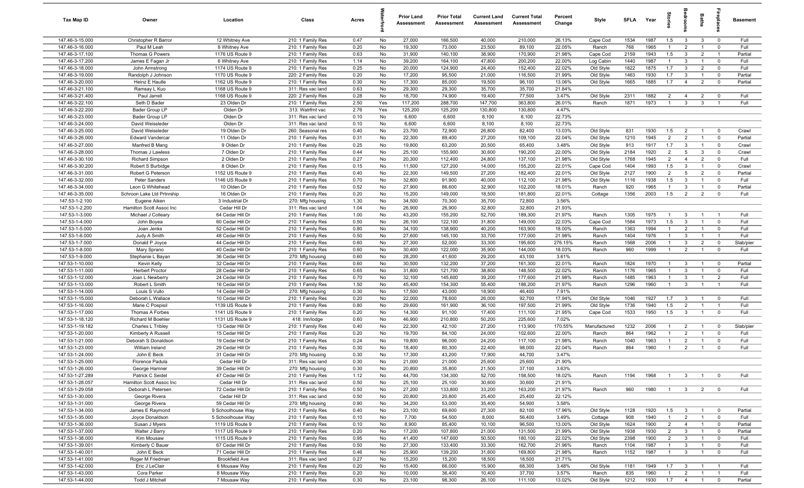| <b>Tax Map ID</b>                  | Owner                                | Location                               | Class                                  | Acres        |          | <b>Prior Land</b><br>Assessment | <b>Prior Total</b><br>Assessment | <b>Current Land</b><br>Assessment | <b>Current Total</b><br>Assessment | Percent<br>Change | Style                | <b>SFLA</b>  | Year         | tories                           | ăroo                           | Baths                            |                                                    | <b>Basement</b> |
|------------------------------------|--------------------------------------|----------------------------------------|----------------------------------------|--------------|----------|---------------------------------|----------------------------------|-----------------------------------|------------------------------------|-------------------|----------------------|--------------|--------------|----------------------------------|--------------------------------|----------------------------------|----------------------------------------------------|-----------------|
| 147.46-3-15.000                    | Christopher R Barror                 | 12 Whitney Ave                         | 210: 1 Family Res                      | 0.47         | No       | 27,000                          | 166,500                          | 40,000                            | 210,000                            | 26.13%            | Cape Cod             | 1534         | 1987         | 1.5                              | $\mathbf{3}$                   | $\mathbf{3}$                     | $\overline{0}$                                     | Full            |
| 147.46-3-16.000                    | Paul M Leah                          | 8 Whitney Ave                          | 210: 1 Family Res                      | 0.20         | No       | 19,300                          | 73,000                           | 23,500                            | 89,100                             | 22.05%            | Ranch                | 768          | 1965         | $\overline{1}$                   | $\overline{2}$                 | $\overline{1}$                   | $\mathbf 0$                                        | Full            |
| 147.46-3-17.100                    | Thomas G Powers                      | 1176 US Route 9                        | 210: 1 Family Res                      | 0.63         | No       | 31,900                          | 140,100                          | 38,900                            | 170,900                            | 21.98%            | Cape Cod             | 2159         | 1943         | 1.5                              | $\mathbf{3}$                   | $\overline{2}$                   | $\overline{1}$                                     | Partial         |
| 147.46-3-17.200                    | James E Fagan Jr                     | 6 Whitney Ave                          | 210: 1 Family Res                      | 1.14         | No       | 39,200                          | 164,100                          | 47,800                            | 200,200                            | 22.00%            | Log Cabin            | 1440         | 1987         | $\overline{1}$                   | $\mathbf{3}$                   | $\overline{1}$                   | $\overline{0}$                                     | Full            |
| 147.46-3-18.000                    | John Armstrong                       | 1174 US Route 9                        | 210: 1 Family Res                      | 0.25         | No       | 20,000                          | 124,900                          | 24,400                            | 152,400                            | 22.02%            | Old Style            | 1822         | 1875         | 1.7                              | $\mathbf{3}$                   | $\overline{2}$                   | $\mathbf 0$                                        | Full            |
| 147.46-3-19.000                    | Randolph J Johnson                   | 1170 US Route 9                        | 220: 2 Family Res                      | 0.20         | No       | 17,200                          | 95,500                           | 21,000                            | 116,500                            | 21.99%            | Old Style            | 1463         | 1930         | 1.7                              | $\mathbf{3}$                   | $\overline{1}$                   | $\mathbf 0$                                        | Partial         |
| 147.46-3-20.000                    | Heinz E Hautle                       | 1162 US Route 9                        | 210: 1 Family Res                      | 0.30         | No       | 17,300                          | 85,000                           | 19,500                            | 96,100                             | 13.06%            | Old Style            | 1665         | 1885         | 1.7                              | $\overline{4}$                 | $\overline{2}$                   | $\overline{\mathbf{0}}$                            | Partial         |
| 147.46-3-21.100                    | Ramsay L Kuo                         | 1168 US Route 9                        | 311: Res vac land                      | 0.63         | No       | 29,300                          | 29,300                           | 35,700                            | 35,700                             | 21.84%            |                      |              |              |                                  |                                |                                  |                                                    |                 |
| 147.46-3-21.400                    | Paul Jarrell                         | 1168 US Route 9                        | 220: 2 Family Res                      | 0.28         | No       | 18,700                          | 74,900                           | 19,400                            | 77,500                             | 3.47%             | Old Style            | 2311         | 1882         | $\overline{2}$                   | $\overline{4}$                 | $\overline{2}$                   | $\overline{0}$                                     | Full            |
| 147.46-3-22.100                    | Seth D Bader                         | 23 Olden Dr                            | 210: 1 Family Res                      | 2.50         | Yes      | 117,200                         | 288,700                          | 147,700                           | 363,800                            | 26.01%            | Ranch                | 1871         | 1973         | $\overline{1}$                   | $\mathbf{3}$                   | $\mathbf{3}$                     | $\overline{1}$                                     | Full            |
| 147.46-3-22.200                    | Bader Group LP                       | Olden Dr                               | 313: Watrfrnt vac                      | 2.76         | Yes      | 125,200                         | 125,200                          | 130,800                           | 130,800                            | 4.47%             |                      |              |              |                                  |                                |                                  |                                                    |                 |
| 147.46-3-23.000<br>147.46-3-24.000 | Bader Group LP                       | Olden Dr<br>Olden Dr                   | 311: Res vac land                      | 0.10<br>0.10 | No<br>No | 6,600<br>6,600                  | 6,600<br>6,600                   | 8,100<br>8,100                    | 8,100<br>8,100                     | 22.73%<br>22.73%  |                      |              |              |                                  |                                |                                  |                                                    |                 |
| 147.46-3-25.000                    | David Weissleder<br>David Weissleder | 19 Olden Dr                            | 311: Res vac land<br>260: Seasonal res | 0.40         | No       | 23,700                          | 72,900                           | 26,800                            | 82,400                             | 13.03%            | Old Style            | 831          | 1930         | 1.5                              | $\overline{2}$                 | $\overline{1}$                   | $\overline{\mathbf{0}}$                            | Crawl           |
| 147.46-3-26.000                    | <b>Edward Vandercar</b>              | 11 Olden Dr                            | 210: 1 Family Res                      | 0.31         | No       | 22,300                          | 89,400                           | 27,200                            | 109,100                            | 22.04%            | Old Style            | 1210         | 1945         | $\overline{2}$                   | $\overline{2}$                 | $\overline{1}$                   | $\mathbf 0$                                        | Partial         |
| 147.46-3-27.000                    | Manfred B Mang                       | 9 Olden Dr                             | 210: 1 Family Res                      | 0.25         | No       | 19,800                          | 63,200                           | 20,500                            | 65,400                             | 3.48%             | Old Style            | 913          | 1917         | 1.7                              | $\mathbf{3}$                   | $\overline{1}$                   | $\mathbf 0$                                        | Crawl           |
| 147.46-3-28.000                    | Thomas J Lawless                     | 7 Olden Dr                             | 210: 1 Family Res                      | 0.44         | No       | 25,100                          | 155,900                          | 30,600                            | 190,200                            | 22.00%            | Old Style            | 2184         | 1920         | $\overline{2}$                   | 5                              | $\mathbf{3}$                     | $\mathbf 0$                                        | Crawl           |
| 147.46-3-30.100                    | <b>Richard Simpson</b>               | 2 Olden Dr                             | 210: 1 Family Res                      | 0.27         | No       | 20,300                          | 112,400                          | 24,800                            | 137,100                            | 21.98%            | Old Style            | 1768         | 1945         | $\overline{2}$                   | $\overline{4}$                 | $\overline{2}$                   | $\mathbf 0$                                        | Full            |
| 147.46-3-30.200                    | Robert S Burbidge                    | 8 Olden Dr                             | 210: 1 Family Res                      | 0.15         | No       | 11,500                          | 127,200                          | 14,000                            | 155,200                            | 22.01%            | Cape Cod             | 1404         | 1993         | 1.5                              | $\mathbf{3}$                   | $\overline{1}$                   | $\mathbf 0$                                        | Crawl           |
| 147.46-3-31.000                    | Robert G Peterson                    | 1152 US Route 9                        | 210: 1 Family Res                      | 0.40         | No       | 22,300                          | 149,500                          | 27,200                            | 182,400                            | 22.01%            | Old Style            | 2127         | 1900         | $\overline{2}$                   | $5\overline{5}$                | $\overline{2}$                   | $\mathbf 0$                                        | Partial         |
| 147.46-3-32.000                    | Peter Sanders                        | 1146 US Route 9                        | 210: 1 Family Res                      | 0.70         | No       | 32,800                          | 91,900                           | 40,000                            | 112,100                            | 21.98%            | Old Style            | 1116         | 1938         | 1.5                              | $\mathbf{3}$                   | $\overline{1}$                   | $\mathbf 0$                                        | Full            |
| 147.46-3-34.000                    | Leon G Whitehead                     | 10 Olden Dr                            | 210: 1 Family Res                      | 0.52         | No       | 27,900                          | 86,600                           | 32,900                            | 102,200                            | 18.01%            | Ranch                | 920          | 1965         | $\overline{1}$                   | 3                              | $\overline{1}$                   | $\mathbf 0$                                        | Partial         |
| 147.46-3-35.000                    | Schroon Lake Ltd Prtnrship           | 16 Olden Dr                            | 210: 1 Family Res                      | 0.20         | No       | 15,200                          | 149,000                          | 18,500                            | 181,800                            | 22.01%            | Cottage              | 1356         | 2003         | 1.5                              | $\overline{2}$                 | $\overline{2}$                   | $\mathbf 0$                                        | Full            |
| 147.53-1-2.100                     | Eugene Aiken                         | 3 Industrial Dr                        | 270: Mfg housing                       | 1.30         | No       | 34,500                          | 70,300                           | 35,700                            | 72,800                             | 3.56%             |                      |              |              |                                  |                                |                                  |                                                    |                 |
| 147.53-1-2.200                     | Hamilton Scott Assoc Inc             | Cedar Hill Dr                          | 311: Res vac land                      | 1.04         | No       | 26,900                          | 26,900                           | 32,800                            | 32,800                             | 21.93%            |                      |              |              |                                  |                                |                                  |                                                    |                 |
| 147.53-1-3.000                     | Michael J Colleary                   | 64 Cedar Hill Dr                       | 210: 1 Family Res                      | 1.00         | No       | 43,200                          | 155,200                          | 52,700                            | 189,300                            | 21.97%            | Ranch                | 1305         | 1975         | $\overline{1}$                   | $\mathbf{3}$                   | $\overline{1}$                   | $\overline{1}$                                     | Full            |
| 147.53-1-4.000                     | John Boyea                           | 60 Cedar Hill Dr                       | 210: 1 Family Res                      | 0.50         | No       | 26,100                          | 122,100                          | 31,800                            | 149,000                            | 22.03%            | Cape Cod             | 1584         | 1973         | 1.5                              | $\mathbf{3}$                   | $\overline{1}$                   | $\mathbf 0$                                        | Full            |
| 147.53-1-5.000                     | Joan Jenks                           | 52 Cedar Hill Dr                       | 210: 1 Family Res                      | 0.80         | No       | 34,100                          | 138,900                          | 40,200                            | 163,900                            | 18.00%            | Ranch                | 1363         | 1994         | $\overline{1}$                   | $\overline{2}$                 | $\overline{1}$                   | $\mathbf 0$                                        | Full            |
| 147.53-1-6.000                     | Judy A Smith                         | 48 Cedar Hill Dr                       | 210: 1 Family Res                      | 0.50         | No       | 27,600                          | 145,100                          | 33,700                            | 177,000                            | 21.98%            | Ranch                | 1404         | 1976         | $\overline{1}$                   | 3                              | $\overline{1}$                   | $\overline{1}$                                     | Full            |
| 147.53-1-7.000                     | Donald P Joyce                       | 44 Cedar Hill Dr                       | 210: 1 Family Res                      | 0.60         | No       | 27,300                          | 52,000                           | 33,300                            | 195,600                            | 276.15%           | Ranch                | 1568         | 2006         | $\overline{1}$                   | 3                              | $\overline{2}$                   | $\mathbf 0$                                        | Slab/pier       |
| 147.53-1-8.000                     | Mary Sprano                          | 40 Cedar Hill Dr                       | 210: 1 Family Res                      | 0.60         | No       | 30,400                          | 122,000                          | 35,900                            | 144,000                            | 18.03%            | Ranch                | 960          | 1999         | $\mathbf{1}$                     | $\overline{2}$                 | $\overline{1}$                   | $\mathbf 0$                                        | Full            |
| 147.53-1-9.000                     | Stephanie L Bayan                    | 36 Cedar Hill Dr                       | 270: Mfg housing                       | 0.60         | No       | 28,200                          | 41,600                           | 29,200                            | 43,100                             | 3.61%             |                      |              |              |                                  |                                |                                  |                                                    |                 |
| 147.53-1-10.000                    | Kevin Kelly                          | 32 Cedar Hill Dr                       | 210: 1 Family Res                      | 0.60         | No       | 30,500                          | 132,200                          | 37,200                            | 161,300                            | 22.01%            | Ranch                | 1824         | 1970         | $\overline{1}$<br>$\overline{1}$ | $\mathbf{3}$                   | $\overline{1}$                   | $\overline{\mathbf{0}}$                            | Partial         |
| 147.53-1-11.000<br>147.53-1-12.000 | <b>Herbert Proctor</b>               | 28 Cedar Hill Dr                       | 210: 1 Family Res                      | 0.65         | No<br>No | 31,800                          | 121,700                          | 38,800                            | 148,500                            | 22.02%<br>21.98%  | Ranch<br>Ranch       | 1176         | 1965<br>1963 | $\overline{1}$                   | $\mathbf{3}$<br>3              | $\overline{1}$<br>$\overline{1}$ | $\mathbf 0$<br>$\overline{2}$                      | Full<br>Full    |
| 147.53-1-13.000                    | Joan L Newberry<br>Robert L Smith    | 24 Cedar Hill Dr<br>16 Cedar Hill Dr   | 210: 1 Family Res<br>210: 1 Family Res | 0.70<br>1.50 | No       | 32,100<br>45,400                | 145,600<br>154,300               | 39,200<br>55,400                  | 177,600<br>188,200                 | 21.97%            | Ranch                | 1485<br>1296 | 1960         | $\overline{1}$                   | $\mathbf{3}$                   | $\overline{1}$                   | $\overline{1}$                                     | Full            |
| 147.53-1-14.000                    | Louis S Vullo                        | 14 Cedar Hill Dr                       | 270: Mfg housing                       | 0.30         | No       | 17,500                          | 43,000                           | 18,900                            | 46,400                             | 7.91%             |                      |              |              |                                  |                                |                                  |                                                    |                 |
| 147.53-1-15.000                    | Deborah L Wallace                    | 10 Cedar Hill Dr                       | 210: 1 Family Res                      | 0.20         | No       | 22,000                          | 78,600                           | 26,000                            | 92,700                             | 17.94%            | Old Style            | 1046         | 1927         | 1.7                              | $\mathbf{3}$                   | $\overline{1}$                   | $\mathbf 0$                                        | Full            |
| 147.53-1-16.000                    | Marie C Pospisil                     | 1139 US Route 9                        | 210: 1 Family Res                      | 0.80         | No       | 29,600                          | 161,900                          | 36,100                            | 197,500                            | 21.99%            | Old Style            | 1736         | 1940         | 1.5                              | $\overline{2}$                 | $\overline{1}$                   | $\overline{1}$                                     | Full            |
| 147.53-1-17.000                    | Thomas A Forbes                      | 1141 US Route 9                        | 210: 1 Family Res                      | 0.20         | No       | 14,300                          | 91,100                           | 17,400                            | 111,100                            | 21.95%            | Cape Cod             | 1533         | 1950         | 1.5                              | $\mathbf{3}$                   | $\overline{1}$                   | $\mathbf 0$                                        | Full            |
| 147.53-1-18.120                    | Richard M Boehler                    | 1131 US Route 9                        | 418: Inn/lodge                         | 0.60         | No       | 46,900                          | 210,800                          | 50,200                            | 225,600                            | 7.02%             |                      |              |              |                                  |                                |                                  |                                                    |                 |
| 147.53-1-19.182                    | Charles L Tribley                    | 13 Cedar Hill Dr                       | 210: 1 Family Res                      | 0.40         | No       | 22,300                          | 42,100                           | 27,200                            | 113,900                            | 170.55%           | Manufactured         | 1232         | 2006         | $\mathbf{1}$                     | $\overline{2}$                 | $\overline{1}$                   | $\overline{\mathbf{0}}$                            | Slab/pier       |
| 147.53-1-20.000                    | Kimberly A Russell                   | 15 Cedar Hill Dr                       | 210: 1 Family Res                      | 0.20         | No       | 19,700                          | 84,100                           | 24,000                            | 102,600                            | 22.00%            | Ranch                | 864          | 1962         | $\overline{1}$                   | $\overline{2}$                 | $\overline{1}$                   | $\overline{0}$                                     | Full            |
| 147.53-1-21.000                    | Deborah S Donaldson                  | 19 Cedar Hill Dr                       | 210: 1 Family Res                      | 0.24         | No       | 19,800                          | 96,000                           | 24,200                            | 117,100                            | 21.98%            | Ranch                | 1040         | 1963         | $\mathbf{1}$                     | $\overline{2}$                 | $\overline{1}$                   | $\mathbf 0$                                        | Full            |
| 147.53-1-23.000                    | William Ireland                      | 29 Cedar Hill Dr                       | 210: 1 Family Res                      | 0.30         | No       | 18,400                          | 80,300                           | 22,400                            | 98,000                             | 22.04%            | Ranch                | 864          | 1960         | $\overline{1}$                   | $\overline{2}$                 | $\overline{1}$                   | $\mathbf{0}$                                       | Full            |
| 147.53-1-24.000                    | John E Beck                          | 31 Cedar Hill Dr                       | 270: Mfg housing                       | 0.30         | No       | 17,300                          | 43,200                           | 17,900                            | 44,700                             | 3.47%             |                      |              |              |                                  |                                |                                  |                                                    |                 |
| 147.53-1-25.000                    | Florence Padula                      | Cedar Hill Dr                          | 311: Res vac land                      | 0.30         | No       | 21,000                          | 21,000                           | 25,600                            | 25,600                             | 21.90%            |                      |              |              |                                  |                                |                                  |                                                    |                 |
| 147.53-1-26.000                    | George Hamner                        | 39 Cedar Hill Dr                       | 270: Mfg housing                       | 0.30         | No       | 20,800                          | 35,800                           | 21,500                            | 37,100                             | 3.63%             |                      |              |              |                                  |                                |                                  |                                                    |                 |
| 147.53-1-27.289                    | Patrick C Seidel                     | 47 Cedar Hill Dr                       | 210: 1 Family Res                      | 1.12         | No       | 44,700                          | 134,300                          | 52,700                            | 158,500                            | 18.02%            | Ranch                | 1194         | 1968         | $\overline{1}$                   | $\mathbf{3}$                   | $\overline{1}$                   | $\overline{0}$                                     | Full            |
| 147.53-1-28.057                    | Hamilton Scott Assoc Inc             | Cedar Hill Dr                          | 311: Res vac land                      | 0.50         | No       | 25,100                          | 25,100                           | 30,600                            | 30,600                             | 21.91%            |                      |              |              |                                  |                                |                                  |                                                    |                 |
| 147.53-1-29.058                    | Deborah L Petersen                   | 72 Cedar Hill Dr                       | 210: 1 Family Res                      | 0.50         | No       | 27,200                          | 133,800                          | 33,200                            | 163,200                            | 21.97%            | Ranch                | 960          | 1980         | $\overline{1}$                   | $\sqrt{3}$                     | $\overline{2}$                   | $\overline{0}$                                     | Full            |
| 147.53-1-30.000                    | George Rivera                        | Cedar Hill Dr                          | 311: Res vac land                      | 0.50         | No       | 20,800                          | 20,800                           | 25,400                            | 25,400                             | 22.12%            |                      |              |              |                                  |                                |                                  |                                                    |                 |
| 147.53-1-31.000                    | George Rivera                        | 59 Cedar Hill Dr                       | 270: Mfg housing                       | 0.90         | No       | 34,200                          | 53,000                           | 35,400                            | 54,900                             | 3.58%             |                      |              |              |                                  |                                |                                  |                                                    |                 |
| 147.53-1-34.000<br>147.53-1-35.000 | James E Raymond<br>Joyce Donaldson   | 9 Schoolhouse Way<br>5 Schoolhouse Way | 210: 1 Family Res<br>210: 1 Family Res | 0.40<br>0.10 | No<br>No | 23,100<br>7,700                 | 69,600<br>54,500                 | 27,300<br>8,000                   | 82,100<br>56,400                   | 17.96%<br>3.49%   | Old Style<br>Cottage | 1128<br>908  | 1920<br>1940 | 1.5                              | $\mathbf{3}$<br>$\overline{2}$ | $\overline{1}$<br>$\overline{1}$ | $\overline{\mathbf{0}}$<br>$\overline{\mathbf{0}}$ | Partial<br>Full |
| 147.53-1-36.000                    | Susan J Myers                        | 1119 US Route 9                        | 210: 1 Family Res                      | 0.10         | No       | 8,900                           | 85,400                           | 10,100                            | 96,500                             | 13.00%            | Old Style            | 1624         | 1900         | $\overline{2}$                   | $\overline{4}$                 | $\overline{1}$                   | $\overline{\mathbf{0}}$                            | Partial         |
| 147.53-1-37.000                    | Walter J Barry                       | 1117 US Route 9                        | 210: 1 Family Res                      | 0.20         | No       | 17,200                          | 107,800                          | 21,000                            | 131,500                            | 21.99%            | Old Style            | 1938         | 1930         | $\overline{2}$                   | $\overline{3}$                 | $\overline{1}$                   | $\overline{\mathbf{0}}$                            | Partial         |
| 147.53-1-38.000                    | Kim Mousaw                           | 1115 US Route 9                        | 210: 1 Family Res                      | 0.95         | No       | 41,400                          | 147,600                          | 50,500                            | 180,100                            | 22.02%            | Old Style            | 2398         | 1900         | $\overline{2}$                   | $\overline{3}$                 | $\overline{1}$                   | $\mathbf 0$                                        | Full            |
| 147.53-1-39.001                    | Kimberly C Bauer                     | 67 Cedar Hill Dr                       | 210: 1 Family Res                      | 0.50         | No       | 27,300                          | 133,400                          | 33,300                            | 162,700                            | 21.96%            | Ranch                | 1104         | 1987         | $\overline{1}$                   | $\mathbf{3}$                   | $\overline{1}$                   | $\mathbf 0$                                        | Full            |
| 147.53-1-40.001                    | John E Beck                          | 71 Cedar Hill Dr                       | 210: 1 Family Res                      | 0.46         | No       | 25,900                          | 139,200                          | 31,600                            | 169,800                            | 21.98%            | Ranch                | 1152         | 1987         | $\overline{1}$                   | $\overline{3}$                 | $\overline{1}$                   | $\mathbf 0$                                        | Full            |
| 147.53-1-41.000                    | Roger M Friedman                     | <b>Brookfield Ave</b>                  | 311: Res vac land                      | 0.27         | No       | 15,200                          | 15,200                           | 18,500                            | 18,500                             | 21.71%            |                      |              |              |                                  |                                |                                  |                                                    |                 |
| 147.53-1-42.000                    | Eric J LeClair                       | 6 Mousaw Way                           | 210: 1 Family Res                      | 0.20         | No       | 15,400                          | 66,000                           | 15,900                            | 68,300                             | 3.48%             | Old Style            | 1181         | 1949         | 1.7                              | $\overline{\mathbf{3}}$        | $\overline{1}$                   | $\overline{1}$                                     | Full            |
| 147.53-1-43.000                    | Cora Parker                          | 8 Mousaw Way                           | 210: 1 Family Res                      | 0.20         | No       | 10,000                          | 36,400                           | 10,400                            | 37,700                             | 3.57%             | Ranch                | 835          | 1960         | $\overline{1}$                   | $\overline{2}$                 | $\overline{1}$                   | $\overline{1}$                                     | Full            |
| 147.53-1-44.000                    | Todd J Mitchell                      | 7 Mousaw Way                           | 210: 1 Family Res                      | 0.30         | No       | 23,100                          | 98,300                           | 26,100                            | 111,100                            | 13.02%            | Old Style            | 1212         | 1930         | 1.7                              | $\overline{4}$                 | $\overline{1}$                   | $\overline{0}$                                     | Partial         |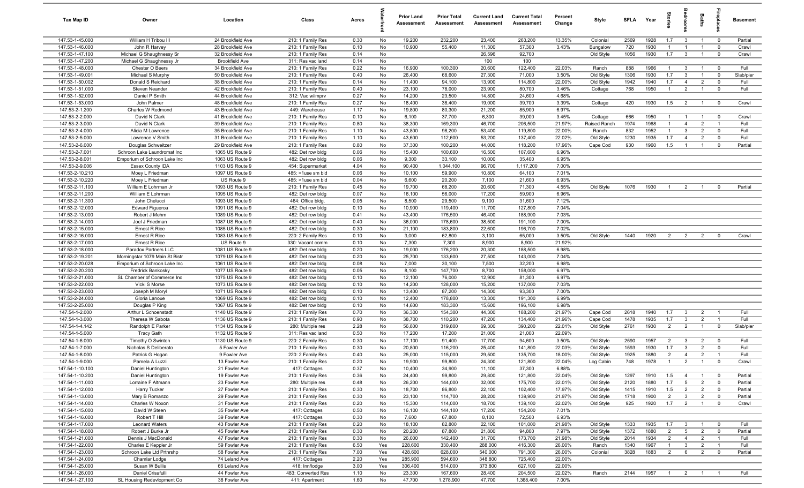| Tax Map ID                         | Owner                                       | Location                               | Class                                  | Acres        |            | <b>Prior Land</b><br>Assessment | <b>Prior Total</b><br>Assessment | <b>Current Land</b><br>Assessment | <b>Current Total</b><br>Assessment | Percent<br>Change | Style                  | <b>SFLA</b>  | Year         | tories                           | <b>B</b>                          | Baths                            |                               | <b>Basement</b> |
|------------------------------------|---------------------------------------------|----------------------------------------|----------------------------------------|--------------|------------|---------------------------------|----------------------------------|-----------------------------------|------------------------------------|-------------------|------------------------|--------------|--------------|----------------------------------|-----------------------------------|----------------------------------|-------------------------------|-----------------|
| 147.53-1-45.000                    | William H Tribou III                        | 24 Brookfield Ave                      | 210: 1 Family Res                      | 0.30         | No         | 19,200                          | 232,200                          | 23,400                            | 263,200                            | 13.35%            | Colonial               | 2569         | 1928         | 1.7                              | $\mathbf{3}$                      | $\overline{1}$                   | $\overline{\mathbf{0}}$       | Partial         |
| 147.53-1-46.000                    | John R Harvey                               | 28 Brookfield Ave                      | 210: 1 Family Res                      | 0.10         | No         | 10,900                          | 55,400                           | 11,300                            | 57,300                             | 3.43%             | Bungalow               | 720          | 1930         | $\overline{1}$                   | -1                                | $\overline{1}$                   | $\mathbf 0$                   | Crawl           |
| 147.53-1-47.100                    | Michael G Shaughnessy Sr                    | 32 Brookfield Ave                      | 210: 1 Family Res                      | 0.14         | No         |                                 |                                  | 26,596                            | 92,700                             |                   | Old Style              | 1056         | 1930         | 1.7                              | $\overline{3}$                    | $\overline{1}$                   | $\mathbf 0$                   | Crawl           |
| 147.53-1-47.200                    | Michael G Shaughnessy Jr                    | <b>Brookfield Ave</b>                  | 311: Res vac land                      | 0.14         | No         |                                 |                                  | 100                               | 100                                |                   |                        |              |              |                                  |                                   |                                  |                               |                 |
| 147.53-1-48.000                    | Chester O Beers                             | 34 Brookfield Ave                      | 210: 1 Family Res                      | 0.22         | No         | 16,900                          | 100,300                          | 20,600                            | 122,400                            | 22.03%            | Ranch                  | 888          | 1966         | $\overline{1}$                   | $\mathbf{3}$                      | $\overline{1}$                   | $\overline{\mathbf{0}}$       | Full            |
| 147.53-1-49.001                    | Michael S Murphy                            | 50 Brookfield Ave                      | 210: 1 Family Res                      | 0.40         | No         | 26,400                          | 68,600                           | 27,300                            | 71,000                             | 3.50%             | Old Style              | 1306         | 1930         | 1.7                              | $\mathbf{3}$                      | $\overline{1}$                   | $\mathbf 0$                   | Slab/pier       |
| 147.53-1-50.002                    | Donald S Reichard                           | 38 Brookfield Ave                      | 210: 1 Family Res                      | 0.14         | No         | 11,400                          | 94,100                           | 13,900                            | 114,800                            | 22.00%            | Old Style              | 1942         | 1940         | 1.7                              | $\overline{4}$                    | $\overline{2}$                   | $\mathbf 0$                   | Full            |
| 147.53-1-51.000                    | Steven Neander                              | 42 Brookfield Ave                      | 210: 1 Family Res                      | 0.40         | No         | 23,100                          | 78,000                           | 23,900                            | 80,700                             | 3.46%             | Cottage                | 768          | 1950         | $\overline{1}$                   | $\overline{2}$                    | $\overline{1}$                   | $\mathbf 0$                   | Full            |
| 147.53-1-52.000                    | Daniel P Smith                              | 44 Brookfield Ave                      | 312: Vac w/imprv                       | 0.27         | No<br>No   | 14,200                          | 23,500                           | 14,800                            | 24,600                             | 4.68%             |                        |              |              |                                  |                                   |                                  | $\overline{0}$                | Crawl           |
| 147.53-1-53.000<br>147.53-2-1.200  | John Palmer<br>Charles W Redmond            | 48 Brookfield Ave<br>43 Brookfield Ave | 210: 1 Family Res<br>449: Warehouse    | 0.27<br>1.17 | No         | 18,400<br>19,800                | 38,400<br>80,300                 | 19,000<br>21,200                  | 39,700<br>85,900                   | 3.39%<br>6.97%    | Cottage                | 420          | 1930         | 1.5                              | $\overline{2}$                    | $\overline{1}$                   |                               |                 |
| 147.53-2-2.000                     | David N Clark                               | 41 Brookfield Ave                      | 210: 1 Family Res                      | 0.10         | No         | 6,100                           | 37,700                           | 6,300                             | 39,000                             | 3.45%             | Cottage                | 666          | 1950         | $\overline{1}$                   | $\overline{1}$                    | $\overline{1}$                   | $\overline{\mathbf{0}}$       | Crawl           |
| 147.53-2-3.000                     | David N Clark                               | 39 Brookfield Ave                      | 210: 1 Family Res                      | 0.80         | No         | 38,300                          | 169,300                          | 46,700                            | 206,500                            | 21.97%            | Raised Ranch           | 1974         | 1968         | $\overline{1}$                   | $\overline{4}$                    | $\overline{2}$                   | $\overline{1}$                | Full            |
| 147.53-2-4.000                     | Alicia M Lawrence                           | 35 Brookfield Ave                      | 210: 1 Family Res                      | 1.10         | No         | 43,800                          | 98,200                           | 53,400                            | 119,800                            | 22.00%            | Ranch                  | 832          | 1952         | $\mathbf{1}$                     | $\mathbf{3}$                      | $\overline{2}$                   | $\mathbf 0$                   | Full            |
| 147.53-2-5.000                     | Lawrence V Smith                            | 31 Brookfield Ave                      | 210: 1 Family Res                      | 1.10         | No         | 43,600                          | 112,600                          | 53,200                            | 137,400                            | 22.02%            | Old Style              | 1230         | 1935         | 1.7                              | $\overline{4}$                    | $\overline{2}$                   | $\mathbf 0$                   | Full            |
| 147.53-2-6.000                     | Douglas Schweitzer                          | 29 Brookfield Ave                      | 210: 1 Family Res                      | 0.80         | No         | 37,300                          | 100,200                          | 44,000                            | 118,200                            | 17.96%            | Cape Cod               | 930          | 1960         | 1.5                              | $\overline{1}$                    | $\overline{1}$                   | $\mathbf 0$                   | Partial         |
| 147.53-2-7.001                     | Schroon Lake Laundromat Inc                 | 1065 US Route 9                        | 482: Det row bldg                      | 0.06         | No         | 15,400                          | 100,600                          | 16,500                            | 107,600                            | 6.96%             |                        |              |              |                                  |                                   |                                  |                               |                 |
| 147.53-2-8.001                     | Emporium of Schroon Lake Inc                | 1063 US Route 9                        | 482: Det row bldg                      | 0.06         | No         | 9,300                           | 33,100                           | 10,000                            | 35,400                             | 6.95%             |                        |              |              |                                  |                                   |                                  |                               |                 |
| 147.53-2-9.006                     | Essex County IDA                            | 1103 US Route 9                        | 454: Supermarket                       | 4.04         | No         | 90,400                          | 1,044,100                        | 96,700                            | 1,117,200                          | 7.00%             |                        |              |              |                                  |                                   |                                  |                               |                 |
| 147.53-2-10.210                    | Moey L Friedman                             | 1097 US Route 9                        | 485: >1use sm bld                      | 0.06         | No         | 10,100                          | 59,900                           | 10,800                            | 64,100                             | 7.01%             |                        |              |              |                                  |                                   |                                  |                               |                 |
| 147.53-2-10.220                    | Moey L Friedman                             | US Route 9                             | 485: >1use sm bld                      | 0.04         | No         | 6,600                           | 20,200                           | 7,100                             | 21,600                             | 6.93%             |                        |              |              |                                  |                                   |                                  |                               |                 |
| 147.53-2-11.100                    | William E Lohrman Jr                        | 1093 US Route 9                        | 210: 1 Family Res                      | 0.45         | No         | 19,700                          | 68,200                           | 20,600                            | 71,300                             | 4.55%             | Old Style              | 1076         | 1930         | $\overline{1}$                   | $\overline{2}$                    | $\overline{1}$                   | $\mathbf 0$                   | Partial         |
| 147.53-2-11.200                    | William E Lohrman                           | 1095 US Route 9                        | 482: Det row bldg                      | 0.07         | No         | 16,100                          | 56,000                           | 17,200                            | 59,900                             | 6.96%             |                        |              |              |                                  |                                   |                                  |                               |                 |
| 147.53-2-11.300                    | John Chelucci                               | 1093 US Route 9                        | 464: Office bldg.                      | 0.05         | No         | 8,500                           | 29,500                           | 9,100                             | 31,600                             | 7.12%             |                        |              |              |                                  |                                   |                                  |                               |                 |
| 147.53-2-12.000                    | <b>Edward Figueroa</b>                      | 1091 US Route 9                        | 482: Det row bldg                      | 0.10         | No         | 10,900                          | 119,400                          | 11,700                            | 127,800                            | 7.04%             |                        |              |              |                                  |                                   |                                  |                               |                 |
| 147.53-2-13.000                    | Robert J Mehm                               | 1089 US Route 9                        | 482: Det row bldg                      | 0.41         | No         | 43,400                          | 176,500                          | 46,400                            | 188,900                            | 7.03%             |                        |              |              |                                  |                                   |                                  |                               |                 |
| 147.53-2-14.000                    | Joel J Friedman                             | 1087 US Route 9                        | 482: Det row bldg                      | 0.40         | No         | 36,000                          | 178,600                          | 38,500                            | 191,100                            | 7.00%             |                        |              |              |                                  |                                   |                                  |                               |                 |
| 147.53-2-15.000                    | Ernest R Rice                               | 1085 US Route 9                        | 482: Det row bldg                      | 0.30         | No         | 21,100                          | 183,800                          | 22,600                            | 196,700                            | 7.02%             |                        |              |              |                                  |                                   |                                  |                               |                 |
| 147.53-2-16.000                    | Ernest R Rice                               | 1083 US Route 9                        | 220: 2 Family Res                      | 0.10         | No         | 3,000                           | 62,800                           | 3,100                             | 65,000                             | 3.50%             | Old Style              | 1440         | 1920         | $\overline{2}$                   | $\overline{2}$                    | $\overline{2}$                   | $\overline{0}$                | Crawl           |
| 147.53-2-17.000                    | Ernest R Rice                               | US Route 9                             | 330: Vacant comm                       | 0.10         | No         | 7,300                           | 7,300                            | 8,900                             | 8,900                              | 21.92%            |                        |              |              |                                  |                                   |                                  |                               |                 |
| 147.53-2-18.000                    | Paradox Partners LLC                        | 1081 US Route 9                        | 482: Det row bldg                      | 0.20         | No         | 19,000                          | 176,200                          | 20,300                            | 188,500                            | 6.98%             |                        |              |              |                                  |                                   |                                  |                               |                 |
| 147.53-2-19.201                    | Morningstar 1079 Main St Bistr              | 1079 US Route 9                        | 482: Det row bldg                      | 0.20         | No         | 25,700                          | 133,600                          | 27,500                            | 143,000                            | 7.04%             |                        |              |              |                                  |                                   |                                  |                               |                 |
| 147.53-2-20.028                    | Emporium of Schroon Lake Inc                | 1061 US Route 9                        | 482: Det row bldg                      | 0.08         | No         | 7,000                           | 30,100                           | 7,500                             | 32,200                             | 6.98%             |                        |              |              |                                  |                                   |                                  |                               |                 |
| 147.53-2-20.200                    | Fredrick Bankosky                           | 1077 US Route 9                        | 482: Det row bldg                      | 0.05         | No         | 8,100                           | 147,700                          | 8,700                             | 158,000                            | 6.97%             |                        |              |              |                                  |                                   |                                  |                               |                 |
| 147.53-2-21.000<br>147.53-2-22.000 | SL Chamber of Commerce Inc<br>Vicki S Morse | 1075 US Route 9<br>1073 US Route 9     | 482: Det row bldg<br>482: Det row bldg | 0.10<br>0.10 | No<br>No   | 12,100<br>14,200                | 76,000<br>128,000                | 12,900<br>15,200                  | 81,300<br>137,000                  | 6.97%<br>7.03%    |                        |              |              |                                  |                                   |                                  |                               |                 |
| 147.53-2-23.000                    | Joseph M Moryl                              | 1071 US Route 9                        | 482: Det row bldg                      | 0.10         | No         | 13,400                          | 87,200                           | 14,300                            | 93,300                             | 7.00%             |                        |              |              |                                  |                                   |                                  |                               |                 |
| 147.53-2-24.000                    | Gloria Lanoue                               | 1069 US Route 9                        | 482: Det row bldg                      | 0.10         | No         | 12,400                          | 178,800                          | 13,300                            | 191,300                            | 6.99%             |                        |              |              |                                  |                                   |                                  |                               |                 |
| 147.53-2-25.000                    | Douglas P King                              | 1067 US Route 9                        | 482: Det row bldg                      | 0.10         | No         | 14,600                          | 183,300                          | 15,600                            | 196,100                            | 6.98%             |                        |              |              |                                  |                                   |                                  |                               |                 |
| 147.54-1-2.000                     | Arthur L Schoenstadt                        | 1140 US Route 9                        | 210: 1 Family Res                      | 0.70         | No         | 36,300                          | 154,300                          | 44,300                            | 188,200                            | 21.97%            | Cape Cod               | 2618         | 1940         | 1.7                              | $\mathbf{3}$                      | $\overline{2}$                   | $\overline{1}$                | Full            |
| 147.54-1-3.000                     | Theresa W Sabota                            | 1136 US Route 9                        | 210: 1 Family Res                      | 0.90         | No         | 38,700                          | 110,200                          | 47,200                            | 134,400                            | 21.96%            | Cape Cod               | 1478         | 1935         | 1.7                              | $\mathbf{3}$                      | $\overline{2}$                   | $\overline{1}$                | Full            |
| 147.54-1-4.142                     | Randolph E Parker                           | 1134 US Route 9                        | 280: Multiple res                      | 2.28         | No         | 56,800                          | 319,800                          | 69,300                            | 390,200                            | 22.01%            | Old Style              | 2761         | 1930         | $\overline{2}$                   | $\overline{2}$                    | $\overline{1}$                   | $\overline{0}$                | Slab/pier       |
| 147.54-1-5.000                     | Tracy Gath                                  | 1132 US Route 9                        | 311: Res vac land                      | 0.50         | No         | 17,200                          | 17,200                           | 21,000                            | 21,000                             | 22.09%            |                        |              |              |                                  |                                   |                                  |                               |                 |
| 147.54-1-6.000                     | Timothy O Swinton                           | 1130 US Route 9                        | 220: 2 Family Res                      | 0.30         | No         | 17,100                          | 91,400                           | 17,700                            | 94,600                             | 3.50%             | Old Style              | 2590         | 1957         | $\overline{2}$                   | $\mathbf{3}$                      | $\overline{2}$                   | $\overline{0}$                | Full            |
| 147.54-1-7.000                     | Nicholas S Deliberato                       | 5 Fowler Ave                           | 210: 1 Family Res                      | 0.30         | No         | 20,800                          | 116,200                          | 25,400                            | 141,800                            | 22.03%            | Old Style              | 1593         | 1930         | 1.7                              | $\mathbf{3}$                      | $\overline{2}$                   | $\mathbf 0$                   | Full            |
| 147.54-1-8.000                     | Patrick G Hogan                             | 9 Fowler Ave                           | 220: 2 Family Res                      | 0.40         | No         | 25,000                          | 115,000                          | 29,500                            | 135,700                            | 18.00%            | Old Style              | 1925         | 1880         | $\overline{2}$                   | $\overline{4}$                    | $\overline{2}$                   | $\overline{1}$                | Full            |
| 147.54-1-9.000                     | Pamela A Luzzi                              | 13 Fowler Ave                          | 210: 1 Family Res                      | 0.20         | No         | 19,900                          | 99,800                           | 24,300                            | 121,800                            | 22.04%            | Log Cabin              | 748          | 1978         | $\overline{1}$                   | $\overline{2}$                    | $\overline{1}$                   | $\Omega$                      | Crawl           |
| 147.54-1-10.100                    | Daniel Huntington                           | 21 Fowler Ave                          | 417: Cottages                          | 0.37         | No         | 10,400                          | 34,900                           | 11,100                            | 37,300                             | 6.88%             |                        |              |              |                                  |                                   |                                  |                               |                 |
| 147.54-1-10.200                    | Daniel Huntington                           | 19 Fowler Ave                          | 210: 1 Family Res                      | 0.36         | No         | 24,400                          | 99,800                           | 29,800                            | 121,800                            | 22.04%            | Old Style              | 1297         | 1910         | 1.5                              | $\overline{4}$                    | $\overline{1}$                   | $\overline{\mathbf{0}}$       | Partial         |
| 147.54-1-11.000                    | Lorraine F Altmann                          | 23 Fowler Ave                          | 280: Multiple res                      | 0.48         | No         | 26,200                          | 144,000                          | 32,000                            | 175,700                            | 22.01%            | Old Style              | 2120         | 1880         | 1.7                              | $5\overline{5}$                   | $\overline{2}$                   | $\overline{\mathbf{0}}$       | Partial         |
| 147.54-1-12.000                    | Harry Tucker                                | 27 Fowler Ave                          | 210: 1 Family Res                      | 0.30         | No         | 18,700                          | 86,800                           | 22,100                            | 102,400                            | 17.97%            | Old Style              | 1415         | 1910         | 1.5                              | $\overline{2}$                    | $\overline{2}$                   | $\overline{0}$                | Partial         |
| 147.54-1-13.000                    | Mary B Romanzo                              | 29 Fowler Ave                          | 210: 1 Family Res                      | 0.30         | No         | 23,100                          | 114,700                          | 28,200                            | 139,900                            | 21.97%            | Old Style              | 1718         | 1900         | $\overline{2}$                   | $\mathbf{3}$                      | $\overline{2}$                   | $\mathbf 0$                   | Partial         |
| 147.54-1-14.000                    | Charles W Noxon                             | 31 Fowler Ave                          | 210: 1 Family Res                      | 0.20         | No         | 15,300                          | 114,000                          | 18,700                            | 139,100                            | 22.02%            | Old Style              | 925          | 1920         | 1.7                              | $\overline{2}$                    | $\overline{1}$                   | $\overline{0}$                | Crawl           |
| 147.54-1-15.000                    | David W Steen                               | 35 Fowler Ave                          | 417: Cottages                          | 0.50         | No         | 16,100                          | 144,100                          | 17,200                            | 154,200                            | 7.01%             |                        |              |              |                                  |                                   |                                  |                               |                 |
| 147.54-1-16.000                    | Robert T Hill                               | 39 Fowler Ave                          | 417: Cottages                          | 0.30         | No         | 7,600                           | 67,800                           | 8,100                             | 72,500                             | 6.93%             |                        |              |              |                                  |                                   |                                  |                               |                 |
| 147.54-1-17.000                    | <b>Leonard Waters</b>                       | 43 Fowler Ave                          | 210: 1 Family Res                      | 0.20         | No         | 18,100                          | 82,800                           | 22,100                            | 101,000                            | 21.98%            | Old Style              | 1333         | 1935         | 1.7                              | $\overline{\mathbf{3}}$           | $\overline{1}$                   | $\overline{\mathbf{0}}$       | Full            |
| 147.54-1-18.000<br>147.54-1-21.000 | Robert J Burke Jr<br>Dennis J MacDonald     | 45 Fowler Ave<br>47 Fowler Ave         | 210: 1 Family Res<br>210: 1 Family Res | 0.30<br>0.30 | No<br>No   | 20,200<br>26,000                | 87,800<br>142,400                | 21,800<br>31,700                  | 94,800<br>173,700                  | 7.97%<br>21.98%   | Old Style<br>Old Style | 1372<br>2014 | 1880<br>1934 | $\overline{2}$<br>$\overline{2}$ | $5\overline{5}$<br>$\overline{4}$ | $\overline{2}$<br>$\overline{2}$ | $\mathbf 0$<br>$\overline{1}$ | Partial<br>Full |
| 147.54-1-22.000                    | Charles E Keppler Jr                        | 59 Fowler Ave                          | 210: 1 Family Res                      | 6.50         |            | 228,600                         | 330,400                          | 288,000                           | 416,300                            | 26.00%            |                        | 1340         | 1967         | $\overline{1}$                   | $\mathbf{3}$                      | $\overline{2}$                   | $\overline{1}$                | Full            |
| 147.54-1-23.000                    | Schroon Lake Ltd Prtnrshp                   | 58 Fowler Ave                          | 210: 1 Family Res                      | 7.00         | Yes<br>Yes | 428,600                         | 628,000                          | 540,000                           | 791,300                            | 26.00%            | Ranch<br>Colonial      | 3828         | 1883         | $\overline{2}$                   | 6                                 | 2                                | $\mathbf 0$                   | Partial         |
| 147.54-1-24.000                    | Chamlar Lodge                               | 74 Leland Ave                          | 417: Cottages                          | 2.20         | Yes        | 285,900                         | 594,600                          | 348,800                           | 725,400                            | 22.00%            |                        |              |              |                                  |                                   |                                  |                               |                 |
| 147.54-1-25.000                    | Susan W Bullis                              | 66 Leland Ave                          | 418: Inn/lodge                         | 3.00         | Yes        | 306,400                         | 514,000                          | 373,800                           | 627,100                            | 22.00%            |                        |              |              |                                  |                                   |                                  |                               |                 |
| 147.54-1-26.000                    | Daniel Crisafulli                           | 44 Fowler Ave                          | 483: Converted Res                     | 1.10         | No         | 23,300                          | 167,600                          | 28,400                            | 204,500                            | 22.02%            | Ranch                  | 2144         | 1957         | $\overline{1}$                   | $\overline{2}$                    | $\overline{1}$                   | $\overline{1}$                | Full            |
| 147.54-1-27.100                    | SL Housing Redevlopment Co                  | 38 Fowler Ave                          | 411: Apartment                         | 1.60         | No         | 47,700                          | 1,278,900                        | 47,700                            | 1,368,400                          | 7.00%             |                        |              |              |                                  |                                   |                                  |                               |                 |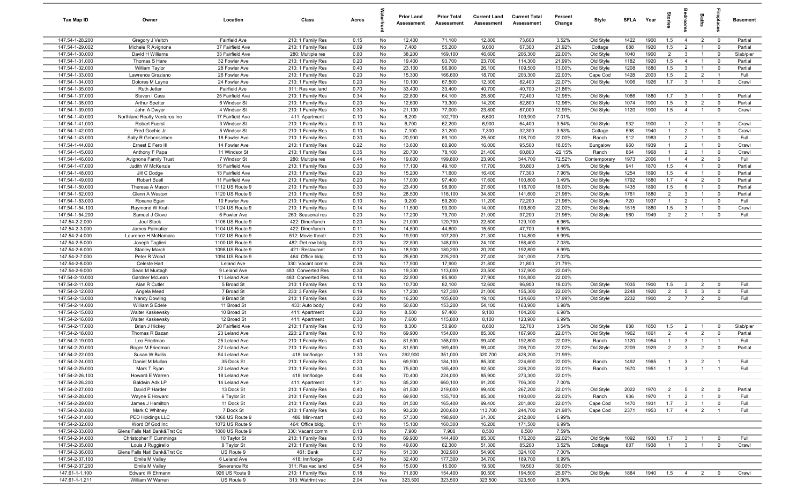| Tax Map ID                         | Owner                              | Location                           | Class                                  | Acres        |          | <b>Prior Land</b><br>Assessment | <b>Prior Total</b><br>Assessment | <b>Current Land</b><br>Assessment | <b>Current Total</b><br>Assessment | Percent<br>Change | Style                  | <b>SFLA</b>  | Year         | tories                           | ledroo                         | Baths                            | repla                         | <b>Basement</b>    |
|------------------------------------|------------------------------------|------------------------------------|----------------------------------------|--------------|----------|---------------------------------|----------------------------------|-----------------------------------|------------------------------------|-------------------|------------------------|--------------|--------------|----------------------------------|--------------------------------|----------------------------------|-------------------------------|--------------------|
| 147.54-1-28.200                    | Gregory J Veitch                   | <b>Fairfield Ave</b>               | 210: 1 Family Res                      | 0.15         | No       | 12,400                          | 71,100                           | 12,800                            | 73,600                             | 3.52%             | Old Style              | 1422         | 1900         | 1.5                              | $\overline{4}$                 | $\overline{2}$                   | $\overline{\mathbf{0}}$       | Partial            |
| 147.54-1-29.002                    | Michele R Avignone                 | 37 Fairfield Ave                   | 210: 1 Family Res                      | 0.09         | No       | 7,400                           | 55,200                           | 9,000                             | 67,300                             | 21.92%            | Cottage                | 688          | 1920         | 1.5                              | 2                              | $\overline{1}$                   | $\overline{0}$                | Partial            |
| 147.54-1-30.000                    | David H Williams                   | 33 Fairfield Ave                   | 280: Multiple res                      | 0.80         | No       | 38,200                          | 169,100                          | 46,600                            | 206,300                            | 22.00%            | Old Style              | 1040         | 1900         | $\overline{2}$                   | $\mathbf{3}$                   | $\overline{1}$                   | $\overline{\mathbf{0}}$       | Slab/pier          |
| 147.54-1-31.000                    | Thomas S Hare                      | 32 Fowler Ave                      | 210: 1 Family Res                      | 0.20         | No       | 19,400                          | 93,700                           | 23,700                            | 114,300                            | 21.99%            | Old Style              | 1182         | 1920         | 1.5                              | $\overline{4}$                 | $\overline{1}$                   | $\mathbf 0$                   | Partial            |
| 147.54-1-32.000                    | William Taylor                     | 28 Fowler Ave                      | 210: 1 Family Res                      | 0.40         | No       | 23,100                          | 96,900                           | 26,100                            | 109,500                            | 13.00%            | Old Style              | 1208         | 1880         | 1.5                              | $\mathbf{3}$                   | $\overline{1}$                   | $\mathbf 0$                   | Partial            |
| 147.54-1-33.000                    | Lawrence Graziano                  | 26 Fowler Ave                      | 210: 1 Family Res                      | 0.20         | No       | 15,300                          | 166,600                          | 18,700                            | 203,300                            | 22.03%            | Cape Cod               | 1428         | 2003         | 1.5                              | $\overline{2}$                 | $\overline{2}$                   | $\overline{1}$                | Full               |
| 147.54-1-34.000<br>147.54-1-35.000 | Dolores M Layne<br>Ruth Jetter     | 24 Fowler Ave<br>Fairfield Ave     | 210: 1 Family Res                      | 0.20<br>0.70 | No<br>No | 10,100<br>33,400                | 67,500<br>33,400                 | 12,300<br>40,700                  | 82,400<br>40,700                   | 22.07%<br>21.86%  | Old Style              | 1006         | 1926         | 1.7                              | $\mathbf{3}$                   | $\overline{1}$                   | $\mathbf 0$                   | Crawl              |
| 147.54-1-37.000                    | Steven I Cass                      | 25 Fairfield Ave                   | 311: Res vac land<br>210: 1 Family Res | 0.34         | No       | 22,800                          | 64,100                           | 25,800                            | 72,400                             | 12.95%            | Old Style              | 1086         | 1880         | 1.7                              | $\overline{3}$                 | $\overline{1}$                   | $\overline{\mathbf{0}}$       | Partial            |
| 147.54-1-38.000                    | Arthur Spetter                     | 6 Windsor St                       | 210: 1 Family Res                      | 0.20         | No       | 12,600                          | 73,300                           | 14,200                            | 82,800                             | 12.96%            | Old Style              | 1074         | 1900         | 1.5                              | 3                              | 2                                | $\mathbf 0$                   | Partial            |
| 147.54-1-39.000                    | John A Dwyer                       | 4 Windsor St                       | 210: 1 Family Res                      | 0.30         | No       | 21,100                          | 77,000                           | 23,800                            | 87,000                             | 12.99%            | Old Style              | 1120         | 1900         | 1.5                              | $\overline{4}$                 | $\overline{1}$                   | $\mathbf 0$                   | Crawl              |
| 147.54-1-40.000                    | Northland Realty Ventures Inc      | 17 Fairfield Ave                   | 411: Apartment                         | 0.10         | No       | 6,200                           | 102,700                          | 6,600                             | 109,900                            | 7.01%             |                        |              |              |                                  |                                |                                  |                               |                    |
| 147.54-1-41.000                    | Robert Fuerst                      | 3 Windsor St                       | 210: 1 Family Res                      | 0.10         | No       | 6,700                           | 62,200                           | 6,900                             | 64,400                             | 3.54%             | Old Style              | 932          | 1900         | $\overline{1}$                   | $\overline{2}$                 | $\overline{1}$                   | $\mathbf 0$                   | Crawl              |
| 147.54-1-42.000                    | Fred Gochie Jr                     | 5 Windsor St                       | 210: 1 Family Res                      | 0.10         | No       | 7,100                           | 31,200                           | 7,300                             | 32,300                             | 3.53%             | Cottage                | 598          | 1940         | $\overline{1}$                   | $\overline{2}$                 | $\overline{1}$                   | $\mathbf 0$                   | Crawl              |
| 147.54-1-43.000                    | Sally R Gebensleben                | 18 Fowler Ave                      | 210: 1 Family Res                      | 0.30         | No       | 20,900                          | 89,100                           | 25,500                            | 108,700                            | 22.00%            | Ranch                  | 912          | 1983         | $\overline{1}$                   | 2                              | $\overline{1}$                   | $\mathbf 0$                   | Full               |
| 147.54-1-44.000                    | Ernest E Fero III                  | 14 Fowler Ave                      | 210: 1 Family Res                      | 0.22         | No       | 13,600                          | 80,900                           | 16,000                            | 95,500                             | 18.05%            | Bungalow               | 960          | 1939         | $\overline{1}$                   | $\overline{2}$                 | $\overline{1}$                   | $\mathbf 0$                   | Crawl              |
| 147.54-1-45.000                    | Anthony F Papa                     | 11 Windsor St                      | 210: 1 Family Res                      | 0.35         | No       | 20,700                          | 78,100                           | 21,400                            | 60,800                             | $-22.15%$         | Ranch                  | 864          | 1968         | $\overline{1}$                   | $\overline{2}$                 | $\overline{1}$                   | $\mathbf 0$                   | Crawl              |
| 147.54-1-46.000                    | Avignone Family Trust              | 7 Windsor St                       | 280: Multiple res                      | 0.44         | No       | 19,600                          | 199,800                          | 23,900                            | 344,700                            | 72.52%            | Contemporary           | 1973         | 2006         | $\overline{1}$                   | $\overline{4}$                 | 2                                | $\mathbf 0$                   | Full               |
| 147.54-1-47.000                    | Judith W McKenzie                  | 15 Fairfield Ave                   | 210: 1 Family Res                      | 0.30         | No       | 17,100                          | 49,100                           | 17,700                            | 50,800                             | 3.46%             | Old Style              | 941          | 1870         | 1.5                              | $\overline{4}$                 | $\overline{1}$                   | $\mathbf 0$                   | Partial            |
| 147.54-1-48.000                    | Jill C Dodge                       | 13 Fairfield Ave                   | 210: 1 Family Res                      | 0.20         | No       | 15,200                          | 71,600                           | 16,400                            | 77,300                             | 7.96%             | Old Style              | 1254         | 1890         | 1.5                              | $\overline{4}$                 | $\overline{1}$                   | $\mathbf 0$                   | Partial            |
| 147.54-1-49.000                    | Robert Buell                       | 11 Fairfield Ave                   | 210: 1 Family Res                      | 0.20         | No       | 17,000                          | 97,400                           | 17,600                            | 100,800                            | 3.49%             | Old Style              | 1792         | 1880         | 1.7                              | $\overline{4}$                 | $\overline{2}$                   | $\mathbf 0$                   | Partial            |
| 147.54-1-50.000<br>147.54-1-52.000 | Theresa A Mason<br>Glenn A Weston  | 1112 US Route 9<br>1120 US Route 9 | 210: 1 Family Res<br>210: 1 Family Res | 0.30<br>0.50 | No<br>No | 23,400<br>28,500                | 98,900<br>116,100                | 27,600<br>34,800                  | 116,700<br>141,600                 | 18.00%<br>21.96%  | Old Style<br>Old Style | 1435<br>1761 | 1890<br>1880 | 1.5<br>$\overline{2}$            | 6<br>$\mathbf{3}$              | $\overline{1}$<br>$\overline{1}$ | $\mathbf 0$<br>$\mathbf 0$    | Partial<br>Partial |
| 147.54-1-53.000                    | Roxane Egan                        | 10 Fowler Ave                      | 210: 1 Family Res                      | 0.10         | No       | 9,200                           | 59,200                           | 11,200                            | 72,200                             | 21.96%            | Old Style              | 720          | 1937         | $\overline{1}$                   | $\overline{2}$                 | $\overline{1}$                   | $\mathbf 0$                   | Full               |
| 147.54-1-54.100                    | Raymond W Krah                     | 1124 US Route 9                    | 210: 1 Family Res                      | 0.14         | No       | 11,500                          | 90,000                           | 14,000                            | 109,800                            | 22.00%            | Old Style              | 1515         | 1880         | 1.5                              | $\mathbf{3}$                   | $\overline{1}$                   | $\mathbf 0$                   | Crawl              |
| 147.54-1-54.200                    | Samuel J Giove                     | 6 Fowler Ave                       | 260: Seasonal res                      | 0.20         | No       | 17,200                          | 79,700                           | 21,000                            | 97,200                             | 21.96%            | Old Style              | 960          | 1949         | $\overline{2}$                   | $\overline{2}$                 | $\overline{1}$                   | $\mathbf 0$                   | Full               |
| 147.54-2-2.000                     | Joel Stock                         | 1106 US Route 9                    | 422: Diner/lunch                       | 0.20         | No       | 21,000                          | 120,700                          | 22,500                            | 129,100                            | 6.96%             |                        |              |              |                                  |                                |                                  |                               |                    |
| 147.54-2-3.000                     | James Palmatier                    | 1104 US Route 9                    | 422: Diner/lunch                       | 0.11         | No       | 14,500                          | 44,600                           | 15,500                            | 47,700                             | 6.95%             |                        |              |              |                                  |                                |                                  |                               |                    |
| 147.54-2-4.000                     | Laurence H McNamara                | 1102 US Route 9                    | 512: Movie theatr                      | 0.20         | No       | 19,900                          | 107,300                          | 21,300                            | 114,800                            | 6.99%             |                        |              |              |                                  |                                |                                  |                               |                    |
| 147.54-2-5.000                     | Joseph Taglieri                    | 1100 US Route 9                    | 482: Det row bldg                      | 0.20         | No       | 22,500                          | 148,000                          | 24,100                            | 158,400                            | 7.03%             |                        |              |              |                                  |                                |                                  |                               |                    |
| 147.54-2-6.000                     | <b>Stanley March</b>               | 1098 US Route 9                    | 421: Restaurant                        | 0.12         | No       | 18,900                          | 180,200                          | 20,200                            | 192,800                            | 6.99%             |                        |              |              |                                  |                                |                                  |                               |                    |
| 147.54-2-7.000                     | Peter R Wood                       | 1094 US Route 9                    | 464: Office bldg.                      | 0.10         | No       | 25,600                          | 225,200                          | 27,400                            | 241,000                            | 7.02%             |                        |              |              |                                  |                                |                                  |                               |                    |
| 147.54-2-8.000                     | Celeste Hart                       | Leland Ave                         | 330: Vacant comm                       | 0.26         | No       | 17,900                          | 17,900                           | 21,800                            | 21,800                             | 21.79%            |                        |              |              |                                  |                                |                                  |                               |                    |
| 147.54-2-9.000                     | Sean M Murtagh                     | 9 Leland Ave                       | 483: Converted Res                     | 0.30         | No       | 19,300                          | 113,000                          | 23,500                            | 137,900                            | 22.04%            |                        |              |              |                                  |                                |                                  |                               |                    |
| 147.54-2-10.000                    | Gardner McLean                     | 11 Leland Ave                      | 483: Converted Res                     | 0.14         | No       | 22,900                          | 85,900                           | 27,900                            | 104,800                            | 22.00%            |                        |              |              |                                  |                                |                                  |                               |                    |
| 147.54-2-11.000                    | Alan R Cutler                      | 5 Broad St                         | 210: 1 Family Res                      | 0.13         | No       | 10,700                          | 82,100                           | 12,600                            | 96,900                             | 18.03%            | Old Style              | 1035         | 1900<br>1920 | 1.5<br>2                         | $\mathbf{3}$<br>5              | $\overline{2}$<br>3              | $\mathbf 0$<br>$\overline{0}$ | Full<br>Full       |
| 147.54-2-12.000<br>147.54-2-13.000 | Angela Mead<br>Nancy Dowling       | 7 Broad St<br>9 Broad St           | 230: 3 Family Res<br>210: 1 Family Res | 0.19<br>0.20 | No<br>No | 17,200<br>16,200                | 127,300<br>105,600               | 21,000<br>19,100                  | 155,300<br>124,600                 | 22.00%<br>17.99%  | Old Style<br>Old Style | 2248<br>2232 | 1900         | $\overline{2}$                   | $\overline{7}$                 | $\overline{2}$                   | $\mathbf 0$                   | Full               |
| 147.54-2-14.000                    | William S Edele                    | 11 Broad St                        | 433: Auto body                         | 0.40         | No       | 50,600                          | 153,200                          | 54,100                            | 163,900                            | 6.98%             |                        |              |              |                                  |                                |                                  |                               |                    |
| 147.54-2-15.000                    | Walter Kaskewsky                   | 10 Broad St                        | 411: Apartment                         | 0.20         | No       | 8,500                           | 97,400                           | 9,100                             | 104,200                            | 6.98%             |                        |              |              |                                  |                                |                                  |                               |                    |
| 147.54-2-16.000                    | Walter Kaskewsky                   | 12 Broad St                        | 411: Apartment                         | 0.30         | No       | 7,600                           | 115,800                          | 8,100                             | 123,900                            | 6.99%             |                        |              |              |                                  |                                |                                  |                               |                    |
| 147.54-2-17.000                    | Brian J Hickey                     | 20 Fairfield Ave                   | 210: 1 Family Res                      | 0.10         | No       | 8,300                           | 50,900                           | 8,600                             | 52,700                             | 3.54%             | Old Style              | 888          | 1850         | 1.5                              | $\overline{2}$                 | $\overline{1}$                   | $\overline{\mathbf{0}}$       | Slab/pier          |
| 147.54-2-18.000                    | Thomas R Bazan                     | 23 Leland Ave                      | 220: 2 Family Res                      | 0.10         | No       | 69,900                          | 154,000                          | 85,300                            | 187,900                            | 22.01%            | Old Style              | 1962         | 1861         | $\overline{2}$                   | $\overline{4}$                 | $\overline{2}$                   | $\mathbf 0$                   | Partial            |
| 147.54-2-19.000                    | Leo Friedman                       | 25 Leland Ave                      | 210: 1 Family Res                      | 0.40         | No       | 81,500                          | 158,000                          | 99,400                            | 192,800                            | 22.03%            | Ranch                  | 1120         | 1954         | $\mathbf{1}$                     | $\mathbf{3}$                   | $\overline{1}$                   | $\overline{1}$                | Full               |
| 147.54-2-20.000                    | Roger M Friedman                   | 27 Leland Ave                      | 210: 1 Family Res                      | 0.30         | No       | 81,500                          | 169,400                          | 99,400                            | 206,700                            | 22.02%            | Old Style              | 2209         | 1929         | $\overline{2}$                   | $\mathbf{3}$                   | $\overline{2}$                   | $\mathbf 0$                   | Partial            |
| 147.54-2-22.000                    | Susan W Bullis                     | 54 Leland Ave                      | 418: Inn/lodge                         | 1.30         | Yes      | 262,900                         | 351,000                          | 320,700                           | 428,200                            | 21.99%            |                        |              |              |                                  |                                |                                  |                               |                    |
| 147.54-2-24.000                    | Daniel M Mullan                    | 35 Dock St                         | 210: 1 Family Res                      | 0.20         | No       | 69,900                          | 184,100                          | 85,300                            | 224,600                            | 22.00%            | Ranch                  | 1492         | 1965         | $\overline{1}$                   | $\mathbf{3}$                   | $\overline{2}$                   |                               | Full               |
| 147.54-2-25.000                    | Mark T Ryan                        | 22 Leland Ave                      | 210: 1 Family Res                      | 0.30         | No       | 75,800                          | 185,400                          | 92,500                            | 226,200                            | 22.01%            | Ranch                  | 1670         | 1951         | $1 \quad 3$                      |                                | $\overline{1}$                   | $\blacksquare$                | Full               |
| 147.54-2-26.100                    | Howard E Warren                    | 18 Leland Ave                      | 418: Inn/lodge                         | 0.44         | No       | 70,400                          | 224,000                          | 85,900                            | 273,300                            | 22.01%            |                        |              |              |                                  |                                |                                  |                               |                    |
| 147.54-2-26.200                    | Baldwin Adk LP                     | 14 Leland Ave                      | 411: Apartment                         | 1.21         | No       | 85,200                          | 660,100                          | 91,200                            | 706,300                            | 7.00%             |                        |              |              |                                  |                                |                                  |                               |                    |
| 147.54-2-27.000                    | David P Harder                     | 13 Dock St                         | 210: 1 Family Res                      | 0.40         | No       | 81,500<br>69,900                | 219,000<br>155,700               | 99,400<br>85,300                  | 267,200                            | 22.01%            | Old Style              | 2022         | 1970         | $\overline{2}$<br>$\overline{1}$ | 5                              | $\overline{2}$                   | $\overline{\mathbf{0}}$       | Partial<br>Full    |
| 147.54-2-28.000<br>147.54-2-29.000 | Wayne E Howard<br>James J Hamilton | 6 Taylor St<br>11 Dock St          | 210: 1 Family Res<br>210: 1 Family Res | 0.20<br>0.20 | No<br>No | 81,500                          | 165,400                          | 99,400                            | 190,000<br>201,800                 | 22.03%<br>22.01%  | Ranch<br>Cape Cod      | 936<br>1470  | 1970<br>1931 | 1.7                              | $\overline{2}$<br>$\mathbf{3}$ | $\overline{1}$<br>$\overline{1}$ | $\mathbf 0$<br>$\mathbf 0$    | Full               |
| 147.54-2-30.000                    | Mark C Whitney                     | 7 Dock St                          | 210: 1 Family Res                      | 0.30         | No       | 93,200                          | 200,600                          | 113,700                           | 244,700                            | 21.98%            | Cape Cod               | 2371         | 1953         | 1.7                              | $\overline{4}$                 | $\overline{2}$                   | $\overline{1}$                | Full               |
| 147.54-2-31.000                    | PED Holdings LLC                   | 1068 US Route 9                    | 486: Mini-mart                         | 0.40         | No       | 57,300                          | 198,900                          | 61,300                            | 212,800                            | 6.99%             |                        |              |              |                                  |                                |                                  |                               |                    |
| 147.54-2-32.000                    | Word Of God Inc                    | 1072 US Route 9                    | 464: Office bldg.                      | 0.11         | No       | 15,100                          | 160,300                          | 16,200                            | 171,500                            | 6.99%             |                        |              |              |                                  |                                |                                  |                               |                    |
| 147.54-2-33.000                    | Glens Falls Natl Bank&Trst Co      | 1080 US Route 9                    | 330: Vacant comm                       | 0.13         | No       | 7,900                           | 7,900                            | 8,500                             | 8,500                              | 7.59%             |                        |              |              |                                  |                                |                                  |                               |                    |
| 147.54-2-34.000                    | Christopher F Cummings             | 10 Taylor St                       | 210: 1 Family Res                      | 0.10         | No       | 69,900                          | 144,400                          | 85,300                            | 176,200                            | 22.02%            | Old Style              | 1092         | 1930         | 1.7                              | $\overline{\mathbf{3}}$        | $\overline{1}$                   | $\overline{\mathbf{0}}$       | Full               |
| 147.54-2-35.000                    | Louis J Ruggirello                 | 8 Taylor St                        | 210: 1 Family Res                      | 0.10         | No       | 49,600                          | 82,300                           | 51,300                            | 85,200                             | 3.52%             | Cottage                | 887          | 1938         | $\overline{1}$                   | $\overline{\mathbf{3}}$        | $\overline{1}$                   | $\overline{0}$                | Crawl              |
| 147.54-2-36.000                    | Glens Falls Natl Bank&Trst Co      | US Route 9                         | 461: Bank                              | 0.37         | No       | 51,300                          | 302,900                          | 54,900                            | 324,100                            | 7.00%             |                        |              |              |                                  |                                |                                  |                               |                    |
| 147.54-2-37.100                    | Emile M Valley                     | 6 Leland Ave                       | 418: Inn/lodge                         | 0.40         | No       | 32,400                          | 177,300                          | 34,700                            | 189,700                            | 6.99%             |                        |              |              |                                  |                                |                                  |                               |                    |
| 147.54-2-37.200                    | Emile M Valley                     | Severance Rd                       | 311: Res vac land                      | 0.54         | No       | 15,000                          | 15,000                           | 19,500                            | 19,500                             | 30.00%            |                        |              |              |                                  |                                |                                  |                               |                    |
| 147.61-1-1.100                     | Edward W Ehmann                    | 926 US Route 9                     | 210: 1 Family Res                      | 0.18         | No       | 71,800                          | 154,400                          | 90,500                            | 194,500                            | 25.97%            | Old Style              | 1884         | 1940         | 1.5                              | $\overline{4}$                 | 2                                | $\mathbf 0$                   | Crawl              |
| 147.61-1-1.211                     | William W Warren                   | US Route 9                         | 313: Watrfrnt vac                      | 2.04         | Yes      | 323,500                         | 323,500                          | 323,500                           | 323,500                            | 0.00%             |                        |              |              |                                  |                                |                                  |                               |                    |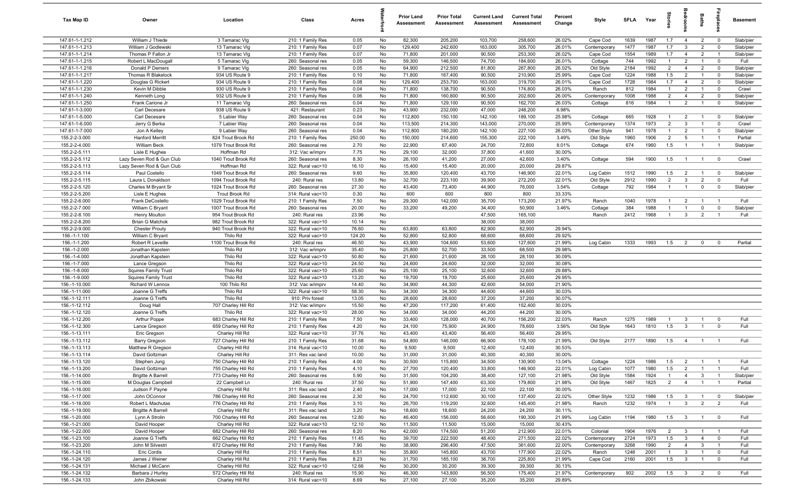| Tax Map ID                       | Owner                             | Location                                   | Class                                  | Acres          |          | <b>Prior Land</b><br>Assessment | <b>Prior Total</b><br>Assessment | <b>Current Land</b><br>Assessment | <b>Current Total</b><br>Assessment | Percent<br>Change | Style                | <b>SFLA</b>  | Year         | tories                           | g                                       | Baths                            | repla                         | <b>Basement</b>   |
|----------------------------------|-----------------------------------|--------------------------------------------|----------------------------------------|----------------|----------|---------------------------------|----------------------------------|-----------------------------------|------------------------------------|-------------------|----------------------|--------------|--------------|----------------------------------|-----------------------------------------|----------------------------------|-------------------------------|-------------------|
| 147.61-1-1.212                   | William J Thiede                  | 3 Tamarac VIg                              | 210: 1 Family Res                      | 0.05           | No       | 82,300                          | 205,200                          | 103,700                           | 258,600                            | 26.02%            | Cape Cod             | 1639         | 1987         | 1.7                              | $\overline{4}$                          | $\overline{2}$                   | $\overline{0}$                | Slab/pier         |
| 147.61-1-1.213                   | William J Godlewski               | 13 Tamarac VIg                             | 210: 1 Family Res                      | 0.07           | No       | 129,400                         | 242,600                          | 163,000                           | 305,700                            | 26.01%            | Contemporary         | 1477         | 1987         | 1.7                              | $\mathbf{3}$                            | $\overline{2}$                   | $\mathbf 0$                   | Slab/pier         |
| 147.61-1-1.214                   | Thomas P Fallon Jr                | 13 Tamarac VIg                             | 210: 1 Family Res                      | 0.07           | No       | 71,800                          | 201,000                          | 90,500                            | 253,300                            | 26.02%            | Cape Cod             | 1554         | 1989         | 1.7                              | $\overline{4}$                          | $\overline{2}$                   | $\mathbf{1}$                  | Slab/pier         |
| 147.61-1-1.215                   | Robert L MacDougall               | 5 Tamarac VIg                              | 260: Seasonal res                      | 0.05           | No       | 59,300                          | 146,500                          | 74,700                            | 184,600                            | 26.01%            | Cottage              | 744          | 1992         | $\overline{1}$                   | $\overline{2}$                          | $\overline{1}$                   | $\overline{0}$                | Full              |
| 147.61-1-1.216                   | Donald P Demers                   | 9 Tamarac VIg                              | 260: Seasonal res                      | 0.05           | No       | 64,900                          | 212,500                          | 81,800                            | 267,800                            | 26.02%            | Old Style            | 2184         | 1992         | $\overline{2}$                   | $\overline{4}$                          | $\overline{2}$                   | $\mathbf 0$                   | Slab/pier         |
| 147.61-1-1.217                   | Thomas R Blakelock                | 934 US Route 9                             | 210: 1 Family Res                      | 0.10           | No       | 71,800                          | 167,400                          | 90,500                            | 210,900                            | 25.99%            | Cape Cod             | 1224         | 1988         | 1.5                              | $\overline{2}$                          | $\overline{1}$                   | $\mathbf 0$                   | Slab/pier         |
| 147.61-1-1.220                   | Douglas G Rickert                 | 934 US Route 9                             | 210: 1 Family Res                      | 0.08           | No       | 129,400                         | 253,700                          | 163,000                           | 319,700                            | 26.01%            | Cape Cod             | 1728         | 1984         | 1.7                              | $\overline{4}$                          | $\overline{2}$                   | $\mathbf 0$                   | Slab/pier         |
| 147.61-1-1.230                   | Kevin M Dibble                    | 930 US Route 9                             | 210: 1 Family Res                      | 0.04           | No       | 71,800                          | 138,700                          | 90,500                            | 174,800                            | 26.03%            | Ranch                | 812          | 1984         | $\overline{1}$                   | $\overline{2}$                          | $\overline{1}$                   | $\mathbf 0$                   | Crawl             |
| 147.61-1-1.240                   | Kenneth Long                      | 932 US Route 9                             | 210: 1 Family Res                      | 0.06           | No       | 71,800                          | 160,800                          | 90,500                            | 202,600                            | 26.00%            | Contemporary         | 1008         | 1988         | $\overline{2}$                   | $\overline{4}$                          | 2                                | $\mathbf 0$                   | Slab/pier         |
| 147.61-1-1.250                   | Frank Carione Jr<br>Carl Decesare | 11 Tamarac VIg                             | 260: Seasonal res                      | 0.04           | No       | 71,800                          | 129,100                          | 90,500                            | 162,700                            | 26.03%            | Cottage              | 816          | 1984         | $\overline{1}$                   | 2                                       | $\overline{1}$                   | $\mathbf 0$                   | Slab/pier         |
| 147.61-1-3.000<br>147.61-1-5.000 | Carl Decesare                     | 938 US Route 9<br>5 Labier Way             | 421: Restaurant<br>260: Seasonal res   | 0.23<br>0.04   | No<br>No | 43,900<br>112,800               | 232,000<br>150,100               | 47,000<br>142,100                 | 248,200<br>189,100                 | 6.98%<br>25.98%   | Cottage              | 665          | 1928         | $\overline{1}$                   | $\overline{2}$                          | $\overline{1}$                   | $\mathbf 0$                   | Slab/pier         |
| 147.61-1-6.000                   | Jerry G Berka                     | 7 Labier Way                               | 260: Seasonal res                      | 0.04           | No       | 113,500                         | 214,300                          | 143,000                           | 270,000                            | 25.99%            | Contemporary         | 1374         | 1973         | 2                                | $\mathbf{3}$                            | $\overline{1}$                   | $\mathbf 0$                   | Crawl             |
| 147.61-1-7.000                   | Jon A Kelley                      | 9 Labier Way                               | 260: Seasonal res                      | 0.04           | No       | 112,800                         | 180,200                          | 142,100                           | 227,100                            | 26.03%            | Other Style          | 941          | 1978         | $\mathbf{1}$                     | $\overline{2}$                          | $\overline{1}$                   | $\mathbf 0$                   | Slab/pier         |
| 155.2-2-3.000                    | <b>Hanford Merritt</b>            | 824 Trout Brook Rd                         | 210: 1 Family Res                      | 250.00         | No       | 150,000                         | 214,600                          | 155,300                           | 222,100                            | 3.49%             | Old Style            | 1960         | 1906         | $\overline{2}$                   | 5                                       | $\overline{1}$                   | $\overline{1}$                | Partial           |
| 155.2-2-4.000                    | William Beck                      | 1079 Trout Brook Rd                        | 260: Seasonal res                      | 2.70           | No       | 22,900                          | 67,400                           | 24,700                            | 72,800                             | 8.01%             | Cottage              | 674          | 1960         | 1.5                              | $\overline{1}$                          | $\overline{1}$                   | $\overline{1}$                | Slab/pier         |
| 155.2-2-5.111                    | Lisle E Hughes                    | Hoffman Rd                                 | 312: Vac w/imprv                       | 7.75           | No       | 29,100                          | 32,000                           | 37,800                            | 41,600                             | 30.00%            |                      |              |              |                                  |                                         |                                  |                               |                   |
| 155.2-2-5.112                    | Lazy Seven Rod & Gun Club         | 1040 Trout Brook Rd                        | 260: Seasonal res                      | 8.30           | No       | 26,100                          | 41,200                           | 27,000                            | 42,600                             | 3.40%             | Cottage              | 594          | 1900         | 1.5                              | $\overline{1}$                          | $\overline{1}$                   | $\overline{\mathbf{0}}$       | Crawl             |
| 155.2-2-5.113                    | Lazy Seven Rod & Gun Club         | Hoffman Rd                                 | 322: Rural vac>10                      | 16.10          | No       | 15,400                          | 15,400                           | 20,000                            | 20,000                             | 29.87%            |                      |              |              |                                  |                                         |                                  |                               |                   |
| 155.2-2-5.114                    | Paul Costello                     | 1049 Trout Brook Rd                        | 260: Seasonal res                      | 9.60           | No       | 35,800                          | 120,400                          | 43,700                            | 146,900                            | 22.01%            | Log Cabin            | 1512         | 1990         | 1.5                              | $\overline{2}$                          | $\overline{1}$                   | $\overline{\mathbf{0}}$       | Slab/pier         |
| 155.2-2-5.115                    | Laura L Donaldson                 | 1094 Trout Brook Rd                        | 240: Rural res                         | 13.80          | No       | 32,700                          | 223,100                          | 39,900                            | 272,200                            | 22.01%            | Old Style            | 2912         | 1990         | $\overline{2}$                   | $\mathbf{3}$                            | $\overline{2}$                   | $\mathbf 0$                   | Full              |
| 155.2-2-5.120                    | Charles M Bryant Sr               | 1024 Trout Brook Rd                        | 260: Seasonal res                      | 27.30          | No       | 43,400                          | 73,400                           | 44,900                            | 76,000                             | 3.54%             | Cottage              | 792          | 1984         | $\overline{1}$                   | $\overline{1}$                          | $\mathbf 0$                      | $\mathbf 0$                   | Slab/pier         |
| 155.2-2-5.200                    | Lisle E Hughes                    | Trout Brook Rd                             | 314: Rural vac<10                      | 0.30           | No       | 600                             | 600                              | 800                               | 800                                | 33.33%            |                      |              |              |                                  |                                         |                                  |                               |                   |
| 155.2-2-6.000<br>155.2-2-7.000   | Frank DeCostello                  | 1029 Trout Brook Rd                        | 210: 1 Family Res                      | 7.50           | No       | 29,300<br>33,200                | 142,000                          | 35,700<br>34,400                  | 173,200<br>50,900                  | 21.97%<br>3.46%   | Ranch                | 1040<br>384  | 1978<br>1988 | $\overline{1}$<br>$\overline{1}$ | $\overline{2}$                          | $\overline{1}$<br>$\mathbf 0$    | $\overline{1}$<br>$\mathbf 0$ | Full              |
| 155.2-2-8.100                    | William C Bryant<br>Henry Moulton | 1007 Trout Brook Rd<br>954 Trout Brook Rd  | 260: Seasonal res<br>240: Rural res    | 20.00<br>23.96 | No<br>No |                                 | 49,200                           | 47,500                            | 165,100                            |                   | Cottage<br>Ranch     | 2412         | 1968         | $\overline{1}$                   | $\overline{1}$<br>$\mathbf{3}$          | $\overline{2}$                   | $\overline{1}$                | Slab/pier<br>Full |
| 155.2-2-8.200                    | <b>Brian G Matchok</b>            | 982 Trout Brook Rd                         | 322: Rural vac>10                      | 10.14          | No       |                                 |                                  | 38,000                            | 38,000                             |                   |                      |              |              |                                  |                                         |                                  |                               |                   |
| 155.2-2-9.000                    | <b>Chester Prouty</b>             | 940 Trout Brook Rd                         | 322: Rural vac>10                      | 76.60          | No       | 63,800                          | 63,800                           | 82,900                            | 82,900                             | 29.94%            |                      |              |              |                                  |                                         |                                  |                               |                   |
| 156.-1-1.100                     | William C Bryant                  | Thilo Rd                                   | 322: Rural vac>10                      | 124.20         | No       | 52,800                          | 52,800                           | 68,600                            | 68,600                             | 29.92%            |                      |              |              |                                  |                                         |                                  |                               |                   |
| 156.-1-1.200                     | Robert R Leveille                 | 1100 Trout Brook Rd                        | 240: Rural res                         | 46.50          | No       | 43,900                          | 104,600                          | 53,600                            | 127,600                            | 21.99%            | Log Cabin            | 1333         | 1993         | 1.5                              | $\overline{2}$                          | $\mathbf 0$                      | $\Omega$                      | Partial           |
| 156.-1-2.000                     | Jonathan Kapstein                 | Thilo Rd                                   | 312: Vac w/imprv                       | 35.40          | No       | 25,800                          | 52,700                           | 33,500                            | 68,500                             | 29.98%            |                      |              |              |                                  |                                         |                                  |                               |                   |
| 156.-1-4.000                     | Jonathan Kapstein                 | Thilo Rd                                   | 322: Rural vac>10                      | 50.80          | No       | 21,600                          | 21,600                           | 28,100                            | 28,100                             | 30.09%            |                      |              |              |                                  |                                         |                                  |                               |                   |
| 156.-1-7.000                     | Lance Gregson                     | Thilo Rd                                   | 322: Rural vac>10                      | 24.50          | No       | 24,600                          | 24,600                           | 32,000                            | 32,000                             | 30.08%            |                      |              |              |                                  |                                         |                                  |                               |                   |
| 156.-1-8.000                     | <b>Squires Family Trust</b>       | Thilo Rd                                   | 322: Rural vac>10                      | 25.60          | No       | 25,100                          | 25,100                           | 32,600                            | 32,600                             | 29.88%            |                      |              |              |                                  |                                         |                                  |                               |                   |
| 156.-1-9.000                     | <b>Squires Family Trust</b>       | Thilo Rd                                   | 322: Rural vac>10                      | 13.20          | No       | 19,700                          | 19,700                           | 25,600                            | 25,600                             | 29.95%            |                      |              |              |                                  |                                         |                                  |                               |                   |
| 156.-1-10.000                    | Richard W Lennox                  | 100 Thilo Rd                               | 312: Vac w/imprv                       | 14.40          | No       | 34,900                          | 44,300                           | 42,600                            | 54,000                             | 21.90%            |                      |              |              |                                  |                                         |                                  |                               |                   |
| 156.-1-11.000                    | Joanne G Treffs                   | Thilo Rd                                   | 322: Rural vac>10                      | 58.30          | No       | 34,300                          | 34,300                           | 44,600                            | 44,600                             | 30.03%            |                      |              |              |                                  |                                         |                                  |                               |                   |
| 156.-1-12.111<br>156.-1-12.112   | Joanne G Treffs                   | Thilo Rd                                   | 910: Priv forest                       | 13.05          | No       | 28,600                          | 28,600                           | 37,200                            | 37,200                             | 30.07%            |                      |              |              |                                  |                                         |                                  |                               |                   |
| 156.-1-12.120                    | Doug Hall<br>Joanne G Treffs      | 707 Charley Hill Rd<br>Thilo Rd            | 312: Vac w/imprv<br>322: Rural vac>10  | 15.50<br>28.00 | No<br>No | 47,200<br>34,000                | 117,200<br>34,000                | 61,400<br>44,200                  | 152,400<br>44,200                  | 30.03%<br>30.00%  |                      |              |              |                                  |                                         |                                  |                               |                   |
| 156.-1-12.200                    | Arthur Poppe                      | 683 Charley Hill Rd                        | 210: 1 Family Res                      | 7.50           | No       | 33,400                          | 128,000                          | 40,700                            | 156,200                            | 22.03%            | Ranch                | 1275         | 1989         | $\overline{1}$                   | $\overline{\mathbf{3}}$                 | $\overline{1}$                   | $\mathbf 0$                   | Full              |
| 156.-1-12.300                    | Lance Gregson                     | 659 Charley Hill Rd                        | 210: 1 Family Res                      | 4.20           | No       | 24,100                          | 75,900                           | 24,900                            | 78,600                             | 3.56%             | Old Style            | 1643         | 1810         | 1.5                              | $\mathbf{3}$                            | $\overline{1}$                   | $\mathbf 0$                   | Full              |
| 156.-1-13.111                    | Eric Gregson                      | Charley Hill Rd                            | 322: Rural vac>10                      | 37.76          | No       | 43,400                          | 43,400                           | 56,400                            | 56,400                             | 29.95%            |                      |              |              |                                  |                                         |                                  |                               |                   |
| 156.-1-13.112                    | Barry Gregson                     | 727 Charley Hill Rd                        | 210: 1 Family Res                      | 31.68          | No       | 54,800                          | 146,000                          | 66,900                            | 178,100                            | 21.99%            | Old Style            | 2177         | 1890         | 1.5                              | $\overline{4}$                          | $\overline{1}$                   |                               | Full              |
| 156.-1-13.113                    | Matthew R Gregson                 | Charley Hill Rd                            | 314: Rural vac<10                      | 10.00          | No       | 9,500                           | 9,500                            | 12,400                            | 12,400                             | 30.53%            |                      |              |              |                                  |                                         |                                  |                               |                   |
| 156.-1-13.114                    | David Goltzman                    | Charley Hill Rd                            | 311: Res vac land                      | 10.00          | No       | 31,000                          | 31,000                           | 40,300                            | 40,300                             | 30.00%            |                      |              |              |                                  |                                         |                                  |                               |                   |
| 156.-1-13.120                    | Stephen Jung                      | 750 Charley Hill Rd                        | 210: 1 Family Res                      | 4.00           | No       | 30,500                          | 115,800                          | 34,500                            | 130,900                            | 13.04%            | Cottage              | 1224         | 1986         | 1.5                              | $\overline{2}$                          |                                  |                               | Full              |
| 156.-1-13.200                    | David Goltzman                    | 755 Charley Hill Rd                        | 210: 1 Family Res                      | 4.10           | No       | 27,700                          | 120,400                          | 33,800                            | 146,900                            | 22.01%            | Log Cabin            | 1077         | 1980         | 1.5                              | $\overline{2}$                          | $\overline{1}$                   | $\overline{1}$                | Full              |
| 156.-1-14.000                    | <b>Brigitte A Barrell</b>         | 773 Charley Hill Rd                        | 260: Seasonal res                      | 5.90           | No       | 31,500                          | 104,200                          | 38,400                            | 127,100                            | 21.98%            | Old Style            | 1584         | 1924         | $\overline{1}$                   | $\overline{4}$                          | $\mathbf{3}$                     | $\overline{1}$                | Slab/pier         |
| 156.-1-15.000                    | M Douglas Campbell                | 22 Campbell Ln                             | 240: Rural res                         | 37.50          | No       | 51,900                          | 147,400                          | 63,300                            | 179,800                            | 21.98%            | Old Style            | 1467         | 1825         | $\overline{2}$                   | $\overline{4}$                          | $\overline{1}$                   |                               | Partial           |
| 156.-1-16.000                    | Judson F Payne                    | Charley Hill Rd                            | 311: Res vac land                      | 2.40           | No       | 17,000                          | 17,000                           | 22,100                            | 22,100                             | 30.00%            |                      |              |              |                                  |                                         |                                  |                               |                   |
| 156.-1-17.000<br>156.-1-18.000   | John OConnor<br>Robert L Machutas | 786 Charley Hill Rd<br>776 Charley Hill Rd | 260: Seasonal res<br>210: 1 Family Res | 2.30<br>3.10   | No<br>No | 24,700<br>26,700                | 112,600<br>119,200               | 30,100<br>32,600                  | 137,400<br>145,400                 | 22.02%<br>21.98%  | Other Style<br>Ranch | 1232<br>1232 | 1986<br>1974 | 1.5<br>$\overline{1}$            | $\overline{\mathbf{3}}$<br>$\mathbf{3}$ | $\overline{1}$<br>$\overline{2}$ | $\mathbf 0$<br>$\overline{2}$ | Slab/pier<br>Full |
| 156.-1-19.000                    | <b>Brigitte A Barrell</b>         | Charley Hill Rd                            | 311: Res vac land                      | 3.20           | No       | 18,600                          | 18,600                           | 24,200                            | 24,200                             | 30.11%            |                      |              |              |                                  |                                         |                                  |                               |                   |
| 156.-1-20.000                    | Lynn A Strolin                    | 700 Charley Hill Rd                        | 260: Seasonal res                      | 12.80          | No       | 46,400                          | 156,000                          | 56,600                            | 190,300                            | 21.99%            | Log Cabin            | 1194         | 1980         | 1.5                              | $\overline{\mathbf{3}}$                 | $\overline{1}$                   | $\overline{\mathbf{0}}$       | Full              |
| 156.-1-21.000                    | David Hooper                      | Charley Hill Rd                            | 322: Rural vac>10                      | 12.10          | No       | 11,500                          | 11,500                           | 15,000                            | 15,000                             | 30.43%            |                      |              |              |                                  |                                         |                                  |                               |                   |
| 156.-1-22.000                    | David Hooper                      | 682 Charley Hill Rd                        | 260: Seasonal res                      | 8.20           | No       | 42,000                          | 174,500                          | 51,200                            | 212,900                            | 22.01%            | Colonial             | 1904         | 1976         | $\overline{2}$                   | $\mathbf{3}$                            | $\overline{1}$                   | $\overline{1}$                | Full              |
| 156.-1-23.100                    | Joanne G Treffs                   | 662 Charley Hill Rd                        | 210: 1 Family Res                      | 11.45          | No       | 39,700                          | 222,500                          | 48,400                            | 271,500                            | 22.02%            | Contemporary         | 2724         | 1973         | 1.5                              | $\overline{\mathbf{3}}$                 | $\overline{4}$                   | $\mathbf 0$                   | Full              |
| 156.-1-23.200                    | John M Silvestri                  | 672 Charley Hill Rd                        | 210: 1 Family Res                      | 7.90           | No       | 38,900                          | 296,400                          | 47,500                            | 361,600                            | 22.00%            | Contemporary         | 3268         | 1990         | $\overline{2}$                   | $\overline{4}$                          | $\mathbf{3}$                     | $\overline{1}$                | Full              |
| 156.-1-24.110                    | Eric Cordis                       | Charley Hill Rd                            | 210: 1 Family Res                      | 8.51           | No       | 35,800                          | 145,800                          | 43,700                            | 177,900                            | 22.02%            | Ranch                | 1248         | 2001         | $\overline{1}$                   | $\mathbf{3}$                            | $\overline{1}$                   | $\mathbf 0$                   | Full              |
| 156.-1-24.120                    | James J Weiner                    | Charley Hill Rd                            | 210: 1 Family Res                      | 8.23           | No       | 31,700                          | 185,100                          | 38,700                            | 225,800                            | 21.99%            | Cape Cod             | 2160         | 2001         | 1.5                              | $\mathbf{3}$                            | $\overline{1}$                   | $\overline{0}$                | Full              |
| 156.-1-24.131                    | Michael J McCann                  | Charley Hill Rd                            | 322: Rural vac>10                      | 12.66          | No       | 30,200                          | 30,200                           | 39,300                            | 39,300                             | 30.13%            |                      |              |              |                                  |                                         |                                  |                               |                   |
| 156.-1-24.132                    | Barbara J Hurley                  | 572 Charley Hill Rd                        | 240: Rural res                         | 15.90          | No       | 46,300                          | 143,800                          | 56,500                            | 175,400                            | 21.97%            | Contemporary         | 902          | 2002         | 1.5                              | $\overline{\mathbf{3}}$                 | $\overline{2}$                   | $\mathbf 0$                   | Full              |
| 156.-1-24.133                    | John Zbikowski                    | Charley Hill Rd                            | 314: Rural vac<10                      | 8.69           | No       | 27,100                          | 27,100                           | 35,200                            | 35,200                             | 29.89%            |                      |              |              |                                  |                                         |                                  |                               |                   |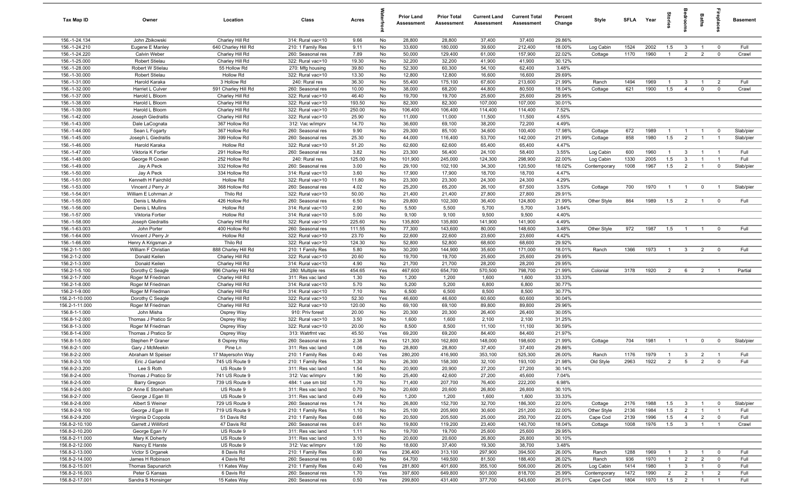| Tax Map ID                       | Owner                                | Location                           | Class                                  | Acres            |          | Prior Land<br>Assessment | <b>Prior Total</b><br><b>Assessment</b> | <b>Current Land</b><br>Assessment | <b>Current Total</b><br><b>Assessment</b> | Percent<br>Change | Style        | <b>SFLA</b> | Year | tories         | adroom                  | Baths          | ireplace                | <b>Basement</b> |
|----------------------------------|--------------------------------------|------------------------------------|----------------------------------------|------------------|----------|--------------------------|-----------------------------------------|-----------------------------------|-------------------------------------------|-------------------|--------------|-------------|------|----------------|-------------------------|----------------|-------------------------|-----------------|
| 156.-1-24.134                    | John Zbikowski                       | Charley Hill Rd                    | 314: Rural vac<10                      | 9.66             | No       | 28,800                   | 28,800                                  | 37,400                            | 37,400                                    | 29.86%            |              |             |      |                |                         |                |                         |                 |
| 156.-1-24.210                    | Eugene E Manley                      | 640 Charley Hill Rd                | 210: 1 Family Res                      | 9.11             | No       | 33,600                   | 180,000                                 | 39,600                            | 212,400                                   | 18.00%            | Log Cabin    | 1524        | 2002 | 1.5            | 3                       | $\overline{1}$ | $\overline{0}$          | Full            |
| 156.-1-24.220                    | Calvin Weber                         | Charley Hill Rd                    | 260: Seasonal res                      | 7.89             | No       | 50,000                   | 129,400                                 | 61,000                            | 157,900                                   | 22.02%            | Cottage      | 1170        | 1960 | $\overline{1}$ | $\overline{2}$          | $\overline{2}$ | $\mathbf 0$             | Crawl           |
| 156.-1-25.000                    | Robert Stielau                       | Charley Hill Rd                    | 322: Rural vac>10                      | 19.30            | No       | 32,200                   | 32,200                                  | 41,900                            | 41,900                                    | 30.12%            |              |             |      |                |                         |                |                         |                 |
| 156.-1-28.000                    | Robert W Stielau                     | 55 Hollow Rd                       | 270: Mfg housing                       | 39.80            | No       | 52,300                   | 60,300                                  | 54,100                            | 62,400                                    | 3.48%             |              |             |      |                |                         |                |                         |                 |
| 156.-1-30.000                    | Robert Stielau                       | Hollow Rd                          | 322: Rural vac>10                      | 13.30            | No       | 12,800                   | 12,800                                  | 16,600                            | 16,600                                    | 29.69%            |              |             |      |                |                         |                |                         |                 |
| 156.-1-31.000                    | Harold Karaka                        | 3 Hollow Rd                        | 240: Rural res                         | 36.30            | No       | 55,400                   | 175,100                                 | 67,600                            | 213,600                                   | 21.99%            | Ranch        | 1494        | 1969 |                | 3                       |                | $\overline{2}$          | Full            |
| 156.-1-32.000                    | Harriet L Culver                     | 591 Charley Hill Rd                | 260: Seasonal res                      | 10.00            | No       | 38,000                   | 68,200                                  | 44,800                            | 80,500                                    | 18.04%            | Cottage      | 621         | 1900 | 1.5            | $\overline{4}$          | $\mathbf 0$    | $\mathbf 0$             | Crawl           |
| 156.-1-37.000                    | Harold L Bloom                       | Charley Hill Rd                    | 322: Rural vac>10                      | 46.40            | No       | 19,700                   | 19,700                                  | 25,600                            | 25,600                                    | 29.95%            |              |             |      |                |                         |                |                         |                 |
| 156.-1-38.000<br>156.-1-39.000   | Harold L Bloom<br>Harold L Bloom     | Charley Hill Rd<br>Charley Hill Rd | 322: Rural vac>10<br>322: Rural vac>10 | 193.50<br>250.00 | No<br>No | 82,300<br>106,400        | 82,300<br>106,400                       | 107,000<br>114,400                | 107,000                                   | 30.01%<br>7.52%   |              |             |      |                |                         |                |                         |                 |
| 156.-1-42.000                    | Joseph Giedraitis                    | Charley Hill Rd                    | 322: Rural vac>10                      | 25.90            | No       | 11,000                   | 11,000                                  | 11,500                            | 114,400<br>11,500                         | 4.55%             |              |             |      |                |                         |                |                         |                 |
| 156.-1-43.000                    | Dale LaCognata                       | 367 Hollow Rd                      | 312: Vac w/imprv                       | 14.70            | No       | 36,600                   | 69,100                                  | 38,200                            | 72,200                                    | 4.49%             |              |             |      |                |                         |                |                         |                 |
| 156.-1-44.000                    | Sean L Fogarty                       | 367 Hollow Rd                      | 260: Seasonal res                      | 9.90             | No       | 29,300                   | 85,100                                  | 34,600                            | 100,400                                   | 17.98%            | Cottage      | 672         | 1989 | $\mathbf{1}$   | $\overline{1}$          | $\overline{1}$ | $\overline{0}$          | Slab/pier       |
| 156.-1-45.000                    | Joseph L Giedraitis                  | 399 Hollow Rd                      | 260: Seasonal res                      | 25.30            | No       | 44,000                   | 116,400                                 | 53,700                            | 142,000                                   | 21.99%            | Cottage      | 858         | 1980 | 1.5            | 2                       | $\overline{1}$ | $\overline{1}$          | Slab/pier       |
| 156.-1-46.000                    | Harold Karaka                        | Hollow Rd                          | 322: Rural vac>10                      | 51.20            | No       | 62,600                   | 62,600                                  | 65,400                            | 65,400                                    | 4.47%             |              |             |      |                |                         |                |                         |                 |
| 156.-1-47.000                    | Viktoria K Fortier                   | 291 Hollow Rd                      | 260: Seasonal res                      | 3.82             | No       | 23,300                   | 56,400                                  | 24,100                            | 58,400                                    | 3.55%             | Log Cabin    | 600         | 1960 |                | 3                       | $\overline{1}$ | - 1                     | Full            |
| 156.-1-48.000                    | George R Cowan                       | 252 Hollow Rd                      | 240: Rural res                         | 125.00           | No       | 101,900                  | 245,000                                 | 124,300                           | 298,900                                   | 22.00%            | Log Cabin    | 1330        | 2005 | 1.5            | 3                       | $\overline{1}$ |                         | Full            |
| 156.-1-49.000                    | Jay A Peck                           | 332 Hollow Rd                      | 260: Seasonal res                      | 3.00             | No       | 29,100                   | 102,100                                 | 34,300                            | 120,500                                   | 18.02%            | Contemporary | 1008        | 1967 | 1.5            | $\overline{2}$          |                | $\mathbf 0$             | Slab/pier       |
| 156.-1-50.000                    | Jay A Peck                           | 334 Hollow Rd                      | 314: Rural vac<10                      | 3.60             | No       | 17,900                   | 17,900                                  | 18,700                            | 18,700                                    | 4.47%             |              |             |      |                |                         |                |                         |                 |
| 156.-1-51.000                    | Kenneth H Fairchild                  | <b>Hollow Rd</b>                   | 322: Rural vac>10                      | 11.80            | No       | 23,300                   | 23,300                                  | 24,300                            | 24,300                                    | 4.29%             |              |             |      |                |                         |                |                         |                 |
| 156.-1-53.000                    | Vincent J Perry Jr                   | 368 Hollow Rd                      | 260: Seasonal res                      | 4.02             | No       | 25,200                   | 65,200                                  | 26,100                            | 67,500                                    | 3.53%             | Cottage      | 700         | 1970 | $\overline{1}$ | $\overline{1}$          | $\mathbf 0$    | $\overline{1}$          | Slab/pier       |
| 156.-1-54.001                    | William E Lohrman Jr                 | Thilo Rd                           | 322: Rural vac>10                      | 50.00            | No       | 21,400                   | 21,400                                  | 27,800                            | 27,800                                    | 29.91%            |              |             |      |                |                         |                |                         |                 |
| 156.-1-55.000                    | Denis L Mullins                      | 426 Hollow Rd                      | 260: Seasonal res                      | 6.50             | No       | 29,800                   | 102,300                                 | 36,400                            | 124,800                                   | 21.99%            | Other Style  | 864         | 1989 | 1.5            | $\overline{2}$          | $\overline{1}$ | $\overline{0}$          | Full            |
| 156.-1-56.000                    | Denis L Mullins                      | <b>Hollow Rd</b>                   | 314: Rural vac<10                      | 2.90             | No       | 5,500                    | 5,500                                   | 5,700                             | 5,700                                     | 3.64%             |              |             |      |                |                         |                |                         |                 |
| 156.-1-57.000                    | Viktoria Fortier                     | <b>Hollow Rd</b>                   | 314: Rural vac<10                      | 5.00             | No       | 9,100                    | 9,100                                   | 9,500                             | 9,500                                     | 4.40%             |              |             |      |                |                         |                |                         |                 |
| 156.-1-58.000                    | Joseph Giedraitis                    | Charley Hill Rd                    | 322: Rural vac>10                      | 225.60           | No       | 135,800                  | 135,800                                 | 141,900                           | 141,900                                   | 4.49%             |              |             |      |                |                         |                |                         |                 |
| 156.-1-63.003                    | John Porter                          | 400 Hollow Rd                      | 260: Seasonal res                      | 111.55           | No       | 77,300                   | 143,600                                 | 80,000                            | 148,600                                   | 3.48%             | Other Style  | 972         | 1987 | 1.5            | $\overline{1}$          | $\overline{1}$ | $\overline{0}$          | Full            |
| 156.-1-64.000                    | Vincent J Perry Jr                   | <b>Hollow Rd</b>                   | 322: Rural vac>10                      | 23.70            | No       | 22,600                   | 22,600                                  | 23,600                            | 23,600                                    | 4.42%             |              |             |      |                |                         |                |                         |                 |
| 156.-1-66.000                    | Henry A Krigsman Jr                  | Thilo Rd                           | 322: Rural vac>10                      | 124.30           | No       | 52,800                   | 52,800                                  | 68,600                            | 68,600                                    | 29.92%            |              |             |      |                |                         |                |                         |                 |
| 156.2-1-1.000                    | William F Christian                  | 888 Charley Hill Rd                | 210: 1 Family Res                      | 5.80             | No       | 30,200                   | 144,900                                 | 35,600                            | 171,000                                   | 18.01%            | Ranch        | 1366        | 1973 |                | $\mathbf{3}$            | $\overline{2}$ | $\overline{\mathbf{0}}$ | Full            |
| 156.2-1-2.000                    | Donald Keilen                        | Charley Hill Rd                    | 322: Rural vac>10                      | 20.60            | No       | 19,700                   | 19,700                                  | 25,600                            | 25,600                                    | 29.95%            |              |             |      |                |                         |                |                         |                 |
| 156.2-1-3.000                    | Donald Keilen                        | Charley Hill Rd                    | 314: Rural vac<10                      | 4.90             | No       | 21,700                   | 21,700                                  | 28,200                            | 28,200                                    | 29.95%            |              |             |      |                |                         |                |                         |                 |
| 156.2-1-5.100                    | Dorothy C Seagle                     | 996 Charley Hill Rd                | 280: Multiple res                      | 454.65           | Yes      | 467,600                  | 654,700                                 | 570,500                           | 798,700                                   | 21.99%            | Colonial     | 3178        | 1920 | $\overline{2}$ | 6                       | $\overline{2}$ | - 1                     | Partial         |
| 156.2-1-7.000<br>156.2-1-8.000   | Roger M Friedman<br>Roger M Friedman | Charley Hill Rd<br>Charley Hill Rd | 311: Res vac land<br>314: Rural vac<10 | 1.30<br>5.70     | No<br>No | 1,200<br>5,200           | 1,200<br>5,200                          | 1,600<br>6,800                    | 1,600<br>6,800                            | 33.33%<br>30.77%  |              |             |      |                |                         |                |                         |                 |
| 156.2-1-9.000                    | Roger M Friedman                     | Charley Hill Rd                    | 314: Rural vac<10                      | 7.10             | No       | 6,500                    | 6,500                                   | 8,500                             | 8,500                                     | 30.77%            |              |             |      |                |                         |                |                         |                 |
| 156.2-1-10.000                   | Dorothy C Seagle                     | Charley Hill Rd                    | 322: Rural vac>10                      | 52.30            | Yes      | 46,600                   | 46,600                                  | 60,600                            | 60,600                                    | 30.04%            |              |             |      |                |                         |                |                         |                 |
| 156.2-1-11.000                   | Roger M Friedman                     | Charley Hill Rd                    | 322: Rural vac>10                      | 120.00           | No       | 69,100                   | 69,100                                  | 89,800                            | 89,800                                    | 29.96%            |              |             |      |                |                         |                |                         |                 |
| 156.8-1-1.000                    | John Misha                           | Osprey Way                         | 910: Priv forest                       | 20.00            | No       | 20,300                   | 20,300                                  | 26,400                            | 26,400                                    | 30.05%            |              |             |      |                |                         |                |                         |                 |
| 156.8-1-2.000                    | Thomas J Pratico Sr                  | Osprey Way                         | 322: Rural vac>10                      | 3.50             | No       | 1,600                    | 1,600                                   | 2,100                             | 2,100                                     | 31.25%            |              |             |      |                |                         |                |                         |                 |
| 156.8-1-3.000                    | Roger M Friedman                     | Osprey Way                         | 322: Rural vac>10                      | 20.00            | No       | 8,500                    | 8,500                                   | 11,100                            | 11,100                                    | 30.59%            |              |             |      |                |                         |                |                         |                 |
| 156.8-1-4.000                    | Thomas J Pratico Sr                  | Osprey Way                         | 313: Watrfrnt vac                      | 45.50            | Yes      | 69,200                   | 69,200                                  | 84,400                            | 84,400                                    | 21.97%            |              |             |      |                |                         |                |                         |                 |
| 156.8-1-5.000                    | Stephen P Graner                     | 8 Osprey Way                       | 260: Seasonal res                      | 2.38             | Yes      | 121,300                  | 162,800                                 | 148,000                           | 198,600                                   | 21.99%            | Cottage      | 704         | 1981 |                | $\overline{1}$          | $\mathbf 0$    | $\overline{\mathbf{0}}$ | Slab/pier       |
| 156.8-2-1.000                    | Gary J McMeekin                      | Pine Ln                            | 311: Res vac land                      | 1.06             | No       | 28,800                   | 28,800                                  | 37,400                            | 37,400                                    | 29.86%            |              |             |      |                |                         |                |                         |                 |
| 156.8-2-2.000                    | Abraham M Speiser                    | 17 Mayersohn Way                   | 210: 1 Family Res                      | 0.40             | Yes      | 280,200                  | 416,900                                 | 353,100                           | 525,300                                   | 26.00%            | Ranch        | 1176        | 1979 | $\overline{1}$ | $\mathbf{3}$            | $\overline{2}$ |                         | Full            |
| 156.8-2-3.100                    | Eric J Garland                       | 745 US Route 9                     | 210: 1 Family Res                      | 1.30             | No       | 26,300                   | 158,300                                 | 32,100                            | 193,100                                   | 21.98%            | Old Style    | 2963        | 1922 | $\overline{2}$ |                         | 2              |                         | Full            |
| 156.8-2-3.200                    | Lee S Roth                           | US Route 9                         | 311: Res vac land                      | 1.54             | No       | 20,900                   | 20,900                                  | 27,200                            | 27,200                                    | 30.14%            |              |             |      |                |                         |                |                         |                 |
| 156.8-2-4.000                    | Thomas J Pratico Sr                  | 741 US Route 9                     | 312: Vac w/imprv                       | 1.90             | No       | 25,400                   | 42,600                                  | 27,200                            | 45,600                                    | 7.04%             |              |             |      |                |                         |                |                         |                 |
| 156.8-2-5.000                    | Barry Gregson                        | 739 US Route 9                     | 484: 1 use sm bld                      | 1.70             | No       | 71,400                   | 207,700                                 | 76,400                            | 222,200                                   | 6.98%             |              |             |      |                |                         |                |                         |                 |
| 156.8-2-6.000                    | Dr Anne E Stoneham                   | US Route 9                         | 311: Res vac land                      | 0.70             | No       | 20,600                   | 20,600                                  | 26,800                            | 26,800                                    | 30.10%            |              |             |      |                |                         |                |                         |                 |
| 156.8-2-7.000                    | George J Egan III                    | US Route 9                         | 311: Res vac land                      | 0.49             | No       | 1,200                    | 1,200                                   | 1,600                             | 1,600                                     | 33.33%            |              |             |      |                |                         |                |                         |                 |
| 156.8-2-8.000                    | Albert S Weiner                      | 729 US Route 9                     | 260: Seasonal res                      | 1.74             | No       | 26,800                   | 152,700                                 | 32,700                            | 186,300                                   | 22.00%            | Cottage      | 2176        | 1988 | 1.5            | $\mathbf{3}$            | $\overline{1}$ | $\overline{0}$          | Slab/pier       |
| 156.8-2-9.100                    | George J Egan III                    | 719 US Route 9                     | 210: 1 Family Res                      | 1.10             | No       | 25,100                   | 205,900                                 | 30,600                            | 251,200                                   | 22.00%            | Other Style  | 2136        | 1984 | 1.5            | $\overline{2}$          | $\overline{1}$ | $\overline{1}$          | Full            |
| 156.8-2-9.200                    | Virginia D Coppola                   | 51 Davis Rd                        | 210: 1 Family Res                      | 0.66             | No       | 20,500                   | 205,500                                 | 25,000                            | 250,700                                   | 22.00%<br>18.04%  | Cape Cod     | 2139        | 1996 | 1.5            | $\overline{4}$          | $\overline{2}$ | $\overline{0}$          | Full            |
| 156.8-2-10.100                   | Garrett J Williford                  | 47 Davis Rd                        | 260: Seasonal res                      | 0.61             | No       | 19,800                   | 119,200                                 | 23,400                            | 140,700                                   | 29.95%            | Cottage      | 1008        | 1976 | 1.5            | $\overline{\mathbf{3}}$ | $\overline{1}$ | $\overline{1}$          | Crawl           |
| 156.8-2-10.200<br>156.8-2-11.000 | George Egan IV<br>Mary K Doherty     | US Route 9<br>US Route 9           | 311: Res vac land<br>311: Res vac land | 1.11<br>3.10     | No<br>No | 19,700<br>20,600         | 19,700<br>20,600                        | 25,600<br>26,800                  | 25,600<br>26,800                          | 30.10%            |              |             |      |                |                         |                |                         |                 |
| 156.8-2-12.000                   | Nancy E Harste                       | US Route 9                         | 312: Vac w/imprv                       | 1.00             | No       | 18,600                   | 37,400                                  | 19,300                            | 38,700                                    | 3.48%             |              |             |      |                |                         |                |                         |                 |
| 156.8-2-13.000                   | Victor S Organek                     | 8 Davis Rd                         | 210: 1 Family Res                      | 0.90             | Yes      | 236,400                  | 313,100                                 | 297,900                           | 394,500                                   | 26.00%            | Ranch        | 1288        | 1969 |                | 3                       | $\overline{1}$ | $\overline{0}$          | Full            |
| 156.8-2-14.000                   | James H Robinson                     | 4 Davis Rd                         | 260: Seasonal res                      | 0.60             | No       | 64,700                   | 149,500                                 | 81,500                            | 188,400                                   | 26.02%            | Ranch        | 936         | 1970 |                | $\overline{2}$          | $\overline{2}$ | $\overline{0}$          | Full            |
| 156.8-2-15.001                   | Thomas Sapunarich                    | 11 Kates Way                       | 210: 1 Family Res                      | 0.40             | Yes      | 281,800                  | 401,600                                 | 355,100                           | 506,000                                   | 26.00%            | Log Cabin    | 1414        | 1980 | $\mathbf{1}$   | $\mathbf{3}$            | $\overline{1}$ | $\overline{0}$          | Full            |
| 156.8-2-16.003                   | Peter G Kansas                       | 6 Davis Rd                         | 260: Seasonal res                      | 1.70             | Yes      | 397,600                  | 649,800                                 | 501,000                           | 818,700                                   | 25.99%            | Contemporary | 1472        | 1990 | $\overline{2}$ | $\overline{2}$          | $\overline{1}$ | $\overline{2}$          | Full            |
| 156.8-2-17.001                   | Sandra S Honsinger                   | 15 Kates Way                       | 260: Seasonal res                      | 0.50             | Yes      | 299,800                  | 431,400                                 | 377,700                           | 543,600                                   | 26.01%            | Cape Cod     | 1804        | 1970 | 1.5            | $\overline{2}$          | $\overline{1}$ | $\overline{1}$          | Full            |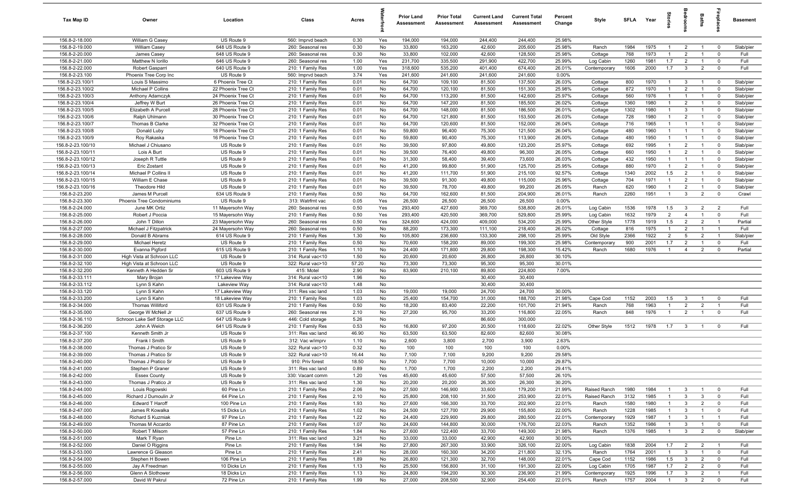| Tax Map ID                           | Owner                                  | Location                                 | Class                                  | Acres        |            | <b>Prior Land</b><br>Assessment | <b>Prior Total</b><br>Assessment | <b>Current Land</b><br>Assessment | <b>Current Total</b><br>Assessment | Percent<br>Change | Style                        | <b>SFLA</b>  | Year         | tories                           | droom                          | <b>Baths</b>                     | ireplace                     | <b>Basement</b>        |
|--------------------------------------|----------------------------------------|------------------------------------------|----------------------------------------|--------------|------------|---------------------------------|----------------------------------|-----------------------------------|------------------------------------|-------------------|------------------------------|--------------|--------------|----------------------------------|--------------------------------|----------------------------------|------------------------------|------------------------|
| 156.8-2-18.000                       | William G Casey                        | US Route 9                               | 560: Imprvd beach                      | 0.30         | Yes        | 194,000                         | 194,000                          | 244,400                           | 244,400                            | 25.98%            |                              |              |              |                                  |                                |                                  |                              |                        |
| 156.8-2-19.000                       | William Casey                          | 648 US Route 9                           | 260: Seasonal res                      | 0.30         | No         | 33,800                          | 163,200                          | 42,600                            | 205,600                            | 25.98%            | Ranch                        | 1984         | 1975         | $\overline{1}$                   | $\overline{2}$                 | $\overline{1}$                   | $\mathbf{0}$                 | Slab/pier              |
| 156.8-2-20.000                       | James Casey                            | 648 US Route 9                           | 260: Seasonal res                      | 0.30         | No         | 33,800                          | 102,000                          | 42,600                            | 128,500                            | 25.98%            | Cottage                      | 768          | 1973         | -1                               | $\overline{2}$                 | $\overline{1}$                   | $\Omega$                     | Full                   |
| 156.8-2-21.000                       | Matthew N Iorillo                      | 646 US Route 9                           | 260: Seasonal res                      | 1.00         | Yes        | 231,700                         | 335,500                          | 291,900                           | 422,700                            | 25.99%            | Log Cabin                    | 1260         | 1981         | 1.7                              | $\overline{2}$                 | $\overline{1}$                   | $\Omega$                     | Full                   |
| 156.8-2-22.000                       | Robert Gasparri                        | 640 US Route 9                           | 210: 1 Family Res                      | 1.00         | Yes        | 318,600                         | 535,200                          | 401,400                           | 674,400                            | 26.01%            | Contemporary                 | 1606         | 2000         | 1.7                              | $\overline{3}$                 | $\overline{2}$                   | $\mathbf 0$                  | Full                   |
| 156.8-2-23.100                       | Phoenix Tree Corp Inc                  | US Route 9                               | 560: Imprvd beach                      | 3.74         | Yes        | 241,600                         | 241,600                          | 241,600                           | 241,600                            | 0.00%             |                              |              |              |                                  |                                |                                  |                              |                        |
| 156.8-2-23.100/1                     | Louis S Massimo                        | 6 Phoenix Tree Ct                        | 210: 1 Family Res                      | 0.01         | No         | 64,700                          | 109,100                          | 81,500                            | 137,500                            | 26.03%            | Cottage                      | 800          | 1970         | $\mathbf{1}$                     | $\mathbf{3}$                   | $\overline{1}$                   | $^{\circ}$                   | Slab/pier              |
| 156.8-2-23.100/2                     | Michael P Collins                      | 22 Phoenix Tree Ct                       | 210: 1 Family Res                      | 0.01         | No         | 64,700                          | 120,100                          | 81,500                            | 151,300                            | 25.98%            | Cottage                      | 872          | 1970         | $\overline{1}$                   | $\overline{2}$                 |                                  | $^{\circ}$                   | Slab/pier              |
| 156.8-2-23.100/3                     | Anthony Adamczyk                       | 24 Phoenix Tree Ct                       | 210: 1 Family Res                      | 0.01         | No         | 64,700                          | 113,200                          | 81,500                            | 142,600                            | 25.97%            | Cottage                      | 560          | 1976         | $\mathbf{1}$                     | $\overline{1}$                 | $\overline{1}$                   | $\mathbf 0$                  | Slab/pier              |
| 156.8-2-23.100/4                     | Jeffrey W Burt                         | 26 Phoenix Tree Ct                       | 210: 1 Family Res                      | 0.01         | No         | 64,700                          | 147,200                          | 81,500                            | 185,500                            | 26.02%            | Cottage                      | 1360         | 1980         | $\overline{1}$                   | $\overline{2}$                 | $\overline{1}$                   | $\mathbf 0$                  | Slab/pier              |
| 156.8-2-23.100/5<br>156.8-2-23.100/6 | Elizabeth A Purcell                    | 28 Phoenix Tree Ct                       | 210: 1 Family Res                      | 0.01<br>0.01 | No<br>No   | 64,700                          | 148,000                          | 81,500                            | 186,500<br>153,500                 | 26.01%<br>26.03%  | Cottage                      | 1302<br>728  | 1980<br>1980 | $\overline{1}$<br>$\overline{1}$ | $\mathbf{3}$<br>$\overline{2}$ | $\overline{1}$<br>$\overline{1}$ | $\mathbf 0$<br>$\mathbf{0}$  | Slab/pier              |
| 156.8-2-23.100/7                     | Ralph Uhlmann<br>Thomas B Clarke       | 30 Phoenix Tree Ct<br>32 Phoenix Tree Ct | 210: 1 Family Res<br>210: 1 Family Res | 0.01         | No         | 64,700<br>64,700                | 121,800<br>120,600               | 81,500<br>81,500                  | 152,000                            | 26.04%            | Cottage<br>Cottage           | 716          | 1965         | $\overline{1}$                   | $\overline{1}$                 | $\overline{1}$                   | $^{\circ}$                   | Slab/pier<br>Slab/pier |
| 156.8-2-23.100/8                     | Donald Luby                            | 18 Phoenix Tree Ct                       | 210: 1 Family Res                      | 0.01         | No         | 59,800                          | 96,400                           | 75,300                            | 121,500                            | 26.04%            | Cottage                      | 480          | 1960         | $\overline{1}$                   | $\overline{1}$                 | $\overline{1}$                   | $\mathbf 0$                  | Slab/pier              |
| 156.8-2-23.100/9                     | Roy Rakaska                            | 16 Phoenix Tree Ct                       | 210: 1 Family Res                      | 0.01         | No         | 59,800                          | 90,400                           | 75,300                            | 113,900                            | 26.00%            | Cottage                      | 480          | 1950         | $\overline{1}$                   | $\overline{1}$                 | $\overline{1}$                   | $^{\circ}$                   | Slab/pier              |
| 156.8-2-23.100/10                    | Michael J Chiusano                     | US Route 9                               | 210: 1 Family Res                      | 0.01         | No         | 39,500                          | 97,800                           | 49,800                            | 123,200                            | 25.97%            | Cottage                      | 692          | 1995         | $\overline{1}$                   | $\overline{2}$                 | $\overline{1}$                   | $\mathbf 0$                  | Slab/pier              |
| 156.8-2-23.100/11                    | Lois A Burt                            | US Route 9                               | 210: 1 Family Res                      | 0.01         | No         | 39,500                          | 76,400                           | 49,800                            | 96,300                             | 26.05%            | Cottage                      | 660          | 1950         | $\mathbf{1}$                     | $\overline{2}$                 | $\mathbf{1}$                     | $\mathbf 0$                  | Slab/pier              |
| 156.8-2-23.100/12                    | Joseph R Tuttle                        | US Route 9                               | 210: 1 Family Res                      | 0.01         | No         | 31,300                          | 58,400                           | 39,400                            | 73,600                             | 26.03%            | Cottage                      | 432          | 1950         | $\overline{1}$                   | $\overline{1}$                 | $\overline{1}$                   | $^{\circ}$                   | Slab/pier              |
| 156.8-2-23.100/13                    | Eric Zostant                           | US Route 9                               | 210: 1 Family Res                      | 0.01         | No         | 41,200                          | 99,800                           | 51,900                            | 125,700                            | 25.95%            | Cottage                      | 880          | 1970         | $\overline{1}$                   | $\overline{2}$                 |                                  | $\Omega$                     | Slab/pier              |
| 156.8-2-23.100/14                    | Michael P Collins II                   | US Route 9                               | 210: 1 Family Res                      | 0.01         | No         | 41,200                          | 111,700                          | 51,900                            | 215,100                            | 92.57%            | Cottage                      | 1340         | 2002         | 1.5                              | $\overline{2}$                 | $\overline{1}$                   | $\Omega$                     | Slab/pier              |
| 156.8-2-23.100/15                    | William E Chase                        | US Route 9                               | 210: 1 Family Res                      | 0.01         | No         | 39,500                          | 91,300                           | 49,800                            | 115,000                            | 25.96%            | Cottage                      | 704          | 1971         | $\overline{1}$                   | $\overline{2}$                 | $\overline{1}$                   | $^{\circ}$                   | Slab/pier              |
| 156.8-2-23.100/16                    | Theodore Hild                          | US Route 9                               | 210: 1 Family Res                      | 0.01         | No         | 39,500                          | 78,700                           | 49,800                            | 99,200                             | 26.05%            | Ranch                        | 620          | 1960         | $\overline{1}$                   | $\overline{2}$                 | $\overline{1}$                   | $\mathbf 0$                  | Slab/pier              |
| 156.8-2-23.200                       | James M Purcell                        | 634 US Route 9                           | 210: 1 Family Res                      | 0.50         | No         | 64,700                          | 162,600                          | 81,500                            | 204,900                            | 26.01%            | Ranch                        | 2260         | 1951         | $\overline{1}$                   | $\mathbf{3}$                   | $\overline{2}$                   | $\mathbf 0$                  | Crawl                  |
| 156.8-2-23.300                       | Phoenix Tree Condominiums              | US Route 9                               | 313: Watrfrnt vac                      | 0.05         | Yes        | 26,500                          | 26,500                           | 26,500                            | 26,500                             | 0.00%             |                              |              |              |                                  |                                |                                  |                              |                        |
| 156.8-2-24.000<br>156.8-2-25.000     | June MK Ortiz                          | 11 Mayersohn Way                         | 260: Seasonal res<br>210: 1 Family Res | 0.50<br>0.50 | Yes        | 293,400<br>293,400              | 427,600<br>420,500               | 369,700<br>369,700                | 538,800<br>529,800                 | 26.01%<br>25.99%  | Log Cabin                    | 1536<br>1632 | 1978<br>1979 | 1.5<br>2                         | 3<br>$\overline{4}$            | $\overline{2}$<br>$\overline{1}$ | $\overline{2}$<br>$^{\circ}$ | Full<br>Full           |
| 156.8-2-26.000                       | Robert J Poccia<br>John T Dillon       | 15 Mayersohn Way<br>23 Mayersohn Way     | 260: Seasonal res                      | 0.50         | Yes<br>Yes | 324,600                         | 424,000                          | 409,000                           | 534,200                            | 25.99%            | Log Cabin<br>Other Style     | 1778         | 1919         | 1.5                              | $\overline{2}$                 | $\overline{2}$                   | $\overline{1}$               | Partial                |
| 156.8-2-27.000                       | Michael J Fitzpatrick                  | 24 Mayersohn Way                         | 260: Seasonal res                      | 0.50         | No         | 88,200                          | 173,300                          | 111,100                           | 218,400                            | 26.02%            | Cottage                      | 816          | 1975         | $\overline{1}$                   | $\overline{2}$                 | $\overline{1}$                   |                              | Full                   |
| 156.8-2-28.000                       | Donald B Abrams                        | 614 US Route 9                           | 210: 1 Family Res                      | 1.30         | No         | 105,800                         | 236,600                          | 133,300                           | 298,100                            | 25.99%            | Old Style                    | 2366         | 1922         | $\overline{2}$                   | 5                              | $\overline{2}$                   | $\overline{1}$               | Slab/pier              |
| 156.8-2-29.000                       | Michael Heretz                         | US Route 9                               | 210: 1 Family Res                      | 0.50         | No         | 70,600                          | 158,200                          | 89,000                            | 199,300                            | 25.98%            | Contemporary                 | 900          | 2001         | 1.7                              | $\overline{2}$                 |                                  | $^{\circ}$                   | Full                   |
| 156.8-2-30.000                       | Evanna Pigford                         | 615 US Route 9                           | 210: 1 Family Res                      | 1.10         | No         | 24,400                          | 171,800                          | 29,800                            | 198,300                            | 15.42%            | Ranch                        | 1680         | 1976         | $\overline{1}$                   | $\overline{4}$                 | $\overline{2}$                   | $^{\circ}$                   | Partial                |
| 156.8-2-31.000                       | High Vista at Schroon LLC              | US Route 9                               | 314: Rural vac<10                      | 1.50         | No         | 20,600                          | 20,600                           | 26,800                            | 26,800                             | 30.10%            |                              |              |              |                                  |                                |                                  |                              |                        |
| 156.8-2-32.100                       | High Vista at Schroon LLC              | US Route 9                               | 322: Rural vac>10                      | 57.20        | No         | 73,300                          | 73,300                           | 95,300                            | 95,300                             | 30.01%            |                              |              |              |                                  |                                |                                  |                              |                        |
| 156.8-2-32.200                       | Kenneth A Hedden Sr                    | 603 US Route 9                           | 415: Motel                             | 2.90         | No         | 83,900                          | 210,100                          | 89,800                            | 224,800                            | 7.00%             |                              |              |              |                                  |                                |                                  |                              |                        |
| 156.8-2-33.111                       | Mary Brojan                            | 17 Lakeview Way                          | 314: Rural vac<10                      | 1.96         | No         |                                 |                                  | 30,400                            | 30,400                             |                   |                              |              |              |                                  |                                |                                  |                              |                        |
| 156.8-2-33.112                       | Lynn S Kahn                            | Lakeview Way                             | 314: Rural vac<10                      | 1.48         | No         |                                 |                                  | 30,400                            | 30,400                             |                   |                              |              |              |                                  |                                |                                  |                              |                        |
| 156.8-2-33.120                       | Lynn S Kahn                            | 17 Lakeview Way                          | 311: Res vac land                      | 1.03         | No         | 19,000                          | 19,000                           | 24,700                            | 24,700                             | 30.00%            |                              |              |              |                                  |                                |                                  |                              |                        |
| 156.8-2-33.200<br>156.8-2-34.000     | Lynn S Kahn<br><b>Thomas Williford</b> | 18 Lakeview Way<br>631 US Route 9        | 210: 1 Family Res                      | 1.03<br>0.50 | No<br>No   | 25,400<br>18,200                | 154,700<br>83,400                | 31,000<br>22,200                  | 188,700<br>101,700                 | 21.98%<br>21.94%  | Cape Cod<br>Ranch            | 1152<br>768  | 2003<br>1963 | 1.5<br>$\overline{1}$            | $\mathbf{3}$<br>$\overline{2}$ | $\overline{1}$<br>$\overline{2}$ | $^{\circ}$<br>$\overline{1}$ | Full<br>Full           |
| 156.8-2-35.000                       | George W McNell Jr                     | 637 US Route 9                           | 210: 1 Family Res<br>260: Seasonal res | 2.10         | No         | 27,200                          | 95,700                           | 33,200                            | 116,800                            | 22.05%            | Ranch                        | 848          | 1976         | $\overline{1}$                   | $\overline{2}$                 | $\overline{1}$                   | $\mathbf{0}$                 | Full                   |
| 156.8-2-36.110                       | Schroon Lake Self Storage LLC          | 647 US Route 9                           | 446: Cold storage                      | 5.26         | No         |                                 |                                  | 86,600                            | 300,000                            |                   |                              |              |              |                                  |                                |                                  |                              |                        |
| 156.8-2-36.200                       | John A Welch                           | 641 US Route 9                           | 210: 1 Family Res                      | 0.53         | No         | 16,800                          | 97,200                           | 20,500                            | 118,600                            | 22.02%            | Other Style                  | 1512         | 1978         | 1.7                              | $\overline{\mathbf{3}}$        | $\overline{1}$                   | $\mathbf 0$                  | Full                   |
| 156.8-2-37.100                       | Kenneth Smith Jr                       | US Route 9                               | 311: Res vac land                      | 46.90        | No         | 63,500                          | 63,500                           | 82,600                            | 82,600                             | 30.08%            |                              |              |              |                                  |                                |                                  |                              |                        |
| 156.8-2-37.200                       | Frank I Smith                          | US Route 9                               | 312: Vac w/imprv                       | 1.10         | No         | 2,600                           | 3,800                            | 2,700                             | 3,900                              | 2.63%             |                              |              |              |                                  |                                |                                  |                              |                        |
| 156.8-2-38.000                       | Thomas J Pratico Sr                    | US Route 9                               | 322: Rural vac>10                      | 0.32         | No         | 100                             | 100                              | 100                               | 100                                | 0.00%             |                              |              |              |                                  |                                |                                  |                              |                        |
| 156.8-2-39.000                       | Thomas J Pratico Sr                    | US Route 9                               | 322: Rural vac>10                      | 16.44        | No         | 7,100                           | 7,100                            | 9,200                             | 9,200                              | 29.58%            |                              |              |              |                                  |                                |                                  |                              |                        |
| 156.8-2-40.000                       | Thomas J Pratico Sr                    | US Route 9                               | 910: Priv forest                       | 18.50        | No         | 7,700                           | 7,700                            | 10,000                            | 10,000                             | 29.87%            |                              |              |              |                                  |                                |                                  |                              |                        |
| 156.8-2-41.000                       | Stephen P Graner                       | US Route 9                               | 311: Res vac land                      | 0.89         | No         | 1,700                           | 1,700                            | 2,200                             | 2,200                              | 29.41%            |                              |              |              |                                  |                                |                                  |                              |                        |
| 156.8-2-42.000                       | <b>Essex County</b>                    | US Route 9                               | 330: Vacant comm                       | 1.20         | Yes        | 45,600                          | 45,600                           | 57,500                            | 57,500                             | 26.10%            |                              |              |              |                                  |                                |                                  |                              |                        |
| 156.8-2-43.000                       | Thomas J Pratico Jr                    | US Route 9                               | 311: Res vac land                      | 1.30         | No         | 20,200                          | 20,200                           | 26,300                            | 26,300                             | 30.20%            |                              |              |              |                                  |                                |                                  |                              |                        |
| 156.8-2-44.000                       | Louis Rogowski                         | 60 Pine Ln                               | 210: 1 Family Res                      | 2.06         | No         | 27,500                          | 146,900                          | 33,600                            | 179,200                            | 21.99%            | Raised Ranch<br>Raised Ranch | 1980         | 1984         | $\overline{1}$<br>$\overline{1}$ | 3                              | $\overline{1}$                   | $\overline{\mathbf{0}}$      | Full                   |
| 156.8-2-45.000<br>156.8-2-46.000     | Richard J Dumoulin Jr                  | 64 Pine Ln                               | 210: 1 Family Res                      | 2.10<br>1.93 | No         | 25,800                          | 208,100                          | 31,500                            | 253,900                            | 22.01%<br>22.01%  |                              | 3132         | 1985         |                                  | $\mathbf{3}$                   | $\mathbf{3}$                     | $\mathbf 0$<br>$\mathbf 0$   | Full                   |
| 156.8-2-47.000                       | Edward T Haroff<br>James R Kowalka     | 100 Pine Ln<br>15 Dicks Ln               | 210: 1 Family Res<br>210: 1 Family Res | 1.02         | No<br>No   | 27,600<br>24,500                | 166,300<br>127,700               | 33,700<br>29,900                  | 202,900<br>155,800                 | 22.00%            | Ranch<br>Ranch               | 1580<br>1228 | 1980<br>1985 | $\overline{1}$<br>$\overline{1}$ | $\mathbf{3}$<br>$\mathbf{3}$   | $\overline{2}$<br>$\overline{1}$ | $\mathbf 0$                  | Full<br>Full           |
| 156.8-2-48.000                       | Richard S Kuzmiak                      | 97 Pine Ln                               | 210: 1 Family Res                      | 1.22         | No         | 24,400                          | 229,900                          | 29,800                            | 280,500                            | 22.01%            | Contemporary                 | 1929         | 1987         | $\mathbf{1}$                     | $\mathbf{3}$                   | $\overline{1}$                   | $\overline{1}$               | Full                   |
| 156.8-2-49.000                       | Thomas M Accardo                       | 87 Pine Ln                               | 210: 1 Family Res                      | 1.07         | No         | 24,600                          | 144,800                          | 30,000                            | 176,700                            | 22.03%            | Ranch                        | 1352         | 1986         | $\mathbf{1}$                     | $\mathbf{3}$                   | $\overline{1}$                   | $\mathbf 0$                  | Full                   |
| 156.8-2-50.000                       | Robert T Milsom                        | 57 Pine Ln                               | 210: 1 Family Res                      | 1.84         | No         | 27,600                          | 122,400                          | 33,700                            | 149,300                            | 21.98%            | Ranch                        | 1376         | 1985         | $\overline{1}$                   | $\mathbf{3}$                   | $\overline{2}$                   | $\overline{\mathbf{0}}$      | Slab/pier              |
| 156.8-2-51.000                       | Mark T Ryan                            | Pine Ln                                  | 311: Res vac land                      | 3.21         | No         | 33,000                          | 33,000                           | 42,900                            | 42,900                             | 30.00%            |                              |              |              |                                  |                                |                                  |                              |                        |
| 156.8-2-52.000                       | Daniel O Riggins                       | Pine Ln                                  | 210: 1 Family Res                      | 1.94         | No         | 27,800                          | 267,300                          | 33,900                            | 326,100                            | 22.00%            | Log Cabin                    | 1838         | 2004         | 1.7                              | $\overline{2}$                 | $\overline{2}$                   | $\overline{1}$               | Full                   |
| 156.8-2-53.000                       | Lawrence G Gleason                     | Pine Ln                                  | 210: 1 Family Res                      | 2.41         | No         | 28,000                          | 160,300                          | 34,200                            | 211,800                            | 32.13%            | Ranch                        | 1764         | 2001         | $\overline{1}$                   | $\mathbf{3}$                   | $\overline{1}$                   | $\mathbf 0$                  | Full                   |
| 156.8-2-54.000                       | Stephen H Bowen                        | 106 Pine Ln                              | 210: 1 Family Res                      | 1.89         | No         | 26,800                          | 121,300                          | 32,700                            | 148,000                            | 22.01%            | Cape Cod                     | 1152         | 1986         | 1.5                              | $\mathbf{3}$                   | $\overline{2}$                   | $\mathbf 0$                  | Full                   |
| 156.8-2-55.000                       | Jay A Freedman                         | 10 Dicks Ln                              | 210: 1 Family Res                      | 1.13         | No         | 25,500                          | 156,800                          | 31,100                            | 191,300                            | 22.00%            | Log Cabin                    | 1705         | 1987         | 1.7                              | $\overline{2}$                 | $\overline{2}$                   | $\mathbf 0$                  | Full                   |
| 156.8-2-56.000                       | Glenn A Slothower                      | 18 Dicks Ln                              | 210: 1 Family Res                      | 1.13         | No         | 24,800                          | 194,200                          | 30,300                            | 236,900                            | 21.99%            | Contemporary                 | 1925         | 1996         | 1.7                              | $\mathbf{3}$                   | $\overline{2}$                   | $\overline{1}$               | Full                   |
| 156.8-2-57.000                       | David W Pakrul                         | 72 Pine Ln                               | 210: 1 Family Res                      | 1.99         | No         | 27,000                          | 208,500                          | 32,900                            | 254,400                            | 22.01%            | Ranch                        | 1757         | 2004         | $\overline{1}$                   | $\mathbf{3}$                   | $\overline{2}$                   | $\mathbf{0}$                 | Full                   |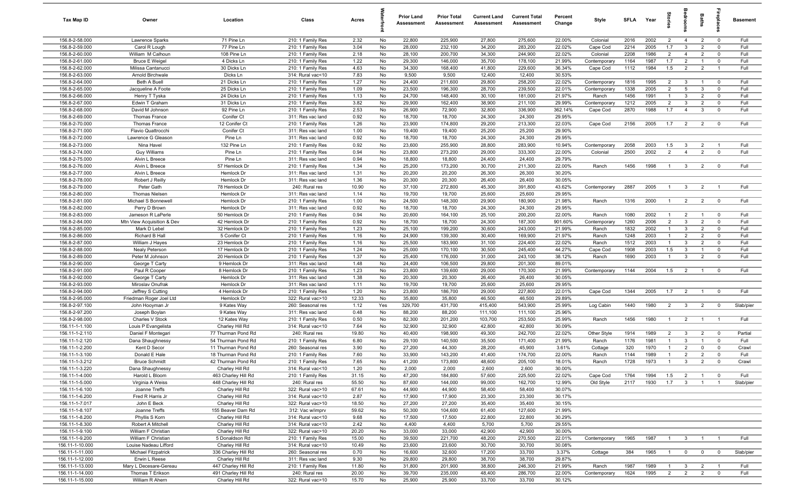| Tax Map ID                       | Owner                                  | Location                                 | Class                                  | Acres         |          | <b>Prior Land</b><br>Assessment | <b>Prior Total</b><br>Assessment | <b>Current Land</b><br>Assessment | <b>Current Total</b><br>Assessment | Percent<br>Change | Style                | <b>SFLA</b>  | Year         | ğ                                | drooi                        | Baths                            | epla                       | Basement        |
|----------------------------------|----------------------------------------|------------------------------------------|----------------------------------------|---------------|----------|---------------------------------|----------------------------------|-----------------------------------|------------------------------------|-------------------|----------------------|--------------|--------------|----------------------------------|------------------------------|----------------------------------|----------------------------|-----------------|
| 156.8-2-58.000                   | Lawrence Sparks                        | 71 Pine Ln                               | 210: 1 Family Res                      | 2.32          | No       | 22,800                          | 225,900                          | 27,800                            | 275,600                            | 22.00%            | Colonial             | 2016         | 2002         | $\overline{2}$                   | $\overline{4}$               | $\overline{2}$                   | $\mathbf 0$                | Full            |
| 156.8-2-59.000                   | Carol R Lough                          | 77 Pine Ln                               | 210: 1 Family Res                      | 3.04          | No       | 28,000                          | 232,100                          | 34,200                            | 283,200                            | 22.02%            | Cape Cod             | 2214         | 2005         | 1.7                              | $\mathbf{3}$                 | $\overline{2}$                   | $^{\circ}$                 | Full            |
| 156.8-2-60.000                   | William M Calhoun                      | 108 Pine Ln                              | 210: 1 Family Res                      | 2.18          | No       | 28,100                          | 200,700                          | 34,300                            | 244,900                            | 22.02%            | Colonial             | 2208         | 1986         | $\overline{2}$                   | $\overline{4}$               | $\overline{2}$                   | $\mathbf 0$                | Full            |
| 156.8-2-61.000                   | <b>Bruce E Weigel</b>                  | 4 Dicks Ln                               | 210: 1 Family Res                      | 1.22          | No       | 29,300                          | 146,000                          | 35,700                            | 178,100                            | 21.99%            | Contemporary         | 1164         | 1987         | 1.7                              | $\overline{2}$               |                                  | $\mathbf 0$                | Full            |
| 156.8-2-62.000<br>156.8-2-63.000 | Milissa Cantanucci<br>Arnold Birchwale | 30 Dicks Ln<br>Dicks Ln                  | 210: 1 Family Res<br>314: Rural vac<10 | 4.63<br>7.83  | No<br>No | 34,300<br>9,500                 | 168,400<br>9,500                 | 41,800<br>12,400                  | 229,600<br>12,400                  | 36.34%<br>30.53%  | Cape Cod             | 1112         | 1984         | 1.5                              | $\overline{2}$               | $\overline{2}$                   | $\overline{1}$             | Full            |
| 156.8-2-64.000                   | <b>Beth A Buell</b>                    | 21 Dicks Ln                              | 210: 1 Family Res                      | 1.27          | No       | 24,400                          | 211,600                          | 29,800                            | 258,200                            | 22.02%            | Contemporary         | 1816         | 1995         | $\overline{2}$                   | $\mathbf{3}$                 | $\overline{1}$                   | $^{\circ}$                 | Full            |
| 156.8-2-65.000                   | Jacqueline A Foote                     | 25 Dicks Ln                              | 210: 1 Family Res                      | 1.09          | No       | 23,500                          | 196,300                          | 28,700                            | 239,500                            | 22.01%            | Contemporary         | 1338         | 2005         | $\overline{2}$                   | 5                            | $\mathbf{3}$                     | $\mathbf 0$                | Full            |
| 156.8-2-66.000                   | Henry T Tyska                          | 24 Dicks Ln                              | 210: 1 Family Res                      | 1.13          | No       | 24,700                          | 148,400                          | 30,100                            | 181,000                            | 21.97%            | Ranch                | 1456         | 1991         | $\mathbf{1}$                     | $\mathbf{3}$                 | $\overline{2}$                   | $^{\circ}$                 | Full            |
| 156.8-2-67.000                   | Edwin T Graham                         | 31 Dicks Ln                              | 210: 1 Family Res                      | 3.82          | No       | 29,900                          | 162,400                          | 38,900                            | 211,100                            | 29.99%            | Contemporary         | 1212         | 2005         | $\overline{2}$                   | $\mathbf{3}$                 | $\overline{2}$                   | $\mathbf 0$                | Full            |
| 156.8-2-68.000                   | David M Johnson                        | 92 Pine Ln                               | 210: 1 Family Res                      | 2.53          | No       | 26,900                          | 72,900                           | 32,800                            | 336,900                            | 362.14%           | Cape Cod             | 2870         | 1988         | 1.7                              | $\overline{4}$               | $\mathbf{3}$                     | $^{\circ}$                 | Full            |
| 156.8-2-69.000                   | Thomas France                          | Conifer Ct                               | 311: Res vac land                      | 0.92          | No       | 18,700                          | 18,700                           | 24,300                            | 24,300                             | 29.95%            |                      |              |              |                                  |                              |                                  |                            |                 |
| 156.8-2-70.000                   | <b>Thomas France</b>                   | 12 Conifer Ct                            | 210: 1 Family Res                      | 1.26          | No       | 23,900                          | 174,800                          | 29,200                            | 213,300                            | 22.03%            | Cape Cod             | 2156         | 2005         | 1.7                              | $\overline{2}$               | $\overline{2}$                   | $^{\circ}$                 | Full            |
| 156.8-2-71.000                   | Flavio Quattrocchi                     | Conifer Ct                               | 311: Res vac land                      | 1.00          | No       | 19,400                          | 19,400                           | 25,200                            | 25,200                             | 29.90%            |                      |              |              |                                  |                              |                                  |                            |                 |
| 156.8-2-72.000                   | Lawrence G Gleason                     | Pine Ln                                  | 311: Res vac land                      | 0.92          | No       | 18,700                          | 18,700                           | 24,300                            | 24,300                             | 29.95%            |                      |              |              |                                  |                              |                                  |                            |                 |
| 156.8-2-73.000                   | Nina Havel                             | 132 Pine Ln                              | 210: 1 Family Res                      | 0.92          | No       | 23,600                          | 255,900                          | 28,800                            | 283,900                            | 10.94%            | Contemporary         | 2058         | 2003         | 1.5                              | $\mathbf{3}$                 | $\overline{2}$                   |                            | Full            |
| 156.8-2-74.000                   | <b>Guy Williams</b>                    | Pine Ln<br>Pine Ln                       | 210: 1 Family Res                      | 0.94          | No       | 23,800<br>18,800                | 273,200                          | 29,000                            | 333,300                            | 22.00%            | Colonial             | 2500         | 2002         | 2                                | $\overline{4}$               | $\overline{2}$                   | $\mathbf 0$                | Full            |
| 156.8-2-75.000<br>156.8-2-76.000 | Alvin L Breece<br>Alvin L Breece       | 57 Hemlock Dr                            | 311: Res vac land<br>210: 1 Family Res | 0.94<br>1.34  | No<br>No | 25,200                          | 18,800<br>173,200                | 24,400<br>30,700                  | 24,400<br>211,300                  | 29.79%<br>22.00%  | Ranch                | 1456         | 1998         | $\overline{1}$                   | $\mathbf{3}$                 | $\overline{2}$                   | $\mathbf 0$                | Full            |
| 156.8-2-77.000                   | Alvin L Breece                         | Hemlock Dr                               | 311: Res vac land                      | 1.31          | No       | 20,200                          | 20,200                           | 26,300                            | 26,300                             | 30.20%            |                      |              |              |                                  |                              |                                  |                            |                 |
| 156.8-2-78.000                   | Robert J Reilly                        | Hemlock Dr                               | 311: Res vac land                      | 1.36          | No       | 20,300                          | 20,300                           | 26,400                            | 26,400                             | 30.05%            |                      |              |              |                                  |                              |                                  |                            |                 |
| 156.8-2-79.000                   | Peter Gath                             | 78 Hemlock Dr                            | 240: Rural res                         | 10.90         | No       | 37,100                          | 272,800                          | 45,300                            | 391,800                            | 43.62%            | Contemporary         | 2887         | 2005         | $\mathbf{1}$                     | $\mathbf{3}$                 | $\overline{2}$                   |                            | Full            |
| 156.8-2-80.000                   | <b>Thomas Nielsen</b>                  | Hemlock Dr                               | 311: Res vac land                      | 1.14          | No       | 19,700                          | 19,700                           | 25,600                            | 25,600                             | 29.95%            |                      |              |              |                                  |                              |                                  |                            |                 |
| 156.8-2-81.000                   | Michael S Bonnewell                    | Hemlock Dr                               | 210: 1 Family Res                      | 1.00          | No       | 24,500                          | 148,300                          | 29,900                            | 180,900                            | 21.98%            | Ranch                | 1316         | 2000         | $\overline{1}$                   | $\overline{2}$               | $\overline{2}$                   | $\overline{0}$             | Full            |
| 156.8-2-82.000                   | Perry D Brown                          | Hemlock Dr                               | 311: Res vac land                      | 0.92          | No       | 18,700                          | 18,700                           | 24,300                            | 24,300                             | 29.95%            |                      |              |              |                                  |                              |                                  |                            |                 |
| 156.8-2-83.000                   | Jameson R LaPerle                      | 50 Hemlock Dr                            | 210: 1 Family Res                      | 0.94          | No       | 20,600                          | 164,100                          | 25,100                            | 200,200                            | 22.00%            | Ranch                | 1080         | 2002         | $\overline{1}$                   | $\overline{2}$               | $\overline{1}$                   | $^{\circ}$                 | Full            |
| 156.8-2-84.000                   | Mtn View Acquisition & Dev             | 42 Hemlock Dr                            | 210: 1 Family Res                      | 0.92          | No       | 18,700                          | 18,700                           | 24,300                            | 187,300                            | 901.60%           | Contemporary         | 1260         | 2006         | $\overline{2}$                   | $\mathbf{3}$                 | $\overline{2}$                   | $\mathbf 0$                | Full            |
| 156.8-2-85.000                   | Mark D Lebel                           | 32 Hemlock Dr                            | 210: 1 Family Res                      | 1.23          | No       | 25,100                          | 199,200                          | 30,600                            | 243,000                            | 21.99%            | Ranch                | 1832         | 2002         | $\overline{1}$                   | $\mathbf{3}$                 | $\overline{2}$                   | $^{\circ}$                 | Full            |
| 156.8-2-86.000                   | Richard B Hall                         | 5 Conifer Ct                             | 210: 1 Family Res                      | 1.16          | No       | 24,900                          | 139,300                          | 30,400                            | 169,900                            | 21.97%            | Ranch                | 1248         | 2003         | $\overline{1}$                   | $\overline{2}$               | $\overline{2}$                   | $\mathbf 0$                | Full            |
| 156.8-2-87.000                   | William J Hayes                        | 23 Hemlock Dr                            | 210: 1 Family Res                      | 1.16          | No       | 25,500<br>25,000                | 183,900                          | 31,100                            | 224,400                            | 22.02%<br>44.27%  | Ranch                | 1512         | 2003         | $\mathbf{1}$                     | $\mathbf{3}$<br>$\mathbf{3}$ | $\overline{2}$<br>$\mathbf{1}$   | $^{\circ}$                 | Full<br>Full    |
| 156.8-2-88.000<br>156.8-2-89.000 | Nealy Peterson<br>Peter M Johnson      | 17 Hemlock Dr<br>20 Hemlock Dr           | 210: 1 Family Res<br>210: 1 Family Res | 1.24<br>1.37  | No<br>No | 25,400                          | 170,100<br>176,000               | 30,500<br>31,000                  | 245,400<br>243,100                 | 38.12%            | Cape Cod<br>Ranch    | 1908<br>1690 | 2003<br>2003 | 1.5<br>$\overline{1}$            | $\mathbf{3}$                 | $\overline{2}$                   | $\mathbf 0$<br>$\mathbf 0$ | Full            |
| 156.8-2-90.000                   | George T Carty                         | 9 Hemlock Dr                             | 311: Res vac land                      | 1.48          | No       | 24,400                          | 106,500                          | 29,800                            | 201,300                            | 89.01%            |                      |              |              |                                  |                              |                                  |                            |                 |
| 156.8-2-91.000                   | Paul R Cooper                          | 8 Hemlock Dr                             | 210: 1 Family Res                      | 1.23          | No       | 23,800                          | 139,600                          | 29,000                            | 170,300                            | 21.99%            | Contemporary         | 1144         | 2004         | 1.5                              | $\overline{2}$               | $\overline{1}$                   | $\mathbf 0$                | Full            |
| 156.8-2-92.000                   | George T Carty                         | Hemlock Dr                               | 311: Res vac land                      | 1.38          | No       | 20,300                          | 20,300                           | 26,400                            | 26,400                             | 30.05%            |                      |              |              |                                  |                              |                                  |                            |                 |
| 156.8-2-93.000                   | Miroslav Onufrak                       | Hemlock Dr                               | 311: Res vac land                      | 1.11          | No       | 19,700                          | 19,700                           | 25,600                            | 25,600                             | 29.95%            |                      |              |              |                                  |                              |                                  |                            |                 |
| 156.8-2-94.000                   | Jeffrey S Cutting                      | 4 Hemlock Dr                             | 210: 1 Family Res                      | 1.20          | No       | 23,800                          | 186,700                          | 29,000                            | 227,800                            | 22.01%            | Cape Cod             | 1344         | 2005         | 1.7                              | $\overline{2}$               | $\overline{1}$                   | $^{\circ}$                 | Full            |
| 156.8-2-95.000                   | Friedman Roger Joel Ltd                | Hemlock Dr                               | 322: Rural vac>10                      | 12.33         | No       | 35,800                          | 35,800                           | 46,500                            | 46,500                             | 29.89%            |                      |              |              |                                  |                              |                                  |                            |                 |
| 156.8-2-97.100                   | John Hooyman Jr                        | 9 Kates Way                              | 260: Seasonal res                      | 1.12          | Yes      | 329,700                         | 431,700                          | 415,400                           | 543,900                            | 25.99%            | Log Cabin            | 1440         | 1980         | $\overline{2}$                   | $\overline{3}$               | $\overline{2}$                   | $^{\circ}$                 | Slab/pier       |
| 156.8-2-97.200                   | Joseph Boylan                          | 9 Kates Way                              | 311: Res vac land                      | 0.48          | No       | 88,200                          | 88,200                           | 111,100                           | 111,100                            | 25.96%            |                      |              |              |                                  |                              |                                  |                            |                 |
| 156.8-2-98.000                   | Charles V Stock                        | 12 Kates Way                             | 210: 1 Family Res                      | 0.50          | No       | 82,300                          | 201,200                          | 103,700                           | 253,500                            | 25.99%            | Ranch                | 1456         | 1980         | $\overline{1}$                   | $\overline{2}$               | $\overline{1}$                   | $\overline{1}$             | Full            |
| 156.11-1-1.100                   | Louis P Evangelista                    | Charley Hill Rd                          | 314: Rural vac<10                      | 7.64          | No       | 32,900                          | 32,900                           | 42,800                            | 42,800                             | 30.09%            |                      |              |              |                                  |                              |                                  |                            |                 |
| 156.11-1-2.110<br>156.11-1-2.120 | Daniel F Montegari<br>Dana Shaughnessy | 77 Thurman Pond Rd<br>54 Thurman Pond Rd | 240: Rural res<br>210: 1 Family Res    | 19.80<br>6.80 | No<br>No | 40,400<br>29,100                | 198,900<br>140,500               | 49,300<br>35,500                  | 242,700<br>171,400                 | 22.02%<br>21.99%  | Other Style<br>Ranch | 1914<br>1176 | 1989<br>1981 | $\overline{2}$<br>$\overline{1}$ | $\mathbf{3}$<br>$\mathbf{3}$ | $\overline{2}$<br>$\overline{1}$ | $^{\circ}$<br>$^{\circ}$   | Partial<br>Full |
| 156.11-1-2.200                   | Kent D Secor                           | 11 Thurman Pond Rd                       | 260: Seasonal res                      | 3.90          | No       | 27,200                          | 44,300                           | 28,200                            | 45,900                             | 3.61%             | Cottage              | 320          | 1970         | $\overline{1}$                   | $\overline{2}$               | $\Omega$                         | $\Omega$                   | Crawl           |
| 156.11-1-3.100                   | Donald E Hale                          | 18 Thurman Pond Rd                       | 210: 1 Family Res                      | 7.60          | No       | 33,900                          | 143,200                          | 41,400                            | 174,700                            | 22.00%            | Ranch                | 1144         | 1989         | $\overline{1}$                   | $\overline{2}$               | $\overline{2}$                   | $^{\circ}$                 | Full            |
| 156.11-1-3.212                   | <b>Bruce Schmidt</b>                   | 42 Thurman Pond Rd                       | 210: 1 Family Res                      | 7.65          | No       | 41,200                          | 173,800                          | 48,600                            | 205,100                            | 18.01%            | Ranch                | 1728         | 1973         | $\overline{1}$                   | $\mathcal{R}$                | $\overline{2}$                   |                            | Crawl           |
| 156.11-1-3.220                   | Dana Shaughnessy                       | Charley Hill Rd                          | 314: Rural vac<10                      | 1.20          | No       | 2,000                           | 2,000                            | 2,600                             | 2,600                              | 30.00%            |                      |              |              |                                  |                              |                                  |                            |                 |
| 156.11-1-4.000                   | Harold L Bloom                         | 463 Charley Hill Rd                      | 210: 1 Family Res                      | 31.15         | No       | 47,200                          | 184,800                          | 57,600                            | 225,500                            | 22.02%            | Cape Cod             | 1764         | 1994         | 1.5                              | $\overline{2}$               | $\overline{1}$                   | $\overline{0}$             | Full            |
| 156.11-1-5.000                   | Virginia A Weiss                       | 448 Charley Hill Rd                      | 240: Rural res                         | 55.50         | No       | 87,600                          | 144,000                          | 99,000                            | 162,700                            | 12.99%            | Old Style            | 2117         | 1930         | 1.7                              | $\mathbf{3}$                 | $\mathbf{1}$                     | $\overline{1}$             | Slab/pier       |
| 156.11-1-6.100                   | Joanne Treffs                          | Charley Hill Rd                          | 322: Rural vac>10                      | 67.61         | No       | 44,900                          | 44,900                           | 58,400                            | 58,400                             | 30.07%            |                      |              |              |                                  |                              |                                  |                            |                 |
| 156.11-1-6.200                   | Fred R Harris Jr                       | Charley Hill Rd                          | 314: Rural vac<10                      | 2.87          | No       | 17,900                          | 17,900                           | 23,300                            | 23,300                             | 30.17%            |                      |              |              |                                  |                              |                                  |                            |                 |
| 156.11-1-7.017                   | John E Beck                            | Charley Hill Rd                          | 322: Rural vac>10                      | 18.50         | No       | 27,200                          | 27,200                           | 35,400                            | 35,400                             | 30.15%            |                      |              |              |                                  |                              |                                  |                            |                 |
| 156.11-1-8.107                   | Joanne Treffs                          | 155 Beaver Dam Rd                        | 312: Vac w/imprv                       | 59.62         | No       | 50,300                          | 104,600                          | 61,400                            | 127,600                            | 21.99%            |                      |              |              |                                  |                              |                                  |                            |                 |
| 156.11-1-8.200<br>156.11-1-8.300 | Phyllis S Korn<br>Robert A Mitchell    | Charley Hill Rd<br>Charley Hill Rd       | 314: Rural vac<10<br>314: Rural vac<10 | 9.68<br>2.42  | No<br>No | 17,500<br>4,400                 | 17,500<br>4,400                  | 22,800<br>5,700                   | 22,800<br>5,700                    | 30.29%<br>29.55%  |                      |              |              |                                  |                              |                                  |                            |                 |
| 156.11-1-9.100                   | William F Christian                    | Charley Hill Rd                          | 322: Rural vac>10                      | 20.20         | No       | 33,000                          | 33,000                           | 42,900                            | 42,900                             | 30.00%            |                      |              |              |                                  |                              |                                  |                            |                 |
| 156.11-1-9.200                   | William F Christian                    | 5 Donaldson Rd                           | 210: 1 Family Res                      | 15.00         | No       | 39,500                          | 221,700                          | 48,200                            | 270,500                            | 22.01%            | Contemporary         | 1965         | 1987         | $\overline{1}$                   | $\mathbf{3}$                 | $\overline{1}$                   | $\overline{1}$             | Full            |
| 156.11-1-10.000                  | Louise Nadeau Lifford                  | Charley Hill Rd                          | 314: Rural vac<10                      | 10.49         | No       | 23,600                          | 23,600                           | 30,700                            | 30,700                             | 30.08%            |                      |              |              |                                  |                              |                                  |                            |                 |
| 156.11-1-11.000                  | Michael Fitzpatrick                    | 336 Charley Hill Rd                      | 260: Seasonal res                      | 0.70          | No       | 16,600                          | 32,600                           | 17,200                            | 33,700                             | 3.37%             | Cottage              | 384          | 1965         | $\overline{1}$                   | $\mathbf{0}$                 | $\mathbf{0}$                     | $\overline{0}$             | Slab/pier       |
| 156.11-1-12.000                  | Erwin L Reese                          | Charley Hill Rd                          | 311: Res vac land                      | 9.30          | No       | 29,800                          | 29,800                           | 38,700                            | 38,700                             | 29.87%            |                      |              |              |                                  |                              |                                  |                            |                 |
| 156.11-1-13.000                  | Mary L Decesare-Gereau                 | 447 Charley Hill Rd                      | 210: 1 Family Res                      | 11.80         | No       | 31,800                          | 201,900                          | 38,800                            | 246,300                            | 21.99%            | Ranch                | 1987         | 1989         | $\overline{1}$                   | $\mathbf{3}$                 | $\overline{2}$                   | $\overline{1}$             | Full            |
| 156.11-1-14.000                  | Thomas T Erikson                       | 491 Charley Hill Rd                      | 240: Rural res                         | 20.00         | No       | 39,700                          | 235,000                          | 48,400                            | 286,700                            | 22.00%            | Contemporary         | 1624         | 1995         | 2                                | $\overline{2}$               | $\overline{2}$                   | $\mathbf 0$                | Full            |
| 156.11-1-15.000                  | William R Ahern                        | Charley Hill Rd                          | 322: Rural vac>10                      | 15.70         | No       | 25,900                          | 25,900                           | 33,700                            | 33,700                             | 30.12%            |                      |              |              |                                  |                              |                                  |                            |                 |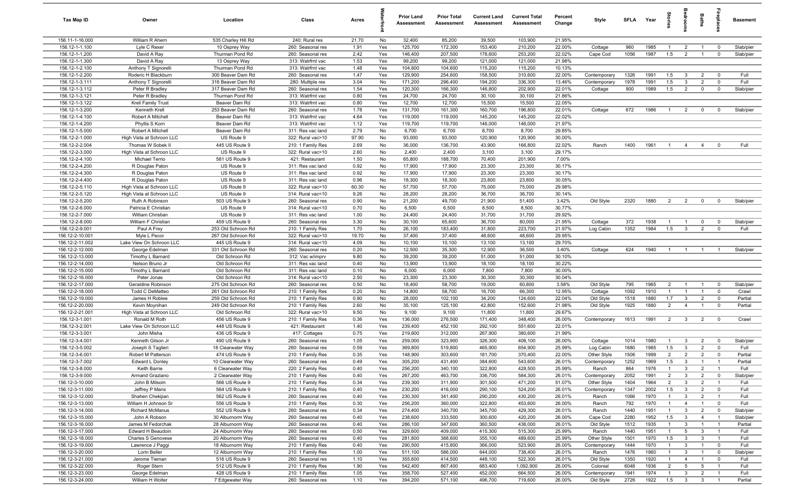| Tax Map ID                         | Owner                                        | Location                               | Class                                  | Acres        |            | <b>Prior Land</b><br>Assessment | <b>Prior Total</b><br>Assessment | <b>Current Land</b><br><b>Assessment</b> | <b>Current Total</b><br>Assessment | Percent<br>Change | Style                    | SFLA Year    |              | tories                           | droom                           | <b>Baths</b>                      | ireplace                         | <b>Basement</b> |
|------------------------------------|----------------------------------------------|----------------------------------------|----------------------------------------|--------------|------------|---------------------------------|----------------------------------|------------------------------------------|------------------------------------|-------------------|--------------------------|--------------|--------------|----------------------------------|---------------------------------|-----------------------------------|----------------------------------|-----------------|
| 156.11-1-16.000                    | William R Ahern                              | 535 Charley Hill Rd                    | 240: Rural res                         | 21.70        | No         | 32,400                          | 85,200                           | 39,500                                   | 103,900                            | 21.95%            |                          |              |              |                                  |                                 |                                   |                                  |                 |
| 156.12-1-1.100                     | Lyle C Rexer                                 | 10 Osprey Way                          | 260: Seasonal res                      | 1.91         | Yes        | 125,700                         | 172,300                          | 153,400                                  | 210,200                            | 22.00%            | Cottage                  | 960          | 1985         | $\overline{1}$                   | $\overline{2}$                  | $\overline{1}$                    | $\mathbf 0$                      | Slab/pier       |
| 156.12-1-1.200                     | David A Ray                                  | Thurman Pond Rd                        | 260: Seasonal res                      | 2.42         | Yes        | 146,400                         | 207,500                          | 178,600                                  | 253,200                            | 22.02%            | Cape Cod                 | 1056         | 1987         | 1.5                              | $\overline{2}$                  | $\overline{1}$                    | $\mathbf 0$                      | Slab/pier       |
| 156.12-1-1.300                     | David A Ray                                  | 13 Osprey Way                          | 313: Watrfrnt vac                      | 1.53         | Yes        | 99,200                          | 99,200                           | 121,000                                  | 121,000                            | 21.98%            |                          |              |              |                                  |                                 |                                   |                                  |                 |
| 156.12-1-2.100                     | Anthony T Signorelli                         | Thurman Pond Rd                        | 313: Watrfrnt vac                      | 1.48         | Yes        | 104,600                         | 104,600                          | 115,200                                  | 115,200                            | 10.13%            |                          |              |              |                                  |                                 |                                   |                                  |                 |
| 156.12-1-2.200<br>156.12-1-3.111   | Roderic H Blackburn                          | 300 Beaver Dam Rd                      | 260: Seasonal res<br>280: Multiple res | 1.47<br>3.04 | Yes<br>No  | 129,900<br>171,200              | 254,600<br>296,400               | 158,500<br>194,200                       | 310,600<br>336,300                 | 22.00%<br>13.46%  | Contemporary             | 1326<br>1978 | 1991<br>1991 | 1.5<br>1.5                       | $\mathbf{3}$<br>$\overline{3}$  | $\overline{2}$<br>$\overline{2}$  | $^{\circ}$<br>$^{\circ}$         | Full<br>Full    |
| 156.12-1-3.112                     | Anthony T Signorelli<br>Peter R Bradley      | 316 Beaver Dam Rd<br>317 Beaver Dam Rd | 260: Seasonal res                      | 1.54         | Yes        | 120,300                         | 166,300                          | 146,800                                  | 202,900                            | 22.01%            | Contemporary<br>Cottage  | 900          | 1989         | 1.5                              | $\overline{2}$                  | $\mathbf 0$                       | $^{\circ}$                       | Slab/pier       |
| 156.12-1-3.121                     | Peter R Bradley                              | Thurman Pond Rd                        | 313: Watrfrnt vac                      | 0.80         | Yes        | 24,700                          | 24,700                           | 30,100                                   | 30,100                             | 21.86%            |                          |              |              |                                  |                                 |                                   |                                  |                 |
| 156.12-1-3.122                     | Krell Family Trust                           | Beaver Dam Rd                          | 313: Watrfrnt vac                      | 0.80         | Yes        | 12,700                          | 12,700                           | 15,500                                   | 15,500                             | 22.05%            |                          |              |              |                                  |                                 |                                   |                                  |                 |
| 156.12-1-3.200                     | Kenneth Krell                                | 253 Beaver Dam Rd                      | 260: Seasonal res                      | 1.78         | Yes        | 131,700                         | 161,300                          | 160,700                                  | 196,800                            | 22.01%            | Cottage                  | 672          | 1986         | $\overline{1}$                   | $\overline{2}$                  | $\mathbf 0$                       | $^{\circ}$                       | Slab/pier       |
| 156.12-1-4.100                     | Robert A Mitchell                            | Beaver Dam Rd                          | 313: Watrfrnt vac                      | 4.64         | Yes        | 119,000                         | 119,000                          | 145,200                                  | 145,200                            | 22.02%            |                          |              |              |                                  |                                 |                                   |                                  |                 |
| 156.12-1-4.200                     | Phyllis S Korn                               | Beaver Dam Rd                          | 313: Watrfrnt vac                      | 1.12         | Yes        | 119,700                         | 119,700                          | 146,000                                  | 146,000                            | 21.97%            |                          |              |              |                                  |                                 |                                   |                                  |                 |
| 156.12-1-5.000                     | Robert A Mitchell                            | Beaver Dam Rd                          | 311: Res vac land                      | 2.79         | No         | 6,700                           | 6,700                            | 8,700                                    | 8,700                              | 29.85%            |                          |              |              |                                  |                                 |                                   |                                  |                 |
| 156.12-2-1.000                     | High Vista at Schroon LLC                    | US Route 9                             | 322: Rural vac>10                      | 97.90        | No         | 93,000                          | 93,000                           | 120,900                                  | 120,900                            | 30.00%            |                          |              |              |                                  |                                 |                                   |                                  |                 |
| 156.12-2-2.004                     | Thomas W Sobek II                            | 445 US Route 9                         | 210: 1 Family Res                      | 2.69         | No         | 36,000                          | 136,700                          | 43,900                                   | 166,800                            | 22.02%            | Ranch                    | 1400         | 1961         | $\overline{1}$                   | $\overline{4}$                  | $\overline{4}$                    | $\overline{0}$                   | Full            |
| 156.12-2-3.000                     | High Vista at Schroon LLC                    | US Route 9                             | 322: Rural vac>10                      | 2.60         | No         | 2,400                           | 2,400                            | 3,100                                    | 3,100                              | 29.17%            |                          |              |              |                                  |                                 |                                   |                                  |                 |
| 156.12-2-4.100                     | Michael Terrio                               | 581 US Route 9                         | 421: Restaurant                        | 1.50         | No         | 65,800                          | 188,700                          | 70,400                                   | 201,900                            | 7.00%             |                          |              |              |                                  |                                 |                                   |                                  |                 |
| 156.12-2-4.200                     | R Douglas Paton                              | US Route 9                             | 311: Res vac land                      | 0.92         | No         | 17,900                          | 17,900                           | 23,300                                   | 23,300                             | 30.17%<br>30.17%  |                          |              |              |                                  |                                 |                                   |                                  |                 |
| 156.12-2-4.300<br>156.12-2-4.400   | R Douglas Paton                              | US Route 9<br>US Route 9               | 311: Res vac land                      | 0.92<br>0.96 | No<br>No   | 17,900<br>18,300                | 17,900<br>18,300                 | 23,300<br>23,800                         | 23,300<br>23,800                   | 30.05%            |                          |              |              |                                  |                                 |                                   |                                  |                 |
| 156.12-2-5.110                     | R Douglas Paton<br>High Vista at Schroon LLC | US Route 9                             | 311: Res vac land<br>322: Rural vac>10 | 60.30        | No         | 57,700                          | 57,700                           | 75,000                                   | 75,000                             | 29.98%            |                          |              |              |                                  |                                 |                                   |                                  |                 |
| 156.12-2-5.120                     | High Vista at Schroon LLC                    | US Route 9                             | 314: Rural vac<10                      | 9.26         | No         | 28,200                          | 28,200                           | 36,700                                   | 36,700                             | 30.14%            |                          |              |              |                                  |                                 |                                   |                                  |                 |
| 156.12-2-5.200                     | Ruth A Robinson                              | 503 US Route 9                         | 260: Seasonal res                      | 0.90         | No         | 21,200                          | 49,700                           | 21,900                                   | 51,400                             | 3.42%             | Old Style                | 2320         | 1880         | $\overline{2}$                   | $\overline{2}$                  | $\mathbf 0$                       | $\Omega$                         | Slab/pier       |
| 156.12-2-6.000                     | Patricia E Christian                         | US Route 9                             | 314: Rural vac<10                      | 0.70         | No         | 6,500                           | 6,500                            | 8,500                                    | 8,500                              | 30.77%            |                          |              |              |                                  |                                 |                                   |                                  |                 |
| 156.12-2-7.000                     | William Christian                            | US Route 9                             | 311: Res vac land                      | 1.00         | No         | 24,400                          | 24,400                           | 31,700                                   | 31,700                             | 29.92%            |                          |              |              |                                  |                                 |                                   |                                  |                 |
| 156.12-2-8.000                     | William F Christian                          | 459 US Route 9                         | 260: Seasonal res                      | 3.30         | No         | 30,100                          | 65,600                           | 36,700                                   | 80,000                             | 21.95%            | Cottage                  | 372          | 1938         | $\mathbf{1}$                     | $\overline{1}$                  | $\mathbf 0$                       | $\mathbf 0$                      | Slab/pier       |
| 156.12-2-9.001                     | Paul A Frey                                  | 253 Old Schroon Rd                     | 210: 1 Family Res                      | 1.70         | No         | 26,100                          | 183,400                          | 31,800                                   | 223,700                            | 21.97%            | Log Cabin                | 1352         | 1984         | 1.5                              | $\mathbf{3}$                    | $\overline{2}$                    | $\mathbf 0$                      | Full            |
| 156.12-2-10.001                    | Myle L Pecor                                 | 267 Old Schroon Rd                     | 322: Rural vac>10                      | 19.70        | No         | 37,400                          | 37,400                           | 48,600                                   | 48,600                             | 29.95%            |                          |              |              |                                  |                                 |                                   |                                  |                 |
| 156.12-2-11.002                    | Lake View On Schroon LLC                     | 445 US Route 9                         | 314: Rural vac<10                      | 4.09         | No         | 10,100                          | 10,100                           | 13,100                                   | 13,100                             | 29.70%            |                          |              |              |                                  |                                 |                                   |                                  |                 |
| 156.12-2-12.000                    | George Edelman                               | 331 Old Schroon Rd                     | 260: Seasonal res                      | 0.20         | No         | 12,500                          | 35,300                           | 12,900                                   | 36,500                             | 3.40%             | Cottage                  | 624          | 1940         | $\overline{1}$                   | $\overline{1}$                  |                                   |                                  | Slab/pier       |
| 156.12-2-13.000                    | Timothy L Barnard                            | Old Schroon Rd                         | 312: Vac w/imprv                       | 9.80         | No         | 39,200                          | 39,200                           | 51,000                                   | 51,000                             | 30.10%            |                          |              |              |                                  |                                 |                                   |                                  |                 |
| 156.12-2-14.000                    | Nelson Bruno Jr                              | Old Schroon Rd                         | 311: Res vac land                      | 0.40         | No         | 13,900                          | 13,900                           | 18,100                                   | 18,100                             | 30.22%            |                          |              |              |                                  |                                 |                                   |                                  |                 |
| 156.12-2-15.000                    | Timothy L Barnard                            | Old Schroon Rd                         | 311: Res vac land                      | 0.10         | No         | 6,000                           | 6,000                            | 7,800                                    | 7,800                              | 30.00%            |                          |              |              |                                  |                                 |                                   |                                  |                 |
| 156.12-2-16.000<br>156.12-2-17.000 | Peter Jonas<br>Geraldine Robinson            | Old Schroon Rd<br>275 Old Schroon Rd   | 314: Rural vac<10<br>260: Seasonal res | 2.50<br>0.50 | No<br>No   | 23,300<br>18,400                | 23,300<br>58,700                 | 30,300<br>19,000                         | 30,300<br>60,800                   | 30.04%<br>3.58%   | Old Style                | 795          | 1965         | $\overline{2}$                   | $\overline{1}$                  | $\overline{1}$                    | $\mathbf 0$                      | Slab/pier       |
| 156.12-2-18.000                    | <b>Todd C DeMatteo</b>                       | 261 Old Schroon Rd                     | 210: 1 Family Res                      | 0.20         | No         | 14,800                          | 58,700                           | 16,700                                   | 66,300                             | 12.95%            | Cottage                  | 1092         | 1910         | $\overline{1}$                   | $\overline{1}$                  | $\overline{1}$                    | $\mathbf 0$                      | Crawl           |
| 156.12-2-19.000                    | James H Roblee                               | 259 Old Schroon Rd                     | 210: 1 Family Res                      | 0.90         | No         | 28,000                          | 102,100                          | 34,200                                   | 124,600                            | 22.04%            | Old Style                | 1518         | 1880         | 1.7                              | $\mathbf{3}$                    | $\overline{2}$                    | $\overline{0}$                   | Partial         |
| 156.12-2-20.000                    | Kevin Moynihan                               | 249 Old Schroon Rd                     | 210: 1 Family Res                      | 2.60         | No         | 35,100                          | 125,100                          | 42,800                                   | 152,600                            | 21.98%            | Old Style                | 1925         | 1880         | $\overline{2}$                   | $\overline{4}$                  | $\overline{1}$                    | $^{\circ}$                       | Partial         |
| 156.12-2-21.001                    | High Vista at Schroon LLC                    | Old Schroon Rd                         | 322: Rural vac>10                      | 9.50         | No         | 9,100                           | 9,100                            | 11,800                                   | 11,800                             | 29.67%            |                          |              |              |                                  |                                 |                                   |                                  |                 |
| 156.12-3-1.001                     | Ronald M Roth                                | 456 US Route 9                         | 210: 1 Family Res                      | 0.36         | Yes        | 136,000                         | 276,500                          | 171,400                                  | 348,400                            | 26.00%            | Contemporary             | 1613         | 1991         | $\overline{2}$                   | $\overline{3}$                  | $\overline{2}$                    | $\mathbf 0$                      | Crawl           |
| 156.12-3-2.001                     | Lake View On Schroon LLC                     | 448 US Route 9                         | 421: Restaurant                        | 1.40         | Yes        | 239,400                         | 452,100                          | 292,100                                  | 551,600                            | 22.01%            |                          |              |              |                                  |                                 |                                   |                                  |                 |
| 156.12-3-3.001                     | John Misha                                   | 436 US Route 9                         | 417: Cottages                          | 0.75         | Yes        | 219,600                         | 312,000                          | 267,900                                  | 380,600                            | 21.99%            |                          |              |              |                                  |                                 |                                   |                                  |                 |
| 156.12-3-4.001                     | Kenneth Gilson Jr                            | 490 US Route 9                         | 260: Seasonal res                      | 1.05         | Yes        | 259,000                         | 323,900                          | 326,300                                  | 408,100                            | 26.00%            | Cottage                  | 1014         | 1980         | $\mathbf{1}$                     | $\mathbf{3}$                    | $\overline{2}$                    | $^{\circ}$                       | Slab/pier       |
| 156.12-3-5.002                     | Joseph S Taglieri                            | 18 Clearwater Way                      | 260: Seasonal res                      | 0.59         | Yes        | 369,800                         | 519,800                          | 465,900                                  | 654,900                            | 25.99%            | Log Cabin                | 1680         | 1985         | 1.5                              | $\mathbf{3}$                    | $\overline{2}$                    | $\Omega$                         | Full            |
| 156.12-3-6.001                     | Robert M Patterson                           | 474 US Route 9                         | 210: 1 Family Res                      | 0.35         | Yes        | 148,900                         | 303,600                          | 181,700                                  | 370,400                            | 22.00%            | Other Style              | 1506         | 1999         | $\overline{2}$                   | $\overline{2}$                  | $\overline{2}$<br>$\overline{1}$  | $\mathbf 0$                      | Partial         |
| 156.12-3-7.002                     | Edward L Donley                              | 10 Clearwater Way                      | 260: Seasonal res                      | 0.49<br>0.40 | Yes<br>Yes | 305,200                         | 431,400                          | 384,600<br>322,800                       | 543,600                            | 26.01%<br>25.99%  | Contemporary             | 1252         | 1969         | 1.5                              | $\mathbf{3}$                    |                                   |                                  | Partial<br>Full |
| 156.12-3-8.000<br>156.12-3-9.000   | Keith Barrie<br>Armand Graziano              | 6 Clearwater Way<br>2 Clearwater Way   | 220: 2 Family Res<br>210: 1 Family Res | 0.40         | Yes        | 256,200<br>267,200              | 340,100<br>463,700               | 336,700                                  | 428,500<br>584,300                 | 26.01%            | Ranch<br>Contemporary    | 864<br>2052  | 1976<br>1991 | $\overline{1}$<br>$\overline{2}$ | $\mathbf{3}$<br>$\mathbf{3}$    | $\overline{2}$<br>$\overline{2}$  | $\overline{1}$<br>$\mathbf 0$    | Slab/pier       |
| 156.12-3-10.000                    | John B Milsom                                | 566 US Route 9                         | 210: 1 Family Res                      | 0.34         | Yes        | 239,300                         | 311,900                          | 301,500                                  | 471,200                            | 51.07%            | Other Style              | 1404         | 1964         | $\overline{2}$                   | $\mathbf{3}$                    | $\overline{2}$                    | $\overline{1}$                   | Full            |
| 156.12-3-11.000                    | Jeffrey P Mans                               | 564 US Route 9                         | 210: 1 Family Res                      | 0.40         | Yes        | 230,200                         | 416,000                          | 290,100                                  | 524,200                            | 26.01%            | Contemporary             | 1347         | 2002         | 1.5                              | $\mathbf{3}$                    | $\overline{2}$                    | $\overline{0}$                   | Full            |
| 156.12-3-12.000                    | Shahen Chekijian                             | 562 US Route 9                         | 260: Seasonal res                      | 0.40         | Yes        | 230,300                         | 341,400                          | 290,200                                  | 430,200                            | 26.01%            | Ranch                    | 1066         | 1970         | $\overline{1}$                   | $\mathbf{3}$                    | $\overline{2}$                    | $\overline{1}$                   | Full            |
| 156.12-3-13.000                    | William H Johnson Sr                         | 556 US Route 9                         | 210: 1 Family Res                      | 0.30         | Yes        | 256,200                         | 360,000                          | 322,800                                  | 453,600                            | 26.00%            | Ranch                    | 792          | 1970         | $\mathbf{1}$                     | $\overline{4}$                  | $\mathbf{1}$                      | $\mathbf 0$                      | Full            |
| 156.12-3-14.000                    | <b>Richard McManus</b>                       | 552 US Route 9                         | 260: Seasonal res                      | 0.34         | Yes        | 274,400                         | 340,700                          | 345,700                                  | 429,300                            | 26.01%            | Ranch                    | 1440         | 1951         | $\mathbf{1}$                     | $\mathbf{3}$                    | $\overline{2}$                    | $\mathbf 0$                      | Slab/pier       |
| 156.12-3-15.000                    | John A Robson                                | 30 Alburnorm Way                       | 260: Seasonal res                      | 0.40         | Yes        | 238,600                         | 333,500                          | 300,600                                  | 420,200                            | 26.00%            | Cape Cod                 | 2280         | 1952         | 1.5                              | $\mathbf{3}$                    | $\overline{4}$                    | $\overline{1}$                   | Slab/pier       |
| 156.12-3-16.000                    | James M Fedorchak                            | 28 Alburnorm Way                       | 260: Seasonal res                      | 0.40         | Yes        | 286,100                         | 347,600                          | 360,500                                  | 438,000                            | 26.01%            | Old Style                | 1512         | 1935         | $\mathbf{1}$                     | $\mathbf{3}$                    |                                   |                                  | Partial         |
| 156.12-3-17.000                    | Edward H Beaudoin                            | 24 Alburnorm Way                       | 260: Seasonal res                      | 0.50         | Yes        | 329,600                         | 409,000                          | 415,300                                  | 515,300                            | 25.99%            | Ranch                    | 1440         | 1951         | $\mathbf{1}$                     | 5                               | $\mathbf{3}$                      | $\overline{1}$                   | Full            |
| 156.12-3-18.000                    | Charles S Genovese                           | 20 Alburnorm Way                       | 260: Seasonal res                      | 0.40         | Yes        | 281,800                         | 388,600                          | 355,100                                  | 489,600                            | 25.99%            | Other Style              | 1501         | 1970         | 1.5                              | $\overline{\mathbf{3}}$         | $\mathbf{3}$                      | $\overline{1}$                   | Full            |
| 156.12-3-19.000                    | Lawrence J Paggi                             | 18 Alburnorm Way                       | 210: 1 Family Res                      | 0.40         | Yes        | 290,500                         | 415,800                          | 366,000                                  | 523,900                            | 26.00%            | Contemporary             | 1444         | 1970         | $\overline{1}$                   | $\mathbf{3}$                    | $\overline{1}$                    | $\overline{0}$                   | Full            |
| 156.12-3-20.000                    | Lorin Beller                                 | 12 Alburnorm Way                       | 210: 1 Family Res                      | 1.00         | Yes        | 511,100                         | 586,000                          | 644,000                                  | 738,400                            | 26.01%            | Ranch                    | 1476         | 1960         | $\mathbf{1}$                     | $\mathbf{3}$                    | $\overline{1}$                    | $\mathbf 0$                      | Slab/pier       |
| 156.12-3-21.000                    | Jerome Tieman                                | 516 US Route 9                         | 260: Seasonal res                      | 1.10         | Yes        | 355,600                         | 414,500                          | 448,100                                  | 522,300                            | 26.01%            | Old Style                | 1350         | 1920         | $\mathbf{1}$                     | $\overline{4}$                  | $\mathbf{1}$                      | $\mathbf 0$                      | Full            |
| 156.12-3-22.000<br>156.12-3-23.000 | Roger Stern<br>George Edelman                | 512 US Route 9<br>428 US Route 9       | 210: 1 Family Res<br>210: 1 Family Res | 1.90<br>1.05 | Yes<br>Yes | 542,400<br>358,700              | 867,400<br>527,400               | 683,400<br>452,000                       | 1,092,900<br>664,500               | 26.00%<br>26.00%  | Colonial<br>Contemporary | 6048<br>1941 | 1936<br>1974 | $\overline{2}$<br>$\mathbf{1}$   | $5\overline{)}$<br>$\mathbf{3}$ | $5\phantom{.0}$<br>$\overline{2}$ | $\overline{1}$<br>$\overline{1}$ | Full<br>Full    |
| 156.12-3-24.000                    | William H Wolter                             | 7 Edgewater Way                        | 260: Seasonal res                      | 1.10         | Yes        | 394,200                         | 571,100                          | 496,700                                  | 719,600                            | 26.00%            | Old Style                | 2726         | 1922         | 1.5                              | $\overline{\mathbf{3}}$         | $\mathbf{3}$                      | $\overline{1}$                   | Partial         |
|                                    |                                              |                                        |                                        |              |            |                                 |                                  |                                          |                                    |                   |                          |              |              |                                  |                                 |                                   |                                  |                 |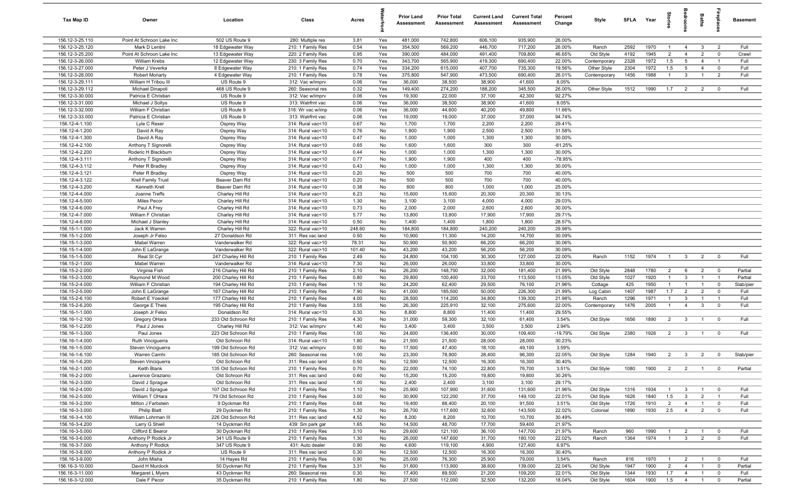| Tax Map ID                         | Owner                                    | Location                            | Class                                  | Acres        |            | <b>Prior Land</b><br>Assessment | <b>Prior Total</b><br>Assessment | <b>Current Land</b><br>Assessment | <b>Current Total</b><br>Assessment | Percent<br>Change | Style        | SFLA Year    |      | tories         | droom           | Baths          | ireplace                | <b>Basement</b> |
|------------------------------------|------------------------------------------|-------------------------------------|----------------------------------------|--------------|------------|---------------------------------|----------------------------------|-----------------------------------|------------------------------------|-------------------|--------------|--------------|------|----------------|-----------------|----------------|-------------------------|-----------------|
| 156.12-3-25.110                    | Point At Schroon Lake Inc                | 502 US Route 9                      | 280: Multiple res                      | 3.81         | Yes        | 481,000                         | 742,800                          | 606,100                           | 935,900                            | 26.00%            |              |              |      |                |                 |                |                         |                 |
| 156.12-3-25.120                    | Mark D Lentini                           | 18 Edgewater Way                    | 210: 1 Family Res                      | 0.54         | Yes        | 354,500                         | 569,200                          | 446,700                           | 717,200                            | 26.00%            | Ranch        | 2592         | 1970 | $\overline{1}$ | $\overline{4}$  | $\mathbf{3}$   | 2                       | Full            |
| 156.12-3-25.200                    | Point At Schroon Lake Inc                | 13 Edgewater Way                    | 220: 2 Family Res                      | 0.95         | Yes        | 390,000                         | 484,000                          | 491,400                           | 709,800                            | 46.65%            | Old Style    | 4192         | 1945 | $\overline{2}$ | $\overline{4}$  | $\overline{2}$ | $\mathbf 0$             | Crawl           |
| 156.12-3-26.000                    | William Krebs                            | 12 Edgewater Way                    | 230: 3 Family Res                      | 0.70         | Yes        | 343,700                         | 565,900                          | 419,300                           | 690,400                            | 22.00%            | Contemporary | 2328         | 1972 | 1.5            | $5\overline{5}$ | $\overline{4}$ | - 1                     | Full            |
| 156.12-3-27.000                    | Peter J Veverka                          | 8 Edgewater Way                     | 210: 1 Family Res                      | 0.74         | Yes        | 334,200                         | 615,000                          | 407,700                           | 735,300                            | 19.56%            | Other Style  | 2304         | 1972 | 1.5            | 5               | $\overline{4}$ | $\mathbf 0$             | Full            |
| 156.12-3-28.000                    | <b>Robert Moriarty</b>                   | 4 Edgewater Way                     | 210: 1 Family Res                      | 0.78         | Yes        | 375,800                         | 547,900                          | 473,500                           | 690,400                            | 26.01%            | Contemporary | 1456         | 1988 | $\overline{1}$ | $\mathbf{3}$    |                | $\overline{2}$          | Full            |
| 156.12-3-29.111                    | William H Tribou III                     | US Route 9                          | 312: Vac w/imprv                       | 0.06         | Yes        | 36,000                          | 38,500                           | 38,900                            | 41,600                             | 8.05%             |              |              |      |                |                 |                |                         |                 |
| 156.12-3-29.112                    | Michael Dinapoli                         | 468 US Route 9                      | 260: Seasonal res                      | 0.32         | Yes        | 149,400                         | 274,200                          | 188,200                           | 345,500                            | 26.00%            | Other Style  | 1512         | 1990 | 1.7            | $\overline{2}$  | $\overline{2}$ | $^{\circ}$              | Full            |
| 156.12-3-30.000<br>156.12-3-31.000 | Patricia E Christian<br>Michael J Soltys | US Route 9<br>US Route 9            | 312: Vac w/imprv<br>313: Watrfrnt vac  | 0.06<br>0.06 | Yes<br>Yes | 19,300<br>36,000                | 22,000<br>38,500                 | 37,100<br>38,900                  | 42,300<br>41,600                   | 92.27%<br>8.05%   |              |              |      |                |                 |                |                         |                 |
| 156.12-3-32.000                    | William F Christian                      | US Route 9                          | 316: Wr vac w/imp                      | 0.06         | Yes        | 36,000                          | 44,600                           | 40,200                            | 49,800                             | 11.66%            |              |              |      |                |                 |                |                         |                 |
| 156.12-3-33.000                    | Patricia E Christian                     | US Route 9                          | 313: Watrfrnt vac                      | 0.06         | Yes        | 19,000                          | 19,000                           | 37,000                            | 37,000                             | 94.74%            |              |              |      |                |                 |                |                         |                 |
| 156.12-4-1.100                     | Lyle C Rexer                             | Osprey Way                          | 314: Rural vac<10                      | 0.67         | No         | 1,700                           | 1,700                            | 2,200                             | 2,200                              | 29.41%            |              |              |      |                |                 |                |                         |                 |
| 156.12-4-1.200                     | David A Ray                              | Osprey Way                          | 314: Rural vac<10                      | 0.76         | No         | 1,900                           | 1,900                            | 2,500                             | 2,500                              | 31.58%            |              |              |      |                |                 |                |                         |                 |
| 156.12-4-1.300                     | David A Ray                              | Osprey Way                          | 314: Rural vac<10                      | 0.47         | No         | 1,000                           | 1,000                            | 1,300                             | 1,300                              | 30.00%            |              |              |      |                |                 |                |                         |                 |
| 156.12-4-2.100                     | Anthony T Signorelli                     | Osprey Way                          | 314: Rural vac<10                      | 0.65         | No         | 1,600                           | 1,600                            | 300                               | 300                                | $-81.25%$         |              |              |      |                |                 |                |                         |                 |
| 156.12-4-2.200                     | Roderic H Blackburn                      | Osprey Way                          | 314: Rural vac<10                      | 0.44         | No         | 1,000                           | 1,000                            | 1,300                             | 1,300                              | 30.00%            |              |              |      |                |                 |                |                         |                 |
| 156.12-4-3.111                     | Anthony T Signorelli                     | Osprey Way                          | 314: Rural vac<10                      | 0.77         | No         | 1,900                           | 1,900                            | 400                               | 400                                | -78.95%           |              |              |      |                |                 |                |                         |                 |
| 156.12-4-3.112                     | Peter R Bradley                          | Osprey Way                          | 314: Rural vac<10                      | 0.43         | No         | 1,000                           | 1,000                            | 1,300                             | 1,300                              | 30.00%            |              |              |      |                |                 |                |                         |                 |
| 156.12-4-3.121                     | Peter R Bradley                          | Osprey Way                          | 314: Rural vac<10                      | 0.20         | No         | 500                             | 500                              | 700                               | 700                                | 40.00%            |              |              |      |                |                 |                |                         |                 |
| 156.12-4-3.122                     | <b>Krell Family Trust</b>                | Beaver Dam Rd                       | 314: Rural vac<10                      | 0.20         | No         | 500                             | 500                              | 700                               | 700                                | 40.00%            |              |              |      |                |                 |                |                         |                 |
| 156.12-4-3.200                     | Kenneth Krell                            | Beaver Dam Rd                       | 314: Rural vac<10                      | 0.38         | No         | 800                             | 800                              | 1,000                             | 1,000                              | 25.00%            |              |              |      |                |                 |                |                         |                 |
| 156.12-4-4.000                     | Joanne Treffs                            | Charley Hill Rd                     | 314: Rural vac<10                      | 6.23         | No         | 15,600                          | 15,600                           | 20,300                            | 20,300                             | 30.13%            |              |              |      |                |                 |                |                         |                 |
| 156.12-4-5.000                     | Miles Pecor                              | Charley Hill Rd                     | 314: Rural vac<10                      | 1.30         | No         | 3,100                           | 3,100                            | 4,000                             | 4,000                              | 29.03%            |              |              |      |                |                 |                |                         |                 |
| 156.12-4-6.000                     | Paul A Frey                              | Charley Hill Rd                     | 314: Rural vac<10                      | 0.73<br>5.77 | No         | 2,000                           | 2,000                            | 2,600<br>17,900                   | 2,600                              | 30.00%<br>29.71%  |              |              |      |                |                 |                |                         |                 |
| 156.12-4-7.000<br>156.12-4-8.000   | William F Christian<br>Michael J Stanley | Charley Hill Rd<br>Charley Hill Rd  | 314: Rural vac<10<br>314: Rural vac<10 | 0.50         | No<br>No   | 13,800<br>1,400                 | 13,800<br>1,400                  | 1,800                             | 17,900<br>1,800                    | 28.57%            |              |              |      |                |                 |                |                         |                 |
| 156.15-1-1.000                     | Jack K Warren                            | Charley Hill Rd                     | 322: Rural vac>10                      | 248.60       | No         | 184,800                         | 184,800                          | 240,200                           | 240,200                            | 29.98%            |              |              |      |                |                 |                |                         |                 |
| 156.15-1-2.000                     | Joseph Jr Felso                          | 27 Donaldson Rd                     | 311: Res vac land                      | 0.50         | No         | 10,900                          | 11,300                           | 14,200                            | 14,700                             | 30.09%            |              |              |      |                |                 |                |                         |                 |
| 156.15-1-3.000                     | Mabel Warren                             | Vanderwalker Rd                     | 322: Rural vac>10                      | 78.31        | No         | 50,900                          | 50,900                           | 66,200                            | 66,200                             | 30.06%            |              |              |      |                |                 |                |                         |                 |
| 156.15-1-4.000                     | John E LaGrange                          | Vanderwalker Rd                     | 322: Rural vac>10                      | 101.40       | No         | 43,200                          | 43,200                           | 56,200                            | 56,200                             | 30.09%            |              |              |      |                |                 |                |                         |                 |
| 156.15-1-5.000                     | Real St Cyr                              | 247 Charley Hill Rd                 | 210: 1 Family Res                      | 2.49         | No         | 24,800                          | 104,100                          | 30,300                            | 127,000                            | 22.00%            | Ranch        | 1152         | 1974 | $\overline{1}$ | $\mathbf{3}$    | $\overline{2}$ | $\overline{0}$          | Full            |
| 156.15-2-1.000                     | Mabel Warren                             | Vanderwalker Rd                     | 314: Rural vac<10                      | 7.30         | No         | 26,000                          | 26,000                           | 33,800                            | 33,800                             | 30.00%            |              |              |      |                |                 |                |                         |                 |
| 156.15-2-2.000                     | Virginia Fish                            | 216 Charley Hill Rd                 | 210: 1 Family Res                      | 2.10         | No         | 26,200                          | 148,700                          | 32,000                            | 181,400                            | 21.99%            | Old Style    | 2848         | 1780 | 2              | 6               | $\overline{2}$ | $\overline{0}$          | Partial         |
| 156.15-2-3.000                     | Raymond M Wood                           | 200 Charley Hill Rd                 | 210: 1 Family Res                      | 0.80         | No         | 29,800                          | 100,400                          | 33,700                            | 113,500                            | 13.05%            | Old Style    | 1027         | 1920 | $\overline{1}$ | $\mathbf{3}$    | $\overline{1}$ | $\overline{1}$          | Partial         |
| 156.15-2-4.000                     | William F Christian                      | 194 Charley Hill Rd                 | 210: 1 Family Res                      | 1.10         | No         | 24,200                          | 62,400                           | 29,500                            | 76,100                             | 21.96%            | Cottage      | 425          | 1950 | $\overline{1}$ | $\overline{1}$  | $\overline{1}$ | $\mathbf 0$             | Slab/pier       |
| 156.15-2-5.000                     | John E LaGrange                          | 167 Charley Hill Rd                 | 210: 1 Family Res                      | 7.90         | No         | 41,000                          | 185,500                          | 50,000                            | 226,300                            | 21.99%            | Log Cabin    | 1407         | 1987 | 1.7            | 2               | $\overline{2}$ | $\mathbf 0$             | Full            |
| 156.15-2-6.100                     | Robert E Yoeckel                         | 177 Charley Hill Rd                 | 210: 1 Family Res                      | 4.00         | No         | 28,500                          | 114,200                          | 34,800                            | 139,300                            | 21.98%            | Ranch        | 1296<br>1476 | 1971 | $\overline{1}$ | $\mathbf{3}$    | $\overline{1}$ | $\overline{1}$          | Full            |
| 156.15-2-6.200<br>156.16-1-1.000   | George E Theis                           | 195 Charley Hill Rd<br>Donaldson Rd | 210: 1 Family Res                      | 3.55<br>0.30 | No<br>No   | 26,300<br>8,800                 | 225,910<br>8,800                 | 32,100<br>11,400                  | 275,600<br>11,400                  | 22.00%<br>29.55%  | Contemporary |              | 2005 | $\overline{1}$ | $\overline{4}$  | $\mathbf{3}$   | $^{\circ}$              | Full            |
| 156.16-1-2.100                     | Joseph Jr Felso<br>Gregory OHara         | 233 Old Schroon Rd                  | 314: Rural vac<10<br>210: 1 Family Res | 4.30         | No         | 31,000                          | 59,300                           | 32,100                            | 61,400                             | 3.54%             | Old Style    | 1656         | 1890 | $\overline{2}$ | $\mathbf{3}$    | $\overline{1}$ | $\mathbf 0$             | Full            |
| 156.16-1-2.200                     | Paul J Jones                             | Charley Hill Rd                     | 312: Vac w/imprv                       | 1.40         | No         | 3,400                           | 3,400                            | 3,500                             | 3,500                              | 2.94%             |              |              |      |                |                 |                |                         |                 |
| 156.16-1-3.000                     | Paul Jones                               | 223 Old Schroon Rd                  | 210: 1 Family Res                      | 1.00         | No         | 24,600                          | 136,400                          | 30,000                            | 109,400                            | $-19.79%$         | Old Style    | 2380         | 1926 | $\overline{2}$ | $\mathbf{3}$    |                | $^{\circ}$              | Full            |
| 156.16-1-4.000                     | Ruth Vinciguerra                         | Old Schroon Rd                      | 314: Rural vac<10                      | 1.80         | No         | 21,500                          | 21,500                           | 28,000                            | 28,000                             | 30.23%            |              |              |      |                |                 |                |                         |                 |
| 156.16-1-5.000                     | Steven Vinciguerra                       | 199 Old Schroon Rd                  | 312: Vac w/imprv                       | 0.50         | No         | 17,500                          | 47,400                           | 18,100                            | 49,100                             | 3.59%             |              |              |      |                |                 |                |                         |                 |
| 156.16-1-6.100                     | Warren Camhi                             | 185 Old Schroon Rd                  | 260: Seasonal res                      | 1.00         | No         | 23,300                          | 78,900                           | 28,400                            | 96,300                             | 22.05%            | Old Style    | 1284         | 1940 | $\overline{2}$ | $\overline{3}$  | $\overline{2}$ | $\overline{0}$          | Slab/pier       |
| 156.16-1-6.200                     | Steven Vinciquerra                       | Old Schroon Rd                      | 311: Res vac land                      | 0.50         | No         | 12,500                          | 12,500                           | 16,300                            | 16,300                             | 30.40%            |              |              |      |                |                 |                |                         |                 |
| 156.16-2-1.000                     | Keith Blank                              | 135 Old Schroon Rd                  | 210: 1 Family Res                      | 0.70         | No         | 22,000                          | 74,100                           | 22,800                            | 76,700                             | 3.51%             | Old Style    | 1080         | 1900 | $\overline{2}$ | $\overline{2}$  | $\overline{1}$ | $\overline{\mathbf{0}}$ | Partial         |
| 156.16-2-2.000                     | Lawrence Graziano                        | Old Schroon Rd                      | 311: Res vac land                      | 0.60         | No         | 15,200                          | 15,200                           | 19,800                            | 19,800                             | 30.26%            |              |              |      |                |                 |                |                         |                 |
| 156.16-2-3.000                     | David J Sprague                          | Old Schroon Rd                      | 311: Res vac land                      | 1.00         | No         | 2,400                           | 2,400                            | 3,100                             | 3,100                              | 29.17%            |              |              |      |                |                 |                |                         |                 |
| 156.16-2-4.000                     | David J Sprague                          | 107 Old Schroon Rd                  | 210: 1 Family Res                      | 1.10         | No         | 25,900                          | 107,900                          | 31,600                            | 131,600                            | 21.96%            | Old Style    | 1316         | 1934 | $\overline{1}$ | $\mathbf{3}$    | $\overline{1}$ | $\overline{0}$          | Full            |
| 156.16-2-5.000                     | William T OHara                          | 79 Old Schroon Rd                   | 210: 1 Family Res                      | 3.00         | No         | 30,900                          | 122,200                          | 37,700                            | 149,100                            | 22.01%            | Old Style    | 1626         | 1840 | 1.5            | $\mathbf{3}$    | $\overline{2}$ | $\overline{1}$          | Full            |
| 156.16-3-2.000                     | Milton J Farbstein                       | 9 Dyckman Rd                        | 210: 1 Family Res                      | 0.68         | No         | 19,400                          | 88,400                           | 20,100                            | 91,500                             | 3.51%             | Old Style    | 1726         | 1910 | $\overline{2}$ | $\overline{4}$  | $\overline{1}$ | $\mathbf 0$             | Full            |
| 156.16-3-3.000<br>156.16-3-4.100   | <b>Philip Blatt</b>                      | 29 Dyckman Rd                       | 210: 1 Family Res<br>311: Res vac land | 1.30<br>4.52 | No<br>No   | 26,700                          | 117,600                          | 32,600<br>10,700                  | 143,500                            | 22.02%<br>30.49%  | Colonial     | 1890         | 1930 | 2.5            | $\overline{4}$  | $\overline{2}$ | $\mathbf 0$             | Full            |
| 156.16-3-4.200                     | William Lohrman III<br>Larry G Shiell    | 226 Old Schroon Rd<br>14 Dyckman Rd | 439: Sm park gar                       | 1.65         | No         | 8,200<br>14,500                 | 8,200<br>48,700                  | 17,700                            | 10,700<br>59,400                   | 21.97%            |              |              |      |                |                 |                |                         |                 |
| 156.16-3-5.000                     | Clifford E Bearor                        | 30 Dyckman Rd                       | 210: 1 Family Res                      | 3.10         | No         | 29,600                          | 121,100                          | 36,100                            | 147,700                            | 21.97%            | Ranch        | 960          | 1990 | -1             | $\overline{2}$  | $\mathbf{1}$   | $^{\circ}$              | Full            |
| 156.16-3-6.000                     | Anthony P Rodick Jr                      | 341 US Route 9                      | 210: 1 Family Res                      | 1.30         | No         | 26,000                          | 147,600                          | 31,700                            | 180,100                            | 22.02%            | Ranch        | 1364         | 1974 | $\overline{1}$ | $\mathbf{3}$    | $\overline{2}$ | $\mathbf 0$             | Full            |
| 156.16-3-7.000                     | Anthony P Rodick                         | 347 US Route 9                      | 431: Auto dealer                       | 0.90         | No         | 4,600                           | 119,100                          | 4,900                             | 127,400                            | 6.97%             |              |              |      |                |                 |                |                         |                 |
| 156.16-3-8.000                     | Anthony P Rodick Jr                      | US Route 9                          | 311: Res vac land                      | 0.30         | No         | 12,500                          | 12,500                           | 16,300                            | 16,300                             | 30.40%            |              |              |      |                |                 |                |                         |                 |
| 156.16-3-9.000                     | John Misha                               | 14 Hayes Rd                         | 210: 1 Family Res                      | 0.90         | No         | 25,000                          | 76,300                           | 25,900                            | 79,000                             | 3.54%             | Ranch        | 816          | 1970 | $\overline{1}$ | $\overline{2}$  | $\overline{1}$ | $\overline{0}$          | Full            |
| 156.16-3-10.000                    | David H Murdock                          | 50 Dyckman Rd                       | 210: 1 Family Res                      | 3.31         | No         | 31,600                          | 113,900                          | 38,600                            | 139,000                            | 22.04%            | Old Style    | 1947         | 1900 | $\overline{2}$ | $\overline{4}$  | $\mathbf{1}$   | $\overline{0}$          | Partial         |
| 156.16-3-11.000                    | Margaret L Myers                         | 43 Dyckman Rd                       | 260: Seasonal res                      | 0.30         | No         | 17,400                          | 89,500                           | 21,200                            | 109,200                            | 22.01%            | Old Style    | 1344         | 1930 | 1.7            | $\overline{4}$  | $\mathbf{1}$   | $\overline{0}$          | Full            |
| 156.16-3-12.000                    | Dale F Pecor                             | 35 Dyckman Rd                       | 210: 1 Family Res                      | 1.80         | No         | 27,500                          | 112,000                          | 32,500                            | 132,200                            | 18.04%            | Old Style    | 1604         | 1900 | 1.5            | $\overline{4}$  | $\overline{1}$ | $\overline{0}$          | Partial         |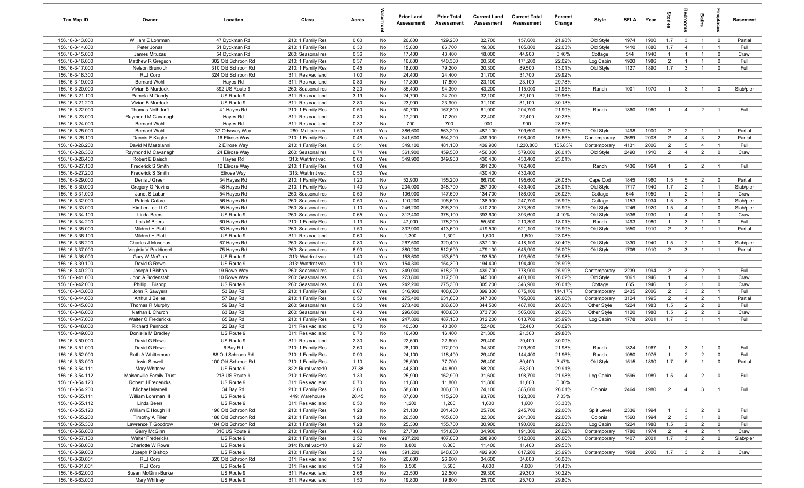| Tax Map ID                         | Owner                                  | Location                   | Class                                  | Acres         |            | <b>Prior Land</b><br>Assessment | <b>Prior Total</b><br>Assessment | <b>Current Land</b><br>Assessment | <b>Current Total</b><br>Assessment | Percent<br>Change | Style                        | <b>SFLA</b>  | Year         | $\frac{1}{2}$                    |                                | Baths                            | epla                          | <b>Basement</b>      |
|------------------------------------|----------------------------------------|----------------------------|----------------------------------------|---------------|------------|---------------------------------|----------------------------------|-----------------------------------|------------------------------------|-------------------|------------------------------|--------------|--------------|----------------------------------|--------------------------------|----------------------------------|-------------------------------|----------------------|
| 156.16-3-13.000                    | William E Lohrman                      | 47 Dyckman Rd              | 210: 1 Family Res                      | 0.60          | No         | 26,800                          | 129,200                          | 32,700                            | 157,600                            | 21.98%            | Old Style                    | 1974         | 1900         | 1.7                              | $\mathbf{3}$                   | $\overline{1}$                   | $\mathbf 0$                   | Partial              |
| 156.16-3-14.000                    | Peter Jonas                            | 51 Dyckman Rd              | 210: 1 Family Res                      | 0.30          | No         | 15,800                          | 86,700                           | 19,300                            | 105,800                            | 22.03%            | Old Style                    | 1410         | 1880         | 1.7                              | $\overline{4}$                 | $\overline{1}$                   | $\mathbf{1}$                  | Full                 |
| 156.16-3-15.000                    | James Mituzas                          | 54 Dyckman Rd              | 260: Seasonal res                      | 0.36          | No         | 17,400                          | 43,400                           | 18,000                            | 44,900                             | 3.46%             | Cottage                      | 544          | 1940         | -1                               | $\overline{1}$                 | $\overline{1}$                   | $\mathbf 0$                   | Crawl                |
| 156.16-3-16.000                    | Matthew R Gregson                      | 302 Old Schroon Rd         | 210: 1 Family Res                      | 0.37          | No         | 16,800                          | 140,300                          | 20,500                            | 171,200                            | 22.02%            | Log Cabin                    | 1920         | 1986         | $\overline{2}$                   | $\overline{1}$                 |                                  | $\Omega$                      | Full                 |
| 156.16-3-17.000                    | Nelson Bruno Jr                        | 310 Old Schroon Rd         | 210: 1 Family Res                      | 0.45          | No         | 18,000                          | 79,200                           | 20,300                            | 89,500                             | 13.01%            | Old Style                    | 1127         | 1890         | 1.7                              | $\overline{3}$                 |                                  | $\Omega$                      | Full                 |
| 156.16-3-18.300                    | RLJ Corp                               | 324 Old Schroon Rd         | 311: Res vac land                      | 1.00          | No         | 24,400<br>17,800                | 24,400                           | 31,700                            | 31,700<br>23,100                   | 29.92%            |                              |              |              |                                  |                                |                                  |                               |                      |
| 156.16-3-19.000<br>156.16-3-20.000 | Bernard Wohl<br>Vivian B Murdock       | Hayes Rd<br>392 US Route 9 | 311: Res vac land<br>260: Seasonal res | 0.83<br>3.20  | No<br>No   | 35,400                          | 17,800<br>94,300                 | 23,100<br>43,200                  | 115,000                            | 29.78%<br>21.95%  | Ranch                        | 1001         | 1970         | $\overline{1}$                   | $\mathbf{3}$                   | $\overline{1}$                   | $\mathbf 0$                   | Slab/pier            |
| 156.16-3-21.100                    | Pamela M Doody                         | US Route 9                 | 311: Res vac land                      | 3.19          | No         | 24,700                          | 24,700                           | 32,100                            | 32,100                             | 29.96%            |                              |              |              |                                  |                                |                                  |                               |                      |
| 156.16-3-21.200                    | Vivian B Murdock                       | US Route 9                 | 311: Res vac land                      | 2.80          | No         | 23,900                          | 23,900                           | 31,100                            | 31,100                             | 30.13%            |                              |              |              |                                  |                                |                                  |                               |                      |
| 156.16-3-22.000                    | <b>Thomas Nothdurft</b>                | 41 Hayes Rd                | 210: 1 Family Res                      | 0.50          | No         | 50,700                          | 167,800                          | 61,900                            | 204,700                            | 21.99%            | Ranch                        | 1860         | 1960         | $\overline{1}$                   | $\overline{4}$                 | $\overline{2}$                   |                               | Full                 |
| 156.16-3-23.000                    | Raymond M Cavanagh                     | Hayes Rd                   | 311: Res vac land                      | 0.80          | No         | 17,200                          | 17,200                           | 22,400                            | 22,400                             | 30.23%            |                              |              |              |                                  |                                |                                  |                               |                      |
| 156.16-3-24.000                    | <b>Bernard Wohl</b>                    | Hayes Rd                   | 311: Res vac land                      | 0.32          | No         | 700                             | 700                              | 900                               | 900                                | 28.57%            |                              |              |              |                                  |                                |                                  |                               |                      |
| 156.16-3-25.000                    | Bernard Wohl                           | 37 Odyssey Way             | 280: Multiple res                      | 1.50          | Yes        | 386,600                         | 563,200                          | 487,100                           | 709,600                            | 25.99%            | Old Style                    | 1498         | 1900         | $\overline{2}$                   | $\overline{2}$                 | $\overline{1}$                   | $\overline{1}$                | Partial              |
| 156.16-3-26.100                    | Dennis E Kugler                        | 16 Elirose Way             | 210: 1 Family Res                      | 0.46          | Yes        | 341,600                         | 854,200                          | 439,900                           | 996,400                            | 16.65%            | Contemporary                 | 3689         | 2003         | $\overline{2}$                   | $\overline{4}$                 | $\mathbf{3}$                     | $\overline{2}$                | Partial              |
| 156.16-3-26.200                    | David M Mastrianni                     | 2 Elirose Way              | 210: 1 Family Res                      | 0.51          | Yes        | 349,100                         | 481,100                          | 439,900                           | 1,230,800                          | 155.83%           | Contemporary                 | 4131         | 2006         | $\overline{2}$                   | $5\overline{5}$                | $\overline{4}$                   | $\overline{1}$                | Full                 |
| 156.16-3-26.300                    | Raymond M Cavanagh                     | 24 Elirose Way             | 260: Seasonal res                      | 0.74          | Yes        | 361,900                         | 459,500                          | 456,000                           | 579,000                            | 26.01%            | Old Style                    | 2490         | 1910         | $\overline{2}$                   | $\overline{4}$                 | $\overline{2}$                   | $\mathbf 0$                   | Crawl                |
| 156.16-3-26.400                    | Robert E Baisch                        | Hayes Rd                   | 313: Watrfrnt vac                      | 0.60          | Yes        | 349,900                         | 349,900                          | 430,400                           | 430,400                            | 23.01%            |                              |              |              |                                  |                                |                                  |                               |                      |
| 156.16-3-27.100                    | <b>Frederick S Smith</b>               | 12 Elirose Way             | 210: 1 Family Res                      | 1.08          | Yes        |                                 |                                  | 581,200                           | 762,400                            |                   | Ranch                        | 1436         | 1964         | $\mathbf{1}$                     | $\overline{2}$                 | $\overline{2}$                   | $\overline{1}$                | Full                 |
| 156.16-3-27.200                    | Frederick S Smith                      | Elirose Way                | 313: Watrfrnt vac                      | 0.50          | Yes        |                                 |                                  | 430,400                           | 430,400                            |                   |                              |              |              |                                  |                                |                                  |                               |                      |
| 156.16-3-29.000<br>156.16-3-30.000 | Denis J Green                          | 34 Hayes Rd<br>48 Hayes Rd | 210: 1 Family Res                      | 1.20<br>1.40  | No         | 52,900<br>204,000               | 155,200                          | 66,700                            | 195,600<br>439,400                 | 26.03%<br>26.01%  | Cape Cod                     | 1845<br>1717 | 1960<br>1940 | 1.5<br>1.7                       | 5<br>$\overline{2}$            | $\overline{2}$<br>$\overline{1}$ | $\mathbf 0$<br>$\overline{1}$ | Partial<br>Slab/pier |
| 156.16-3-31.000                    | Gregory G Nevins<br>Janet S Labar      | 54 Hayes Rd                | 210: 1 Family Res<br>260: Seasonal res | 0.50          | Yes<br>No  | 106,900                         | 348,700<br>147,600               | 257,000<br>134,700                | 186,000                            | 26.02%            | Old Style<br>Cottage         | 644          | 1950         | $\overline{1}$                   | $\overline{2}$                 | $\overline{1}$                   | $\mathbf 0$                   | Crawl                |
| 156.16-3-32.000                    | Patrick Cafaro                         | 56 Hayes Rd                | 260: Seasonal res                      | 0.50          | Yes        | 110,200                         | 196,600                          | 138,900                           | 247,700                            | 25.99%            | Cottage                      | 1153         | 1934         | 1.5                              | $\mathbf{3}$                   | $\overline{1}$                   | $\mathbf 0$                   | Slab/pier            |
| 156.16-3-33.000                    | Kimber-Lee LLC                         | 55 Hayes Rd                | 260: Seasonal res                      | 1.10          | Yes        | 246,200                         | 296,300                          | 310,200                           | 373,300                            | 25.99%            | Old Style                    | 1246         | 1920         | 1.5                              | $\overline{4}$                 | $\overline{1}$                   | $\mathbf 0$                   | Slab/pier            |
| 156.16-3-34.100                    | Linda Beers                            | US Route 9                 | 260: Seasonal res                      | 0.65          | Yes        | 312,400                         | 378,100                          | 393,600                           | 393,600                            | 4.10%             | Old Style                    | 1536         | 1930         | $\mathbf{1}$                     | $\overline{4}$                 | $\overline{1}$                   | $\Omega$                      | Crawl                |
| 156.16-3-34.200                    | Lois M Beers                           | 60 Hayes Rd                | 210: 1 Family Res                      | 1.13          | No         | 47,000                          | 178,200                          | 55,500                            | 210,300                            | 18.01%            | Ranch                        | 1493         | 1980         | $\mathbf{1}$                     | $\mathbf{3}$                   | $\overline{1}$                   | $\mathbf 0$                   | Full                 |
| 156.16-3-35.000                    | Mildred H Platt                        | 63 Hayes Rd                | 260: Seasonal res                      | 1.50          | Yes        | 332,900                         | 413,600                          | 419,500                           | 521,100                            | 25.99%            | Old Style                    | 1550         | 1910         | $\overline{2}$                   | $\mathbf{3}$                   | $\overline{1}$                   | $\mathbf{1}$                  | Partial              |
| 156.16-3-36.100                    | Mildred H Platt                        | US Route 9                 | 311: Res vac land                      | 0.60          | No         | 1,300                           | 1,300                            | 1,600                             | 1,600                              | 23.08%            |                              |              |              |                                  |                                |                                  |                               |                      |
| 156.16-3-36.200                    | Charles J Masenas                      | 67 Hayes Rd                | 260: Seasonal res                      | 0.80          | Yes        | 267,500                         | 320,400                          | 337,100                           | 418,100                            | 30.49%            | Old Style                    | 1330         | 1940         | 1.5                              | $\overline{2}$                 | $\overline{1}$                   | $\mathbf 0$                   | Slab/pier            |
| 156.16-3-37.000                    | Virginia V Peddicord                   | 75 Hayes Rd                | 260: Seasonal res                      | 6.90          | Yes        | 380,200                         | 512,600                          | 479,100                           | 645,900                            | 26.00%            | Old Style                    | 1706         | 1910         | $\overline{2}$                   | $\mathbf{3}$                   | $\overline{1}$                   |                               | Partial              |
| 156.16-3-38.000                    | Gary W McGinn                          | US Route 9                 | 313: Watrfrnt vac                      | 1.40          | Yes        | 153,600                         | 153,600                          | 193,500                           | 193,500                            | 25.98%            |                              |              |              |                                  |                                |                                  |                               |                      |
| 156.16-3-39.100                    | David G Rowe                           | US Route 9                 | 313: Watrfrnt vac                      | 1.13          | Yes        | 154,300                         | 154,300                          | 194,400                           | 194,400                            | 25.99%            |                              |              |              |                                  |                                |                                  |                               |                      |
| 156.16-3-40.200                    | Joseph I Bishop                        | 19 Rowe Way                | 260: Seasonal res                      | 0.50          | Yes        | 349,000                         | 618,200                          | 439,700                           | 778,900                            | 25.99%            | Contemporary                 | 2239         | 1994         | $\overline{2}$                   | $\mathbf{3}$                   | $\overline{2}$                   | $\overline{1}$                | Full                 |
| 156.16-3-41.000                    | John A Bodenstab                       | 10 Rowe Way                | 260: Seasonal res                      | 0.50          | Yes        | 273,800                         | 317,500                          | 345,000                           | 400,100                            | 26.02%            | Old Style                    | 1061         | 1946         | $\overline{1}$                   | $\overline{4}$                 | $\overline{1}$                   | $\mathbf 0$                   | Crawl                |
| 156.16-3-42.000<br>156.16-3-43.000 | Phillip L Bishop                       | US Route 9<br>53 Bay Rd    | 260: Seasonal res                      | 0.60<br>0.67  | Yes<br>Yes | 242,200<br>316,900              | 275,300<br>408,600               | 305,200<br>399,300                | 346,900<br>875,100                 | 26.01%<br>114.17% | Cottage                      | 665<br>2435  | 1946<br>2006 | $\overline{1}$<br>$\overline{2}$ | $\overline{2}$<br>$\mathbf{3}$ | $\overline{1}$<br>$\overline{2}$ | $\mathbf 0$<br>$\overline{1}$ | Crawl<br>Full        |
| 156.16-3-44.000                    | John R Sawyers<br>Arthur J Belles      | 57 Bay Rd                  | 210: 1 Family Res<br>210: 1 Family Res | 0.50          | Yes        | 275,400                         | 631,600                          | 347,000                           | 795,800                            | 26.00%            | Contemporary<br>Contemporary | 3124         | 1995         | $\overline{2}$                   | $\overline{4}$                 | $\overline{2}$                   | $\overline{1}$                | Partial              |
| 156.16-3-45.000                    | Thomas R Murphy                        | 59 Bay Rd                  | 260: Seasonal res                      | 0.50          | Yes        | 273,400                         | 386,600                          | 344,500                           | 487,100                            | 26.00%            | Other Style                  | 1224         | 1983         | 1.5                              | $\overline{2}$                 | $\overline{2}$                   | $\mathbf 0$                   | Full                 |
| 156.16-3-46.000                    | Nathan L Church                        | 63 Bay Rd                  | 260: Seasonal res                      | 0.43          | Yes        | 296,600                         | 400,800                          | 373,700                           | 505,000                            | 26.00%            | Other Style                  | 1120         | 1988         | 1.5                              | $\overline{2}$                 | $\overline{2}$                   | $\mathbf 0$                   | Crawl                |
| 156.16-3-47.000                    | Walter O Fredericks                    | 65 Bay Rd                  | 210: 1 Family Res                      | 0.40          | Yes        | 247,800                         | 487,100                          | 312,200                           | 613,700                            | 25.99%            | Log Cabin                    | 1778         | 2001         | 1.7                              | $\mathbf{3}$                   | $\overline{1}$                   |                               | Full                 |
| 156.16-3-48.000                    | <b>Richard Pennock</b>                 | 22 Bay Rd                  | 311: Res vac land                      | 0.70          | No         | 40,300                          | 40,300                           | 52,400                            | 52,400                             | 30.02%            |                              |              |              |                                  |                                |                                  |                               |                      |
| 156.16-3-49.000                    | Donielle M Bradley                     | US Route 9                 | 311: Res vac land                      | 0.70          | No         | 16,400                          | 16,400                           | 21,300                            | 21,300                             | 29.88%            |                              |              |              |                                  |                                |                                  |                               |                      |
| 156.16-3-50.000                    | David G Rowe                           | US Route 9                 | 311: Res vac land                      | 2.30          | No         | 22,600                          | 22,600                           | 29,400                            | 29,400                             | 30.09%            |                              |              |              |                                  |                                |                                  |                               |                      |
| 156.16-3-51.000                    | David G Rowe                           | 6 Bay Rd                   | 210: 1 Family Res                      | 2.60          | No         | 28,100                          | 172,000                          | 34,300                            | 209,800                            | 21.98%            | Ranch                        | 1824         | 1967         |                                  | -3                             |                                  | $\Omega$                      | Full                 |
| 156.16-3-52.000                    | Ruth A Whittemore                      | 88 Old Schroon Rd          | 210: 1 Family Res                      | 0.90          | No         | 24,100                          | 118,400                          | 29,400                            | 144,400                            | 21.96%            | Ranch                        | 1080         | 1975         | $\overline{1}$                   | $\overline{2}$                 | $\overline{2}$                   | $\mathbf 0$                   | Full                 |
| 156.16-3-53.000                    | Irwin Stowell                          | 100 Old Schroon Rd         | 210: 1 Family Res                      | 1.10          | No         | 25,500                          | 77,700                           | 26,400                            | 80,400                             | 3.47%             | Old Style                    | 1515         | 1890         | 1.7                              | $5^{\circ}$                    | $\overline{1}$                   | $\Omega$                      | Partial              |
| 156.16-3-54.111                    | Mary Whitney                           | US Route 9                 | 322: Rural vac>10                      | 27.88         | No         | 44,800                          | 44,800                           | 58,200                            | 58,200                             | 29.91%            |                              |              |              |                                  |                                |                                  |                               |                      |
| 156.16-3-54.112                    | Maisonville Family Trust               | 213 US Route 9             | 210: 1 Family Res                      | 1.33          | No         | 25,900                          | 162,900                          | 31,600                            | 198,700                            | 21.98%            | Log Cabin                    | 1596         | 1989         | 1.5                              | $\overline{4}$                 | $\overline{2}$                   | $\overline{0}$                | Full                 |
| 156.16-3-54.120                    | Robert J Fredericks                    | US Route 9                 | 311: Res vac land                      | 0.70          | No         | 11,800                          | 11,800                           | 11,800                            | 11,800                             | 0.00%             |                              |              |              |                                  |                                |                                  |                               |                      |
| 156.16-3-54.200<br>156.16-3-55.111 | Michael Marnell<br>William Lohrman III | 34 Bay Rd<br>US Route 9    | 210: 1 Family Res                      | 2.60<br>20.45 | No         | 58,800<br>87,600                | 306,000<br>115,200               | 74,100<br>93,700                  | 385,600<br>123,300                 | 26.01%<br>7.03%   | Colonial                     | 2464         | 1980         | $\overline{2}$                   | $\overline{4}$                 | 3 <sup>3</sup>                   | $\blacksquare$                | Full                 |
| 156.16-3-55.112                    | Linda Beers                            | US Route 9                 | 449: Warehouse<br>311: Res vac land    | 0.50          | No<br>No   | 1,200                           | 1,200                            | 1,600                             | 1,600                              | 33.33%            |                              |              |              |                                  |                                |                                  |                               |                      |
| 156.16-3-55.120                    | William E Hough III                    | 196 Old Schroon Rd         | 210: 1 Family Res                      | 1.28          | No         | 21,100                          | 201,400                          | 25,700                            | 245,700                            | 22.00%            | Split Level                  | 2336         | 1994         |                                  | $\mathbf{3}$                   | $\overline{2}$                   | $\mathbf 0$                   | Full                 |
| 156.16-3-55.200                    | Timothy A Filler                       | 188 Old Schroon Rd         | 210: 1 Family Res                      | 1.28          | No         | 26,500                          | 165,000                          | 32,300                            | 201,300                            | 22.00%            | Colonial                     | 1560         | 1994         | $\overline{2}$                   | $\mathbf{3}$                   | $\overline{1}$                   | $\mathbf 0$                   | Full                 |
| 156.16-3-55.300                    | Lawrence T Goodrow                     | 184 Old Schroon Rd         | 210: 1 Family Res                      | 1.28          | No         | 25,300                          | 155,700                          | 30,900                            | 190,000                            | 22.03%            | Log Cabin                    | 1224         | 1988         | 1.5                              | $\overline{\mathbf{3}}$        | $\overline{2}$                   | $\mathbf 0$                   | Full                 |
| 156.16-3-56.000                    | Garry McGinn                           | 316 US Route 9             | 210: 1 Family Res                      | 4.80          | No         | 27,700                          | 151,800                          | 34,900                            | 191,300                            | 26.02%            | Contemporary                 | 1780         | 1974         | $\overline{2}$                   | $\overline{4}$                 | $\overline{2}$                   | $\overline{1}$                | Crawl                |
| 156.16-3-57.100                    | <b>Walter Fredericks</b>               | US Route 9                 | 210: 1 Family Res                      | 3.52          | Yes        | 237,200                         | 407,000                          | 298,900                           | 512,800                            | 26.00%            | Contemporary                 | 1407         | 2001         | 1.7                              | $\overline{\mathbf{3}}$        | $\overline{2}$                   | $\mathbf 0$                   | Slab/pier            |
| 156.16-3-58.000                    | Charlotte W Rowe                       | US Route 9                 | 314: Rural vac<10                      | 9.27          | No         | 8,800                           | 8,800                            | 11,400                            | 11,400                             | 29.55%            |                              |              |              |                                  |                                |                                  |                               |                      |
| 156.16-3-59.003                    | Joseph P Bishop                        | US Route 9                 | 210: 1 Family Res                      | 2.50          | Yes        | 391,200                         | 648,600                          | 492,900                           | 817,200                            | 25.99%            | Contemporary                 | 1908         | 2000         | 1.7                              | $\overline{\mathbf{3}}$        | 2                                | $\overline{0}$                | Crawl                |
| 156.16-3-60.001                    | RLJ Corp                               | 320 Old Schroon Rd         | 311: Res vac land                      | 3.97          | No         | 26,600                          | 26,600                           | 34,600                            | 34,600                             | 30.08%            |                              |              |              |                                  |                                |                                  |                               |                      |
| 156.16-3-61.001                    | RLJ Corp                               | US Route 9                 | 311: Res vac land                      | 1.39          | No         | 3,500                           | 3,500                            | 4,600                             | 4,600                              | 31.43%            |                              |              |              |                                  |                                |                                  |                               |                      |
| 156.16-3-62.000                    | Susan McGinn-Burke                     | US Route 9                 | 311: Res vac land                      | 2.66          | No         | 22,500                          | 22,500                           | 29,300                            | 29,300                             | 30.22%            |                              |              |              |                                  |                                |                                  |                               |                      |
| 156.16-3-63.000                    | Mary Whitney                           | US Route 9                 | 311: Res vac land                      | 1.50          | No         | 19,800                          | 19,800                           | 25,700                            | 25,700                             | 29.80%            |                              |              |              |                                  |                                |                                  |                               |                      |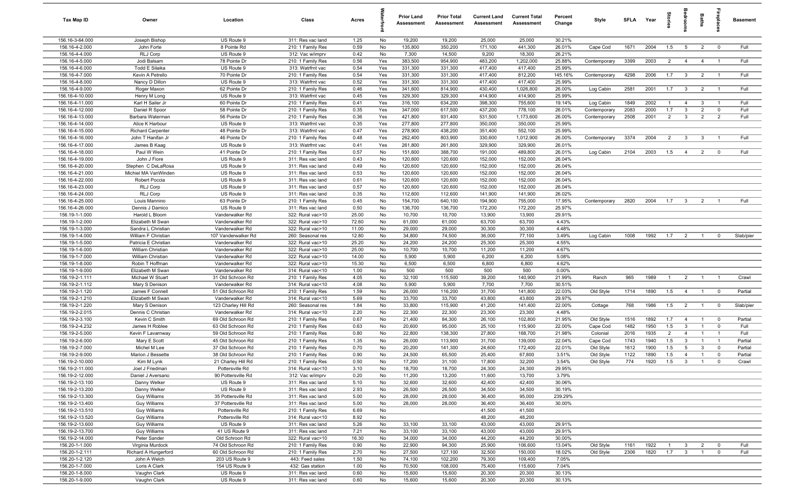| Tax Map ID                         | Owner                             | Location                             | Class                                  | Acres        |            | <b>Prior Land</b><br>Assessment | <b>Prior Total</b><br>Assessment | <b>Current Land</b><br>Assessment | <b>Current Total</b><br>Assessment | Percent<br>Change | Style        | SFLA Year |      | tories         | droom                   | Baths          | ireplac        | <b>Basement</b> |
|------------------------------------|-----------------------------------|--------------------------------------|----------------------------------------|--------------|------------|---------------------------------|----------------------------------|-----------------------------------|------------------------------------|-------------------|--------------|-----------|------|----------------|-------------------------|----------------|----------------|-----------------|
| 156.16-3-64.000                    | Joseph Bishop                     | US Route 9                           | 311: Res vac land                      | 1.25         | No         | 19,200                          | 19,200                           | 25,000                            | 25,000                             | 30.21%            |              |           |      |                |                         |                |                |                 |
| 156.16-4-2.000                     | John Forte                        | 8 Pointe Rd                          | 210: 1 Family Res                      | 0.59         | No         | 135,800                         | 350,200                          | 171,100                           | 441,300                            | 26.01%            | Cape Cod     | 1671      | 2004 | 1.5            | 5                       | $\overline{2}$ | $\mathbf{0}$   | Full            |
| 156.16-4-4.000                     | RLJ Corp                          | US Route 9                           | 312: Vac w/imprv                       | 0.42         | No         | 7,300                           | 14,500                           | 9,200                             | 18,300                             | 26.21%            |              |           |      |                |                         |                |                |                 |
| 156.16-4-5.000                     | Jodi Balsam                       | 78 Pointe Dr                         | 210: 1 Family Res                      | 0.56         | Yes        | 383,500                         | 954,900                          | 483,200                           | 1,202,000                          | 25.88%            | Contemporary | 3399      | 2003 | $\overline{2}$ | $\overline{4}$          | $\overline{4}$ | - 1            | Full            |
| 156.16-4-6.000                     | Todd E Silaika                    | US Route 9                           | 313: Watrfrnt vac                      | 0.54         | Yes        | 331,300                         | 331,300                          | 417,400                           | 417,400                            | 25.99%            |              |           |      |                |                         |                |                |                 |
| 156.16-4-7.000                     | Kevin A Petrello                  | 70 Pointe Dr                         | 210: 1 Family Res                      | 0.54         | Yes        | 331,300                         | 331,300                          | 417,400                           | 812,200                            | 145.16%           | Contemporary | 4298      | 2006 | 1.7            | $\mathbf{3}$            | $\overline{2}$ | - 1            | Full            |
| 156.16-4-8.000<br>156.16-4-9.000   | Nancy D Dillon<br>Roger Maxon     | US Route 9<br>62 Pointe Dr           | 313: Watrfrnt vac                      | 0.52<br>0.46 | Yes<br>Yes | 331,300<br>341,600              | 331,300<br>814,900               | 417,400<br>430,400                | 417,400<br>1,026,800               | 25.99%<br>26.00%  | Log Cabin    | 2581      | 2001 | 1.7            | $\mathbf{3}$            | $\overline{2}$ | $\overline{1}$ | Full            |
| 156.16-4-10.000                    | Henry M Long                      | US Route 9                           | 210: 1 Family Res<br>313: Watrfrnt vac | 0.45         | Yes        | 329,300                         | 329,300                          | 414,900                           | 414,900                            | 25.99%            |              |           |      |                |                         |                |                |                 |
| 156.16-4-11.000                    | Karl H Sailer Jr                  | 60 Pointe Dr                         | 210: 1 Family Res                      | 0.41         | Yes        | 316,100                         | 634,200                          | 398,300                           | 755,600                            | 19.14%            | Log Cabin    | 1849      | 2002 | $\overline{1}$ | $\overline{4}$          | $\mathbf{3}$   | $\overline{1}$ | Full            |
| 156.16-4-12.000                    | Daniel R Spoor                    | 58 Pointe Dr                         | 210: 1 Family Res                      | 0.35         | Yes        | 347,000                         | 617,500                          | 437,200                           | 778,100                            | 26.01%            | Contemporary | 2083      | 2000 | 1.7            | $\mathbf{3}$            | $\overline{2}$ | $\mathbf 0$    | Full            |
| 156.16-4-13.000                    | Barbara Waterman                  | 56 Pointe Dr                         | 210: 1 Family Res                      | 0.36         | Yes        | 421,800                         | 931,400                          | 531,500                           | 1,173,600                          | 26.00%            | Contemporary | 2508      | 2001 | 2              | $\mathbf{3}$            | $\overline{2}$ | $\overline{2}$ | Full            |
| 156.16-4-14.000                    | Alice K Harbour                   | US Route 9                           | 313: Watrfrnt vac                      | 0.35         | Yes        | 277,800                         | 277,800                          | 350,000                           | 350,000                            | 25.99%            |              |           |      |                |                         |                |                |                 |
| 156.16-4-15.000                    | <b>Richard Carpenter</b>          | 48 Pointe Dr                         | 313: Watrfrnt vac                      | 0.47         | Yes        | 278,900                         | 438,200                          | 351,400                           | 552,100                            | 25.99%            |              |           |      |                |                         |                |                |                 |
| 156.16-4-16.000                    | John T Hanifan Jr                 | 46 Pointe Dr                         | 210: 1 Family Res                      | 0.48         | Yes        | 262,400                         | 803,900                          | 330,600                           | 1,012,900                          | 26.00%            | Contemporary | 3374      | 2004 | 2              | $\mathbf{3}$            | 3              |                | Full            |
| 156.16-4-17.000                    | James B Kaag                      | US Route 9                           | 313: Watrfrnt vac                      | 0.41         | Yes        | 261,800                         | 261,800                          | 329,900                           | 329,900                            | 26.01%            |              |           |      |                |                         |                |                |                 |
| 156.16-4-18.000                    | Paul W Wein                       | 41 Pointe Dr                         | 210: 1 Family Res                      | 0.57         | No         | 151,600                         | 388,700                          | 191,000                           | 489,800                            | 26.01%            | Log Cabin    | 2104      | 2003 | 1.5            | $\overline{4}$          | $\overline{2}$ | $^{\circ}$     | Full            |
| 156.16-4-19.000                    | John J Fiore                      | US Route 9                           | 311: Res vac land                      | 0.43         | No         | 120,600                         | 120,600                          | 152,000                           | 152,000                            | 26.04%            |              |           |      |                |                         |                |                |                 |
| 156.16-4-20.000                    | Stephen C DeLaRosa                | US Route 9                           | 311: Res vac land                      | 0.49         | No         | 120,600                         | 120,600                          | 152,000                           | 152,000                            | 26.04%            |              |           |      |                |                         |                |                |                 |
| 156.16-4-21.000                    | Michiel MA VanWinden              | US Route 9                           | 311: Res vac land                      | 0.53         | No         | 120,600                         | 120,600                          | 152,000                           | 152,000                            | 26.04%            |              |           |      |                |                         |                |                |                 |
| 156.16-4-22.000<br>156.16-4-23.000 | Robert Poccia                     | US Route 9                           | 311: Res vac land                      | 0.61         | No         | 120,600                         | 120,600                          | 152,000                           | 152,000                            | 26.04%            |              |           |      |                |                         |                |                |                 |
| 156.16-4-24.000                    | RLJ Corp<br>RLJ Corp              | US Route 9<br>US Route 9             | 311: Res vac land<br>311: Res vac land | 0.57<br>0.35 | No<br>No   | 120,600<br>112,600              | 120,600<br>112,600               | 152,000<br>141,900                | 152,000<br>141,900                 | 26.04%<br>26.02%  |              |           |      |                |                         |                |                |                 |
| 156.16-4-25.000                    | Louis Mannino                     | 63 Pointe Dr                         | 210: 1 Family Res                      | 0.45         | No         | 154,700                         | 640,100                          | 194,900                           | 755,000                            | 17.95%            | Contemporary | 2820      | 2004 | 1.7            | $\mathbf{3}$            | $\overline{2}$ |                | Full            |
| 156.16-4-26.000                    | Dennis J Damico                   | US Route 9                           | 311: Res vac land                      | 0.50         | No         | 136,700                         | 136,700                          | 172,200                           | 172,200                            | 25.97%            |              |           |      |                |                         |                |                |                 |
| 156.19-1-1.000                     | Harold L Bloom                    | Vanderwalker Rd                      | 322: Rural vac>10                      | 25.00        | No         | 10,700                          | 10,700                           | 13,900                            | 13,900                             | 29.91%            |              |           |      |                |                         |                |                |                 |
| 156.19-1-2.000                     | Elizabeth M Swan                  | Vanderwalker Rd                      | 322: Rural vac>10                      | 72.60        | No         | 61,000                          | 61,000                           | 63,700                            | 63,700                             | 4.43%             |              |           |      |                |                         |                |                |                 |
| 156.19-1-3.000                     | Sandra L Christian                | Vanderwalker Rd                      | 322: Rural vac>10                      | 11.00        | No         | 29,000                          | 29,000                           | 30,300                            | 30,300                             | 4.48%             |              |           |      |                |                         |                |                |                 |
| 156.19-1-4.000                     | William F Christian               | 107 Vanderwalker Rd                  | 260: Seasonal res                      | 12.80        | No         | 34,800                          | 74,500                           | 36,000                            | 77,100                             | 3.49%             | Log Cabin    | 1008      | 1992 | 1.7            | $\overline{2}$          | $\overline{1}$ | $\mathbf 0$    | Slab/pier       |
| 156.19-1-5.000                     | Patricia E Christian              | Vanderwalker Rd                      | 322: Rural vac>10                      | 25.20        | No         | 24,200                          | 24,200                           | 25,300                            | 25,300                             | 4.55%             |              |           |      |                |                         |                |                |                 |
| 156.19-1-6.000                     | William Christian                 | Vanderwalker Rd                      | 322: Rural vac>10                      | 25.00        | No         | 10,700                          | 10,700                           | 11,200                            | 11,200                             | 4.67%             |              |           |      |                |                         |                |                |                 |
| 156.19-1-7.000                     | William Christian                 | Vanderwalker Rd                      | 322: Rural vac>10                      | 14.00        | No         | 5,900                           | 5,900                            | 6,200                             | 6,200                              | 5.08%             |              |           |      |                |                         |                |                |                 |
| 156.19-1-8.000                     | Robin T Hoffman                   | Vanderwalker Rd                      | 322: Rural vac>10                      | 15.30        | No         | 6,500                           | 6,500                            | 6,800                             | 6,800                              | 4.62%             |              |           |      |                |                         |                |                |                 |
| 156.19-1-9.000                     | Elizabeth M Swan                  | Vanderwalker Rd                      | 314: Rural vac<10                      | 1.00         | No         | 500                             | 500                              | 500                               | 500                                | 0.00%             |              |           |      |                |                         |                |                |                 |
| 156.19-2-1.111                     | Michael W Stuart                  | 31 Old Schroon Rd                    | 210: 1 Family Res                      | 4.05         | No         | 32,100                          | 115,500                          | 39,200                            | 140,900                            | 21.99%            | Ranch        | 965       | 1989 | $\overline{1}$ | $\overline{2}$          | $\overline{1}$ | $\overline{1}$ | Crawl           |
| 156.19-2-1.112<br>156.19-2-1.120   | Mary S Denison<br>James F Connell | Vanderwalker Rd<br>51 Old Schroon Rd | 314: Rural vac<10<br>210: 1 Family Res | 4.08<br>1.59 | No<br>No   | 5,900<br>26,000                 | 5,900<br>116,200                 | 7,700<br>31,700                   | 7,700<br>141,800                   | 30.51%<br>22.03%  | Old Style    | 1714      | 1890 | 1.5            | $\overline{4}$          | $\overline{1}$ | $\overline{0}$ | Partial         |
| 156.19-2-1.210                     | Elizabeth M Swan                  | Vanderwalker Rd                      | 314: Rural vac<10                      | 5.69         | No         | 33,700                          | 33,700                           | 43,800                            | 43,800                             | 29.97%            |              |           |      |                |                         |                |                |                 |
| 156.19-2-1.220                     | Mary S Denison                    | 123 Charley Hill Rd                  | 260: Seasonal res                      | 1.84         | No         | 33,800                          | 115,900                          | 41,200                            | 141,400                            | 22.00%            | Cottage      | 768       | 1986 | 1.5            | $\overline{2}$          | $\overline{1}$ | $\overline{0}$ | Slab/pier       |
| 156.19-2-2.015                     | Dennis C Christian                | Vanderwalker Rd                      | 314: Rural vac<10                      | 2.20         | No         | 22,300                          | 22,300                           | 23,300                            | 23,300                             | 4.48%             |              |           |      |                |                         |                |                |                 |
| 156.19-2-3.100                     | Kevin C Smith                     | 69 Old Schroon Rd                    | 210: 1 Family Res                      | 0.67         | No         | 21,400                          | 84,300                           | 26,100                            | 102,800                            | 21.95%            | Old Style    | 1516      | 1892 | 1.7            | $\overline{4}$          | $\overline{1}$ | $\mathbf 0$    | Partial         |
| 156.19-2-4.232                     | James H Roblee                    | 63 Old Schroon Rd                    | 210: 1 Family Res                      | 0.63         | No         | 20,600                          | 95,000                           | 25,100                            | 115,900                            | 22.00%            | Cape Cod     | 1482      | 1950 | 1.5            | $\mathbf{3}$            | $\overline{1}$ | $\mathbf 0$    | Full            |
| 156.19-2-5.000                     | Kevin F Lavarnway                 | 59 Old Schroon Rd                    | 210: 1 Family Res                      | 0.80         | No         | 22,800                          | 138,300                          | 27,800                            | 168,700                            | 21.98%            | Colonial     | 2016      | 1935 | $\overline{2}$ | $\overline{4}$          |                | - 1            | Full            |
| 156.19-2-6.000                     | Mary E Scott                      | 45 Old Schroon Rd                    | 210: 1 Family Res                      | 1.35         | No         | 26,000                          | 113,900                          | 31,700                            | 139,000                            | 22.04%            | Cape Cod     | 1743      | 1940 | 1.5            | $\mathbf{3}$            |                | - 1            | Partial         |
| 156.19-2-7.000                     | Michel M Lee                      | 37 Old Schroon Rd                    | 210: 1 Family Res                      | 0.70         | No         | 20,200                          | 141,300                          | 24,600                            | 172,400                            | 22.01%            | Old Style    | 1612      | 1900 | 1.5            | 5                       | -3             | $\Omega$       | Partial         |
| 156.19-2-9.000                     | Marion J Bessette                 | 38 Old Schroon Rd                    | 210: 1 Family Res                      | 0.90         | No         | 24,500                          | 65,500                           | 25,400                            | 67,800                             | 3.51%             | Old Style    | 1122      | 1890 | 1.5            | $\overline{4}$          | $\overline{1}$ | $\mathbf 0$    | Partial         |
| 156.19-2-10.000                    | Kim M Lynk                        | 21 Charley Hill Rd                   | 210: 1 Family Res                      | 0.50         | No         | 17,200                          | 31,100                           | 17,800                            | 32,200                             | 3.54%             | Old Style    | 774       | 1920 | 1.5            | $\mathbf{3}$            |                |                | Crawl           |
| 156.19-2-11.000                    | Joel J Friedman                   | Pottersville Rd                      | 314: Rural vac<10                      | 3.10         | No         | 18,700                          | 18,700                           | 24,300                            | 24,300                             | 29.95%            |              |           |      |                |                         |                |                |                 |
| 156.19-2-12.000                    | Daniel J Aversano                 | 90 Pottersville Rd                   | 312: Vac w/imprv                       | 0.20         | No         | 11,200                          | 13,200                           | 11,600                            | 13,700                             | 3.79%             |              |           |      |                |                         |                |                |                 |
| 156.19-2-13.100<br>156.19-2-13.200 | Danny Welker<br>Danny Welker      | US Route 9<br>US Route 9             | 311: Res vac land<br>311: Res vac land | 5.10<br>2.93 | No<br>No   | 32,600<br>26,500                | 32,600<br>26,500                 | 42,400<br>34,500                  | 42,400<br>34,500                   | 30.06%<br>30.19%  |              |           |      |                |                         |                |                |                 |
| 156.19-2-13.300                    | Guy Williams                      | 35 Pottersville Rd                   | 311: Res vac land                      | 5.00         | No         | 28,000                          | 28,000                           | 36,400                            | 95,000                             | 239.29%           |              |           |      |                |                         |                |                |                 |
| 156.19-2-13.400                    | Guy Williams                      | 37 Pottersville Rd                   | 311: Res vac land                      | 5.00         | No         | 28,000                          | 28,000                           | 36,400                            | 36,400                             | 30.00%            |              |           |      |                |                         |                |                |                 |
| 156.19-2-13.510                    | Guy Williams                      | Pottersville Rd                      | 210: 1 Family Res                      | 6.69         | No         |                                 |                                  | 41,500                            | 41,500                             |                   |              |           |      |                |                         |                |                |                 |
| 156.19-2-13.520                    | Guy Williams                      | Pottersville Rd                      | 314: Rural vac<10                      | 8.92         | No         |                                 |                                  | 48,200                            | 48,200                             |                   |              |           |      |                |                         |                |                |                 |
| 156.19-2-13.600                    | Guy Williams                      | US Route 9                           | 311: Res vac land                      | 5.26         | No         | 33,100                          | 33,100                           | 43,000                            | 43,000                             | 29.91%            |              |           |      |                |                         |                |                |                 |
| 156.19-2-13.700                    | Guy Williams                      | 41 US Route 9                        | 311: Res vac land                      | 7.21         | No         | 33,100                          | 33,100                           | 43,000                            | 43,000                             | 29.91%            |              |           |      |                |                         |                |                |                 |
| 156.19-2-14.000                    | Peter Sander                      | Old Schroon Rd                       | 322: Rural vac>10                      | 16.30        | No         | 34,000                          | 34,000                           | 44,200                            | 44,200                             | 30.00%            |              |           |      |                |                         |                |                |                 |
| 156.20-1-1.000                     | Virginia Murdock                  | 74 Old Schroon Rd                    | 210: 1 Family Res                      | 0.90         | No         | 22,900                          | 94,300                           | 25,900                            | 106,600                            | 13.04%            | Old Style    | 1161      | 1922 | $\overline{1}$ | $\mathbf{3}$            | $\overline{2}$ | $\overline{0}$ | Full            |
| 156.20-1-2.111                     | Richard A Hungerford              | 60 Old Schroon Rd                    | 210: 1 Family Res                      | 2.70         | No         | 27,500                          | 127,100                          | 32,500                            | 150,000                            | 18.02%            | Old Style    | 2306      | 1820 | 1.7            | $\overline{\mathbf{3}}$ | $\overline{1}$ | $\mathbf 0$    | Full            |
| 156.20-1-2.120                     | John A Welch                      | 203 US Route 9                       | 443: Feed sales                        | 1.50         | No         | 74,100                          | 102,200                          | 79,300                            | 109,400                            | 7.05%             |              |           |      |                |                         |                |                |                 |
| 156.20-1-7.000                     | Loris A Clark                     | 154 US Route 9                       | 432: Gas station                       | 1.00         | No         | 70,500                          | 108,000                          | 75,400                            | 115,600                            | 7.04%             |              |           |      |                |                         |                |                |                 |
| 156.20-1-8.000                     | Vaughn Clark                      | US Route 9                           | 311: Res vac land                      | 0.60         | No         | 15,600                          | 15,600                           | 20,300                            | 20,300                             | 30.13%            |              |           |      |                |                         |                |                |                 |
| 156.20-1-9.000                     | Vaughn Clark                      | US Route 9                           | 311: Res vac land                      | 0.60         | No         | 15,600                          | 15,600                           | 20,300                            | 20,300                             | 30.13%            |              |           |      |                |                         |                |                |                 |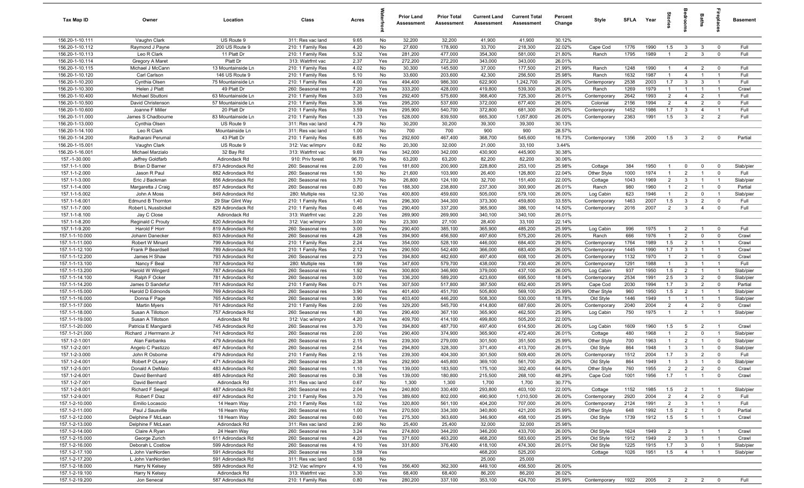| Tax Map ID                         | Owner                              | Location                               | Class                                  | Acres        |            | <b>Prior Land</b><br>Assessment | <b>Prior Total</b><br>Assessment | <b>Current Land</b><br>Assessment | <b>Current Total</b><br>Assessment | Percent<br>Change | Style                     | <b>SFLA</b>  | Year              | ĝ.                    |                                  | Baths                            | Бер<br>Б                         | <b>Basement</b>        |
|------------------------------------|------------------------------------|----------------------------------------|----------------------------------------|--------------|------------|---------------------------------|----------------------------------|-----------------------------------|------------------------------------|-------------------|---------------------------|--------------|-------------------|-----------------------|----------------------------------|----------------------------------|----------------------------------|------------------------|
| 156.20-1-10.111                    | Vaughn Clark                       | US Route 9                             | 311: Res vac land                      | 9.65         | No         | 32,200                          | 32,200                           | 41,900                            | 41,900                             | 30.12%            |                           |              |                   |                       |                                  |                                  |                                  |                        |
| 156.20-1-10.112                    | Raymond J Payne                    | 200 US Route 9                         | 210: 1 Family Res                      | 4.20         | No         | 27,600                          | 178,900                          | 33,700                            | 218,300                            | 22.02%            | Cape Cod                  | 1776         | 1990              | 1.5                   | $\overline{3}$                   | $\mathbf{3}$                     | $\mathbf 0$                      | Full                   |
| 156.20-1-10.113                    | Leo R Clark                        | 11 Platt Dr                            | 210: 1 Family Res                      | 5.32         | Yes        | 281,200                         | 477,000                          | 354,300                           | 581,000                            | 21.80%            | Ranch                     | 1795         | 1989              | $\mathbf{1}$          | $\overline{2}$                   | $\mathbf{3}$                     | $\mathbf 0$                      | Full                   |
| 156.20-1-10.114<br>156.20-1-10.115 | Gregory A Maret                    | Platt Dr                               | 313: Watrfrnt vac                      | 2.37         | Yes        | 272,200                         | 272,200                          | 343,000                           | 343,000                            | 26.01%            |                           |              |                   | $\mathbf{1}$          |                                  |                                  | $\mathbf 0$                      | Full                   |
| 156.20-1-10.120                    | Michael J McCann<br>Carl Carlson   | 13 Mountainside Ln<br>146 US Route 9   | 210: 1 Family Res<br>210: 1 Family Res | 4.02<br>5.10 | No<br>No   | 30,300<br>33,600                | 145,500<br>203,600               | 37,000<br>42,300                  | 177,500<br>256,500                 | 21.99%<br>25.98%  | Ranch<br>Ranch            | 1248<br>1632 | 1990<br>1987      |                       | $\overline{4}$<br>$\overline{4}$ | $\overline{2}$<br>$\overline{1}$ | $\mathbf{1}$                     | Full                   |
| 156.20-1-10.200                    | Cynthia Olsen                      | 75 Mountainside Ln                     | 210: 1 Family Res                      | 4.00         | Yes        | 494,400                         | 986,300                          | 622,900                           | 1,242,700                          | 26.00%            | Contemporar               | 2538         | 2003              | 1.7                   | $\mathbf{3}$                     | $\mathbf{3}$                     | $\overline{1}$                   | Full                   |
| 156.20-1-10.300                    | Helen J Platt                      | 49 Platt Dr                            | 260: Seasonal res                      | 7.20         | Yes        | 333,200                         | 428,000                          | 419,800                           | 539,300                            | 26.00%            | Ranch                     | 1269         | 1979              | $\overline{1}$        | $\overline{1}$                   | $\overline{1}$                   | $\overline{1}$                   | Crawl                  |
| 156.20-1-10.400                    | Michael Sbuttoni                   | 63 Mountainside Ln                     | 210: 1 Family Res                      | 3.03         | Yes        | 292,400                         | 575,600                          | 368,400                           | 725,300                            | 26.01%            | Contemporary              | 2642         | 1993              | $\overline{2}$        | $\overline{4}$                   | $\overline{2}$                   | $\overline{1}$                   | Full                   |
| 156.20-1-10.500                    | David Christenson                  | 57 Mountainside Ln                     | 210: 1 Family Res                      | 3.36         | Yes        | 295,200                         | 537,600                          | 372,000                           | 677,400                            | 26.00%            | Colonial                  | 2156         | 1994              | $\overline{2}$        | $\overline{4}$                   | $\overline{2}$                   | $\Omega$                         | Full                   |
| 156.20-1-10.600                    | Joanne F Miller                    | 20 Platt Dr                            | 210: 1 Family Res                      | 3.59         | Yes        | 295,900                         | 540,700                          | 372,800                           | 681,300                            | 26.00%            | Contemporary              | 1452         | 1986              | 1.7                   | 3                                | $\overline{4}$                   | $\overline{1}$                   | Full                   |
| 156.20-1-11.000                    | James S Chadbourne                 | 83 Mountainside Ln                     | 210: 1 Family Res                      | 1.33         | Yes        | 528,000                         | 839,500                          | 665,300                           | 1,057,800                          | 26.00%            | Contemporary              | 2363         | 1991              | 1.5                   | $\mathbf{3}$                     | $\overline{2}$                   | $\overline{2}$                   | Full                   |
| 156.20-1-13.000                    | Cynthia Olsen                      | US Route 9                             | 311: Res vac land                      | 4.79         | No         | 30,200                          | 30,200                           | 39,300                            | 39,300                             | 30.13%            |                           |              |                   |                       |                                  |                                  |                                  |                        |
| 156.20-1-14.100                    | Leo R Clark                        | Mountainside Ln                        | 311: Res vac land                      | 1.00         | No         | 700                             | 700                              | 900                               | 900                                | 28.57%            |                           |              |                   |                       |                                  |                                  |                                  |                        |
| 156.20-1-14.200                    | Radharani Perumal                  | 43 Platt Dr                            | 210: 1 Family Res                      | 6.85         | Yes        | 292,600                         | 467,400                          | 368,700                           | 545,600                            | 16.73%            | Contemporary              | 1356         | 2000              | 1.5                   | $\mathbf{3}$                     | 2                                | $\Omega$                         | Partial                |
| 156.20-1-15.001                    | Vaughn Clark                       | US Route 9                             | 312: Vac w/imprv                       | 0.82         | No         | 20,300                          | 32,000                           | 21,000                            | 33,100                             | 3.44%             |                           |              |                   |                       |                                  |                                  |                                  |                        |
| 156.20-1-16.001                    | Michael Marzialo                   | 32 Bay Rd                              | 313: Watrfrnt vac                      | 9.69         | Yes        | 342,000                         | 342,000                          | 430,900                           | 445,900                            | 30.38%            |                           |              |                   |                       |                                  |                                  |                                  |                        |
| 157.-1-30.000<br>157.1-1-1.000     | Jeffrey Goldfarb<br>Brian D Barner | Adirondack Rd<br>873 Adirondack Rd     | 910: Priv forest<br>260: Seasonal res  | 96.70        | No<br>Yes  | 63,200<br>181,600               | 63,200<br>200,900                | 82,200<br>228,800                 | 82,200<br>253,100                  | 30.06%<br>25.98%  |                           |              | 1950              | $\mathbf{1}$          | $\mathbf 0$                      |                                  | $\mathbf 0$                      |                        |
| 157.1-1-2.000                      | Jason R Paul                       | 882 Adirondack Rd                      | 260: Seasonal res                      | 2.00<br>1.50 | No         | 21,600                          | 103,900                          | 26,400                            | 126,800                            | 22.04%            | Cottage<br>Other Style    | 384<br>1000  | 1974              | $\mathbf{1}$          | $\overline{2}$                   | $\mathbf 0$<br>$\overline{1}$    | $\mathbf 0$                      | Slab/pier<br>Full      |
| 157.1-1-3.000                      | Eric J Backman                     | 856 Adirondack Rd                      | 260: Seasonal res                      | 3.70         | No         | 26,800                          | 124,100                          | 32,700                            | 151,400                            | 22.00%            | Cottage                   | 1043         | 1969              | $\overline{2}$        | $\mathbf{3}$                     | $\overline{1}$                   | $\overline{1}$                   | Slab/pier              |
| 157.1-1-4.000                      | Margaretta J Craig                 | 857 Adirondack Rd                      | 260: Seasonal res                      | 0.80         | Yes        | 188,300                         | 238,800                          | 237,300                           | 300,900                            | 26.01%            | Ranch                     | 980          | 1960              | $\overline{1}$        | $\overline{2}$                   | $\overline{1}$                   | $\mathbf 0$                      | Partial                |
| 157.1-1-5.002                      | John A Moss                        | 849 Adirondack Rd                      | 280: Multiple res                      | 12.30        | Yes        | 400,800                         | 459,600                          | 505,000                           | 579,100                            | 26.00%            | Log Cabin                 | 623          | 1946              | $\overline{1}$        | $\overline{2}$                   | $\mathbf 0$                      | $\overline{1}$                   | Slab/pier              |
| 157.1-1-6.001                      | <b>Edmund B Thornton</b>           | 29 Star Glint Way                      | 210: 1 Family Res                      | 1.40         | Yes        | 296,300                         | 344,300                          | 373,300                           | 459,800                            | 33.55%            | Contemporary              | 1463         | 2007              | 1.5                   | $\mathbf{3}$                     | $\overline{2}$                   | $\Omega$                         | Full                   |
| 157.1-1-7.000                      | Robert L Nussbickel                | 829 Adirondack Rd                      | 210: 1 Family Res                      | 0.46         | Yes        | 290,400                         | 337,200                          | 365,900                           | 386,100                            | 14.50%            | Contemporary              | 2016         | 2007              | 2                     | $\mathbf{3}$                     | $\overline{4}$                   | $\mathbf 0$                      | Full                   |
| 157.1-1-8.100                      | Jay C Close                        | Adirondack Rd                          | 313: Watrfrnt vac                      | 2.20         | Yes        | 269,900                         | 269,900                          | 340,100                           | 340,100                            | 26.01%            |                           |              |                   |                       |                                  |                                  |                                  |                        |
| 157.1-1-8.200                      | Reginald C Prouty                  | 820 Adirondack Rd                      | 312: Vac w/imprv                       | 3.00         | No         | 23,300                          | 27,100                           | 28,400                            | 33,100                             | 22.14%            |                           |              |                   |                       |                                  |                                  |                                  |                        |
| 157.1-1-9.200                      | Harold F Horr                      | 819 Adirondack Rd                      | 260: Seasonal res                      | 3.00         | Yes        | 290,400                         | 385,100                          | 365,900                           | 485,200                            | 25.99%            | Log Cabin                 | 996          | 1975              | $\mathbf{1}$          | $\overline{2}$                   | $\overline{1}$                   | $\mathbf 0$                      | Full                   |
| 157.1-1-10.000                     | Johann Danecker                    | 803 Adirondack Rd                      | 260: Seasonal res                      | 4.28         | Yes        | 394,900                         | 456,500                          | 497,600                           | 575,200                            | 26.00%            | Ranch                     | 666          | 1976              | $\mathbf{1}$          | $\overline{2}$                   | $\mathbf 0$                      | $\mathbf 0$                      | Crawl                  |
| 157.1-1-11.000                     | Robert W Minard                    | 799 Adirondack Rd                      | 210: 1 Family Res                      | 2.24         | Yes        | 354,000                         | 528,100                          | 446,000                           | 684,400                            | 29.60%            | Contemporary              | 1764         | 1989              | 1.5                   | $\overline{2}$                   |                                  |                                  | Crawl                  |
| 157.1-1-12.100                     | Frank P Beardsell                  | 789 Adirondack Rd                      | 210: 1 Family Res                      | 2.12         | Yes        | 290,500                         | 542,400                          | 366,000                           | 683,400                            | 26.00%            | Contemporary              | 1445         | 1990              | 1.7                   | $\mathbf{3}$                     | $\overline{1}$                   | $\mathbf{1}$                     | Crawl                  |
| 157.1-1-12.200                     | James H Shaw                       | 793 Adirondack Rd                      | 260: Seasonal res                      | 2.73         | Yes        | 394,800                         | 482,600                          | 497,400                           | 608,100                            | 26.00%            | Contemporary              | 1132         | 1970              | $\overline{1}$        | $\overline{2}$                   | $\overline{1}$                   | $\mathbf 0$                      | Crawl                  |
| 157.1-1-13.100                     | Nancy F Beal                       | 787 Adirondack Rd                      | 280: Multiple res                      | 1.99         | Yes<br>Yes | 347,600                         | 579,700                          | 438,000                           | 730,400                            | 26.00%<br>26.00%  | Contemporary              | 1291         | 1988<br>1950      | $\overline{1}$        | $\mathbf{3}$<br>$\overline{2}$   | $\overline{1}$<br>$\overline{1}$ | $\overline{1}$<br>$\overline{1}$ | Full                   |
| 157.1-1-13.200<br>157.1-1-14.100   | Harold W Wingerd<br>Ralph F Ocker  | 787 Adirondack Rd<br>781 Adirondack Rd | 260: Seasonal res<br>260: Seasonal res | 1.92<br>3.00 | Yes        | 300,800<br>336,200              | 346,900<br>589,200               | 379,000<br>423,600                | 437,100<br>695,500                 | 18.04%            | Log Cabin<br>Contemporary | 937<br>2534  | 1991              | 1.5<br>2.5            | 3                                | $\overline{2}$                   | $\mathbf 0$                      | Slab/pier<br>Slab/pier |
| 157.1-1-14.200                     | James D Sandefur                   | 781 Adirondack Rd                      | 210: 1 Family Res                      | 0.71         | Yes        | 307,500                         | 517,800                          | 387,500                           | 652,400                            | 25.99%            | Cape Cod                  | 2030         | 1994              | 1.7                   | $\mathbf{3}$                     | $\overline{2}$                   | $\mathbf 0$                      | Partial                |
| 157.1-1-15.000                     | Harold D Edmonds                   | 769 Adirondack Rd                      | 260: Seasonal res                      | 3.90         | Yes        | 401,400                         | 451,700                          | 505,800                           | 569,100                            | 25.99%            | Other Style               | 960          | 1950              | 1.5                   | $\overline{2}$                   | $\overline{1}$                   | $\overline{1}$                   | Slab/pier              |
| 157.1-1-16.000                     | Donna F Page                       | 765 Adirondack Rd                      | 260: Seasonal res                      | 3.90         | Yes        | 403,400                         | 446,200                          | 508,300                           | 530,000                            | 18.78%            | Old Style                 | 1446         | 1949              | $\mathbf{1}$          | $\overline{1}$                   | $\overline{1}$                   | $\overline{1}$                   | Slab/pier              |
| 157.1-1-17.000                     | Martin Myers                       | 761 Adirondack Rd                      | 210: 1 Family Res                      | 2.00         | Yes        | 329,200                         | 545,700                          | 414,800                           | 687,600                            | 26.00%            | Contemporary              | 2040         | 2004              | $\overline{2}$        | $\overline{4}$                   | $\overline{2}$                   | $\mathbf 0$                      | Crawl                  |
| 157.1-1-18.000                     | Susan A Tillotson                  | 757 Adirondack Rd                      | 260: Seasonal res                      | 1.80         | Yes        | 290,400                         | 367,100                          | 365,900                           | 462,500                            | 25.99%            | Log Cabin                 | 750          | 1975              | $\overline{1}$        | 2                                | $\overline{1}$                   | $\overline{1}$                   | Slab/pier              |
| 157.1-1-19.000                     | Susan A Tillotson                  | Adirondack Rd                          | 312: Vac w/imprv                       | 4.20         | Yes        | 409,700                         | 414,100                          | 499,800                           | 505,200                            | 22.00%            |                           |              |                   |                       |                                  |                                  |                                  |                        |
| 157.1-1-20.000                     | Patricia E Mangiardi               | 745 Adirondack Rd                      | 260: Seasonal res                      | 3.70         | Yes        | 394,800                         | 487,700                          | 497,400                           | 614,500                            | 26.00%            | Log Cabin                 | 1609         | 1960              | 1.5                   | 5                                | $\overline{2}$                   | $\overline{1}$                   | Crawl                  |
| 157.1-1-21.000                     | Richard J Herrmann Jr              | 741 Adirondack Rd                      | 260: Seasonal res                      | 2.00         | Yes        | 290,400                         | 374,900                          | 365,900                           | 472,400                            | 26.01%            | Cottage                   | 480          | 1968              | $\overline{1}$        | $\overline{2}$                   | $\mathbf 0$                      |                                  | Slab/pier              |
| 157.1-2-1.001                      | Alan Fairbanks                     | 479 Adirondack Rd                      | 260: Seasonal res                      | 2.15         | Yes        | 239,300                         | 279,000                          | 301,500                           | 351,500                            | 25.99%            | Other Style               | 700          | 1963              | $\mathbf{1}$          | $\overline{2}$                   | $\overline{1}$                   | $\mathbf 0$                      | Slab/pier              |
| 157.1-2-2.001                      | Angelo C Pastizzo                  | 467 Adirondack Rd                      | 260: Seasonal res                      | 2.54         | Yes        | 294,800                         | 328,300                          | 371,400                           | 413,700                            | 26.01%            | Old Style                 | 864          | 1948              | -1                    | -3                               |                                  | $\Omega$                         | Slab/pier              |
| 157.1-2-3.000                      | John R Osborne                     | 479 Adirondack Rd                      | 210: 1 Family Res                      | 2.15         | Yes        | 239,300                         | 404,300                          | 301,500                           | 509,400                            | 26.00%            | Contemporary              | 1512         | 2004              | 1.7<br>$\overline{1}$ | $\mathbf{3}$<br>$\mathbf{R}$     | $\overline{2}$<br>$\overline{1}$ | $\Omega$                         | Full                   |
| 157.1-2-4.001<br>157.1-2-5.001     | Robert P OLeary<br>Donald A DeMaio | 471 Adirondack Rd<br>483 Adirondack Rd | 260: Seasonal res                      | 2.38<br>1.10 | Yes<br>Yes | 292,900<br>139,000              | 445,800<br>183,500               | 369,100<br>175,100                | 561,700<br>302,400                 | 26.00%<br>64.80%  | Old Style                 | 864<br>760   | 1949<br>1955      | $\overline{2}$        | $\overline{2}$                   | $\overline{2}$                   | 0<br>$\mathbf 0$                 | Slab/pier<br>Crawl     |
| 157.1-2-6.001                      | David Bernhard                     | 485 Adirondack Rd                      | 260: Seasonal res<br>260: Seasonal res | 0.38         | Yes        | 139,000                         | 180,800                          | 215,500                           | 268,100                            | 48.29%            | Other Style<br>Cape Cod   | 1001         | 1956              | 1.7                   | $\overline{1}$                   | $\overline{1}$                   | $\mathbf 0$                      | Crawl                  |
| 157.1-2-7.001                      | David Bernhard                     | Adirondack Rd                          | 311: Res vac land                      | 0.67         | No         | 1,300                           | 1,300                            | 1,700                             | 1,700                              | 30.77%            |                           |              |                   |                       |                                  |                                  |                                  |                        |
| 157.1-2-8.001                      | Richard F Seegal                   | 487 Adirondack Rd                      | 260: Seasonal res                      | 2.04         | Yes        | 240,800                         | 330,400                          | 293,800                           | 403,100                            | 22.00%            | Cottage                   | 1152         | 1985              | 1.5                   | $\overline{2}$                   | $\overline{1}$                   | $\overline{1}$                   | Slab/pier              |
| 157.1-2-9.001                      | Robert F Diaz                      | 497 Adirondack Rd                      | 210: 1 Family Res                      | 3.70         | Yes        | 389,600                         | 802,000                          | 490,900                           | 1,010,500                          | 26.00%            | Contemporary              | 2920         | 2004              | $\overline{2}$        | $\overline{4}$                   | $\overline{2}$                   | $\mathbf 0$                      | Full                   |
| 157.1-2-10.000                     | Emilio Locascio                    | 14 Hearn Way                           | 210: 1 Family Res                      | 1.02         | Yes        | 320,800                         | 561,100                          | 404,200                           | 707,000                            | 26.00%            | Contemporary              | 2124         | 1991              | $\overline{2}$        | $\mathbf{3}$                     | $\overline{1}$                   | $\overline{1}$                   | Full                   |
| 157.1-2-11.000                     | Paul J Sausville                   | 16 Hearn Way                           | 260: Seasonal res                      | 1.00         | Yes        | 270,500                         | 334,300                          | 340,800                           | 421,200                            | 25.99%            | Other Style               | 648          | 1992              | 1.5                   | $\overline{2}$                   | $\overline{1}$                   | $\mathbf 0$                      | Partial                |
| 157.1-2-12.000                     | Delphine F McLean                  | 18 Hearn Way                           | 260: Seasonal res                      | 0.60         | Yes        | 275,300                         | 363,600                          | 346,900                           | 458,100                            | 25.99%            | Old Style                 | 1739         | 1912              | 1.5                   | $5\overline{6}$                  | $\overline{1}$                   | $\overline{1}$                   | Crawl                  |
| 157.1-2-13.000                     | Delphine F McLean                  | Adirondack Rd                          | 311: Res vac land                      | 2.90         | No         | 25,400                          | 25,400                           | 32,000                            | 32,000                             | 25.98%            |                           |              |                   |                       |                                  |                                  |                                  |                        |
| 157.1-2-14.000                     | Claire A Ryan                      | 24 Hearn Way                           | 260: Seasonal res                      | 3.24         | Yes        | 274,800                         | 344,200                          | 346,200                           | 433,700                            | 26.00%            | Old Style                 | 1624         | 1949              | $\overline{2}$        | $\mathbf{3}$                     | $\overline{1}$                   | $\overline{1}$                   | Crawl                  |
| 157.1-2-15.000                     | George Zurich                      | 611 Adirondack Rd                      | 260: Seasonal res                      | 4.20         | Yes        | 371,600                         | 463,200                          | 468,200                           | 583,600                            | 25.99%            | Old Style                 | 1912         | 1949              | $\overline{2}$        | $\mathbf{3}$                     | $\overline{1}$                   | $\overline{1}$                   | Crawl                  |
| 157.1-2-16.000                     | Deborah L Costlow                  | 599 Adirondack Rd                      | 260: Seasonal res                      | 4.10         | Yes        | 331,800                         | 376,400                          | 418,100                           | 474,300                            | 26.01%            | Old Style                 | 1225         | 1915              | 1.7                   | $\mathbf{3}$                     | $\mathbf 0$                      | $\overline{1}$                   | Slab/pier              |
| 157.1-2-17.100                     | L John VanNorden                   | 591 Adirondack Rd                      | 260: Seasonal res                      | 3.59         | Yes        |                                 |                                  | 468,200                           | 525,200                            |                   | Cottage                   | 1026         | 1951              | 1.5                   | $\overline{4}$                   | $\overline{1}$                   | $\overline{1}$                   | Slab/pier              |
| 157.1-2-17.200                     | L John VanNorden                   | 591 Adirondack Rd                      | 311: Res vac land                      | 0.58         | No         |                                 |                                  | 25,000                            | 25,000                             |                   |                           |              |                   |                       |                                  |                                  |                                  |                        |
| 157.1-2-18.000                     | Harry N Kelsey                     | 589 Adirondack Rd<br>Adirondack Rd     | 312: Vac w/imprv<br>313: Watrfrnt vac  | 4.10<br>3.30 | Yes<br>Yes | 356,400<br>68,400               | 362,300<br>68,400                | 449,100<br>86,200                 | 456,500<br>86,200                  | 26.00%<br>26.02%  |                           |              |                   |                       |                                  |                                  |                                  |                        |
| 157.1-2-19.100<br>157.1-2-19.200   | Harry N Kelsey<br>Jon Senecal      | 587 Adirondack Rd                      | 210: 1 Family Res                      | 0.80         | Yes        | 280,200                         | 337,100                          | 353,100                           | 424,700                            | 25.99%            | Contemporary              |              | 1922 2005 2 2 2 0 |                       |                                  |                                  |                                  | Full                   |
|                                    |                                    |                                        |                                        |              |            |                                 |                                  |                                   |                                    |                   |                           |              |                   |                       |                                  |                                  |                                  |                        |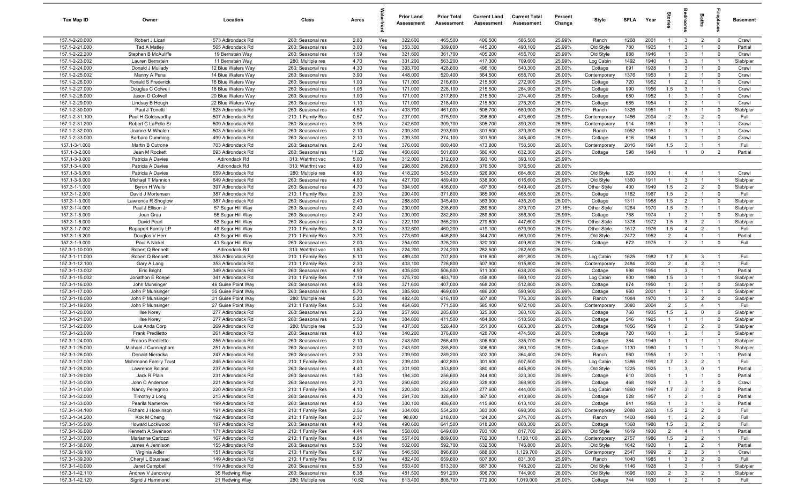| Tax Map ID                       | Owner                                   | Location                               | Class                                  | Acres        |            | <b>Prior Land</b><br>Assessment | <b>Prior Total</b><br>Assessment | <b>Current Land</b><br>Assessment | <b>Current Total</b><br>Assessment | Percent<br>Change | Style                        | SFLA         | Year         | $\overline{a}$                   | groo                         | repla<br><b>Baths</b>                                                | <b>Basement</b>        |
|----------------------------------|-----------------------------------------|----------------------------------------|----------------------------------------|--------------|------------|---------------------------------|----------------------------------|-----------------------------------|------------------------------------|-------------------|------------------------------|--------------|--------------|----------------------------------|------------------------------|----------------------------------------------------------------------|------------------------|
| 157.1-2-20.000                   | Robert J Licari                         | 573 Adirondack Rd                      | 260: Seasonal res                      | 2.80         | Yes        | 322,600                         | 465,500                          | 406,500                           | 586,500                            | 25.99%            | Ranch                        | 1268         | 2001         | $\overline{1}$                   | $\mathbf{3}$                 | $\overline{2}$<br>$\overline{0}$                                     | Crawl                  |
| 157.1-2-21.000                   | Tad A Matley                            | 565 Adirondack Rd                      | 260: Seasonal res                      | 3.00         | Yes        | 353,300                         | 389,000                          | 445,200                           | 490,100                            | 25.99%            | Old Style                    | 780          | 1925         | $\overline{1}$                   | $\mathbf{3}$                 | $\mathbf 0$<br>$\overline{1}$                                        | Partial                |
| 157.1-2-22.200                   | Stephen B McAuliffe                     | 19 Bernstein Way                       | 260: Seasonal res                      | 1.59         | Yes        | 321,600                         | 361,700                          | 405,200                           | 455,700                            | 25.99%            | Old Style                    | 888          | 1946         | $\mathbf{1}$                     | $\mathbf{3}$                 | $\mathbf 0$<br>$\overline{1}$                                        | Crawl                  |
| 157.1-2-23.002                   | Lauren Bernstein                        | 11 Bernstein Way                       | 280: Multiple res                      | 4.70         | Yes        | 331,200                         | 563,200                          | 417,300                           | 709,600                            | 25.99%            | Log Cabin                    | 1492         | 1940         | $\mathbf{1}$                     | $\mathbf{3}$                 | - 1                                                                  | Slab/pier              |
| 157.1-2-24.000                   | Donald J Mullady                        | 12 Blue Waters Way                     | 260: Seasonal res                      | 4.30         | Yes        | 393,700                         | 428,800                          | 496,100                           | 540,300                            | 26.00%            | Cottage                      | 691          | 1928         | $\mathbf{1}$                     | $\mathbf{3}$                 | $\mathbf 0$                                                          | Crawl                  |
| 157.1-2-25.002                   | Manny A Pena                            | 14 Blue Waters Way                     | 260: Seasonal res                      | 3.90         | Yes        | 448,000                         | 520,400                          | 564,500                           | 655,700                            | 26.00%            | Contemporary                 | 1376         | 1953         | $\mathbf{1}$                     | $\overline{2}$               | $^{\circ}$                                                           | Crawl                  |
| 157.1-2-26.000                   | Ronald S Frederick                      | 16 Blue Waters Way                     | 260: Seasonal res                      | 1.00         | Yes        | 171,000                         | 216,600                          | 215,500                           | 272,900                            | 25.99%            | Cottage                      | 720          | 1952         | $\mathbf{1}$                     | $\overline{2}$               | $^{\circ}$                                                           | Crawl                  |
| 157.1-2-27.000                   | Douglas C Colwell                       | 18 Blue Waters Way                     | 260: Seasonal res                      | 1.05         | Yes        | 171,000                         | 226,100                          | 215,500                           | 284,900                            | 26.01%            | Cottage                      | 990          | 1956         | 1.5                              | $\mathbf{3}$                 | $\overline{1}$                                                       | Crawl                  |
| 157.1-2-28.000                   | Jason D Colwell                         | 20 Blue Waters Way                     | 260: Seasonal res                      | 1.00         | Yes        | 171,000                         | 217,800                          | 215,500                           | 274,400                            | 25.99%            | Cottage                      | 680          | 1952         | $\overline{1}$                   | $\mathbf{3}$                 | $\overline{1}$<br>$\mathbf 0$                                        | Crawl                  |
| 157.1-2-29.000                   | Lindsay B Hough                         | 22 Blue Waters Way                     | 260: Seasonal res                      | 1.10         | Yes        | 171,000                         | 218,400                          | 215,500                           | 275,200                            | 26.01%            | Cottage                      | 685          | 1954         | $\overline{1}$                   | $\overline{2}$               | $\overline{1}$                                                       | Crawl                  |
| 157.1-2-30.000<br>157.1-2-31.100 | Paul J Tonetti<br>Paul H Goldsworthy    | 523 Adirondack Rd<br>507 Adirondack Rd | 260: Seasonal res<br>210: 1 Family Res | 4.50<br>0.57 | Yes<br>Yes | 403,700<br>237,000              | 461,000<br>375,900               | 508,700<br>298,600                | 580,900<br>473,600                 | 26.01%<br>25.99%  | Ranch                        | 1326<br>1456 | 1951<br>2004 | $\overline{1}$<br>$\overline{2}$ | $\mathbf{3}$<br>$\mathbf{3}$ | $\overline{1}$<br>$\mathbf 0$<br>$\overline{2}$<br>$\mathbf 0$       | Slab/pier<br>Full      |
| 157.1-2-31.200                   | Robert C LaPollo Sr                     | 509 Adirondack Rd                      | 260: Seasonal res                      | 3.95         | Yes        | 242,600                         | 309,700                          | 305,700                           | 390,200                            | 25.99%            | Contemporary<br>Contemporary | 914          | 1961         | $\overline{1}$                   | $\mathbf{3}$                 | $\overline{1}$<br>$\overline{1}$                                     | Crawl                  |
| 157.1-2-32.000                   | Joanne M Whalen                         | 503 Adirondack Rd                      | 260: Seasonal res                      | 2.10         | Yes        | 239,300                         | 293,900                          | 301,500                           | 370,300                            | 26.00%            | Ranch                        | 1052         | 1951         | $\overline{1}$                   | $\mathbf{3}$                 | $\overline{1}$<br>$\overline{1}$                                     | Crawl                  |
| 157.1-2-33.000                   | <b>Barbara Cumming</b>                  | 499 Adirondack Rd                      | 260: Seasonal res                      | 2.10         | Yes        | 239,300                         | 274,100                          | 301,500                           | 345,400                            | 26.01%            | Cottage                      | 616          | 1948         | $\mathbf{1}$                     | $\overline{1}$               | $^{\circ}$<br>$\mathbf{1}$                                           | Crawl                  |
| 157.1-3-1.000                    | Martin B Cutrone                        | 703 Adirondack Rd                      | 260: Seasonal res                      | 2.40         | Yes        | 376,000                         | 600,400                          | 473,800                           | 756,500                            | 26.00%            | Contemporary                 | 2016         | 1991         | 1.5                              | $\mathbf{3}$                 | $\overline{1}$<br>$\overline{1}$                                     | Full                   |
| 157.1-3-2.000                    | Jean M Rockett                          | 693 Adirondack Rd                      | 260: Seasonal res                      | 11.20        | Yes        | 460,600                         | 501,800                          | 580,400                           | 632,300                            | 26.01%            | Cottage                      | 598          | 1948         | $\mathbf{1}$                     | $\overline{1}$               | $\overline{2}$<br>$\mathbf 0$                                        | Partial                |
| 157.1-3-3.000                    | Patricia A Davies                       | Adirondack Rd                          | 313: Watrfrnt vac                      | 5.00         | Yes        | 312,000                         | 312,000                          | 393,100                           | 393,100                            | 25.99%            |                              |              |              |                                  |                              |                                                                      |                        |
| 157.1-3-4.000                    | Patricia A Davies                       | Adirondack Rd                          | 313: Watrfrnt vac                      | 4.60         | Yes        | 298,800                         | 298,800                          | 376,500                           | 376,500                            | 26.00%            |                              |              |              |                                  |                              |                                                                      |                        |
| 157.1-3-5.000                    | Patricia A Davies                       | 659 Adirondack Rd                      | 280: Multiple res                      | 4.90         | Yes        | 418,200                         | 543,500                          | 526,900                           | 684,800                            | 26.00%            | Old Style                    | 925          | 1930         | $\mathbf{1}$                     | $\overline{4}$               | - 1                                                                  | Crawl                  |
| 157.1-3-6.000                    | Michael T Mannion                       | 649 Adirondack Rd                      | 260: Seasonal res                      | 4.80         | Yes        | 427,700                         | 489,400                          | 538,900                           | 616,600                            | 25.99%            | Old Style                    | 1360         | 1911         | $\overline{1}$                   | $\mathbf{3}$                 | $\overline{1}$                                                       | Slab/pier              |
| 157.3-1-1.000                    | Byron H Wells                           | 397 Adirondack Rd                      | 260: Seasonal res                      | 4.70         | Yes        | 394,900                         | 436,000                          | 497,600                           | 549,400                            | 26.01%            | Other Style                  | 400          | 1949         | 1.5                              | $\overline{2}$               | $\overline{2}$<br>$\mathbf 0$                                        | Slab/pier              |
| 157.3-1-2.000                    | David J Mortensen                       | 387 Adirondack Rd                      | 210: 1 Family Res                      | 2.30         | Yes        | 290,400                         | 371,800                          | 365,900                           | 468,500                            | 26.01%            | Cottage                      | 1182         | 1967         | 1.5                              | $\overline{2}$               | $\mathbf 0$<br>$\overline{1}$                                        | Full                   |
| 157.3-1-3.000                    | Lawrence R Shoglow                      | 387 Adirondack Rd                      | 260: Seasonal res                      | 2.40         | Yes        | 288,800                         | 345,400                          | 363,900                           | 435,200                            | 26.00%            | Cottage                      | 1311         | 1958         | 1.5                              | $\overline{2}$               | $\mathbf 0$<br>$\overline{1}$                                        | Slab/pier              |
| 157.3-1-4.000                    | Paul J Ellison Jr                       | 57 Sugar Hill Way                      | 260: Seasonal res                      | 2.40         | Yes        | 230,000                         | 298,600                          | 289,800                           | 379,700                            | 27.16%            | Other Style                  | 1264         | 1970         | 1.5                              | $\mathbf{3}$                 | $\overline{1}$<br>$\overline{1}$                                     | Slab/pier              |
| 157.3-1-5.000                    | Joan Grau                               | 55 Sugar Hill Way                      | 260: Seasonal res                      | 2.40         | Yes        | 230,000                         | 282,800                          | 289,800                           | 356,300                            | 25.99%            | Cottage                      | 768          | 1974         | $\overline{1}$                   | $\overline{2}$               | $\overline{1}$<br>$^{\circ}$                                         | Slab/pier              |
| 157.3-1-6.000                    | David Pearl                             | 53 Sugar Hill Way                      | 260: Seasonal res                      | 2.40         | Yes        | 222,100                         | 355,200                          | 279,800                           | 447,600                            | 26.01%            | Other Style                  | 1378         | 1972         | 1.5                              | $\mathbf{3}$                 | $\overline{2}$<br>$\overline{1}$                                     | Slab/pier              |
| 157.3-1-7.002                    | Rapoport Family LP                      | 49 Sugar Hill Way                      | 210: 1 Family Res                      | 3.12         | Yes        | 332,600                         | 460,200                          | 419,100                           | 579,900                            | 26.01%            | Other Style                  | 1512         | 1976         | 1.5                              | $\overline{4}$               | $\overline{2}$                                                       | Full                   |
| 157.3-1-8.200                    | Douglas V Herr                          | 43 Sugar Hill Way                      | 210: 1 Family Res                      | 3.70         | Yes        | 273,600                         | 446,800                          | 344,700                           | 563,000                            | 26.01%            | Old Style                    | 2472         | 1952         | $\overline{2}$<br>$\mathbf{1}$   | $\overline{4}$               | $\overline{1}$<br>$\overline{1}$                                     | Partial<br>Full        |
| 157.3-1-9.000<br>157.3-1-10.000  | Paul A Nickel<br>Robert Q Bennett       | 41 Sugar Hill Way<br>Adirondack Rd     | 260: Seasonal res<br>313: Watrfrnt vac | 2.00<br>1.80 | Yes<br>Yes | 254,000<br>224,200              | 325,200<br>224,200               | 320,000<br>282,500                | 409,800<br>282,500                 | 26.01%<br>26.00%  | Cottage                      | 672          | 1975         |                                  | $\overline{2}$               | $\mathbf 0$                                                          |                        |
| 157.3-1-11.000                   | Robert Q Bennett                        | 353 Adirondack Rd                      | 210: 1 Family Res                      | 5.10         | Yes        | 489,400                         | 707,800                          | 616,600                           | 891,800                            | 26.00%            | Log Cabin                    | 1625         | 1982         | 1.7                              | 5                            | 3<br>$\overline{1}$                                                  | Full                   |
| 157.3-1-12.100                   | Gary A Lang                             | 353 Adirondack Rd                      | 210: 1 Family Res                      | 2.30         | Yes        | 403,100                         | 726,800                          | 507,900                           | 915,800                            | 26.00%            | Contemporary                 | 2484         | 2000         | $\overline{2}$                   | $\overline{4}$               | $\overline{2}$<br>$\overline{1}$                                     | Full                   |
| 157.3-1-13.002                   | <b>Eric Bright</b>                      | 349 Adirondack Rd                      | 260: Seasonal res                      | 4.90         | Yes        | 405,800                         | 506,500                          | 511,300                           | 638,200                            | 26.00%            | Cottage                      | 998          | 1954         | $\overline{1}$                   | $\mathbf{3}$                 | $\overline{1}$                                                       | Partial                |
| 157.3-1-15.002                   | Jonathon E Roepe                        | 341 Adirondack Rd                      | 210: 1 Family Res                      | 7.19         | Yes        | 375,700                         | 483,700                          | 458,400                           | 590,100                            | 22.00%            | Log Cabin                    | 900          | 1980         | 1.5                              | $\mathbf{3}$                 | $\overline{1}$<br>$\overline{1}$                                     | Slab/pier              |
| 157.3-1-16.000                   | John Munsinger                          | 46 Guise Point Way                     | 260: Seasonal res                      | 4.50         | Yes        | 371,600                         | 407,000                          | 468,200                           | 512,800                            | 26.00%            | Cottage                      | 874          | 1950         | $\overline{1}$                   | $\overline{2}$               | $\mathbf 0$<br>$\overline{1}$                                        | Slab/pier              |
| 157.3-1-17.000                   | John P Munsinger                        | 35 Guise Point Way                     | 260: Seasonal res                      | 5.70         | Yes        | 385,900                         | 469,000                          | 486,200                           | 590,900                            | 25.99%            | Cottage                      | 960          | 2001         | $\overline{1}$                   | $\overline{2}$               | $\mathbf 0$<br>$\overline{1}$                                        | Slab/pier              |
| 157.3-1-18.000                   | John P Munsinger                        | 31 Guise Point Way                     | 280: Multiple res                      | 5.20         | Yes        | 482,400                         | 616,100                          | 607,800                           | 776,300                            | 26.00%            | Ranch                        | 1084         | 1970         | $\overline{1}$                   | $\mathbf{3}$                 | $\overline{2}$<br>$\mathbf 0$                                        | Slab/pier              |
| 157.3-1-19.000                   | John P Munsinger                        | 27 Guise Point Way                     | 210: 1 Family Res                      | 5.30         | Yes        | 464,600                         | 771,500                          | 585,400                           | 972,100                            | 26.00%            | Contemporary                 | 3080         | 2004         | $\overline{2}$                   | 5                            | $\overline{4}$<br>$\overline{1}$                                     | Full                   |
| 157.3-1-20.000                   | Ilse Korey                              | 277 Adirondack Rd                      | 260: Seasonal res                      | 2.20         | Yes        | 257,900                         | 285,800                          | 325,000                           | 360,100                            | 26.00%            | Cottage                      | 768          | 1935         | 1.5                              | 2                            | $\mathbf 0$<br>$\mathbf 0$                                           | Slab/pier              |
| 157.3-1-21.000                   | Ilse Korey                              | 277 Adirondack Rd                      | 260: Seasonal res                      | 2.50         | Yes        | 384,800                         | 411,500                          | 484,800                           | 518,500                            | 26.00%            | Cottage                      | 546          | 1925         | $\overline{1}$                   | $\overline{1}$               | $^{\circ}$<br>$\overline{1}$                                         | Slab/pier              |
| 157.3-1-22.000                   | Luis Anda Corp                          | 269 Adirondack Rd                      | 280: Multiple res                      | 5.30         | Yes        | 437,300                         | 526,400                          | 551,000                           | 663,300                            | 26.01%            | Cottage                      | 1056         | 1959         | $\mathbf{1}$                     | $\overline{2}$               | $\overline{2}$<br>$\mathbf 0$                                        | Slab/pier              |
| 157.3-1-23.000                   | Frank Prediletto                        | 261 Adirondack Rd                      | 260: Seasonal res                      | 4.60         | Yes        | 340,200                         | 376,600                          | 428,700                           | 474,500                            | 26.00%            | Cottage                      | 720          | 1960         | $\mathbf{1}$                     | $\overline{2}$               | $^{\circ}$                                                           | Slab/pier              |
| 157.3-1-24.000                   | Francis Prediletto                      | 255 Adirondack Rd                      | 260: Seasonal res                      | 2.10         | Yes        | 243,500                         | 266,400                          | 306,800                           | 335,700                            | 26.01%            | Cottage                      | 384          | 1949         | 1                                |                              |                                                                      | Slab/pier              |
| 157.3-1-25.000<br>157.3-1-26.000 | Michael J Cunningham<br>Donald Nieradka | 251 Adirondack Rd<br>247 Adirondack Rd | 260: Seasonal res<br>260: Seasonal res | 2.00<br>2.30 | Yes<br>Yes | 243,500<br>239,900              | 285,800<br>289,200               | 306,800<br>302,300                | 360,100<br>364,400                 | 26.00%<br>26.00%  | Cottage<br>Ranch             | 1130<br>960  | 1960<br>1955 | $\mathbf{1}$                     | $\overline{2}$               | $\overline{1}$                                                       | Slab/pier<br>Partial   |
| 157.3-1-27.000                   | Mohrmann Family Trust                   | 245 Adirondack Rd                      | 210: 1 Family Res                      | 2.00         | Yes        | 239,400                         | 402,800                          | 301,600                           | 507,500                            | 25.99%            | Log Cabin                    | 1386         | 1992         | 1.7                              | 2                            | $\overline{2}$                                                       | Full                   |
| 157.3-1-28.000                   | Lawrence Boland                         | 237 Adirondack Rd                      | 260: Seasonal res                      | 4.40         | Yes        | 301,900                         | 353,800                          | 380,400                           | 445,800                            | 26.00%            | Old Style                    | 1225         | 1925         | $\overline{1}$                   | $\mathbf{3}$                 | $\mathbf 0$<br>$\overline{1}$                                        | Partial                |
| 157.3-1-29.000                   | Jack R Plain                            | 231 Adirondack Rd                      | 260: Seasonal res                      | 1.60         | Yes        | 194,300                         | 256,600                          | 244,800                           | 323,300                            | 25.99%            | Cottage                      | 610          | 2005         | $\overline{1}$                   | $\overline{1}$               | $\mathbf 0$<br>$\overline{1}$                                        | Partial                |
| 157.3-1-30.000                   | John C Anderson                         | 221 Adirondack Rd                      | 260: Seasonal res                      | 2.70         | Yes        | 260,600                         | 292,800                          | 328,400                           | 368,900                            | 25.99%            | Cottage                      | 468          | 1929         | $\overline{1}$                   | $\mathbf{3}$                 | $\overline{1}$<br>$\overline{0}$                                     | Crawl                  |
| 157.3-1-31.000                   | Nancy Pellegrino                        | 220 Adirondack Rd                      | 210: 1 Family Res                      | 4.10         | Yes        | 220,300                         | 352,400                          | 277,600                           | 444,000                            | 25.99%            | Log Cabin                    | 1860         | 1997         | 1.7                              | $\mathbf{3}$                 | $\overline{2}$<br>$\overline{\mathbf{0}}$                            | Partial                |
| 157.3-1-32.000                   | Timothy J Long                          | 213 Adirondack Rd                      | 260: Seasonal res                      | 4.70         | Yes        | 291,700                         | 328,400                          | 367,500                           | 413,800                            | 26.00%            | Cottage                      | 528          | 1957         | $\mathbf{1}$                     | $\overline{2}$               | $\mathbf 0$<br>$\overline{1}$                                        | Partial                |
| 157.3-1-33.000                   | Pearila Namerow                         | 199 Adirondack Rd                      | 260: Seasonal res                      | 4.50         | Yes        | 330,100                         | 486,600                          | 415,900                           | 613,100                            | 26.00%            | Cottage                      | 841          | 1958         | $\overline{1}$                   | $\mathbf{3}$                 | $\overline{0}$<br>$\overline{1}$                                     | Partial                |
| 157.3-1-34.100                   | Richard J Hoskinson                     | 191 Adirondack Rd                      | 210: 1 Family Res                      | 2.56         | Yes        | 304,000                         | 554,200                          | 383,000                           | 698,300                            | 26.00%            | Contemporary                 | 2088         | 2003         | 1.5                              | $\overline{2}$               | $\overline{2}$<br>$\mathbf 0$                                        | Full                   |
| 157.3-1-34.200                   | Kok M Cheng                             | 192 Adirondack Rd                      | 210: 1 Family Res                      | 2.37         | Yes        | 98,600                          | 218,000                          | 124,200                           | 274,700                            | 26.01%            | Ranch                        | 1408         | 1988         | $\mathbf{1}$                     | $\overline{2}$               | $\overline{2}$<br>$\mathbf 0$                                        | Full                   |
| 157.3-1-35.000                   | Howard Lockwood                         | 187 Adirondack Rd                      | 260: Seasonal res                      | 4.40         | Yes        | 490,600                         | 641,500                          | 618,200                           | 808,300                            | 26.00%            | Cottage                      | 1368         | 1980         | 1.5                              | $\mathbf{3}$                 | $\overline{2}$<br>$\mathbf 0$                                        | Full                   |
| 157.3-1-36.000                   | Kenneth A Swenson                       | 171 Adirondack Rd                      | 210: 1 Family Res                      | 4.44         | Yes        | 558,000                         | 649,000                          | 703,100                           | 817,700                            | 25.99%            | Old Style                    | 1619         | 1930         | $\overline{2}$                   | $\overline{4}$               | $\overline{1}$                                                       | Partial                |
| 157.3-1-37.000                   | Marianne Carlozzi                       | 167 Adirondack Rd                      | 210: 1 Family Res                      | 4.84         | Yes        | 557,400                         | 889,000                          | 702,300                           | 1,120,100                          | 26.00%            | Contemporary                 | 2757         | 1986         | 1.5                              | $\overline{2}$               | $\overline{2}$<br>$\overline{1}$                                     | Full                   |
| 157.3-1-38.000                   | James A Jennison                        | 155 Adirondack Rd                      | 260: Seasonal res                      | 5.50         | Yes        | 502,000                         | 592,700                          | 632,500                           | 746,800                            | 26.00%            | Old Style                    | 1642         | 1920         | $\mathbf{1}$                     | $\overline{2}$               | $\overline{2}$<br>$\overline{1}$                                     | Partial                |
| 157.3-1-39.100                   | Virginia Adler                          | 151 Adirondack Rd                      | 210: 1 Family Res                      | 5.97         | Yes        | 546,500                         | 896,600                          | 688,600                           | 1,129,700                          | 26.00%            | Contemporary                 | 2547         | 1999         | $\overline{2}$                   | $\overline{2}$               | $\mathbf{3}$<br>$\overline{1}$                                       | Crawl                  |
| 157.3-1-39.200                   | Cheryl L Boustead                       | 149 Adirondack Rd                      | 210: 1 Family Res                      | 6.19         | Yes        | 482,400                         | 659,800                          | 607,800                           | 831,300                            | 25.99%            | Ranch                        | 1040         | 1985         | $\mathbf{1}$<br>$\mathbf{1}$     | $\mathbf{3}$<br>$\mathbf{3}$ | $\overline{2}$<br>$\overline{0}$<br>$\overline{1}$<br>$\overline{1}$ | Full                   |
| 157.3-1-40.000<br>157.3-1-42.110 | Janet Campbell<br>Andrew V Janovsky     | 119 Adirondack Rd<br>35 Redwing Way    | 260: Seasonal res<br>260: Seasonal res | 5.50<br>6.38 | Yes<br>Yes | 563,400<br>481,500              | 613,300<br>591,200               | 687,300<br>606,700                | 748,200<br>744,900                 | 22.00%<br>26.00%  | Old Style<br>Old Style       | 1146<br>1696 | 1928<br>1920 | $\overline{2}$                   | $\mathbf{3}$                 | $\overline{2}$<br>$\overline{1}$                                     | Slab/pier<br>Slab/pier |
| 157.3-1-42.120                   | Sigrid J Hammond                        | 21 Redwing Way                         | 280: Multiple res                      | 10.62        | Yes        | 613,400                         | 808,700                          | 772,900                           | 1,019,000                          | 26.00%            | Cottage                      | 744          | 1930         | $\overline{1}$                   | $\overline{2}$               | $\overline{1}$<br>$\mathbf 0$                                        | Full                   |
|                                  |                                         |                                        |                                        |              |            |                                 |                                  |                                   |                                    |                   |                              |              |              |                                  |                              |                                                                      |                        |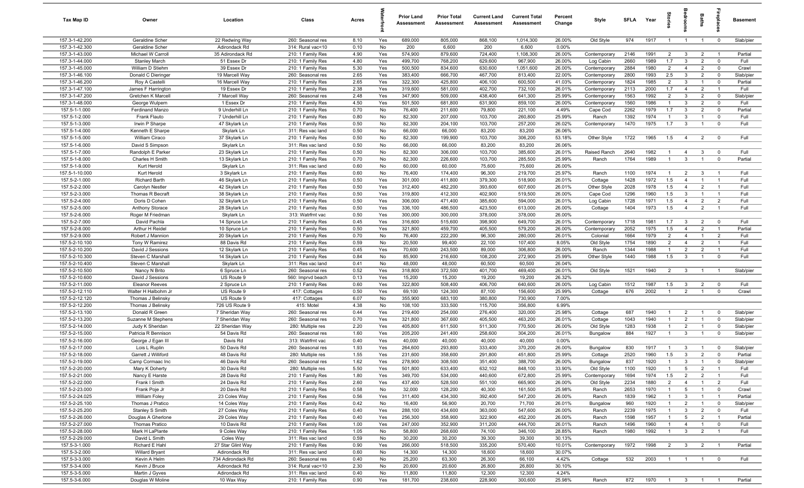| Tax Map ID                       | Owner                                   | Location                           | Class                                  | Acres        |            | <b>Prior Land</b><br>Assessment | <b>Prior Total</b><br>Assessment | <b>Current Land</b><br>Assessment | <b>Current Total</b><br>Assessment | Percent<br>Change | Style                        | <b>SFLA</b>  | Year         | tories                | ăroo                           | Baths                            | 흥                          | <b>Basement</b>      |
|----------------------------------|-----------------------------------------|------------------------------------|----------------------------------------|--------------|------------|---------------------------------|----------------------------------|-----------------------------------|------------------------------------|-------------------|------------------------------|--------------|--------------|-----------------------|--------------------------------|----------------------------------|----------------------------|----------------------|
| 157.3-1-42.200                   | Geraldine Scher                         | 22 Redwing Way                     | 260: Seasonal res                      | 8.10         | Yes        | 689,000                         | 805,000                          | 868,100                           | 1,014,300                          | 26.00%            | Old Style                    | 974          | 1917         | $\overline{1}$        | $\overline{1}$                 | $\overline{1}$                   | $\overline{\mathbf{0}}$    | Slab/pier            |
| 157.3-1-42.300                   | Geraldine Scher                         | Adirondack Rd                      | 314: Rural vac<10                      | 0.10         | No         | 200                             | 6,600                            | 200                               | 6,600                              | 0.00%             |                              |              |              |                       |                                |                                  |                            |                      |
| 157.3-1-43.000                   | Michael W Carroll                       | 35 Adirondack Rd                   | 210: 1 Family Res                      | 4.90         | Yes        | 574,900                         | 879,600                          | 724,400                           | 1,108,300                          | 26.00%            | Contemporary                 | 2146         | 1991         | $\overline{2}$        | $\mathbf{3}$                   | $\overline{2}$                   | $\overline{1}$             | Partial              |
| 157.3-1-44.000                   | <b>Stanley March</b>                    | 51 Essex Dr                        | 210: 1 Family Res                      | 4.80         | Yes        | 499,700                         | 768,200                          | 629,600                           | 967,900                            | 26.00%            | Log Cabin                    | 2660         | 1989         | 1.7                   | $\mathbf{3}$                   | $\overline{2}$                   | $\mathbf 0$                | Full                 |
| 157.3-1-45.000<br>157.3-1-46.100 | William D Stiehm<br>Donald C Dieringer  | 39 Essex Dr<br>19 Marcell Way      | 210: 1 Family Res<br>260: Seasonal res | 5.30<br>2.65 | Yes<br>Yes | 500,500<br>383,400              | 834,600<br>666,700               | 630,600<br>467,700                | 1,051,600<br>813,400               | 26.00%<br>22.00%  | Contemporary<br>Contemporary | 2884<br>2800 | 1980<br>1993 | $\overline{2}$<br>2.5 | $\overline{4}$<br>$\mathbf{3}$ | $\overline{2}$<br>$\overline{2}$ | $\mathbf 0$<br>$\mathbf 0$ | Crawl<br>Slab/pier   |
| 157.3-1-46.200                   | Roy A Castelli                          | 16 Marcell Way                     | 210: 1 Family Res                      | 2.65         | Yes        | 322,300                         | 425,800                          | 406,100                           | 600,500                            | 41.03%            | Contemporary                 | 1824         | 1985         | $\overline{2}$        | 3                              | $\overline{1}$                   | $\mathbf 0$                | Partial              |
| 157.3-1-47.100                   | James F Harrington                      | 19 Essex Dr                        | 210: 1 Family Res                      | 2.38         | Yes        | 319,600                         | 581,000                          | 402,700                           | 732,100                            | 26.01%            | Contemporary                 | 2113         | 2000         | 1.7                   | $\overline{4}$                 | $\overline{2}$                   | $\overline{1}$             | Full                 |
| 157.3-1-47.200                   | Gretchen K Marcell                      | 7 Marcell Way                      | 260: Seasonal res                      | 2.48         | Yes        | 347,900                         | 509,000                          | 438,400                           | 641,300                            | 25.99%            | Contemporary                 | 1563         | 1992         | $\overline{2}$        | $\mathbf{3}$                   | $\overline{2}$                   | $\mathbf 0$                | Slab/pier            |
| 157.3-1-48.000                   | George Wulpern                          | 1 Essex Dr                         | 210: 1 Family Res                      | 4.50         | Yes        | 501,500                         | 681,800                          | 631,900                           | 859,100                            | 26.00%            | Contemporary                 | 1560         | 1986         | $\overline{1}$        | 3                              | $\overline{2}$                   | $\mathbf 0$                | Full                 |
| 157.5-1-1.000                    | Ferdinand Manzo                         | 9 Underhill Ln                     | 210: 1 Family Res                      | 0.70         | No         | 76,400                          | 211,600                          | 79,800                            | 221,100                            | 4.49%             | Cape Cod                     | 2262         | 1979         | 1.7                   | $\mathbf{3}$                   | $\overline{2}$                   | $\mathbf 0$                | Partial              |
| 157.5-1-2.000                    | Frank Flauto                            | 7 Underhill Ln                     | 210: 1 Family Res                      | 0.80         | No         | 82,300                          | 207,000                          | 103,700                           | 260,800                            | 25.99%            | Ranch                        | 1392         | 1974         | $\overline{1}$        | 3                              | $\overline{1}$                   | $\mathbf 0$                | Full                 |
| 157.5-1-3.000                    | Irwin P Sharpe                          | 47 Skylark Ln                      | 210: 1 Family Res                      | 0.50         | No         | 82,300                          | 204,100                          | 103,700                           | 257,200                            | 26.02%            | Contemporary                 | 1470         | 1975         | 1.7                   | $\mathbf{3}$                   | $\overline{1}$                   | $\overline{0}$             | Full                 |
| 157.5-1-4.000                    | Kenneth E Sharpe                        | Skylark Ln                         | 311: Res vac land                      | 0.50         | No         | 66,000                          | 66,000                           | 83,200                            | 83,200                             | 26.06%            |                              |              |              |                       |                                |                                  |                            |                      |
| 157.5-1-5.000                    | William Ciraco                          | 37 Skylark Ln                      | 210: 1 Family Res                      | 0.50         | No         | 82,300                          | 199,900                          | 103,700                           | 306,200                            | 53.18%            | Other Style                  | 1722         | 1965         | 1.5                   | $\overline{4}$                 | $\overline{2}$                   | $\overline{0}$             | Full                 |
| 157.5-1-6.000                    | David S Simpson                         | Skylark Ln                         | 311: Res vac land                      | 0.50         | No         | 66,000                          | 66,000                           | 83,200                            | 83,200                             | 26.06%            |                              |              |              |                       |                                |                                  |                            |                      |
| 157.5-1-7.000                    | Randolph E Parker                       | 23 Skylark Ln                      | 210: 1 Family Res                      | 0.50         | No         | 82,300                          | 306,000                          | 103,700                           | 385,600                            | 26.01%            | Raised Ranch                 | 2640         | 1982         | $\overline{1}$        | $\overline{4}$                 | 3                                | $\mathbf 0$                | Full                 |
| 157.5-1-8.000                    | Charles H Smith                         | 13 Skylark Ln                      | 210: 1 Family Res                      | 0.70         | No         | 82,300                          | 226,600                          | 103,700                           | 285,500                            | 25.99%            | Ranch                        | 1764         | 1989         | $\overline{1}$        | $\mathbf{3}$                   | $\overline{1}$                   | $\mathbf 0$                | Partial              |
| 157.5-1-9.000<br>157.5-1-10.000  | Kurt Herold<br>Kurt Herold              | Skylark Ln<br>3 Skylark Ln         | 311: Res vac land<br>210: 1 Family Res | 0.60<br>0.60 | No<br>No   | 60,000<br>76,400                | 60,000<br>174,400                | 75,600<br>96,300                  | 75,600<br>219,700                  | 26.00%<br>25.97%  | Ranch                        | 1100         | 1974         | $\overline{1}$        | $\overline{2}$                 | 3                                | - 1                        | Full                 |
| 157.5-2-1.000                    | <b>Richard Barth</b>                    | 46 Skylark Ln                      | 210: 1 Family Res                      | 0.50         | Yes        | 301,000                         | 411,800                          | 379,300                           | 518,900                            | 26.01%            | Cottage                      | 1428         | 1972         | 1.5                   | $\overline{4}$                 | $\overline{1}$                   | $\overline{1}$             | Full                 |
| 157.5-2-2.000                    | Carolyn Nestler                         | 42 Skylark Ln                      | 210: 1 Family Res                      | 0.50         | Yes        | 312,400                         | 482,200                          | 393,600                           | 607,600                            | 26.01%            | Other Style                  | 2028         | 1978         | 1.5                   | $\overline{4}$                 | $\overline{2}$                   | $\overline{1}$             | Full                 |
| 157.5-2-3.000                    | Thomas R Becraft                        | 38 Skylark Ln                      | 210: 1 Family Res                      | 0.50         | Yes        | 319,800                         | 412,300                          | 402,900                           | 519,500                            | 26.00%            | Cape Cod                     | 1296         | 1960         | 1.5                   | $\mathbf{3}$                   | $\overline{1}$                   | $\overline{1}$             | Full                 |
| 157.5-2-4.000                    | Doris D Cohen                           | 32 Skylark Ln                      | 210: 1 Family Res                      | 0.50         | Yes        | 306,000                         | 471,400                          | 385,600                           | 594,000                            | 26.01%            | Log Cabin                    | 1728         | 1971         | 1.5                   | $\overline{4}$                 | $\overline{2}$                   | $\overline{2}$             | Full                 |
| 157.5-2-5.000                    | Anthony Storace                         | 28 Skylark Ln                      | 210: 1 Family Res                      | 0.50         | Yes        | 336,100                         | 486,500                          | 423,500                           | 613,000                            | 26.00%            | Cottage                      | 1404         | 1973         | 1.5                   | $\overline{4}$                 | $\overline{2}$                   | $\overline{1}$             | Full                 |
| 157.5-2-6.000                    | Roger M Friedman                        | Skylark Ln                         | 313: Watrfrnt vac                      | 0.50         | Yes        | 300,000                         | 300,000                          | 378,000                           | 378,000                            | 26.00%            |                              |              |              |                       |                                |                                  |                            |                      |
| 157.5-2-7.000                    | David Pachla                            | 14 Spruce Ln                       | 210: 1 Family Res                      | 0.45         | Yes        | 316,600                         | 515,600                          | 398,900                           | 649,700                            | 26.01%            | Contemporary                 | 1718         | 1981         | 1.7                   | $\mathbf{3}$                   | $\overline{2}$                   | $\overline{\mathbf{0}}$    | Full                 |
| 157.5-2-8.000                    | Arthur H Reidel                         | 10 Spruce Ln                       | 210: 1 Family Res                      | 0.50         | Yes        | 321,800                         | 459,700                          | 405,500                           | 579,200                            | 26.00%            | Contemporary                 | 2052         | 1975         | 1.5                   | $\overline{4}$                 | $\overline{2}$                   | $\overline{1}$             | Partial              |
| 157.5-2-9.000                    | Robert J Mannion                        | 20 Skylark Ln                      | 210: 1 Family Res                      | 0.70         | No         | 76,400                          | 222,200                          | 96,300                            | 280,000                            | 26.01%            | Colonial                     | 1664         | 1979         | $\overline{2}$        | $\overline{4}$                 | $\overline{1}$                   | $\overline{2}$             | Full                 |
| 157.5-2-10.100                   | Tony W Ramirez                          | 88 Davis Rd                        | 210: 1 Family Res                      | 0.59         | No         | 20,500                          | 99,400                           | 22,100                            | 107,400                            | 8.05%             | Old Style                    | 1754         | 1890         | $\overline{2}$        | $\overline{4}$                 | $\overline{2}$                   |                            | Full                 |
| 157.5-2-10.200                   | David J Sessions                        | 12 Skylark Ln                      | 210: 1 Family Res                      | 0.45         | Yes        | 70,600                          | 243,500                          | 89,000                            | 306,800                            | 26.00%            | Ranch                        | 1344         | 1988         | $\mathbf{1}$          | 2                              | $\overline{2}$                   | $\overline{1}$             | Full                 |
| 157.5-2-10.300<br>157.5-2-10.400 | Steven C Marshall                       | 14 Skylark Ln                      | 210: 1 Family Res                      | 0.84         | No<br>No   | 85,900<br>48,000                | 216,600<br>48,000                | 108,200<br>60,500                 | 272,900<br>60,500                  | 25.99%<br>26.04%  | Other Style                  | 1440         | 1988         | 1.5                   | 3                              | $\overline{1}$                   | $\mathbf 0$                | Full                 |
| 157.5-2-10.500                   | Steven C Marshall<br>Nancy N Brito      | Skylark Ln<br>6 Spruce Ln          | 311: Res vac land<br>260: Seasonal res | 0.41<br>0.52 | Yes        | 318,800                         | 372,500                          | 401,700                           | 469,400                            | 26.01%            | Old Style                    | 1521         | 1940         | $\overline{2}$        | $\overline{3}$                 | $\overline{1}$                   | $\overline{1}$             | Slab/pier            |
| 157.5-2-10.600                   | David J Sessions                        | US Route 9                         | 560: Imprvd beach                      | 0.13         | Yes        | 15,200                          | 15,200                           | 19,200                            | 19,200                             | 26.32%            |                              |              |              |                       |                                |                                  |                            |                      |
| 157.5-2-11.000                   | <b>Eleanor Reeves</b>                   | 2 Spruce Ln                        | 210: 1 Family Res                      | 0.60         | Yes        | 322,800                         | 508,400                          | 406,700                           | 640,600                            | 26.00%            | Log Cabin                    | 1512         | 1987         | 1.5                   | $\mathbf{3}$                   | $\overline{2}$                   | $\mathbf 0$                | Full                 |
| 157.5-2-12.110                   | Walter H Halbohm Jr                     | US Route 9                         | 417: Cottages                          | 0.50         | Yes        | 69,100                          | 124,300                          | 87,100                            | 156,600                            | 25.99%            | Cottage                      | 676          | 2002         | $\overline{1}$        | 2                              | $\overline{1}$                   | $\mathbf 0$                | Crawl                |
| 157.5-2-12.120                   | Thomas J Belinsky                       | US Route 9                         | 417: Cottages                          | 6.07         | No         | 355,900                         | 683,100                          | 380,800                           | 730,900                            | 7.00%             |                              |              |              |                       |                                |                                  |                            |                      |
| 157.5-2-12.200                   | Thomas J Belinsky                       | 726 US Route 9                     | 415: Motel                             | 4.38         | No         | 108,100                         | 333,500                          | 115,700                           | 356,800                            | 6.99%             |                              |              |              |                       |                                |                                  |                            |                      |
| 157.5-2-13.100                   | Donald R Green                          | 7 Sheridan Way                     | 260: Seasonal res                      | 0.44         | Yes        | 219,400                         | 254,000                          | 276,400                           | 320,000                            | 25.98%            | Cottage                      | 687          | 1940         | $\mathbf{1}$          | $\overline{2}$                 | $\overline{1}$                   | $\mathbf 0$                | Slab/pier            |
| 157.5-2-13.200                   | Suzanne M Stephens                      | 7 Sheridan Way                     | 260: Seasonal res                      | 0.70         | Yes        | 321,800                         | 367,600                          | 405,500                           | 463,200                            | 26.01%            | Cottage                      | 1043         | 1940         | $\overline{1}$        | $\overline{2}$                 | $\overline{1}$                   | $\mathbf 0$                | Slab/pier            |
| 157.5-2-14.000                   | Judy K Sheridan                         | 22 Sheridan Way                    | 280: Multiple res                      | 2.20         | Yes        | 405,800                         | 611,500                          | 511,300                           | 770,500                            | 26.00%            | Old Style                    | 1283         | 1938         | $\overline{1}$        | $\overline{2}$                 | $\overline{1}$                   | $\mathbf 0$                | Slab/pier            |
| 157.5-2-15.000                   | Patricia R Bennison                     | 54 Davis Rd                        | 260: Seasonal res                      | 1.60         | Yes        | 205,200                         | 241,400                          | 258,600                           | 304,200                            | 26.01%            | Bungalow                     | 884          | 1927         | $\overline{1}$        | $\mathbf{3}$                   | $\mathbf{1}$                     | $\mathbf 0$                | Slab/pier            |
| 157.5-2-16.000                   | George J Egan III                       | Davis Rd                           | 313: Watrfrnt vac                      | 0.40         | Yes        | 40,000                          | 40,000                           | 40,000                            | 40,000                             | 0.00%             |                              |              |              |                       |                                |                                  |                            |                      |
| 157.5-2-17.000                   | Lois L Ruplin                           | 50 Davis Rd                        | 260: Seasonal res                      | 1.93<br>1.55 | Yes        | 264,600<br>231,600              | 293,800<br>358,600               | 333,400                           | 370,200<br>451,800                 | 26.00%            | Bungalow                     | 830          | 1917         | -1                    | -3                             | $\overline{2}$                   | $\mathbf 0$                | Slab/pier            |
| 157.5-2-18.000<br>157.5-2-19.000 | Garrett J Williford<br>Camp Cormaac Inc | 48 Davis Rd<br>46 Davis Rd         | 280: Multiple res<br>260: Seasonal res | 1.62         | Yes<br>Yes | 278,900                         | 308,500                          | 291,800<br>351,400                | 388,700                            | 25.99%<br>26.00%  | Cottage<br>Bungalow          | 2520<br>837  | 1960<br>1920 | 1.5<br>$\overline{1}$ | $\mathbf{3}$<br>3              | $\overline{1}$                   | $\mathbf 0$<br>$\Omega$    | Partial<br>Slab/pier |
| 157.5-2-20.000                   | Mary K Doherty                          | 30 Davis Rd                        | 280: Multiple res                      | 5.50         | Yes        | 501,800                         | 633,400                          | 632,102                           | 848,100                            | 33.90%            | Old Style                    | 1100         | 1920         | $\overline{1}$        | $5\overline{)}$                | $\overline{2}$                   | $\overline{1}$             | Full                 |
| 157.5-2-21.000                   | Nancy E Harste                          | 28 Davis Rd                        | 210: 1 Family Res                      | 1.80         | Yes        | 349,700                         | 534,000                          | 440,600                           | 672,800                            | 25.99%            | Contemporary                 | 1694         | 1974         | 1.5                   | 2                              | $\overline{2}$                   | $\overline{1}$             | Full                 |
| 157.5-2-22.000                   | Frank I Smith                           | 24 Davis Rd                        | 210: 1 Family Res                      | 2.60         | Yes        | 437,400                         | 528,500                          | 551,100                           | 665,900                            | 26.00%            | Old Style                    | 2234         | 1880         | $\overline{2}$        | $\overline{4}$                 | $\overline{1}$                   | $\overline{2}$             | Full                 |
| 157.5-2-23.000                   | Frank Poje Jr                           | 20 Davis Rd                        | 210: 1 Family Res                      | 0.58         | No         | 32,000                          | 128,200                          | 40,300                            | 161,500                            | 25.98%            | Ranch                        | 2653         | 1970         | $\overline{1}$        | $5\overline{5}$                | $\overline{1}$                   | $\overline{0}$             | Crawl                |
| 157.5-2-24.025                   | <b>William Foley</b>                    | 23 Coles Way                       | 210: 1 Family Res                      | 0.56         | Yes        | 311,400                         | 434,300                          | 392,400                           | 547,200                            | 26.00%            | Ranch                        | 1839         | 1962         | $\overline{1}$        | $\mathbf{3}$                   | $\overline{1}$                   | $\overline{1}$             | Partial              |
| 157.5-2-25.100                   | Thomas J Pratico                        | 14 Coles Way                       | 210: 1 Family Res                      | 0.42         | No         | 16,400                          | 56,900                           | 20,700                            | 71,700                             | 26.01%            | Bungalow                     | 960          | 1920         | $\overline{1}$        | $\overline{2}$                 | $\overline{1}$                   | $\overline{0}$             | Slab/pier            |
| 157.5-2-25.200                   | Stanley S Smith                         | 27 Coles Way                       | 210: 1 Family Res                      | 0.40         | Yes        | 288,100                         | 434,600                          | 363,000                           | 547,600                            | 26.00%            | Ranch                        | 2239         | 1975         | $\overline{1}$        | $\mathbf{3}$                   | $\overline{2}$                   | $\mathbf 0$                | Full                 |
| 157.5-2-26.000                   | Douglas A Gherlone                      | 29 Coles Way                       | 210: 1 Family Res                      | 0.40         | Yes        | 256,300                         | 358,900                          | 322,900                           | 452,200                            | 26.00%            | Ranch                        | 1598         | 1957         | $\overline{1}$        | $5\overline{5}$                | $\overline{2}$                   | $\overline{1}$             | Partial              |
| 157.5-2-27.000                   | Thomas Pratico                          | 10 Davis Rd                        | 210: 1 Family Res                      | 1.00         | Yes        | 247,000                         | 352,900                          | 311,200                           | 444,700                            | 26.01%            | Ranch                        | 1496         | 1960         | $\mathbf{1}$          | $\overline{4}$                 | $\overline{1}$                   | $\mathbf 0$                | Full                 |
| 157.5-2-28.000                   | Mark H LaPlante                         | 9 Coles Way                        | 210: 1 Family Res                      | 1.05         | No         | 58,800                          | 268,600                          | 74,100                            | 346,100                            | 28.85%            | Ranch                        | 1980         | 1992         | $\overline{1}$        | $\mathbf{3}$                   | $\overline{2}$                   | $\overline{1}$             | Full                 |
| 157.5-2-29.000                   | David L Smith                           | Coles Way                          | 311: Res vac land                      | 0.59         | No         | 30,200                          | 30,200                           | 39,300                            | 39,300                             | 30.13%            |                              |              |              |                       |                                |                                  |                            |                      |
| 157.5-3-1.000                    | Richard E Hahl                          | 27 Star Glint Way                  | 210: 1 Family Res                      | 0.90         | Yes        | 266,000                         | 518,500                          | 335,200                           | 570,400                            | 10.01%            | Contemporary                 | 1972         | 1998         | $\overline{2}$        | $\overline{\mathbf{3}}$        | $\overline{2}$                   | $\overline{1}$             | Partial              |
| 157.5-3-2.000<br>157.5-3-3.000   | <b>Willard Bryant</b>                   | Adirondack Rd<br>734 Adirondack Rd | 311: Res vac land<br>260: Seasonal res | 0.60<br>0.40 | No         | 14,300<br>25,200                | 14,300<br>63,300                 | 18,600<br>26,300                  | 18,600<br>66,100                   | 30.07%<br>4.42%   | Cottage                      | 532          | 2003         | $\overline{1}$        |                                |                                  | $\overline{\mathbf{0}}$    | Full                 |
| 157.5-3-4.000                    | Kevin A Helm<br>Kevin J Bruce           | Adirondack Rd                      | 314: Rural vac<10                      | 2.30         | No<br>No   | 20,600                          | 20,600                           | 26,800                            | 26,800                             | 30.10%            |                              |              |              |                       | $\overline{1}$                 | $\overline{1}$                   |                            |                      |
| 157.5-3-5.000                    | Martin J Gyves                          | Adirondack Rd                      | 311: Res vac land                      | 0.40         | No         | 11,800                          | 11,800                           | 12,300                            | 12,300                             | 4.24%             |                              |              |              |                       |                                |                                  |                            |                      |
| 157.5-3-6.000                    | Douglas W Moline                        | 10 Wax Way                         | 210: 1 Family Res                      | 0.90         | Yes        | 181,700                         | 238,600                          | 228,900                           | 300,600                            | 25.98%            | Ranch                        | 872          | 1970         |                       |                                | 1 3 1 1                          |                            | Partial              |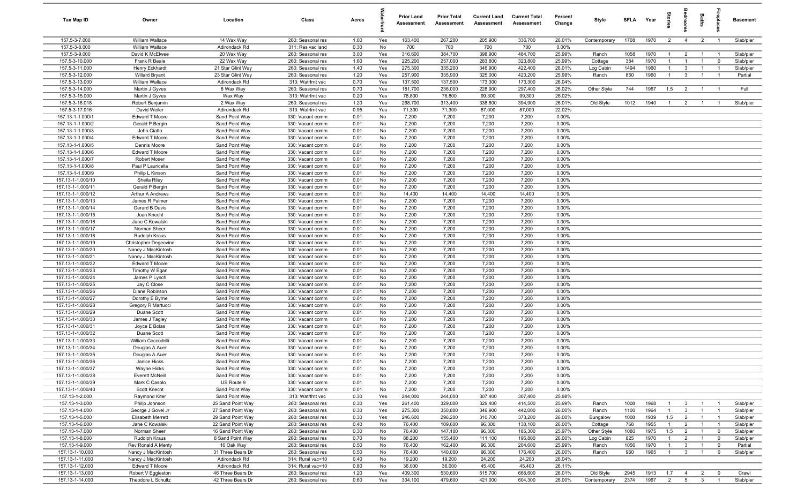| Tax Map ID                             | Owner                                    | Location                              | Class                                  | Acres        |            | <b>Prior Land</b><br>Assessment | <b>Prior Total</b><br>Assessment | <b>Current Land</b><br>Assessment | <b>Current Total</b><br>Assessment | Percent<br>Change | <b>Style</b>       | SFLA Year   |              | ĝ.                             | groon                            | Baths                            | repla                                     | Basement               |
|----------------------------------------|------------------------------------------|---------------------------------------|----------------------------------------|--------------|------------|---------------------------------|----------------------------------|-----------------------------------|------------------------------------|-------------------|--------------------|-------------|--------------|--------------------------------|----------------------------------|----------------------------------|-------------------------------------------|------------------------|
| 157.5-3-7.000                          | William Wallace                          | 14 Wax Way                            | 260: Seasonal res                      | 1.00         | Yes        | 163,400                         | 267,200                          | 205,900                           | 336,700                            | 26.01%            | Contemporary       | 1708        | 1970         | $\overline{2}$                 | $\overline{4}$                   | $\overline{2}$                   | $\overline{1}$                            | Slab/pier              |
| 157.5-3-8.000                          | William Wallace                          | Adirondack Rd                         | 311: Res vac land                      | 0.30         | No         | 700                             | 700                              | 700                               | 700                                | 0.00%             |                    |             |              |                                |                                  |                                  |                                           |                        |
| 157.5-3-9.000<br>157.5-3-10.000        | David K McElwee<br>Frank R Beale         | 20 Wax Way<br>22 Wax Way              | 260: Seasonal res<br>260: Seasonal res | 3.00<br>1.60 | Yes<br>Yes | 316,600<br>225,200              | 384,700<br>257,000               | 398,900<br>283,800                | 484,700<br>323,800                 | 25.99%<br>25.99%  | Ranch<br>Cottage   | 1058<br>384 | 1970<br>1970 | $\overline{1}$<br>$\mathbf{1}$ | $\overline{2}$<br>$\overline{1}$ | $\mathbf{1}$                     | $\overline{1}$<br>$^{\circ}$              | Slab/pier<br>Slab/pier |
| 157.5-3-11.000                         | Henry Eckhardt                           | 21 Star Glint Way                     | 260: Seasonal res                      | 1.40         | Yes        | 275,300                         | 335,200                          | 346,900                           | 422,400                            | 26.01%            | Log Cabin          | 1494        | 1960         | $\mathbf{1}$                   | $\mathbf{3}$                     | $\overline{1}$                   | - 1                                       | Slab/pier              |
| 157.5-3-12.000                         | <b>Willard Bryant</b>                    | 23 Star Glint Way                     | 260: Seasonal res                      | 1.20         | Yes        | 257,900                         | 335,900                          | 325,000                           | 423,200                            | 25.99%            | Ranch              | 850         | 1960         | $\overline{1}$                 | $\mathbf{3}$                     |                                  | - 1                                       | Partial                |
| 157.5-3-13.000                         | William Wallace                          | Adirondack Rd                         | 313: Watrfrnt vac                      | 0.70         | Yes        | 137,500                         | 137,500                          | 173,300                           | 173,300                            | 26.04%            |                    |             |              |                                |                                  |                                  |                                           |                        |
| 157.5-3-14.000                         | Martin J Gyves                           | 8 Wax Way                             | 260: Seasonal res                      | 0.70         | Yes        | 181,700                         | 236,000                          | 228,900                           | 297,400                            | 26.02%            | Other Style        | 744         | 1967         | 1.5                            | $\overline{2}$                   | $\overline{1}$                   | $\overline{1}$                            | Full                   |
| 157.5-3-15.000                         | Martin J Gyves                           | Wax Way                               | 313: Watrfrnt vac                      | 0.20         | Yes        | 78,800                          | 78,800                           | 99,300                            | 99,300                             | 26.02%            |                    |             |              |                                |                                  |                                  |                                           |                        |
| 157.5-3-16.018                         | Robert Benjamin                          | 2 Wax Way                             | 260: Seasonal res                      | 1.20         | Yes        | 268,700                         | 313,400                          | 338,600                           | 394,900                            | 26.01%            | Old Style          | 1012        | 1940         | $\overline{1}$                 | 2                                | $\overline{1}$                   | $\overline{1}$                            | Slab/pier              |
| 157.5-3-17.016                         | David Weiler                             | Adirondack Rd                         | 313: Watrfrnt vac                      | 0.95         | Yes        | 71,300                          | 71,300                           | 87,000                            | 87,000                             | 22.02%            |                    |             |              |                                |                                  |                                  |                                           |                        |
| 157.13-1-1.000/1                       | Edward T Moore                           | Sand Point Way                        | 330: Vacant comm                       | 0.01         | No         | 7,200                           | 7,200                            | 7,200                             | 7,200<br>7,200                     | 0.00%             |                    |             |              |                                |                                  |                                  |                                           |                        |
| 157.13-1-1.000/2<br>157.13-1-1.000/3   | Gerald P Bergin<br>John Ciatto           | Sand Point Way<br>Sand Point Way      | 330: Vacant comm<br>330: Vacant comm   | 0.01<br>0.01 | No<br>No   | 7,200<br>7,200                  | 7,200<br>7,200                   | 7,200<br>7,200                    | 7,200                              | 0.00%<br>0.00%    |                    |             |              |                                |                                  |                                  |                                           |                        |
| 157.13-1-1.000/4                       | Edward T Moore                           | Sand Point Way                        | 330: Vacant comm                       | 0.01         | No         | 7,200                           | 7,200                            | 7,200                             | 7,200                              | 0.00%             |                    |             |              |                                |                                  |                                  |                                           |                        |
| 157.13-1-1.000/5                       | Dennis Moore                             | Sand Point Way                        | 330: Vacant comm                       | 0.01         | No         | 7,200                           | 7,200                            | 7,200                             | 7,200                              | 0.00%             |                    |             |              |                                |                                  |                                  |                                           |                        |
| 157.13-1-1.000/6                       | Edward T Moore                           | Sand Point Way                        | 330: Vacant comm                       | 0.01         | No         | 7,200                           | 7,200                            | 7,200                             | 7,200                              | 0.00%             |                    |             |              |                                |                                  |                                  |                                           |                        |
| 157.13-1-1.000/7                       | <b>Robert Moser</b>                      | Sand Point Way                        | 330: Vacant comm                       | 0.01         | No         | 7,200                           | 7,200                            | 7,200                             | 7,200                              | 0.00%             |                    |             |              |                                |                                  |                                  |                                           |                        |
| 157.13-1-1.000/8                       | Paul P Lauricella                        | Sand Point Way                        | 330: Vacant comm                       | 0.01         | No         | 7,200                           | 7,200                            | 7,200                             | 7,200                              | 0.00%             |                    |             |              |                                |                                  |                                  |                                           |                        |
| 157.13-1-1.000/9                       | Philip L Kinson                          | Sand Point Way                        | 330: Vacant comm                       | 0.01         | No         | 7,200                           | 7,200                            | 7,200                             | 7,200                              | 0.00%             |                    |             |              |                                |                                  |                                  |                                           |                        |
| 157.13-1-1.000/10                      | Sheila Riley                             | Sand Point Way                        | 330: Vacant comm                       | 0.01         | No         | 7,200                           | 7,200                            | 7,200                             | 7,200                              | 0.00%             |                    |             |              |                                |                                  |                                  |                                           |                        |
| 157.13-1-1.000/11<br>157.13-1-1.000/12 | Gerald P Bergin<br>Arthur A Andrews      | Sand Point Way<br>Sand Point Way      | 330: Vacant comm<br>330: Vacant comm   | 0.01<br>0.01 | No<br>No   | 7,200<br>14,400                 | 7,200<br>14,400                  | 7,200<br>14,400                   | 7,200<br>14,400                    | 0.00%<br>0.00%    |                    |             |              |                                |                                  |                                  |                                           |                        |
| 157.13-1-1.000/13                      | James R Palmer                           | Sand Point Way                        | 330: Vacant comm                       | 0.01         | No         | 7,200                           | 7,200                            | 7,200                             | 7,200                              | 0.00%             |                    |             |              |                                |                                  |                                  |                                           |                        |
| 157.13-1-1.000/14                      | Gerard B Davis                           | Sand Point Way                        | 330: Vacant comm                       | 0.01         | No         | 7,200                           | 7,200                            | 7,200                             | 7,200                              | 0.00%             |                    |             |              |                                |                                  |                                  |                                           |                        |
| 157.13-1-1.000/15                      | Joan Knecht                              | Sand Point Way                        | 330: Vacant comm                       | 0.01         | No         | 7,200                           | 7,200                            | 7,200                             | 7,200                              | 0.00%             |                    |             |              |                                |                                  |                                  |                                           |                        |
| 157.13-1-1.000/16                      | Jane C Kowalski                          | Sand Point Way                        | 330: Vacant comm                       | 0.01         | No         | 7,200                           | 7,200                            | 7,200                             | 7,200                              | 0.00%             |                    |             |              |                                |                                  |                                  |                                           |                        |
| 157.13-1-1.000/17                      | Norman Sheer                             | Sand Point Way                        | 330: Vacant comm                       | 0.01         | No         | 7,200                           | 7,200                            | 7,200                             | 7,200                              | 0.00%             |                    |             |              |                                |                                  |                                  |                                           |                        |
| 157.13-1-1.000/18                      | Rudolph Kraus                            | Sand Point Way                        | 330: Vacant comm                       | 0.01         | No         | 7,200                           | 7,200                            | 7,200                             | 7,200                              | 0.00%             |                    |             |              |                                |                                  |                                  |                                           |                        |
| 157.13-1-1.000/19                      | Christopher Degeovine                    | Sand Point Way                        | 330: Vacant comm                       | 0.01         | No         | 7,200                           | 7,200                            | 7,200                             | 7,200                              | 0.00%             |                    |             |              |                                |                                  |                                  |                                           |                        |
| 157.13-1-1.000/20<br>157.13-1-1.000/21 | Nancy J MacKintosh<br>Nancy J MacKintosh | Sand Point Way<br>Sand Point Way      | 330: Vacant comm                       | 0.01<br>0.01 | No<br>No   | 7,200<br>7,200                  | 7,200<br>7,200                   | 7,200<br>7,200                    | 7,200<br>7,200                     | 0.00%<br>0.00%    |                    |             |              |                                |                                  |                                  |                                           |                        |
| 157.13-1-1.000/22                      | <b>Edward T Moore</b>                    | Sand Point Way                        | 330: Vacant comm<br>330: Vacant comm   | 0.01         | No         | 7,200                           | 7,200                            | 7,200                             | 7,200                              | 0.00%             |                    |             |              |                                |                                  |                                  |                                           |                        |
| 157.13-1-1.000/23                      | Timothy W Egan                           | Sand Point Way                        | 330: Vacant comm                       | 0.01         | No         | 7,200                           | 7,200                            | 7,200                             | 7,200                              | 0.00%             |                    |             |              |                                |                                  |                                  |                                           |                        |
| 157.13-1-1.000/24                      | James P Lynch                            | Sand Point Way                        | 330: Vacant comm                       | 0.01         | No         | 7,200                           | 7,200                            | 7,200                             | 7,200                              | 0.00%             |                    |             |              |                                |                                  |                                  |                                           |                        |
| 157.13-1-1.000/25                      | Jay C Close                              | Sand Point Way                        | 330: Vacant comm                       | 0.01         | No         | 7,200                           | 7,200                            | 7,200                             | 7,200                              | 0.00%             |                    |             |              |                                |                                  |                                  |                                           |                        |
| 157.13-1-1.000/26                      | Diane Robinson                           | Sand Point Way                        | 330: Vacant comm                       | 0.01         | No         | 7,200                           | 7,200                            | 7,200                             | 7,200                              | 0.00%             |                    |             |              |                                |                                  |                                  |                                           |                        |
| 157.13-1-1.000/27                      | Dorothy E Byrne                          | Sand Point Way                        | 330: Vacant comm                       | 0.01         | No         | 7,200                           | 7,200                            | 7,200                             | 7,200                              | 0.00%             |                    |             |              |                                |                                  |                                  |                                           |                        |
| 157.13-1-1.000/28                      | Gregory R Martucci                       | Sand Point Way<br>Sand Point Way      | 330: Vacant comm                       | 0.01         | No         | 7,200                           | 7,200                            | 7,200                             | 7,200                              | 0.00%             |                    |             |              |                                |                                  |                                  |                                           |                        |
| 157.13-1-1.000/29<br>157.13-1-1.000/30 | Duane Scott<br>James J Tagley            | Sand Point Way                        | 330: Vacant comm<br>330: Vacant comm   | 0.01<br>0.01 | No<br>No   | 7,200<br>7,200                  | 7,200<br>7,200                   | 7,200<br>7,200                    | 7,200<br>7,200                     | 0.00%<br>0.00%    |                    |             |              |                                |                                  |                                  |                                           |                        |
| 157.13-1-1.000/31                      | Joyce E Bolas                            | Sand Point Way                        | 330: Vacant comm                       | 0.01         | No         | 7,200                           | 7,200                            | 7,200                             | 7,200                              | 0.00%             |                    |             |              |                                |                                  |                                  |                                           |                        |
| 157.13-1-1.000/32                      | Duane Scott                              | Sand Point Way                        | 330: Vacant comm                       | 0.01         | No         | 7,200                           | 7,200                            | 7,200                             | 7,200                              | 0.00%             |                    |             |              |                                |                                  |                                  |                                           |                        |
| 157.13-1-1.000/33                      | William Coccodrilli                      | Sand Point Way                        | 330: Vacant comm                       | 0.01         | No         | 7,200                           | 7,200                            | 7,200                             | 7,200                              | 0.00%             |                    |             |              |                                |                                  |                                  |                                           |                        |
| 157.13-1-1.000/34                      | Douglas A Auer                           | Sand Point Way                        | 330: Vacant comm                       | 0.01         | No         | 7,200                           | 7,200                            | 7,200                             | 7,200                              | 0.00%             |                    |             |              |                                |                                  |                                  |                                           |                        |
| 157.13-1-1.000/35                      | Douglas A Auer                           | Sand Point Way                        | 330: Vacant comm                       | 0.01         | No         | 7,200                           | 7,200                            | 7,200                             | 7,200                              | 0.00%             |                    |             |              |                                |                                  |                                  |                                           |                        |
| 157.13-1-1.000/36                      | Janice Hicks                             | Sand Point Way                        | 330: Vacant comm                       | 0.01         | No         | 7,200                           | 7,200                            | 7,200                             | 7,200                              | $0.00\%$          |                    |             |              |                                |                                  |                                  |                                           |                        |
| 157.13-1-1.000/37<br>157.13-1-1.000/38 | Wayne Hicks<br>Everett McNeill           | Sand Point Way<br>Sand Point Way      | 330: Vacant comm<br>330: Vacant comm   | 0.01<br>0.01 | No<br>No   | 7,200<br>7,200                  | 7,200<br>7,200                   | 7,200<br>7,200                    | 7,200<br>7,200                     | 0.00%<br>0.00%    |                    |             |              |                                |                                  |                                  |                                           |                        |
| 157.13-1-1.000/39                      | Mark C Casolo                            | US Route 9                            | 330: Vacant comm                       | 0.01         | No         | 7,200                           | 7,200                            | 7,200                             | 7,200                              | 0.00%             |                    |             |              |                                |                                  |                                  |                                           |                        |
| 157.13-1-1.000/40                      | Scott Knecht                             | Sand Point Way                        | 330: Vacant comm                       | 0.01         | No         | 7,200                           | 7,200                            | 7,200                             | 7,200                              | 0.00%             |                    |             |              |                                |                                  |                                  |                                           |                        |
| 157.13-1-2.000                         | Raymond Kiter                            | Sand Point Way                        | 313: Watrfrnt vac                      | 0.30         | Yes        | 244,000                         | 244,000                          | 307,400                           | 307,400                            | 25.98%            |                    |             |              |                                |                                  |                                  |                                           |                        |
| 157.13-1-3.000                         | Philip Johnson                           | 25 Sand Point Way                     | 260: Seasonal res                      | 0.30         | Yes        | 261,400                         | 329,000                          | 329,400                           | 414,500                            | 25.99%            | Ranch              | 1008        | 1968         | $\mathbf{1}$                   | 3                                | $\mathbf{1}$                     | $\overline{1}$                            | Slab/pier              |
| 157.13-1-4.000                         | George J Govel Jr                        | 27 Sand Point Way                     | 260: Seasonal res                      | 0.30         | Yes        | 275,300                         | 350,800                          | 346,900                           | 442,000                            | 26.00%            | Ranch              | 1100        | 1964         | $\mathbf{1}$                   | $\mathbf{3}$                     |                                  | $\overline{1}$                            | Slab/pier              |
| 157.13-1-5.000                         | Elisabeth Merrett                        | 29 Sand Point Way                     | 260: Seasonal res                      | 0.30         | Yes        | 246,600                         | 296,200                          | 310,700                           | 373,200                            | 26.00%            | Bungalow           | 1008        | 1939         | 1.5                            | $\overline{2}$                   | $\mathbf{1}$                     | $\overline{1}$                            | Slab/pier              |
| 157.13-1-6.000                         | Jane C Kowalski                          | 22 Sand Point Way                     | 260: Seasonal res                      | 0.40         | No         | 76,400                          | 109,600                          | 96,300                            | 138,100                            | 26.00%            | Cottage            | 768         | 1955         | $\mathbf{1}$                   | $\overline{2}$                   | $\overline{1}$                   | - 1                                       | Slab/pier              |
| 157.13-1-7.000<br>157.13-1-8.000       | Norman Sheer<br>Rudolph Kraus            | 16 Sand Point Way<br>8 Sand Point Way | 260: Seasonal res                      | 0.30<br>0.70 | No<br>No   | 76,400<br>88,200                | 147,100<br>155,400               | 96,300<br>111,100                 | 185,300<br>195,800                 | 25.97%<br>26.00%  | Other Style        | 1080<br>825 | 1975<br>1970 | 1.5<br>$\mathbf{1}$            | $\overline{2}$<br>$\overline{2}$ | $\overline{1}$<br>$\overline{1}$ | $\overline{\mathbf{0}}$<br>$\overline{0}$ | Slab/pier              |
| 157.13-1-9.000                         | Rev Ronald A Menty                       | 16 Oak Way                            | 260: Seasonal res<br>260: Seasonal res | 0.50         | No         | 76,400                          | 162,400                          | 96,300                            | 204,600                            | 25.99%            | Log Cabin<br>Ranch | 1056        | 1970         | $\mathbf{1}$                   | $\mathbf{3}$                     | $\overline{1}$                   | $\mathbf 0$                               | Slab/pier<br>Partial   |
| 157.13-1-10.000                        | Nancy J MacKintosh                       | 31 Three Bears Dr                     | 260: Seasonal res                      | 0.50         | No         | 76,400                          | 140,000                          | 96,300                            | 176,400                            | 26.00%            | Ranch              | 960         | 1965         | $\overline{1}$                 | $\mathbf{3}$                     | $\overline{1}$                   | $\mathbf 0$                               | Slab/pier              |
| 157.13-1-11.000                        | Nancy J MacKintosh                       | Adirondack Rd                         | 314: Rural vac<10                      | 0.40         | No         | 19,200                          | 19,200                           | 24,200                            | 24,200                             | 26.04%            |                    |             |              |                                |                                  |                                  |                                           |                        |
| 157.13-1-12.000                        | Edward T Moore                           | Adirondack Rd                         | 314: Rural vac<10                      | 0.80         | No         | 36,000                          | 36,000                           | 45,400                            | 45,400                             | 26.11%            |                    |             |              |                                |                                  |                                  |                                           |                        |
| 157.13-1-13.000                        | Robert V Eggleston                       | 46 Three Bears Dr                     | 260: Seasonal res                      | 1.20         | Yes        | 409,300                         | 530,600                          | 515,700                           | 668,600                            | 26.01%            | Old Style          | 2945        | 1913         | 1.7                            | $\overline{4}$                   | $\overline{2}$                   | $\mathbf 0$                               | Crawl                  |
| 157.13-1-14.000                        | Theodore L Schultz                       | 42 Three Bears Dr                     | 260: Seasonal res                      | 0.60         | Yes        | 334,100                         | 479,600                          | 421,000                           | 604,300                            | 26.00%            | Contemporary       | 2374        | 1967         | $\overline{2}$                 | 5                                | $\mathbf{3}$                     | $\overline{1}$                            | Slab/pier              |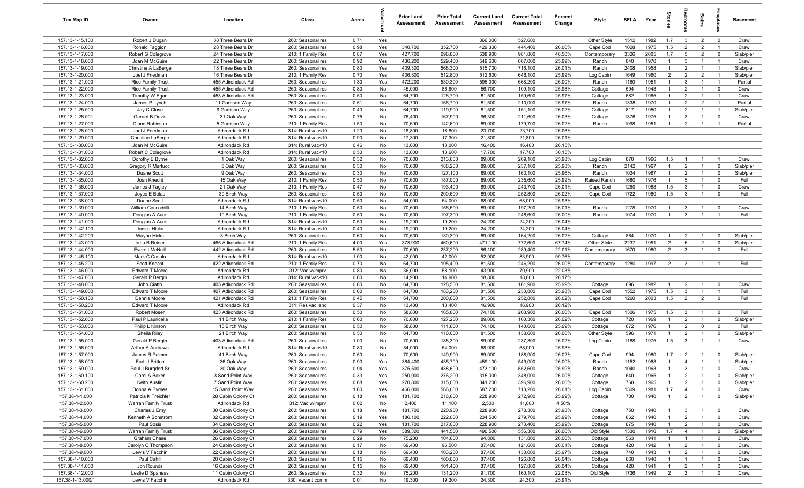| Tax Map ID                         | Owner                                 | Location                                 | Class                                  | Acres        |           | <b>Prior Land</b><br>Assessment | <b>Prior Total</b><br>Assessment | <b>Current Land</b><br>Assessment | <b>Current Total</b><br>Assessment | Percent<br>Change | Style                  | SFLA        | Year         | tories                           | ăroo                             | Baths                            |                                  | <b>Basement</b>        |
|------------------------------------|---------------------------------------|------------------------------------------|----------------------------------------|--------------|-----------|---------------------------------|----------------------------------|-----------------------------------|------------------------------------|-------------------|------------------------|-------------|--------------|----------------------------------|----------------------------------|----------------------------------|----------------------------------|------------------------|
| 157.13-1-15.100                    | Robert J Dugan                        | 38 Three Bears Dr                        | 260: Seasonal res                      | 0.71         | Yes       |                                 |                                  | 366,000                           | 527,600                            |                   | Other Style            | 1512        | 1982         | 1.7                              | $\mathbf{3}$                     | $\overline{2}$                   | $\overline{\mathbf{0}}$          | Crawl                  |
| 157.13-1-16.000                    | Ronald Faggioni                       | 28 Three Bears Dr                        | 260: Seasonal res                      | 0.98         | Yes       | 340,700                         | 352,700                          | 429,300                           | 444,400                            | 26.00%            | Cape Cod               | 1028        | 1975         | 1.5                              | $\overline{2}$                   | $\overline{2}$                   | $\overline{1}$                   | Crawl                  |
| 157.13-1-17.000                    | Robert G Colegrove                    | 24 Three Bears Dr                        | 210: 1 Family Res                      | 0.87         | Yes       | 427,700                         | 698,800                          | 538,900                           | 981,800                            | 40.50%            | Contemporary           | 3326        | 2005         | 1.7                              | $5\overline{5}$                  | $\overline{2}$                   | $\mathbf 0$                      | Slab/pier              |
| 157.13-1-18.000                    | Joan M McGuire                        | 22 Three Bears Dr                        | 260: Seasonal res                      | 0.92         | Yes       | 436,200                         | 529,400                          | 549,600                           | 667,000                            | 25.99%            | Ranch                  | 840         | 1970         | $\overline{1}$                   | 3                                | $\overline{1}$                   | $\overline{1}$                   | Crawl                  |
| 157.13-1-19.000                    | Christine A LaBerge                   | 18 Three Bears Dr                        | 260: Seasonal res                      | 0.80         | Yes       | 409,300                         | 568,300                          | 515,700                           | 716,100                            | 26.01%            | Ranch                  | 2408        | 1958         | $\mathbf{1}$                     | $\overline{2}$                   | $\overline{1}$                   | $\overline{1}$                   | Slab/pier              |
| 157.13-1-20.000                    | Joel J Friedman                       | 16 Three Bears Dr                        | 210: 1 Family Res                      | 0.70         | Yes       | 406,800                         | 512,800                          | 512,600                           | 646,100                            | 25.99%            | Log Cabin              | 1649        | 1960         | $\overline{2}$                   | $\overline{2}$                   | $\overline{2}$                   | $\overline{1}$                   | Slab/pier              |
| 157.13-1-21.000                    | <b>Rice Family Trust</b>              | 455 Adirondack Rd                        | 260: Seasonal res                      | 1.30         | Yes       | 472,200                         | 530,300                          | 595,000                           | 668,200                            | 26.00%            | Ranch                  | 1160        | 1951         | $\overline{1}$                   | 3                                | $\overline{1}$                   | $\overline{1}$                   | Partial                |
| 157.13-1-22.000                    | <b>Rice Family Trust</b>              | 455 Adirondack Rd                        | 260: Seasonal res                      | 0.80         | No        | 45,000                          | 86,600                           | 56,700                            | 109,100                            | 25.98%            | Cottage                | 594         | 1948         | $\overline{1}$                   | $\overline{2}$                   | $\overline{1}$                   | $\mathbf 0$                      | Crawl                  |
| 157.13-1-23.000                    | Timothy W Egan                        | 453 Adirondack Rd                        | 260: Seasonal res                      | 0.50         | No        | 64,700                          | 126,700                          | 81,500                            | 159,600                            | 25.97%            | Cottage                | 682         | 1965         | $\overline{1}$                   | $\overline{2}$                   | $\overline{1}$                   | $\overline{1}$                   | Crawl                  |
| 157.13-1-24.000                    | James P Lynch                         | 11 Garrison Way<br>9 Garrison Way        | 260: Seasonal res                      | 0.51         | No        | 64,700                          | 166,700                          | 81,500                            | 210,000                            | 25.97%            | Ranch                  | 1338        | 1970<br>1950 | $\overline{1}$<br>$\overline{1}$ | $\overline{2}$<br>$\overline{2}$ | $\overline{2}$<br>$\overline{1}$ | $\overline{1}$<br>$\overline{1}$ | Partial                |
| 157.13-1-25.000<br>157.13-1-26.001 | Jay C Close<br>Gerard B Davis         | 31 Oak Way                               | 260: Seasonal res<br>260: Seasonal res | 0.40<br>0.75 | No<br>No  | 64,700<br>76,400                | 119,900<br>167,900               | 81,500<br>96,300                  | 151,100<br>211,600                 | 26.02%<br>26.03%  | Cottage<br>Cottage     | 817<br>1376 | 1975         | $\overline{1}$                   | $\overline{3}$                   | $\overline{1}$                   | $\mathbf 0$                      | Slab/pier<br>Crawl     |
| 157.13-1-27.003                    | Diane Robinson                        | 5 Garrison Way                           | 210: 1 Family Res                      | 1.50         | No        | 70,600                          | 142,600                          | 89,000                            | 179,700                            | 26.02%            | Ranch                  | 1098        | 1951         | $\overline{1}$                   | $\overline{2}$                   | $\overline{1}$                   | $\overline{1}$                   | Partial                |
| 157.13-1-28.000                    | Joel J Friedman                       | Adirondack Rd                            | 314: Rural vac<10                      | 1.20         | No        | 18,800                          | 18,800                           | 23,700                            | 23,700                             | 26.06%            |                        |             |              |                                  |                                  |                                  |                                  |                        |
| 157.13-1-29.000                    | Christine LaBerge                     | Adirondack Rd                            | 314: Rural vac<10                      | 0.90         | No        | 17,300                          | 17,300                           | 21,800                            | 21,800                             | 26.01%            |                        |             |              |                                  |                                  |                                  |                                  |                        |
| 157.13-1-30.000                    | Joan M McGuire                        | Adirondack Rd                            | 314: Rural vac<10                      | 0.46         | No        | 13,000                          | 13,000                           | 16,400                            | 16,400                             | 26.15%            |                        |             |              |                                  |                                  |                                  |                                  |                        |
| 157.13-1-31.000                    | Robert C Colegrove                    | Adirondack Rd                            | 314: Rural vac<10                      | 0.50         | No        | 13,600                          | 13,600                           | 17,700                            | 17,700                             | 30.15%            |                        |             |              |                                  |                                  |                                  |                                  |                        |
| 157.13-1-32.000                    | Dorothy E Byrne                       | 1 Oak Way                                | 260: Seasonal res                      | 0.32         | No        | 70,600                          | 213,600                          | 89,000                            | 269,100                            | 25.98%            | Log Cabin              | 870         | 1966         | 1.5                              | -1                               | $\overline{1}$                   | $\overline{1}$                   | Crawl                  |
| 157.13-1-33.000                    | Gregory R Martucci                    | 5 Oak Way                                | 260: Seasonal res                      | 0.30         | No        | 70,600                          | 188,200                          | 89,000                            | 237,100                            | 25.98%            | Ranch                  | 2142        | 1967         | $\overline{1}$                   | $\overline{2}$                   | $\overline{1}$                   | $\mathbf 0$                      | Slab/pier              |
| 157.13-1-34.000                    | Duane Scott                           | 9 Oak Way                                | 260: Seasonal res                      | 0.30         | No        | 70,600                          | 127,100                          | 89,000                            | 160,100                            | 25.96%            | Ranch                  | 1024        | 1967         | $\overline{1}$                   | $\overline{2}$                   | $\overline{1}$                   | $\mathbf 0$                      | Slab/pier              |
| 157.13-1-35.000                    | Joan Knecht                           | 15 Oak Way                               | 210: 1 Family Res                      | 0.50         | No        | 70,600                          | 187,000                          | 89,000                            | 235,600                            | 25.99%            | Raised Ranch           | 1680        | 1976         | $\overline{1}$                   | $5\overline{5}$                  | $\overline{1}$                   | $\mathbf 0$                      | Full                   |
| 157.13-1-36.000                    | James J Tagley                        | 21 Oak Way                               | 210: 1 Family Res                      | 0.47         | No        | 70,600                          | 193,400                          | 89,000                            | 243,700                            | 26.01%            | Cape Cod               | 1260        | 1988         | 1.5                              | 3                                | $\overline{1}$                   | $\mathbf 0$                      | Crawl                  |
| 157.13-1-37.000                    | Joyce E Bolas                         | 30 Birch Way                             | 260: Seasonal res                      | 0.50         | No        | 70,600                          | 200,600                          | 89,000                            | 252,800                            | 26.02%            | Cape Cod               | 1722        | 1980         | 1.5                              | $\mathbf{3}$                     | $\overline{1}$                   | $\mathbf 0$                      | Full                   |
| 157.13-1-38.000                    | Duane Scott                           | Adirondack Rd                            | 314: Rural vac<10                      | 0.50         | No        | 54,000                          | 54,000                           | 68,000                            | 68,000                             | 25.93%            |                        |             |              |                                  |                                  |                                  |                                  |                        |
| 157.13-1-39.000                    | William Coccodrilli                   | 14 Birch Way                             | 210: 1 Family Res                      | 0.50         | No        | 70,600                          | 156,500                          | 89,000                            | 197,200                            | 26.01%            | Ranch                  | 1278        | 1970         | $\overline{1}$                   | $\mathbf{3}$                     | $\overline{1}$                   | $\overline{\mathbf{0}}$          | Crawl                  |
| 157.13-1-40.000                    | Douglas A Auer                        | 10 Birch Way                             | 210: 1 Family Res                      | 0.50         | No        | 70,600                          | 197,300                          | 89,000                            | 248,600                            | 26.00%            | Ranch                  | 1074        | 1970         | $\overline{1}$                   | $\mathbf{3}$                     | $\overline{1}$                   | $\overline{1}$                   | Full                   |
| 157.13-1-41.000                    | Douglas A Auer                        | Adirondack Rd                            | 314: Rural vac<10                      | 0.50         | No        | 19,200                          | 19,200                           | 24,200                            | 24,200                             | 26.04%            |                        |             |              |                                  |                                  |                                  |                                  |                        |
| 157.13-1-42.100                    | Janice Hicks                          | Adirondack Rd                            | 314: Rural vac<10                      | 0.40         | No        | 19,200                          | 19,200                           | 24,200                            | 24,200                             | 26.04%            |                        |             |              |                                  |                                  |                                  |                                  |                        |
| 157.13-1-42.200<br>157.13-1-43.000 | Wayne Hicks<br>Irma B Reiser          | 3 Birch Way<br>465 Adirondack Rd         | 260: Seasonal res                      | 0.60<br>4.00 | No<br>Yes | 70,600<br>373,900               | 130,300<br>460,600               | 89,000<br>471,100                 | 164,200<br>772,600                 | 26.02%<br>67.74%  | Cottage<br>Other Style | 864<br>2237 | 1970<br>1951 | -1<br>$\overline{2}$             | $\overline{2}$<br>6              | $\mathbf{1}$<br>$\overline{2}$   | $\mathbf 0$<br>$\mathbf 0$       | Slab/pier<br>Slab/pier |
| 157.13-1-44.000                    | <b>Everett McNeill</b>                | 442 Adirondack Rd                        | 210: 1 Family Res<br>260: Seasonal res | 5.50         | No        | 70,600                          | 237,200                          | 86,100                            | 289,400                            | 22.01%            | Contemporary           | 1670        | 1980         | $\overline{2}$                   | $\mathbf{3}$                     | $\overline{1}$                   | $\mathbf 0$                      | Full                   |
| 157.13-1-45.100                    | Mark C Casolo                         | Adirondack Rd                            | 314: Rural vac<10                      | 1.00         | No        | 42,000                          | 42,000                           | 52,900                            | 83,900                             | 99.76%            |                        |             |              |                                  |                                  |                                  |                                  |                        |
| 157.13-1-45.200                    | Scott Knecht                          | 422 Adirondack Rd                        | 210: 1 Family Res                      | 0.70         | No        | 64,700                          | 195,400                          | 81,500                            | 246,200                            | 26.00%            | Contemporary           | 1280        | 1997         | $\overline{2}$                   | $\mathbf{3}$                     | $\overline{1}$                   | $\overline{1}$                   | Full                   |
| 157.13-1-46.000                    | Edward T Moore                        | Adirondack Rd                            | 312: Vac w/imprv                       | 0.80         | No        | 36,000                          | 58,100                           | 43,900                            | 70,900                             | 22.03%            |                        |             |              |                                  |                                  |                                  |                                  |                        |
| 157.13-1-47.000                    | Gerald P Bergin                       | Adirondack Rd                            | 314: Rural vac<10                      | 0.60         | No        | 14,900                          | 14,900                           | 18,800                            | 18,800                             | 26.17%            |                        |             |              |                                  |                                  |                                  |                                  |                        |
| 157.13-1-48.000                    | John Ciatto                           | 405 Adirondack Rd                        | 260: Seasonal res                      | 0.60         | No        | 64,700                          | 128,500                          | 81,500                            | 161,900                            | 25.99%            | Cottage                | 696         | 1982         | $\overline{1}$                   | $\overline{2}$                   | $\overline{1}$                   | $\mathbf 0$                      | Crawl                  |
| 157.13-1-49.000                    | Edward T Moore                        | 407 Adirondack Rd                        | 260: Seasonal res                      | 0.60         | No        | 64,700                          | 183,200                          | 81,500                            | 230,800                            | 25.98%            | Cape Cod               | 1552        | 1975         | 1.5                              | $\mathbf{3}$                     | $\overline{1}$                   | $\overline{1}$                   | Full                   |
| 157.13-1-50.100                    | Dennis Moore                          | 421 Adirondack Rd                        | 210: 1 Family Res                      | 0.45         | No        | 64,700                          | 200,600                          | 81,500                            | 252,800                            | 26.02%            | Cape Cod               | 1260        | 2003         | 1.5                              | $\overline{2}$                   | $\overline{2}$                   | $\mathbf 0$                      | Full                   |
| 157.13-1-50.200                    | Edward T Moore                        | Adirondack Rd                            | 311: Res vac land                      | 0.37         | No        | 13,400                          | 13,400                           | 16,900                            | 16,900                             | 26.12%            |                        |             |              |                                  |                                  |                                  |                                  |                        |
| 157.13-1-51.000                    | Robert Moser                          | 423 Adirondack Rd                        | 260: Seasonal res                      | 0.50         | No        | 58,800                          | 165,800                          | 74,100                            | 208,900                            | 26.00%            | Cape Cod               | 1306        | 1975         | 1.5                              | $\overline{3}$                   | $\overline{1}$                   | $\overline{0}$                   | Full                   |
| 157.13-1-52.000                    | Paul P Lauricella                     | 11 Birch Way                             | 210: 1 Family Res                      | 0.60         | No        | 70,600                          | 127,200                          | 89,000                            | 160,300                            | 26.02%            | Cottage                | 720         | 1969         | $\overline{1}$                   | $\overline{2}$                   | $\overline{1}$                   | $\mathbf 0$                      | Slab/pier              |
| 157.13-1-53.000                    | Philip L Kinson                       | 15 Birch Way                             | 260: Seasonal res                      | 0.50         | No        | 58,800                          | 111,600                          | 74,100                            | 140,600                            | 25.99%            | Cottage                | 672         | 1976         | $\mathbf{1}$                     | $\overline{2}$                   | $\mathbf 0$                      | $\mathbf 0$                      | Full                   |
| 157.13-1-54.000<br>157.13-1-55.000 | Sheila Riley                          | 21 Birch Way                             | 260: Seasonal res                      | 0.50         | No        | 64,700                          | 110,000                          | 81,500                            | 138,600                            | 26.00%            | Other Style            | 596         | 1971         | -1                               | $\overline{2}$                   | $\overline{1}$<br>$\overline{1}$ | $\mathbf 0$                      | Slab/pier              |
| 157.13-1-56.000                    | Gerald P Bergin<br>Arthur A Andrews   | 403 Adirondack Rd<br>Adirondack Rd       | 260: Seasonal res<br>314: Rural vac<10 | 1.00<br>0.80 | No<br>No  | 70,600<br>54,000                | 188,300<br>54,000                | 89,000<br>68,000                  | 237,300<br>68,000                  | 26.02%<br>25.93%  | Log Cabin              | 1188        | 1975         | 1.5                              | $\mathbf{3}$                     |                                  |                                  | Crawl                  |
| 157.13-1-57.000                    | James R Palmer                        | 41 Birch Way                             | 260: Seasonal res                      | 0.50         | No        | 70,600                          | 149,900                          | 89,000                            | 188,900                            | 26.02%            | Cape Cod               | 994         | 1980         | 1.7                              | $\overline{2}$                   | $\overline{1}$                   | $\mathbf 0$                      | Slab/pier              |
| 157.13-1-58.000                    | Earl J Britton                        | 36 Oak Way                               | 260: Seasonal res                      | 0.90         | Yes       | 364,400                         | 435,700                          | 459,100                           | 549,000                            | 26.00%            | Ranch                  | 1152        | 1968         | $\overline{1}$                   | $\mathbf{A}$                     |                                  |                                  | Slab/pier              |
| 157.13-1-59.000                    | Paul J Burgdorf Sr                    | 30 Oak Way                               | 260: Seasonal res                      | 0.94         | Yes       | 375,500                         | 438,600                          | 473,100                           | 552,600                            | 25.99%            | Ranch                  | 1040        | 1963         | $\overline{1}$                   | $\mathbf{3}$                     | $\overline{1}$                   | $\overline{0}$                   | Crawl                  |
| 157.13-1-60.100                    | Carol A Baker                         | 3 Sand Point Way                         | 260: Seasonal res                      | 0.33         | Yes       | 250,000                         | 276,200                          | 315,000                           | 348,000                            | 26.00%            | Cottage                | 640         | 1965         | $\overline{1}$                   | $\overline{2}$                   | $\overline{1}$                   | $\mathbf 0$                      | Slab/pier              |
| 157.13-1-60.200                    | Keith Austin                          | 7 Sand Point Way                         | 260: Seasonal res                      | 0.68         | Yes       | 270,800                         | 315,000                          | 341,200                           | 396,900                            | 26.00%            | Cottage                | 768         | 1965         | $\overline{1}$                   | $\overline{2}$                   | $\overline{1}$                   | $\mathbf 0$                      | Slab/pier              |
| 157.13-1-61.000                    | Donna A Byrnes                        | 15 Sand Point Way                        | 260: Seasonal res                      | 1.60         | Yes       | 466,000                         | 566,000                          | 587,200                           | 713,200                            | 26.01%            | Log Cabin              | 1309        | 1981         | 1.7                              | $\overline{4}$                   | $\overline{1}$                   | $\overline{0}$                   | Crawl                  |
| 157.38-1-1.000                     | Patricia K Treichler                  | 28 Cabin Colony Ct                       | 260: Seasonal res                      | 0.18         | Yes       | 181,700                         | 216,600                          | 228,900                           | 272,900                            | 25.99%            | Cottage                | 700         | 1940         | $\overline{1}$                   | $\overline{2}$                   | $\overline{1}$                   | $\mathbf 0$                      | Slab/pier              |
| 157.38-1-2.000                     | Warran Family Trust                   | Adirondack Rd                            | 312: Vac w/imprv                       | 0.02         | No        | 2,400                           | 11,100                           | 2,500                             | 11,600                             | 4.50%             |                        |             |              |                                  |                                  |                                  |                                  |                        |
| 157.38-1-3.000                     | Charles J Erny                        | 30 Cabin Colony Ct                       | 260: Seasonal res                      | 0.18         | Yes       | 181,700                         | 220,900                          | 228,900                           | 278,300                            | 25.98%            | Cottage                | 750         | 1940         | $\overline{1}$                   | $\mathbf{3}$                     | $\overline{1}$                   | $\overline{\mathbf{0}}$          | Crawl                  |
| 157.38-1-4.000                     | Kenneth A Sonstrom                    | 32 Cabin Colony Ct                       | 260: Seasonal res                      | 0.19         | Yes       | 186,100                         | 222,000                          | 234,500                           | 279,700                            | 25.99%            | Cottage                | 862         | 1940         |                                  | $\overline{2}$                   | $\overline{1}$                   | $\overline{\mathbf{0}}$          | Crawl                  |
| 157.38-1-5.000                     | Paul Sosis                            | 34 Cabin Colony Ct                       | 260: Seasonal res                      | 0.22         | Yes       | 181,700                         | 217,000                          | 228,900                           | 273,400                            | 25.99%            | Cottage                | 875         | 1940         | $\mathbf{1}$                     | $\overline{2}$                   | $\overline{1}$                   | $\overline{0}$                   | Crawl                  |
| 157.38-1-6.000                     | Warran Family Trust                   | 36 Cabin Colony Ct                       | 260: Seasonal res                      | 0.79         | Yes       | 389,300                         | 441,500                          | 490,500                           | 556,300                            | 26.00%            | Old Style              | 1330        | 1910         | 1.7                              | $\overline{4}$                   | $\overline{1}$                   | $\overline{\mathbf{0}}$          | Slab/pier              |
| 157.38-1-7.000                     | Graham Chase                          | 26 Cabin Colony Ct                       | 260: Seasonal res                      | 0.29         | No        | 75,200                          | 104,600                          | 94,800                            | 131,800                            | 26.00%            | Cottage                | 563         | 1941         | $\overline{1}$                   | $\overline{1}$                   | $\overline{1}$                   | $\overline{0}$                   | Crawl                  |
| 157.38-1-8.000<br>157.38-1-9.000   | Carolyn C Thompson<br>Lewis V Facchin | 24 Cabin Colony Ct<br>22 Cabin Colony Ct | 260: Seasonal res<br>260: Seasonal res | 0.17<br>0.18 | No<br>No  | 69,400<br>69,400                | 96,500<br>103,200                | 87,400<br>87,400                  | 121,600<br>130,000                 | 26.01%<br>25.97%  | Cottage<br>Cottage     | 420<br>740  | 1942<br>1943 | $\overline{1}$<br>$\overline{1}$ | $\overline{2}$<br>$\overline{2}$ | $\overline{1}$<br>$\overline{1}$ | $\mathbf 0$<br>$\mathbf 0$       | Crawl<br>Crawl         |
| 157.38-1-10.000                    | Paul Cahill                           | 20 Cabin Colony Ct                       | 260: Seasonal res                      | 0.15         | No        | 69,400                          | 100,600                          | 87,400                            | 126,800                            | 26.04%            | Cottage                | 660         | 1940         | $\overline{1}$                   | $\overline{1}$                   | $\overline{1}$                   | $\mathbf 0$                      | Crawl                  |
| 157.38-1-11.000                    | Jon Rounds                            | 16 Cabin Colony Ct                       | 260: Seasonal res                      | 0.15         | No        | 69,400                          | 101,400                          | 87,400                            | 127,800                            | 26.04%            | Cottage                | 420         | 1941         | $\overline{1}$                   | $\overline{2}$                   | $\overline{1}$                   | $\mathbf 0$                      | Crawl                  |
| 157.38-1-12.000                    | Leslie D Spaneas                      | 11 Cabin Colony Ct                       | 260: Seasonal res                      | 0.32         | No        | 75,200                          | 131,200                          | 91,700                            | 160,100                            | 22.03%            | Old Style              | 1736        | 1949         | $\overline{2}$                   | $\overline{3}$                   | $\overline{1}$                   | $\mathbf 0$                      | Crawl                  |
| 157.38-1-13.000/1                  | Lewis V Facchin                       | Adirondack Rd                            | 330: Vacant comm                       | 0.01         | No        | 19,300                          | 19,300                           | 24,300                            | 24,300                             | 25.91%            |                        |             |              |                                  |                                  |                                  |                                  |                        |